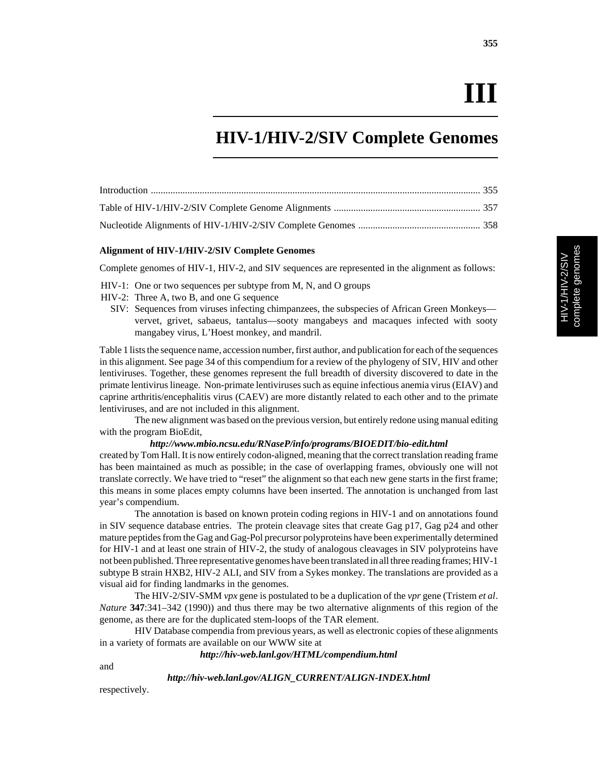# **III**

# **HIV-1/HIV-2/SIV Complete Genomes**

#### **Alignment of HIV-1/HIV-2/SIV Complete Genomes**

Complete genomes of HIV-1, HIV-2, and SIV sequences are represented in the alignment as follows:

- HIV-1: One or two sequences per subtype from M, N, and O groups
- HIV-2: Three A, two B, and one G sequence
	- SIV: Sequences from viruses infecting chimpanzees, the subspecies of African Green Monkeys vervet, grivet, sabaeus, tantalus—sooty mangabeys and macaques infected with sooty mangabey virus, L'Hoest monkey, and mandril.

Table 1 lists the sequence name, accession number, first author, and publication for each of the sequences in this alignment. See page 34 of this compendium for a review of the phylogeny of SIV, HIV and other lentiviruses. Together, these genomes represent the full breadth of diversity discovered to date in the primate lentivirus lineage. Non-primate lentiviruses such as equine infectious anemia virus (EIAV) and caprine arthritis/encephalitis virus (CAEV) are more distantly related to each other and to the primate lentiviruses, and are not included in this alignment.

The new alignment was based on the previous version, but entirely redone using manual editing with the program BioEdit,

#### *http://www.mbio.ncsu.edu/RNaseP/info/programs/BIOEDIT/bio-edit.html*

created by Tom Hall. It is now entirely codon-aligned, meaning that the correct translation reading frame has been maintained as much as possible; in the case of overlapping frames, obviously one will not translate correctly. We have tried to "reset" the alignment so that each new gene starts in the first frame; this means in some places empty columns have been inserted. The annotation is unchanged from last year's compendium.

The annotation is based on known protein coding regions in HIV-1 and on annotations found in SIV sequence database entries. The protein cleavage sites that create Gag p17, Gag p24 and other mature peptides from the Gag and Gag-Pol precursor polyproteins have been experimentally determined for HIV-1 and at least one strain of HIV-2, the study of analogous cleavages in SIV polyproteins have not been published. Three representative genomes have been translated in all three reading frames; HIV-1 subtype B strain HXB2, HIV-2 ALI, and SIV from a Sykes monkey. The translations are provided as a visual aid for finding landmarks in the genomes.

The HIV-2/SIV-SMM *vpx* gene is postulated to be a duplication of the *vpr* gene (Tristem *et al*. *Nature* **347**:341–342 (1990)) and thus there may be two alternative alignments of this region of the genome, as there are for the duplicated stem-loops of the TAR element.

HIV Database compendia from previous years, as well as electronic copies of these alignments in a variety of formats are available on our WWW site at

*http://hiv-web.lanl.gov/HTML/compendium.html*

and

*http://hiv-web.lanl.gov/ALIGN\_CURRENT/ALIGN-INDEX.html*

respectively.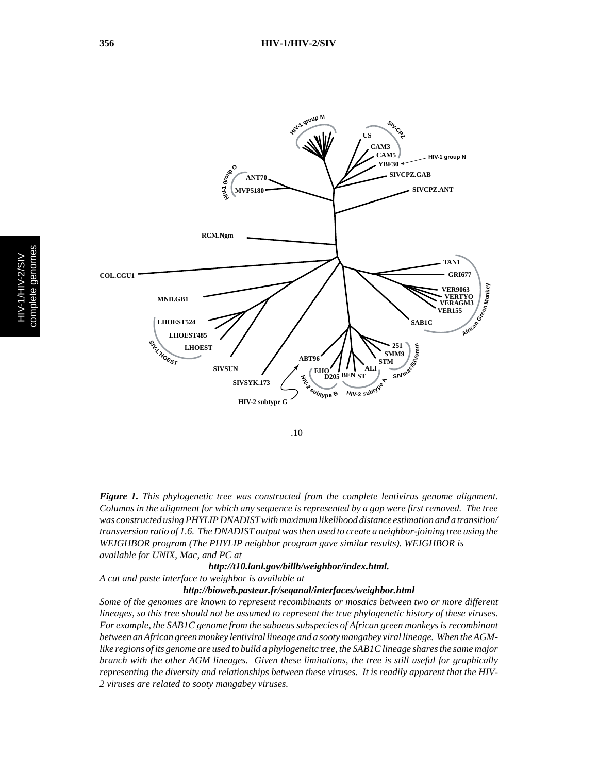

*Figure 1. This phylogenetic tree was constructed from the complete lentivirus genome alignment. Columns in the alignment for which any sequence is represented by a gap were first removed. The tree was constructed using PHYLIP DNADIST with maximum likelihood distance estimation and a transition/ transversion ratio of 1.6. The DNADIST output was then used to create a neighbor-joining tree using the WEIGHBOR program (The PHYLIP neighbor program gave similar results). WEIGHBOR is available for UNIX, Mac, and PC at*

#### *http://t10.lanl.gov/billb/weighbor/index.html. A cut and paste interface to weighbor is available at*

#### *http://bioweb.pasteur.fr/seqanal/interfaces/weighbor.html*

*Some of the genomes are known to represent recombinants or mosaics between two or more different lineages, so this tree should not be assumed to represent the true phylogenetic history of these viruses. For example, the SAB1C genome from the sabaeus subspecies of African green monkeys is recombinant between an African green monkey lentiviral lineage and a sooty mangabey viral lineage. When the AGMlike regions of its genome are used to build a phylogeneitc tree, the SAB1C lineage shares the same major branch with the other AGM lineages. Given these limitations, the tree is still useful for graphically representing the diversity and relationships between these viruses. It is readily apparent that the HIV-2 viruses are related to sooty mangabey viruses.*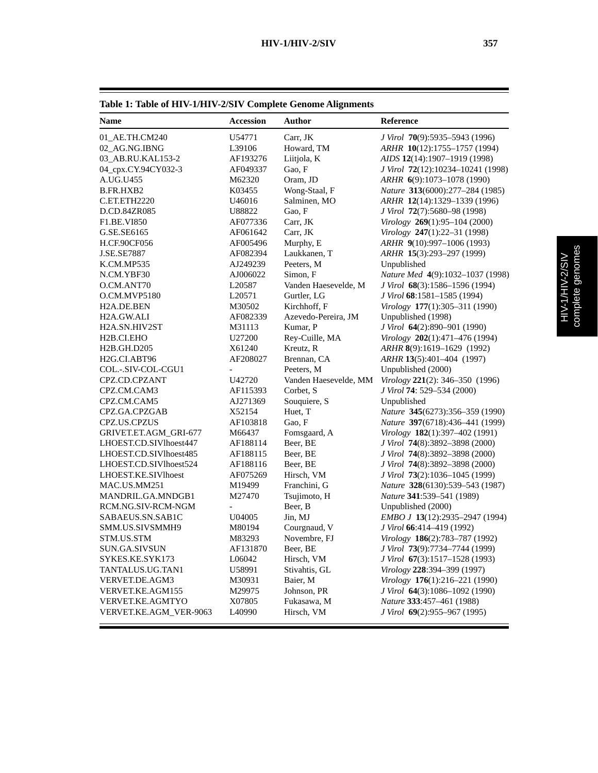| Table 1: Table of HIV-1/HIV-2/SIV Complete Genome Alignments |                  |               |                                        |
|--------------------------------------------------------------|------------------|---------------|----------------------------------------|
| <b>Name</b>                                                  | <b>Accession</b> | Author        | <b>Reference</b>                       |
| 01 AE.TH.CM240                                               | U54771           | Carr, JK      | J Virol 70(9):5935–5943 (1996)         |
| 02 AG.NG.IBNG                                                | L39106           | Howard, TM    | ARHR 10(12):1755-1757 (1994)           |
| 03 AB.RU.KAL153-2                                            | AF193276         | Liitiola, K   | AIDS 12(14):1907-1919 (1998)           |
| 04_cpx.CY.94CY032-3                                          | AF049337         | Gao, F        | J Virol 72(12):10234-10241 (1998)      |
| A.UG.U455                                                    | M62320           | Oram, JD      | $ARHR$ 6(9):1073-1078 (1990)           |
| B.FR.HXB2                                                    | K03455           | Wong-Staal, F | <i>Nature</i> 313(6000):277–284 (1985) |
| C.ET.ETH2220                                                 | U46016           | Salminen, MO  | ARHR 12(14):1329-1339 (1996)           |
| D.CD.84ZR085                                                 | U88822           | Gao, F        | J Virol 72(7):5680-98 (1998)           |
| <b>F1.BE.VI850</b>                                           | AF077336         | Carr. JK      | <i>Virology</i> 269(1):95–104 (2000)   |

#### F1.BE.VI850 AF077336 Carr, JK *Virology* **269**(1):95–104 (2000) G.SE.SE6165 AF061642 Carr, JK *Virology* **247**(1):22–31 (1998) H.CF.90CF056 AF005496 Murphy, E *ARHR* **9**(10):997–1006 (1993) J.SE.SE7887 AF082394 Laukkanen, T *ARHR* **15**(3):293–297 (1999) K.CM.MP535 AJ249239 Peeters, M Unpublished N.CM.YBF30 AJ006022 Simon, F *Nature Med* **4**(9):1032–1037 (1998) O.CM.ANT70 L20587 Vanden Haesevelde, M *J Virol* **68**(3):1586–1596 (1994) O.CM.MVP5180 L20571 Gurtler, LG *J Virol* **68**:1581–1585 (1994) H2A.DE.BEN M30502 Kirchhoff, F *Virology* **177**(1):305–311 (1990) H2A.GW.ALI AF082339 Azevedo-Pereira, JM Unpublished (1998) H2A.SN.HIV2ST M31113 Kumar, P *J Virol* **64**(2):890–901 (1990) H2B.CI.EHO U27200 Rey-Cuille, MA *Virology* **202**(1):471–476 (1994) H2B.GH.D205 X61240 Kreutz, R *ARHR* **8**(9):1619–1629 (1992) H2G.CI.ABT96 AF208027 Brennan, CA *ARHR* **13**(5):401–404 (1997) COL.-.SIV-COL-CGU1 - Peeters, M Unpublished (2000) CPZ.CD.CPZANT U42720 Vanden Haesevelde, MM *Virology* **221**(2): 346–350 (1996) CPZ.CM.CAM3 AF115393 Corbet, S *J Virol* **74**: 529–534 (2000) CPZ.CM.CAM5 AJ271369 Souquiere, S Unpublished CPZ.GA.CPZGAB X52154 Huet, T *Nature* **345**(6273):356–359 (1990) CPZ.US.CPZUS AF103818 Gao, F *Nature* **397**(6718):436–441 (1999) GRIVET.ET.AGM\_GRI-677 M66437 Fomsgaard, A *Virology* **182**(1):397–402 (1991) LHOEST.CD.SIVlhoest447 AF188114 Beer, BE *J Virol* **74**(8):3892–3898 (2000) LHOEST.CD.SIVlhoest485 AF188115 Beer, BE *J Virol* **74**(8):3892–3898 (2000) LHOEST.CD.SIVlhoest524 AF188116 Beer, BE *J Virol* **74**(8):3892–3898 (2000) LHOEST.KE.SIVlhoest AF075269 Hirsch, VM *J Virol* **73**(2):1036–1045 (1999) MAC.US.MM251 M19499 Franchini, G *Nature* **328**(6130):539–543 (1987) MANDRIL.GA.MNDGB1 M27470 Tsujimoto, H *Nature* **341**:539–541 (1989) RCM.NG.SIV-RCM-NGM - Beer, B Unpublished (2000)<br>SABAEUS.SN.SAB1C U04005 Jin, MJ *EMBO J* 13(12):29? SABAEUS.SN.SAB1C U04005 Jin, MJ *EMBO J* **13**(12):2935–2947 (1994) SMM.US.SIVSMMH9 M80194 Courgnaud, V *J Virol* **66**:414–419 (1992) STM.US.STM M83293 Novembre, FJ *Virology* **186**(2):783–787 (1992) SUN.GA.SIVSUN AF131870 Beer, BE *J Virol* **73**(9):7734–7744 (1999) SYKES.KE.SYK173 L06042 Hirsch, VM *J Virol* **67**(3):1517–1528 (1993) TANTALUS.UG.TAN1 U58991 Stivahtis, GL *Virology* **228**:394–399 (1997) VERVET.DE.AGM3 M30931 Baier, M *Virology* **176**(1):216–221 (1990) VERVET.KE.AGM155 M29975 Johnson, PR *J Virol* **64**(3):1086–1092 (1990) VERVET.KE.AGMTYO X07805 Fukasawa, M *Nature* **333**:457–461 (1988) VERVET.KE.AGM\_VER-9063 L40990 Hirsch, VM *J Virol* **69**(2):955–967 (1995)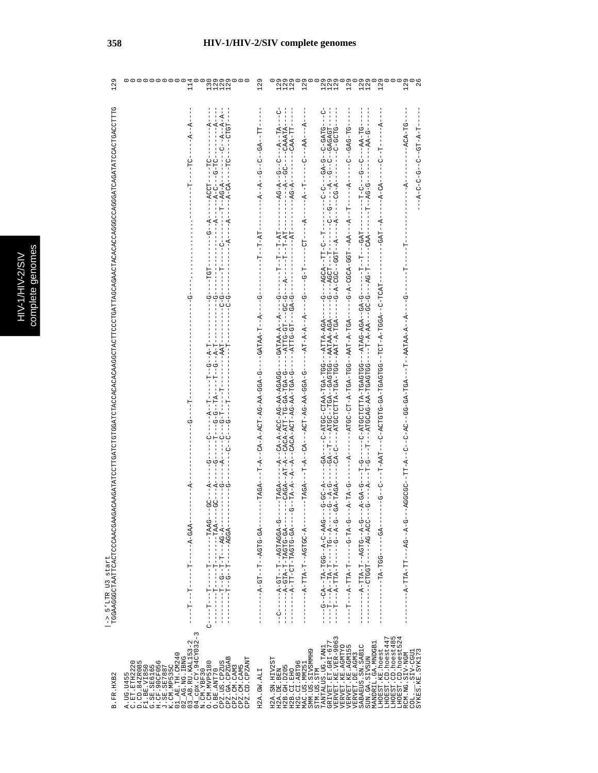| 129               | 000000000<br>114<br>2<br>222<br>111<br>130                                                                                                                                                                                                                                                                                                                         | 129                                                                                                                                | 129<br>129<br>129<br>129<br>129<br>129<br>129<br>129<br>129<br>129<br>129<br>129                                                                                                                                                                                                                                                                                                                                                                                                                                                   |
|-------------------|--------------------------------------------------------------------------------------------------------------------------------------------------------------------------------------------------------------------------------------------------------------------------------------------------------------------------------------------------------------------|------------------------------------------------------------------------------------------------------------------------------------|------------------------------------------------------------------------------------------------------------------------------------------------------------------------------------------------------------------------------------------------------------------------------------------------------------------------------------------------------------------------------------------------------------------------------------------------------------------------------------------------------------------------------------|
| -> 5'LTR U3 start | ---A--A--<br>$-1$<br>$-1$<br>$-1$<br>$-1$<br>J<br>÷<br>ا<br>$\begin{bmatrix} 1 \\ 1 \\ 1 \end{bmatrix}$<br>$-1 - 0 - 0 - 0 - 1$<br>$-1 - 10 - 10 - 1 - 1$<br>$-1 - 9 - 1$<br>$\sigma_{-}$<br>- - 1- 4 - - 5 - - 1- -<br>י<br>ד<br>$-5$<br>$-1 - 4 - 1 - 0$<br>$-5 - 7$<br>$-1 - 4 - 1 - 0 - 0$<br>$-9 - -$<br>Ļ.<br>$\frac{1}{1}$<br>ひろん コーーーーーー ローーーーーーーーーーーーー ロー | ロロー - スワー - ワー - ワー - スー -<br>$-1 - 1 - -1 - -1 -$<br>$\frac{1}{2}$<br>$-4 - 7 - 7 - 7 - 8$<br>$-$ TAGA $-$<br>- 45-554-15-15-4-1- | - - - - - - KHKKKU - - - - - UU - - K - - - -<br>- - - - - - HH - KKU - - - - - - - - K - DK - - - -<br>$-$ -ACA $-$ TG $-$<br>- H-4-Hひ--ひ--ひ-ひ-ひ-4--<br>$-1$<br>$\frac{1}{1}$<br>- - - - - - LTAOL-O - - KDDL-K - LDL- - DDLDKDL-KD - DLDLDK - O - - - LTAY - L - - - D - - D - - -<br>$-1 - 1 -$<br>- ツーーーーダーーダーダスLIVYY--LI-ーーズツLI-VツLリリペーンダーシーーシーーダーLI-I-ーひのひのツベー<br>- - ツ – ベ – - ツ L ツベ – – L – ベ L L – ベ – – – – – –<br>- - - 45- - - - - - 55- 45- - - - - - -<br>.UU4-54------H55HU----<br>- - ベーひひけのベー・ローベビビーベー - - - - - |
| B. FR. HXB2       | $04$ $_{Cpx}.$ CY. $94$ CY $032-3$<br>N. CM. YBF30<br>$01\_AB .TH . CM24002_AG .NG . IBNG03_AB .RU . KAL153-2$<br>CPZ.GA.CPZGAB<br>CPZ.CD.CPZANT<br>C.ET.ETH2220<br>D.CD.84ZR085<br><b>H.CF.90CF056</b><br>CPZ.US.CPZUS<br>O. CM. MVP5180<br>K.CM.MP535C<br>F1.BE.VI850<br>G.SE.SE6165<br>CPZ.CM.CAM5<br>J.SE.SE7887<br>CPZ.CM.CAM3<br>O.BE.ANT70<br>A. UG. U455   | H2A.GW.ALI                                                                                                                         | VERVET.KE.VER-9063<br>VERVET.KE.AGMTYO<br>LHOEST.CD.hoest485<br>LHOEST.CD.hoest524<br>LHOEST.CD.hoest447<br>GRIVET.ET.GRI-677<br>MANDRIL.GA.MNDGB1<br><b>VERVET.KE.AGM155</b><br>SABAEUS.SN.SAB1C<br>TANTALUS.UG.TAN1<br>SMM. US. SIVSMMB9<br>LHOEST.KE.hoest<br>SYKES.KE.SYK173<br>$  \text{SIV}-\text{CGU}$<br>RCM.NG.SIV-NGM<br>VERVET.DE.AGM3<br>SUN.GA.SIVSUN<br>H2A.SN.HIV2ST<br>H2G.CI.ABT96<br>MAC.US.MM251<br>H2B. GH. D205<br>H2A.DE.BEN<br>STM.US.STM<br>H2B.CI.EHO<br>COL.                                             |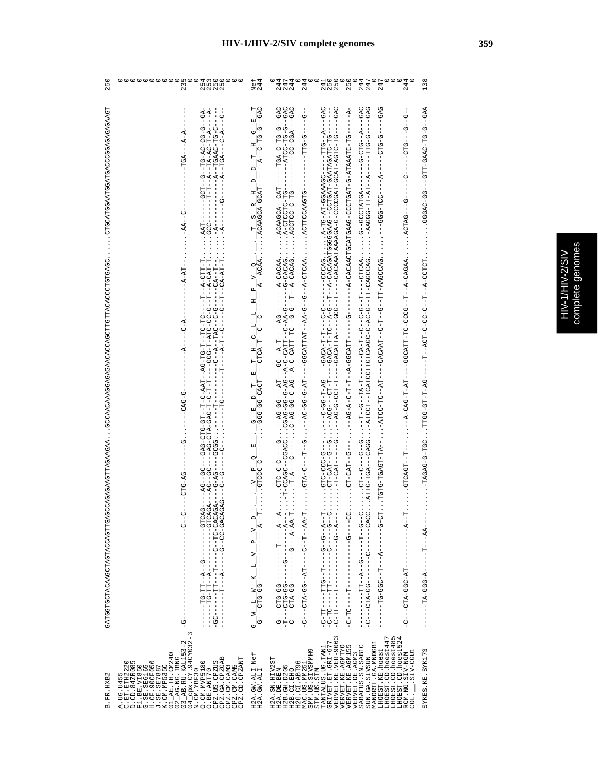| 250                                                                                          | ooooooooo<br>d w o o o o o<br>n n n n<br>4 w o o o o o<br>235                                                                                                                                                                                                                                                                                   | Nef<br>244                                                                                                                                                                                                                                                                                                                                                                                                                                                                                                            | 244<br>138<br>セフ<br>セセセ<br>スフス<br>244<br>2450<br>2550<br>225<br>250<br>244<br>247<br>247                                                                                                                                                                                                                                                                                                                                                                                                                                                                                                                                                                                                                                                                                                                                                                                                                                                                                 |
|----------------------------------------------------------------------------------------------|-------------------------------------------------------------------------------------------------------------------------------------------------------------------------------------------------------------------------------------------------------------------------------------------------------------------------------------------------|-----------------------------------------------------------------------------------------------------------------------------------------------------------------------------------------------------------------------------------------------------------------------------------------------------------------------------------------------------------------------------------------------------------------------------------------------------------------------------------------------------------------------|--------------------------------------------------------------------------------------------------------------------------------------------------------------------------------------------------------------------------------------------------------------------------------------------------------------------------------------------------------------------------------------------------------------------------------------------------------------------------------------------------------------------------------------------------------------------------------------------------------------------------------------------------------------------------------------------------------------------------------------------------------------------------------------------------------------------------------------------------------------------------------------------------------------------------------------------------------------------------|
| CHGAGAGAGAGAGGAGATGAAGAGAGAGAGAGAGAG                                                         | $-6A$<br>$-4 - A$<br>$-4-7-7$<br>-ROT<br>$-AA$ -C                                                                                                                                                                                                                                                                                               | $\begin{array}{cccccccccccccc} \textbf{p} & \textbf{V} & \textbf{Q} & \textbf{I} & \textbf{B} & \textbf{D} & \textbf{T} & \textbf{H} & \textbf{G} & \textbf{B} \\ \textbf{I} & \textbf{I} & \textbf{I} & \textbf{I} & \textbf{I} & \textbf{I} & \textbf{I} & \textbf{I} & \textbf{I} & \textbf{I} & \textbf{I} & \textbf{I} \\ \textbf{I} & \textbf{I} & \textbf{I} & \textbf{I} & \textbf{I} & \textbf{I} & \textbf{I} & \textbf{I} & \$                                                                             | $-GAG$<br>$-GAG$<br>ひなひーーひーひけーひーむりHII<br>040--0-0F-00H4---<br>ひむリーーーはひひーひひーーー<br>$-5 -$<br>UGAC<br>$-GAC$<br>$- - A -$<br>ひむり ――よー―ひけひ―ひ―――――<br>ARAD--D-DII-URRD-IIID---DD-URDDD ' ' ' '<br>$-1$<br>$-1$<br>$-1$<br>$-1$<br>$-10-0-1$<br>-- 5H - 2 LATH HA - 5 - LATH 2010 - 5 ARSH HOD LO ARO HONO - 4 - - -<br><b>9-9-9-0-1</b><br>$-1010 - 1$<br>$- - A - -$<br>$-c$ <sup>1</sup><br>-<br>000--000--                                                                                                                                                                                                                                                                                                                                                                                                                                                                                                                                                                 |
| UDAGHOUUUQUADHHUDHHUUQAUQAGGAGAGGAAAUQAAUUD<br>GATGGTACAACHAGTTGAGCOORGAGAGAGAGAGTTAGTTAGAA. | $-A-AT$<br>$-1 - C - A$<br>$-A-$<br>$-5-5-7$<br>ပု<br>၂<br>-CTG-AG<br>$C - C - C - C$<br>ı<br>Ţ<br>$\frac{1}{9}$                                                                                                                                                                                                                                | 피트<br>$\frac{G}{1-\frac{1}{1-\frac{1}{1-\frac{1}{1-\frac{1}{1-\frac{1}{1-\frac{1}{1-\frac{1}{1-\frac{1}{1-\frac{1}{1-\frac{1}{1-\frac{1}{1-\frac{1}{1-\frac{1}{1-\frac{1}{1-\frac{1}{1-\frac{1}{1-\frac{1}{1-\frac{1}{1-\frac{1}{1-\frac{1}{1-\frac{1}{1-\frac{1}{1-\frac{1}{1-\frac{1}{1-\frac{1}{1-\frac{1}{1-\frac{1}{1-\frac{1}{1-\frac{1}{1-\frac{1}{1-\frac{1}{1-\frac{1}{1-\frac{1}{1-\frac{1}{1-\frac{1}{1-\frac{1$<br>国工<br>$-10-0.010$<br>o!<br>$\mathbf{p}$<br>$\frac{1}{1 - 4 - 4 - 7}$ .<br>$V = -$<br>ゼ | $\begin{array}{r} -0.01507-0.0207-0.02007-0.02007-0.02007-0.02007-0.02007-0.02007-0.02007-0.02007-0.02007-0.02007-0.02007-0.02007-0.02007-0.02007-0.02007-0.02007-0.02007-0.02007-0.02007-0.02007-0.02007-0.02007-0.02007-0.02007-0.020$<br>--WL-V-V2LVVY'''''''YYYYY-Y--L--V-V-V--LH-L-LYY-V-Y--VH-V-V-V-V-V-V-V-V-V-V-V-V-V<br>- 1 ARDRJ-R--H--DOUD-DH-HLRUDD-----HR-H-DRJ-R---<br>-- DAUUDIAR-HH--U--H-U--HARUAU-<br>$-1 - 24 - 00$ HOHK $-$<br>--W4-H-HD-VOHH,1.20H-V-VEVEH,<br>$-1 - 2C - -1 = 2D4 - -1$<br>$-1-2G-G-G-T$<br><b>DR-1-00-0-1-1</b><br><br>$T = -140 - 24$<br>$T = -140 - 24$<br>$T = -140$<br>$T = -140$<br>$\frac{1}{1}$<br>$-1 - 5 - 12A$<br>. TOT-TOACH-DHR.<br>$-9 - 00 - 00 - 0$<br>GTCAGT--T<br>$\ldots$ - $T$ - $CAT$ -<br>イートルーー - コールーー - コールーー - 100 - DI-D- - - - D -<br>H – KK – – H – – U – – – – – HK – – UU – KH U – – – U –<br><b>UU</b> – – – – U – – – – –<br>$-1$ - $-1$ - $-1$ - $-1$<br>- - - - - - LT ス- ひひひ – ズロン – - - - 2 – |
| B.FR.HXB2                                                                                    | ξ<br>02_AG.NG.IBNG<br>03_AB.RU.KAL153-2<br>04_cpx.CY.94CY032-<br>J.SE.SE7887<br>K.CM.MP535C<br>01_AE.TH.CM240<br>CPZ.GA.CPZGAB<br>CPZ.CM.CAM3<br>CPZ.CM.CAM5<br>CPZ.CD.CPZAMT<br>A.UG.U455<br>C.ET.ETH2220<br>D.CD.84ZR085<br>$0.0M.MVP5180$<br>$0.8E.AMT70$<br>CPZ.US.CPZUS<br><b>H.CF.90CF056</b><br>F1.BE.VI850<br>G.SE.SE6165<br>N.CM.YBF30 | H2A.GW.ALI Nef<br>H2A.GW.ALI                                                                                                                                                                                                                                                                                                                                                                                                                                                                                          | GRIVET ET GRI-677<br>VERVET KE VER-9063<br>VERVET KE VER-9063<br>VERVET KE AGMTYO<br>LHOEST.CD.hoest447<br>LHOEST.CD.hoest485<br>LHOEST.CD.hoest524<br>MANDRIL.GA.MNDGB1<br>SABAEUS.SN.SAB1C<br>TANTALUS.UG.TAN1<br>LHOEST.KE.hoest<br>SYKES.KE.SYK173<br>SMM.US.SIVSMMH9<br>LUDD-CIIS.<br>RCM.NG.SIV-NGM<br>VERVET. DE. AGM3<br>SUN.GA.SIVSUN<br>H2A.SN.HIV2ST<br>H2G.CI.ABT96<br>MAC.US.MM251<br>H2B. GH. D205<br>STM.US.STM<br>H2A.DE.BEN<br>H2B.CI.EHO<br>COL.                                                                                                                                                                                                                                                                                                                                                                                                                                                                                                       |

## **HIV-1/HIV-2/SIV complete genomes 359**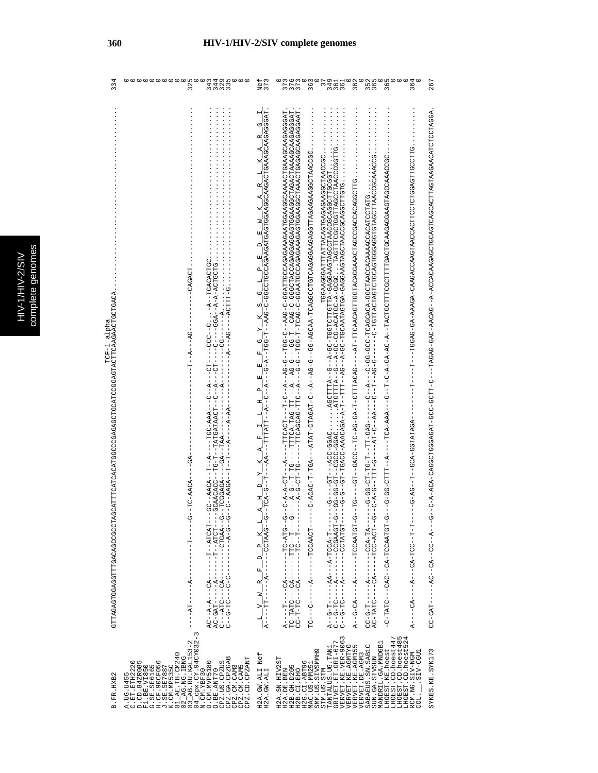| 334                                                                                             | 000000000<br>o ru<br>$\circ \circ \circ$<br>14.700<br>$\overline{32}$                                                                                                                                                                                                                                                                                                                                     | Nef<br>373                                                                                                                                                                                                                                                                                                                                                                                                                                                                                                                                                                                                                                                                                                     | 362<br>иm<br>w<br>364<br>2<br>2<br>2<br>2<br>2<br>2<br>2<br>2<br>267<br>$\frac{6}{3}$<br>$\sim$<br>55<br>36<br>37.<br>37.<br>36                                                                                                                                                                                                                                                                                                                                                                                                                                                                                                                                                                                                                                                                                                                                                                 |
|-------------------------------------------------------------------------------------------------|-----------------------------------------------------------------------------------------------------------------------------------------------------------------------------------------------------------------------------------------------------------------------------------------------------------------------------------------------------------------------------------------------------------|----------------------------------------------------------------------------------------------------------------------------------------------------------------------------------------------------------------------------------------------------------------------------------------------------------------------------------------------------------------------------------------------------------------------------------------------------------------------------------------------------------------------------------------------------------------------------------------------------------------------------------------------------------------------------------------------------------------|-------------------------------------------------------------------------------------------------------------------------------------------------------------------------------------------------------------------------------------------------------------------------------------------------------------------------------------------------------------------------------------------------------------------------------------------------------------------------------------------------------------------------------------------------------------------------------------------------------------------------------------------------------------------------------------------------------------------------------------------------------------------------------------------------------------------------------------------------------------------------------------------------|
| TCF-1 alpha<br>CATTTCACATGGCCCAGAGAGCTGGAGAGTACTTCAAGAACTGCTGACA<br>GTTAGAGTGGAGGTTGACAGCCCCTAG | $\vdots$<br>UDID KUKUI--K-・・・1 - - UUU----II-I-K---V--<br>$-CAGA$ CH<br>$-5A$<br>-A--T-<br>- AAA-00H----A--H---AO<br>AA-<br>$-6A$<br>$-TC-AACA$<br>ပုံ<br>---HRUHK---H-----KU---K-K--UK<br>- - - - LDU I イ - - L - - - - - - - - - - - - LI ば D - U ば<br>- 5 - - 1755 LU - - - - - - - - - 17 LU - - - DH - - - D<br>- ウ- - ウ- ヸ-------- - シ- シ--- シ ロ-ウ- - シ<br>÷<br>$-4$<br>$-7A$<br>$\infty$<br>$\,$ I | $\mathbf{H}$<br>$-\frac{1}{2} - \frac{1}{2} - \frac{1}{2} - \frac{1}{2} - \frac{1}{2} - \frac{1}{2} - \frac{1}{2} - \frac{1}{2} - \frac{1}{2} - \frac{1}{2} - \frac{1}{2} - \frac{1}{2} - \frac{1}{2} - \frac{1}{2} - \frac{1}{2} - \frac{1}{2} - \frac{1}{2} - \frac{1}{2} - \frac{1}{2} - \frac{1}{2} - \frac{1}{2} - \frac{1}{2} - \frac{1}{2} - \frac{1}{2} - \frac{1}{2} - \frac{1}{2} - \frac{1}{2} - \frac{1$<br>U<br>R<br>К<br>٦<br>α,<br>К,<br>×<br>z<br>띄<br>$\Box$<br>띄<br>$\mathbf{a}$<br>년<br>ල්<br>$\infty$<br>$\mathbb{R}$<br>Ō,<br>国<br>띄<br>国<br>$\mathbf{p}_i$<br>픽<br>년<br>H<br>叫<br>К<br>$\bigcap$<br>피<br>ፋ<br>년<br>×<br>$\sim$<br>$\Box$<br>Ŀ,<br>R<br>$\geq$<br>j<br>$A - - - -TT$<br>빅 | $\vdots$<br>KPDKUDDUNADKAUKUNUNDKODKOUDUQDUNDKAKOKONK-K--DKOKK-DKD-DKDKU---D-LUNDP-DDD-LKDKDDDUDDUKO-KOK-K-D--KOK-K-N-D--<br>---G-----F----ACC-GGACACCTITA--G--A-GC-TGGTCTIGTIA-GAGGAAGTAGCCTAACGGAAGCTIGCGGI<br>--G-G--GT--TACC-AAACAGA-A-T--TIT--AG--A-GC-TGGAATAGTGA-GAGGAAGTAGCCAGGAGCTIGCGT.<br>--G-G--GT--TGACC-AAACAGA-A-T-TITI--AG--C-TGGAAT<br>ひLLDOのLLのKののLDLDOLLDYOOYYALのYYOYYのYYO!YのYYY」というのでののL―――L――<br>TGGAAGGGAAGAGAGHETTATTEATHEAGHAGAGGGAAGD<br>10000KKKOOOKEDKKOOKOKKJODEOKOEEEEEOODEEEOKE - - K - OK - K D - K - O - E - - D - - - - K - K - K - K - - -<br>÷<br>$-4 - 1$<br>-- 0-0-0-0-1<br>- 5 - - 5 IA - 5 I- - - -<br>- ツーロウロベスソワローベリーーしょりーーーリロベローリー<br>---- KI--KUU--------K--------UU<br>- - L-L- - JUL- KU - - - K - - - - KU - - - - K<br>--TOAACAACT<br>- - L- KUUL- K- - - KK- - - - - L- D- - K<br>- - - ペリ - - - - - - - - - ペ<br>$-4 - 2$<br>$1 - 2 - -1 = 21$ |
| B.FR.HXB2                                                                                       | $03$ $AB$ . RU. KAL153-2<br>04_cpx.CY.94CY032<br>01_AE. TH. CM240<br>$02$ $R$ G. NG. IBNG<br>CPZ.US.CPZUS<br>CPZ.GA.CPZGAB<br>CPZ.CD.CPZANT<br>A.UG.U455<br>C.ET.ETH2220<br>D.CD.84ZR085<br>w<br>O. CM. MVP5180<br>G.SE.SE6165<br>H.CF.90CF05<br>K.CM.MP535C<br>CPZ.CM.CAM3<br>CPZ.CM.CAM5<br>F1.BE.VI850<br>J.SE.SE7887<br>O.BE.ANT70<br>N.CM.YBF30                                                      | Nef<br>H2A.GW.ALI<br>H2A.GW.ALI                                                                                                                                                                                                                                                                                                                                                                                                                                                                                                                                                                                                                                                                                | VERVET.KE.VER-9063<br>LHOEST.CD.hoest447<br>LHOEST.CD.hoest485<br>LHOEST.CD.hoest524<br>GRIVET. ET. GRI-677<br>MANDRIL.GA.MNDGB1<br>VERVET.KE.AGMTYO<br>VERVET.KE.AGMI55<br>SABAEUS.SN.SAB1C<br>TANTALUS.UG.TAN1<br>LHOEST.KE.hoest<br>SYKES.KE.SYK173<br>SMM.US.SIVSMMH9<br>$COL.$ . $SIV-CGUI$<br>RCM.NG.SIV-NGM<br>VERVET.DE.AGM3<br>SUN.GA.SIVSUN<br>H2A.SN.HIV2ST<br>H2G.CI.ABT96<br>MAC.US.MM251<br>H2B. GH. D205<br>STM.US.STM<br>H2A.DE.BEN<br>H2B.CI.EHO                                                                                                                                                                                                                                                                                                                                                                                                                               |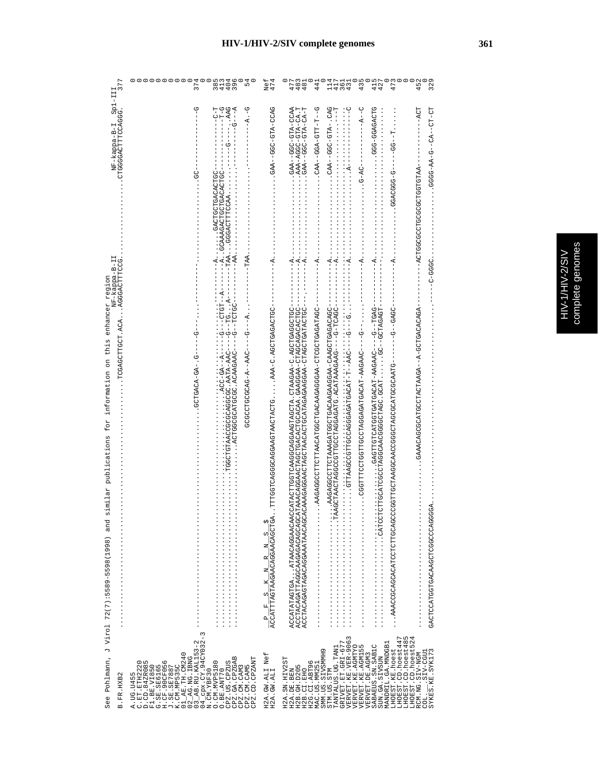|             | annnas |
|-------------|--------|
|             | 5      |
| ĺ           |        |
| Ś           |        |
|             |        |
| E           |        |
| Ē           |        |
| E<br>ī<br>E | q      |
|             | Ę      |
|             |        |
|             | Ś      |
| i           |        |
|             | Ì      |
|             |        |

| See Pohlmann,<br>B.FR.HXB2                                                                                                                                                                                                                                                                                                                                                                                                                                     | 377<br>NF-kappa-B-I Sp1-III<br>CTGGGGACTTTCCAGG. 3<br>NF-kappa-B-II<br>. AGGGACTTTCCG.<br>enhancer region<br>. TOCHUUDEUUDH.<br>information on this<br>for<br>publications<br>imilar<br>w<br>and<br>J Virol 72(7):5589-5598(1998)                                                                                                                                                                                                                                                                                                                                                                                                                                                                                                                                                                                                                                                                                                                                                                                                                                                                                                                                                                                                                                                                                                                                                                                                                                                                                                                                                                                                                                                                                                                                                                                                                |
|----------------------------------------------------------------------------------------------------------------------------------------------------------------------------------------------------------------------------------------------------------------------------------------------------------------------------------------------------------------------------------------------------------------------------------------------------------------|--------------------------------------------------------------------------------------------------------------------------------------------------------------------------------------------------------------------------------------------------------------------------------------------------------------------------------------------------------------------------------------------------------------------------------------------------------------------------------------------------------------------------------------------------------------------------------------------------------------------------------------------------------------------------------------------------------------------------------------------------------------------------------------------------------------------------------------------------------------------------------------------------------------------------------------------------------------------------------------------------------------------------------------------------------------------------------------------------------------------------------------------------------------------------------------------------------------------------------------------------------------------------------------------------------------------------------------------------------------------------------------------------------------------------------------------------------------------------------------------------------------------------------------------------------------------------------------------------------------------------------------------------------------------------------------------------------------------------------------------------------------------------------------------------------------------------------------------------|
| $\tilde{3}$<br>03_AB.RU.KAL153-2<br>04_cpx.CY.94CY032<br>N.CM.YBF30<br>01_AE. TH. CM240<br>$02$ $R$ G. NG. IBNG<br>CPZ.GA.CPZGAB<br>CPZ.CD.CPZANT<br>A.UG.U455<br>C.ET.ETH2220<br>D.CD.84ZR085<br>G.SE.SE6165<br>H.CF.90CF056<br>J.SE.SE7887<br>O. CM. MVP5180<br>CPZ.US.CPZUS<br>K.CM.MP535C<br>CPZ.CM.CAM5<br>F1.BE.VI850<br>CPZ.CM.CAM3<br>O.BE.ANT70                                                                                                       | 374<br>3443<br>8109<br>8148<br>54<br>$-4. -6$<br>ひ<br>$-6 - - - - -$<br>H<br>U-1<br> -<br> -<br>$- - - A$<br>りー<br>-VOHURURDHUUHURD · · · · · · · · · ·<br>--A.CAAAGACTGCTGACACTGC-<br>ט<br>פ.<br>$---TAA$ .<br>$---AA.$<br>$\frac{1}{1}$<br>––К. ОН––О––––ОКК–КНКК : ОООООКООООООККНОНОООН<br>UULUL--U----URRURRUR,UUUULRUUUUULUR,<br>- 4 - - - 5 - - - - - J444 - - 4 - 540505050505<br>ပုံ<br>$-5 - 40 - 4040$ HUUU                                                                                                                                                                                                                                                                                                                                                                                                                                                                                                                                                                                                                                                                                                                                                                                                                                                                                                                                                                                                                                                                                                                                                                                                                                                                                                                                                                                                                           |
| Nef<br>H2A.GW.ALI<br>H2A.GW.ALI                                                                                                                                                                                                                                                                                                                                                                                                                                | Nef<br>474<br>URUU-RHU-UUU--RRU.<br>$\ddot{A}$ .<br>$\frac{P}{ACCATTTAGTAAGACAGGAACCACCTGA}$                                                                                                                                                                                                                                                                                                                                                                                                                                                                                                                                                                                                                                                                                                                                                                                                                                                                                                                                                                                                                                                                                                                                                                                                                                                                                                                                                                                                                                                                                                                                                                                                                                                                                                                                                     |
| VERVET.KE.VER-9063<br>LHOEST.CD.hoest485<br>LHOEST.CD.hoest524<br>LHOEST.CD.hoest447<br>MANDRIL.GA.MNDGB1<br>GRIVET.ET.GRI-67<br>VERVET.KE.AGM155<br>SABAEUS.SN.SAB1C<br>VERVET.KE.AGMTYO<br>TANTALUS.UG.TAN1<br>LHOEST.KE.hoest<br>SMM.US.SIVSMMH9<br>SYKES. KE. SYK173<br>LCCO-VIS.<br>RCM.NG.SIV-NGM<br>VERVET.DE.AGM3<br>SUN.GA.SIVSUN<br>H2A.SN.HIV2ST<br>H2G.CI.ABT96<br>MAC.US.MM251<br>H2B. GH. D205<br>H2A.DE.BEN<br>H2B.CI.EHO<br>STM.US.STM<br>COL. | 452<br>329<br>481<br>481<br>$114$<br>$417$<br>441<br>361<br>431<br>43<br>$42^{\degree}$<br>47<br>$\frac{1}{4}$<br>47<br>U-T-T-THUU-AGU--AAU<br>CHOROAGO-COO-CORO<br>$\frac{1}{2}$<br>$-4 - -$<br>$-$ -ACT<br>$A_1 - A_2 - A_3 - A_4 - A_5 - A_6 - A_7 - A_8 - A_9 - A_9 - A_9 - A_9 - A_1 - A_1 - A_2 - A_1 - A_2 - A_1 - A_2 - A_3 - A_4 - A_1 - A_2 - A_3 - A_1 - A_2 - A_3 - A_1 - A_2 - A_3 - A_1 - A_2 - A_3 - A_1 - A_2 - A_3 - A_2 - A_3 - A_1 - A_2 - A_3 - A_1 - A_2 - A_3 - A_1 - A_2 - A_3 - A_1 - A_2 - A_1 - A_2 - A_3 - A_1 - A_2 - A_3 -$<br>LU-LU-- <u--u-<<lu-d500<br>----99----<br/><math>-1 - 0 - 000000000</math><br/>- 445555555555555555555554-<br/><math>- A \ldots</math><br/><math>---A</math>.<br/>. UUUU-U--<br/><math>-4</math>.<br/><math>--A.</math><br/><math display="block">\begin{minipage}{0.9\textwidth} \begin{tabular}{@{}c@{}} \hline \multicolumn{1}{c}{\textbf{0.9\textwidth} \begin{tabular}{@{}c@{}} \hline \multicolumn{1}{c}{\textbf{0.9\textwidth} \begin{tabular}{@{}c@{}} \hline \multicolumn{1}{c}{\textbf{0.9\textwidth} \begin{tabular}{@{}c@{}} \hline \multicolumn{1}{c}{\textbf{0.9\textwidth} \begin{tabular}{@{}c@{}} \hline \multicolumn{1}{c}{\textbf{0.9\textwidth} \begin{tabular}{@{}c@{}} \hline \multicolumn{1}{c}{\textbf{0.9</math><br/>CAAAGGAACTAGCTAACACTGCATAGAAGGAA-CTAGCTGATACTGC-<br/>-CHAGAGAGAGAGCUTAACAGGAGAGAGAGAAGAAGAA<br/>- KOKUKOHUU-K-- KOKHUUUUUUUUUUKUKKU<br/>CATACTTGGTCAAGGGAAGTAGCTA. CTAAGAA-C.AGCTGAGGCTGC<br/>TAAACAGGAACTGAGCTGCACAA. GAAGGAA-CTAGCAGACACTGC<br/>. -- C----DARCARGACHACACHACACHOUDHEUDULLUU<br/>---ORYYOOODRYOOOOYROOOOOOOYYOOOYYAROORFINDOO<br/>GACCOCOOCACACACHODODOLOGICA<br/>ACCATATAGTGAATAACAGGAACAAC<br/>ACCTACAGTTAGGCAAGAGACAGCAGCA<br/>ACCTACAGAGTAGACAGGAAATAACAGCA<br/><br/>. AAACCGCAGCATCTTCTTGCAGCC</u--u-<<lu-d500<br> |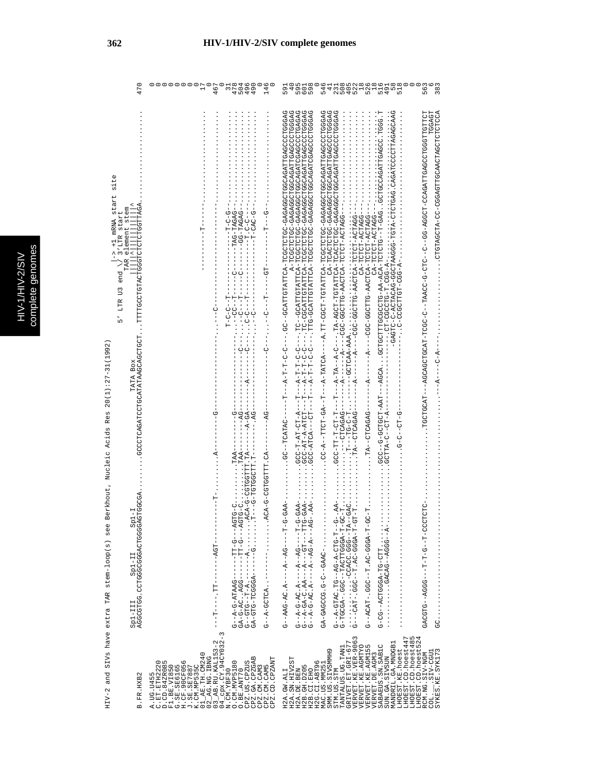HIV-2 and SIVs have extra TAR stem-loop(s) see Berkhout, Nucleic Acids Res 20(1):27-31(1992) HIV-2 and SIVs have extra TAR stem-loop(s) see Berkhout, Nucleic Acids Res 20(1):27-31(1992)

| 470                                                                                                                | 99 PD PD<br>60 PD PD<br>90 PD PD<br>146<br>O<br>$\circ$<br>467                                                                                                                                                                                                                                                                                                                                         | $^{\circ}$<br>546<br>טח אים ישראים<br>משטרוטורוסיטים<br>משוראים מספר מספר<br>משוראים שספר מספר<br>$\frac{8}{3}$<br>59<br>4<br>.6<br>56                                                                                                                                                                                                                                                                                                                                                                                                                    |
|--------------------------------------------------------------------------------------------------------------------|--------------------------------------------------------------------------------------------------------------------------------------------------------------------------------------------------------------------------------------------------------------------------------------------------------------------------------------------------------------------------------------------------------|-----------------------------------------------------------------------------------------------------------------------------------------------------------------------------------------------------------------------------------------------------------------------------------------------------------------------------------------------------------------------------------------------------------------------------------------------------------------------------------------------------------------------------------------------------------|
| site<br>$-2$ +1 mRNA start<br>TAR element stem<br>3'LTR start<br>$US$ end $\lambda$<br>LTR 1<br>$\frac{1}{5}$      | DRORH-ORH--<br>$- -GAT-0AGAG - -$<br>- 150 - 1<br>$\frac{1}{2}$<br>$T - C - C - T$<br>$-1$ - $-1$ - $-1$<br>ローー ローロー・・・<br>$-1$ $-1$ $-1$ $-1$ $-1$ $-1$ $-1$<br>ט<br>ו                                                                                                                                                                                                                                | URUUUUUUUURIDELKURUUUUUURURU-UUEUUUUUH-K<br>CACCOHUNNOACHTACANCOUHUNDAGAN-NOHUHURUH-AN<br>IPDIPDOIPDOPUDOVADU-IPDOVA-DD--D--DI-D-D-DOVAI--D-DDOU-IPADDIDVADDA----IPADDIDDI-<br>TGGAGT<br><b>COUNCING CONSTRUCTIONS COUNTING AND AND ALLO AND ALLO AND ALLO AND ALLO AND ALLO AND ALLO AND ALLO A</b>                                                                                                                                                                                                                                                      |
| KOKULUULULULUUUUNGUUUNLUUUULULU LUULUUKUUKKUKIKIKUULUULKUKULUUUU<br>Berkhout, NUC ACIOB Kes 2001-21-21<br>TATA BOX | $-1 - 1$<br>$-4-4-7-7$<br>$- - P + C -$<br>$- - AC$<br>$\ldots$ . TAA-<br>$\ldots$ TAA-                                                                                                                                                                                                                                                                                                                | $-4 - 0 - 4$<br>$---AGCA.$<br>$-4-$<br>-5-10-10-5-1<br>$\cdots$ $\cdots$ $\cdots$ $\cdots$ $\cdots$ $\cdots$                                                                                                                                                                                                                                                                                                                                                                                                                                              |
| <b>GTGGCGA</b><br>$5p1 - T$<br>HIV-Z ALLE SLEE IAN IAN SURI SLEE OPVER HALL SURVE<br>$5p1 - II$<br>$2p1 - III$     | - KHIHDDIDD-D-K)K: ・・・・・・・「K-------K---DID--D<br>ACA-G-CGTGTTT.CA-<br>- H . HHOOOHOH-O----H<br>U-UHU4---U-HH--<br>ひーひけひばーーーひーけげーー<br>$-104 -$<br>$-1 - -1 - -1$<br>----- 554 · J4-5-45<br>GA-GTG-TCGGGA<br>$G--A-GCTCA$ .<br>ï                                                                                                                                                                         | $C-T$<br>- AAG-5-A-1-A-1-A-1-1-A-1-1-A-1-A-1-A-2<br>$-.AA-$<br>- 445-5-5-1-1-1-04-1-4-1-1-3-0-4-1-0<br>$\begin{array}{l} G \!-\! -\! R \!-\! G \!+ \! G \!-\! C \!-\! R \!+\! \! C \!-\! \! -\! R \!+\! \!-\! \!-\! \!-\! \!C \!+\! \! \!-\! \!C \!+\! \! \!-\! \!C \!+\! \! \!-\! \!R \!-\! \!-\! \!-\! \!- \! \!C \!+\! \!R \!-\! \!- \! \!-\! \!- \! R \!-\! \!-\! \!- \! \!R \!-\! \!-\! \!- \! \!-\! \!R \!-\! \!- \! \!-\! \!R \!-\! \!- \! \$<br>$-1-25$<br>UUU-H--U-H-H---DUU4--UHUU4U<br>リーH-KPPP-D Y :H--DPP:-HKD Y--D<br>-JARD--0-0.5000000-40 |
| B.FR.HXB2                                                                                                          | $\begin{array}{l} 01\_AB\_TH.~\text{CM}240\\ 02\_AG\_MG\_H80\\ 03\_AB\_RU.FAL153-2\\ 04\_AB\_RU.KAL153-2\\ 04\_CH.XBF30\\ \end{array}.$<br>CPZ.GA.CPZGAB<br>CPZ.CM.CAM3<br>CPZ.CM.CAM3<br>CPZ.CM.CAM5<br>CPZ.CD.CPZANT<br>CPZ.US.CPZUS<br>A.UG.U455<br>C.ET.ETH2220<br>D.CD.84ZR085<br>F1.BE.VI850<br>5. SE. SE6165<br>H.CF. 90CF056<br>J. SE. SE7887<br>K. CM. MP535C<br>0. CM. MVP5180<br>O.BE.ANT70 | GRIVET.ET.GRI-677<br>VERVET.KE.VER-9063<br>VERVET.KE.AGMTYO<br>LHOEST.CD.hoest485<br>LHOEST.CD.hoest524<br>LHOEST.CD.hoest447<br>MANDRIL.GA.MNDGB1<br>VERVET.KE.AGM155<br>SABAEUS.SN.SAB1C<br>TANTALUS.UG.TAN1<br>LHOEST.KE.hoest<br>SMM.US.SIVSMMH9<br>COL. SIV-CGU1<br>SYKES.KE.SYK173<br>RCM.NG.SIV-NGM<br>VERVET.DE.AGM3<br>SUN.GA.SIVSUN<br>H2A.SN.HIV2ST<br>H2G.CI.ABT96<br>MAC.US.MM251<br>H2B. GH. D205<br>H2A.DE.BEN<br>H2B.CI.EHO<br>STM.US.STM<br>H2A.GW.ALI                                                                                   |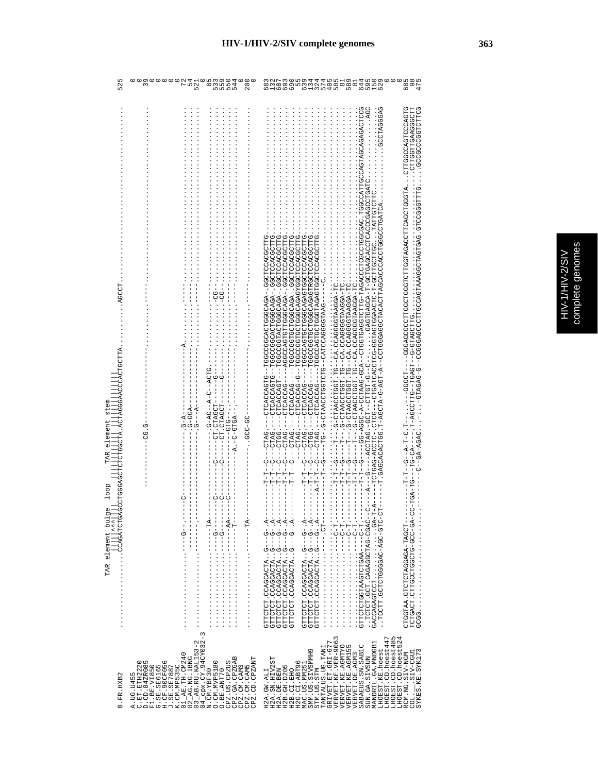| ٢<br>ţ      |
|-------------|
| ş<br>ת      |
| h           |
| ٦<br>١<br>ì |
|             |

| 52                                                                                                                                      | 52<br>n m 4<br>$\overline{5}$<br>m<br>5                                                                                                                                                                                                                                                                                                                                                                                           | $\overline{6}$<br>57.<br>$rac{1}{90}$<br>$\ddot{6}$<br>$\frac{15}{6}$<br>$\frac{8}{6}$<br>69<br>58<br>59<br>$\frac{8}{6}$<br>63                                                                                                                                                                                                                                                                                                                                                                                                                                                                                                                                                                                                                                                                                                                                                                                                                                                                                                                                                                                                                                                                                                                                                                                                                                                                                                                                                                                                                                                                                                                                                                                                                                                                                                                                                                                                                                                       |
|-----------------------------------------------------------------------------------------------------------------------------------------|-----------------------------------------------------------------------------------------------------------------------------------------------------------------------------------------------------------------------------------------------------------------------------------------------------------------------------------------------------------------------------------------------------------------------------------|---------------------------------------------------------------------------------------------------------------------------------------------------------------------------------------------------------------------------------------------------------------------------------------------------------------------------------------------------------------------------------------------------------------------------------------------------------------------------------------------------------------------------------------------------------------------------------------------------------------------------------------------------------------------------------------------------------------------------------------------------------------------------------------------------------------------------------------------------------------------------------------------------------------------------------------------------------------------------------------------------------------------------------------------------------------------------------------------------------------------------------------------------------------------------------------------------------------------------------------------------------------------------------------------------------------------------------------------------------------------------------------------------------------------------------------------------------------------------------------------------------------------------------------------------------------------------------------------------------------------------------------------------------------------------------------------------------------------------------------------------------------------------------------------------------------------------------------------------------------------------------------------------------------------------------------------------------------------------------------|
| <b>PGCC1</b><br>5<br>$\frac{1}{\alpha}$<br>emen<br>$\vec{e}$<br>TAR<br>CCLCCCAC<br>loop<br>TAR element bulg<br>ACCAGATCTGA<br>$\lambda$ | $-$ -ACTG<br>U-4--54-5・--<br>$-CT$ . CTAGCT-<br>$-1$ - $-1$ - $-1$ - $-1$<br>--CT.CTAGCT<br>--40H0-0- .4-<br>$-9-5-$<br>$- -0$ TD $- -$<br>$\vec{c}$ –<br><b>ع</b> .<br>g<br>$-1 - 9 - 1 - 0$<br>$-1$ + $-1$ + $-1$ + $-1$ + $-1$                                                                                                                                                                                                 | AGAGACTCCG<br>$\cdots$ AGC<br>CAGGAGE<br>DLD4000LD40ODDLLD,,,4LDDDL0D40LLDJ4D4LDDHL0LDDDL0DDL100DL10000DD4DDD--<br>GCCCCCCCCTTCTTCC<br>CTTGGTTGAAGGGCTT<br>. KORKOHOUGOHOUKOUKOUKHHUKOKHOUGKOUGHOU--K-HOK-D-KHOUK-H.YOHOKOKOUKO「H-----------<br>)≮ひひひひFひひひひFひひひ⊄は4F-ひFFひPひひ⊄ひFひひFひ--≮ひひ-ひ≮≮Fひひ-≪-ひひひ≪-ひひ-----ひ-!<br>ghtppdgpubbbggaggbbgbbgpbbbgbbbgbt--bhbgbbgbbgbbg.<br>- ' ' ' 'ひどLIひのLIDの「LI-ひLIOYYのLIOYLIDの「ひとLIOYYのLIYのLID」--のひLIO、「ひLIOYY-のYのLIOL!」<br>,ひHHひひひよひひHひひの,-KのKひひのひHHひHひKひひののK----のKひひKひHひ<br>1 MHLOUNUUHUUMAUKUKUUUUHUUHUUUUUH --U-UKUUKUHU<br>UHUUUKUUHUUU ,-KUKUUUUHUUHUUUUUU——<br>ひFFひひひ≮ひひFひひひ,-≮ひ≮ひひひひFひ≮ひひひひひひやF--ひFひ≮ひひ≮ひFひ---<br>UHUUUKUUHUUUUHUKUKUUUUHUUHUKUUUUH - - - - - UKUUKUHU - -<br>υΗΗΟυΟΚΟΟΗΟΟΔΗΟΚΟΚΟΦΟΟΗΟΟΗΟΟΟΟΟΗ----ΟΚΟΟΚΟΗΟ--<br>)LLJUUKUULUUULUKUKLUUULUULUKUUUUL - - - - - UKUUKULU - -<br>CTCACCAG--<br>CTAG.<br>CTGG.<br>CTAG.<br>CTAG<br>CTAG<br>CTAG<br>CTAG<br>CTGG<br>CTAG<br>$-4 - -9 - -1$<br>j<br>ţ<br>$T-T--G--$<br>r-T<br>T-T<br>$T-T$ -T<br>$-1 - A - T - T$<br>F-T<br>-- T -- T<br>$\begin{array}{ll} \texttt{GTITCTCT: COGGORTA: } G--G--A--\\ \texttt{GTITCTCT: COGGORTA: } G--G--A--\\ \texttt{GTITCTCT: COGGACTA: } G--G--A--\\ \texttt{GTITCTC: COGGACTA: } G--G--A--\\ \texttt{GTITCTC: COGGACTA: } G--G--A--\\ \end{array}$<br>GTTCTCT . CCAGCACTA G---G- . A---<br>GTTCTCT . CCAGCACTA G---G- . A---<br>GTTCTCT . CCAGCACTA G---G- . A---<br>$\begin{minipage}{0.9\textwidth} \begin{tabular}{ c c } \hline \multicolumn{3}{ c }{3.5\textwidth} \begin{tabular}{ c c } \hline \multicolumn{3}{ c }{3.5\textwidth} \begin{tabular}{ c c } \hline \multicolumn{3}{ c }{3.5\textwidth} \begin{tabular}{ c c } \hline \multicolumn{3}{ c }{3.5\textwidth} \begin{tabular}{ c c } \hline \multicolumn{3}{ c }{3.5\textwidth} \begin{tabular}{ c c } \hline \multicolumn{3}{ c }{3.5\textwidth} \begin{tabular}{ c$<br>-- TCHO-OACHOORGAGE CHOUR<br>O-RO-COO-OHOOCHOODHIO: HOROHOH<br>--HUURH-RURUURHUHUHU 'RRHUUHU<br>ru 4 |
| B.FR.HXB2                                                                                                                               | 04_cpx.CY.94CY032-3<br>N.CM.YBF30<br>O.CM.MVP5180<br>$\begin{array}{l} 01\_AB. \; {\rm TH.}\; {\rm CM240} \\ 02\_AG. \; {\rm NG.} \; {\rm IBMG} \\ 03\_AB. \; {\rm RU.}\; {\rm KAL153-2} \end{array}$<br>CPZ.GA.CPZGAB<br>CPZ.CD.CPZANT<br>C.ET.ETH2220<br>D.CD.84ZR085<br>CPZ.US.CPZUS<br>F1.BE.VI850<br>G.SE.SE6165<br>H.CF.90CF056<br>J.SE.SE.SE7887<br>K.CM.MP535C<br>CPZ.CM.CAM3<br>CPZ.CM.CAM5<br>O.BE.ANT70<br>A. UG. U455 | GRIVET.ET.GRI-677<br>VERVET.KE.VER-9063<br>LHOEST.CD.hoest447<br>LHOEST.CD.hoest485<br>LHOEST.CD.hoest52<br>MANDRIL.GA.MNDGB1<br><b>JERVET.KE.AGMTYO</b><br><b>JERVET.KE.AGM155</b><br>SABAEUS.SN.SAB1C<br>TANTALUS.UG.TAN1<br>LHOEST.KE.hoest<br>SMM.US.SIVSMMH9<br>SYKES.KE.SYK173<br>LUDJ-VIS.<br><b>/ERVET.DE.AGM3</b><br>RCM.NG.SIV-NGM<br>SUN.GA.SIVSUN<br>H2A.SN.HIV2ST<br>H2G.CI.ABT96<br>MAC.US.MM251<br>H2B. GH. D205<br>H2B.CI.EHO<br>STM.US.STM<br>H2A.DE.BEN<br>H2A.GW.ALI<br>$COL -$                                                                                                                                                                                                                                                                                                                                                                                                                                                                                                                                                                                                                                                                                                                                                                                                                                                                                                                                                                                                                                                                                                                                                                                                                                                                                                                                                                                                                                                                                    |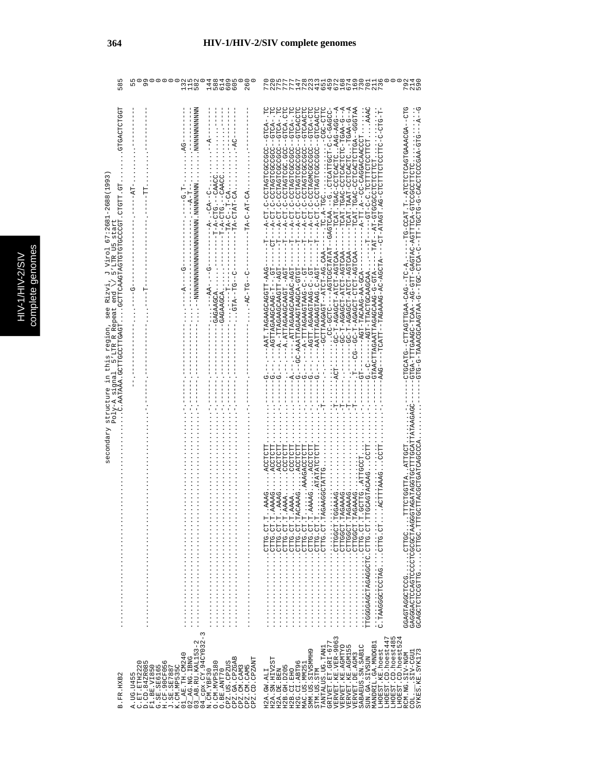| 58                                                                                                                                                                                                                       | 99<br>582<br>144<br>588<br>805<br>609<br>26<br>$\dot{5}$                                                                                                                                                                                                                                                                                                                                                                                                                                                                                                                                                                                                                  | 730<br>573<br>272<br>$\frac{14}{728}$<br>$\frac{21}{59}$<br>79                                                                                                                                                                                                                                                                                                                                                                                                                                                                                                                           |
|--------------------------------------------------------------------------------------------------------------------------------------------------------------------------------------------------------------------------|---------------------------------------------------------------------------------------------------------------------------------------------------------------------------------------------------------------------------------------------------------------------------------------------------------------------------------------------------------------------------------------------------------------------------------------------------------------------------------------------------------------------------------------------------------------------------------------------------------------------------------------------------------------------------|------------------------------------------------------------------------------------------------------------------------------------------------------------------------------------------------------------------------------------------------------------------------------------------------------------------------------------------------------------------------------------------------------------------------------------------------------------------------------------------------------------------------------------------------------------------------------------------|
| <b>GTGACTCTGGT</b><br>$-2688(1993$<br>HD,HLDHD,HDDDDDHDHDHDHDdTLDdd和HLDD,,,HDdDHHDDDHHDD,Krdtdd,Yo<br>J Virol 67:2681<br>5'LTR U5 start<br>Rizvi<br>end<br>structure in this region, see<br>Poly-A signal 5'LTR R Repeat | $\cdots$ . Nonnonnonnonnon<br>$\frac{1}{2}$<br>$-12A-0-AT-0A$<br>$- PAT -$<br><br>1990 - The Formulation of the set of the set of the set of the set of the set of the set of the set of the set of the set of the set of the set of the set of the set of the set of the set of the set of the set of the<br>- - 1-1 - ペーーー・- - - - -<br>$-1 - A - 1 - C - C - C$<br>$- - - - - - - - -$<br>$--\cdots--\cdots---$<br>$\frac{1}{2}$<br>$- - - - - - -$<br>$--AA----AA--$                                                                                                                                                                                                  | ひロリーーダひしかんないロのダリロしロリロギーーロ・ロメリリーのローー<br>--GTGA-TTTGAAGC-TCAA--AG-GTT-GAGTAC-AGTTTCA-GTCCCCTTCTC<br>A-UH--UAU-ARUHHURHHU--UHAUUHU                                                                                                                                                                                                                                                                                                                                                                                                                                                          |
| secondary                                                                                                                                                                                                                |                                                                                                                                                                                                                                                                                                                                                                                                                                                                                                                                                                                                                                                                           | CORORATATELOOFTEDORERORE<br>CTTACGCTGATCAGCCC<br>. ACTTTAAAGCCTT<br>PCCTCTT<br>AAAA CCCTCTT<br>RAAGACCTCTT<br>TTGGGGGGAGCTAGAGCTC.CTC.CTTGCAGTACAAGCCTT<br>CAAAGACCTCTT<br>$\cdots$<br>TTCTGGTTAATTGC<br>$GAAAG$<br>GCTTG. ATTGCCT.<br>GAAAG<br>GAAAG.<br><b>AAAAG</b><br>AAAG<br><b>AAAA</b><br>H : : : ひのHHO: . . . . . のひDHOののKHのほのひ<br>GAGGGACTCCAGTCCCCGCGCTAAGGG<br>PIII : 2PIIJ · · · · · · · PIIPOUIJIJPEVE                                                                                                                                                                      |
| B.FR.HXB2                                                                                                                                                                                                                | 3<br>$\begin{array}{l} 01\_AB \text{ . } \text{THi.} \text{~C} \text{M} 240 \\ 02\_AG \text{ . } \text{MS} \text{ . } \text{EMG} \\ 03\_AB \text{ . } \text{RU} \text{ . } \text{K} \text{M} \text{ . } \text{L} \text{S} 3-2 \\ 04\_CB \text{ . } \text{RU} \text{ . } \text{K} \text{M} \text{ . } \text{S} 4 \text{ C} \text{Y} \text{ } 032-3 \\ \text{M} \text{ . } \text{C} \text{M} \text{ . } \text{Y} \text{B} \text{ F}$<br>CPZ.GA.CPZGAB<br>CPZ.CD.CPZANT<br>A.UG.U455<br>C.ET.ETH2220<br>D.CD.84ZR085<br>CPZ.US.CPZUS<br>G.SE.SE6165<br>H.CF.90CF056<br>J.SE.SE7887<br>O.CM.MVP5180<br>K.CM.MP535C<br>F1.BE.VI850<br>CPZ.CM.CAM3<br>CPZ.CM.CAM5<br>O.BE.ANT70 | $\begin{array}{lll} \texttt{GRIVET}.\texttt{ET}.\texttt{GET-677} \\ \texttt{VERVET}.\texttt{KE}.\texttt{VER-9063} \end{array}$<br>LHOEST.CD.hoest447<br>LHOEST.CD.hoest485<br>LHOEST.CD.hoest524<br>MANDRIL.GA.MNDGB1<br>VERVET KE AGMTYO<br>VERVET KE AGMTYO<br>VERVET KE AGML55<br>SABAEUS.SN.SABIC<br>TANTALUS.UG.TAN1<br>SMM.US.SIVSMMH9<br>LHOEST.KE.hoest<br>SYKES.KE.SYK173<br>$COL.$ $SIV-CGUT$<br>VERVET. DE. AGM3<br>RCM.NG.SIV-NGM<br>SUN.GA.SIVSUN<br>H2A.SN.HIV2ST<br>H2G.CI.ABT96<br>MAC.US.MM251<br>H2B. GH. D205<br>H2A.DE.BEN<br>H2B.CI.EHO<br>STM.US.STM<br>H2A.GW.ALI |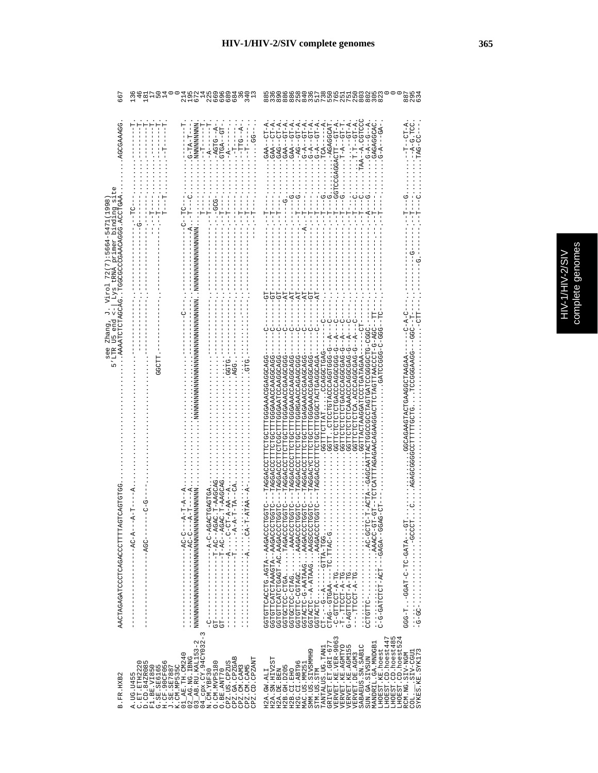| <b>DIGINITIE</b> | complete genomes |  |
|------------------|------------------|--|

8

| ن<br>ق<br>$rac{9}{4}$ 8<br><b>AGCAAAAGG</b><br>Lys tRNA primer binding sit<br>ARDEUDR DODRURRDUDDUDDDE FILMADDREUEDERART FILMA | י<br>י                                                                                       | 2512<br>252<br>MMMMMMMMM<br>3-TA-T---<br>--A-T---C                                                                                                                                                                                                                                                 | $-1 - 1 - 1 - 1 - 1$<br><br>$-150 - 450$<br>$-4 - 7T - -8 -$<br>$-55.$<br>$-1 - 1 - 1 - 1$<br>$\frac{1}{1} \left( \frac{1}{1} + \frac{1}{1} + \frac{1}{1} + \frac{1}{1} + \frac{1}{1} + \frac{1}{1} + \frac{1}{1} + \frac{1}{1} + \frac{1}{1} + \frac{1}{1} + \frac{1}{1} + \frac{1}{1} + \frac{1}{1} + \frac{1}{1} + \frac{1}{1} + \frac{1}{1} + \frac{1}{1} + \frac{1}{1} + \frac{1}{1} + \frac{1}{1} + \frac{1}{1} + \frac{1}{1} + \frac{1}{1} + \frac{1}{1} + \frac{1}{1} + \frac{1}{1} + \frac$<br>$\frac{1}{2} \left( \frac{1}{2} + \frac{1}{2} + \frac{1}{2} + \frac{1}{2} + \frac{1}{2} + \frac{1}{2} + \frac{1}{2} + \frac{1}{2} + \frac{1}{2} + \frac{1}{2} + \frac{1}{2} + \frac{1}{2} + \frac{1}{2} + \frac{1}{2} + \frac{1}{2} + \frac{1}{2} + \frac{1}{2} + \frac{1}{2} + \frac{1}{2} + \frac{1}{2} + \frac{1}{2} + \frac{1}{2} + \frac{1}{2} + \frac{1}{2} + \frac{1}{2} + \frac{1}{2} + \frac$ | $A-T-D$ --GT-A<br>$G - A - GT - A$ .<br>$G - A - GT - A$ .<br>$G - A - GT - A$ .<br>$TCA - - - - - A$ .<br>$GAA - GT - A$<br>$-GT - A$<br>-AGAGGCAT<br>TAA--A.CGTCC<br>$A - B - A - B - A - B - A$<br>GAGAGGCAC<br>$CT-A$<br>AGGACTT-GT-A<br>$T-T-D$ - $T-T$<br>$-4-7-9-7$<br>$GAA - CT - AB$<br>$GAA - CTT - A$<br>$-4-4-1$<br>$-1 - 1 - 1$<br>$GAG - -$<br>$GAA -$<br>$-5 - 7 - -1 - 1$                                                                                                                                                                                                                                                                                                                                                                                                                                                                                                                                                                                                                                                                 |
|--------------------------------------------------------------------------------------------------------------------------------|----------------------------------------------------------------------------------------------|----------------------------------------------------------------------------------------------------------------------------------------------------------------------------------------------------------------------------------------------------------------------------------------------------|----------------------------------------------------------------------------------------------------------------------------------------------------------------------------------------------------------------------------------------------------------------------------------------------------------------------------------------------------------------------------------------------------------------------------------------------------------------------------------------------------------------------------------------------------------------------------------------------------------------------------------------------------------------------------------------------------------------------------------------------------------------------------------------------------------------------------------------------------------------------------------------------------------------|-----------------------------------------------------------------------------------------------------------------------------------------------------------------------------------------------------------------------------------------------------------------------------------------------------------------------------------------------------------------------------------------------------------------------------------------------------------------------------------------------------------------------------------------------------------------------------------------------------------------------------------------------------------------------------------------------------------------------------------------------------------------------------------------------------------------------------------------------------------------------------------------------------------------------------------------------------------------------------------------------------------------------------------------------------------|
| COLORADEDR<br>$-A$ -T---- $A$                                                                                                  | <b>COOD</b>                                                                                  | $- A - T - A$                                                                                                                                                                                                                                                                                      |                                                                                                                                                                                                                                                                                                                                                                                                                                                                                                                                                                                                                                                                                                                                                                                                                                                                                                                | $\begin{array}{ll} -1 & -1 & -1 & -1 \\ -1 & -1 & -1 & -1 \\ -1 & -1 & -1 & -1 \\ -1 & -1 & -1 & -1 \\ -1 & -1 & -1 & -1 \\ -1 & -1 & -1 & -1 \\ -1 & -1 & -1 & -1 \\ -1 & -1 & -1 & -1 \\ -1 & -1 & -1 & -1 \\ -1 & -1 & -1 & -1 \\ -1 & -1 & -1 & -1 \\ -1 & -1 & -1 & -1 \\ -1 & -1 & -1 & -1 \\ -1 & -1 & -1 & -1 \\ -1 & -1 & -1 & -1 \\ -1 & -1 & -1 & -1 \\ -1 & -1 & -1 & -1 \\ -1 & -1 & -1 &$<br>FL---OGK-O-LOOOKKELGKEOLLOKGOKGOKOKGKOKGKKKELLKOLOL<br>リーー K--ツ-SKSOSSないSA、KOLOLOLOLOLOD<br>259---3544555221----35234444442333333333334<br>C-GROODCORAACHOFORDACCORC<br>U-UUUUUUKUUUKUHUHUHUHUHUU<br>U-DAUCUUNCUURUNUNUNUNUN<br>-UUACOOACOOAAAAGAAUFFEUUUUCOOAUUFF<br><b>CACHOOROO </b><br>- ARCAH AUHUUUH AUGAH UAH HUU<br>-SSSSSSSSSSSSSSSSSSSSSSSSSSSSSSSSS<br>- ひひょひひひょうひしけんよりひひけけにしひひしけいけいひしょうひょう<br>: COOD ARCOORARGO CHELOGEL OFFICIONACIN<br>: CORCORRODARRECORPLEDGE CELLODORGP<br>ひひえひひひえひひひえたたみのひひけにけひひけいけにけひひしょのみよけ!!<br>GGCAGAAGTOAAGGCTAAGAA<br>URUUURRUURREUUUHHHUUHHHUUURUURH———<br>OKUUUKUUUKKKUUUHHHUUHUHHHUXUKUUKH<br>ひけひけひ |
| AACTAGAGATCCTCAGACCCTTT<br>$- -AC - A$<br>C.ET.ETH2220<br>D.CD.84ZR085<br>B.FR.HXB2<br>A. UG. U455                             | $---29GC--$<br>w<br>C.SE.SE2056<br>H.CF.90CF056<br>H.SE.SE2056<br>K.CM.MP535C<br>F1.BE.VI850 | $-1 - 1 - 1 - 1$<br>$-1$ - $-1$ - $-1$ - $-1$<br>$\begin{array}{c} 1 \\ 1 \\ 1 \end{array}$<br>$\frac{1}{1}$<br>Í<br>$\begin{bmatrix} 1 \\ 1 \\ 1 \\ 1 \end{bmatrix}$<br>I<br>$03$ $AB$ . RU. KAL153-2<br>$\begin{array}{c} 01\_AB \cdot TH \cdot CM240 \\ 02\_AG \cdot NG \cdot IBNG \end{array}$ | $\begin{bmatrix} 1 \\ 1 \\ 1 \\ 1 \end{bmatrix}$<br>$\sim$<br>$04 \overline{\rule{0pt}{6pt}}$ cpx.CY.94CY032<br>N.CM.YBF30<br>CPZ.GA.CPZGAB<br>CPZ.CD.CPZANT<br>O. CM. MVP5180<br>CPZ.US.CPZUS<br>CPZ.CM.CAM5<br>CPZ.CM.CAM3<br>O.BE.ANT70                                                                                                                                                                                                                                                                                                                                                                                                                                                                                                                                                                                                                                                                     | ---DHDDHDDDARAA''''''''DALDD-DHLDHDDD------DHDDHDDARAA''''''''<br>- JOHOUUUQUAGA · JA · HUADHUHAUHHUHUU<br>UHUUHUUUKUKK--KHUK 'UHUUKUHHUHUU<br>しけひけりりりなみね ・・・・・・なみけしーしりけりむけの<br>C-G-ARTCTC-ACT---CAGA--GGS<br>GGTGTTCATCTAAAGTA--AAGACC<br>GGTACTC-G-AATAAGAAGACC<br>GGTACTC--A-ATAAGAAGSCC<br>CT-.--G--A-----GTTA-TGG<br>CTAG--GTGAA----TC.TTAC-G.<br>gH-g-hoohho-o-<br>gH-g-HOOHH----<br>GRIVET.ET.GRI-677<br>VERVET.KE.VER-9063<br>VERVET.KE.AGMTYO<br>LHOEST.CD.hoest447<br>LHOEST.CD.hoest485<br>LHOEST.CD.hoest524<br>MANDRIL.GA.MNDGB1<br>SABAEUS.SN.SAB1C<br>VERVET.KE.AGM155<br>TANTALUS.UG.TAN1<br>LHOEST.KE.hoest<br>SMM. US. SIVSMMH9<br>LUDJ-VIS.<br>RCM.NG.SIV-NGM<br>VERVET.DE.AGM3<br>SUN.GA.SIVSUN<br>H2A.SN.HIV2ST<br>H2G.CI.ABT96<br>MAC.US.MM251<br>H2B. GH. D205<br>H2A.DE.BEN<br>STM.US.STM<br>H2B.CI.EHO<br>H2A.GW.ALI<br>COL.                                                                                                                                                                                                     |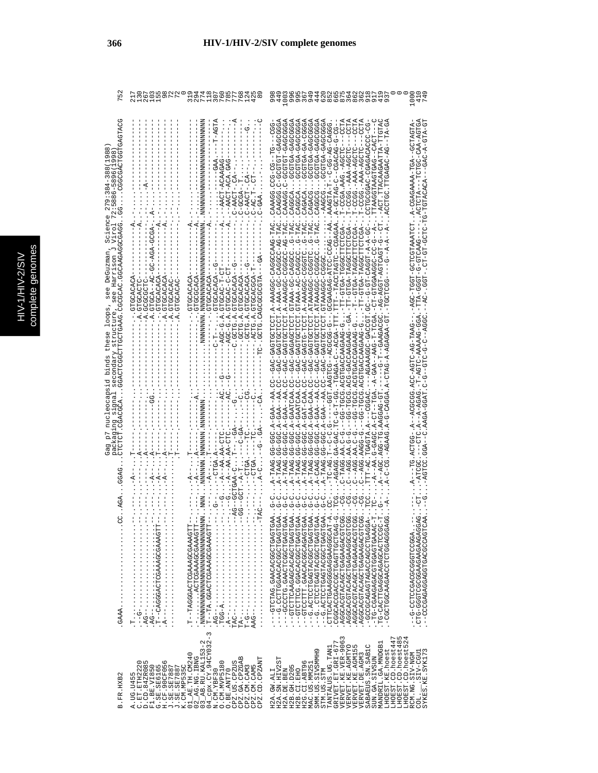|                                                                                                                               |                                                                                                                                                                                                                                                                                                                                                                                             | WALHWLLLLH<br>HQLHOQQLQU<br>DQAQQLONLQQ                                                                                                                                                                                                                                                                                                                                                                                                                                                                                                                                                                                    |                                                                                                                                                                                                                                                                                                                                                                                                                                                                              |
|-------------------------------------------------------------------------------------------------------------------------------|---------------------------------------------------------------------------------------------------------------------------------------------------------------------------------------------------------------------------------------------------------------------------------------------------------------------------------------------------------------------------------------------|----------------------------------------------------------------------------------------------------------------------------------------------------------------------------------------------------------------------------------------------------------------------------------------------------------------------------------------------------------------------------------------------------------------------------------------------------------------------------------------------------------------------------------------------------------------------------------------------------------------------------|------------------------------------------------------------------------------------------------------------------------------------------------------------------------------------------------------------------------------------------------------------------------------------------------------------------------------------------------------------------------------------------------------------------------------------------------------------------------------|
| CGGCGACTGGTGAGTACG<br>(1988)                                                                                                  |                                                                                                                                                                                                                                                                                                                                                                                             | $\begin{split} &\cdot\cdot\cdot-\lambda\cdot\cdot\cdot-\lambda\alpha\alpha^2-\alpha\lambda\alpha\beta\alpha^2-\cdot\cdot\cdot\\ &\cdot\cdot\cdot-\lambda\alpha^2-\alpha\alpha\cdot\alpha\beta-\cdot\cdot\cdot\\ &\cdot\cdot\cdot-\alpha\alpha\alpha-\alpha\cdot\cdot\cdot\\ &\cdot\cdot\cdot-\alpha\alpha\alpha-\alpha\cdot\cdot\cdot\\ &\cdot\cdot\cdot-\alpha\alpha\alpha-\alpha\cdot\cdot\cdot\\ &\cdot\cdot\cdot-\lambda\alpha\alpha-\alpha\cdot\cdot\cdot\\ &\cdot\cdot\cdot-\lambda\alpha\alpha-\alpha\cdot\cdot\cdot\\ &\cdot\cdot\cdot-\lambda\alpha\alpha-\alpha\cdot\cdot\cdot\\ &\cdot\cdot\cdot-\lambda\alpha$ | ACCOCOCAC-HOHOOC-O.COCACO<br>LP-KLP-K-VKP---KVKVKLPL-PL-VLVD-LP-LP-LP-1-DD---<br>4555545-454555-5-55545<br>UU-UUURURURUU-URUUUUHUU                                                                                                                                                                                                                                                                                                                                           |
| Gag p7 nucleocapsid binds these loops, see DeGuzman, Science<br>see Harrison J Virol<br>packaging signal secondary structure, |                                                                                                                                                                                                                                                                                                                                                                                             | --HU-U-U4UUHU.4.5-UU4---<br>--C.GCTG.A.GTGCACACA--G-<br>----- 404040955 ' 4 ' 9505 ' ----<br>U--KUKUKUULU ' ' ' ' ---------<br>HU-H-UAUUHU . 4 . U-UUUH---<br>AUROROCHO.<br>-----                                                                                                                                                                                                                                                                                                                                                                                                                                          | UNGA-AUTO-UNG-A-A-A-A-A-AGEO-AAAAAAA-OTO-D-AGEO-AAAAAAG-D-ISOO-UNGAAAAAGEO-A-A-A-AGEO-A-A-A-AGEO-UNGA-A-A-AGEO<br>KIDKUDO--KDI-KARUSDKDO-K ,LDIKKKIDOLDO-LDDI--DDK-- --DKKI-DK-DIDK-DDV(DDDDDX--K,-DDLDK,DI----K,<br>VSF-98-009990-0998&R=4,HDDLDPLDRP-089--02,KR--47dD-4,DDD-99,BRRL-4                                                                                                                                                                                      |
|                                                                                                                               |                                                                                                                                                                                                                                                                                                                                                                                             | エー・エーエーエー トラン・エー ページ                                                                                                                                                                                                                                                                                                                                                                                                                                                                                                                                                                                                       |                                                                                                                                                                                                                                                                                                                                                                                                                                                                              |
|                                                                                                                               | FIOAAACOOOAAACOIOAOOOOAU--F<br>$-1$ , $-1$ , $-1$ , $-1$ , $-1$ , $-1$ , $-1$ , $-1$ , $-1$ , $-1$<br>$\begin{aligned} \mathcal{L}_{\mathcal{A}}(\mathcal{A}) & = \mathcal{L}_{\mathcal{A}}(\mathcal{A}) + \mathcal{L}_{\mathcal{A}}(\mathcal{A}) + \mathcal{L}_{\mathcal{A}}(\mathcal{A}) + \mathcal{L}_{\mathcal{A}}(\mathcal{A}) + \mathcal{L}_{\mathcal{A}}(\mathcal{A}) \end{aligned}$ | TP--TRGGGAAAAGCGAAAAGT                                                                                                                                                                                                                                                                                                                                                                                                                                                                                                                                                                                                     | U-D-C-CAACDIOSOLOGO.OLOUDU-----<br>- " - OUKUUUKUULULUUKKUKKUUULUUU -<br>CTG-GGAGAAGAAGDOOUDOOO-C<br>- COCCOAGAGTACACCOCCOCACA-<br>H-UAAADHOADDHOUAOAADU-UH-.<br>H-COODHOKOOKOKOOOKOHHOKO-OH<br>- 1<br>1<br>1<br>1<br>2<br>2<br>2<br>2<br>2<br>2<br>2<br>2<br>2<br><br><br><br><br><br><br><br><br>--CCCCAGAGAGGTGACCCCAGT                                                                                                                                                   |
| B.FR.HXB2                                                                                                                     | A.UG.U455<br>C.ET.ETH2220<br>D.CD.84ZR085<br>G.SE.SE6165<br>H.CF.90CF056<br>F1.BE.VI850<br>K.CM.MP535C<br>J.SE.SE7887<br>J.SE.SE7887                                                                                                                                                                                                                                                        | $02$ $\overline{2}$ AG. NG. IBNG<br>03 $\overline{2}$ AB. RU. KAL153-2<br>04 $\overline{2}$ cpx. CY. 94 CY032-3<br>01_AE.TH.CM240<br>CPZ.GA.CPZGAB<br>CPZ.CD.CPZANT<br>O. CM. MVP5180<br>CPZ.US.CPZUS<br>CPZ.CM.CAM3<br>CPZ.CM.CAM5<br>O.BE.ANT70<br>N.CM.YBF30                                                                                                                                                                                                                                                                                                                                                            | GRIVET.ET.GRI-677<br>VERVET.KE.VER-9063<br>VERVET.KE.AGMTYO<br>LHOEST.CD.hoest485<br>LHOEST.CD.hoest524<br>LHOEST.CD.hoest447<br>MANDRIL.GA.MNDGB1<br>VERVET.KE.AGM155<br>SABAEUS.SN.SAB1C<br>TANTALUS.UG.TAN1<br>LHOEST.KE.hoest<br>SMM.US.SIVSMMH9<br>SYKES. KE. SYK173<br>COL. __.SIV-CGU1<br>VERVET.DE.AGM3<br>RCM.NG.SIV-NGM<br>SUN.GA.SIVSUN<br>H2A.SN.HIV2ST<br>H2G.CI.ABT96<br>MAC.US.MM251<br>H2B. GH. D205<br>H2A.DE.BEN<br>H2B.CI.EHO<br>STM.US.STM<br>H2A.GW.ALI |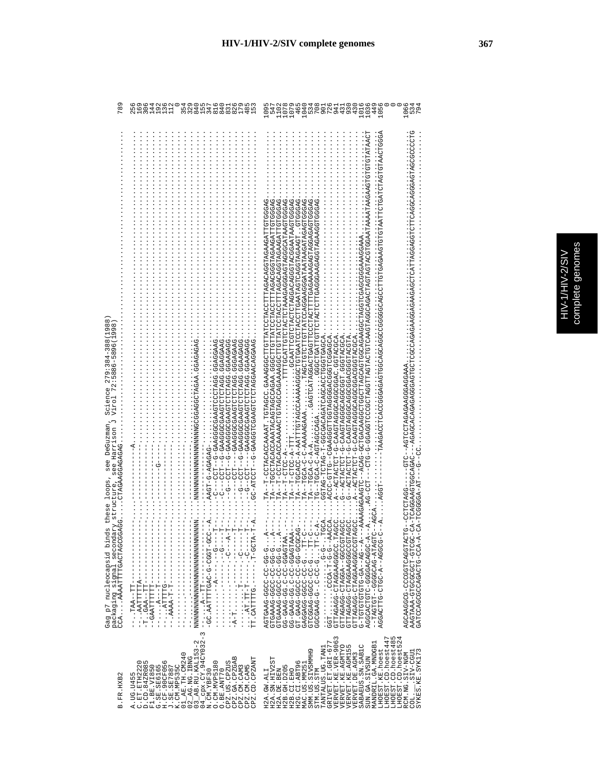|   | ိ   |
|---|-----|
| E |     |
| ¢ | ؟   |
|   |     |
|   | qan |
|   |     |
|   | ה   |
|   |     |
|   |     |
|   |     |
|   |     |
|   |     |
|   |     |
|   |     |
|   |     |
|   |     |

| 78                                                                                                                                                                                                                                             | ဖ ၈ ဖ<br>OOMC<br>812888881898818988<br><u>ശ ത ഗ സ</u><br>5<br>25<br>16<br>$\overline{3}$<br>$\overline{14}$<br>$\frac{1}{2}$                                                                                                                                                                                                                                                                                                                                                                                                                                                                                                                                     | 534<br>708<br>w<br>$\frac{1}{10}$<br>107<br>46<br>104<br>94<br>43<br>$\frac{3}{4}$<br>101<br>103<br>$\frac{44}{95}$                                                                                                                                                                                                                                                                                                                                                                                                                                                                                                                                                                                                                                                                                                                                                                                                                                                                                                                                                                                                                                                                                                                  |
|------------------------------------------------------------------------------------------------------------------------------------------------------------------------------------------------------------------------------------------------|------------------------------------------------------------------------------------------------------------------------------------------------------------------------------------------------------------------------------------------------------------------------------------------------------------------------------------------------------------------------------------------------------------------------------------------------------------------------------------------------------------------------------------------------------------------------------------------------------------------------------------------------------------------|--------------------------------------------------------------------------------------------------------------------------------------------------------------------------------------------------------------------------------------------------------------------------------------------------------------------------------------------------------------------------------------------------------------------------------------------------------------------------------------------------------------------------------------------------------------------------------------------------------------------------------------------------------------------------------------------------------------------------------------------------------------------------------------------------------------------------------------------------------------------------------------------------------------------------------------------------------------------------------------------------------------------------------------------------------------------------------------------------------------------------------------------------------------------------------------------------------------------------------------|
| ${}^{\circ}$<br>1988<br>98<br>σ<br>$\infty$<br>279:384-38<br>Science<br>Viro1<br>s these loops, see DeGuzman,<br>see Harrison<br>CCAAAAATTTTGACTAGCGAGGCTAGAAGGAGAGAG<br>ry structure,<br>Gag p7 nucleocapsid bind<br>packaging signal seconda | 1.194459459.594H202H544502595445-5--H20---D--<br>- 1 - 1 PARDDRDD 1 PDRINDINDIRREDDDDRRD-D---IND----D----<br>1.00K0K505.00KH0L0L0K400000K50-0--LD0--0--<br>1 : UURURRUU : UURIIUIIUIURRRUUUUURRU-U--IIUU--U--<br>- ひひぺひぺぺひひ・ひひぺけひけひけひぺぺのひひののぺぺの----Hひひ--ひ--<br>- AAGT-G-AGAGAG-<br><b>MNAMMANNAMMANNAMMANNAMMANNAM</b><br>$\frac{1}{1}$<br>$-1$<br><b>ローーー - ひーー・ーーーーーーー・・・・・・・・・・</b><br>Η<br>Ĥ<br>н<br>$-1$ $-1$ $-1$ $-1$ $-1$ $-1$ $-1$ $-1$<br>CC.AATTTTLED-0-CGCT-CCC<br>- AHUU-H ' - - - - - - ' UHHHHAU ' HH<br>$---$ AATTTTTA $---$<br>$-TT - AAB - TTT - -TTT$<br>$--2TTTTTTTT---$<br>$- - - - - - - - - - - - - - -$<br>- AAAA-T-T-<br>$---TTT---AAA$ | .ひ≮ひひひLDLLYのYYUYUDOYOYULLLDOYLDOUYULLODDOYYYYO.OOOYLDL,LYYYYUOYUYUYUYLL)−−YL<br>UKUUULPLAUKAUKLUUUUKUKLLLUUKLUULKLLUULLUUUU ,KKUKUUUKLUKUKLKAKUUKUUUL——KL<br>TTTTGCATTGTACTAAAAGAAGGAAGTAGGCATAAGTGGGAG<br><b>DISPORTANTANTANT CONSEQUATION CONTINUES CONTINUES CONTINUES.</b><br>TA--TGCACC-A-AATTTGTAGCCAAAAAGGGCTGFAATCCTACCTTAGAATAGTCAGGTAAAGAGTGGBGAG<br>1.420450006000450005460066450044500--06669-00041.<br>KUUKULUUULUUKUUKULKUKUKUUUU-L-UKLUL-UKLUU<br>AUDORICUS · LOUDOUCOUNCUNATO-P-LULURI--D-<br>AUDUAHODUUCDUUDDUCUDDUAHOTAU-D-HUHUKHUK--K.<br>--AGTOOAAGAGAGADITITOF-<br>$T^2A - T^T - C - C - C - C - T^T$<br>$TA - TQ - R - R - R - R$<br>$T - CTC - A -$<br>UH0-1<br>$TA--$<br>$---AGCA$<br>GGT.<br>CODA--D-0-0-0-0-AACCA<br>CTTAGGAAGGAAGCO-DACCO<br>AGGCACACODD-ULDEUAUDDA<br>$A$ -<br>CUOCCOC--GOACHO-COCCOCCO<br>GTTAGAGGAAGGAAGGCCCC<br>UUUKHUUUUUUKKUUKHU-UUKUKHHU<br>KDDII:-D-D::・・・・・・・・・・<br>AGTGAAG-GGC-CC-GG-G-G-C-A<br>A<br>CTGAAAG-CCC-CCC-GG-C-C-C<br>GG-GAAG-GC-CC-CGAGTAA.<br>ARREDADD-00-0-07RED-00<br>GT.GAAG-GGC-CC-GG-BCA<br>CACCACC-CCC-CCCC-TT-C<br>0H94H4-9409999--H59H94H--<br>U-UUUUCA--A-UULU-ULIUKUU<br>-DEDECITAAA-GTGCGCGCT-GTCGC<br>GATCCAGCCAGACTG-CCA-A-<br>LURGUROUDUO-DUUDURRUDR |
| B.FR.HXB2                                                                                                                                                                                                                                      | $\begin{array}{ll} 01\_AB. \textbf{TH}.\textbf{C} \textbf{M} 240 \\ 02\_AG. \textbf{NG} \textbf{H} \textbf{G} \\ 03\_AB. \textbf{RU}.\textbf{K} \textbf{M} \textbf{L} 153-2 \\ 04\_Cpx. \textbf{CV}.\textbf{94} \textbf{CV} 032-3 \end{array}.$<br>CPZ.GA.CPZGAB<br>CPZ.CM.CAM5<br>CPZ.CD.CPZANT<br><b>H.CF.90CF056</b><br>CPZ.US.CPZUS<br>D.CD.84ZR085<br>O.CM.MVP5180<br>A.UG.U455<br>C.ET.ETH2220<br>G.SE.SE6165<br>K.CM.MP535C<br>CPZ.CM.CAM3<br>F1.BE.VI850<br>J.SE.SE7887<br>O.BE.ANT70<br>N.CM.YBF30                                                                                                                                                      | GRIVET.ET.GRI-677<br>VERVET.KE.VER-9063<br>VERVET.KE.AGMTYO<br>LHOEST.CD.hoest485<br>LHOEST.CD.hoest524<br>LHOEST.CD.hoest447<br>LHOEST.CD.hoest52<br>MANDRIL.GA.MNDGB1<br>VERVET.KE.AGM155<br>SABAEUS.SN.SAB1C<br>TANTALUS.UG.TAN1<br>LHOEST.KE.hoest<br>SMM.US.SIVSMMH9<br>SYKES.KE.SYK173<br>COL. SIV-CGUI<br>RCM.NG.SIV-NGM<br>VERVET.DE.AGM3<br>SUN.GA.SIVSUN<br>H2A.SN.HIV2ST<br>H2G.CI.ABT96<br>MAC.US.MM251<br>H2B. GH. D205<br>STM.US.STM<br>H2A.DE.BEN<br>H2B.CI.EHO<br>H2A.GW.ALI                                                                                                                                                                                                                                                                                                                                                                                                                                                                                                                                                                                                                                                                                                                                         |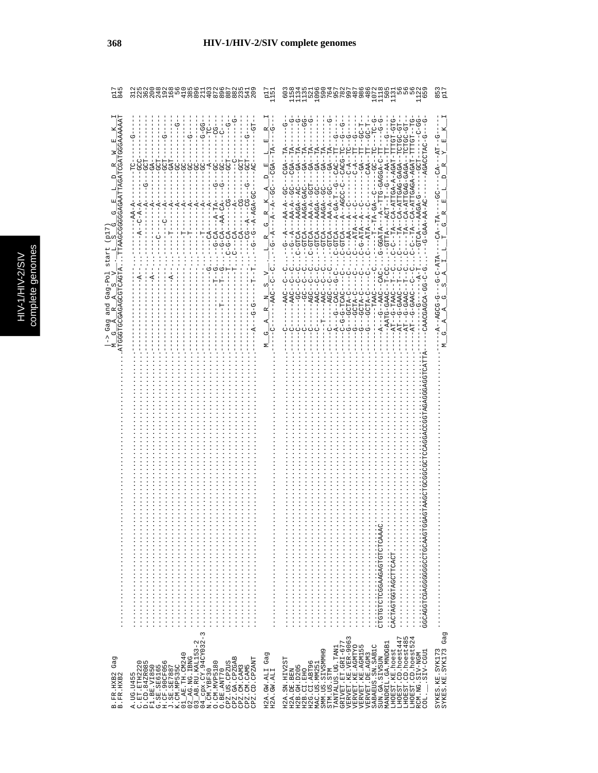| ֠                                                |      |
|--------------------------------------------------|------|
|                                                  |      |
|                                                  | ā    |
|                                                  |      |
|                                                  | gen  |
| V 2/6                                            |      |
| ֧֖֖֖֖֖֖֖֚֚֚֚֚֚֚֚֚֞֝֬֝֓֕֓֡֬֓֝֬֝֓֬֝֓֬֝֓֬֝֓֬֝֓֬֓֬֓֬ | ete  |
|                                                  |      |
| ÷                                                |      |
|                                                  | como |
|                                                  |      |
|                                                  |      |
|                                                  |      |
|                                                  |      |

3S

368

|                                                                                    |                                                                                                                                                                                                                                                                                                                                                             |                                                      | nu<br>Dunn<br>Dunn                                                                                                                                                                                                                                                                                                                                                                                                                                                                                                                                                                                                                                                                                                                                                                                                                                                          |                                                                        |
|------------------------------------------------------------------------------------|-------------------------------------------------------------------------------------------------------------------------------------------------------------------------------------------------------------------------------------------------------------------------------------------------------------------------------------------------------------|------------------------------------------------------|-----------------------------------------------------------------------------------------------------------------------------------------------------------------------------------------------------------------------------------------------------------------------------------------------------------------------------------------------------------------------------------------------------------------------------------------------------------------------------------------------------------------------------------------------------------------------------------------------------------------------------------------------------------------------------------------------------------------------------------------------------------------------------------------------------------------------------------------------------------------------------|------------------------------------------------------------------------|
| <b><i>GAAAAAT</i></b><br><b>HOROHOOOROGOODHOODH</b><br>$Gag-PO$<br>and<br>Gag<br>Φ | しゅしゅ<br>5<br>$---AA-CA---$<br>$---A-TA$<br>$- -A - AGB$<br>$-5 - 5 -$<br>$-9-0$                                                                                                                                                                                                                                                                             | 囸<br>$\Box$<br>К<br>R<br>ひ<br>C)<br>Z<br>凶<br>ひ<br>Σ | ひ‐ひH‐‐‐ひH‐‐ひひ‐‐‐<br><b>C-C-C-</b><br>UR-RUHH-HAUR-R-RUHHR-RU<br>$-100-1$<br>H-UU---HH---KRU--<br>HU-UUHUH--KUAU-UKUHHK-KU<br>-- TT-U-A-4-A---AT-1-4---<br>$-GA - TA -$<br>--GTTA---ACT--T--G---AA--TT<br>C---TA--CA-ATTGA-A-AGAT-TTT<br>CGA--TA<br>$-GA - TA$<br>CACG-TC<br>UA-AGAGA-AGAGA-T<br>$C - A - -$<br>$C - A -$<br>$-GA$ -<br>--TA-A-ATTGAO-CAGAGA-<br><b>AAGA--GC--</b><br>AAGA--AC-<br>AAGA-GAC-<br>AA-A--GCT<br>AAGA--GC-<br>$A-GA-T-T-G$<br>$A - AGCC - C$<br>$AA - A - GC -$<br>$PA - A - - GC$<br>$-1 - 49 - 49 - 49 - -1$<br>$AA - A -$<br>$---ATR---A$<br>$C - A - A - A - C$<br>$C---ATA---A-TA---C$<br>$C - GTCA - - A - - A$<br>$C - - - AA - - - C$<br>$C-C$<br>-GTCA<br>$-CTCA$<br>$C-GTCA$<br>$- -5 - -5 - -$<br>-AATG-GAAC<br>$---AAC$<br>U-4HUU---<br>U-4HUU---<br>AT--G-TAAC<br>$-G--GCTA-C--G-TA-C--GCTA-C-$<br>$------$<br>AT--G-GAA<br>AGA-0-1 | $-1 - P_1T - G$<br>$-CA$<br>$-CA$ -TA<br>$-9 - 0 - 0 - 0$<br>$-9 - 5C$ |
|                                                                                    | $\infty$                                                                                                                                                                                                                                                                                                                                                    |                                                      | cacragregradcrrcacr<br>CLGLGLGDVOVORSKISS<br>OVYVOLGLGDVOVOLG<br><br><br>.                                                                                                                                                                                                                                                                                                                                                                                                                                                                                                                                                                                                                                                                                                                                                                                                  |                                                                        |
| Gag<br>B.FR.HXB2<br>B.FR.HXB2                                                      | 04_cpx.CY.94CY032-<br>N.CM.YBF30<br>FI. 185 VT856<br>G. 5E. 5E6165<br>J. 5E. 5E7887<br>L. 5E. 5E7887<br>K. CM NE535C<br>O2_AB. RU. KAL153-2<br>O2_AB. RU. KAL153-2<br>03_AB. RU. KAL153-2<br>CPZ.GA.CPZGAB<br>CPZ.CM.CAM3<br>CPZ.CM.CAM5<br>CPZ.CD.CPZANT<br>-192220<br>D.CD.84ZR085<br>Fl Pr<br>O. CM. MVP5180<br>CPZ.US.CPZUS<br>O.BE.ANT70<br>A. UG. U45 | Gag<br>H2A.GW.ALI<br>H2A.GW.ALI                      | <b>JERVET.KE.VER-9063</b><br>HOEST.CD.hoest447<br>LHOEST.CD.hoest485<br>LHOEST.CD.hoest485<br>GRIVET.ET.GRI-677<br>MANDRIL.GA.MNDGB1<br><b>ERVET.KE.AGMTYO</b><br>SABAEUS. SN. SAB1C<br>LO<br>PANTALUS.UG.TAN1<br><b>IHOEST.KE.hoest</b><br>SMM.US.SIVSMMH9<br><b>VERVET.KE.AGM15</b><br>SIV-CGU1<br>RCM.NG.SIV-NGM<br><b>VERVET.DE.AGM3</b><br>SUN.GA.SIVSUN<br>H2A.SN.HIV2ST<br>H2G.CI.ABT96<br>MAC.US.MM251<br>H2B. GH. D205<br>H2B.CI.EHO<br>H2A.DE.BEN<br>STM.US.STM<br>COL.                                                                                                                                                                                                                                                                                                                                                                                           | Gag<br>SYKES.KE.SYK173<br>SYKES.KE.SYK173                              |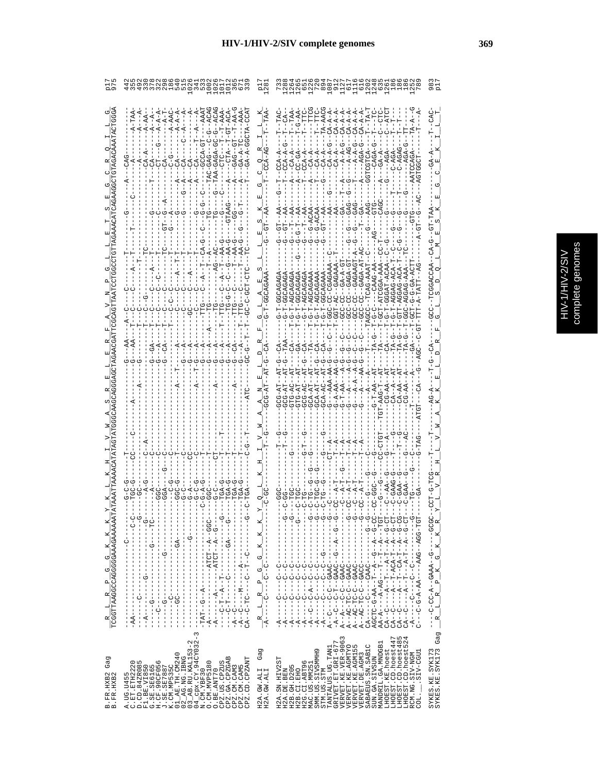|                                                               | $-1$<br>$-5$<br>U-U-----<br>$-1$ $-1$ $-1$ $-1$ $-1$ $-1$ $-1$<br>$-1$ $-1$ $-1$ $-1$ $-1$<br>$-1$ $-1$ $-1$ $-1$ $-1$<br>$\frac{1}{1}$<br>ن<br>۱                                                                                                                                                                                                                                                                                                                                                          | $\begin{array}{c}CA-A-A\\ CA-A-A\\ CA-A-A\\ CA-A\\ CA-A\\ CA-A\\ CA\\ \end{array}$<br>$-12 - 12 -$<br>$-12 - 12 -$<br>- 다<br>- 마<br>- 마<br>- 마<br>$\begin{array}{r} -362-36262\\ -762-362-362\\ -7-462-262-362\\ -1000\\ -1000-200-200-3624\\ -1000-200-2000\\ -1000-2000\\ -3000-2000\\ -3000\\ -1000\\ -1000\\ -1000\\ -1000\\ -1000\\ -1000\\ -1000\\ -1000\\ -1000\\ -1000\\ -1000\\ -1000\\ -1000\\ -1000\\ -1000\\ -1000\\ -1000\\ -100$<br>- 5<br>- 5<br>- 1<br>- 1<br>ウーーー<br>- 1<br>- 1<br>- 1<br>ウーー<br>ウーリー<br>- 1<br>- 1<br>ウーーーーーーー<br>- 1<br>- 1<br>- 1<br>$\frac{1}{1}$<br>$\frac{1}{1}$<br>$-1$ $-1$ $-1$ $-1$<br>$-1$ $-1$ $-1$ $-1$<br>$\frac{1}{1}$<br>$\begin{bmatrix} 1 & 1 & 1 & 1 & 1 \\ 1 & 1 & 1 & 1 & 1 \\ 1 & 1 & 1 & 1 & 1 \\ 1 & 1 & 1 & 1 & 1 \\ 1 & 1 & 1 & 1 & 1 \\ 1 & 1 & 1 & 1 & 1 \\ 1 & 1 & 1 & 1 & 1 \\ 1 & 1 & 1 & 1 & 1 \\ 1 & 1 & 1 & 1 & 1 \\ 1 & 1 & 1 & 1 & 1 \\ 1 & 1 & 1 & 1 & 1 \\ 1 & 1 & 1 & 1 & 1 \\ 1 & 1 & 1 & 1 & 1 \\ 1 & 1 & 1 & 1 & 1 \\ 1 & $<br>$-$ - $C$ - $-$<br><u>の</u><br><u>の</u> |
|---------------------------------------------------------------|------------------------------------------------------------------------------------------------------------------------------------------------------------------------------------------------------------------------------------------------------------------------------------------------------------------------------------------------------------------------------------------------------------------------------------------------------------------------------------------------------------|---------------------------------------------------------------------------------------------------------------------------------------------------------------------------------------------------------------------------------------------------------------------------------------------------------------------------------------------------------------------------------------------------------------------------------------------------------------------------------------------------------------------------------------------------------------------------------------------------------------------------------------------------------------------------------------------------------------------------------------------------------------------------------------------------------------------------------------------------------------------------------------------------------------------------------------------------------------------------------------------------------------------------------------------------|
| $\frac{R}{TCGGTTRAGGCCAGGGGGAAAAAAA} \frac{K}{R} \frac{K}{T}$ | - ウ--------------- H-- ペ-- H- )<br>- - ツーーー- ぱツーーーーーーー シーーーーーー ピーリーーーー<br>ウ--------D--H--D----DH-D--HD<br>ひひひーーベーー [[ひ][ベーーーーーーーーーーーーーベー<br>$-1 - -1 - -1 - -1$<br>Ť<br>$\begin{bmatrix} 1 \\ 1 \\ 1 \end{bmatrix}$<br>$\begin{array}{c} 1 \\ 1 \\ 1 \end{array}$<br>$\frac{1}{1}$<br>í<br>$\sf I$<br>$-1$<br>$-1$<br>$-1$<br>$-1$<br>$\begin{array}{c} 1 \\ 1 \\ 1 \end{array}$<br>ì<br>$\begin{array}{c}\nC + 1 \\ 1 + 1 \\ 1\n\end{array}$<br>$-AA$ ----<br>ı<br>J.                                     | $\begin{array}{l} (2\ddot{A}-C=-\ddot{A}-T=-\dot{A}-T=-\dot{A}-C-T-\\ (2\ddot{A}-C=-\dot{A}=-T-AC\dot{A}-T=-\dot{A}=-G-CT-\\ (2\ddot{A}-C=-\dot{A}=-T-AC\dot{A}-T=-\dot{A}-G-CT-\\ (2\ddot{A}-C=-\dot{A}=-T=-\dot{A}-T-A=-G-CT-\\ (2\ddot{A}-C=-\dot{A}-T=-\dot{A}-T=-\dot{A}-G-CT-\\ (2\ddot{A}-C=-\dot{A}-T=-\dot{A}-T=-\dot{A}-G-CT-\\ (2\ddot{A$<br>00-0-14-10-14-12-0-0-0<br>HDH - DDR - - DRR - - - - RR - R - D - U - - - - D<br>$-1 - 1 - 0$<br>- - - - - J drd - - U - U H - U d - - d<br>----UURU--U-UH-UR--R<br>$1 - 10$ AU $-1 - 10 - 1 - 10$<br>o<br>I<br>  2   - 1   - 1   - 1   - 1   - 1   - 1   - 1   - 1   - 1   - 1   - 1   - 1   - 1<br>U--U----U---<br>U--- 4-U-- U--- 4-<br>ひーーーーひーーーーー ダー<br>U – – – –<br>$-1$<br>$\mathbf{p}$<br>$-1$ - $-1$ - $-1$<br>하<br>$-1 - 1 - 1$<br>$-1 - 1 - 1$<br>$-\overline{A}$ ---<br>$-A$ -<br>$-4 -$<br>q                                                                                                                                                                                  |
| Gag<br>B. FR. HXB2<br>B. FR. HXB2                             | $\begin{array}{ll} 01\_AB.\text{ TH.} \text{CM} 240 \\ 02\_AG.\text{NG.} \text{ IBM} \\ 03\_AB.\text{RU}.\text{EM} 1153-2 \\ 04\_AB.\text{RU}.\text{K} 11153-2 \\ 04\_MR.\text{Y} 24\text{CV} 032-3 \\ \text{M.} \text{CW.} \text{Y} B \text{F} 30 \end{array}.$<br>CPZ.GA.CPZGAB<br>CPZ.CD.CPZANT<br>D.CD.84ZR085<br>F1.BE.V71850<br>G.SE.SE6165<br>H.CF.90CF056<br>J.SE.SE7887<br>K.CM.MP535C<br>CPZ.US.CPZUS<br>A.UG.U455<br>C.ET.ETH2220<br>0. CM. MVP5180<br>CPZ.CM.CAM5<br>CPZ.CM.CAM3<br>O.BE.ANT70 | SYKES.KE.SYK173<br>SYKES.KE.SYK173 Gag<br>$\begin{array}{lll} \texttt{GRIVET}.\texttt{ET}.\texttt{GET-677} \\ \texttt{VERVET}.\texttt{KE}.\texttt{VER-9063} \end{array}$<br>LHOEST.CD.hoest485<br>LHOEST.CD.hoest524<br>LHOEST.CD.hoest447<br>MANDRIL.GA.MNDGB1<br>VERVET.KE.AGMTYO<br>VERVET.KE.AGMTYO<br>SABAEUS.SN.SABIC<br>TANTALUS.UG.TAN1<br>Gag<br>LHOEST.KE.hoest<br>SMM.US.SIVSMMH9<br>SIV-CGU1<br>RCM.NG.SIV-NGM<br>VERVET.DE.AGM3<br>SUN.GA.SIVSUN<br>H2A.SN.HIV2ST<br>H2G.CI.ABT96<br>MAC.US.MM251<br>H2B. GH. D205<br>H2A.DE.BEN<br>STM.US.STM<br>H2B.CI.EHO<br>H2A.GW.ALI<br>H2A.GW.ALI<br>COL.                                                                                                                                                                                                                                                                                                                                                                                                                                     |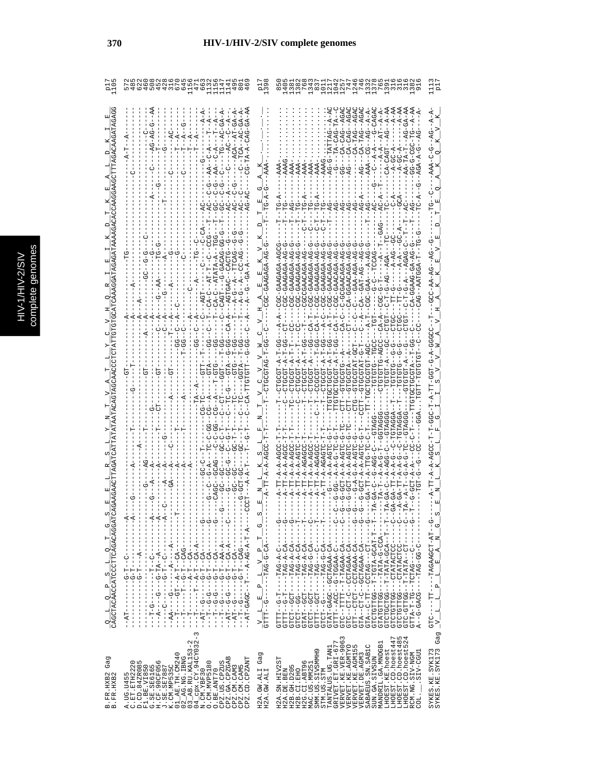| C<br>s |
|--------|
| Б      |
|        |
|        |
|        |
|        |
|        |
| ŋ<br>¢ |
| ١      |
|        |
|        |
|        |
|        |
| i      |
|        |

|                                                     | 46<br>46                                                                                                                                                                                                                                                                                                                                                                                                                                                                                                                                                                                                                                    |                                                                                                                                                                                                                                                                                               |                                                                                                                                                                                                                                                                                                                                                                                                                                                                                                                                                                                                                                                                                                                                                                                                                                                                                                                                                                                                                 |                                                                                                                                                                                                                                                                                                                                                                    |
|-----------------------------------------------------|---------------------------------------------------------------------------------------------------------------------------------------------------------------------------------------------------------------------------------------------------------------------------------------------------------------------------------------------------------------------------------------------------------------------------------------------------------------------------------------------------------------------------------------------------------------------------------------------------------------------------------------------|-----------------------------------------------------------------------------------------------------------------------------------------------------------------------------------------------------------------------------------------------------------------------------------------------|-----------------------------------------------------------------------------------------------------------------------------------------------------------------------------------------------------------------------------------------------------------------------------------------------------------------------------------------------------------------------------------------------------------------------------------------------------------------------------------------------------------------------------------------------------------------------------------------------------------------------------------------------------------------------------------------------------------------------------------------------------------------------------------------------------------------------------------------------------------------------------------------------------------------------------------------------------------------------------------------------------------------|--------------------------------------------------------------------------------------------------------------------------------------------------------------------------------------------------------------------------------------------------------------------------------------------------------------------------------------------------------------------|
| $\frac{Q-L-Q-P-S-L-Q-P}{CAGCTRACATCCCTTCAGACACATC}$ | $-4$<br>- KT - - - - - - - - - - - D - - LI - D - - - - - - -<br><b>ロー・・・・・・・・ペワー・ローベー・ロウー・・・ロー・</b><br>- - - - - - - D RU - - H - D - - - - - D - - - H -<br>$\frac{1}{1}$<br>$-1$<br>$-1 - T - G$<br>$-1$<br>$\overline{1}$                                                                                                                                                                                                                                                                                                                                                                                                               | ωj<br>Ţ<br>U.<br>$\mathbf{I}$<br>J.<br>$\frac{\mathbf{V}-\mathbf{L}-\mathbf{E}-\mathbf{P}-\mathbf{L}-\mathbf{V}-\mathbf{P}-\mathbf{T}}{\mathbf{G}\mathbf{T}\mathbf{T}\mathbf{T}-\mathbf{G}-\mathbf{I}-\mathbf{I}-\mathbf{T}\mathbf{R}\mathbf{G}-\mathbf{G}-\mathbf{C}\mathbf{A}-\mathbf{I}}.$ | $-$ AGA<br>-DR-AGACAGO-DD<br>C-GCGAACAGA-A<br>A-GGAACAGA-A<br>GAAGAGA-A<br>CGC-GAACAGA-A<br>$CA - GAT - AG$<br>$\frac{1}{2}$<br>$-\frac{1}{9}$<br>j<br>I<br>Ť<br>ī<br>Ť<br>Ī<br>$\frac{1}{1}$<br>         <br>         <br>         <br>루<br>$\frac{1}{2}$<br>Ţ<br>U<br>ု<br>$\begin{array}{c} \hline \end{array}$<br>$\frac{1}{\sqrt{2}}$<br>$\frac{1}{\sqrt{2}}$<br>ပု<br>۲<br>ا<br>F--F--400-4H4H-F--50H00H0H0<br>$\frac{1}{1}$<br>-----0-55-54H----5045-5--4<br>F-HAOO-AHOH-H--DOHHOHOHO<br>- - - KU-U-UKH - - - - - - D- - HUHU<br>-- A-CHA-CHAGAA-CH-<br>---AU-4-94H----HOU---HAHU<br>- - - 470-5-545-- - - - 1505- - 15055<br>$\frac{1}{1}$<br>GTAT-GAGC--GCTAGAA-CA--<br>$\begin{bmatrix} 1 \\ 1 \\ 1 \end{bmatrix}$<br>GTC--TTTT--T-TAGAA-CA--<br>---AJ-AAGAAGHUU---HHU<br>---HD---BRHDD--HH-D--RHD<br>--VOLURLEND---VOLLUPULU<br>--TD-CHEATATATATA--DE<br>-- 40-4-54H-----HUB--HUD<br>-- 40-4454H00--0-H0--0H5<br>$-1 - 2 - 4 - 9 - 1 - 1 - -1 - -1 - 0 - 0$<br>U---URH----HHHU<br>U-AAGH-U-UQA--HHHO | $-4 - A - A$<br>$\frac{\text{GTC}{-}{-}\text{-}\text{TTC}{-}{-}\text{-}\text{TACAAGCT}{-}\text{AT}{-}\text{-}\text{G}{-} \\ -\text{V}\underbrace{-\text{L}}_{-}\underbrace{-\text{P}}_{-}\underbrace{-\text{L}}_{-}\underbrace{-\text{E}}_{-}\underbrace{-\text{A}}_{-}\underbrace{-\text{N}}_{-}\underbrace{-\text{S}}_{-}\underbrace{-\text{S}}_{-}$<br>$-V = L$ |
| Gag<br>B.FR.HXB2<br>B.FR.HXB2                       | $\infty$<br>cpx.CY.94CY032-<br>$02$ AG. NG. IBNG<br>$03$ AB. RU. KAL153-2<br>$\begin{array}{ll} \texttt{C. ET.} & \texttt{ETH2220} \\ \texttt{D. CD.} & \texttt{34280085} \\ \texttt{D.} & \texttt{34280085} \\ \texttt{C.} & \texttt{3B.} & \texttt{3450050} \\ \texttt{C.} & \texttt{3B.} & \texttt{356105} \\ \texttt{H. CE.} & \texttt{90CF056} \\ \texttt{H. CD.} & \texttt{90CF056} \\ \texttt{K. CRL.} & \texttt{N.} & \texttt{0.} \\ \texttt{0.1-24E.} & \$<br>CPZ.US.CPZUS<br>CPZ.GA.CPZGAB<br>CPZ.CM.CAM3<br>CPZ.CM.CAM5<br>CPZ.CD.CPZANT<br>04_cpx.CY.94C<br>N.CM.YBF30<br>O.CM.NVP5180<br>O.BE.ANT70<br>A.UG.U455<br>C.ET.ETH22 | Gag<br>H2A.GW.ALI<br>H2A.GW.ALI                                                                                                                                                                                                                                                               | ru 4<br>VERVET.KE.VER-9063<br>LHOEST.CD.hoest447<br>LHOEST.CD.hoest48<br>LHOEST.CD.hoest52<br>GRIVET.ET.GRI-677<br>MANDRIL.GA.MNDGB1<br>VERVET.KE.AGMTYO<br>VERVET.KE.AGMI55<br>SABAEUS.SN.SABIC<br>TANTALUS.UG.TAN1<br>LHOEST.KE.hoest<br>SMM.US.SIVSMMH9<br>SIV-CGU1<br>RCM.NG.SIV-NGM<br>VERVET.DE.AGM3<br>SUN.GA.SIVSUN<br>H2A.SN.HIV2ST<br>H2G.CI.ABT96<br>MAC.US.MM25<br>H2B. GH. D205<br>H2B.CI.EHO<br>H2A.DE.BEN<br>STM.US.STM<br>COL.                                                                                                                                                                                                                                                                                                                                                                                                                                                                                                                                                                  | Gag<br>SYKES.KE.SYK173<br>SYKES.KE.SYK173                                                                                                                                                                                                                                                                                                                          |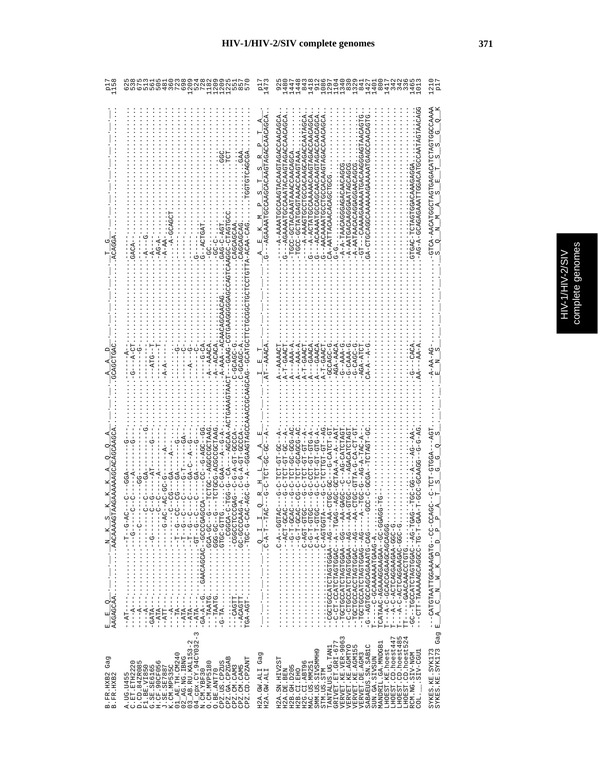| ֠ | ă<br>n<br>5 |
|---|-------------|
| S | í           |
|   | ļ           |
|   | D           |
|   |             |
|   |             |
| ś |             |
|   | í           |

|                                                                       | <b>PATD-DPPR</b><br>$-ACAA-CA$<br>GAG-C-AG<br>CACAGCA<br>$-AG - A$<br>-A-A                                                                                                                                                                                                                                                                                                                                                                                                        |                                 | AUUKUKAUUKUKHUKAARAKAKUUUUHKHUK----U<br>--A-AAAAATGCCAACAACHAGTAGACCAACAACAG<br>G--AGAAAATGAATAGDOOODAGAATAATAGAAGAA<br>ZUDAUARUDADAHDARUARUDAUDDHARRAUA---D<br>UUSHARUUAUAUUAUUAUUUUUUUUUUAAA--1---<br>URRUURUGHUGHUUUUDHUUUHRRRRURR--U<br>- TGUAUANUUAAAHAAUAHUU - UUUH -<br>ARREDAROORAREDADERTOD-OODE-<br>-A-A-TAACAGAGACAACAC<br>CA-AACACACACACHE-AA<br>-A-AATGACAAGGAA'<br>-A-AATAACA                                                                                                                                                                                                                                                                                                                                                                                                                                                                                                                                                                                                                                                             | AAAAAATCHACHACHUUUUUHUUUUHUU                                       |
|-----------------------------------------------------------------------|-----------------------------------------------------------------------------------------------------------------------------------------------------------------------------------------------------------------------------------------------------------------------------------------------------------------------------------------------------------------------------------------------------------------------------------------------------------------------------------|---------------------------------|---------------------------------------------------------------------------------------------------------------------------------------------------------------------------------------------------------------------------------------------------------------------------------------------------------------------------------------------------------------------------------------------------------------------------------------------------------------------------------------------------------------------------------------------------------------------------------------------------------------------------------------------------------------------------------------------------------------------------------------------------------------------------------------------------------------------------------------------------------------------------------------------------------------------------------------------------------------------------------------------------------------------------------------------------------|--------------------------------------------------------------------|
|                                                                       |                                                                                                                                                                                                                                                                                                                                                                                                                                                                                   |                                 |                                                                                                                                                                                                                                                                                                                                                                                                                                                                                                                                                                                                                                                                                                                                                                                                                                                                                                                                                                                                                                                         |                                                                    |
|                                                                       | <b>AG--GCATGC</b><br>$-A-AAA-AC$<br>--ATG--T<br>U-UDAUU-<br>$-A$ -ACACA<br>$-A$ -AAACA                                                                                                                                                                                                                                                                                                                                                                                            |                                 | $A---AAA- A$<br>$-AAA - B - G$<br>$A---GAACA$<br><b>U-UDAUUU-</b><br>$A--AAA- A$<br>U-AACH-U-<br>$A$ --GAACA<br>A-T-GAACT<br>$-2 - T - GAACT$<br>$-AGA-AAC2$<br>AGA-ATC'<br>A--AAAAC<br>$A-T-GAAC$                                                                                                                                                                                                                                                                                                                                                                                                                                                                                                                                                                                                                                                                                                                                                                                                                                                      |                                                                    |
| Ωņ<br>×<br>z<br>$\circ$<br>$\begin{array}{c} \hline \end{array}$<br>囸 | ひひ‐‐ひひぱ‐ひ‐‐ひひ‐<br>UARLUUUUUUR-UUUUHUH-<br>-40000-LD-4-0-0--0400;<br>ARTUUUUUUA--UUHUH<br>エーエーエーエー・ファイン・ファイン・ファイトエー<br>- - D - - L - - ・・・・・・・・・・・・ - - - - - 4L R - -<br>--UD-RUD · · · · · · · · · · · · DEREF---<br>--VO-DOO:・・・・・・・・・・1DLYYL---<br>HLD-00HD:::::::::::(HL-D-<br>ひーひーひひH-・・・・・・・・・・・・・・1.DeY-erb.L<br>$\infty$                                                                                                                                                  |                                 | U4-505405-1501-0-50-12<br>LP-LPL42-P---DP-DPL2-<br>- 4 - ひけひ - けひ - けひ I- - ひ - ツ - - - -<br>)4-505-05-101-0-5-<br>$-ACC-CCTAA- A-2-2AA$<br>じょうしゃ フィークス しゅうしゅん アルトリー<br>บันยังสับสังครับ - - วันยังมี - สัน - - - จัน - - สันธัตรต์ ความสังครับ - วัน - -<br>4-JU-HU-HUH-U<br><b>『A-SIS-IIS-IIS-S-S-----</b><br>4--ひひ-Hひ-HひH-ひ-<br>A - - 150 - 150 - 150 II - 0 - 0 - - - - 1<br>-- 04--- A4-- A4DURCHOUROUDD--<br>₫UU-H-U--,;;;;;;;;;;;;;;;<br>gOD-L-D--・・・・・・・・・・・・・・・・<br>utg-u-g-g-;;;;;;;;;;;;;;<br>LP-LPE-D::::::::::::<br>LD-L- V-O・・・・・・・・・・・・・・・・<br>H55H54-0・・・・・・・・・・・・・・・・・・<br>API--A--OAPPIPAIDIADD-ID-D--<br>4---00---4500H04HOH4OODHODH--<br>4---04--0400H04H0U40U0H--<br>----- 04-- 0400H04HUH4UUUHUUH--<br>----- 040 - 0 LINANO AU OU DU LUA - - 0 -<br>T------C-GCAAAAAATGAAG-A<br>TCATAAC-AGAAAGGAAGAA--GC-GGA<br><br>50050050055050500-0-5----<br>- 10-000-44044004004-0-4-----<br>- 10-000-0505305050504-0-4----<br>TT-----GAACAAACCTGTG<br>-GC--TGCCATCTAGGAC--AG-TGA<br>-- CTT-TAAAAACOOOCOOOF-T-CA<br>LPD--4-D・・・・・・・・・・・・・・・・ | --CATGTAATTGGAAAGATG--CC-CC<br>--A C N M K D D P P<br>$\mathbf{r}$ |
| Gag<br>B.FR.HXB2<br>B.FR.HXB2                                         | $\mathsf I$<br>CPX.CY.94CY032<br>$\mathbf{\sim}$<br>3_AB.RU.KAL153-<br>$AR$ . TH. CM240<br>2_AG.NG.IBNG<br>CPZ.GA.CPZGAB<br>CPZ.CD.CPZANT<br>$\circ$<br>$\circ$ in<br>O. CM. MVP5180<br>PZ.US.CPZUS<br>C.ET.ETH222<br>D.CD.84ZR08<br>F1.BE.VI850<br>F1.BE.VI850<br>G.SE.SB6165<br>H.CF.90CF056<br>J.SE.SE7887<br>J.SE.SE7887<br>PZ.CM.CAM3<br>CPZ.CM.CAM5<br>O.BE.ANT70<br>$4$ cpx. $CY$ .<br>$1$ . CM. $YBF30$<br>A. UG. U455<br>$\overline{z}$<br>$\circ$<br>$\circ$<br>$\circ$ | Gag<br>H2A.GW.ALI<br>H2A.GW.ALI | 54<br>3<br>LHOEST.CD.hoest447<br>VERVET.KE.VER-906<br>LHOEST.CD.hoest48<br>LHOEST.CD.hoest52<br>MANDRIL.GA.MNDGB1<br>VERVET.KE.AGMTYO<br>GRIVET.ET.GRI-67<br>SABAEUS.SN.SAB1C<br>VERVET.KE.AGM155<br>TANTALUS.UG.TAN1<br>LHOEST.KE.hoest<br>SMM.US.SIVSMMH9<br>RCM.NG.SIV-NGM<br>COL. ___.SIV-CGU1<br>VERVET. DE. AGM3<br>SUN.GA.SIVSUN<br>H2A.SN.HIV2ST<br>H2G.CI.ABT96<br>MAC.US.MM25<br>H2B.GH.D205<br>H2A.DE.BEN<br>H2B.CI.EHO<br>TM.US.STM<br>ŪΩ                                                                                                                                                                                                                                                                                                                                                                                                                                                                                                                                                                                                   | SYKES.KE.SYK173<br>SYKES.KE.SYK173 Gag                             |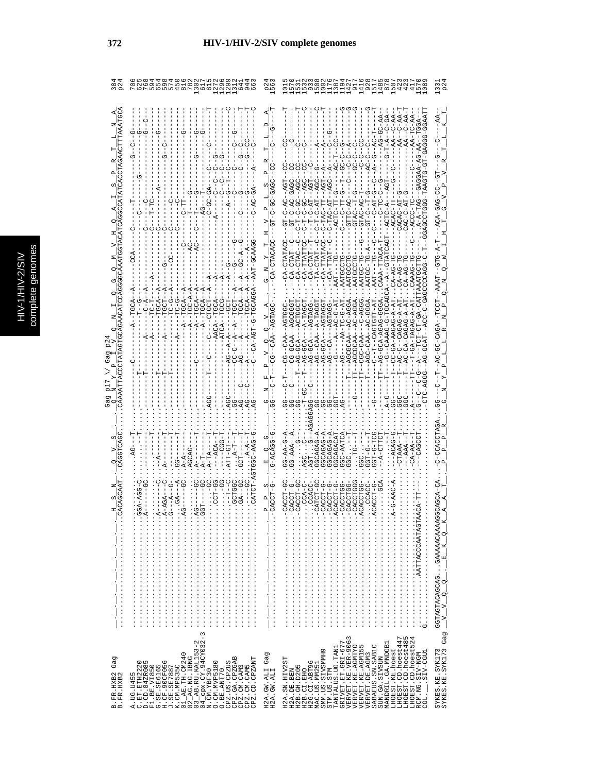| C<br>s |
|--------|
| Б      |
|        |
|        |
|        |
|        |
|        |
| ŋ<br>¢ |
| ١      |
|        |
|        |
|        |
|        |
| i      |
|        |

|                               | $\infty$ $\sim$ $\infty$                                                                                                                                                                                                                                                                                                                                                                                                                                                                                                                |                                                                                                                                                                           | והרה<br>אטראטי<br>אטראטי<br>0148                                                                                                                                                                                                                                                                                                                                                                                                                                                                                                                                                                                                                                                                                                                                                                                                   |                                           |
|-------------------------------|-----------------------------------------------------------------------------------------------------------------------------------------------------------------------------------------------------------------------------------------------------------------------------------------------------------------------------------------------------------------------------------------------------------------------------------------------------------------------------------------------------------------------------------------|---------------------------------------------------------------------------------------------------------------------------------------------------------------------------|------------------------------------------------------------------------------------------------------------------------------------------------------------------------------------------------------------------------------------------------------------------------------------------------------------------------------------------------------------------------------------------------------------------------------------------------------------------------------------------------------------------------------------------------------------------------------------------------------------------------------------------------------------------------------------------------------------------------------------------------------------------------------------------------------------------------------------|-------------------------------------------|
|                               | ပု<br>UU-U-U<br>UUACH-FAT--<br>$- -$ CTGCT<br>$A - 1$<br>$-4$<br>$-1$<br>$---ACP$<br>AGCAG<br>$A-TA$<br><b>の・・・・・・・・・・・・・・・・・・・・・・・・・・</b><br>D・・・・・・・・・・・・・・・・・・・・・・・・                                                                                                                                                                                                                                                                                                                                                                 | <b>U-U-U-U-U</b><br>$-$ -CA-CTACA<br>$\circ$<br>U-584040<br>ACCT-G<br>CO.<br>ħ<br>$\frac{1}{1}$<br>$\frac{1}{1}$<br>$\frac{1}{1}$<br>$\frac{1}{1}$<br>$\frac{1}{1}$<br>÷, | ï<br>$-40$<br>UU-U-U-U<br>-GTTC-AC<br>$-1$ GTAC-A<br>$-TAC - A$<br>Ã<br>A<br>-<br>Ţ<br>J<br>Ĭ<br>ļ<br>$-$ GTA<br>7<br>CA-TTATTC<br>--A--GTATC<br>$\mathcal{G}-\mathcal{D}$<br>$-CA-TTAT$<br>CA-CTAC<br>CA-CTAT<br>TA-CTAT<br>AATGCCT<br>AATGCCT<br><b>AATGC-T</b><br>AATGC-T<br>$A - AG - T$<br><b>AATGCCT</b><br>$A - AG -$<br>$-CA-1$<br>C-AGGA<br>4555-2<br>TT--AG-GCA-AGAG-GGG<br>AGTAGG<br>A-TAGG<br>$7 - 5 - 7$<br>$A - A - DAGA - A - A$<br>$S - A - D$<br>ì<br>م<br>ا<br>ひし<br>⊂–<br>C<br>AGC-CAA--A<br>AGCGCAA--A<br>AGCGCAA--A<br>CGC-CAA---<br>$-$ - $T$ --CAG<br>$- - - - - - - - - - -$<br>$G-GCA$ --<br>----405-5<br>$---CAA$<br>リーリー<br>$-10.1 - 0.1$<br>$A-B-A-A-BE$<br>3GCAGAG-A<br>3GCAGAG-A<br><b>SGC-AATCA</b><br>GCAGACA<br>-DAGAGAG-<br>o.<br>Pac<br><b>AAA-55</b><br><b>9-1555</b><br>cigo<br><br><br><br>. | GGTAGTACAGCAGGAAAAACAAAAGG<br>$K_Q$ $K_R$ |
| Gag<br>B.FR.HXB2<br>B.FR.HXB2 | $03$ $\overline{\!\!\! \Delta}$ RU. KAL153-2<br>04 cpx. CY. 94CY032-3<br>N. CM. YBF30<br>$\begin{array}{l} \text{A. UG. U45} \\ \text{D. CD. 371203} \\ \text{E. 151203} \\ \text{F1. 188. V1850} \\ \text{F2. 1895165} \\ \text{G. 25. 386165} \\ \text{G. 26. 18917} \\ \text{D. 189516} \\ \text{J. 189516} \\ \text{J. 1895187} \\ \text{J. 1895180} \\ \text{J. 1895180} \\ \text{J. 1895180} \\ \text{J. 1801. 1$<br>CPZ.US.CPZUS<br>CPZ.GA.CPZGAB<br>CPZ.CD.CPZANT<br>O. CM. MVP5180<br>CPZ.CM.CAM3<br>CPZ.CM.CAM5<br>O.BE.ANT70 | Gag<br>H2A.GW.ALI<br>H2A.GW.ALI                                                                                                                                           | LHOEST.CD.hoest447<br>LHOEST.CD.hoest485<br>LHOEST.CD.hoest524<br>VERVET.KE.VER-9063<br>VERVET.KE.AGMTYO<br>GRIVET.ET.GRI-677<br>MANDRIL.GA.MNDGB1<br>SABAEUS.SN.SAB1C<br>VERVET.KE.AGM155<br>TANTALUS.UG.TAN1<br>LHOEST.KE.hoest<br>SMM.US.SIVSMMH9<br>$COL.-SIV-CGUI$<br>RCM.NG.SIV-NGM<br>VERVET. DE. AGM3<br>SUN.GA.SIVSUN<br>H2A.SN.HIV2ST<br>H2G.CI.ABT96<br>MAC.US.MM251<br>H2B.GH.D205<br>STM.US.STM<br>H2A.DE.BEN<br>H2B.CI.EHO                                                                                                                                                                                                                                                                                                                                                                                           | SYKES.KE.SYK173<br>SYKES.KE.SYK173 Gag    |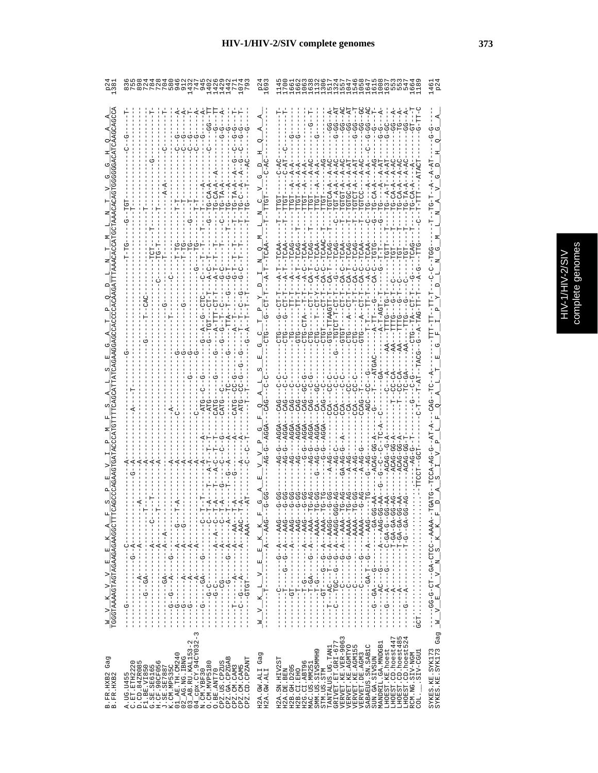|                          | Ç<br>ō |
|--------------------------|--------|
|                          |        |
|                          |        |
| $\overline{\phantom{0}}$ | ţ      |
| ſ                        | ز      |
|                          | შ<br>თ |
| I                        |        |
|                          |        |
|                          |        |
| c                        |        |
|                          |        |
|                          | î      |
|                          |        |

| Ġ                                                                                                                                                                                                                                                                                                                                          | $\overset{-}{\mathbf{G}}\overset{-}{\mathbf{G}}$<br>Ġ<br>မှ် မုံ<br>უ<br>ს<br>්                                                                                                                                                                                                                                                                                                                                                                                                                                                                                                    |
|--------------------------------------------------------------------------------------------------------------------------------------------------------------------------------------------------------------------------------------------------------------------------------------------------------------------------------------------|------------------------------------------------------------------------------------------------------------------------------------------------------------------------------------------------------------------------------------------------------------------------------------------------------------------------------------------------------------------------------------------------------------------------------------------------------------------------------------------------------------------------------------------------------------------------------------|
|                                                                                                                                                                                                                                                                                                                                            | <b>CAA</b><br><b>CAA</b><br>CA-C-<br>CA-T-<br>$C A - C -$<br>$-1000 - 1000 - 1000 - 1000 - 1000 - 1000 - 1000 - 1000 - 1000 - 1000 - 1000 - 1000 - 1000 - 1000 - 1000 - 1000 - 1000 - 1000 - 1000 - 1000 - 1000 - 1000 - 1000 - 1000 - 1000 - 1000 - 1000 - 1000 - 1000 - 1000 - 1000 - 1000 - 1000 - 1000 - 1000 - 1000 - 100$<br>$-TGTCT-T$                                                                                                                                                                                                                                      |
|                                                                                                                                                                                                                                                                                                                                            |                                                                                                                                                                                                                                                                                                                                                                                                                                                                                                                                                                                    |
| $\mathsf I$<br>$\mathsf I$<br>$\,$ I<br>- 2 - - - - - - 4 - - - - - - - - D 2 - - - - - - - - -<br><b>ひ‐‐‐‐‐ぱ‐‐‐‐‐‐‐‐‐‐‐‐‐‐‐‐‐‐‐‐‐‐‐</b><br><u> レーーーーーーーーーーーーーーー レーヴーーーーーー</u><br>$- - - - - - - -$<br>$\overline{1}$<br>ن<br>ا<br>ì<br>$-1$ $-1$ $-1$ $-1$ $-1$ $-1$<br>$\overline{\phantom{a}}$<br>$-1$ $-1$ $-1$ $-1$ $-1$<br>$-1$<br>I | $- - - - - - - - - - - - -$<br>- 45 - - 5 - 1 - - - -<br>×<br><br>×<br>回<br>$L_V = E$<br>I<br>$1 - 1 - 1 - 1 - 1 = 1 - 1 - 1 - 1 - 1 = 1 - 1$<br>$\frac{1}{1}$<br>ł<br>$\frac{1}{2}$<br>×<br>$\sum_{i=1}^{n}$<br>I<br>$\frac{1}{1}$<br>I<br>팅<br>$\mathbf{z}_\parallel$                                                                                                                                                                                                                                                                                                            |
| $\sim$<br>4_cpx.CY.94CY032-<br>3_AB.RU.KAL153-2<br>1_AE. TH. CM240<br>2_AG.NG.IBNG<br>CPZ.GA.CPZGAB<br>CPZ.CM.CAM3<br>CPZ.CM.CAM5<br>CPZ.CD.CPZANT<br>D.CD.84ZR085<br>F1.BE.VI850<br>G.SE.SE6165<br>H.CF.90CF056<br>J.SE.SE7887<br>K.CM.MP535C<br>CPZ.US.CPZUS<br>A.UG.U455<br>C.ET.ETH2220<br>O. CM. MVP5180<br>O.BE.ANT70<br>N.CM.YBF30  | LHOEST.CD.hoest485<br>LHOEST.CD.hoest524<br>3<br>LHOEST.CD.hoest447<br>$\begin{array}{lll} \texttt{GRIVET}.\texttt{ET}.\texttt{GET}.\texttt{GRL-677} \\ \texttt{VERVET}.\texttt{KE}.\texttt{VER-906} \end{array}$<br>MANDRIL.GA.MNDGB1<br>VERVET.KE.AGMTYO<br>VERVET.KE.AGM155<br>SABAEUS.SN.SAB1C<br>TANTALUS.UG.TAN1<br>LHOEST.KE.hoest<br>SMM.US.SIVSMMH9<br>SIV-CGU1<br>Gag<br>VERVET.DE.AGM3<br>RCM.NG.SIV-NGM<br>SUN.GA.SIVSUN<br>H2A.SN.HIV2ST<br>H2G.CI.ABT96<br>MAC.US.MM251<br>H2B.GH.D205<br>H2A.GW.ALI<br>H2A.GW.ALI<br>H2A.DE.BEN<br>H2B.CI.EHO<br>STM.US.STM<br>COL. |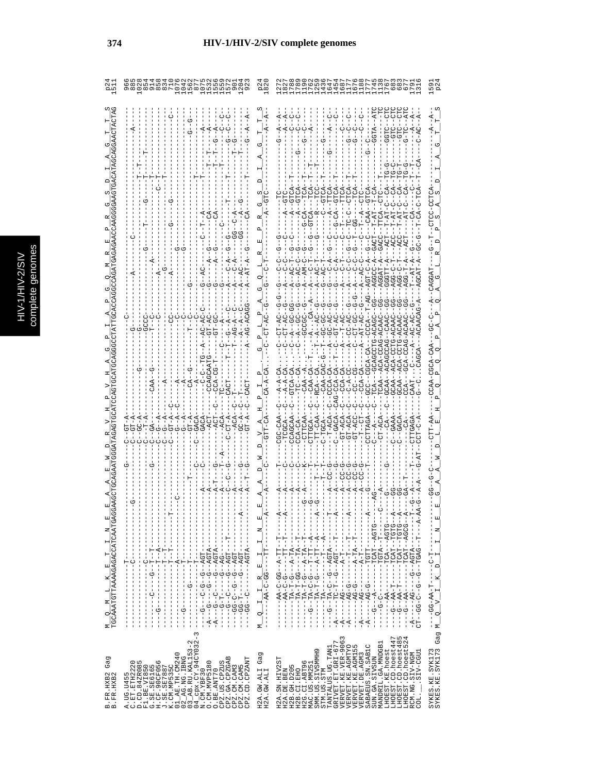|                                                                                                                                                                                                                                                                                                                                                                                                                                                                                 | oonwonnnn<br>$\infty$ or $\infty$ corp                                                                                                                                                                                                                                                                                                                                    |                                                                                                                                                                                                                                                                                                                                                                                                                                              | dodouourrur                                                                                                                                                                                                                                                                                                                                                                                                                                                       |                                            |
|---------------------------------------------------------------------------------------------------------------------------------------------------------------------------------------------------------------------------------------------------------------------------------------------------------------------------------------------------------------------------------------------------------------------------------------------------------------------------------|---------------------------------------------------------------------------------------------------------------------------------------------------------------------------------------------------------------------------------------------------------------------------------------------------------------------------------------------------------------------------|----------------------------------------------------------------------------------------------------------------------------------------------------------------------------------------------------------------------------------------------------------------------------------------------------------------------------------------------------------------------------------------------------------------------------------------------|-------------------------------------------------------------------------------------------------------------------------------------------------------------------------------------------------------------------------------------------------------------------------------------------------------------------------------------------------------------------------------------------------------------------------------------------------------------------|--------------------------------------------|
| $\frac{\mathsf{M}}{\mathsf{TGCA}}\frac{\mathsf{Q}}{\mathsf{Q}\cdot\mathsf{M}}\frac{\mathsf{I}}{\mathsf{M}}\frac{\mathsf{I}}{\mathsf{M}}\frac{\mathsf{K}}{\mathsf{M}\cdot\mathsf{M}}\frac{\mathsf{E}}{\mathsf{Q}\cdot\mathsf{A}}\frac{\mathsf{I}}{\mathsf{Q}\cdot\mathsf{A}}\frac{\mathsf{I}}{\mathsf{Q}\cdot\mathsf{M}}\frac{\mathsf{I}}{\mathsf{M}}\frac{\mathsf{I}}{\mathsf{M}}\frac{\mathsf{I}}{\mathsf{Q}\cdot\mathsf{A}}\frac{\mathsf{I}}{\mathsf{Q}\cdot\mathsf{A}}\frac$ | $\frac{1}{2}$<br>$- - - - 2$<br>Ì<br>- - - - - - - - - - - ツィー・リー - - - - - - - - - - - -<br>$\frac{1}{1}$<br>- - - - ビー・ロー - - - - - - - - - - - - - - - -<br>- - - - LDV - - D - - - - - LD - D - - - -<br>$- - A G T A - -$<br>$\frac{1}{1}$<br>$\frac{1}{1}$<br>$\frac{1}{1}$<br>$-1 - 1$<br>ţ<br>$\begin{array}{c} 1 \\ 1 \\ 1 \end{array}$<br>$\mathsf I$<br>ł<br>1 | 国<br>Ĭ<br>л<br>z,<br>ï<br>$\begin{array}{r} \begin{array}{r} \texttt{I} \end{array} \begin{array}{r} \texttt{I} \end{array} \begin{array}{r} \texttt{R} \end{array} \begin{array}{r} \texttt{E} \end{array} \begin{array}{r} \texttt{I} \end{array} \begin{array}{r} \texttt{I} \end{array} \end{array} \begin{array}{r} \texttt{I} \end{array} \begin{array}{r} \texttt{I} \end{array} \begin{array}{r} \texttt{I} \end{array} \end{array}$ | <b>D--0-51</b><br>$G-CA -$<br>$GT - RCF$<br>$GT - AC$<br>4-4---H--ひびひH--ひ--ひ--ひ-ひひ--Hひ<br>ľ<br>- - - - - - 4 - - 11 - 4 - - - - 0 - 1 - 4 1 - - - - - -<br>--ツロウロ --ロスソロ -----ローストーリー --<br>- - PHP4--- 40H - - - - -<br>- - - - - H - - RHDH - - - - - - - - - D - D - - - -<br>- - - ペー- エーエー エー ー ー ・ いっぴ ー ヘヒー ー いー ー い<br>í<br>ţ<br>$-1 - 1 - 1 - 4 - 0 - 0 - 0 - 0 - 0 - 0 - 0$                                                                             | 囯<br>z<br>$\mathbb H$                      |
|                                                                                                                                                                                                                                                                                                                                                                                                                                                                                 | <b>ローーーーーーーーーーーーーーー</b><br>$-1$ $-1$ $-1$ $-1$ $-1$ $-1$ $-1$<br>$- - - - - - - - - -$<br>$\mathsf I$<br>$\begin{array}{c} 1 \\ 1 \\ 1 \end{array}$<br>$\begin{array}{c} 1 \\ 1 \\ 1 \end{array}$<br>$\frac{1}{1}$<br>$\frac{1}{1}$                                                                                                                                       | $\begin{array}{c} \rule{0pt}{2.5ex} \rule{0pt}{2.5ex} \rule{0pt}{2.5ex} \rule{0pt}{2.5ex} \rule{0pt}{2.5ex} \rule{0pt}{2.5ex} \rule{0pt}{2.5ex} \rule{0pt}{2.5ex} \rule{0pt}{2.5ex} \rule{0pt}{2.5ex} \rule{0pt}{2.5ex} \rule{0pt}{2.5ex} \rule{0pt}{2.5ex} \rule{0pt}{2.5ex} \rule{0pt}{2.5ex} \rule{0pt}{2.5ex} \rule{0pt}{2.5ex} \rule{0pt}{2.5ex} \rule{0pt}{2.5ex} \rule{0$<br>q<br>$\frac{1}{1}$<br>Σ,                                 | $---P-1$<br>$\begin{bmatrix} 1 \\ 1 \\ 1 \\ 1 \end{bmatrix}$<br>$\begin{array}{c} 1 \\ 1 \\ 1 \end{array}$                                                                                                                                                                                                                                                                                                                                                        |                                            |
| Gag<br>B. FR. HXB2<br>B. FR. HXB2                                                                                                                                                                                                                                                                                                                                                                                                                                               | $\infty$<br>03_AB.RU.KAL153-2<br>04_cpx.CY.94CY032-<br>N.CM.YBF30<br>$\frac{1}{2}$ AE.TH.CM240<br>CPZ.GA.CPZGAB<br>CPZ.CD.CPZANT<br>A.UG.U455<br>C.ET.ETH2220<br>D.CD.84ZR085<br>F1.BE.VI850<br>G.SE.SES56165<br>CPZ.US.CPZUS<br>0. CM. MVP5180<br>5E6165<br>J.SE.SE7887<br>K.CM.MP535C<br>K.CM.MP535C<br>CPZ.CM.CAM3<br>CPZ.CM.CAM5<br>O.BE.ANT70<br>$\circ$             | Gag<br>H2A.GW.ALI<br>H2A.GW.ALI                                                                                                                                                                                                                                                                                                                                                                                                              | VERVET.KE.VER-9063<br>VERVET.KE.AGMTYO<br>LHOEST.CD.hoest447<br>LHOEST.CD.hoest485<br>LHOEST.CD.hoest524<br>GRIVET.ET.GRI-677<br>MANDRIL.GA.MNDGB1<br>SABAEUS.SN.SAB1C<br>VERVET.KE.AGM155<br>TANTALUS.UG.TAN1<br>LHOEST.KE.hoest<br>SMM.US.SIVSMMH9<br>LIED-VIIS.<br>RCM.NG.SIV-NGM<br>VERVET. DE. AGM3<br>SUN.GA.SIVSUN<br>H2A.SN.HIV2ST<br>H2G.CI.ABT96<br>MAC.US.MM25<br>H2B. GH. D205<br>H2A.DE.BEN<br>H2B.CI.EHO<br>STM.US.STM<br>$\overline{\text{COL}}$ . | SYKES.KE.SYK173<br>SYKES.KE.SYK173 Gag M__ |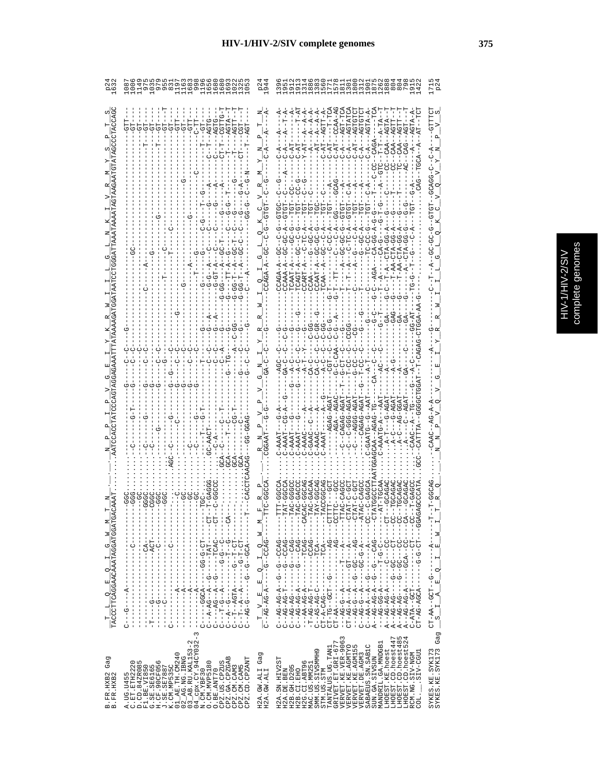|              | å<br>٥ |
|--------------|--------|
|              |        |
|              |        |
| $\mathbf{C}$ | ř      |
|              |        |
|              | f      |
| ì<br>É       | J      |
|              |        |
|              |        |
|              |        |
| ł            |        |
|              |        |
| f            | ï      |
|              | î      |
|              |        |

|                                                                                                                                                 |                                                                                                                                                                                                                                                                                                                                                                                                                                                                                                                                                                                                                                                                                                                                                                          |                                                                                                                                                                       | AGTATCI<br>AGTGTC<br>CCAA-A<br><b>AGTGTC</b><br>$A - -A - A$<br>$-A$ -A $-$ AGTA-A<br>AGTT-A<br>$A-TA-$<br>$A - A -$<br>AGT-T<br>$C-AT-$                                                                                                                                                                                                                                                                                                                                                                                                                                                                                                                                                                                                                                                                                                                                                                    |
|-------------------------------------------------------------------------------------------------------------------------------------------------|--------------------------------------------------------------------------------------------------------------------------------------------------------------------------------------------------------------------------------------------------------------------------------------------------------------------------------------------------------------------------------------------------------------------------------------------------------------------------------------------------------------------------------------------------------------------------------------------------------------------------------------------------------------------------------------------------------------------------------------------------------------------------|-----------------------------------------------------------------------------------------------------------------------------------------------------------------------|-------------------------------------------------------------------------------------------------------------------------------------------------------------------------------------------------------------------------------------------------------------------------------------------------------------------------------------------------------------------------------------------------------------------------------------------------------------------------------------------------------------------------------------------------------------------------------------------------------------------------------------------------------------------------------------------------------------------------------------------------------------------------------------------------------------------------------------------------------------------------------------------------------------|
|                                                                                                                                                 |                                                                                                                                                                                                                                                                                                                                                                                                                                                                                                                                                                                                                                                                                                                                                                          |                                                                                                                                                                       |                                                                                                                                                                                                                                                                                                                                                                                                                                                                                                                                                                                                                                                                                                                                                                                                                                                                                                             |
|                                                                                                                                                 |                                                                                                                                                                                                                                                                                                                                                                                                                                                                                                                                                                                                                                                                                                                                                                          |                                                                                                                                                                       |                                                                                                                                                                                                                                                                                                                                                                                                                                                                                                                                                                                                                                                                                                                                                                                                                                                                                                             |
|                                                                                                                                                 |                                                                                                                                                                                                                                                                                                                                                                                                                                                                                                                                                                                                                                                                                                                                                                          |                                                                                                                                                                       |                                                                                                                                                                                                                                                                                                                                                                                                                                                                                                                                                                                                                                                                                                                                                                                                                                                                                                             |
|                                                                                                                                                 |                                                                                                                                                                                                                                                                                                                                                                                                                                                                                                                                                                                                                                                                                                                                                                          |                                                                                                                                                                       | 2--000-02-22<br>2--0-00-0-22<br>$C---AGGG-A$                                                                                                                                                                                                                                                                                                                                                                                                                                                                                                                                                                                                                                                                                                                                                                                                                                                                |
|                                                                                                                                                 | $\begin{array}{c} 1 \\ 1 \\ 1 \end{array}$<br>$\frac{1}{1}$<br>$\frac{1}{1}$                                                                                                                                                                                                                                                                                                                                                                                                                                                                                                                                                                                                                                                                                             | Σ<br>Σ                                                                                                                                                                | ۲<br>ا<br>니<br>$\triangleright$                                                                                                                                                                                                                                                                                                                                                                                                                                                                                                                                                                                                                                                                                                                                                                                                                                                                             |
| $\frac{\texttt{T}-\texttt{L}-\texttt{Q}-\texttt{E}-\texttt{Q}-\texttt{I}-\texttt{G}-\texttt{W}-\texttt{M}}{\texttt{TACCTTCAGGATCGATGGATCGATG}}$ | - HU – – – – – U KU H – – – – – U – – K – – D K – – – –<br>- - - - - 10 - 11 - - 5 - - - - - - 4 10 4 - - 11 - -<br>$---PQT-$<br>$-1$<br>$-1$<br>$-1$<br>$-1$<br>$-40A -$<br>$-1$ - $-1$<br>$\begin{array}{c} 1 \\ 1 \\ 1 \\ 1 \end{array}$<br>$\begin{array}{c} 1 \\ 1 \\ 1 \\ 1 \end{array}$<br>- - 400- - 0 - - 0 - - - - - - - 0 - 0 4 - -<br>$\frac{1}{1}$<br>I<br>ï<br>ï<br>$\frac{1}{1}$<br>$\frac{1}{1}$<br>$-1 - 4 - 1 - 0 - 1$<br>$\begin{bmatrix} 1 \\ 1 \\ 1 \\ 1 \end{bmatrix}$<br>$\begin{array}{c} 1 \\ 1 \\ 1 \\ 1 \end{array}$<br>$---A---$<br>$\begin{bmatrix} 1 \\ 1 \\ 1 \\ 1 \end{bmatrix}$<br>$-1$ - $-1$ - $-1$<br>$-1$ - $-1$ - $-1$<br>Ť<br>$-1$ $-1$ $-1$<br>$\begin{array}{c} 1 \\ 1 \\ 1 \end{array}$<br>$\frac{1}{1}$<br>Ţ<br>$\frac{1}{1}$ | $-2 - 7 - 8 - 1 - 8 - 1 - 1 = -1$<br>$\frac{\mathbf{T}-\mathbf{V}-\mathbf{E}-\mathbf{E}}{\mathbf{C}-\mathbf{A}\mathbf{G}-\mathbf{A}\mathbf{G}-\mathbf{A}-\mathbf{E}}$ | )dJ - - - - DdJ L - - - - - - - - - - 4 - Dd - dd - - -<br>L------DdひU--------H-のd-のd-L-<br>L- - - - - - - - dOL- - - - - - - - D- Dd - Sd - - O<br>LID - - - - D �� - - - - - - - D - - LID D - - D LI - LID<br>こじひーーーー ひぺーーーーーーーーーーーーーーー イベービン<br><b>ロー・トー・トー スーー - ロロー・トー・スーー スーツスーロン</b><br>A - -AG-AG-- - - -G---CC-- ---CC-<br>A - -AG-AG-A - - - -GCA--CC - - - -CA-<br>.UU - - - - LU - - - - - - - - - - LUU - - RLN - U<br>$\begin{aligned} C &=-\mathbf{A}\mathbf{A}-\mathbf{A}--\mathbf{A}--G---&---\mathbf{A}---&---\mathbf{A}----C\\ \mathbf{A} &=-\mathbf{A}G-\mathbf{A}G-\mathbf{A}--G---&---C\\ \mathbf{A} &=-\mathbf{A}G-\mathbf{A}G-\mathbf{A}--&\end{aligned}$<br><u> ひひーーーーHひーーーひひーーひーーーーのドーツドーード</u><br>HU----UU---U------4-U4-U4--4<br>$\begin{array}{c}\n- -A & -1 \\ \hline\nE & -1\n\end{array}$<br>$\blacksquare$<br>ţ<br>o<br>$-10 - 100 - 100 - 100$<br>피<br>$\mathbf{r}$<br>H |
| Gag<br>B.FR.HXB2<br>B.FR.HXB2                                                                                                                   | $\frac{1}{1}$<br>i<br>F<br>$\frac{1}{1}$<br>$\frac{1}{1}$<br>$\frac{1}{1}$<br>I<br>J.<br>Ü<br>Ü<br>$\circ$<br>Ü<br>U<br>$\overline{1}$<br>I.<br>U<br>U<br>U<br>U<br>J.<br>Μ<br>$01$ $A$ n TH.CM240<br>$02$ $A$ G.NG.IBNG<br>$03$ $A$ B.RU.KAL153-2<br>$04$ $Cpx$ .CY.94CV032-3<br>CPZ.GA.CPZGAB<br>CPZ.CD.CPZANT<br>CPZ.US.CPZUS<br>A.UG.U455<br>C.ET.ETH2220<br>D.CD.84ZR085<br>F1.BE.VI850<br>G.SE.SE6165<br>F1.BE.VI850<br>G.SE.SE6165<br>H.CF.90CF056<br>J.SE.SE7887<br>0. CM. MVP5180<br>K.CM.MP535C<br>CPZ.CM.CAM3<br>CPZ.CM.CAM5<br>O.BE.ANT70<br>N.CM.YBF30                                                                                                                                                                                                      | ÜÜ<br>Gag<br>H2A.SN.HIV2ST<br>H2A.GW.ALI<br>H2A.GW.ALI<br>H2A.DE.BEN                                                                                                  | $\omega$<br>Ü<br>Gag<br>VERVET.KE.VER-9063<br>VERVET.KE.AGMTYO<br>LHOEST.CD.hoest485<br>LHOEST.CD.hoest524<br>LHOEST.CD.hoest447<br>D<br>MANDRIL.GA.MNDGB1<br>$\begin{array}{ll} \texttt{TANTALUS . UG . TAMI} \\ \texttt{GRLVET . ET . GRL-67} \end{array}$<br>VERVET.KE.AGM155<br>SABAEUS.SN.SAB1C<br>SYKES.KE.SYK173<br>SYKES.KE.SYK173<br>LHOEST.KE.hoest<br>SMM.US.SIVSMMH9<br>SIV-CGU1<br>VERVET.DE.AGM3<br>RCM.NG.SIV-NGM<br>SUN.GA.SIVSUN<br>H2G.CI.ABT96<br>MAC.US.MM251<br>H2B. GH. D205<br>H2B.CI.EHO<br>STM.US.STM                                                                                                                                                                                                                                                                                                                                                                              |
|                                                                                                                                                 |                                                                                                                                                                                                                                                                                                                                                                                                                                                                                                                                                                                                                                                                                                                                                                          |                                                                                                                                                                       | COL.                                                                                                                                                                                                                                                                                                                                                                                                                                                                                                                                                                                                                                                                                                                                                                                                                                                                                                        |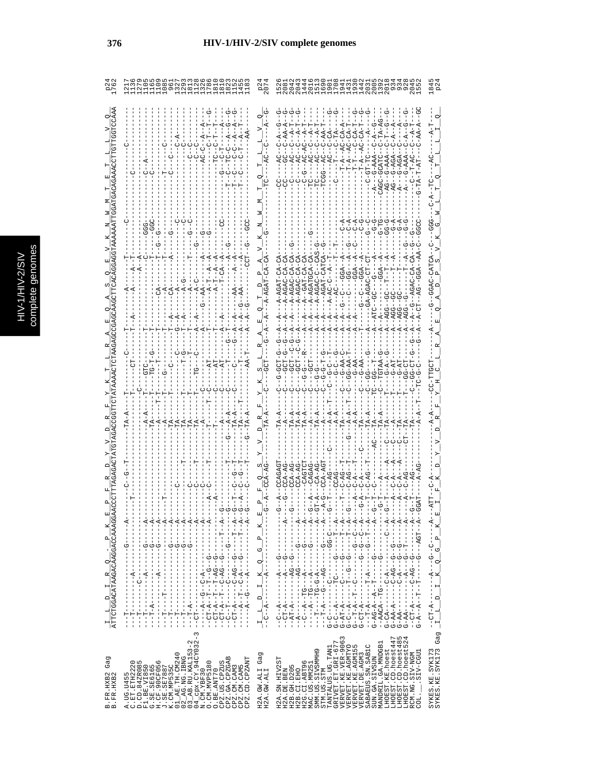|                                                                               |                                                                                                                                                                                                                                                                                                                                                                                                                                                                                                                                                                                                                                                                                                                                                                                                                                                                                                                                                                                                                                | 207<br>20                                                                                                                                                                                     |                                                                                                                                                                                                                                                                                                                                                                                                                                                                                                                                                                                                                                                                                                                                                                                                                                           |                                        |
|-------------------------------------------------------------------------------|--------------------------------------------------------------------------------------------------------------------------------------------------------------------------------------------------------------------------------------------------------------------------------------------------------------------------------------------------------------------------------------------------------------------------------------------------------------------------------------------------------------------------------------------------------------------------------------------------------------------------------------------------------------------------------------------------------------------------------------------------------------------------------------------------------------------------------------------------------------------------------------------------------------------------------------------------------------------------------------------------------------------------------|-----------------------------------------------------------------------------------------------------------------------------------------------------------------------------------------------|-------------------------------------------------------------------------------------------------------------------------------------------------------------------------------------------------------------------------------------------------------------------------------------------------------------------------------------------------------------------------------------------------------------------------------------------------------------------------------------------------------------------------------------------------------------------------------------------------------------------------------------------------------------------------------------------------------------------------------------------------------------------------------------------------------------------------------------------|----------------------------------------|
|                                                                               |                                                                                                                                                                                                                                                                                                                                                                                                                                                                                                                                                                                                                                                                                                                                                                                                                                                                                                                                                                                                                                |                                                                                                                                                                                               |                                                                                                                                                                                                                                                                                                                                                                                                                                                                                                                                                                                                                                                                                                                                                                                                                                           |                                        |
|                                                                               |                                                                                                                                                                                                                                                                                                                                                                                                                                                                                                                                                                                                                                                                                                                                                                                                                                                                                                                                                                                                                                |                                                                                                                                                                                               | GA-AGAC<br>$-6-AA$<br>$-5-4A$                                                                                                                                                                                                                                                                                                                                                                                                                                                                                                                                                                                                                                                                                                                                                                                                             |                                        |
| $\frac{1}{\text{ATTCTGCACATTAAGACAGGACCAAGGA}} = \frac{1}{P} \frac{K}{K - E}$ | ŧ<br>ł<br>ł<br>ŧ<br>Ť,<br>ŧ<br>ł,<br>t,<br>ŧ<br>ł<br>ŧ<br>t,<br>$- - A - -$<br>J.<br>$\mathbf{I}$<br>J.<br>$-$ – – $ \overline{A}$<br>Ť.<br>$-4$<br>$- - - - - A$<br>$-4$<br>$-4$<br>$-4$<br>$- - - - - A$<br>$- - A$<br>$- - - - A$<br>- H – – – – – + D – – – K – U – – H – – K – – – –<br>J.<br>$\frac{1}{1}$<br>$\frac{1}{4}$<br>$\frac{1}{1}$<br>$-1 - 5 - 1$<br>Ť.<br>$-5 - 1$<br>$\mathsf I$<br>I<br>$\frac{1}{\sqrt{2}}$<br><b>ひ‐‐‐‐‐‐‐‐‐‐‐‐‐‐‐‐‐‐‐‐‐‐‐‐‐</b><br><b>0</b> - - - - - - - - -<br>$\frac{1}{1}$<br>J.<br>Ţ<br>$\frac{1}{4}$<br>Ţ<br>Î<br>I.<br>J.<br>Ť.<br>- - ペ - - - - - - - - - - - - -<br>$\mathsf I$<br>$- - A - -$<br>I<br>$-1$ - $-1$ - $-1$<br>$\frac{1}{1}$<br>$\begin{array}{c} 1 \\ 1 \\ 1 \\ 1 \end{array}$<br>$-----P-P$<br>$\begin{array}{c} \begin{array}{c} \text{1} \\ \text{2} \\ \text{3} \\ \text{4} \end{array} \end{array}$<br>-----------<br>Ţ<br>J.<br>Ť.<br>ı<br>$-1 - T - -$<br>$-1 - T - -$<br>$\frac{1}{1}$<br>$-1$ – $T$ – –<br>ن<br>ا<br>$\frac{1}{1}$<br>J.<br>т<br>т<br>3 | 囸<br>ţ<br>×<br>$\mathbf{I}$<br>л<br>д,<br>J,<br>ゼ<br>J,<br>$\begin{array}{c} 1 \\ 1 \\ 1 \end{array}$<br>ö<br>$\mathbf{K}$<br>$-4 -$<br>н<br>$- - - - - - - - -$<br>$\Box$<br>급<br>ျပုံ<br>၂၂ | ŧ<br>÷,<br>ŧ<br>ŧ<br>$\frac{1}{1}$<br>$\begin{array}{l} \mathbf{\ddot{c}-A}\mathbf{A}^{T}\cdot\mathbf{A}^{T}\cdot\mathbf{A}^{T}\cdot\mathbf{A}^{T}\cdot\mathbf{A}^{T}\cdot\mathbf{A}^{T}\cdot\mathbf{A}^{T}\cdot\mathbf{A}^{T}\cdot\mathbf{A}^{T}\cdot\mathbf{A}^{T}\cdot\mathbf{A}^{T}\cdot\mathbf{A}^{T}\cdot\mathbf{A}^{T}\cdot\mathbf{A}^{T}\cdot\mathbf{A}^{T}\cdot\mathbf{A}^{T}\cdot\mathbf{A}^{T}\cdot\mathbf{A}^{T}\cdot\mathbf{A}^{T}\cdot\mathbf{A}^{T}\cdot\mathbf$<br>ï<br>$\mathbf{I}$<br>$\overline{1}$<br>J.<br>$\mathbf{I}$<br>т<br>$-1 - -2 - 1 - 2 - 1 - 2 - 1 - 2 - 1 - 2 - 1 - 2 - 1$<br>$- - A$<br>$-4$<br>$-4$<br>$- - - - - A$<br>$-4$<br>$-4$<br>$\mathbf{I}$<br>$\frac{1}{1}$<br>ひーひひーーーーーーーーひーーーーーーーーしーひ<br><b>ローーーーーひーーひーーローーーーイーーひーひ</b><br>ï<br>$-1 - 4 - - - - - -$<br>$-1 - 2 - 1 - 3 - 1$<br>ن<br>۱<br>T |                                        |
| Gag<br>B.FR.HXB2<br>B.FR.HXB2                                                 | $\begin{array}{l} \text{A. U1}, \text{B. 195} \\ \text{D. 1}, \text{B. 220} \\ \text{D. 1}, \text{B. 2420085} \\ \text{F1. 1, B: V1850} \\ \text{F1. 1, B: V1850} \\ \text{F1. 1, B: V1850} \\ \text{F1. 1, B: V1850} \\ \text{F1. 1, B: V1850} \\ \text{F1. 1}, \text{F1. 1}, \text{F1. 1}, \text{F1. 1}, \text{F1. 1}, \text{F1. 1}, \text{F1. 1$<br>CPZ.US.CPZUS<br>CPZ.GA.CPZGAB<br>CPZ.CM.CAM3<br>CPZ.CM.CAM5<br>CPZ.CD.CPZANT<br>O.BE.ANT70                                                                                                                                                                                                                                                                                                                                                                                                                                                                                                                                                                              | Gag<br>H2A.GW.ALI<br>H2A.GW.ALI                                                                                                                                                               | LHOEST.CD.hoest447<br>LHOEST.CD.hoest485<br>LHOEST.CD.hoest524<br>VERVET.KE.VER-9063<br>TANTALUS.UG.TAN1<br>GRIVET.ET.GRI-677<br>MANDRIL.GA.MNDGB1<br>VERVET.KE.AGMTYO<br>VERVET.KE.AGMI55<br>SABAEUS.SN.SAB1C<br>SMM.US.SIVSMMH9<br>LHOEST.KE.hoest<br>SIV-CGU1<br>VERVET.DE.AGM3<br>RCM.NG.SIV-NGM<br>SUN.GA.SIVSUN<br>H2A.SN.HIV2ST<br>H2G.CI.ABT96<br>MAC.US.MM251<br>H2B.GH.D205<br>H2B.CI.EHO<br>H2A.DE.BEN<br>STM.US.STM<br>COL.                                                                                                                                                                                                                                                                                                                                                                                                   | SYKES.KE.SYK173<br>SYKES.KE.SYK173 Gag |

**376 HIV-1/HIV-2/SIV complete genomes**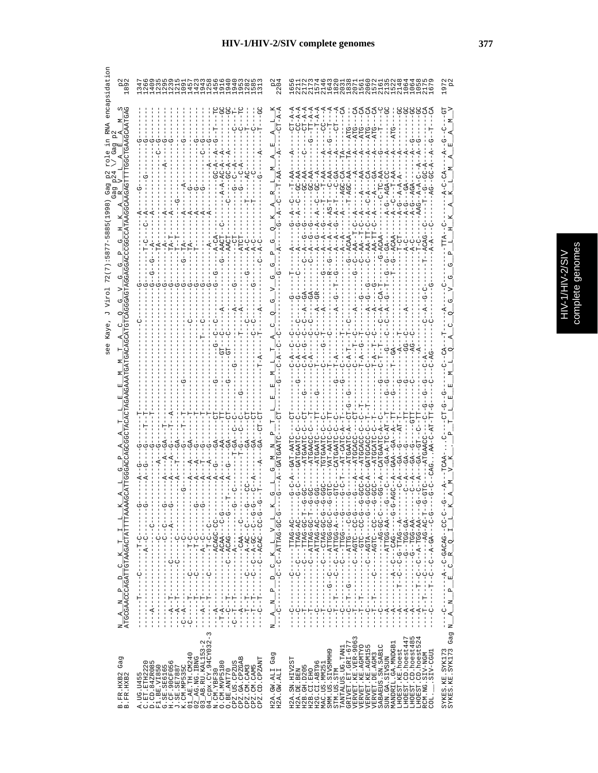|   | ۶<br>J.<br>ij |
|---|---------------|
|   |               |
| f | pued          |
|   | ກ             |
|   |               |
|   | ٦             |
| E | ļ<br>ŕ        |
|   |               |

|                                                                                                                                                                                                                                                                                                                                                                                                                                                 | Vir<br>Kaye<br>see                                                                                                                                                                                                                                                                                                                                                                                                                                                                                                                                                                                                                                                                                                                                                                                                                                                                                                                                                                                              |     |
|-------------------------------------------------------------------------------------------------------------------------------------------------------------------------------------------------------------------------------------------------------------------------------------------------------------------------------------------------------------------------------------------------------------------------------------------------|-----------------------------------------------------------------------------------------------------------------------------------------------------------------------------------------------------------------------------------------------------------------------------------------------------------------------------------------------------------------------------------------------------------------------------------------------------------------------------------------------------------------------------------------------------------------------------------------------------------------------------------------------------------------------------------------------------------------------------------------------------------------------------------------------------------------------------------------------------------------------------------------------------------------------------------------------------------------------------------------------------------------|-----|
| Gag<br>B.FR.HXB2<br>B.FR.HXB2                                                                                                                                                                                                                                                                                                                                                                                                                   | മത<br>$\infty$<br>ס<br>AGTAGGA<br>5<br>EAT<br>Ŭ<br>AG<br>ATGCGAACCCAGATTGTAAGACTATTTTAAA<br>ĸ<br>Н<br>Н<br>×<br>O<br>$\Box$<br>$\mathbf{\Omega}$<br>Z<br>К<br>z                                                                                                                                                                                                                                                                                                                                                                                                                                                                                                                                                                                                                                                                                                                                                                                                                                                 | 1 U |
| CPZ.US.CPZUS<br>CPZ.GA.CPZGAB<br>CPZ.CM.CAM3<br>CPZ.CM.CAM5<br>CPZ.CD.CPZAMT<br>0. CM. MVP5180<br>O.BE.ANT70                                                                                                                                                                                                                                                                                                                                    | dwawdawaanda<br>Gwawdowaand<br>4<br>40000<br>てり<br>$-4$<br>К<br>- - - - - ひ - - - d'd'U - - - - - - -<br>ن<br>۱<br>j<br>·<br><br><br><br><br><br><br><br><br><br><br><br><br><br><br><br><br>$\begin{bmatrix} 1 \\ 1 \\ 1 \end{bmatrix}$<br>- - - - ひひ - ひのざひば - - - - - - - - - - - -<br>ţ<br>$\frac{1}{1}$<br>$\begin{bmatrix} 1 \\ 1 \\ 1 \\ 1 \end{bmatrix}$<br>J.<br>Ť<br>$\frac{1}{1}$<br>$\frac{1}{1}$<br>$\frac{1}{1}$<br><b>ひ‐H‐‐‐‐‐‐ひ‐‐‐‐‐‐‐‐‐‐‐‐</b><br>$-1$ - $-1$ - $-1$<br>$\sf I$<br>$\frac{1}{1}$<br>$\frac{1}{1}$<br>$\frac{1}{1}$<br>$- -P - -P - -$<br>$- -\mathbf{B} - \mathbf{E}$<br>$\frac{1}{1}$<br>$-1$ - $-1$ - $-1$ - $-1$<br>į<br>$- -A - -$<br>$\frac{1}{1}$<br>$- -A - -$<br>$\frac{1}{1}$<br>$- - A$<br>Ť<br>$\frac{1}{1}$<br>$\mathsf I$<br>ပု<br>I<br>I<br>I<br>I<br>п<br>T<br>I<br>I.<br>$\mathbf{I}$<br>т<br>3                                                                                                                                                                |     |
| Gag<br>H2A.GW.ALI<br>H2A.GW.ALI                                                                                                                                                                                                                                                                                                                                                                                                                 | てり<br>മ<br>×<br>$\begin{array}{c}\nD & C & K & L & V & L \\ -D & -C & -ATTAG-GC-G\n\end{array}$<br>ρý<br>J.<br>z<br>τJ<br>Ч,<br>$\frac{1}{1}$<br>$\overline{1}$<br>z<br>- 1                                                                                                                                                                                                                                                                                                                                                                                                                                                                                                                                                                                                                                                                                                                                                                                                                                     |     |
| Μ<br>LHOEST.CD.hoest447<br>LHOEST.CD.hoest485<br>LHOEST.CD.hoest524<br>VERVET.KE.VER-906<br>GRIVET.ET.GRI-677<br>MANDRIL.GA.MNDGB1<br>SABAEUS. SN. SABIC<br>VERVET.KE.AGMTYO<br>VERVET.KE.AGM155<br>TANTALUS.UG.TAN1<br>SMM.US.SIVSMMH9<br>LHOEST.KE.hoest<br>SIV-CGU1<br>RCM.NG.SIV-NGM<br>VERVET.DE.AGM3<br>SUN.GA.SIVSUN<br>H2A.SN.HIV2ST<br>H2G.CI.ABT96<br>MAC.US.MM251<br>H2B. GH. D205<br>H2A.DE.BEN<br>H2B.CI.EHO<br>STM.US.STM<br>COL. | $PT - A -$<br>$T - A -$<br>$-A$ -<br>$CT - A -$<br>Η<br>てりてり<br>ಕಿ ಕ<br>Ĭ<br>ĭ<br>Ť<br>Ĭ<br>Ĭ<br>Ť.<br>Ť.<br>Ĭ<br>j.<br><b>ウーウー----ウ∀ソ---ソ--∀--------∀---</b><br>$\mathsf I$<br>I<br>- - - - - イム - ひひ I.L.ベ - - - - - - - - - - - - -<br>- - - - 45-555- - - - - - - - -<br>- 0 - - 4 - 0 0 H H 4 - - 0 - - 0 - - - - - - - - -<br>- ツーシー – - イヴ – イー・シー・シー – トー・<br>H - ひひ - ひぺIIII - - - ひ - - - - -<br>ウ<br>し<br>$\frac{1}{\sqrt{2}}$<br>- - - 20 - - 21:54 - - - - - - 2 - - - - - - - -<br><u> ひ‐ひの‐のペーーーーーーーーーーーーーーーーーー</u><br>$\frac{1}{1}$<br>--44-555--5----<br>UR-DRHI------U----<br>- MAHU - - - U - - - - -<br>I<br>I<br>$-1$ $-1$ $-1$ $-1$ $-1$ $-1$<br>$\frac{1}{1}$<br>$\frac{1}{4}$<br>$\frac{1}{1}$<br>$\frac{1}{4}$<br>$\frac{1}{4}$<br>ţ<br>$- - A - -$<br>$A - -$<br>$\frac{1}{1}$<br>ł<br>ပုံ<br>U<br>↻<br>F<br>-<br>$\frac{1}{2}$<br>י<br>ד<br>יך<br>י<br>$\frac{1}{1}$<br>Ĭ<br>Ĭ<br>Ţ<br>$\begin{bmatrix} 1 \\ 1 \\ 1 \end{bmatrix}$<br>Ī<br>ļ<br>ļ<br>Ī<br>Í<br>Ţ<br>Ţ<br>ť<br>ŧ<br>I |     |
| SYKES.KE.SYK173<br>SYKES.KE.SYK173 Gag                                                                                                                                                                                                                                                                                                                                                                                                          | $I_{L,K}$<br>$C$ $R$ $Q$<br>폑<br>$\alpha$<br>$\mathbb{R}$<br>ーリーーー<br>$\mathbf{A}$<br>$\square$                                                                                                                                                                                                                                                                                                                                                                                                                                                                                                                                                                                                                                                                                                                                                                                                                                                                                                                 |     |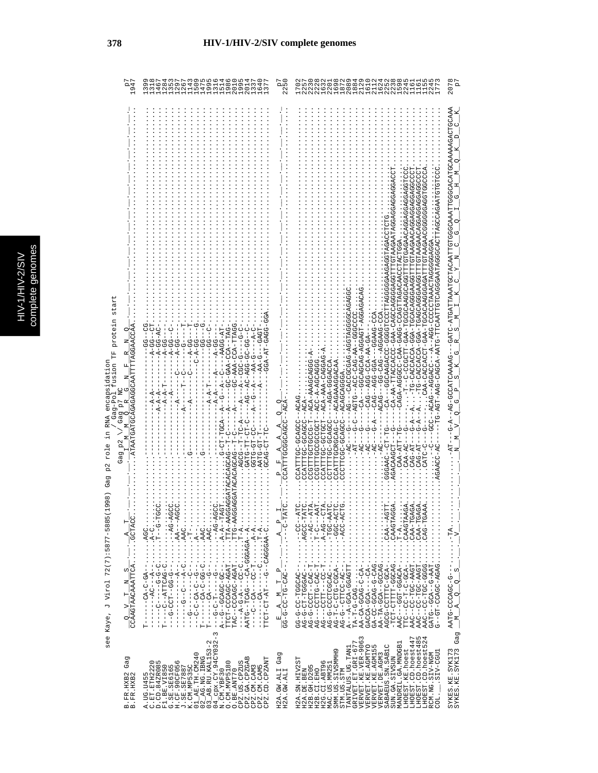see Kaye, J Virol 72(7):5877-5885(1998) Gag p2 role in RNA encapsidation<br>  $\frac{1}{\sqrt{2}}$  gag-Pol fusion TF protein start / Gag-Pol fusion TF protein start see Kaye, J Virol 72(7):5877-5885(1998) Gag p2 role in RNA encapsidation

|                                                |                                                                                                                                                                                                                                                                                                                                                                                                                                                                                                                                                                                                                                                                                                                                                    |                                                        |                                                                                                                                                                                                                                                                                                                                                                                                                                                                                                                                                                                                                            | 207                                                                                                                                                                                                                                                                                                                                                                                                            |
|------------------------------------------------|----------------------------------------------------------------------------------------------------------------------------------------------------------------------------------------------------------------------------------------------------------------------------------------------------------------------------------------------------------------------------------------------------------------------------------------------------------------------------------------------------------------------------------------------------------------------------------------------------------------------------------------------------------------------------------------------------------------------------------------------------|--------------------------------------------------------|----------------------------------------------------------------------------------------------------------------------------------------------------------------------------------------------------------------------------------------------------------------------------------------------------------------------------------------------------------------------------------------------------------------------------------------------------------------------------------------------------------------------------------------------------------------------------------------------------------------------------|----------------------------------------------------------------------------------------------------------------------------------------------------------------------------------------------------------------------------------------------------------------------------------------------------------------------------------------------------------------------------------------------------------------|
| rag                                            | UAH--AUU-AAU-UU-<br>-AAGG-AI<br>ひひーひひーひひえーし イー・<br>-CO-AAA-UD-<br>- - ビーひひひーートーー<br>$A - A$<br>GATG-7                                                                                                                                                                                                                                                                                                                                                                                                                                                                                                                                                                                                                                              |                                                        | UULDUKUUKUUKUUKUKKUKULULLLUUKUUUKKUUUUL – KKU – LLUUUU – U – – L_<br>ひLEDLKYRYOUDYYLLOYOUDYYLYRYOUDYOLLOLLAYOLL- PLYY-YOUYO-DYYY-LDYY-D<br>CUACUACUACUACUACUA<br>IHOOKYOOOGOKOUP-KOO-KOOKOUKO-DH-<br>UARURURIEDRUU-DORU-RRU-UUDDDR-RURU<br>ひひひひべ LLUひひし Lのひのひ - しひひんひ Y Y LUのひ ――― Y U<br>7555400540-445-0004004HH-44-40<br>)4554-H54554-54054055---40<br>AUU―URRUUR――URU―UU―――URUY<br>CAU --- AGU -- DAY<br>45-44-400-504--540<br>44-540-004-1-0HB<br>ひえひひひひひく ーーーウォ<br>--ACA-AAA-CAGGA<br>--ACAGAAAGGACAA<br>--ACC-A-AGCAG<br>$---ACA-2$<br><b>ACAG</b><br>HUUHUU-UUHHHKU<br>$CAA - ATT - 5$<br>$CAA-AC$<br>CAG-AI<br>ζŦ | -AG-COUNTING-                                                                                                                                                                                                                                                                                                                                                                                                  |
|                                                | $\cdots$ $\cdots$ $\cdots$ $\cdots$<br>$\ddots$ $A - 1$<br>$\ldots$ . TTA-AA<br>AA-DTT<br>$\cdots$ $T - A$ .<br><b>H-5--------</b>                                                                                                                                                                                                                                                                                                                                                                                                                                                                                                                                                                                                                 |                                                        | TAT<br>CAACTAAGA<br>CAA-TGAGA<br>$A - 39T - $<br>$A - DCA - C - A$<br>$A - A + B$<br>ACAAGTA<br>$T - A \ldots$<br>CAA-TG<br>CAG-TG<br>.<br>$\cdots$ $\cdots$                                                                                                                                                                                                                                                                                                                                                                                                                                                               |                                                                                                                                                                                                                                                                                                                                                                                                                |
| $\frac{Q}{CCAAGTRACAAATTCA\ldots\ldots CTACC}$ | $\cdots$ ) $\vdots$ $\cdots$ $\cdots$ $\cdots$ $\vdots$ $\vdots$ $\vdots$ $\vdots$ $\vdots$ $\vdots$ $\vdots$ $\vdots$ $\vdots$ $\vdots$ $\vdots$ $\vdots$ $\vdots$ $\vdots$ $\vdots$ $\vdots$ $\vdots$ $\vdots$ $\vdots$ $\vdots$ $\vdots$ $\vdots$ $\vdots$ $\vdots$ $\vdots$ $\vdots$ $\vdots$ $\vdots$ $\vdots$ $\vdots$ $\vdots$ $\vd$<br>NY-54--・・・・・・--5-55--HDJ-5---<br>$A^{(n)} - A^{(n)} + A^{(n)} + A^{(n)} + A^{(n)} + A^{(n)} + A^{(n)} + A^{(n)} + A^{(n)} + A^{(n)} + A^{(n)} + A^{(n)} + A^{(n)} + A^{(n)} + A^{(n)} + A^{(n)}$<br>$\cdots$ , $C_1 + C_2 - C_3 - C_4$<br>AATG--TCAG--CA-GGAGA--A<br>・・・・Y-V・・・・・・・・・ L-DD--- YD--D----<br>TTCT-CCAGC-AGAT<br>TAC--CCACCOO---<br><b>ひーひーひーーーーーひーーーー</b><br>U- 4----U---U------<br>н | $\frac{E-A}{G-G-G-CC-TG-CAC--\ldots}=\frac{A-P}{T-T}.$ | iH-UUDK: · · · · · · - - UKUUUH-IU-U-U-UK<br>- -ひひ - - ・・・・・・ - - -ひぱひのひH -ひひ - め-めの<br>$AA-TA-CCAC$<br>$\vdots$<br>$\vdots$<br>AG-G-CODDD-1<br>$-TCT-TTTT-TT-TTT-0.$<br>- 40400-H00----ORR<br>AGC-COTTED-CA-<br>AG---CAC-CAC-T<br>AG----CUPI----<br>AG-G--CITCC-AC-<br>AAC--CC-TGC-AAGT<br>AG-G-COU-D-DAG<br>$-400-0-1-00-0$<br>AAC--CC-TGC-AAGT<br>0000-00H-00--044<br>GATG--GCA--G-AAT<br>G--GT-CCAGC-AGAG                                                                                                                                                                                                              | $AAT = \begin{bmatrix} 1 & 1 & 1 \\ 1 & 1 & 1 \\ 1 & 1 & 1 \\ 1 & 1 & 1 \\ 1 & 1 & 1 \\ 1 & 1 & 1 \\ 1 & 1 & 1 \\ 1 & 1 & 1 \\ 1 & 1 & 1 \\ 1 & 1 & 1 \\ 1 & 1 & 1 \\ 1 & 1 & 1 \\ 1 & 1 & 1 \\ 1 & 1 & 1 \\ 1 & 1 & 1 \\ 1 & 1 & 1 \\ 1 & 1 & 1 \\ 1 & 1 & 1 \\ 1 & 1 & 1 \\ 1 & 1 & 1 \\ 1 & 1 & 1 \\ 1 & 1 & 1 \\ 1 & 1 & 1 \\ 1 & $<br>$-1$ $-1$ $-1$ $-1$ $-1$ $-1$ $-1$<br>$\mathbb{F}_{\mathbb{Z}}^{2}$ |
| Gag<br>B.FR.HXB2<br>B.FR.HXB2                  | $\begin{array}{ll} \text{K. CM. MEP 555C} \\ \text{01\_AR. TH. CMA0} \\ \text{02\_AG. NG. HING} \\ \text{03\_AG. NG. HING} \\ \text{04\_GBX. CY. 94CY032-3} \\ \text{04\_GBX. CY. 94CY032-3} \\ \text{N. CM. YEP 30} \end{array} .$<br>$\mathbf{m}$<br>CPZ.CM.CAM5<br>CPZ.CD.CPZANT<br>C.ET.ETH2220<br>D.CD.84ZR085<br>$F1. BE. V1850$<br>$G. SE. SE6165$<br>$H. CF. 90CF056$<br>$J. SE. SE7887$<br>O. CM. MVP5180<br>CPZ.US.CPZUS<br>CPZ.GA.CPZGA<br>CPZ.CM.CAM3<br>O.BE.ANT70<br>Б<br>A. UG. U45                                                                                                                                                                                                                                                 | Gag<br>H2A.GW.ALI<br>H2A.GW.ALI                        | $\begin{array}{c} \texttt{GRIVET}.\texttt{ET}.\texttt{GET}.\texttt{GRL-677} \\ \texttt{VERVET}.\texttt{KE}.\texttt{VER-9063} \end{array}$<br>LHOEST.CD.hoest447<br>LHOEST.CD.hoest485<br>LHOEST.CD.hoest524<br>MANDRIL.GA.MNDGB1<br>SABAEUS.SN.SABIC<br>VERVET.KE.AGMTYO<br>VERVET.KE.AGM155<br>TANTALUS.UG.TAN1<br>LHOEST.KE.hoest<br>SMM.US.SIVSMMH9<br>LIED-VIS.<br>VERVET.DE.AGM3<br>RCM.NG.SIV-NGM<br>SUN.GA.SIVSUN<br>H2A.SN.HIV2ST<br>H2G.CI.ABT96<br>MAC.US.MM251<br>H2B.GH.D205<br>H2A.DE.BEN<br>H2B.CI.EHO<br>STM.US.STM<br>COL.                                                                                 | Gag<br>SYKES.KE.SYK173<br>SYKES.KE.SYK173                                                                                                                                                                                                                                                                                                                                                                      |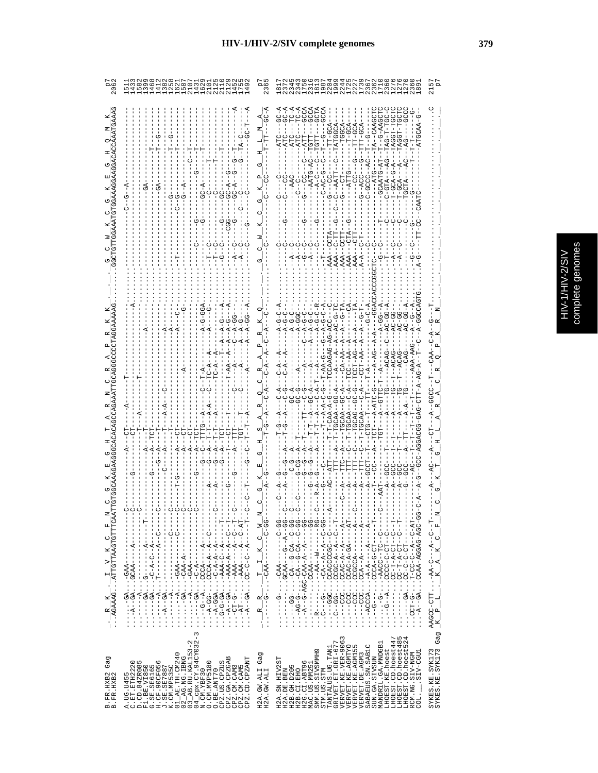|                                                                                                                                                                                                                                                                                                                                                                                                                                  | 11111111110111000<br>00001000100110111<br>00001000100010111                                                                                                                                                                                                                                                                                                                                                                             | $\frac{36}{2}$                                               |                                                                                                                                                                                                                                                                                                                                                                                                                                                                                                                                                                                                                                                                                                                                                              | 215                                                                                                                                                    |
|----------------------------------------------------------------------------------------------------------------------------------------------------------------------------------------------------------------------------------------------------------------------------------------------------------------------------------------------------------------------------------------------------------------------------------|-----------------------------------------------------------------------------------------------------------------------------------------------------------------------------------------------------------------------------------------------------------------------------------------------------------------------------------------------------------------------------------------------------------------------------------------|--------------------------------------------------------------|--------------------------------------------------------------------------------------------------------------------------------------------------------------------------------------------------------------------------------------------------------------------------------------------------------------------------------------------------------------------------------------------------------------------------------------------------------------------------------------------------------------------------------------------------------------------------------------------------------------------------------------------------------------------------------------------------------------------------------------------------------------|--------------------------------------------------------------------------------------------------------------------------------------------------------|
| CCAAATGAAAG<br>GGAAGGACA                                                                                                                                                                                                                                                                                                                                                                                                         |                                                                                                                                                                                                                                                                                                                                                                                                                                         |                                                              | $AC - A$<br>GCTA<br>J<br>$T - -G - AAG$<br>$-TT - GCA$<br>$-TATGGCA$<br>JJ<br>AAA-                                                                                                                                                                                                                                                                                                                                                                                                                                                                                                                                                                                                                                                                           |                                                                                                                                                        |
| $\frac{R}{M}-\frac{R}{M}\frac{K}{M}\frac{1}{N}\frac{1}{N}\frac{V}{N}\frac{1}{N}\frac{1}{N}\frac{1}{N}\frac{1}{N}\frac{1}{N}\frac{1}{N}\frac{1}{N}\frac{1}{N}\frac{1}{N}\frac{1}{N}\frac{1}{N}\frac{1}{N}\frac{1}{N}\frac{1}{N}\frac{1}{N}\frac{1}{N}\frac{1}{N}\frac{1}{N}\frac{1}{N}\frac{1}{N}\frac{1}{N}\frac{1}{N}\frac{1}{N}\frac{1}{N}\frac{1}{N}\frac{1}{N}\frac{1}{N}\frac{1}{N}\frac{1}{N}\frac{1}{N}\frac{$<br>$\circ$ | J<br>- L - - - - - マ - - D - D - D - J D - 1 - Y - マ - - - -<br><b> L - - - - マ - - - - - - - - 5 ・ ・ Y 5 - - - - - - - - - -</b><br>י<br>ד<br>۲<br>ا<br>י<br>ו<br>- - - - - - - マ - - D - マ - D - ・・・・ マ - - - - - ・・・<br>$-1$<br>U-- Y-- Y- YUUU:: - - DU- Y- :<br>$-1 - 4 - 4 - 4 - 0 - 1$<br>4----4000 · · · · · ------<br>$-1 - 480 - 740 - 740 - 77$<br>$- - -  g - D - - -  gD - - - - - -$<br>$-449$<br>AAO-<br>$\cdots \cdots$ | z<br>$- \ldots - CAA$<br>$\frac{1}{1}$<br>叫<br>$-1 - 1$<br>吖 | てーワーひ<br>$- -A - A - A - A - A - C$<br>ğ<br>မ္ပ<br>$A - G - I$<br>්<br>$\bar{A}$ $\bar{A}$<br>$T - P C Z$<br>$T - -AC$<br>$-T$ – $A$ – $A$ – $C$<br>$C_1$<br>- - 55 - - 4 - - 5 - - - 47 J D. - - - - - -<br>ł<br>ł<br>$\frac{1}{1}$<br>f.<br>ーロー<br>J<br>- - H4-U- - 4- -U-UU-H - - U-HUU<br>- - - ペ- - - - - - - - ペ- - ペUU ・ ・ - UUU - - - ・ ・<br>ひひ‐ひ‐‐∀ひ‐ひ‐‐∀ひ‐・・・・‐ひひ‐‐‐‐・・・<br>:UU-U--KU-U--KU-・・・・-U-UK-・・<br>-- 99<br>: ひひ‐ひ‐‐≮‐‐≮‐‐≮ひ‐・・・‐め‐‐‐ひ・・・<br>۲<br>ا<br>ד<br>ד<br>$\frac{1}{1}$<br>ł<br>ひ‐‐ひ_‐‐ひひ��‐・・・・‐の‐・・・・・・・<br>r<br> <br> <br>U--4--4-U5UU::--55---U::<br>U--HU-U-UUUU:: '4--U--':<br>$\cdots$<br>U - - LU - Ч - L - U U ・・・ - - - - - -<br>UUUUUUUU UUU - - - -<br>------- PHOO ------<br>$-1 - 2 - 4 - 4 - 1 - 1 - 1 - 1 - 1 - 1$ | $\begin{array}{l} \texttt{AAGCC-CTT} \cdot \ldots \cdot \texttt{AA-C--A--C--T--V} \ \texttt{=} \ \texttt{K\_P\_L\_L\_K\_R\_A\_K\_C\_F\_N} \end{array}$ |
| Gag<br>B.FR.HXB2<br>B.FR.HXB2                                                                                                                                                                                                                                                                                                                                                                                                    | $\tilde{c}$<br>$02$ ag. NG. IBNG<br>$03$ ab. RU. KAL153-2<br>$04$ cpx. CY. 94CY032<br>F1.BE.VIR550<br>G.SE.SB6165<br>H.CF.90CF056<br>K.CM.ND538C<br>K.CM.ND538C<br>O1_AE.TH.CM240<br>CPZ.GA.CPZGAB<br>CPZ.CD.CPZANT<br>A.UG.U455<br>C.ET.ETH2220<br>D.CD.84ZR085<br>N.CM.YBF30<br>O.CM.MVP5180<br>CPZ.US.CPZUS<br>CPZ.CM.CAM5<br>CPZ.CM.CAM3<br>O.BE.ANT70                                                                              | Gag<br>H2A. GW. ALI<br>H2A. GW. ALI                          | GRIVET.ET.GRI-677<br>VERVET.KE.VER-9063<br>LHOEST.CD.hoest447<br>LHOEST.CD.hoest485<br>LHOEST.CD.hoest524<br>MANDRIL.GA.MNDGB1<br>VERVET.KE.AGMTYO<br>LN<br>SABAEUS.SN. SAB1C<br>TANTALUS.UG.TAN1<br>VERVET.KE.AGM15<br>SMM.US.SIVSMMH9<br>LHOEST.KE.hoest<br>LCCO-VIS.<br>RCM.NG.SIV-NGM<br>VERVET. DE. AGM3<br>SUN.GA.SIVSUN<br>H2A.SN.HIV2ST<br>H2G.CI.ABT96<br>MAC.US.MM251<br>H2B. GH. D205<br>H2B.CI.EHO<br>STM.US.STM<br>H2A.DE.BEN<br>COL.                                                                                                                                                                                                                                                                                                           | SYKES.KE.SYK173<br>SYKES.KE.SYK173 Gag                                                                                                                 |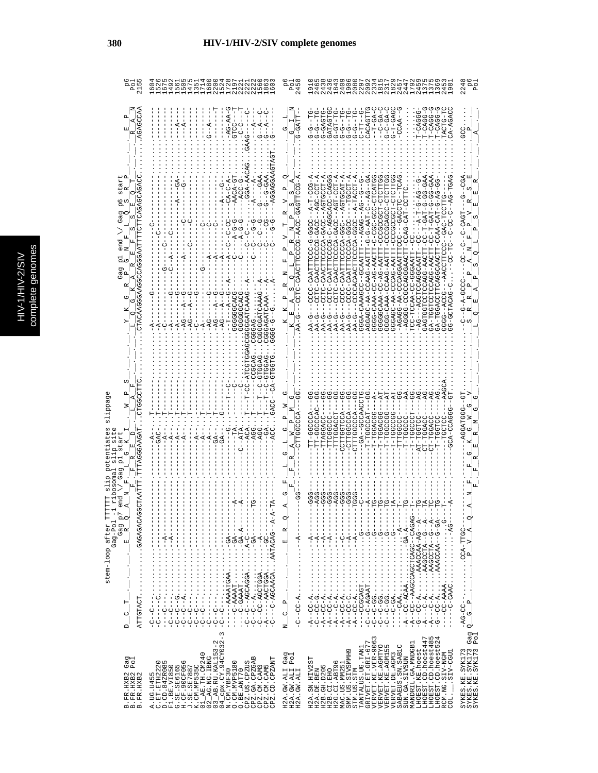|   | C<br>۹ |
|---|--------|
|   | Ś      |
|   |        |
|   |        |
|   |        |
|   |        |
|   |        |
|   | ÷<br>ń |
| с |        |
|   | ¢      |
|   |        |
|   |        |
|   |        |
|   |        |
|   |        |
|   |        |
|   | ì      |
|   |        |

| $\circ$<br>215<br>$\mathbf{a}$                                                                                                                              | $\sqrt{u}$ $\rightarrow \infty$<br>HHHHNHH<br>৩<br>40 LD<br>222<br>u w<br>$\infty$<br>۱O                                                                                                                                                                                                                                                                                                                                                                                                                                                                          | $\circ$<br>245<br>$\mathbf{p}_\mathbf{q}$                                                                                                               | 208<br>229<br>$\begin{array}{c} 0.01110 \\ 0.00000 \\ 0.00000 \\ 0.01101 \\ \end{array}$<br>47<br>ጣ<br>$\infty$<br>4<br>Ō<br>4<br>4<br>$\frac{9}{1}$                                                                                                                                                                                                                                                                                                                 | 224                                                                 |
|-------------------------------------------------------------------------------------------------------------------------------------------------------------|-------------------------------------------------------------------------------------------------------------------------------------------------------------------------------------------------------------------------------------------------------------------------------------------------------------------------------------------------------------------------------------------------------------------------------------------------------------------------------------------------------------------------------------------------------------------|---------------------------------------------------------------------------------------------------------------------------------------------------------|----------------------------------------------------------------------------------------------------------------------------------------------------------------------------------------------------------------------------------------------------------------------------------------------------------------------------------------------------------------------------------------------------------------------------------------------------------------------|---------------------------------------------------------------------|
| AGAGCCAA<br>囯                                                                                                                                               | $-AG-AA-$<br>ġ<br>ု<br>$-4$<br>$-4$<br>$-4$<br>5<br>ひ                                                                                                                                                                                                                                                                                                                                                                                                                                                                                                             | G-GATT<br>ひ<br>ひ                                                                                                                                        | G-T-GAG<br>GATAGTG<br>ひローリーウ<br>5-1-5-5<br><b>UHDAU-D</b><br>ひローロウーウ<br>ワーコローロ<br>$T-CAGG-$<br>CA-AGAC<br>CACAGTT<br>r-CAGGG<br>TACTG-T<br>-<br>45-0<br>$-54$<br>$T - CAGG -$<br>$-00AC -$<br>$T-GA$<br>- -<br>- -<br>ს<br>ーーウーウ                                                                                                                                                                                                                                     | U<br>U<br>U                                                         |
| CTACAAGGGAAGGGAATTTTCTTCAACGAGAGCAGCACC<br>tar<br>$\mathbf{a}$<br>CΩ<br>0<br>6<br>U.<br>$\mathbf{\Omega}$<br>囯<br>Gag<br>ωj<br>ωj<br>end                    | -AGGAGGAAG<br>$$ GGA-AA<br>$-6 - -9 - -0 - 0 - 0$<br>-GAA<br>$-6A$<br>$-2 - 6 -$<br>$-4$<br>ں<br>ا                                                                                                                                                                                                                                                                                                                                                                                                                                                                | -coorrect-<br>д<br>⋗<br>ωj<br>ρz<br>$\Delta$<br>⋗<br>$\alpha$<br>д                                                                                      | $A - B - T - C C - A$<br>55547-20564-0-520205-<br>A-TOO-OGE-A<br>--AGTGCCT-A<br>4-HUU-HU4--UU4U-4UUUUHHU44U-UHUU<br>4-HAUDHUA---UUUUNHHAAU-UUUU--<br>-G-AAT-C-RG--G-<br>$---A-TACCT$<br>$G-GA$<br>--5-54-<br><b>COGOODOOO</b><br>LUHU-HUUUUU<br>UHHUU – HAU – UAN<br><b>CCC</b><br>UUUCAUU<br>UUU-KUU<br>ひひし<br>u<br>L                                                                                                                                               | $-CGA$<br>C)<br>しり<br>LOKU-D-<br>U<br>!                             |
| ρ<br>C<br>$\alpha$<br>Gag<br>д<br>↷                                                                                                                         | 1<br> <br> <br>ᄞ<br>τŋ<br>CCCCCCACC<br>GGGGATCAAA<br>GGGGGCAC<br><b>AG</b><br>ă<br>ă                                                                                                                                                                                                                                                                                                                                                                                                                                                                              | CCTC-CAACTACTO-CHAC<br>Ŀ,<br>z<br>C)<br>д<br>囯                                                                                                          | --UUUU-KUUUUHHKKU-UUUU---<br>ひひのの-の-ひひひにいけばひ-ひひひひ<br>CURU-AUUUUHIUAU-UHU<br>ひひえひーひひひひひけけひえむし ひけひ<br>U-HHITAR-UARUU-KA-UURUU<br>GGGAGGA-DA-CCAG-AATT<br>$-AG-AATT$<br>じ 44-54-00-4440-5555<br>-AG---ACHOUROUA----<br>じょさののみとりのひし -のののみよ<br>LARUD--UUUARU-RUUU<br>-AGAOOOO-AA-550A-<br>-CCCCACAACT<br>UARUD-ARAU-UUCA<br>UU-444UUUUU<br>CC-TCCAA-C<br><b>BAGTGGT</b><br>AA-G<br>AA-G<br>C<br>A<br>C<br>AA-<br>C<br>AA<br>$AA-G$<br>-AA<br>ローバ<br>$T-A-1$               | UUUU-4-0-<br>↻                                                      |
| Ω<br>CTGGCCTTC<br>TTTRGGGAAGAT<br>Αr.<br>$\frac{1}{2}$<br>囯<br>Ü                                                                                            | $GACC--CA-$<br>Ā<br>CAC<br>C<br>Ŗ                                                                                                                                                                                                                                                                                                                                                                                                                                                                                                                                 | Ů<br>COOODHI<br>ひ<br>z<br>Ü                                                                                                                             | -GA--GCCAAC<br>TT-GGCCAC<br>ひひみひひー よびひ<br>TT-GGCCA<br>TADDBDT-T<br>CCLLCOLCO<br><b>COACACCO</b><br>TTAGGACC-<br>CTTGGCCCA<br>CTTTGGCCCA<br>TTTGGACCT<br>-TGGACG<br>TTCGGCCC<br>-LOODD-<br>-TGGCCG<br><b>POST-1</b><br>-TGGC<br>CT-TGGA<br>AT-TGG1<br>$T-TG$                                                                                                                                                                                                          | AGGATGG--GI                                                         |
| œ<br>$\overline{\mathbf{p}}$<br>Gaq<br><b>GCTAATT</b><br>end<br>stem-loop after TI<br>J.<br>.r<br>BACAGAGAGAGACAC<br>Gag $p^7$<br>$R = 2$<br>$Gag-Po1$<br>피 | $\begin{aligned} \frac{1}{2} \left( \frac{1}{2} \left( \frac{1}{2} \right) + \frac{1}{2} \left( \frac{1}{2} \right) + \frac{1}{2} \left( \frac{1}{2} \right) + \frac{1}{2} \left( \frac{1}{2} \right) + \frac{1}{2} \left( \frac{1}{2} \right) + \frac{1}{2} \left( \frac{1}{2} \right) + \frac{1}{2} \left( \frac{1}{2} \right) + \frac{1}{2} \left( \frac{1}{2} \right) + \frac{1}{2} \left( \frac{1}{2} \right) + \frac{1}{2} \left( \frac{1}{2$<br>$\mathsf I$<br>$\frac{1}{1}$<br>$-6AABT$<br>$\frac{1}{1}$<br>.<br>$\mathsf I$<br>$\frac{1}{1}$<br>$\vdots$ | ℧<br>$\circ$<br>R<br>$-4$<br>띄                                                                                                                          | $- - - - - - -$<br>$-4 -$<br>$\frac{1}{2}$ , $\frac{1}{2}$ , $\frac{1}{2}$ , $\frac{1}{2}$ , $\frac{1}{2}$ , $\frac{1}{2}$ , $\frac{1}{2}$<br>$\frac{1}{2}$                                                                                                                                                                                                                                                                                                          | q<br>$\mathbf{A}$<br>$\triangleright$<br>$\overline{a}$             |
| ATTGTACT<br>E<br>U<br>$\Box$                                                                                                                                | $-$ AACTGGA<br>$-c$<br>$\frac{1}{1}$<br>$\frac{1}{1}$<br>r<br> <br>$\frac{C}{1}$<br>i<br>Ö<br>$\frac{1}{1}$<br>$\frac{1}{1}$<br>$\frac{1}{1}$<br>$\frac{1}{1}$<br>$\frac{0}{1}$<br>ں<br>ا<br>$\begin{array}{c} 0 & 0 \\ 1 & 1 \end{array}$<br>ט<br>ו<br>÷<br>$\dot{A}$<br>ပု<br>ပု<br>ပုံ<br>$\frac{1}{2}$<br>Ÿ<br>$\frac{1}{2}$<br>ပုံပုံ<br>$\frac{1}{2}$<br>$\frac{1}{2}$<br>$\mathsf I$<br>$\mathsf I$<br>ပုံ<br>$\frac{1}{2}$<br>ပု<br>$\frac{1}{2}$<br>Ÿ<br>п                                                                                               | $-1$<br>$\mathbf{a}^{\parallel}_{\parallel}$<br>$\circ$<br>ပုံ<br>z                                                                                     | $--C C - A \ldots$<br>$C-G \ldots$<br>$---CAA$ .<br>$-5 - 5 -$<br>י<br>ד<br>ပုံ<br>$\overline{A}$<br>$\mathsf I$                                                                                                                                                                                                                                                                                                                                                     | --VUIL-KVV:・・・・・・・---VV-UK-<br>$\mathsf{p}_i$<br>U<br>$\circ$       |
| Gaq<br>Pol<br>B. FR. HXB2<br>B. FR. HXB2<br>B. FR. HXB2                                                                                                     | CPZ.US.CPZUS<br>CPZ.GA.CPZGAB<br>CPZ.CM.CAM3<br>.CD.CPZANT<br>CPZ.CM.CAM5<br>N<br>$\ddot{\theta}$                                                                                                                                                                                                                                                                                                                                                                                                                                                                 | Gag<br>Pol<br>$\begin{array}{ll} \tt H2A\cdot GW\cdot ALI\\ \tt H2A\cdot GW\cdot ALI\\ \tt H2A\cdot GW\cdot ALI\\ \tt H2A\cdot GW\cdot ALI \end{array}$ | VERVET.KE.VER-9063<br>VERVET.KE.AGMTYO<br>VERVET.KE.AGMTYO<br>VERVET.DE.AGM3<br>LHOEST.CD.hoest447<br>LHOEST.CD.hoest485<br>LHOEST.CD.hoest524<br>GRIVET.ET.GRI-677<br>MANDRIL.GA.MNDGB1<br>SABAEUS.SN.SABIC<br>TANTALUS.UG.TAN1<br>LHOEST.KE.hoest<br>H2G.CI.ABT96<br>MAC.US.MM251<br>MAC.US.MM251<br>SMM.US.SIVSMMH9<br>RCM.NG.SIV-NGM<br>COL.____SIV-CGU1<br>SUN.GA.SIVSUN<br>H2A.SN.HIV2ST<br>H2B. GH. D205<br>H2A.DE.BEN<br>STM.US.STM<br>H2B.CI.EHO<br>$COL$ . | Gag<br>Pol<br>SYKES.KE.SYK173<br>SYKES.KE.SYK173<br>SYKES.KE.SYK173 |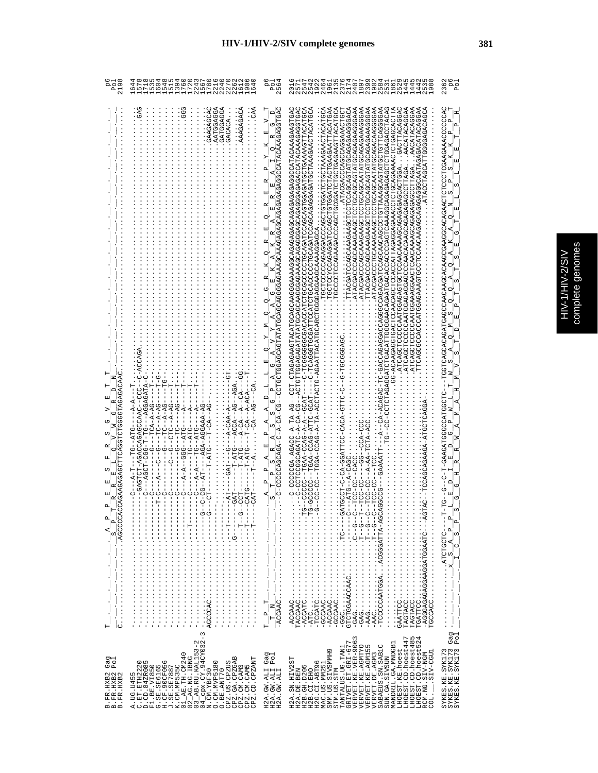|    | C |
|----|---|
|    |   |
|    | ì |
|    | ś |
| ı. |   |
|    | í |
|    |   |

| РO<br>Р<br>219                                                                                                     | 27<br>Ó<br>G<br>Б                                                                                                                                                                                                                                                                                                                                                                                                          | o<br>A<br>99                                                                                                                                                                                                                                                                                                                                                                                                                                | 5日日の491212483955555<br>4                                                                                                                                                                                                                                                                                                                                                                                                                                                                                                                                                                                                                                                                                                                                                                                                                                                  | ă o<br>A<br>236                                                                                                                                                                                                                                                                                                                                                                       |
|--------------------------------------------------------------------------------------------------------------------|----------------------------------------------------------------------------------------------------------------------------------------------------------------------------------------------------------------------------------------------------------------------------------------------------------------------------------------------------------------------------------------------------------------------------|---------------------------------------------------------------------------------------------------------------------------------------------------------------------------------------------------------------------------------------------------------------------------------------------------------------------------------------------------------------------------------------------------------------------------------------------|---------------------------------------------------------------------------------------------------------------------------------------------------------------------------------------------------------------------------------------------------------------------------------------------------------------------------------------------------------------------------------------------------------------------------------------------------------------------------------------------------------------------------------------------------------------------------------------------------------------------------------------------------------------------------------------------------------------------------------------------------------------------------------------------------------------------------------------------------------------------------|---------------------------------------------------------------------------------------------------------------------------------------------------------------------------------------------------------------------------------------------------------------------------------------------------------------------------------------------------------------------------------------|
| AUACAHUUUUHUHUUAUHHUUAUAUAUAU<br>ь<br>$\mathbf{p}_i$<br>$\mathbf{a}$<br>ፈ<br>ω,<br>.<br>Н<br>∣∪                    | GATGGAGGA<br>GAAGAGCAC<br>AATGGAGGA<br>AAAGAGACA<br>Ğ<br>GACACA<br>t<br>F<br>U-KIKUKUUK---UI-I-UUU!<br>$-1 - 2 - 4 - 5 - 5$<br>$-CA-ACA$<br>$-40-$<br>$C$ – $A - AG$<br>$C$ – $A - AG$<br>ひダーダーーひけひーーひーー<br>URRUUDRURUURUR-HUHURU-<br>-AGA-AGGAAA-A<br>$T-CA -$<br>$- A - C A$<br>ł<br>-DHA--DH--<br>$  ATG$<br>-- 5-1-0-1<br>$-41$<br>$-47$<br>$T - ATG$<br>$C---A-T$<br>$A - A$<br>$-1$ $-1$<br>------------------------ | ρ<br>Ü<br>U-45405400000-<br>$\frac{1}{2}$ $\frac{1}{2}$ $\frac{1}{2}$ $\frac{1}{2}$ $\frac{1}{2}$ $\frac{1}{2}$ $\frac{1}{2}$ $\frac{1}{2}$ $\frac{1}{2}$ $\frac{1}{2}$ $\frac{1}{2}$ $\frac{1}{2}$ $\frac{1}{2}$ $\frac{1}{2}$ $\frac{1}{2}$ $\frac{1}{2}$ $\frac{1}{2}$ $\frac{1}{2}$ $\frac{1}{2}$ $\frac{1}{2}$ $\frac{1}{2}$ $\frac{1}{2}$<br>$\mathbb{H}$<br>$-\overline{ACCAA}$ C.<br>$\mathbb{Z}$<br>$\overline{a}$<br>$\mathbb{H}$ | OKDEDOKOKANOUKDKOKODOKODKOOKOOKOKOWKKOOKKODOKKODEKEKEKEKOKODEEDEDK--DO-KO-K-DEKOKODDOUEDO-<br>t2のHt2VtHLDtYt7t9LDDHt9VtDDHDt2DDt7DDHt9t2DDH2DDDDDDHDLt2DDt2DDDDDDDDH-D--<br><b>《ADDIKOKIDAKOKKKIDDDIKOKOOKOKOOHKOKOOIDDOUDDKOOIDIKOOIIIKOO</b><br>COCOCAGAGOAGOCOCOCOCOCOCOCOCOCARGAAGAATTACATGAA<br>TROGACGATCCAAAAGAAGCTCCAGCAGTATGCAGAGAAGGGACA<br>ARGOOGAAGAAGADOLAHAAGOAOOFOOFOOFOOGAAGAAGOAA<br>ZYOOOOKYUYOYOODHYHYYOOYOOHOOHOOYYYYYYOHOOOYOOYHY<br>LUUHUKKKUUKUUUKUUUKUUKHK<br><b>《ひひひべんべひべひべひひ日~日のべひひべひひ日ひひ日むひべんひみべひひくべひひしべけひ》</b><br>COCAATGGAGAGTCCAACAAAAGCAGAGAGAGCACTGGAGA.TGACTTACAGGA<br>しべひのべのLDLDべんべんなのべつのLDLDのべんべののかのかいにしないことのことのかないことであることのこのことであることです。<br>$- - GCAT - -$<br>CAG-ATEA-DAC<br>A-A-DAOD-ARDU-1<br>--A-AA-TCTA-AC<br>δ<br>C-CC-CACC<br>I<br>CCCC<br>ု<br><br>rgarrico<br>- AGGGAGAGGAAGGAATGGAATC----AGT<br>TAGTACC<br>TGCCACC<br>TGATTCC | UHUUUHAUUUUHAUAAU-<br>$\mathbf{a}_i$<br>$\frac{p}{s} \frac{p}{p} \frac{1}{s}$<br>$\overline{A}$<br>$\circ$<br>$\omega$<br>$\frac{1}{2}$<br>$\frac{1}{1}$ : $\frac{1}{1}$ : $\frac{1}{1}$ : $\frac{1}{1}$ : $\frac{1}{1}$<br>$\frac{1}{2}$ $\frac{1}{2}$ $\frac{1}{2}$ $\frac{1}{2}$ $\frac{1}{2}$ $\frac{1}{2}$ $\frac{1}{2}$ $\frac{1}{2}$ $\frac{1}{2}$ $\frac{1}{2}$<br>Gag<br>Pol |
| Gag<br>Pol<br>$\begin{array}{ll} \texttt{B. FR. HXB2} \\ \texttt{B. FR. HXB2} \\ \texttt{B. FR. HXB2} \end{array}$ | $\begin{bmatrix} 0.1811 & 0.1811 & 0.1811 & 0.1811 & 0.1811 & 0.1811 & 0.1811 & 0.1811 & 0.1811 & 0.1811 & 0.1811 & 0.1811 & 0.1811 & 0.1811 & 0.1811 & 0.1811 & 0.1811 & 0.1811 & 0.1811 & 0.1811 & 0.1811 & 0.1811 & 0.1811 & 0.1811 & 0.1811 & 0.1811 & 0.181$<br>CPZ.US.CPZUS<br>CPZ.GA.CPZGAB<br>CPZ.CM.CAM3<br>CPZ.CM.CAM5<br>CPZ.CM.CP.AM5<br>0. CM. MVP5180<br>0. BE. ANT70<br>Б<br>A.UG.U45                       | Gag<br>Pol<br>H2A.GW.ALIO<br>H2A.GW.ALII<br>H2A.GW.ALI                                                                                                                                                                                                                                                                                                                                                                                      | LHOEST.CD.hoest447<br>LHOEST.CD.hoest485<br>LHOEST.CD.hoest524<br>TANTALUS.UG.TAN1<br>GRIVET.ET.GRI-677<br>VERVET.KE.VER-9063<br>MANDRIL.GA.MNDGB1<br>VERVET KE AGMTYO<br>VERVET KE AGMIS5<br>SABAEUS.SN.SAB1C<br>LHOEST.KE.hoest<br>ō<br>.SIV-CGU1<br>VERVET. DE. AGM3<br>RCM.NG.SIV-NGM<br>SMM.US.SIVSMMH<br>STM.US.STM<br>SUN.GA.SIVSUN<br>H2A.SN.HIV2ST<br>H2G.CI.ABT96<br>MAC.US.MM251<br>H2B.GH.D205<br>H2A.DE.BEN<br>H2B.CI.EHO<br>COL.                                                                                                                                                                                                                                                                                                                                                                                                                            | SYKES.KE.SYK173<br>SYKES.KE.SYK173<br>SYKES.KE.SYK173                                                                                                                                                                                                                                                                                                                                 |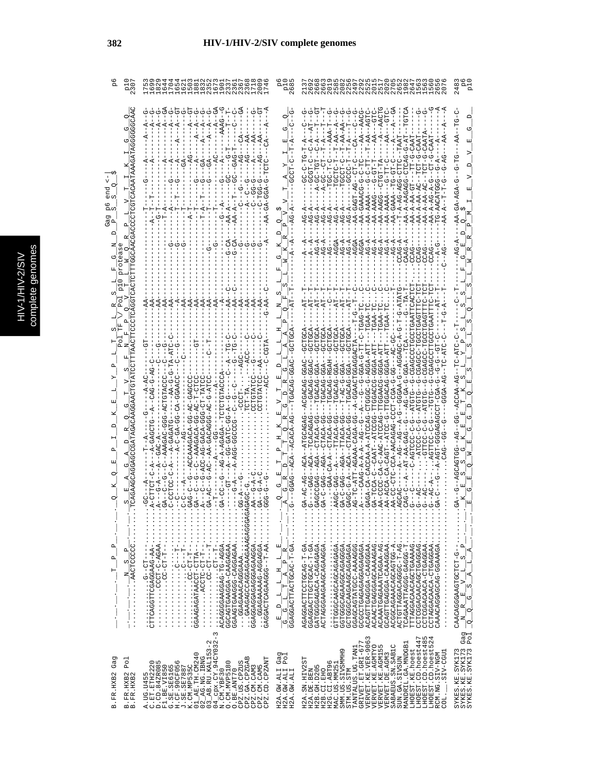|   | C<br>a |
|---|--------|
|   | г      |
|   |        |
|   |        |
|   |        |
|   |        |
|   |        |
|   | న      |
| c |        |
|   |        |
|   |        |
|   |        |
|   |        |
|   |        |
|   |        |
|   |        |
|   |        |
|   | ì      |

U.

|                                   |                                               | 520835703666508888800000000000000000 そうしろうろ                                                                                                                                                                                                                                                                                                                                                                                                                                                                                                                                                                                                                                                                                                                                                                                                                                                                                                                                                                                                                                                                                                                                                                                                                                                                                                                                                                                                                                                                                                                                           |                                                                                                                                                                                                                               | 0 4 0 0 0 0<br>4<br>O                                                                                                                                                                                                                                                                                                                                                                                                                                                                                                                                                                                                         |                                                                                                                                                                                                                                                                                                              |
|-----------------------------------|-----------------------------------------------|---------------------------------------------------------------------------------------------------------------------------------------------------------------------------------------------------------------------------------------------------------------------------------------------------------------------------------------------------------------------------------------------------------------------------------------------------------------------------------------------------------------------------------------------------------------------------------------------------------------------------------------------------------------------------------------------------------------------------------------------------------------------------------------------------------------------------------------------------------------------------------------------------------------------------------------------------------------------------------------------------------------------------------------------------------------------------------------------------------------------------------------------------------------------------------------------------------------------------------------------------------------------------------------------------------------------------------------------------------------------------------------------------------------------------------------------------------------------------------------------------------------------------------------------------------------------------------------|-------------------------------------------------------------------------------------------------------------------------------------------------------------------------------------------------------------------------------|-------------------------------------------------------------------------------------------------------------------------------------------------------------------------------------------------------------------------------------------------------------------------------------------------------------------------------------------------------------------------------------------------------------------------------------------------------------------------------------------------------------------------------------------------------------------------------------------------------------------------------|--------------------------------------------------------------------------------------------------------------------------------------------------------------------------------------------------------------------------------------------------------------------------------------------------------------|
| C<br>CO.<br>ā<br><u>ო</u> ი       |                                               |                                                                                                                                                                                                                                                                                                                                                                                                                                                                                                                                                                                                                                                                                                                                                                                                                                                                                                                                                                                                                                                                                                                                                                                                                                                                                                                                                                                                                                                                                                                                                                                       |                                                                                                                                                                                                                               | $-4-5A-4C$<br>AA-AAAG<br>$\mathcal{L}$ – $\mathcal{L}$<br>$A - A$<br>$A - A$<br>$\frac{1}{4}$                                                                                                                                                                                                                                                                                                                                                                                                                                                                                                                                 | AA-AGA-AGA-G                                                                                                                                                                                                                                                                                                 |
|                                   |                                               |                                                                                                                                                                                                                                                                                                                                                                                                                                                                                                                                                                                                                                                                                                                                                                                                                                                                                                                                                                                                                                                                                                                                                                                                                                                                                                                                                                                                                                                                                                                                                                                       | GGAG--ACA--ACACA<br>R<br>ひ                                                                                                                                                                                                    | トーペ<br>$\vdots$                                                                                                                                                                                                                                                                                                                                                                                                                                                                                                                                                                                                               |                                                                                                                                                                                                                                                                                                              |
| $\mathbf{a}$<br>$\mathbf{a}$<br>н |                                               | $\cdots \cdots$<br>$\begin{minipage}{0.9\linewidth} \begin{tabular}{l} \multicolumn{2}{c}{\textbf{1.1}} \multicolumn{2}{c}{\textbf{2.1}} \multicolumn{2}{c}{\textbf{3.1}} \multicolumn{2}{c}{\textbf{4.1}} \multicolumn{2}{c}{\textbf{5.1}} \multicolumn{2}{c}{\textbf{6.1}} \multicolumn{2}{c}{\textbf{7.1}} \multicolumn{2}{c}{\textbf{8.1}} \multicolumn{2}{c}{\textbf{9.1}} \multicolumn{2}{c}{\textbf{1.1}} \multicolumn{2}{c}{\textbf{1.1}} \multicolumn{2}{c}{\textbf$<br>$\begin{minipage}{.4\textwidth} \begin{minipage}{0.9\textwidth} \begin{itemize} \textbf{0.1}\textbf{0.1}\textbf{0.1}\textbf{0.1}\textbf{0.1}\textbf{0.1}\textbf{0.1}\textbf{0.1}\textbf{0.1}\textbf{0.1}\textbf{0.1}\textbf{0.1}\textbf{0.1}\textbf{0.1}\textbf{0.1}\textbf{0.1}\textbf{0.1}\textbf{0.1}\textbf{0.1}\textbf{0.1}\textbf{0.1}\textbf{0.1}\textbf{0.1}\textbf{0.1}\textbf{0.1}\textbf{0.1}\textbf{0$<br>$\frac{1}{2}$ $\frac{1}{2}$ $\frac{1}{2}$ $\frac{1}{2}$ $\frac{1}{2}$ $\frac{1}{2}$ $\frac{1}{2}$ $\frac{1}{2}$ $\frac{1}{2}$ $\frac{1}{2}$ $\frac{1}{2}$ $\frac{1}{2}$ $\frac{1}{2}$ $\frac{1}{2}$ $\frac{1}{2}$ $\frac{1}{2}$ $\frac{1}{2}$ $\frac{1}{2}$ $\frac{1}{2}$ $\frac{1}{2}$ $\frac{1}{2}$ $\frac{1}{2}$<br>$\frac{1}{2}$ : $\frac{1}{2}$ : $\frac{1}{2}$ : $\frac{1}{2}$ : $\frac{1}{2}$<br>GAAGAGCCAGAGAAAAAAGAGGAG<br>GGAGGAGGAGGAGAGAA<br>$\vdots$<br>$\vdots$<br>$\vdots$<br>ACAGGGAAGGAG-TG-AGGA.<br>GGAGAAACAGGAAA<br>H---HU-UU · · · · · · · · · ·<br>$\mathsf I$<br>GGCAGTGAAGGA-CAAGAGAA<br>GGAAGTGAAC-DAGGAGAA<br>GAGGACTCAGAAGG--T-AA<br>$-10 - 10 - 5$ | $\underline{\begin{array}{c} \mathbf{L} \quad \mathbf{H} \quad \mathbf{L} \quad \mathbf{E} \end{array}}$<br>$\alpha$<br>$\overline{T}$ A P<br>$\frac{1}{\sqrt{2}}$<br>$\begin{array}{c}\n\Box \\ \Box\n\end{array}$<br>피<br>U | GATGGGAGACA-CAGAGA<br>ACTAGGGAAGAAGAAGGA<br>$\frac{1}{2}$ : $\frac{1}{2}$ : $\frac{1}{2}$ : $\frac{1}{2}$ : $\frac{1}{2}$<br>GCTGGCAAGAAGAGAGAGA<br>$\frac{1}{2}$ : $\frac{1}{2}$ : $\frac{1}{2}$ : $\frac{1}{2}$ : $\frac{1}{2}$<br>GCCCCCAGAGAGAGAGA<br>AGAGGACTTCCLOURA<br>GGTGGGCAGAAGCAGGGA.<br>ACTGTTAGACACGC-T-AG.<br>CCTCGACAACACTGAGGAG.<br>GGAGCAGTATGC-AAAAGGG.<br>ACAACTGAGGAGCAAAAGAG.<br>ACAGTTGAGGAA-CAAGGAA.<br>ACAAATGAAATCAGAA-AG<br>GCAGTTGAGGA-CAAAGGAA<br>ACGGCAGAAACAGCAGTGG-A<br>CCTCGGACAACA-CTGAGGAA<br>TTTAGGACAACAGCTGAAAAG<br>CCTAGGACAACA-CTGAGGAA<br>TCAGAAATTAGG-GAGG-T<br>CAAACAGGAGCAGGAAAGA | CAACGGAAGCTCTCTCACGGAACAC<br>$\mathsf{p}$<br>Þ<br>$\omega$<br>급<br>ᆌ<br>A,<br>$\frac{1}{2}$<br>$\left( \begin{matrix} \mathbf{a}^{\mathbf{b}} \\ \mathbf{b}^{\mathbf{b}} \\ \mathbf{c}^{\mathbf{b}} \end{matrix} \right)$<br>$\mathbb{E}_{\mathbb{P}_p}^{[0]}$<br>$\circ$<br>z <sub>i</sub><br>$\frac{1}{3}$ |
| Gag<br>B.FR.HXB2                  | Po <sub>1</sub><br>B. FR. HXB2<br>B. FR. HXB2 | $\infty$<br>$\mathsf I$<br>$\mathbf{\Omega}$<br>cpx.CY.94CY032<br>$\begin{array}{l} \text{G}:\text{SE}=\text{SEAG5} \ \text{H}:\text{SE}=\text{SEAG5} \ \text{H}:\text{CF}=\text{SCGB0} \ \text{H}:\text{CF}=\text{SCGB0} \ \text{K}:\text{CH}:\text{ME53} \ \text{M}:\text{HE}=\text{SE} \ \text{CH}:\text{CH}:\text{CH} \ \text{CH}:\text{CH} \ \text{CH} \ \text{CH} \ \text{CH} \ \text{CH} \ \text{CH} \ \text{CH} \ \text{CH} \ \text{CH} \ \text{CH} \ \text{CH} \ \text{CH} \ \text{CH} \ \text{CH} \ \text$<br>CPZ.GA.CPZGAB<br>CPZ.CD.CPZANT<br>A.UG.U455<br>C.ET.ETH2220<br>D.CD.84ZR085<br>O. CM. MVP5180<br>CPZ.US.CPZUS<br>F1.BE.VI850<br>CPZ.CM.CAM3<br>CPZ.CM.CAM5<br>O.BE.ANT70<br>$04$ cpx. $CY$ . 9<br>N. CM. $YBT30$                                                                                                                                                                                                                                                                                                                                                                                                                                                                                                                                                                                                                                                                                                                                                                                                                                              | Gag<br>Pol<br>H2A.GW.ALI<br>H2A.GW.ALI<br>H2A.GW.ALI                                                                                                                                                                          | VERVET.KE.VER-9063<br>LHOEST.CD.hoest447<br>LHOEST.CD.hoest485<br>LHOEST.CD.hoest524<br>GRIVET.ET.GRI-677<br>MANDRIL.GA.MNDGB1<br>SABAEUS.SN.SAB1C<br>VERVET.KE.AGMTYO<br>VERVET.KE.AGMI55<br>TANTALUS.UG.TAN1<br>LHOEST.KE.hoest<br>SMM. US. SIVSMMH9<br>LIBD-AIS.<br>RCM.NG.SIV-NGM<br>VERVET.DE.AGM3<br>SUN.GA.SIVSUN<br>H2A.SN.HIV2ST<br>H2G.CI.ABT96<br>MAC.US.MM251<br>H2B. GH. D205<br>H2A.DE.BEN<br>H2B.CI.EHO<br>STM.US.STM<br>COL.                                                                                                                                                                                  | Gag<br>Pol<br>SYKES.KE.SYK173<br>SYKES.KE.SYK173<br>SYKES.KE.SYK173                                                                                                                                                                                                                                          |

### **382 HIV-1/HIV-2/SIV complete genomes**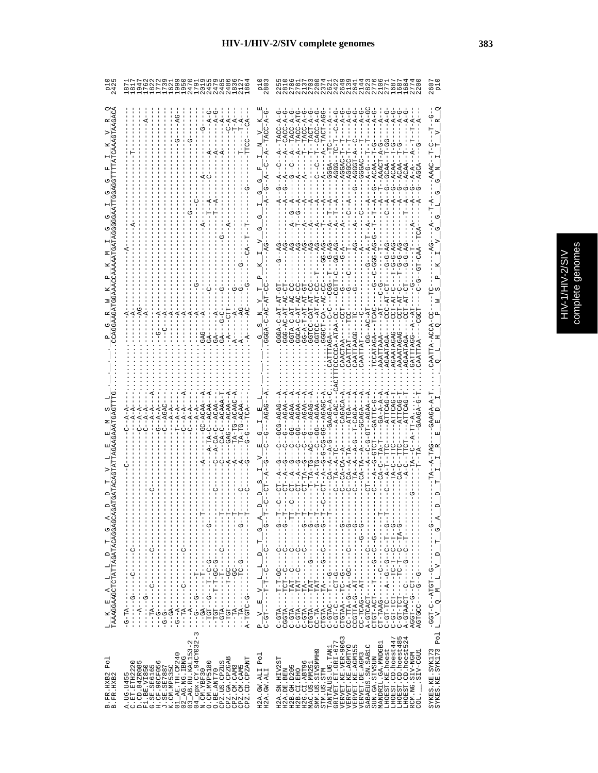| ļ |
|---|
|---|

| 54<br>74                                                                            | nua matala<br>Franta<br>Franta da                                                                                                                                                                                                                                                                                                                                                                                                                | 1.80<br>이후                                                                                                                                                                                                                                                     | <b>4 m 4 4 2 5</b><br>6 1 6 1 8 1<br>0<br>0<br>2<br>2<br>2                                                                                                                                                                                                                                                                                                                                                                                                                                                                                                                                                                                                                                                                                                                                  |                                                                                                     |
|-------------------------------------------------------------------------------------|--------------------------------------------------------------------------------------------------------------------------------------------------------------------------------------------------------------------------------------------------------------------------------------------------------------------------------------------------------------------------------------------------------------------------------------------------|----------------------------------------------------------------------------------------------------------------------------------------------------------------------------------------------------------------------------------------------------------------|---------------------------------------------------------------------------------------------------------------------------------------------------------------------------------------------------------------------------------------------------------------------------------------------------------------------------------------------------------------------------------------------------------------------------------------------------------------------------------------------------------------------------------------------------------------------------------------------------------------------------------------------------------------------------------------------------------------------------------------------------------------------------------------------|-----------------------------------------------------------------------------------------------------|
|                                                                                     |                                                                                                                                                                                                                                                                                                                                                                                                                                                  |                                                                                                                                                                                                                                                                | $A-G$<br>$A - G$<br>A – G<br>--TACC-ATG<br>ن<br>۱<br>AAAC                                                                                                                                                                                                                                                                                                                                                                                                                                                                                                                                                                                                                                                                                                                                   |                                                                                                     |
| AATGATAG                                                                            |                                                                                                                                                                                                                                                                                                                                                                                                                                                  |                                                                                                                                                                                                                                                                |                                                                                                                                                                                                                                                                                                                                                                                                                                                                                                                                                                                                                                                                                                                                                                                             |                                                                                                     |
|                                                                                     |                                                                                                                                                                                                                                                                                                                                                                                                                                                  |                                                                                                                                                                                                                                                                | ひ‐HA‐H―A‐H‐Oひ<br>GGCA-C-AT-AC-C<br><b>LK-CC</b><br>CCCCA-ATAA-C<br>CAATTA-ACCA<br>CAATTAAGG-<br>AAAATAGA<br>AGAATAGA<br>AATTAAA<br>CAATTAT<br>CAATTAZ<br>AGAAT<br>AGAA'                                                                                                                                                                                                                                                                                                                                                                                                                                                                                                                                                                                                                     |                                                                                                     |
|                                                                                     | - 51 -                                                                                                                                                                                                                                                                                                                                                                                                                                           | び<br>ыτ.                                                                                                                                                                                                                                                       | TA--A--B-C-T-CAGA-<br>GG--AGAA<br>-TAG                                                                                                                                                                                                                                                                                                                                                                                                                                                                                                                                                                                                                                                                                                                                                      |                                                                                                     |
| 4<br>び                                                                              | $-1 - 7$                                                                                                                                                                                                                                                                                                                                                                                                                                         | К<br>じ                                                                                                                                                                                                                                                         | $CA--A--A--G$<br>$CA-C--TF$<br>$CA-CA--P$<br>$CA - A - TP$<br>$CA-TA--P$<br>$TA--A-T$<br>ーローイ<br>Ė<br>F<br>I<br>$\frac{1}{1}$<br>י<br>י<br>$-9 - 1$<br>ţ<br>$--TAA-G--$<br>$-9 -$<br>ł<br>Ť<br>$\frac{1}{1}$<br>Í<br>$\frac{1}{1}$<br>$\frac{1}{1}$<br>$\frac{1}{1}$<br>ì<br><b>0-----</b><br>ن<br> -<br>ن<br>۱<br>ن<br>۱<br>-- 1-1-<br>ن<br>۱<br>$\begin{array}{c} 1 \\ 1 \\ 1 \\ 1 \end{array}$<br>$\begin{array}{c} \n 1 \\  1 \\  1\n \end{array}$                                                                                                                                                                                                                                                                                                                                      | $\mathbf{r}$<br>O                                                                                   |
| TAAAGGAAGCTCTATTAGATACAGGAGCZ<br>Н<br>$\Box$<br>٦<br>$\overline{a}$<br>K,<br>띄<br>× | Î<br>ł<br>ì<br>ï<br> <br> <br> <br> <br> <br>$-1$ - $-1$<br><b>ひーーーーーローーーーーーーー d´Liひーー</b><br>I<br>Ţ<br>- - - - - - - - - - - - - - - 450 - -<br>$\frac{1}{1}$<br>$\begin{array}{c} 1 \\ 1 \\ 1 \end{array}$<br>$1 - 1 - 1 - 1 - 1 - 1$<br>$A - - - - - -$<br>I<br>$\begin{array}{c} 1 \\ 1 \\ 1 \end{array}$<br>I<br>$-G-TA$ --<br>$-1 - 0 - 1$<br>$-4$<br>$- - - GA$<br>J<br>I<br>J.                                                           | E,<br><u>Α</u><br>$\mathbf{H}$<br>$\begin{array}{cccccc}\n\texttt{P} & \texttt{V} & \texttt{E} & \texttt{V} & \texttt{L} & \texttt{L} \\ \texttt{C-GT} & \texttt{---} & \texttt{---} & \texttt{T} & \texttt{---} & \texttt{--} \\ \end{array}$<br>$\mathbf{r}$ | - ウーーーーー ワーー ウーーーーー AII-コーーー AII-DI-D<br><b>ウ-----ひ----ひウ--ヸ--ウ-ヸエエエ-しい</b><br><b>ウーーウーーーーーーーーーーーロイーーーウインローン</b> ひ<br>ひ‐‐H‐‐ひ‐‐の‐‐ひ‐‐ヸ‐‐‐ひH‐エミシ‐ひ<br>--H--U--U------U--HURRHU-R<br>$\begin{bmatrix} 1 \\ 1 \\ 1 \\ 1 \end{bmatrix}$<br>$\frac{1}{1}$<br>$\frac{1}{1}$<br>$\frac{1}{1}$<br>$\frac{1}{1}$<br>Ï<br>$-1 - 1 - 1$<br>$\frac{1}{1}$<br>$\frac{1}{1}$<br>$-1 - 1$<br>$-1 - 1$<br>-------------<br>Ţ<br>U - - H - U H - - - - - - H U H - H U – U<br>$-\frac{1}{2}$<br>2-1-1-1-1-1-2000<br>U - - II - U II - - - - - - II U II - II U - U<br>$\frac{1}{1}$<br>- - - - - - LD- - S - - - LBOS<br>- - - - 5 - - 5 - - - - DDBL55<br>$- - - - - - - - - -$<br>$T-T-GC$<br>U-1-HUH-1-1-AHUUU<br>ひーーHひH4――ひーHひひー<br>U-IRAH---AHU-U<br>U--HAH----AHU-U<br>$C - GTA - - - -$<br>$C-GTA$ -- | $\vdash$<br>$\bigcap$<br>$\triangleright$<br>$\overline{a}$<br>$\overline{M}$<br>$\frac{1}{2}$<br>니 |
| Po <sub>1</sub><br>B.FR.HXB2<br>B.FR.HXB2                                           | 3<br>$02\overline{\smash{\big)}\ 2\,AB}$ . NG. IBNG<br>$03\overline{\smash{\big)}\ 2\,AB}$ . RU. KAL153-2<br>$04\overline{\smash{\big)}\ 2\,C}$ x. CY. 94CY032-3<br>N. CM. YBF30<br>01_AE.TH.CM240<br>CPZ.US.CPZUS<br>CPZ.GA.CPZGAB<br>CPZ.CD.CPZANT<br>A.UG.U455<br>C.ET.ETH2220<br>D.CD.84ZR085<br>ဖ<br>O. CM. MVP5180<br>F1.BE.VI850<br>G.SE.SE6165<br>H.CF.90CF056<br>J.SE.SE7887<br>V.CM.MP535C<br>CPZ.CM.CAM3<br>CPZ.CM.CAM5<br>O.BE.ANT70 | Po <sub>1</sub><br>H2A.GW.ALI<br>H2A.GW.ALI                                                                                                                                                                                                                    | VERVET.KE.VER-9063<br>LHOEST.CD.hoest485<br>LHOEST.CD.hoest524<br>LHOEST.CD.hoest447<br>$\begin{array}{ll} \texttt{TANTALUS. UG. TAMI} \\ \texttt{GRLVET. ET. GLI-677} \end{array}$<br>MANDRIL.GA.MNDGB1<br>VERVET.KE.AGMTYO<br>SABAEUS.SN. SABIC<br>VERVET.KE.AGM155<br>SYKES.KE.SYK173<br>SYKES.KE.SYK173<br>LHOEST.KE.hoest<br>SMM. US. SIVSMMH9<br>SIV-CGU1<br>RCM.NG.SIV-NGM<br>VERVET. DE. AGM3<br>SUN.GA.SIVSUN<br>H2A.SN.HIV2ST<br>H2G.CI.ABT96<br>H2B. GH. D205<br>MAC.US.MM25<br>H2A.DE.BEN<br>STM.US.STM<br>H2B.CI.EHO<br>COL.                                                                                                                                                                                                                                                   | Po1                                                                                                 |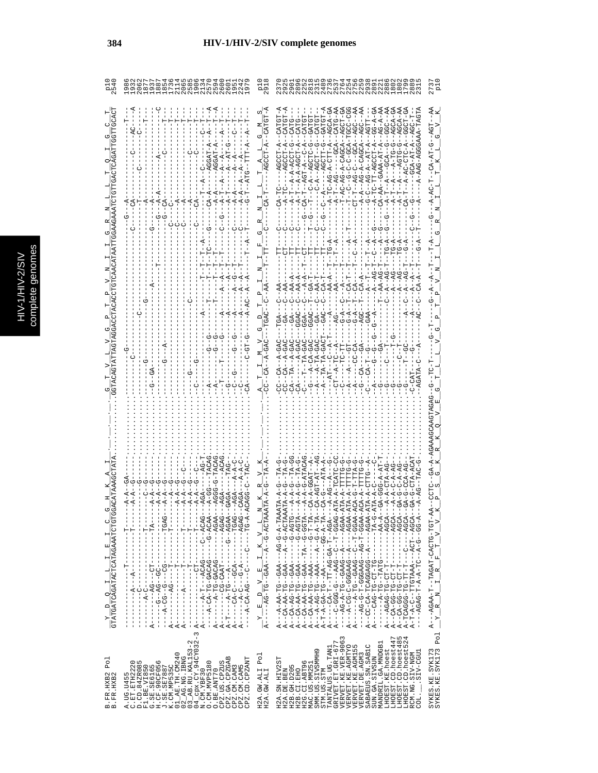|   | C<br>a |
|---|--------|
|   | Б      |
|   |        |
|   |        |
|   |        |
|   |        |
|   |        |
|   | ÷<br>ń |
| с |        |
|   | ¢      |
|   |        |
|   |        |
|   |        |
|   |        |
|   |        |
|   |        |
|   | ì      |
|   |        |

|                                             | ON MODELLONG<br>COOROOM HOMO HUMO COO<br>COOROOM HOMO HUMO COO                                                                                                                                                                                                                                                                                                                                                         | മത                                                                               |                                                                                                                                                                                                                                                                                                                                                                                                                                                                                                                                                                                                                                                                                                                                                                                                                                                                                                                                                                                                                                |                                                                                                                                            |
|---------------------------------------------|------------------------------------------------------------------------------------------------------------------------------------------------------------------------------------------------------------------------------------------------------------------------------------------------------------------------------------------------------------------------------------------------------------------------|----------------------------------------------------------------------------------|--------------------------------------------------------------------------------------------------------------------------------------------------------------------------------------------------------------------------------------------------------------------------------------------------------------------------------------------------------------------------------------------------------------------------------------------------------------------------------------------------------------------------------------------------------------------------------------------------------------------------------------------------------------------------------------------------------------------------------------------------------------------------------------------------------------------------------------------------------------------------------------------------------------------------------------------------------------------------------------------------------------------------------|--------------------------------------------------------------------------------------------------------------------------------------------|
|                                             |                                                                                                                                                                                                                                                                                                                                                                                                                        | ωj                                                                               | AGC--AA<br>CATG-AA<br>T-AC-AG-A-CAGCA--AGCT-GA<br>AGC--AA<br>$G - A - G$<br>$AG - A - A$<br>AGCA-GA<br>- T - - C - - G - C - C - GCA - T<br>C T - T - - AG - C - - -GCA - - i<br>- A - A - - AG - A - CAGCA - - i<br>$\begin{array}{l} \mbox{--}A-C--A G-A--A T-A T-A\\ \mbox{-}A-TC-TT-AG CCT-A--\\ \mbox{--}A-C-A A-A-B-T-A--\\ \mbox{--}A-A A--A-B-A--\\ \end{array}$<br>$\begin{array}{l} A - \Gamma C - A G - A - C \Gamma \Gamma - A - \\ A - \Gamma - - A G - - - - G C A - - \end{array}$<br>$- - - - - - - - -$<br>U--40U----<br>$A---AG$<br>$T - -C - A$<br>$CA-T$<br>$A-T$<br>$G - A - C$<br>ひむりードーーばひーーひ<br>$A - TA - -A - GA$<br>$A---A-TA-GA$<br>$-1 - T - T - T - GA$<br>$G---A-CA-GA$                                                                                                                                                                                                                                                                                                                          | $-4A$<br>LOA--D-HA-RO-                                                                                                                     |
| $\frac{Y}{GTATGATCAGATACTCATACAAATCTTCGTG}$ | ひびひローーーーーーーーひひーーーひーーひしー ダーーー<br>ドーリー シー・シー・シー キー・ロー イー・スピー スキー<br>$- - - \underline{\textbf{T}} - - - -$<br>$-1 - 2 - 1 - 1$<br>$\frac{1}{1}$<br>$\frac{1}{1}$<br>т<br>К<br>К<br>К<br>К<br>$\mathsf I$<br>$\triangleleft$ $\triangleleft$                                                                                                                                                                              | $\frac{Y}{A-----A} = \frac{D}{TC---GAA---T} \frac{E}{A---G-A} = \frac{Y}{ACTRA}$ | $TA-G$<br>$A - AGT - AT - -$<br><b>A-A-GGAT-</b><br>TA-A-CTTG<br>$\begin{array}{l} \lambda_1 - (2\lambda_1 - \lambda_2) - (7\lambda_2 - 2\lambda_3) - \cdots - (-2\lambda_1 - 2\lambda_2) \\ \lambda_1 - (2\lambda_1 - \lambda_2) - (7\lambda_2 - 2\lambda_3) - \cdots - (-2\lambda_1 - 2\lambda_2) \\ \lambda_1 - (2\lambda_1 - \lambda_2) - (7\lambda_1 - 2\lambda_3) - \cdots - (-2\lambda_1 - 2\lambda_1) \\ \lambda_1 - (2\lambda_1 - 2\lambda_2) - \lambda_1 - \lambda_2 - \cdots - (-2\lambda_1 - 2\lambda_1) \\ \lambda_1 - \gamma_$<br>A ---C-GGG-G---AAG--C--T-GGAG--<br>--AG-A-TG--GAAG---A----AGAA--<br>--AG-A-TG--GAAG---A---AGAA--<br>A ------A-TG--GAAG--C--T-GGAA--<br>- 4459-5-544-544599-5-54-5-54-5<br>A--CC-CA-TCAGGAGG--A-----AGAA-<br>A----CAG-TG-CT-TG--------TA-G-2<br>- 4004 - - - - - - - - - H- HO - 0H - 00 - 40 - - 4<br>A-T-A-C--TCAAA---ACT--AGCA-<br>-AOCA-T-H-AOCA-T-H--H-AO<br>A-00--0-4-4-4-H-0404--<br>$\overline{A}$ $\overline{A}$<br>$\triangle$ $\triangle$<br>I.<br>К<br>$\mathbf{I}$ | GA-A-AGAAAG<br>$-CTC$<br>A--AGAA---TAGAT---------A<br>$F$ $T$ $V$ $V$<br>$\mathbb{R}$<br>$\frac{1}{1}$<br>$R$ $N$<br>$\mathbf{x}^{\prime}$ |
| Po <sub>1</sub><br>B.FR.HXB2<br>B.FR.HXB2   | 3<br>$-2px. CY. 94CY032 -$<br>$02\overline{\phantom{\pm}}$ AG.NG.IBNG<br>03_AB.RU.KAL153-2<br>K.CM.MP535C<br>01_AE.TH.CM240<br>CPZ.GA.CPZGAB<br>CPZ.CD.CPZANT<br>O. CM. MVP5180<br>CPZ.US.CPZUS<br>C.ET.ETH2220<br>D.CD.84ZR085<br>w<br>F1.BE.VI850<br>G.SE.SE6165<br>H.CF.90CF056<br>J.SE.SE7887<br>CPZ.CM.CAM3<br>CPZ.CM.CAM5<br>O.BE.ANT70<br>A.UG.U455<br>C.ET.ETH22<br>$04$ $Cpx$ . $CY$ . 9<br>N. $CM$ . $YBF30$ | H2A.GW.ALI Pol<br>H2A.GW.ALI                                                     | LHOEST.CD.hoest485<br>LHOEST.CD.hoest524<br>VERVET.KE.VER-9063<br>LHOEST.CD.hoest447<br>GRIVET. ET. GRI-677<br>MANDRIL.GA.MNDGB1<br>VERVET.KE.AGMTYO<br>VERVET.KE.AGMI55<br>SABAEUS.SN.SABIC<br>TANTALUS.UG.TAN1<br>LHOEST.KE.hoest<br>SMM.US.SIVSMMH9<br>SIV-CGU1<br>RCM.NG.SIV-NGM<br>VERVET. DE. AGM3<br>SUN.GA.SIVSUN<br>H2A.SN.HIV2ST<br>H2G.CI.ABT96<br>MAC.US.MM25<br>H2B. GH. D205<br>H2B.CI.EHO<br>H2A.DE.BEN<br>STM.US.STM<br>i<br>S                                                                                                                                                                                                                                                                                                                                                                                                                                                                                                                                                                                 | Po <sub>1</sub><br>SYKES.KE.SYK173<br>SYKES.KE.SYK173                                                                                      |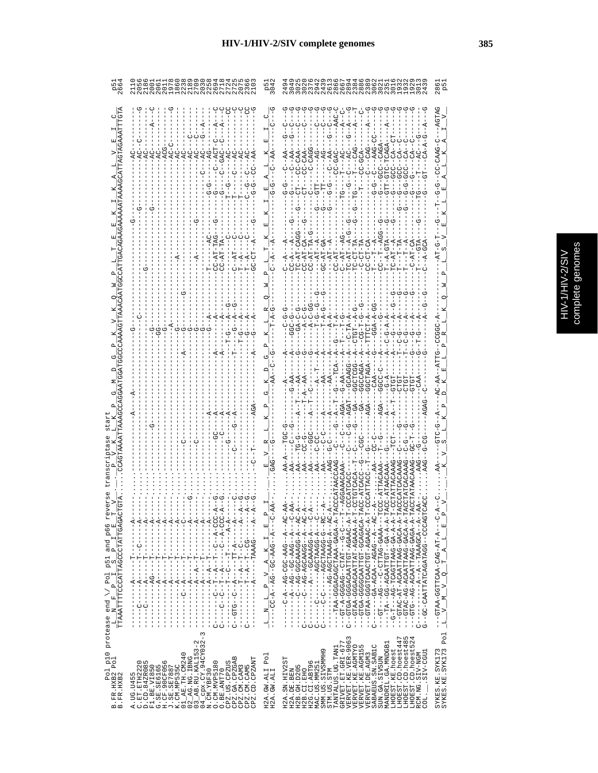|                                                                                                     | 206<br>IN WA BOWIN<br>I DI WA HINO NI<br>I HINN NIN NI                                                                                                                                                                                                                                                                                                                                                                                                                                                              | <b>P5</b><br>304                                                                                                                                                                                                                                                                                                                                                                                                                      |                                                                                                                                                                                                                                                                                                                                                                                                                                                                                                                                                                                                                                                                                                                                                                                                                                                                                          | 28<br>P<br>P                                                                                         |
|-----------------------------------------------------------------------------------------------------|---------------------------------------------------------------------------------------------------------------------------------------------------------------------------------------------------------------------------------------------------------------------------------------------------------------------------------------------------------------------------------------------------------------------------------------------------------------------------------------------------------------------|---------------------------------------------------------------------------------------------------------------------------------------------------------------------------------------------------------------------------------------------------------------------------------------------------------------------------------------------------------------------------------------------------------------------------------------|------------------------------------------------------------------------------------------------------------------------------------------------------------------------------------------------------------------------------------------------------------------------------------------------------------------------------------------------------------------------------------------------------------------------------------------------------------------------------------------------------------------------------------------------------------------------------------------------------------------------------------------------------------------------------------------------------------------------------------------------------------------------------------------------------------------------------------------------------------------------------------------|------------------------------------------------------------------------------------------------------|
|                                                                                                     |                                                                                                                                                                                                                                                                                                                                                                                                                                                                                                                     |                                                                                                                                                                                                                                                                                                                                                                                                                                       | CAGA<br>TC-TCAGA<br>$400 - 1$<br>CC-CAC                                                                                                                                                                                                                                                                                                                                                                                                                                                                                                                                                                                                                                                                                                                                                                                                                                                  | -AGTAG<br>U-544U-UU-                                                                                 |
|                                                                                                     | $-41$                                                                                                                                                                                                                                                                                                                                                                                                                                                                                                               |                                                                                                                                                                                                                                                                                                                                                                                                                                       | ユローエーープ<br>$C-CT-TD$<br>$C-AT-$<br>$TC - ATT -$<br>$C - AT -$<br>ーロー<br>ロスーンコ<br>-<br>-<br>-<br>けっこ<br>もし<br>C-A:                                                                                                                                                                                                                                                                                                                                                                                                                                                                                                                                                                                                                                                                                                                                                                        |                                                                                                      |
|                                                                                                     |                                                                                                                                                                                                                                                                                                                                                                                                                                                                                                                     |                                                                                                                                                                                                                                                                                                                                                                                                                                       | -C-TA<br>GGCTAGA--<br>GGCCAGA--<br>-GCAAGG<br>GGCTCGG<br>しーしひひひ<br>$-AA-5$<br>$\ddot{\sigma}$                                                                                                                                                                                                                                                                                                                                                                                                                                                                                                                                                                                                                                                                                                                                                                                            | 5000-                                                                                                |
|                                                                                                     |                                                                                                                                                                                                                                                                                                                                                                                                                                                                                                                     |                                                                                                                                                                                                                                                                                                                                                                                                                                       |                                                                                                                                                                                                                                                                                                                                                                                                                                                                                                                                                                                                                                                                                                                                                                                                                                                                                          |                                                                                                      |
| غ<br>ج<br>TTAAATTTTCCCATTAGCCTATTGAGAC<br>protease end \/ Pol p51 and p66<br>$-L$ N F P I S P I L E | ŧ<br>ŧ<br>ŧ<br>ŧ<br>$\frac{1}{1}$<br>ł<br>ŧ<br>÷,<br>ł<br>ł<br>ł<br>- 2021 - ベー・リー - ドー・ベー - ドー・リー - - - - - -<br>- ひひひ - ぱ - - ひ - - - - - ぱ - - LI - - ひ - - ひ - - - - し<br>- - 4 - - - - - DARRE - - - - - - - - - - -<br>$\frac{1}{2}$<br>$- - A$<br>$-4$<br>$----A$<br>$   R$<br>$- - - - - A$<br>К<br>$\frac{1}{2}$<br>$- - - 1 - - - - -$<br>- - - 10 - - ベー - ベー - - - - - - -<br>$- - - - - - - -$<br>------------<br>------------<br>$-1$ $-1$ $-1$ $-1$ $-1$ $-1$ $-1$<br>$\frac{1}{1}$<br>$\frac{1}{1}$ | $\begin{array}{ccccccccc}\n\texttt{L} & \texttt{N} & \texttt{L} & \texttt{P} & \texttt{V} & \texttt{A} & \texttt{K} & \texttt{I} & \texttt{E} & \texttt{P} \\ -\texttt{L} & \texttt{N} & \texttt{L} & \texttt{P} & \texttt{V} & \texttt{A} & \texttt{K} & \texttt{I} & \texttt{E} & \texttt{P} \\ -\texttt{L} & \texttt{C} & \texttt{A} & \texttt{A} & \texttt{C} & \texttt{A} & \texttt{C} & \texttt{A} & \texttt{A} & \texttt{A} &$ | CCATTAC<br>- 24 - - 4 - - 244 - 200 - 24 - - 4 - 2 - - -<br>- 2 - - - 4 - - 5 4 4 - 2 5 - - 5 4 - - 4 - - - - -<br>- 24 - -4 - 55445055 - 54 - - 2 - - - - -<br>- 2 - - - 4 - 5 5 4 4 1 2 1 - - - 4 - - - - - - - - - - - -<br>- 2 - - - 4 - 5 DAY - - - - - - - - - - - - - - - -<br>- 2 A - - 5 - 5 DAY - - - - - - - - - - - - - - - - -<br>- 04 - - 4 - 0444HUUQ - 04 - - - - - - - - -<br>-TAA-GGGACACDAA-GAGA-A-T<br>F-4-OCACACACACCOD-10-A-C<br>F-4-OGGO4-LULOGGOHUUD - 44HU---<br>H – – – KRRD – DRIHU – U – – – DR – – – LI D – – –<br>--GTAC-AT-AACAATTAAC-DATA-AT<br>-- 4-40AGO-0ACAATTAAOK--0AGA---<br>- - 4 - - 400444H - - 4 - - - - - - - - - -<br>-- F-ROROROD-HOHLRADDOOD-ROHO<br>- 4 - 4 - 45 - - 15 - 14 4 17 - 50 - - 4 - 1 - - - -<br>L---ひ-ひ----HIYLU--のYDDU-Y-LD-<br>--GTAC-AG-ACAATTAAG-GACA-A-T<br>-GTAA-GGGACAATTAT-AGAAA-A-T<br>G--GC-CAATTATCAGATAGG---GCAGT | - 0 - - - 4 - L4 - DGO - AGOLLUU - AGLU - - -<br>۹<br>$T$ $A$ $L$ $E$<br>$M_V Q$<br>$\triangleright$ |
| <b>Pol P10</b><br>B.FR.HXB2 Pol<br>B.FR.HXB2<br>$m$ $m$                                             | I<br>ţ<br>$\frac{1}{1}$<br>ļ<br>j.<br>$\frac{1}{1}$<br>J<br>Ü<br>↻<br>3<br>$03$ $\overline{\phantom{0}}$ AB.RU.KAL153-2<br>04 cpx.CY.94CY032-3<br>N.CM.YBF30<br>01_AE.TH.CM240<br>$02$ $R$ G. NG. IBNG<br>CPZ.GA.CPZGAB<br>CPZ.CD.CPZANT<br>.ET.ETH2220<br>O<br>O. CM. MVP5180<br>CPZ.US.CPZUS<br>FI.BE.VIRSO<br>G.SE.SE6165<br>H.CF.90CF056<br>J.SE.SE7887<br>X.CM.MP535C<br>CPZ.CM.CAM5<br>A.UG.U455<br>C.ET.ETH222<br>CPZ.CM.CAM3<br>O.BE.ANT70<br>$\Box$                                                        | 빅<br>Po <sub>1</sub><br>H2A.GW.ALI<br>H2A.GW.ALI                                                                                                                                                                                                                                                                                                                                                                                      | $\frac{1}{1}$<br>Ü<br>U<br>↻<br>U<br>U<br>VERVET.KE.VER-9063<br>LHOEST.CD.hoest447<br>LHOEST.CD.hoest485<br>LHOEST.CD.hoest524<br>GRIVET.ET.GRI-677<br>MANDRIL.GA.MNDGB.<br>VERVET.KE.AGMTYO<br>VERVET.KE.AGM155<br>SABAEUS.SN.SAB1C<br>TANTALUS.UG.TAN1<br>LHOEST.KE.hoest<br>Ō<br>LCCO-VIS.<br>RCM.NG.SIV-NGM<br>SMM.US.SIVSMMH<br>VERVET.DE.AGM3<br>SUN.GA.SIVSUN<br>H2A.SN.HIV2ST<br>H2G.CI.ABT96<br>MAC.US.MM251<br>H2B. GH. D205<br>STM.US.STM<br>H2B.CI.EHO<br>H2A.DE.BEN<br>COL.                                                                                                                                                                                                                                                                                                                                                                                                 | $\overline{L}$<br>SYKES.KE.SYK173<br>SYKES.KE.SYK173 Pol                                             |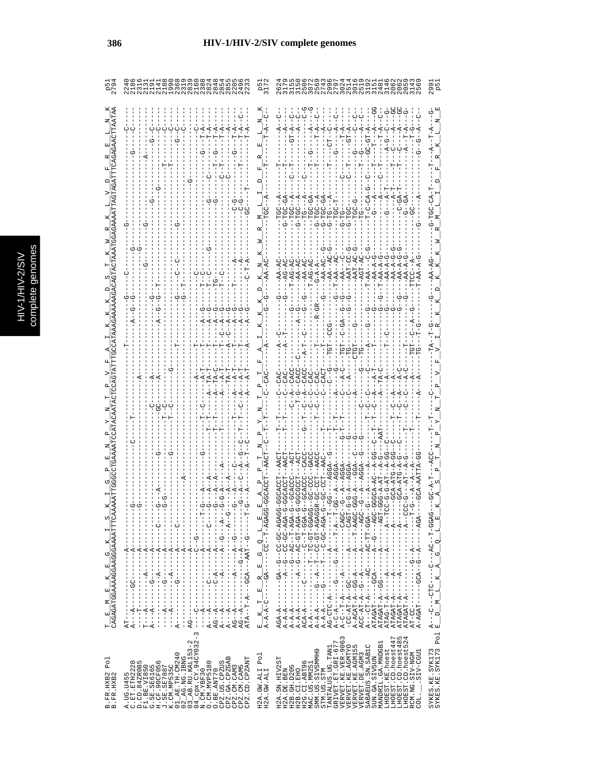|                                                                                                                                                                                                                                                                                                                                                                                                                                                                                                                                                                                                                                                                                          | MOLの4000HHHON80<br>HNONLOLONONHH4<br>HNONLOLONONHH4                                                                                                                                                                                                                                                                                                                                                                                                                                                                                                                                                                                                                                                                                                                                                                                                                                                                                  |
|------------------------------------------------------------------------------------------------------------------------------------------------------------------------------------------------------------------------------------------------------------------------------------------------------------------------------------------------------------------------------------------------------------------------------------------------------------------------------------------------------------------------------------------------------------------------------------------------------------------------------------------------------------------------------------------|--------------------------------------------------------------------------------------------------------------------------------------------------------------------------------------------------------------------------------------------------------------------------------------------------------------------------------------------------------------------------------------------------------------------------------------------------------------------------------------------------------------------------------------------------------------------------------------------------------------------------------------------------------------------------------------------------------------------------------------------------------------------------------------------------------------------------------------------------------------------------------------------------------------------------------------|
|                                                                                                                                                                                                                                                                                                                                                                                                                                                                                                                                                                                                                                                                                          |                                                                                                                                                                                                                                                                                                                                                                                                                                                                                                                                                                                                                                                                                                                                                                                                                                                                                                                                      |
|                                                                                                                                                                                                                                                                                                                                                                                                                                                                                                                                                                                                                                                                                          |                                                                                                                                                                                                                                                                                                                                                                                                                                                                                                                                                                                                                                                                                                                                                                                                                                                                                                                                      |
| $\frac{1}{1}$<br>------------<br>$-1$ $-1$ $-1$ $-1$ $-1$ $-1$ $-1$<br>$-1$ - $-1$ - $-1$ - $-1$<br>----------<br>$-1$ - $-1$ - $-1$ - $-1$                                                                                                                                                                                                                                                                                                                                                                                                                                                                                                                                              | UUKU--------<br>$-1$ - $-1$ - $-1$ - $-1$<br>$\overline{a}$                                                                                                                                                                                                                                                                                                                                                                                                                                                                                                                                                                                                                                                                                                                                                                                                                                                                          |
| リーーズーーーーーーーーーーーーーーーー<br>$\frac{T}{CAGAGATGGAAAGGAAGGAAATTTCZ} \frac{E}{CAGAGAGGAAATTTCZ}$<br>$- -A - -$<br>$-4$<br>$-4$<br>$\begin{array}{c}\n1 \\ 1 \\ 1\n\end{array}$<br>$\begin{array}{c} \begin{array}{c} \text{1} \\ \text{2} \\ \text{3} \\ \text{4} \end{array} \end{array}$<br>$AG - -A - - - - - - -A - - -$<br>$-1$<br>$-1$<br>$-1$<br>$-1$<br>$\frac{1}{1}$<br>$\frac{1}{1}$<br>$- - - - - -$<br>Ť<br>I<br>$\frac{1}{1}$<br>$A---A---$<br>$\frac{1}{1}$<br>÷<br>$A - - - - - -$<br>I<br>$T = -A - -1$<br>$\frac{1}{1}$<br>$A---A$<br>$\frac{1}{4}$<br>$\begin{bmatrix} 1 \\ 1 \\ 1 \end{bmatrix}$<br>$AG---$<br>$- - -$<br>$AT--$<br>$\frac{1}{1}$<br>$\infty$<br>$\mathbf 2$ | $\begin{array}{lll} \texttt{E} & \texttt{K} & \texttt{T} & \texttt{E} & \texttt{R} & \texttt{G} & \texttt{Q} & \texttt{L} & \texttt{E} \\ \texttt{A-A-A-C------GA-----C} & - & - & - & - & - & - & - & - & - & - & - & - \\ \end{array}$<br>UstDD-HD-UH--H-----------<br>-CC-AT-A--GC-------A-----AGT<br>A-ACAT-A--GG-A------A--T-AAGC<br>ACC-AT-A--G--A-----A------AGC<br>ATAGAT-A------A---------<br>$\begin{array}{l} \texttt{A}\texttt{---C}\texttt{---}\texttt{--CTC}\texttt{---}\texttt{---}\texttt{--C}\texttt{---}\texttt{--}\texttt{A}\texttt{C}\texttt{--}\texttt{--}\texttt{--}\texttt{--}\texttt{G}\texttt{A}\texttt{G} \\\texttt{E}\texttt{--}\texttt{D}\texttt{--}\texttt{M}\texttt{--}\texttt{--}\texttt{--} \texttt{K}\texttt{--}\texttt{A}\texttt{--}\texttt{G}\texttt{--}\texttt{Q}\texttt{--}\texttt{--}\texttt{--}\texttt{E} \end{array}$<br>$\frac{1}{1}$<br>ATAGAT-A-----<br>ATAGAT-A--<br>$A - A - -$<br>rv 4 |
| $Cpx$ . $CY$ . $94CY032$ -<br>$\begin{array}{c} 02\overline{\phantom{\cdot}}\text{AG}.\text{NG}.\text{IBNG}\\ 03\overline{\phantom{\cdot}}\text{AB}.\text{RU}.\text{KAL153} \end{array}$<br>CPZ.CD.CPZANT<br>Po <sub>1</sub><br>CPZ.GA.CPZGAB<br>A.UG.U455<br>C.ET.ETH2220<br>D.CD.84ZR085<br>F1.BE.VI850<br>O. CM. MVP5180<br>CPZ.US.CPZUS<br>CPZ.CM.CAM3<br>CPZ.CM.CAM5<br>O.BE.ANT70<br>$04$ cpx. $CY$ .<br>N. CM. YBF30<br>B.FR.HXB2<br>B.FR.HXB2                                                                                                                                                                                                                                    | SYKES.KE.SYK173<br>SYKES.KE.SYK173 Pol<br>VERVET.KE.VER-9063<br>LHOEST.CD.hoest447<br>LHOEST.CD.hoest48<br>$\begin{array}{ll} {\rm TANTALUS:UG:TANI}\\ {\rm GRLVET: ET: GET: GRI-677} \end{array}$<br>LHOEST.CD.hoest52<br>MANDRIL.GA.MNDGB1<br>SABAEUS.SN.SABIC<br>VERVET.KE.AGMTYO<br>VERVET.KE.AGM155<br>LHOEST.KE.hoest<br>SMM. US. SIVSMMH9<br>.SIV-CGU1<br>RCM.NG.SIV-NGM<br>VERVET.DE.AGM3<br>Pol<br>SUN.GA.SIVSUN<br>H2A.SN.HIV2ST<br>H2G.CI.ABT96<br>H2B. GH. D205<br>MAC.US.MM25<br>H2A.GW.ALI<br>H2A.GW.ALI<br>H2A.DE.BEN<br>STM.US.STM<br>H2B.CI.EHO<br>COL.                                                                                                                                                                                                                                                                                                                                                             |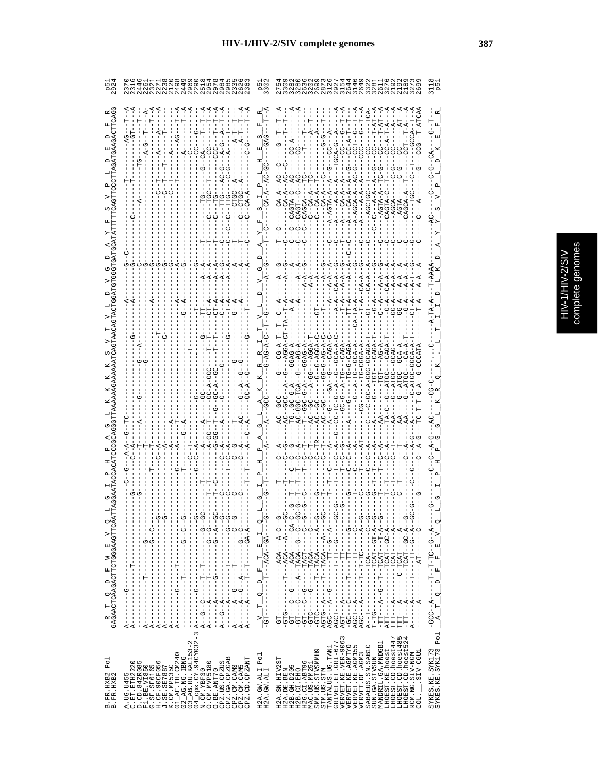| ς<br>٥                |
|-----------------------|
| <b>CIP</b><br>b,<br>ກ |
| 5                     |
| ٦<br>ï                |
|                       |

|                                                                                | O N N M N O 4 O 0 1 IN N O<br>N M N N 1 4 4 0 N IN O 0 0<br>N N N N N N N N N N N N N                                                                                                                                                                                                                                                                                                                                                                                                                                                                                                                                                                   |                                                                                                                | ) の L N N H 4 4 4 N 8 H<br>1 V 8 H 0 H 0 H 0 H 0 M N 0<br>1 N N M N M N M N M M N                                                                                                                                                                                                                                                                                                                                                                                                                                  |
|--------------------------------------------------------------------------------|---------------------------------------------------------------------------------------------------------------------------------------------------------------------------------------------------------------------------------------------------------------------------------------------------------------------------------------------------------------------------------------------------------------------------------------------------------------------------------------------------------------------------------------------------------------------------------------------------------------------------------------------------------|----------------------------------------------------------------------------------------------------------------|--------------------------------------------------------------------------------------------------------------------------------------------------------------------------------------------------------------------------------------------------------------------------------------------------------------------------------------------------------------------------------------------------------------------------------------------------------------------------------------------------------------------|
|                                                                                | --<br>--<br>- 15<br>-9<br>11<br>11                                                                                                                                                                                                                                                                                                                                                                                                                                                                                                                                                                                                                      |                                                                                                                | မိုင်္ဂလို                                                                                                                                                                                                                                                                                                                                                                                                                                                                                                         |
|                                                                                |                                                                                                                                                                                                                                                                                                                                                                                                                                                                                                                                                                                                                                                         |                                                                                                                |                                                                                                                                                                                                                                                                                                                                                                                                                                                                                                                    |
|                                                                                |                                                                                                                                                                                                                                                                                                                                                                                                                                                                                                                                                                                                                                                         |                                                                                                                | $-4$                                                                                                                                                                                                                                                                                                                                                                                                                                                                                                               |
|                                                                                | $A_1$                                                                                                                                                                                                                                                                                                                                                                                                                                                                                                                                                                                                                                                   |                                                                                                                | $T - A$<br>$\Gamma A - A$<br>$A - A$<br>$G - A$                                                                                                                                                                                                                                                                                                                                                                                                                                                                    |
|                                                                                |                                                                                                                                                                                                                                                                                                                                                                                                                                                                                                                                                                                                                                                         |                                                                                                                | $-9C-A$<br>-G--A-TG---CAGA-<br>G------TG-CAGA-<br>-G--A-TG--GCA-A-                                                                                                                                                                                                                                                                                                                                                                                                                                                 |
|                                                                                |                                                                                                                                                                                                                                                                                                                                                                                                                                                                                                                                                                                                                                                         |                                                                                                                |                                                                                                                                                                                                                                                                                                                                                                                                                                                                                                                    |
|                                                                                | I                                                                                                                                                                                                                                                                                                                                                                                                                                                                                                                                                                                                                                                       |                                                                                                                |                                                                                                                                                                                                                                                                                                                                                                                                                                                                                                                    |
| <b>GAGAACTCAAGACTTCTGGGAAGTTCAAT</b><br>oi<br>$\triangleright$<br>띄<br>Z<br>Ŀ, | j<br>$-1$ $-1$ $-1$ $-1$ $-1$ $-1$<br>- ウーーーーーーーーーーーーーーーーーーー ウーーーーーーーーー ば<br>)ひ‐‐ひ‐‐‐‐‐‐‐‐‐‐‐‐‐‐‐‐‐‐‐‐‐)‐‐の‐‐ぱ‐‐<br>$-5$<br>$\frac{1}{1}$<br>$-1 - 1 - 1$<br>)ひ‐‐≮‐‐ひ‐‐‐‐‐‐‐‐‐ひ‐‐‐‐‐‐ぺ‐‐‐‐‐‐<br>- ウーーーーーーーーーーーーーーーーーーーーーーーー ズーーワーーズ<br>ウーーシー エピー エーエーエーエー ピーエーエーエーエーエーエー<br>$-1 - 1 - 1$<br>$-1$ $-1$ $-1$ $-1$ $-1$ $-1$ $-1$ $-1$<br>I<br>$\frac{1}{1}$<br>J<br>$\begin{array}{c} 1 \\ 1 \\ 1 \end{array}$<br>Î<br>т<br>$\,$ I<br>I<br>I<br>$\frac{1}{1}$<br>I<br>I<br>т<br>$\frac{1}{1}$<br>т<br>1                                                                                                                                                   | oį<br>н<br>国<br>$\vdash$<br>۳                                                                                  | -ひ‐ぱひ‐‐‐‐‐ぱひぱ‐‐‐‐‐‐ひ‐‐<br>) リーーリーーリーー ばひば II ーーダーーーーー<br>$\frac{1}{2}$<br>- ウ – – ベ – – – – – – KUKI – – II – – – – – – – – – – – UI.ワ –<br>j<br>) リー・マー・リー・LLL ----LL ----- マー --- マ<br>ပုံ<br>၂<br>- ウーーペーーーーー DI-T-I-T-T-T-T-T-T-DDDR<br>A - - T - - - - - - - - - - TCA - - - - - C - - G -<br>T - TG - - - - - - - - - - TCAT - - GT - A - - G-<br>- ココーユーローーーロスクローーローーワーースーーーロー<br>$V = Q$<br>- - 《-ひひ- - LYひL- - - - - - -<br>$-4CA$ - $-4C$<br>I<br>띄<br>$\mathbf{r}$<br>F                                 |
| $\Box$<br>oį<br>$\mathsf{F}$<br>ĸ                                              | $-1$ $-1$ $-1$ $-1$ $-1$ $-1$<br>$-1$ $-1$ $-1$ $-1$ $-1$ $-1$<br>$\frac{1}{1}$<br>$\begin{array}{c} 1 \\ 1 \\ 1 \\ 1 \end{array}$<br>$\frac{1}{1}$<br>$A - - - - - -$<br>$A - - - - - -$<br>$A - - - - - -$<br>$-1$ $-1$ $-1$ $-1$ $-1$ $-1$<br>$A - - -$<br>I<br>-1<br>п                                                                                                                                                                                                                                                                                                                                                                              | $\mathsf{P}^{\mathsf{I}}_{\mathsf{I}}$<br>oį<br>$\frac{1}{1}$<br>$-6T - - - -$<br>$\vdash$<br>$\triangleright$ | U - - - - - - LUstH - - - - - U - - - LU - -<br><b>ひ‐‐‐‐‐‐‐‐‐‐‐‐‐‐‐‐‐‐‐‐‐‐‐‐‐‐‐‐‐</b><br>$\begin{array}{c} 1 \\ 1 \\ 1 \end{array}$<br>$\mathsf{P}$<br>$\circ$<br>- 1- 1- 1-0-<br>$-9T9-$<br>-- 11-1-0-<br>$ATT - - - -$<br>틱<br>$-15 -$<br>$\mathbf{A}$                                                                                                                                                                                                                                                           |
| Po <sub>1</sub><br>B. FR. HXB2<br>B. FR. HXB2                                  | $04$ $_{\rm CPX}$ . CY. 94CY032-3<br>N. CM. YBF30<br>01_AE.TH.CM240<br>02_AG.NG.IBNG<br>03_AB.RU.KAL153-2<br>CPZ.GA.CPZGAB<br>CPZ.CM.CAM3<br>CPZ.CM.CAM5<br>CPZ.CD.CPZANT<br>$\begin{array}{l} \texttt{A. UG. U455} \\ \texttt{C. ET. ETH2223} \\ \texttt{C. ET. ETH2223} \\ \texttt{F1. BE. V1850} \\ \texttt{G. SE. SEG165} \\ \texttt{G. SE. SEG165} \\ \texttt{H. GFL} \\ \texttt{G.F. QCD} \\ \texttt{G.F. QCD} \\ \texttt{X. OCD} \\ \texttt{X. OCD} \\ \texttt{X. OCD} \\ \texttt{X. OCD} \\ \texttt{X. OCD} \\ \texttt{X. OCD} \\ \texttt{X. OCD} \\ \texttt{X. OCD} \\ \texttt{X. OCD$<br>CPZ.US.CPZUS<br>$\circ$<br>O.CM.MVP518<br>O.BE.ANT70 | Po <sub>1</sub><br>H2A.GW.ALI<br>H2A.GW.ALI                                                                    | SYKES.KE.SYK173<br>SYKES.KE.SYK173 Pol<br>VERVET.KE.VER-9063<br>LHOEST.CD.hoest447<br>LHOEST.CD.hoest485<br>LHOEST.CD.hoest524<br>GRIVET. ET. GRI-677<br>MANDRIL.GA.MNDGB1<br>LHOEST.CD.hoest5.<br>VERVET.KE.AGMTYO<br>VERVET.KE.AGM155<br>U<br>TANTALUS.UG.TAN1<br>LHOEST.KE.hoest<br>SABAEUS. SN. SAB1<br>ō<br>SIV-CGU1<br>RCM.NG.SIV-NGM<br>SMM.US.SIVSMMH<br>VERVET.DE.AGM3<br>SUN.GA.SIVSUN<br>H2A.SN.HIV2ST<br>H2G.CI.ABT96<br>MAC.US.MM251<br>H2B.GH.D205<br>H2A.DE.BEN<br>STM.US.STM<br>H2B.CI.EHO<br>COL. |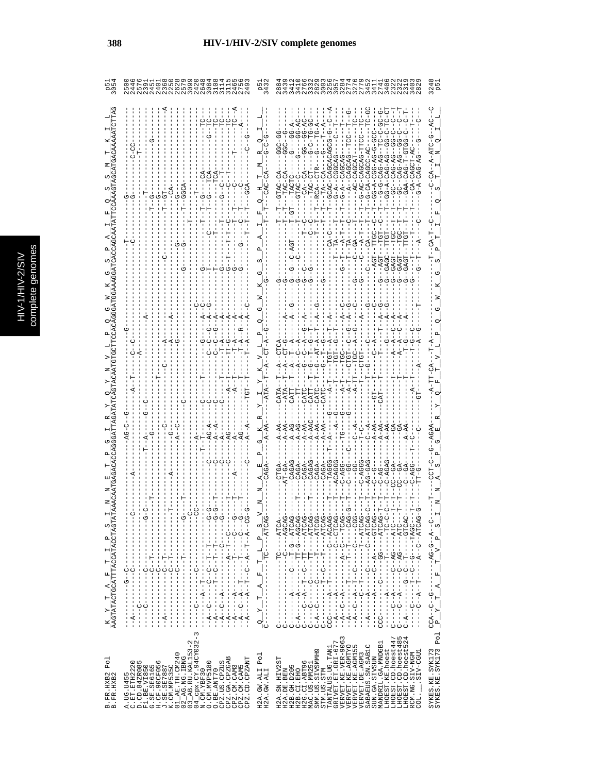|   | C<br>a |
|---|--------|
|   | Б      |
|   |        |
|   |        |
|   |        |
|   |        |
|   |        |
|   | ÷<br>ń |
| с |        |
|   | ¢      |
|   |        |
|   |        |
|   |        |
|   |        |
|   |        |
|   |        |
|   |        |
|   | ì      |

| U<br>------<br>ن<br>۱<br>ن<br>۱<br><b>ウーー レーーーーーローー</b><br>ひーーーひーーーーートローー<br>$-TTC---ATCAG$<br>C)<br>$\frac{1}{1}$<br>Í<br>$\mathbf{a}_{\parallel}^{\parallel}$<br>$\frac{1}{1}$ $\frac{1}{1}$ $\frac{1}{1}$ $\frac{1}{1}$ $\frac{1}{1}$<br>$\overline{A}$<br>$\begin{bmatrix} 1 \\ 1 \\ 1 \end{bmatrix}$<br>E, | $\frac{K-Y-T-A-F-T-L-P-S}{\texttt{AAGTATACATACCTACTAGT}}.$<br>ウーーーーーーローーローーひーーひーーーーーひー!<br><b>ウ------〇----------- ペ--〇--ペ--</b><br>ひ ばひ ひ スー ー ー ー レー ー ー ー ー ー ー ー ー ー ー ー<br>ひばひけばーーひーけーーーひーーーーー ばーーーーー<br>$\begin{aligned} C - A &=--A---------TT^--G^--AGCAG \\ C &=---C^--A--T^----TT^----ATCAG \\ C &=---C------C----TT^----ATCAG \\ \end{aligned}$<br>ひひひHぱ----H------ひ-----ひ--ぱ-ひ<br>ひひひ‐‐‐‐ひ‐‐‐‐‐ひ‐‐‐‐‐ひ‐‐‐ひ‐‐‐ぺ‐<br>· ひばひ LI ひーーーーーー ぱーー ひーーーーー ぱーーーーーーーーー<br>ひばひけば----ひひ-----ひ--------<br>ひーひけ ーーーーーー ローーーーーーーーー ダーー<br>- じんじけひ - - - - - - - ロ - - - - - - - - -<br>ひばひけば‐‐ひ‐‐ぱ‐‐‐‐‐‐‐ぱ‐‐ぴ‐‐‐‐<br>エーエーエロー エローエムエーエーエーエーエーエー<br>$1 - 1 - 1 - 1 - 1$ $1 - 1 - 1 - 1 - 1 - 1$<br>$-1 - 1 - 1 - 1 - 1 -$<br>- - - - - - - - - - - - - - -<br>$-1$<br>$-1$<br>$-1$<br>$-1$<br>$- - - - - - - - - -$<br>$A \rightarrow$<br>Ţ<br>$-1 - 6$<br>$-1$ $-1$ $-1$ $-1$ $-1$<br>$\begin{array}{c} 1 \\ 1 \\ 1 \end{array}$<br>$-1$<br>$-1$<br>$-1$<br>$-1$<br>니<br>I<br>Í<br>$\frac{1}{1}$<br>$C - - - - -$<br>$\begin{bmatrix} 1 & 1 & 1 \\ 1 & 1 & 1 \\ 1 & 1 & 1 \\ 1 & 1 & 1 \end{bmatrix}$<br>$\frac{1}{1}$<br>$\frac{1}{1}$<br>۲<br>$\frac{1}{1}$<br>I<br>$C - A - -$<br>п<br>ن<br>ون<br>$-1$<br>$\frac{1}{1}$<br>$-4$<br>Í<br>$-1$<br>$\vec{A}$<br>$\ddot{A}$<br>$-1$<br>j<br>$- - A$<br>O.<br>ı<br>י ג<br>ט<br>Ü<br>U<br>п<br>$K$ , CM, MP535C<br>01_AE, TH, CM240<br>02_AG, AG, IBNG<br>02_AG, AG, IBNG<br>04_CDX, CV, 94CY032-3<br>M. CM, YBF30 |
|-----------------------------------------------------------------------------------------------------------------------------------------------------------------------------------------------------------------------------------------------------------------------------------------------------------------|---------------------------------------------------------------------------------------------------------------------------------------------------------------------------------------------------------------------------------------------------------------------------------------------------------------------------------------------------------------------------------------------------------------------------------------------------------------------------------------------------------------------------------------------------------------------------------------------------------------------------------------------------------------------------------------------------------------------------------------------------------------------------------------------------------------------------------------------------------------------------------------------------------------------------------------------------------------------------------------------------------------------------------------------------------------------------------------------------------------------------------------------------------------------------------------------------------------------------------------------------------------------------------------------------------------------------------------------------------------------------------------------------------------------------------------------------------|
|                                                                                                                                                                                                                                                                                                                 | $F - T - NG - G - A - C -$<br>$-1 - 5 - 1 - 1$<br>SYKES.KE.SYK173<br>SYKES.KE.SYK173 Pol                                                                                                                                                                                                                                                                                                                                                                                                                                                                                                                                                                                                                                                                                                                                                                                                                                                                                                                                                                                                                                                                                                                                                                                                                                                                                                                                                                |
|                                                                                                                                                                                                                                                                                                                 |                                                                                                                                                                                                                                                                                                                                                                                                                                                                                                                                                                                                                                                                                                                                                                                                                                                                                                                                                                                                                                                                                                                                                                                                                                                                                                                                                                                                                                                         |
|                                                                                                                                                                                                                                                                                                                 |                                                                                                                                                                                                                                                                                                                                                                                                                                                                                                                                                                                                                                                                                                                                                                                                                                                                                                                                                                                                                                                                                                                                                                                                                                                                                                                                                                                                                                                         |
|                                                                                                                                                                                                                                                                                                                 |                                                                                                                                                                                                                                                                                                                                                                                                                                                                                                                                                                                                                                                                                                                                                                                                                                                                                                                                                                                                                                                                                                                                                                                                                                                                                                                                                                                                                                                         |
|                                                                                                                                                                                                                                                                                                                 |                                                                                                                                                                                                                                                                                                                                                                                                                                                                                                                                                                                                                                                                                                                                                                                                                                                                                                                                                                                                                                                                                                                                                                                                                                                                                                                                                                                                                                                         |
|                                                                                                                                                                                                                                                                                                                 |                                                                                                                                                                                                                                                                                                                                                                                                                                                                                                                                                                                                                                                                                                                                                                                                                                                                                                                                                                                                                                                                                                                                                                                                                                                                                                                                                                                                                                                         |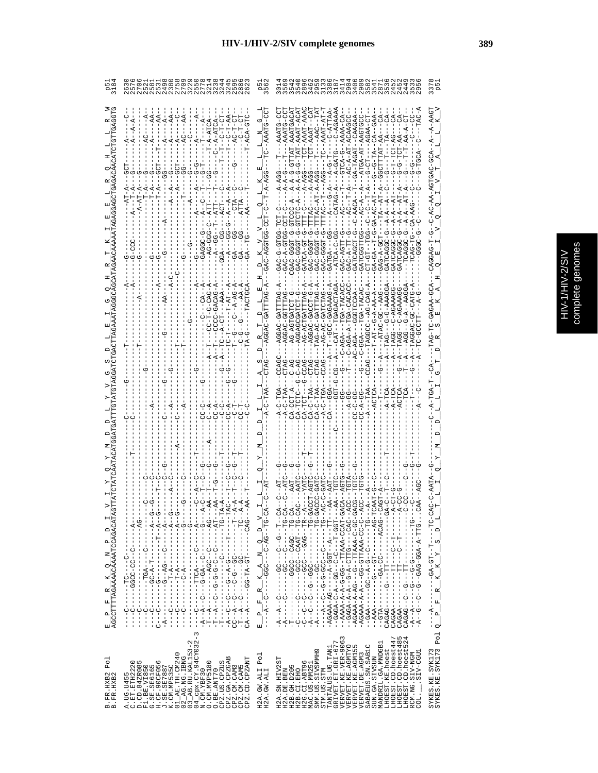|                                                                         |                                                                                                                                                                                                                                                                                                                                                                                                                                                                                                                                                                                                                                                                                                                                                                                                                                                                                                                                                                                                                                                                                                                                                                                                                                                                                            | a vo<br>An                                                                            | G<br>Mamamud<br>Gumawa<br>4955855                                                                                                                                                                                                                                                                                                                                                                                                                                                                                                       | 337<br>P5                                                                                                                                           |
|-------------------------------------------------------------------------|--------------------------------------------------------------------------------------------------------------------------------------------------------------------------------------------------------------------------------------------------------------------------------------------------------------------------------------------------------------------------------------------------------------------------------------------------------------------------------------------------------------------------------------------------------------------------------------------------------------------------------------------------------------------------------------------------------------------------------------------------------------------------------------------------------------------------------------------------------------------------------------------------------------------------------------------------------------------------------------------------------------------------------------------------------------------------------------------------------------------------------------------------------------------------------------------------------------------------------------------------------------------------------------------|---------------------------------------------------------------------------------------|-----------------------------------------------------------------------------------------------------------------------------------------------------------------------------------------------------------------------------------------------------------------------------------------------------------------------------------------------------------------------------------------------------------------------------------------------------------------------------------------------------------------------------------------|-----------------------------------------------------------------------------------------------------------------------------------------------------|
|                                                                         | $- A - A T C A -$<br>$- A$                                                                                                                                                                                                                                                                                                                                                                                                                                                                                                                                                                                                                                                                                                                                                                                                                                                                                                                                                                                                                                                                                                                                                                                                                                                                 | どりークロス                                                                                | AU-GHAAA--U-GUHA---<br>UUUKAUA-HA-UA----<br>GA-TAGAT-CAAGAA<br>-ATGA-AT-AAGT<br><b>GCTTTRT-AA-</b><br>$-1 - 2 - 3 - 3 - 0$<br>$-1 - 7 - 24$<br>GAC-GGGT-G-TTAC<br>GATCAGCT-G<br>GATCGGTTGG<br><b>CT-GT--TGG</b><br>GAC-AGTT-G<br>$GAC - A - T$<br>GAG-A-G<br>$T - A - C - -C - A - A$<br>--200-04<br>---<br>- 45H - 4-454-U - - -<br>TAG-AC-GAT<br>$\frac{1}{2}$<br>CA-TCTC                                                                                                                                                             | $- A - A A G T$<br>-AGTGAC-GCA<br>T-DAGGAC<br>CUCAGAA-CA                                                                                            |
| $\frac{\mathrm{E}-\mathrm{P}}{\mathrm{AGCCTTTTTRGAAAACAAAATCCAGACATR}}$ | $-1$<br>$-1$<br>$-1$<br>$-1$<br>ŧ<br>$-1$ - $-1$ - $-1$<br>-- 54 - - - - - - - 554 - - - -<br>L-ひH-------ひ-----<br>H - - - - - - Н - - - - - - " - Ч - - ") - - - - ) - -<br>- - 24 - - - - - - - - 25 - - - - - - - - - 2 - - 4 - -<br>゠゠ぺ゠゠゠゠゠゠゠゠゠゠ぺ゠ゖ゠゠゠゠゠゠゠<br>- - ペー - - - - - - - - - ペー<br>- DAU - - - - - - - HU - AH - DU - - - - - A - - AU<br>ウーーーーーーーーーー ダーひーーーーー<br>U - - - - KUHH - - - - - -<br>$-1 - 49$<br>$\frac{1}{1}$<br>$\frac{1}{1}$<br>$\begin{array}{c} 1 \\ 1 \\ 1 \end{array}$<br>$\frac{1}{1}$<br> <br> <br> <br> <br>$\begin{array}{c} \rule{0pt}{2.5ex} \rule{0pt}{2.5ex} \rule{0pt}{2.5ex} \rule{0pt}{2.5ex} \rule{0pt}{2.5ex} \rule{0pt}{2.5ex} \rule{0pt}{2.5ex} \rule{0pt}{2.5ex} \rule{0pt}{2.5ex} \rule{0pt}{2.5ex} \rule{0pt}{2.5ex} \rule{0pt}{2.5ex} \rule{0pt}{2.5ex} \rule{0pt}{2.5ex} \rule{0pt}{2.5ex} \rule{0pt}{2.5ex} \rule{0pt}{2.5ex} \rule{0pt}{2.5ex} \rule{0pt}{2.5ex} \rule{0$<br>$\frac{1}{1}$<br>$\frac{1}{1}$<br>$\frac{1}{1}$<br>Ť<br>İ<br>İ<br>I<br>Ţ<br>$\mathbb I$<br>I<br>U<br>$-A$ -C<br>U<br> <br>$\frac{c}{1}$<br>$\frac{1}{2}$<br>$\frac{1}{2}$<br>$-1$<br>U<br>$\frac{1}{1}$<br>$-1$<br>り<br>-----<br>ں<br>ا<br>$\frac{1}{1}$<br>$\frac{1}{1}$<br>$\frac{1}{1}$<br>$-A$ -<br>$-\overline{A}$<br>I<br>투<br>ġ<br>투<br>부<br>부 | ⊳¦<br>۹<br>q<br>z<br>$\mathbb{R}^d$<br>œ<br>Ŀ,<br>$\mathbf{p}_i$<br>囸<br>$\mathbf{I}$ | リーひH---------ひひの--ひ--ひ--<br>リーひローーーーーーーーーー ひひーーーーーーーーーーーーー イー<br>-- ウH - - - - - -ひ - - ひひウ - ウ - ウ - - シ - - ビ - - ビ - -<br>--H55-H----V-V--55--4-V-4545--<br>--AAAA-A-A-G-G-G-TTAAA-CCAT-C<br>U-UU-U-KKKHH--U---UK-K-KKKUK-<br>- - ひH – – – – – – ひ – – ひ – ⊄ – – しひ – – – – – – ⊄∀び – –<br>--WRUR------UU-RU---------KHU--<br>- リロー - - - - - - - リーリー - - - リー - - - イー<br>- ひけい – ベーベのD – ひょひ – – ひ – – ひ – – ひ – – ペー<br>---HH----5----54540<br>$\frac{1}{1}$<br>ن<br>ا<br>i<br>L<br>$-4-$<br>CAGAA<br>$\frac{1}{1}$<br>ပု<br>ပုံ | リーひけーーーー けーーけひーみひーーー<br>$\overline{a}$<br>$\mathsf{p}^\parallel$<br>$\omega$<br>$K_Y$<br>$\mathbb{R}$<br>$\approx$<br>Ĺ.<br>$\mathbf{a}$<br>$\circ$ |
| Po1<br>B.FR.HXB2<br>B.FR.HXB2                                           | 3<br>$04 \frac{Cpx}{CR}$ . CY. 94CY032-<br>N.CM.YBF30<br>$02$ $-$ AG.NG.IBNG<br>$03$ $-$ AB.RU.KAL153-2<br>01_AE. TH. CM240<br>CPZ.GA.CPZGAB<br>CPZ.CD.CPZANT<br>A.UG.U455<br>C.ET.ETH2220<br>D.CD.84ZR085<br>CPZ.US.CPZUS<br>F1.BE.VI850<br>G.SE.SE6165<br>H.CF.90CF056<br>J.SE.SE7887<br>K.CM.MP535C<br>O. CM. MVP5180<br>CPZ.CM.CAM5<br>CPZ.CM.CAM3<br>O.BE.ANT70                                                                                                                                                                                                                                                                                                                                                                                                                                                                                                                                                                                                                                                                                                                                                                                                                                                                                                                       | H2A.GW.ALI Pol<br>H2A.GW.ALI                                                          | LHOEST.CD.hoest485<br>LHOEST.CD.hoest524<br>VERVET.KE.VER-9063<br>LHOEST.CD.hoest447<br>$\begin{array}{ll} \texttt{TANTALUS: UG. TAMI} \\ \texttt{GRIVET. ET. GL-677} \end{array}$<br>MANDRIL.GA.MNDGB1<br>SABAEUS.SN.SAB1C<br>VERVET.KE.AGMTYO<br>VERVET.KE.AGM155<br>LHOEST.KE.hoest<br>SMM.US.SIVSMMH9<br>SIV-CGU1<br>RCM.NG.SIV-NGM<br>VERVET.DE.AGM3<br>SUN.GA.SIVSUN<br>H2A.SN.HIV2ST<br>H2G.CI.ABT96<br>H2B. GH. D205<br>MAC.US.MM25<br>STM.US.STM<br>H2A.DE.BEN<br>H2B.CI.EHO<br>COL.                                           | Pol<br>SYKES.KE.SYK173<br>SYKES.KE.SYK173                                                                                                           |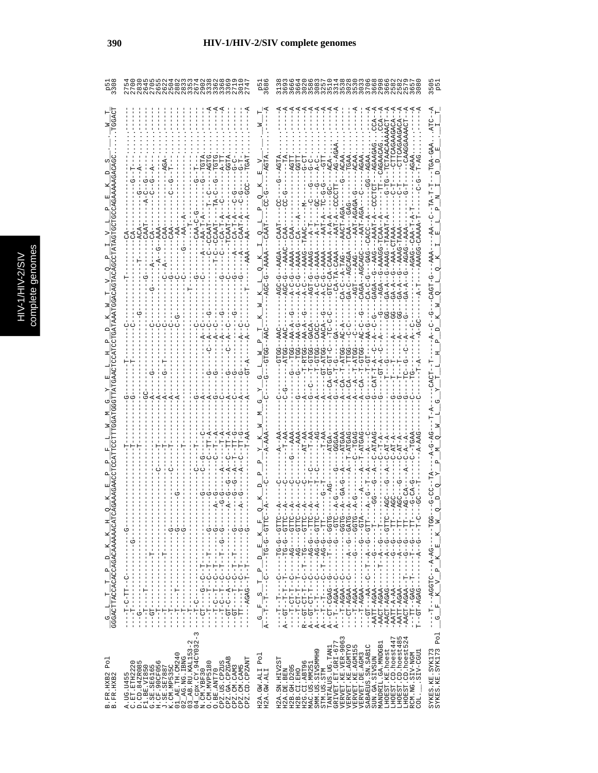|                                                                 | こうとり835703666. こうり83500 300                                                                                                                                                                                                                                                                                                                                                                                                                                                                                                                                                                                                                             |                               | 88811188888888888888888888888888888<br>5 տ<br>Զ                                                                                                                                                                                                                                                                                                                                                                                                                                                                                                                                                                             |
|-----------------------------------------------------------------|---------------------------------------------------------------------------------------------------------------------------------------------------------------------------------------------------------------------------------------------------------------------------------------------------------------------------------------------------------------------------------------------------------------------------------------------------------------------------------------------------------------------------------------------------------------------------------------------------------------------------------------------------------|-------------------------------|-----------------------------------------------------------------------------------------------------------------------------------------------------------------------------------------------------------------------------------------------------------------------------------------------------------------------------------------------------------------------------------------------------------------------------------------------------------------------------------------------------------------------------------------------------------------------------------------------------------------------------|
|                                                                 |                                                                                                                                                                                                                                                                                                                                                                                                                                                                                                                                                                                                                                                         |                               |                                                                                                                                                                                                                                                                                                                                                                                                                                                                                                                                                                                                                             |
|                                                                 |                                                                                                                                                                                                                                                                                                                                                                                                                                                                                                                                                                                                                                                         |                               |                                                                                                                                                                                                                                                                                                                                                                                                                                                                                                                                                                                                                             |
|                                                                 |                                                                                                                                                                                                                                                                                                                                                                                                                                                                                                                                                                                                                                                         |                               |                                                                                                                                                                                                                                                                                                                                                                                                                                                                                                                                                                                                                             |
|                                                                 | CCAAT                                                                                                                                                                                                                                                                                                                                                                                                                                                                                                                                                                                                                                                   |                               |                                                                                                                                                                                                                                                                                                                                                                                                                                                                                                                                                                                                                             |
|                                                                 |                                                                                                                                                                                                                                                                                                                                                                                                                                                                                                                                                                                                                                                         |                               | -AGA--0-AAAA-0--AAA<br>CAGA--AGCAGC<br>$-6 - -2AAR$<br>BA-C--AGCAGA<br>$-4 - 7$<br>ಲ                                                                                                                                                                                                                                                                                                                                                                                                                                                                                                                                        |
|                                                                 |                                                                                                                                                                                                                                                                                                                                                                                                                                                                                                                                                                                                                                                         |                               |                                                                                                                                                                                                                                                                                                                                                                                                                                                                                                                                                                                                                             |
|                                                                 |                                                                                                                                                                                                                                                                                                                                                                                                                                                                                                                                                                                                                                                         |                               | $--T - AT-GG$<br>U-HU-HU-KU<br>$-1 - T - ATGC$<br>$-A-GT-P$                                                                                                                                                                                                                                                                                                                                                                                                                                                                                                                                                                 |
|                                                                 |                                                                                                                                                                                                                                                                                                                                                                                                                                                                                                                                                                                                                                                         |                               |                                                                                                                                                                                                                                                                                                                                                                                                                                                                                                                                                                                                                             |
|                                                                 |                                                                                                                                                                                                                                                                                                                                                                                                                                                                                                                                                                                                                                                         |                               |                                                                                                                                                                                                                                                                                                                                                                                                                                                                                                                                                                                                                             |
|                                                                 |                                                                                                                                                                                                                                                                                                                                                                                                                                                                                                                                                                                                                                                         |                               |                                                                                                                                                                                                                                                                                                                                                                                                                                                                                                                                                                                                                             |
| 피<br>×                                                          | ł<br>$-9 - 0 -$<br>$-1$<br>$-1$<br>$-1$<br>$-1$<br>$-9 - 1$<br>$\frac{1}{2}$<br>Í<br>$\frac{1}{2}$<br>J<br>I<br>т<br>ì<br>I.                                                                                                                                                                                                                                                                                                                                                                                                                                                                                                                            | Ŀ,<br>×                       | $-1 - 1$<br>UHH9--9-91-1<br>$\mathbb{F}_{\mathbb{Z}}$<br>$\mathbf{x}$                                                                                                                                                                                                                                                                                                                                                                                                                                                                                                                                                       |
| ×<br>$\mathsf{P}_\parallel$<br>ρý<br>н                          | - - ツー - - - - - - - 12 - - ツダツダー -<br>$-9 - -9 - -1 - -1 - -6 -$<br>$-5 -$<br>$-1$<br>$-1$<br>$-1$<br>$-1$<br>$-1$<br>$\begin{array}{c} 1 \\ 1 \\ 1 \\ 1 \end{array}$<br>$\begin{array}{c} 1 \\ 1 \\ 1 \\ 1 \end{array}$<br>ł<br>$\frac{1}{1}$<br>$\frac{1}{1}$<br>I<br>$\frac{1}{1}$<br>$\frac{1}{1}$<br>$\begin{array}{c} 1 \\ 1 \end{array}$<br>$\frac{1}{1}$<br>$\frac{1}{1}$<br>$-1 - 1 - 1 -$<br>$-1 - 1 - 1 - 1$<br>$\frac{1}{1}$<br>$-1 - 1 - 1 -$<br>$\mathbf{I}$<br>$\begin{array}{c} \n 1 \\  1 \\  1 \\  1\n \end{array}$<br>$\frac{1}{1}$<br>$\frac{1}{1}$<br>$\frac{1}{1}$<br>$\frac{1}{1}$<br>ن<br>۱<br>ن<br>۱<br>ט<br> <br> <br>ט<br>ו | 띄<br>$\Box$<br>$\mathsf I$    | - 21:59 - - - - 5 4 - - - - -<br>- 2月15- - - - - - - - - - - - - - -<br>$-1$<br>- 55555 - - - - - - - - - - - -<br>- ひHぺひ – - ひ – - イ – – – – –<br>$\mathsf I$<br>$\begin{array}{c}\n \square\n \end{array}$<br>$-9 - 1$<br>$\mathbf{x}$<br>ł<br>$K_V$ $V_P$<br>$\frac{1}{2}$<br>ن<br>۱<br>$\frac{1}{2}$                                                                                                                                                                                                                                                                                                                    |
| GGGACTTACCACACAGACAAAAAACATC<br>н<br>$\overline{A}$<br><u>の</u> | $1 - 1 - 1 - 1 - 1 = 1 - 1 - 1 = 1 - 1 - 1$<br>ひーーローーーー 日日ーーー<br>$\begin{bmatrix} 1 \\ 1 \\ 1 \end{bmatrix}$<br>ţ<br>$\begin{bmatrix} 1 \\ 1 \\ 1 \\ 1 \end{bmatrix}$<br>$-1 - 1 - 1 - 1 - 1$<br>-------------<br>------------<br>-----------<br>$\mathbf{I}$<br>$-1 - 1 - 1 - 1 - 1 - 1$<br>$\frac{1}{1}$<br>$-1 - 0 - 1$<br>$-1$<br>$-1$<br>ין<br>ו<br>Î<br>J.                                                                                                                                                                                                                                                                                        | $\frac{G-F-S}{A---T--T--C--}$ | $\begin{array}{l} A---T--+-------AG-G--GTTC-\\ A--+T--T--G------AG-G----TT--\\ A--T---G-AGAA--C-------------GTC--\\ A--T--AGAA--C-------------GTC--\\ \end{array}$<br>- KHU - - - U - - - - - - - - - - - - - - KKU K - H - - - -<br>- 2115-- 5 - - 4 - - - - - - - - - DAG 4 - INAY -<br>- 111-1-10-1-1-1-1-1-114-1<br>- AATT-AGAA-------A-------<br>- 551- - - - - - 54 - 4 - - - 215554 - - - 1- - - -<br>$-AATT-AA=$<br>$\mathbf{A}--\mathbf{G}\mathbf{T}-\mathbf{C}\mathbf{T}--\mathbf{T}--\mathbf{C}$<br>$-1$ - $-1$ $-1$ $-1$<br>$U - -T - T - - - -$<br><b>F-HO-HO--</b><br>- - ロー・ロー・ロー<br>$\mathbf{r}$<br>$\circ$ |
| Po <sub>1</sub>                                                 | $\sim$<br>$\mathsf I$                                                                                                                                                                                                                                                                                                                                                                                                                                                                                                                                                                                                                                   | Po <sub>1</sub>               | α<br>Po <sub>1</sub><br>rv 4<br>$\alpha$                                                                                                                                                                                                                                                                                                                                                                                                                                                                                                                                                                                    |
| B.FR.HXB2<br>B.FR.HXB2                                          | 4_cpx.CY.94CY032<br>$03$ AB. RU. KAL153-2<br>$\begin{array}{l} \texttt{A. UG. U455} \\ \texttt{D. CD. 8420085} \\ \texttt{D. CD. 8420085} \\ \texttt{F1. BE. V1360} \\ \texttt{H. SE. V1360} \\ \texttt{H. SE. S17387} \\ \texttt{H. SE. S17387} \\ \texttt{J. SE. S27387} \\ \texttt{J. SE. 17387} \\ \texttt{J. 1.01} \\ \texttt{O1\_A2. I. III. O00249} \end{array}$<br>$2$ <sub>-</sub> AG.NG.IBNG<br>CPZ.GA.CPZGAB<br>CPZ.CD.CPZANT<br>CPZ.US.CPZUS<br>$\begin{array}{l} 04 \overline{-} \text{cpx. CY. 94C} \\ \text{N. CM. YBF 30} \\ \text{O. CM. WDF 180} \end{array}$<br>CPZ.CM.CAM3<br>CPZ.CM.CAM5<br>O.BE.ANT70<br>$\circ$                  | H2A.GW.ALI<br>H2A.GW.ALI      | VERVET.KE.VER-9063<br>LHOEST.CD.hoest447<br>LHOEST.CD.hoest48<br>TANTALUS.UG.TAN1<br>GRIVET.ET.GRI-677<br>MANDRIL.GA.MNDGB1<br>VERVET.KE.AGMTYO<br>VERVET.KE.AGMI55<br>SABAEUS.SN.SABIC<br>LHOEST.CD.hoest5<br>SYKES.KE.SYK173<br>SYKES.KE.SYK173<br>LHOEST.KE.hoest<br>SMM.US.SIVSMMH9<br>SIV-CGU1<br>VERVET.DE.AGM3<br>RCM.NG.SIV-NGM<br>SUN.GA.SIVSUN<br>H2A.SN.HIV2ST<br>H2G.CI.ABT96<br>MAC.US.MM251<br>H2B. GH. D205<br>H2A.DE.BEN<br>H2B.CI.EHO<br>STM.US.STM<br>COL.                                                                                                                                                |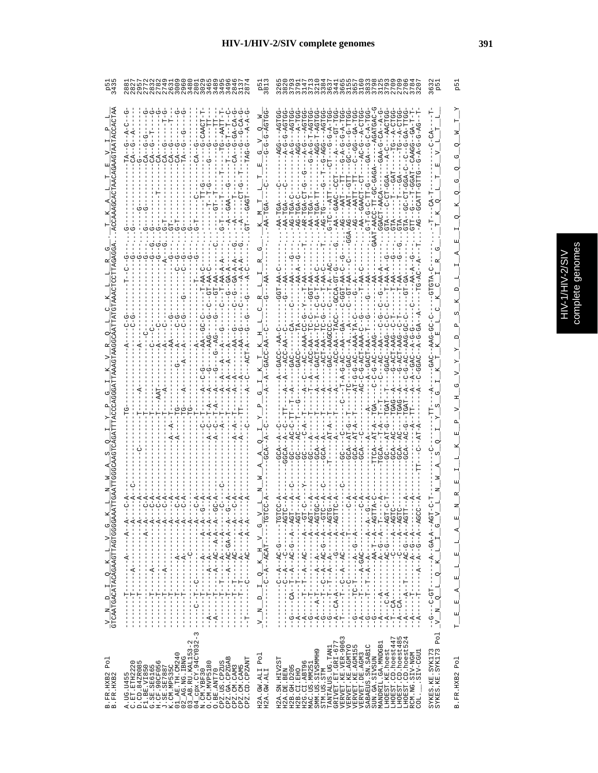| å<br>J.  |
|----------|
|          |
| pre<br>١ |
|          |
|          |
|          |
|          |

| R F C C C C C C C C C                                                                                                                                                                                                                                                                                                                                                                                                                                                                                                                                        |                                                                                         | 96<br>95<br>95                                                                                                                                                                                                                                                                                                                                                                                                                                                                                                                                         |
|--------------------------------------------------------------------------------------------------------------------------------------------------------------------------------------------------------------------------------------------------------------------------------------------------------------------------------------------------------------------------------------------------------------------------------------------------------------------------------------------------------------------------------------------------------------|-----------------------------------------------------------------------------------------|--------------------------------------------------------------------------------------------------------------------------------------------------------------------------------------------------------------------------------------------------------------------------------------------------------------------------------------------------------------------------------------------------------------------------------------------------------------------------------------------------------------------------------------------------------|
| $G-GA-CA$                                                                                                                                                                                                                                                                                                                                                                                                                                                                                                                                                    | $-6-6-ACTGC$<br>囯                                                                       | $-1 - 4 - 1 - 0$<br><b>H-A-B-A-A-D</b><br>11-5--5--05--<br>LOK-H-D-K-D--<br>$-4-0-6-0-1$<br>$-GAA-GAA-CA-7$<br>$-4G - T - DG - T - AG$<br>$-G - AG - - - A$<br>$-49 - -9 - -$<br>$A - C - C - C - C - C - C$<br>$-4 - C$                                                                                                                                                                                                                                                                                                                               |
|                                                                                                                                                                                                                                                                                                                                                                                                                                                                                                                                                              | Σ                                                                                       | $-AG---PARTT--T"$<br><b>0-HH-0-5-H-0</b><br>$-AR-TGA$<br>$-AG-T$<br>$-AG-$<br>$-AG-7$                                                                                                                                                                                                                                                                                                                                                                                                                                                                  |
| む む<br>$--CCT-AA-C$                                                                                                                                                                                                                                                                                                                                                                                                                                                                                                                                          |                                                                                         |                                                                                                                                                                                                                                                                                                                                                                                                                                                                                                                                                        |
|                                                                                                                                                                                                                                                                                                                                                                                                                                                                                                                                                              |                                                                                         | --A-------ACC-AA--TA<br>---T-A-G-AC--AA--GA<br>AC-C-G-ACT-AA<br>$- - -AC - P$<br><b>DE-5-0-5</b><br>$- -$ GAC                                                                                                                                                                                                                                                                                                                                                                                                                                          |
|                                                                                                                                                                                                                                                                                                                                                                                                                                                                                                                                                              |                                                                                         | $-AT - G - G - AC$<br>$-C - A - - T$                                                                                                                                                                                                                                                                                                                                                                                                                                                                                                                   |
|                                                                                                                                                                                                                                                                                                                                                                                                                                                                                                                                                              |                                                                                         |                                                                                                                                                                                                                                                                                                                                                                                                                                                                                                                                                        |
| $-4 -$<br>$- -A - -A - -$<br>$-4 - - - -$<br>- N - - - - - - - - - - - N - - - - -<br>$-4$<br>$- - - - - -$<br>$-4 - 1$<br>$-1$ $-1$ $-1$ $-1$ $-1$ $-1$ $-1$<br>$-1$ $-1$ $-1$ $-1$ $-1$ $-1$<br>$1 - 1 - 1 - 1$<br>$- - - - - - - - -$<br>Ţ<br>$\frac{1}{1}$<br>$\frac{1}{1}$<br>--------<br>$\frac{1}{1}$<br>$-1$ $-1$ $-1$ $-1$ $-1$ $-1$ $-1$                                                                                                                                                                                                           | び<br>$\overline{V}$<br>$\overline{a}$<br>×<br>d                                         | ひローーーーーひーひべーーペーーひーーーーー<br>$- - - - - - 2G'$<br>$-4 - 4 - -9C - -4 - -8 - -8C$<br>ひばーーーーーーーーーーー<br>ひペーーペーー ローベベー ーーーーーーーーーーーーーー<br>:DY-----D-OY--------Y-D---Y--<br>:D ペーーペーー ーー レーー ーーーーーーーーー インーー<br>ひペーーペーーひーーペーーペーーーーー……!<br>$-4 - 4 - 4 - 4 - 4 - 4 - 4$<br>- - - K - - - - - O K - - K - - O - - L - - - - -<br>$-1 - 4 - 0 - 4 - 1$<br>Í<br>- - - - - Od D - d - - - - - - - - - - -<br>$-1$ - $-1$ - $-1$<br>ï<br>ł<br>ł                                                                                                                        |
| - - - - - - - - - - - - - - - - - - -<br>----------<br>$\begin{bmatrix} 1 \\ 1 \\ 1 \\ 1 \end{bmatrix}$<br>j<br>1<br>÷<br>F<br>۲<br>ا<br>י<br>י<br>י<br>י<br>i<br>F<br>$-1$<br>י<br>י<br>I<br>$\frac{1}{2}$<br>י<br>י<br>$\frac{1}{1}$<br>ł<br>Í<br>$\frac{1}{1}$<br>$\frac{1}{1}$<br>$\frac{1}{1}$<br>$\begin{array}{c} 1 \\ 1 \\ 1 \end{array}$<br>$-A$ – – –<br>$-A--$<br>$\begin{array}{c} 1 \\ 1 \\ 1 \end{array}$<br>$\begin{bmatrix} 1 \\ 1 \\ 1 \\ 1 \end{bmatrix}$<br>$\frac{1}{1}$<br>I<br>Í<br>ı<br>í<br>$\mathbf{I}$<br>T<br>$\overline{1}$<br>3 | H<br>$\frac{1}{1}$<br>$\overline{a}$<br>I<br>$\sum_{i=1}^{n}$<br>I<br>ì<br>$\geq$<br>J. | $\frac{1}{2}$<br>$-1$ $-1$ $-1$<br>י<br>ד<br><b>UD-0-1-0-1</b><br>$-1 - -1$<br>$---A-T$<br>Ţ<br>--------<br>$-1$<br>$-$ -CA $-$ A<br>$\frac{1}{1}$<br>$\frac{1}{1}$<br>$\frac{1}{1}$<br>$\frac{1}{1}$<br>$-1 - 4 - 1$<br>$-1 - 4 - 1$<br>$\frac{1}{1}$<br>I.<br>$\ddot{A}$<br>ن<br>۱<br>$-4$<br>$-4$<br>ن<br>۱<br>$-4$<br>$\frac{6}{1}$<br>$\frac{6}{1}$<br>$\frac{1}{1}$<br>무<br>$-\frac{6}{1}$<br>무<br>$- - A$<br>י<br>י<br>부<br>ru 4                                                                                                                |
| CPZ.GA.CPZGAB<br>CPZ.CD.CPZANT<br>CPZ.US.CPZUS<br>CPZ.CM.CAM5<br>CPZ.CM.CAM3<br>O.BE.ANT70<br>A.UG.U455<br>C.ET.ETE2                                                                                                                                                                                                                                                                                                                                                                                                                                         | H2A.GW.ALI Pol<br>H2A.GW.ALI                                                            | VERVET.KE.VER-9063<br>VERVET.KE.AGMTYO<br>VERVET.KE.AGMTYO<br>IHOEST.CD.hoest447<br>$\begin{array}{ll} {\rm TANTALUS\cdot UG\cdot TAN1}\\ {\rm GRLVET\cdot ET\cdot GRL-677} \end{array}$<br>LHOEST.CD.hoest48<br>LHOEST.CD.hoest52<br>MANDRIL.GA.MNDGB1<br>SABAEUS.SN. SAB1C<br>SYKES.KE.SYK173<br>SYKES.KE.SYK173<br>LHOEST.KE.hoest<br>SMM.US.SIVSMMH9<br>RCM.NG.SIV-NGM<br>COL. SIV-CGU1<br><b>VERVET.DE.AGM3</b><br>SUN.GA.SIVSUN<br>H2A.SN.HIV2ST<br>H2G.CI.ABT96<br>MAC.US.MM25<br>H2B.GH.D205<br>H2B.CI.EHO<br>H2A.DE.BEN<br>STM.US.STM<br>COL. |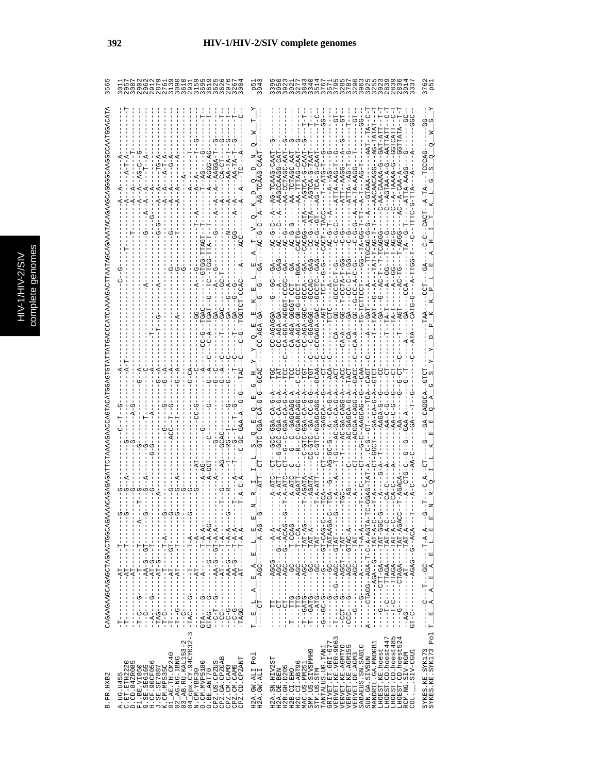|                                                                                                                                                                                                                                                                                                                                                                                                                                                                                                                          | RAU-U-AUH-UA<br>A-TA-AAGG-<br>ACGG--ATA--<br>$-CC-C - G - T A T A -$<br>$-AC - C - C$                                                                                                                                                                                                                                                                                                                                                                                                                                                                                                                                                                                                          |
|--------------------------------------------------------------------------------------------------------------------------------------------------------------------------------------------------------------------------------------------------------------------------------------------------------------------------------------------------------------------------------------------------------------------------------------------------------------------------------------------------------------------------|------------------------------------------------------------------------------------------------------------------------------------------------------------------------------------------------------------------------------------------------------------------------------------------------------------------------------------------------------------------------------------------------------------------------------------------------------------------------------------------------------------------------------------------------------------------------------------------------------------------------------------------------------------------------------------------------|
|                                                                                                                                                                                                                                                                                                                                                                                                                                                                                                                          | -<br>CA-GGA-ROO-ROO-<br>-URUUD---UUURUD-U-<br>CCGAGA-GAC--GCTC-<br>CA-AGA-GGGETCT<br>CA-AGA-GR-G-GCCT<br>AUUU---UUU-KUK-U                                                                                                                                                                                                                                                                                                                                                                                                                                                                                                                                                                      |
|                                                                                                                                                                                                                                                                                                                                                                                                                                                                                                                          |                                                                                                                                                                                                                                                                                                                                                                                                                                                                                                                                                                                                                                                                                                |
|                                                                                                                                                                                                                                                                                                                                                                                                                                                                                                                          | - 4-55455455-0-0-0-<br>4-5-40-455-0------<br>ひー ��りー - ��! - → ひーひひーひ ��!<br>ひーむひみひーひダーー<br>--R--C-GGARCAGG<br>$-4C-GB-CAG$<br>$-40-40-0A-1$                                                                                                                                                                                                                                                                                                                                                                                                                                                                                                                                                   |
| - A - A - H - - - - - - - - - -<br>$\begin{bmatrix} 1 \\ 1 \\ 1 \\ 1 \end{bmatrix}$<br>$\frac{1}{1}$                                                                                                                                                                                                                                                                                                                                                                                                                     | 띄<br>- - - - K - L K L - - - - - - O - - - - - - -<br>$-1$ - $-1$ - $-1$ - $-1$<br>- - - - - - LRH - - - - - - - - -<br>--めむひひ-----ひひ------<br>--4-4--5---D54--<br>$\mathbb{E}$<br>- 404--0--0404--<br>$\overline{a}$<br>国                                                                                                                                                                                                                                                                                                                                                                                                                                                                     |
| - 《トートートーロートートーロートーーーー ひーーーひーロー<br>エーエーエイ ペーピーエーエー トピーエーエーエーエーエーエー ローピー<br>- - ウベ – ベ – L – – – - ウ – – – – – – – – – ウ – – – ウ KLD<br>- - ペ- ペ- L-D - - D - ベベ - - - - - - D - - L-D - -<br>- - - - ペー - - - - - - - LI-ベ - - - - - - - - - - - - - -<br>- - - ペ - L- - - - - - LTペ - - - - - - - - - - DO - -<br>$- - P_{1}T - - -$<br>$\begin{array}{c} \n 1 \\  1 \\  1\n \end{array}$<br>$\frac{1}{1}$<br>$-1 - - - - - - - - - -$<br>J<br>$-1 - 1 - 1 - 1 - 1$<br>$\begin{bmatrix} 1 \\ 1 \\ 1 \\ 1 \end{bmatrix}$ | - - - - - - LRE - - - LDUR - - - - - - D - - LDU - -<br>- 2 - 4 - HAH - - - 2 - 4 DA - - - - - - - - - - -<br>) – ひひひ – ListI – – – – KID – LiLiひ – – – – – サー – –<br>- リーム- II AI - - - - - AU AI II - - - - - リーロー - - -<br>- - KU - - L- - - - - UUK - - - - - ULL - - - - -<br>- - - - - 15455 - - - ひひば - - ひ - - ひ - - - - - 1 1<br>- - 4 - DEI-D - - - - DDE - - - - - - - - - DDD -<br>- - 4 - 4 - - - - - - DOD4 - - - - - - - - - - - - -<br>- K1-LKH - - - - - - - - - - - - - - - - DK- -<br>I<br>Ч<br>$-------ACC$<br>E<br>$\overline{A}$<br>$-T$ -GATG---<br>-----------<br>$-T$ ---- $T$ -- $T$ G<br>$-TT-TT-TT$<br>$\overline{a}$<br>$-1 - -1$<br>띄<br>í<br>$\frac{1}{1}$<br>F |
| $02$ AG.NG.IBNG<br>$03$ AB.RU.KAL153-2<br>$04$ Cpx.CY.94CY032-3<br>01_AE. TH. CM240<br>CPZ.GA.CPZGAB<br>CPZ.CD.CPZANT<br>A.UG.U455<br>C.ET.ETH2220<br>D.CD.84ZR085<br>F1.BE.VI850<br>3.SE.SE6165<br>3.CF.90CF056<br>.CM.MVP5180<br>CPZ.US.CPZUS<br>. SE. SE7887<br>CM. MP535C<br>CPZ.CM.CAM5<br>CPZ.CM.CAM3<br>O.BE.ANT70<br>N.CM.YBF30<br>国<br>ひ<br>H<br>$\overline{D}$<br>K<br>$\circ$                                                                                                                                 | GRIVET.ET.GRI-677<br>VERVET.KE.VER-9063<br>VERVET.KE.AGMTYO<br>LHOEST.CD.hoest485<br>LHOEST.CD.hoest524<br>LHOEST.CD.hoest447<br>MANDRIL.GA.MNDGB1<br>SABAEUS.SN.SAB1C<br>VERVET.KE.AGM155<br>TANTALUS.UG.TAN1<br>LHOEST.KE.hoest<br>SMM.US.SIVSMMH9<br>LIED-VIS.<br>RCM.NG.SIV-NGM<br>VERVET. DE. AGM3<br>H2A.GW.ALI Pol<br>H2A.GW.ALI<br>SUN.GA.SIVSUN<br>H2A.SN.HIV2ST<br>H2G.CI.ABT96<br>MAC.US.MM251<br>H2B. GH. D205<br>H2A.DE.BEN<br>STM.US.STM<br>H2B.CI.EHO<br>COL.                                                                                                                                                                                                                   |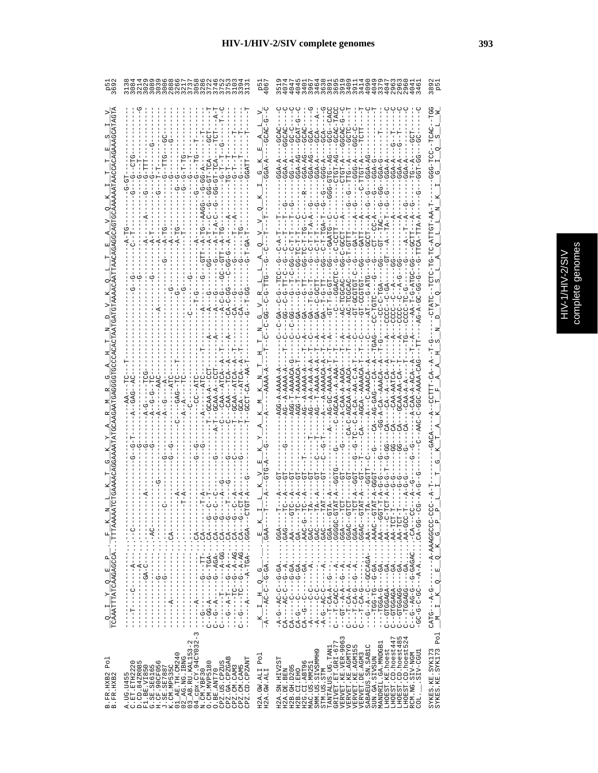| ß<br>e<br>Side<br>ă |
|---------------------|

|                                           | NOOOO@NNFONFF                                                                                                                                                                                                                                                                                                                                                                                                                                                                                                                                                                                      | ۵۹<br>په                                                                                                                                                                                                                                                                                                                                                                                                                                                                                                     | $\cup$                                                                                                                                                                                                                                                                                                                                                                                                                                                                                  | 9<br>9<br>9<br>9<br>9                                 |
|-------------------------------------------|----------------------------------------------------------------------------------------------------------------------------------------------------------------------------------------------------------------------------------------------------------------------------------------------------------------------------------------------------------------------------------------------------------------------------------------------------------------------------------------------------------------------------------------------------------------------------------------------------|--------------------------------------------------------------------------------------------------------------------------------------------------------------------------------------------------------------------------------------------------------------------------------------------------------------------------------------------------------------------------------------------------------------------------------------------------------------------------------------------------------------|-----------------------------------------------------------------------------------------------------------------------------------------------------------------------------------------------------------------------------------------------------------------------------------------------------------------------------------------------------------------------------------------------------------------------------------------------------------------------------------------|-------------------------------------------------------|
| $\frac{Q}{TCAAATTTATCAAGAGCCCATTTAAAAA}$  | CAA-A<br>$-5 - -4 - -6 -$<br>$$ CA---G-<br>- 5 - - - 4 C · · · · 5 C - 4 - - - - - - - - - - - - - - -<br>- 5 - - - 4 J · · · · 5 4 - 4 - - 5 - - J H - - - - - - - -<br>- 5 - - - 4 J · · · 54 - 4 - - 5 - - J - - - - - - - - - -<br><b>ひーーーぱのの・・・・よのHーぱーーーーーーぱーーーーー</b><br>$\frac{1}{2}$<br>Ť<br>- - - dVD・・・ - - - - - - - - - - - - - dY- - - - -<br>$\frac{1}{2}$<br>$\frac{1}{1}$<br>$----$<br>$\begin{array}{c} 1 \\ 1 \\ 1 \\ 1 \end{array}$<br>ひ‐‐・・・‐‐‐《‐‐‐‐‐ひ‐‐‐‐‐‐‐‐‐‐‐‐<br>I<br>$\frac{1}{4}$<br>$\cdot$<br>$\vdots$<br>$\frac{1}{1}$<br>$\frac{1}{1}$<br>$\frac{1}{1}$<br>$---A---$ | $\begin{array}{c} K \hspace{-.5cm} \textcolor{blue}{\vphantom{\hskip2cm}}\textcolor{blue}{\mathbf{K}} \hspace{-.5cm} \textcolor{blue}{\mathbf{I}} \hspace{-.5cm} \textcolor{blue}{\mathbf{A}} \hspace{-.5cm} \textcolor{blue}{\mathbf{I}} \hspace{-.5cm} \textcolor{blue}{\mathbf{I}} \hspace{-.5cm} \textcolor{blue}{\mathbf{A}} \hspace{-.5cm} \textcolor{blue}{\mathbf{I}} \hspace{-.5cm} \textcolor{blue}{\mathbf{I}} \hspace{-.5cm} \textcolor{blue}{\mathbf{I}} \hspace{-.5cm} \textcolor{blue}{\math$ | GCAT<br>C-TCGCA<br>G-A-CA--AAACA<br>-----Og5) ・・・・・・ g------D-Og--5-g-<br>ひ‐‐ひぱひ)・・・・・・・-----ひ‐ぱ〕‐ II---<br>- - - - - - 44' ・ ・ - 4504') ) ひーーリー - 4 - - ウーー<br>ひ‐‐∪ЧА́А'::::<ひ‐ひ‐‐ひ⊥‐ひひ‐‐‐‐<br>ひ リー – KR ・・・・・・ KP – – – - D – KP – – –<br>$-10 - -44$<br>$-150F - 49F - - - - 49F - - - - - -$<br>- LDH - KK · · · · · · · · KD - - - - DDKDDLD - -<br>---ひばひ・・・・・・ * Y-----ひ-ひ----- Y-<br>$\cdot$ CA-GG-<br>$-40A -$<br>$\vdots$<br>- 45-5-10-04-10-4-<br>$---A - A$<br>$-$ -GTGAGA- |                                                       |
|                                           | п<br>$\frac{1}{1}$<br>U<br>U<br>U<br>U<br>Μ                                                                                                                                                                                                                                                                                                                                                                                                                                                                                                                                                        |                                                                                                                                                                                                                                                                                                                                                                                                                                                                                                              | UU-U-U-UU<br>$CA - -$<br>U<br>O<br>U<br>U<br>I<br>U<br>U                                                                                                                                                                                                                                                                                                                                                                                                                                |                                                       |
| Po <sub>1</sub><br>B.FR.HXB2<br>B.FR.HXB2 | $03$ AB.RU.KAL153-2<br>$04$ cpx.CY.94CY032-<br>$01$ $AB$ . TH. $CM240$<br>$02$ $A$ G. NG. IBNG<br>CPZ.GA.CPZGAB<br>CPZ.CD.CPZANT<br>A.UG.U455<br>C.ET.ETH2220<br>D.CD.84ZR085<br>0. CM. MVP5180<br>CPZ.US.CPZUS<br>F1.BE.VIRS60<br>G.SE.SE6165<br>H.CF.90CF056<br>J.SE.SE7887<br>X.CM.MP535C<br>CPZ.CM.CAM3<br>CPZ.CM.CAM5<br>O.BE.ANT70<br>$04$ $Cpx$ . $CY$ .<br>N. $CM$ . $YBF30$                                                                                                                                                                                                               | H2A.GW.ALI Pol<br>H2A.GW.ALI                                                                                                                                                                                                                                                                                                                                                                                                                                                                                 | VERVET.KE.VER-9063<br>ru 4<br>LHOEST.CD.hoest447<br>LHOEST.CD.hoest48<br>LHOEST.CD.hoest52<br>GRIVET.ET.GRI-677<br>MANDRIL.GA.MNDGB1<br>VERVET.KE.AGMTYO<br>VERVET.KE.AGM155<br>SABAEUS.SN.SAB1C<br>TANTALUS.UG.TAN1<br>LHOEST.KE.hoest<br>SMM.US.SIVSMMH9<br>LIED-VIS.<br>VERVET.DE.AGM3<br>RCM.NG.SIV-NGM<br>SUN.GA.SIVSUN<br>H2A.SN.HIV2ST<br>G<br>$\blacksquare$<br>H2G.CI.ABT9<br>MAC.US.MM25<br>H2B.GH.D205<br>H2A.DE.BEN<br>H2B.CI.EHO<br>STM.US.STM<br>COL.                     | Po <sub>1</sub><br>SYKES.KE.SYK173<br>SYKES.KE.SYK173 |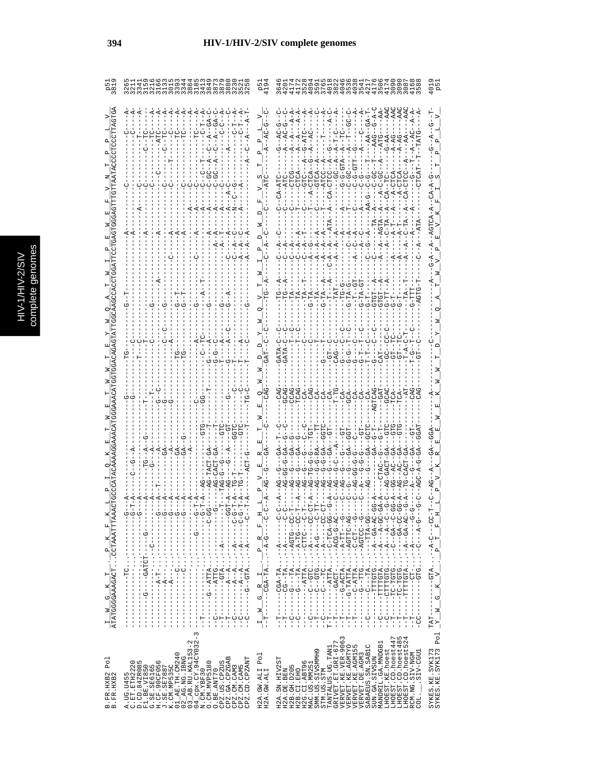|   | C<br>۹ |
|---|--------|
|   | Ś      |
|   |        |
|   |        |
|   |        |
|   |        |
|   |        |
|   | ÷<br>ń |
| с |        |
|   | ¢      |
|   |        |
|   |        |
|   |        |
|   |        |
|   |        |
|   |        |
|   | ì      |
|   |        |

U,

|                                                                                                                                                                                                                                                                                                                                                                                                                                                                                              | $TTT9 - 6 - 0$                                                                                                                                                                                                                                                                                                                                                                                                                                                                                                                                                                                                                                                                                                                                                                                                                                                                                                                                                                                                                                                                                                                                   |
|----------------------------------------------------------------------------------------------------------------------------------------------------------------------------------------------------------------------------------------------------------------------------------------------------------------------------------------------------------------------------------------------------------------------------------------------------------------------------------------------|--------------------------------------------------------------------------------------------------------------------------------------------------------------------------------------------------------------------------------------------------------------------------------------------------------------------------------------------------------------------------------------------------------------------------------------------------------------------------------------------------------------------------------------------------------------------------------------------------------------------------------------------------------------------------------------------------------------------------------------------------------------------------------------------------------------------------------------------------------------------------------------------------------------------------------------------------------------------------------------------------------------------------------------------------------------------------------------------------------------------------------------------------|
|                                                                                                                                                                                                                                                                                                                                                                                                                                                                                              |                                                                                                                                                                                                                                                                                                                                                                                                                                                                                                                                                                                                                                                                                                                                                                                                                                                                                                                                                                                                                                                                                                                                                  |
|                                                                                                                                                                                                                                                                                                                                                                                                                                                                                              |                                                                                                                                                                                                                                                                                                                                                                                                                                                                                                                                                                                                                                                                                                                                                                                                                                                                                                                                                                                                                                                                                                                                                  |
|                                                                                                                                                                                                                                                                                                                                                                                                                                                                                              |                                                                                                                                                                                                                                                                                                                                                                                                                                                                                                                                                                                                                                                                                                                                                                                                                                                                                                                                                                                                                                                                                                                                                  |
|                                                                                                                                                                                                                                                                                                                                                                                                                                                                                              | 544<br>044<br>aggga                                                                                                                                                                                                                                                                                                                                                                                                                                                                                                                                                                                                                                                                                                                                                                                                                                                                                                                                                                                                                                                                                                                              |
|                                                                                                                                                                                                                                                                                                                                                                                                                                                                                              |                                                                                                                                                                                                                                                                                                                                                                                                                                                                                                                                                                                                                                                                                                                                                                                                                                                                                                                                                                                                                                                                                                                                                  |
| $\frac{1}{1}$                                                                                                                                                                                                                                                                                                                                                                                                                                                                                | $1 - 1 - 1 - 1 - 1 - 1$<br>OR-OLLOR----<br>UU-40-------<br>$- \cdot - \frac{p}{\sqrt{p}}$                                                                                                                                                                                                                                                                                                                                                                                                                                                                                                                                                                                                                                                                                                                                                                                                                                                                                                                                                                                                                                                        |
| - U - - - - - - - - - · · · · KHLK - - U - - - - - - -<br>- - - - - - - - - V - - - - - - V U D - - - - - - - - - - - - - - - -<br>$-$ U – – – – – – $\alpha$ – – $\cdot \cdot \cdot$ $\alpha$ – – $\alpha$ – – – – – – – –<br>$-1$ $-1$ $-1$ $-1$ $-1$ $-1$<br>$\frac{1}{1}$<br>I<br>T<br>I<br>$\frac{1}{1}$<br>Í<br>$\begin{array}{c} 1 \\ 1 \\ 1 \end{array}$<br>$\frac{1}{1}$<br>$\begin{bmatrix} 1 \\ 1 \\ 1 \\ 1 \end{bmatrix}$<br>$-1$<br>÷<br> <br>$\frac{1}{1}$<br>I<br>ד<br>ד<br>ï | $-\frac{1}{1} - \frac{W}{T} - \frac{G}{1} - \frac{R}{1} - \frac{1}{1} - \frac{P}{1} - \frac{R}{A} - \frac{F}{G-1} - \frac{1}{1}$<br>UU--UIUK--・'・' KII----U-----<br>UU--UH-- イー・・・ イロー - - - - - -<br>U - - - U I I I U - - ・・・ ・ Y I I I Y - - - - - - - - - - - -<br>ひひ‐‐‐‐‐‐ぱ‐‐'´´ひエェ゚ ‐‐ひ‐‐‐‐‐‐‐‐)‐‐<br>ひひ‐≮ひH‐ひ‐‐・・・* ¥LL\《‐‐‐‐‐‐‐‐‐‐<br>ひぱーぴーぴひぱーー・・・・トひぱぴーーーーーー!<br><b>ウーー - III- ベー・・・・ベII- )ベーウー - - - - -</b><br>UU – KI-I – – – – – – – – KI- – – U – – – – – – – U – –<br>04-45--4-- ' ' ' OHOHH------<br><b>ウーーーーーー マーー・・・ ーロンーーーーーーーー</b><br>$\frac{1}{N}$ $\frac{1}{N}$ $\frac{1}{N}$ $\frac{1}{G}$ $\frac{1}{K}$ $\frac{1}{N}$ $\frac{1}{N}$ $\frac{1}{N}$ $\frac{1}{N}$ $\frac{1}{N}$ $\frac{1}{N}$ $\frac{1}{N}$ $\frac{1}{N}$ $\frac{1}{N}$<br>ひけひ‐‐ひ‐‐‐‐‐‐‐‐‐<br>$-1 - 1 - 1 - 1 - 1 - 1 = -1$<br>$------G-TTATTA$<br>AHUHHHH--------<br><b>PLPL-1-1-1-1-1</b><br>$- - - GTC$<br>í<br>$\mathbf{R}$<br>$- -C -$<br>$-1$ $-1$ $-1$ $-1$ $-1$<br>j<br>$-0 - -$<br>$-TAT--$<br>ن<br>۱<br>ن<br>۱<br>÷<br> <br>÷<br> <br>$\Gamma$ – $\Gamma$<br>Ť<br>Ť<br>F<br>-<br>۲<br>ا<br>۲<br>ا<br>$-1$<br>$\frac{1}{1}$<br>יך<br>י<br>÷<br>- |
| 3<br>$04\frac{C}{2}$ cpx.CY.94CY032-3<br>N.CM.YBF30<br>O.CM.MVP5180<br>$02$ AG. NG. IBNG<br>$03$ AB. RU. KAL153-2<br>F1.BE.VI850<br>G.SE.SB6165<br>H.CF.90CF056<br>X.CM.NE535C<br>X.CM.NE535C<br>01.AE.TH.CM240<br>CPZ.GA.CPZGAB<br>CPZ.CD.CPZANT<br>o n<br>CPZ.US.CPZUS<br>D.CD.84ZR08<br>CPZ.CM.CAM3<br>CPZ.CM.CAM5<br>A.UG.U455<br>C.ET.ETH222<br>O.BE.ANT70<br>B.FR.HXB2<br>B.FR.HXB2                                                                                                    | SYKES.KE.SYK173<br>SYKES.KE.SYK173 Pol<br>LHOEST.CD.hoest485<br>LHOEST.CD.hoest524<br>3<br>$\overline{ }$<br>VERVET.KE.VER-906<br>VERVET.KE.AGMTYO<br>VERVET.KE.AGMI55<br>LHOEST.CD.hoest44<br>$\begin{array}{ll} \texttt{TANTALUS} \texttt{.UG} \texttt{.} \texttt{TAN1} \\ \texttt{GRIVET} \texttt{.} \texttt{ET} \texttt{.} \texttt{GRL-677} \end{array}$<br>MANDRIL.GA.MNDGB1<br>SABAEUS.SN.SABIC<br>LHOEST.KE.hoest<br>SMM.US.SIVSMMH9<br>RCM.NG.SIV-NGM<br>COL.___.SIV-CGU1<br>Po <sub>1</sub><br>VERVET. DE. AGM3<br>SUN.GA.SIVSUN<br>H2A.SN.HIV2ST<br>O<br>H2B. GH. D205<br>H2G.CI.ABT9<br>MAC.US.MM25<br>H2A.GW.ALI<br>H2A.GW.ALI<br>STM.US.STM<br>H2B.CI.EHO<br>H2A.DE.BEN<br>COL.                                                                                                                                                                                                                                                                                                                                                                                                                                                     |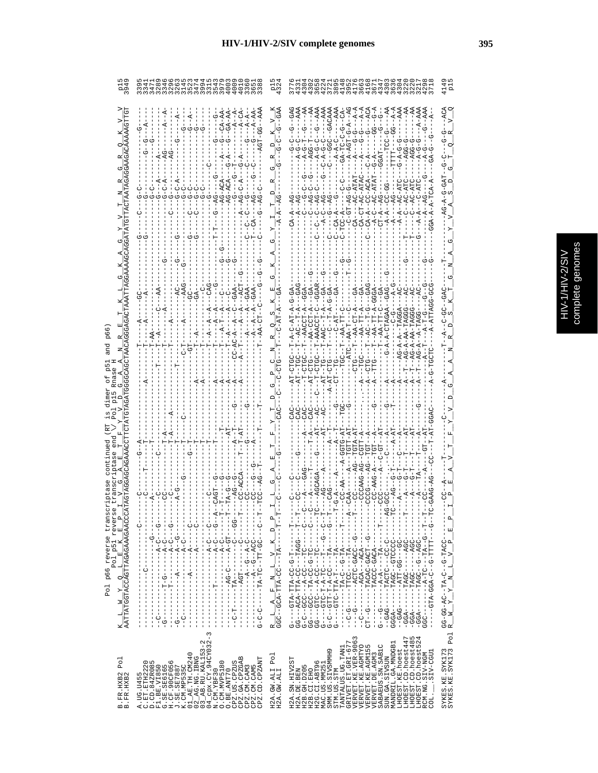|                                                                                          | 21549259<br>  04259145                                                                                                                                                                                                                                                                                                                                                  |                                                                                                                                                                                                                                       | すらてるでける                                                                                                                                                                                                                                                                                                                                                                                                                                                                                                                                                                                                                                                                                                                                                                                       | ٰء'                                                                                                                                       |
|------------------------------------------------------------------------------------------|-------------------------------------------------------------------------------------------------------------------------------------------------------------------------------------------------------------------------------------------------------------------------------------------------------------------------------------------------------------------------|---------------------------------------------------------------------------------------------------------------------------------------------------------------------------------------------------------------------------------------|-----------------------------------------------------------------------------------------------------------------------------------------------------------------------------------------------------------------------------------------------------------------------------------------------------------------------------------------------------------------------------------------------------------------------------------------------------------------------------------------------------------------------------------------------------------------------------------------------------------------------------------------------------------------------------------------------------------------------------------------------------------------------------------------------|-------------------------------------------------------------------------------------------------------------------------------------------|
|                                                                                          |                                                                                                                                                                                                                                                                                                                                                                         |                                                                                                                                                                                                                                       | スーひ<br>A-G-C-------<br>A-GC--GACAAA<br>AAA<br>$-40$<br>$A - A$<br>$A - A$<br>ACA<br>A-A<br>U<br>CAC<br>$G - P A$<br>$C - C$                                                                                                                                                                                                                                                                                                                                                                                                                                                                                                                                                                                                                                                                   |                                                                                                                                           |
|                                                                                          |                                                                                                                                                                                                                                                                                                                                                                         |                                                                                                                                                                                                                                       | T-AAACCT<br>$T - A A - T$                                                                                                                                                                                                                                                                                                                                                                                                                                                                                                                                                                                                                                                                                                                                                                     |                                                                                                                                           |
| $\frac{K}{AATTARTGGTACCAGTTAGAGAAGAACCCZ}$<br>Pol p51 revers<br>p66 reverse trans<br>Pol | <b>ローーーーーロリーペーーーー リーリベーーーーーーーーー</b><br>H - - - - - - D - - - - - - - - HD K - - - - - - - - - -<br>$-1$ D $-1$ $-1$<br>$\frac{1}{1}$<br>$\frac{1}{1}$<br>· <sup>1</sup> コート・コード エー・コート コート・コート コート・コート<br>$\frac{1}{1}$<br>L<br>$\frac{1}{1}$<br>Ţ<br>$\mathbf{I}$<br>$-1$ $-1$ $-1$ $-1$ $-1$ $-1$<br>ł<br>$\begin{array}{c} 1 \\ 1 \\ 1 \end{array}$<br>$\frac{1}{1}$ | $\frac{1}{1} - \frac{1}{1} - \frac{1}{1}$<br>A,<br>$\mathsf{P}$<br>$\begin{array}{lll} \text{R} & \text{L} & \text{A} & \text{F} & \text{N} & \text{L} & \text{V} & \text{K} \\ \text{GGC--GCA-TTA-CC---TA--} & & & & \\ \end{array}$ | H-----D--UU��-UHU�-----------<br>- - - - - - - - 25 - - - 56 - HH ! - - - - - - - 56<br>- Th - - - - - - DDK - - - - - - DDK II - - - - - - KDD -<br>$\begin{array}{l} \mathbb{G}^3 \circ \mathbb{G}^3 \circ \mathbb{G}^3 \circ \mathbb{G}^3 \circ \mathbb{G}^3 \circ \mathbb{G}^3 \circ \mathbb{G}^3 \circ \mathbb{G}^3 \circ \mathbb{G}^3 \circ \mathbb{G}^3 \circ \mathbb{G}^3 \circ \mathbb{G}^3 \circ \mathbb{G}^3 \circ \mathbb{G}^3 \circ \mathbb{G}^3 \circ \mathbb{G}^3 \circ \mathbb{G}^3 \circ \mathbb{G}^3 \circ \mathbb{G}^3 \circ \mathbb{G}^3 \circ \mathbb{G}^3 \circ \mathbb$<br><b>ロー・ロー・ワー・スロー - - ソロース - - - - - - - - - - - - - - - - - -</b><br>$-1$<br>- - - - - - -ひのペーー - - - - - - - - - - - イヴヴ -<br>J.                                                            | $E$ $P$<br>ļ<br>$\frac{1}{1}$<br>$\begin{array}{l} \texttt{GG-GG-AC--TA-C--G-TACC--} \\ \texttt{R\_W\_Y\_Y\_X\_N\_L\_V\_P\_} \end{array}$ |
| Po <sub>1</sub><br>B.FR.HXB2<br>B.FR.HXB2                                                | 3<br>CPZ.US.CPZUS<br>CPZ.GA.CPZGAB<br>CPZ.CM.CAM3<br>CPZ.CM.CAM5<br>CPZ.CD.CPZANT<br>0. CM. MVP5180<br>0. BE. ANT70                                                                                                                                                                                                                                                     | H2A.GW.ALI Pol<br>H2A.GW.ALI                                                                                                                                                                                                          | LHOEST.CD.hoest447<br>LHOEST.CD.hoest485<br>LHOEST.CD.hoest524<br>$\begin{array}{ll} \texttt{TRIMIMUS} & \texttt{IG} \texttt{.} \texttt{TAM1} \\ \texttt{GRIVET} & \texttt{ET} \texttt{ .} \texttt{GT} \texttt{ .} \texttt{GRI} \texttt{-} \texttt{677} \\ \texttt{VERVET} & \texttt{ .} \texttt{KE} \texttt{ .} \texttt{VER} \texttt{-} \texttt{9063} \\ \texttt{VERVET} & \texttt{ .} \texttt{KE} \texttt{ .} \texttt{VER} \texttt{-} \texttt{9063} \\ \texttt{VERVET} & \texttt{ .} \texttt{KE} \texttt{ .}$<br>MANDRIL.GA.MNDGB1<br>SABAEUS. SN. SABIC<br>LHOEST.KE.hoest<br>SMM.US.SIVSMMH9<br>RCM.NG.SIV-NGM<br>COL._____SIV-CGU1<br>VERVET.DE.AGM3<br>SUN.GA.SIVSUN<br>55<br>9<br>H2A.SN.HIV2<br>H2B. GH. D205<br>H2G.CI.ABT9<br>MAC.US.MM25<br>STM.US.STM<br>H2A.DE.BEN<br>H2B.CI.EHO | Pol<br>$\begin{array}{c} \texttt{SYKES. KE. SYK173} \\ \texttt{SYKES. KE. SYK173} \end{array}$                                            |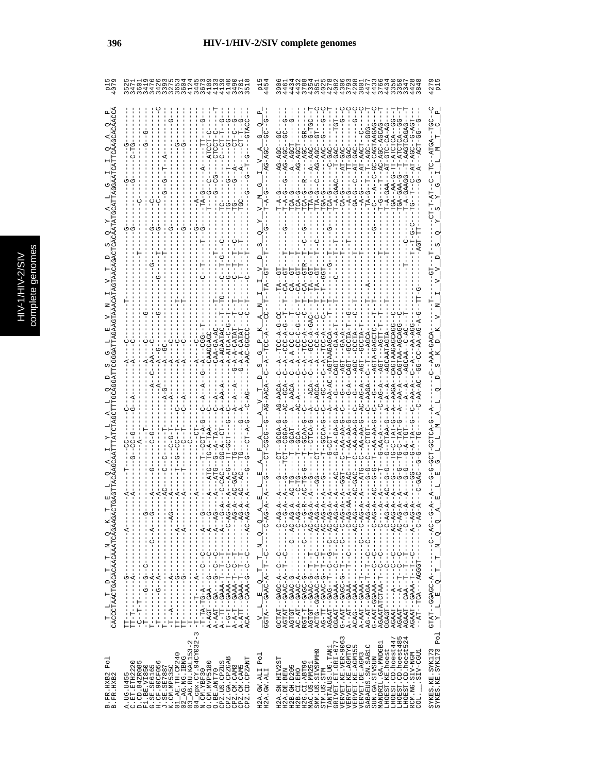|                                                                                                                                                                                                                                                                                                                                                                                                                                       |                                                                                                                                                                                                                                                                                                                                                                                                                                                                                                                                                     |                                                                                                           | o                                                                                                                                                                                                                                                                                                                                                                                                                                                                                                    | 127<br>P1                                                                        |
|---------------------------------------------------------------------------------------------------------------------------------------------------------------------------------------------------------------------------------------------------------------------------------------------------------------------------------------------------------------------------------------------------------------------------------------|-----------------------------------------------------------------------------------------------------------------------------------------------------------------------------------------------------------------------------------------------------------------------------------------------------------------------------------------------------------------------------------------------------------------------------------------------------------------------------------------------------------------------------------------------------|-----------------------------------------------------------------------------------------------------------|------------------------------------------------------------------------------------------------------------------------------------------------------------------------------------------------------------------------------------------------------------------------------------------------------------------------------------------------------------------------------------------------------------------------------------------------------------------------------------------------------|----------------------------------------------------------------------------------|
| $\frac{\texttt{T}-\texttt{L}-\texttt{T}-\texttt{D}-\texttt{T}-\texttt{N}-\texttt{Q}-\texttt{K}}{\texttt{CACC}+\texttt{CRACT}+\texttt{CAP}+\texttt{CAP}+\texttt{CAP}+\texttt{CAP}+\texttt{CAP}+\texttt{CAP}+\texttt{CAP}+\texttt{CAP}+\texttt{CAP}+\texttt{CAP}+\texttt{CAP}+\texttt{CAP}+\texttt{CAP}+\texttt{CAP}+\texttt{CAP}+\texttt{CAP}+\texttt{CAP}+\texttt{CAP}+\texttt{CAP}+\texttt{CAP}+\texttt{CAP}+\texttt{CAP}+\texttt{C$ | $\begin{array}{ll} 3 & -\bar{T}_1-\ldots-\bar{T}_2-\ldots-\bar{A}_{n-1}-\bar{A}_{n-1}-\bar{A}_{n-1}-\bar{A}_{n-1}-\bar{A}_{n-1}-\bar{A}_{n-1}-\bar{A}_{n-1}-\bar{A}_{n-1}-\bar{A}_{n-1}-\bar{A}_{n-1}-\bar{A}_{n-1}-\bar{A}_{n-1}-\bar{A}_{n-1}-\bar{A}_{n-1}-\bar{A}_{n-1}-\bar{A}_{n-1}-\bar{A}_{n-1}-\bar{A}_{n-1}-\bar{A}_{n-1}-\bar{A}_{n-1}-\bar{A}_{n-1}-\bar{A$                                                                                                                                                                             | び<br>$\frac{V}{GGTA---L}-\frac{E}{GAAC-A---T}-\frac{T}{T--N}-\frac{Q}{C-A}$<br>$T$ $M$ $Q$<br>$F_{\rm H}$ | $G-TGC$<br>--ひひぱ-ひぱ--ひ--み-KII.<br>5<br>$CA -$<br>$CA -$<br>d<br>A<br>--AGTAAGAGCZ<br>甘ひひの<br>$- -A - A$<br>$- -A - -$<br>CAGT--<br>$-4-$<br>$-1$ - $-1$ - $-1$<br>$-4 -$<br>$C - A - -$<br>$-AGT--$<br>$-1$<br>GCCA-G<br>$P - A A - A A - G$<br><b>D-40-4-0-</b><br>$C - A + A - A + C$<br>$T = -AA - A$<br>$C--AA-AA-C$<br>$C--AA-AA-C$<br>ひベーシー – – – – – – – – 1000ペー – – ベント – – 17トー                                                                                                            | $-9210$<br>どり-ウ-ウ<br>$\frac{GTAT - GGAGC - A - - - - - - - - - AC - - G}{X - L}$ |
|                                                                                                                                                                                                                                                                                                                                                                                                                                       |                                                                                                                                                                                                                                                                                                                                                                                                                                                                                                                                                     | $\overline{v}$                                                                                            |                                                                                                                                                                                                                                                                                                                                                                                                                                                                                                      |                                                                                  |
| Po <sub>1</sub><br>B.FR.HXB2<br>B.FR.HXB2                                                                                                                                                                                                                                                                                                                                                                                             | 3<br>cpx.CY.94CY032-<br>$02$ AG.NG.IBNG<br>03 AB.RU.KAL153-2<br>04 Cpx.CY.94CY032-7<br>N.CM.YBF30<br>$\begin{array}{l} \text{A. UG. 1455} \\ \text{D. CD. 3420085} \\ \text{E. 1. B1, V1850} \\ \text{E. 1. B2, V1850} \\ \text{H. 1. B3, V1850} \\ \text{H. 1. 145, V1850} \\ \text{H. 1. 145, V1850} \\ \text{H. 1. 145, V1850} \\ \text{H. 1. 145, V1850} \\ \text{H. 1. 145, V1850} \\ \text{H. 1. 145, V1850} \\ \text{H. 1$<br>CPZ.GA.CPZGAB<br>CPZ.CD.CPZANT<br>O. CM. MVP5180<br>$0. BE. AMT70CPZ. US. CPZUS$<br>CPZ.CM.CAM3<br>CPZ.CM.CAM5 | $_{\rm Pol}$<br>H2A.GW.ALI<br>H2A.GW.ALI                                                                  | $\begin{array}{l} \texttt{GRIVET. ET. GLI-677}\\ \texttt{VERVET. KE. VER-9063} \end{array}$<br>ru 4<br>LHOEST.CD.hoest447<br>LHOEST.CD.hoest48<br>LHOEST.CD.hoest52<br>MANDRIL.GA.MNDGB1<br>VERVET.KE.AGMTYO<br>VERVET.KE.AGMI55<br>SABAEUS.SN.SAB1C<br>TANTALUS.UG.TAN1<br>LHOEST.KE.hoest<br>SMM.US.SIVSMMH9<br>SIV-CGU1<br>RCM.NG.SIV-NGM<br>VERVET.DE.AGM3<br>SUN.GA.SIVSUN<br>H2A.SN.HIV2ST<br>H2G.CI.ABT96<br>MAC.US.MM251<br>H2B.GH.D205<br>H2B.CI.EHO<br>H2A.DE.BEN<br>STM.US.STM<br>$COL$ . | Pol<br>SYKES.KE.SYK173<br>SYKES.KE.SYK173                                        |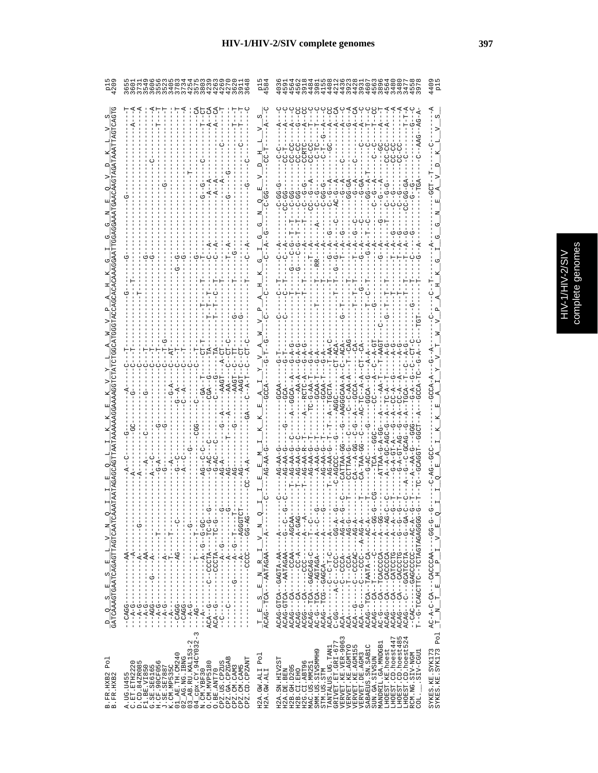| ς<br>٥                |
|-----------------------|
| <b>CIP</b><br>b,<br>ກ |
| 5                     |
| ٦<br>ï                |
|                       |

|                                                                                                                                                                                               | wwwwwww4ww444<br>このこと4トアとこのととと<br>405208ミラア0%の                                                                                                                                                                                                                                                                                                                                                                                                                                                                                                                                                                                     | $\infty$<br>Ωū                                                |                                                                                                                                                                                                                                                                                                                                                                                                                                                                                                                                                                                                                                                                                                                                                                                                                                                                                                                                                                                                                                                                                                                                                                                                                                                                                                                                                                                                                        |                                        |
|-----------------------------------------------------------------------------------------------------------------------------------------------------------------------------------------------|------------------------------------------------------------------------------------------------------------------------------------------------------------------------------------------------------------------------------------------------------------------------------------------------------------------------------------------------------------------------------------------------------------------------------------------------------------------------------------------------------------------------------------------------------------------------------------------------------------------------------------|---------------------------------------------------------------|------------------------------------------------------------------------------------------------------------------------------------------------------------------------------------------------------------------------------------------------------------------------------------------------------------------------------------------------------------------------------------------------------------------------------------------------------------------------------------------------------------------------------------------------------------------------------------------------------------------------------------------------------------------------------------------------------------------------------------------------------------------------------------------------------------------------------------------------------------------------------------------------------------------------------------------------------------------------------------------------------------------------------------------------------------------------------------------------------------------------------------------------------------------------------------------------------------------------------------------------------------------------------------------------------------------------------------------------------------------------------------------------------------------------|----------------------------------------|
|                                                                                                                                                                                               |                                                                                                                                                                                                                                                                                                                                                                                                                                                                                                                                                                                                                                    |                                                               | <b>CC-CC</b><br>C-CC-<br>$C - C$<br>$\frac{0}{1}$<br>U                                                                                                                                                                                                                                                                                                                                                                                                                                                                                                                                                                                                                                                                                                                                                                                                                                                                                                                                                                                                                                                                                                                                                                                                                                                                                                                                                                 |                                        |
|                                                                                                                                                                                               |                                                                                                                                                                                                                                                                                                                                                                                                                                                                                                                                                                                                                                    |                                                               | ပိုပ္ပိုပ္ပ<br>$\sigma$<br>ڣ<br>めめめ<br>ממממט<br>ה                                                                                                                                                                                                                                                                                                                                                                                                                                                                                                                                                                                                                                                                                                                                                                                                                                                                                                                                                                                                                                                                                                                                                                                                                                                                                                                                                                      |                                        |
|                                                                                                                                                                                               |                                                                                                                                                                                                                                                                                                                                                                                                                                                                                                                                                                                                                                    |                                                               |                                                                                                                                                                                                                                                                                                                                                                                                                                                                                                                                                                                                                                                                                                                                                                                                                                                                                                                                                                                                                                                                                                                                                                                                                                                                                                                                                                                                                        |                                        |
|                                                                                                                                                                                               |                                                                                                                                                                                                                                                                                                                                                                                                                                                                                                                                                                                                                                    |                                                               |                                                                                                                                                                                                                                                                                                                                                                                                                                                                                                                                                                                                                                                                                                                                                                                                                                                                                                                                                                                                                                                                                                                                                                                                                                                                                                                                                                                                                        |                                        |
|                                                                                                                                                                                               |                                                                                                                                                                                                                                                                                                                                                                                                                                                                                                                                                                                                                                    |                                                               | $T-AAGT$<br>$\widetilde{G}-\widetilde{D}$                                                                                                                                                                                                                                                                                                                                                                                                                                                                                                                                                                                                                                                                                                                                                                                                                                                                                                                                                                                                                                                                                                                                                                                                                                                                                                                                                                              |                                        |
|                                                                                                                                                                                               |                                                                                                                                                                                                                                                                                                                                                                                                                                                                                                                                                                                                                                    |                                                               | $C-AA-$                                                                                                                                                                                                                                                                                                                                                                                                                                                                                                                                                                                                                                                                                                                                                                                                                                                                                                                                                                                                                                                                                                                                                                                                                                                                                                                                                                                                                |                                        |
|                                                                                                                                                                                               |                                                                                                                                                                                                                                                                                                                                                                                                                                                                                                                                                                                                                                    |                                                               |                                                                                                                                                                                                                                                                                                                                                                                                                                                                                                                                                                                                                                                                                                                                                                                                                                                                                                                                                                                                                                                                                                                                                                                                                                                                                                                                                                                                                        |                                        |
|                                                                                                                                                                                               | ł<br>--ツベ-ツツ-----ひひひリ----<br>J.<br>$-9 - - - -$<br>$- - - - - - - - -$<br>$- - A A - - -$<br>$-1$ $-1$ $-1$ $-1$ $-1$ $-1$ $-1$ $-1$<br>$\frac{1}{1}$<br>$---A--$<br>$-4A$                                                                                                                                                                                                                                                                                                                                                                                                                                                         | $\alpha$<br>ţ<br>z,<br>$\triangleright$<br>$\mathbf{r}$<br>R, | $- -A - -$<br>ŧ                                                                                                                                                                                                                                                                                                                                                                                                                                                                                                                                                                                                                                                                                                                                                                                                                                                                                                                                                                                                                                                                                                                                                                                                                                                                                                                                                                                                        |                                        |
| $\frac{\mathbb{D}}{\text{GATCAAAGTGAATCAAGTTAGTCAATCAA}} \frac{\mathbb{D}}{\text{GATCAA}} \frac{\mathbb{E}}{\text{GATCAA}} \frac{\mathbb{E}}{\text{GATCAA}} \frac{\mathbb{E}}{\text{GATCAA}}$ | - - ツーひ L - - - - KLDU / - - リ - - - - - - KU K<br>ひーーーーーーーのぱーーーーーーーーーーーのDばひーー<br>$\frac{1}{1}$<br>ł.<br>$\sf I$<br>$-1$ $-1$ $-1$ $-1$ $-1$ $-1$ $-1$<br>$- - - - - - - - - - - - - -$<br>$\frac{1}{1}$<br>$\begin{array}{c} 1 \\ 1 \\ 1 \end{array}$<br>J.<br>ţ<br>$\frac{1}{1}$<br>$\begin{bmatrix} 1 \\ 1 \\ 1 \\ 1 \end{bmatrix}$<br>$\frac{1}{4}$<br>J.<br>т<br>$-CAGG-$<br>$-5 - A - C -$<br>$-4-8$<br>ن<br>ا<br>j                                                                                                                                                                                                          | ACAG----AATAGAA----A-<br>z,<br>国<br>co.<br>国                  | $\begin{array}{l} \mathbf{AGAG} = \mathbf{TCA} - \mathbf{GAGCAG} - \mathbf{C} - - \mathbf{T} - \mathbf{C} - - \\ \mathbf{AGAG} = - \mathbf{TCA} - - \mathbf{AGTAGA} - - \mathbf{C} - \mathbf{A} - \mathbf{C} - - \mathbf{G} \\ \mathbf{AGG} = - \mathbf{G} - \mathbf{TCA} - - \mathbf{AGTAGA} - - \mathbf{C} - \mathbf{A} - \mathbf{C} - - \mathbf{G} \\ \mathbf{AGA} = - \mathbf{C} - \mathbf{C} - \mathbf{T} - \mathbf{C} - \mathbf{A} - \$<br>$\begin{array}{l} \mathbf{A}\mathbf{C}\mathbf{A}-\mathbf{A}-\mathbf{C}-\mathbf{C}\mathbf{C}\mathbf{A}-\mathbf{A}-\mathbf{A}\mathbf{G}-\mathbf{A}-\mathbf{C}-\mathbf{A}-\mathbf{C}-\mathbf{A}-\mathbf{C}-\mathbf{A}-\mathbf{C}-\mathbf{A}-\mathbf{C}-\mathbf{A}-\mathbf{C}-\mathbf{A}-\mathbf{C}-\mathbf{A}-\mathbf{C}-\mathbf{A}-\mathbf{C}-\mathbf{A}-\mathbf{C}-\mathbf{A}-\mathbf{A}-\mathbf{C}-\mathbf{A}-\mathbf{A}-\math$<br>$\begin{array}{l} \mathbf{A}\mathbf{0}\mathbf{A}\mathbf{0} = -\mathbf{0}\mathbf{A} - \mathbf{B} = -\mathbf{0}\mathbf{A} - \mathbf{A} = -\mathbf{0}\mathbf{A} - \mathbf{0}\mathbf{A} = \mathbf{0}\mathbf{A} + \mathbf{0}\mathbf{A} = \mathbf{0}\mathbf{A} + \mathbf{0}\mathbf{A} = \mathbf{0}\mathbf{A} + \mathbf{0}\mathbf{A} = \mathbf{0}\mathbf{A} + \mathbf{0}\mathbf{A} = \mathbf{0}\mathbf{A} + \mathbf{0}\mathbf{A} = \mathbf{0}\$<br>--《-ひペ----UUUUUの《の------UYU--<br>- 0000404040000- - 00000000- 0-<br>ACAGT-A-GAGHU-DACA |                                        |
| Po <sub>1</sub><br>B. FR. HXB2<br>B. FR. HXB2                                                                                                                                                 | $\begin{array}{ll} 01\_AB.\ \mathrm{TH}.\ \mathrm{CM240} \\ 02\_AB.\ \mathrm{HO}.\ \mathrm{HMG} \\ 03\_AB.\ \mathrm{RU}.\mathrm{KAL153-2} \\ 04\_AB.\ \mathrm{RU}.\mathrm{KAL153-2} \\ 04\_OR.\ \mathrm{YBF30} \end{array}.$<br>CPZ.GA.CPZGAB<br>CPZ.CM.CAM3<br>CPZ.CM.CAM5<br>CPZ.CD.CPZANT<br>CPZ.US.CPZUS<br>$\begin{array}{ll} \text{A. UG. U4455} \\ \text{C. ET. ETH2222} \\ \text{F1. ETH2223} \\ \text{F1. B3. V1850} \\ \text{G. SE. SE6165} \\ \text{H. SE. SE6165} \\ \text{H. C.F. SO12250} \\ \text{H. C.F. SO12505} \\ \text{H. C.F. SO12505} \\ \text{K. C.P. SO12505} \end{array}$<br>O. CM. MVP5180<br>O.BE.ANT70 | Po <sub>1</sub><br>H2A.GW.ALI<br>H2A.GW.ALI                   | TANTALUS.UG.TAN1<br>GRIVET.ET.GRI-677<br>VERVET.KE.VER-9063<br>LHOEST.CD.hoest485<br>LHOEST.CD.hoest524<br>LHOEST.CD.hoest447<br>MANDRIL.GA.MNDGB1<br>VERVET.KE.AGMTYO<br>VERVET.KE.AGMTYO<br>SABAEUS.SN.SAB1C<br>LHOEST.KE.hoest<br>VERVET.KE.AGM15<br>ō<br>SIV-CGU1<br>RCM.NG.SIV-NGM<br>SMM.US.SIVSMMH<br>VERVET.DE.AGM3<br>SUN.GA.SIVSUN<br>H2A.SN.HIV2ST<br>H2G.CI.ABT96<br>MAC.US.MM251<br>H2B.GH.D205<br>H2A.DE.BEN<br>H2B.CI.EHO<br>STM.US.STM<br>coi.                                                                                                                                                                                                                                                                                                                                                                                                                                                                                                                                                                                                                                                                                                                                                                                                                                                                                                                                                         | SYKES.KE.SYK173<br>SYKES.KE.SYK173 Pol |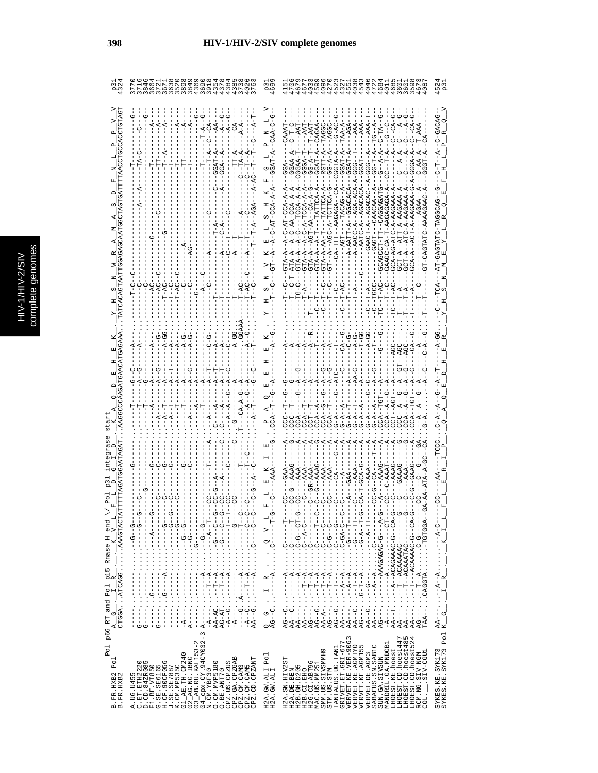|                                                                                      | 72                                                                                                                                                                                                                                                                                                                                                                                                                                                                                                                                                                                                                                                                                                                                                                                                                                                                                                                                                                                                                                                                                                                                                                                                                                                                                                                                                                                                                                                                                                                                                                                                                                                                                                                                                | ო თ<br>صہ                                                                                                                                                                                        | 472<br>468<br>ONNMHONO<br>468<br>401<br>5<br>ن<br>G                                                                                                                                                                                                                                                                                                                                                                                                                                                                                                                                                                                                                                                                                                                                                                                                                                                                                                                                                                                                                                                                                                                                                                                                                                                                                                                                                           | 52<br>p3                                       |
|--------------------------------------------------------------------------------------|---------------------------------------------------------------------------------------------------------------------------------------------------------------------------------------------------------------------------------------------------------------------------------------------------------------------------------------------------------------------------------------------------------------------------------------------------------------------------------------------------------------------------------------------------------------------------------------------------------------------------------------------------------------------------------------------------------------------------------------------------------------------------------------------------------------------------------------------------------------------------------------------------------------------------------------------------------------------------------------------------------------------------------------------------------------------------------------------------------------------------------------------------------------------------------------------------------------------------------------------------------------------------------------------------------------------------------------------------------------------------------------------------------------------------------------------------------------------------------------------------------------------------------------------------------------------------------------------------------------------------------------------------------------------------------------------------------------------------------------------------|--------------------------------------------------------------------------------------------------------------------------------------------------------------------------------------------------|---------------------------------------------------------------------------------------------------------------------------------------------------------------------------------------------------------------------------------------------------------------------------------------------------------------------------------------------------------------------------------------------------------------------------------------------------------------------------------------------------------------------------------------------------------------------------------------------------------------------------------------------------------------------------------------------------------------------------------------------------------------------------------------------------------------------------------------------------------------------------------------------------------------------------------------------------------------------------------------------------------------------------------------------------------------------------------------------------------------------------------------------------------------------------------------------------------------------------------------------------------------------------------------------------------------------------------------------------------------------------------------------------------------|------------------------------------------------|
|                                                                                      | ά<br>GGA.                                                                                                                                                                                                                                                                                                                                                                                                                                                                                                                                                                                                                                                                                                                                                                                                                                                                                                                                                                                                                                                                                                                                                                                                                                                                                                                                                                                                                                                                                                                                                                                                                                                                                                                                         | F<br>Φ<br>CCA-A<br>Ξ<br>C)<br>$-C-AT-$<br>囸<br>К                                                                                                                                                 | ひへん<br>$-AAA$<br>$\ddot{A}$<br>RGTT-A<br>GGTA-A<br>GGAA-A<br>$T - A - DC$<br>$G-G - A - A$<br>GGAT-A<br>GGAA-T<br><b>3GGA-T</b><br>$G - A - P$<br>GGAT<br>GGAT<br>Ġ<br>G<br>ġ<br>G<br>GGA<br>$CCA - A - A$<br>3TA-A--A--T-TATTCA-A<br>A-AATT-A--GGACACA<br>A-AAGAGAGA-A<br>CAGTATC-AAAAGAAC<br>$-TCCA - A$<br>CCA-A<br>$A - AACC - A - AGA - A$<br>$2CA - P$<br>AUACAACT-A-HOACACA<br>むりけけり トレースークのスープ<br>AAGAAZ.<br>$-4C$ $-4C$ $-4C$<br>$7 - A - AACAA$<br>$C - A - AGA$<br>--GAGT---CAACA<br>CA-TTT--AAGAGA<br>$C - A - AAG$<br>$A-C-AA-$<br>$I - A - C$<br>ĩ – T<br>3CT-A--AT<br>$3CT - A - A$<br>$B - B - A - A$<br>$ACA - A - - A$<br>GAAGC-CA<br>GTA-A-A<br>GTA-A<br>GTA-A<br>GTA-A<br>GTA-A<br>Ÿ                                                                                                                                                                                                                                                                                                                                                                                                                                                                                                                                                                                                                                                                                                      | $-1 - 1 - 1 - 1$<br>$-1$<br>U--URUUURH-UHRHURU |
|                                                                                      |                                                                                                                                                                                                                                                                                                                                                                                                                                                                                                                                                                                                                                                                                                                                                                                                                                                                                                                                                                                                                                                                                                                                                                                                                                                                                                                                                                                                                                                                                                                                                                                                                                                                                                                                                   |                                                                                                                                                                                                  | ပုံ<br>- - A<br>ご<br>-<br>CA-<br>$\ddot{c}$<br>$C - A$                                                                                                                                                                                                                                                                                                                                                                                                                                                                                                                                                                                                                                                                                                                                                                                                                                                                                                                                                                                                                                                                                                                                                                                                                                                                                                                                                        |                                                |
| CTGGAATCAGGAAAGTACTA<br>end<br>$p66$ RT and Pol p15 Rnase H<br>A G . I R K<br>U<br>4 | $-1$ - $-1$ - $-1$<br>U--U---<br>$-1$ - $-1$ - $-1$<br>ウー-ワー----ワー・・・・・<br>U--U----<br>りしり<br>$T - 1$<br>r<br>F<br>$\frac{1}{\mathcal{O}}$<br>$-1$ - $-1$ - $-1$ - $-1$ - $-1$ - $-1$ - $-1$ - $-1$ - $-1$<br>$\cdots$ $-4$ $-1$<br>$-5 - 5 - 5 - 1$<br>$-1$<br>$-1$<br>$-1$<br>$-1$<br>$-1$<br>$-1 - 5 - 1 - 1$<br>$\frac{1}{2}$<br>$\frac{1}{2}$ $\frac{1}{2}$ $\frac{1}{2}$ $\frac{1}{2}$ $\frac{1}{2}$ $\frac{1}{2}$ $\frac{1}{2}$ $\frac{1}{2}$ $\frac{1}{2}$ $\frac{1}{2}$ $\frac{1}{2}$ $\frac{1}{2}$ $\frac{1}{2}$ $\frac{1}{2}$ $\frac{1}{2}$ $\frac{1}{2}$ $\frac{1}{2}$ $\frac{1}{2}$ $\frac{1}{2}$ $\frac{1}{2}$ $\frac{1}{2}$ $\frac{1}{2}$<br>$\begin{bmatrix} 1 \\ 1 \\ 1 \end{bmatrix}$<br>$\frac{1}{2}$<br>$\frac{1}{2}$<br>ن<br>:<br>:<br>$\frac{1}{2}$<br>$-2$<br>$\cdots$ G-------<br>$  A$<br>$\ddot{A}$ .<br>$- - A$<br>К<br>$\frac{1}{1}$<br>Ť<br>ľ<br>$\frac{1}{1}$<br>$\frac{1}{1}$<br>$\frac{1}{2}$<br>Í<br>$\begin{array}{c} 1 \\ 1 \\ 1 \end{array}$<br>Í<br>$\frac{1}{2}$<br>AA-AC--T<br>AG-AT-T<br>י<br>י<br><del>י</del><br>:<br>í<br>I<br>ı<br>$\begin{bmatrix} 1 & 1 & 1 \\ 1 & 1 & 1 \\ 1 & 1 & 1 \\ 1 & 1 & 1 \\ 1 & 1 & 1 \\ 1 & 1 & 1 \\ 1 & 1 & 1 \\ 1 & 1 & 1 \\ 1 & 1 & 1 \\ 1 & 1 & 1 \\ 1 & 1 & 1 \\ 1 & 1 & 1 \\ 1 & 1 & 1 \\ 1 & 1 & 1 \\ 1 & 1 & 1 \\ 1 & 1 & 1 & 1 \\ 1 & 1 & 1 & 1 \\ 1 & 1 & 1 & 1 \\ 1 & 1 & 1 & 1 \\ 1 & 1 & 1 & 1 \\ 1 & 1 & 1 & 1 \\ 1 & 1 & $<br>j.<br>$\vdots$<br>$\vdots$<br>$\vdots$<br>$-A$ - - - .<br>$\vdots$<br>$\vdots$<br>$-A$ -G<br>$A - - - -$<br>$A - - - -$<br>$\begin{array}{c} \n 1 \\  1 \\  1\n \end{array}$<br>$-1 - 0$<br>$-A$ -C<br>じーリ<br>$-A-$<br>$-A$ –<br>J<br>$\frac{1}{\sigma}$<br>$\frac{1}{5}$<br>$\frac{1}{1}$<br>J<br>AA<br>$\sigma$<br>I<br>п | --------<br>٦<br>$\overline{a}$<br>oj<br>$\begin{array}{c} 1 \\ 0 \\ \vdots \\ 1 \end{array}$<br>$\cdot$<br>$\ddot{A}$<br>R<br>ł<br>J<br>Ηj<br>$\frac{1}{1}$<br>$\cdot$<br>ł.<br>$Q = -C$<br>AG- | I<br>f.<br>D-LD--D-D-1:<br>ーー<br>」<br>し<br>U<br>!<br><b>0</b> -H--A-D-<br>U-4---U-URURURRA-----<br>$-1$<br>ウーー<br>U-ACAAAAC-U-CA-C<br>-- 1-1-1-1-1<br>$T - 7$<br>$-1 - 1 - 9 - 1$<br>CAGGTATGTGGA<br>--------<br>$C-C-A-C-C-A-C$<br>---D-D::::マ--L---::-<br>$\frac{1}{1}$<br>$\frac{1}{2}$<br>$\begin{bmatrix} 1 \\ 1 \\ 1 \end{bmatrix}$<br>$\frac{1}{1}$<br>$\frac{1}{1}$<br>I<br>--T--ACAAAAAC-<br>--T-ACAAATAC-<br>$\ddot{C}$<br>$\frac{1}{2}$<br>U<br>U<br>$\frac{1}{2}$<br>$\frac{1}{2}$<br>$\frac{1}{2}$<br>$-1$ $\cdots$ $-1$<br>Ì<br>$\ddot{\phantom{0}}$<br>$-4 - A$ .<br>À.<br>К<br>A,<br>К<br>$\prec$<br>A<br>$- - A$<br>К<br>$-1 - 5 - 1 - 1$<br>K,<br>A<br>K,<br>ł<br>ĵ<br>$\frac{1}{1}$<br>ł<br>ł<br>÷<br>÷<br>$\frac{1}{1}$<br>$\frac{1}{1}$<br>J<br>÷,<br>۲<br>ا<br>$-4$<br>$-4$<br>$-1$<br>$\frac{1}{2}$<br>キャー・・・<br>$\frac{1}{1}$<br>$\begin{array}{c}\n\vdots \\ \vdots\n\end{array}$<br>F<br>-<br>$-5 - 5$<br>יך<br>י<br>ד<br>-<br>$\frac{1}{2}$<br>$\vdots$<br>$\vdots$<br>$AA$ --- $\ldots$<br>$\vdots$<br>$\vdots$<br>$\vdots$<br>$\vdots$<br>$\vdots$<br>$AA = - -$<br>$AG---$<br>$\vdots$<br>$\vdots$<br>$AA - A -$ .<br>$AG - - -$<br>$AG - G$<br>$AG--G$<br>$AA - C$<br>$\mathbf I$<br>$AA---$<br>$PA - T$<br>---TR<br>$\frac{1}{1}$<br>$AG - -C$<br>$AA--C$<br>$AG---$<br>$AA - G$<br>T<br>$AA - -$<br>$AA$ ---<br>$- A - -$<br>$AA -$<br>$AG - -$<br>$AG - -$<br>$AA -$<br>TAA |                                                |
| Po1<br>Pol<br>3. FR. HXB2<br>3. FR. HXB2<br>$m$ $m$                                  | 03_AB.RU.KAL153-2<br>04_cpx.CY.94CY032-3<br>N.CM.YBF30<br>$AB$ . RU. KAL153-<br>$\frac{1}{2}$ $\frac{1}{2}$ $\frac{1}{2}$ $\frac{1}{2}$ $\frac{1}{2}$ $\frac{1}{2}$ $\frac{1}{2}$ $\frac{1}{2}$ $\frac{1}{2}$ $\frac{1}{2}$ $\frac{1}{2}$ $\frac{1}{2}$ $\frac{1}{2}$ $\frac{1}{2}$ $\frac{1}{2}$ $\frac{1}{2}$ $\frac{1}{2}$ $\frac{1}{2}$ $\frac{1}{2}$ $\frac{1}{2}$<br>CPZ.CD.CPZANT<br>$\begin{array}{ll} \texttt{A. UG. U455} \\ \texttt{C. ET. ETH2222} \\ \texttt{C. ET. ETH2222} \\ \texttt{F1. BE. VTB50} \\ \texttt{G. SE. SEG165} \\ \texttt{G. SE. SEG165} \\ \texttt{G. SE. SEG165} \\ \texttt{G. SCE. 2907895} \\ \texttt{A. SCE. 35025} \\ \texttt{K. COL MIPS35C} \end{array}$<br>$\begin{array}{c} \text{O. CM.} \\ \text{ON-IST 80} \\ \text{O. BE.} \\ \text{CPE. US.} \\ \end{array}$<br>CPZ.GA.CPZGA<br>CPZ.CM.CAM3<br>CPZ.CM.CAM5<br>A.UG.U455<br>C.ET.ETH22<br>$\circ$                                                                                                                                                                                                                                                                                                                                                                                                                                                                                                                                                                                                                                                                                                                                                                                                                                                    | Po <sub>1</sub><br>H2A.GW.ALI<br>H2A.GW.ALI                                                                                                                                                      | LHOEST.CD.hoest485<br>LHOEST.CD.hoest524<br>VERVET.KE.VER-9063<br>LHOEST.CD.hoest447<br>TANTALUS.UG.TAN1<br>GRIVET.ET.GRI-677<br>MANDRIL.GA.MNDGB<br>VERVET.KE.AGMTYO<br>VERVET.KE.AGMI55<br>VERVET.DE.AGM3<br>SABAEUS.SN.SAB1C<br>VERVET.KE.AGM15<br>LHOEST.KE.hoest<br>SMM.US.SIVSMMH9<br>SIV-CGU1<br>RCM.NG.SIV-NGM<br>SUN.GA.SIVSUN<br>H2A.SN.HIV2ST<br>H2G.CI.ABT96<br>MAC.US.MM251<br>H2B.GH.D205<br>H2B.CI.EHO<br>STM.US.STM<br>H2A.DE.BEN<br>COL.                                                                                                                                                                                                                                                                                                                                                                                                                                                                                                                                                                                                                                                                                                                                                                                                                                                                                                                                                     | SYKES.KE.SYK173<br>SYKES.KE.SYK173 Pol         |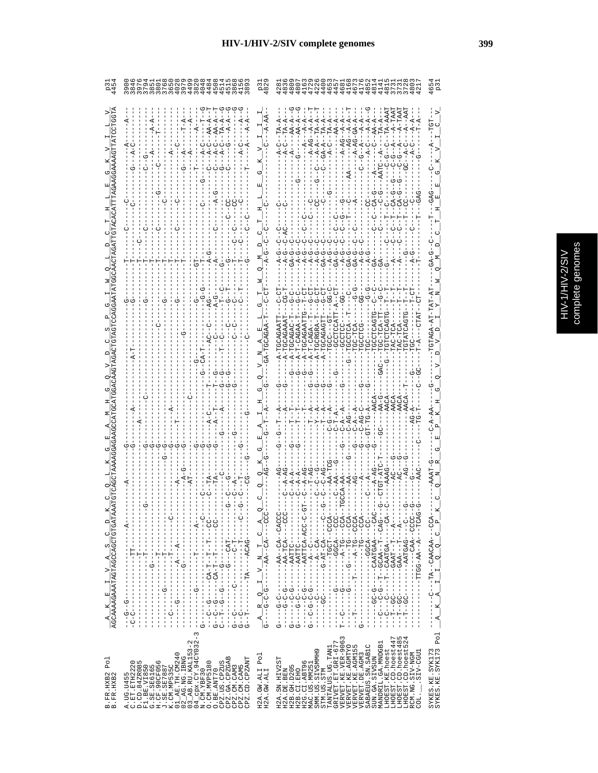| ¢<br>ï           |
|------------------|
| Ō<br>ŕ<br>J<br>5 |
| J                |
|                  |

|                                               | WWWWW4W4W4444444                                                                                                                                                                                                                                                                                                                                                                                                                                                                                                         |                                                                            | ن<br>نو نها<br>نو<br>72<br>72                                                                                                                                                                                                                                                                                                                                                                                                                                                                                                                                                                                                                                                               |                                     |
|-----------------------------------------------|--------------------------------------------------------------------------------------------------------------------------------------------------------------------------------------------------------------------------------------------------------------------------------------------------------------------------------------------------------------------------------------------------------------------------------------------------------------------------------------------------------------------------|----------------------------------------------------------------------------|---------------------------------------------------------------------------------------------------------------------------------------------------------------------------------------------------------------------------------------------------------------------------------------------------------------------------------------------------------------------------------------------------------------------------------------------------------------------------------------------------------------------------------------------------------------------------------------------------------------------------------------------------------------------------------------------|-------------------------------------|
|                                               | A-A<br>A–A                                                                                                                                                                                                                                                                                                                                                                                                                                                                                                               |                                                                            | 5                                                                                                                                                                                                                                                                                                                                                                                                                                                                                                                                                                                                                                                                                           |                                     |
|                                               |                                                                                                                                                                                                                                                                                                                                                                                                                                                                                                                          |                                                                            |                                                                                                                                                                                                                                                                                                                                                                                                                                                                                                                                                                                                                                                                                             |                                     |
|                                               |                                                                                                                                                                                                                                                                                                                                                                                                                                                                                                                          |                                                                            |                                                                                                                                                                                                                                                                                                                                                                                                                                                                                                                                                                                                                                                                                             |                                     |
|                                               |                                                                                                                                                                                                                                                                                                                                                                                                                                                                                                                          |                                                                            |                                                                                                                                                                                                                                                                                                                                                                                                                                                                                                                                                                                                                                                                                             |                                     |
|                                               |                                                                                                                                                                                                                                                                                                                                                                                                                                                                                                                          |                                                                            |                                                                                                                                                                                                                                                                                                                                                                                                                                                                                                                                                                                                                                                                                             |                                     |
|                                               |                                                                                                                                                                                                                                                                                                                                                                                                                                                                                                                          |                                                                            | TGCAGAGT<br><b>GC-TCA</b><br><b>ADIDDE</b><br>GCCTCA<br>TGCRGRZ                                                                                                                                                                                                                                                                                                                                                                                                                                                                                                                                                                                                                             |                                     |
|                                               |                                                                                                                                                                                                                                                                                                                                                                                                                                                                                                                          |                                                                            |                                                                                                                                                                                                                                                                                                                                                                                                                                                                                                                                                                                                                                                                                             |                                     |
|                                               |                                                                                                                                                                                                                                                                                                                                                                                                                                                                                                                          |                                                                            |                                                                                                                                                                                                                                                                                                                                                                                                                                                                                                                                                                                                                                                                                             |                                     |
|                                               |                                                                                                                                                                                                                                                                                                                                                                                                                                                                                                                          |                                                                            |                                                                                                                                                                                                                                                                                                                                                                                                                                                                                                                                                                                                                                                                                             |                                     |
|                                               |                                                                                                                                                                                                                                                                                                                                                                                                                                                                                                                          |                                                                            |                                                                                                                                                                                                                                                                                                                                                                                                                                                                                                                                                                                                                                                                                             |                                     |
| $\Box$                                        | $-1$<br>$-1$<br>í<br>$-4$<br>J.                                                                                                                                                                                                                                                                                                                                                                                                                                                                                          | К                                                                          | Í<br>J                                                                                                                                                                                                                                                                                                                                                                                                                                                                                                                                                                                                                                                                                      | $\mathbf{a}$                        |
| U<br>co.<br>K,<br>$\triangleright$            | -----------<br>I<br>T<br>I<br>$-1$ $-1$ $-1$ $-1$ $-1$<br>$\frac{1}{1}$<br>j<br>$-TTT-$<br>$\frac{1}{1}$<br>1<br>Ť<br>÷<br>ا<br>$\frac{1}{1}$<br>ł,<br>Ĵ<br>Ţ<br>$\frac{1}{1}$<br>$\mathbf{I}$                                                                                                                                                                                                                                                                                                                           | UUU - - - - - 40 - - 44 - - - -<br>U.<br>$\vdash$<br>z<br>$\triangleright$ | - 4000 - - HOUH - - - - - - - -<br>URU – – – – KRULRRU – – – – – UU – UU – – –<br>- 40 - - - - - - 40 H440 - - H - - - -<br>- -ひ - - - - D Y D L Y Y - - - - - - - -<br>- UUUU - - 《《U - - - - - - - - - - - -<br>- 400 - - - 440440 - - 4H - - -<br>U-UUA-AAITAT------<br>$\overline{\phantom{a}}$                                                                                                                                                                                                                                                                                                                                                                                         | U<br>o<br>$\circ$<br>$\blacksquare$ |
| AGCAAAAGAAATAGTAGCAGCTGTGATA<br>回<br>×.<br>K, | $-1$ $-1$ $-1$ $-1$ $-1$ $-1$<br>$\frac{1}{1}$<br>Ť.<br>$\mathsf I$<br>$\begin{bmatrix} 1 \\ 1 \\ 1 \end{bmatrix}$<br>Ţ.<br>$\frac{1}{1}$<br>$\frac{1}{1}$<br>$-9 - -9 - -$<br>$\sf I$<br>$\frac{1}{1}$<br>$\frac{1}{1}$<br>$\frac{1}{1}$<br>Í<br>J<br>$\frac{1}{1}$<br>$\begin{bmatrix} 1 \\ 1 \\ 1 \\ 1 \end{bmatrix}$<br>ï<br>$C - C$<br>$\frac{1}{1}$<br>I<br>i<br>i<br>りーウ<br>ひーし<br>Ī<br>$\frac{1}{1}$<br>I<br>I<br>$\frac{1}{1}$<br>I<br>$\frac{1}{1}$<br>$\frac{1}{1}$<br>$\frac{1}{1}$<br>ן<br>ט<br>I<br>ひ<br>1 | $A$ R Q I                                                                  | UUU – – – – KULI – KRI – – – – – – – D – U – U – – – –<br>– ぱひひ – – – ひH – ぱ – – – – – – – – – – ひ – – – – – し – –<br>- - - 4 - - - LI - - - 4 4 5 - - - - - - - - - DD - - LI - -<br>URUL – – – KT – – KR – UULL – – – – – – – – – – – – –<br>- - - - ひ LLIVY - - - - - - - - - - ひ - - - - - ひ<br>- - ひけけば「- - - - - - - - - - - - - - - -<br>Ţ<br>ļ<br>$G - - - - - - - - - -$<br>Ú<br>$G - C - C - C$<br>$-1 - T - -$ GC<br>$-1$ - $-1$ - $-1$<br>$-1$ $-1$ $-1$ $-1$<br>$-1 - 1 - 1 - 1$<br>$-1 - 1 - -1 - -$<br>$\begin{array}{c} \n 1 \\  1 \\  1 \\  1 \\  1\n \end{array}$<br>$\frac{1}{1}$<br>$\frac{1}{1}$<br>$\frac{1}{1}$<br>I<br>$\frac{1}{1}$<br>I<br>н<br>$\mathbf{I}$<br>п | A<br>×<br>К                         |
| Po <sub>1</sub><br>3. FR. HXB2<br>3. FR. HXB2 | CPX.CY.94CY032-3<br>$3$ $AB$ . RU. KAL153-2<br>01_AE.TH.CM240<br>$02$ <sub>_AG</sub> . NG. IBNG<br>CPZ.GA.CPZGAB<br>CPZ.CD.CPZANT<br>CPZ.US.CPZUS<br>C.ET.ETH2220<br>D.CD.84ZR085<br>F1.BE.VI850<br>G.SE.SE6165<br>H.CF.90CF056<br>J.SE.SE7887<br>K.CM.MP535C<br>O. CM. MVP5180<br>CPZ.CM.CAM3<br>CPZ.CM.CAM5<br>$04 \overline{\overline{\smash{\big)}\,}}$ cpx. $\overline{\text{CY}}$ :<br>N. $\overline{\text{CM}}$ . YBF30<br>O.BE.ANT70<br>A.UG.U455<br>C.ET.ETH22                                                  | Pol<br>H2A.GW.ALI<br>H2A.GW.ALI                                            | SYKES.KE.SYK173<br>SYKES.KE.SYK173 Pol<br>VERVET.KE.VER-9063<br>ru 4<br>LHOEST.CD.hoest447<br>LHOEST.CD.hoest48<br>$\alpha$<br>MANDRIL.GA.MNDGB1<br>TANTALUS.UG.TANI<br>GRIVET.ET.GRI-67<br>VERVET.KE.AGMTYO<br>VERVET.KE.AGM155<br>SABAEUS.SN.SAB1C<br>LHOEST.CD.hoest5<br>LHOEST.KE.hoest<br>SMM.US.SIVSMMH9<br>SIV-CGU1<br>RCM.NG.SIV-NGM<br>VERVET. DE. AGM3<br>SUN.GA.SIVSUN<br>H2A.SN.HIV2ST<br>H2G.CI.ABT96<br>MAC.US.MM251<br>H2B. GH. D205<br>H2A.DE.BEN<br>H2B.CI.EHO<br>STM.US.STM                                                                                                                                                                                               |                                     |
| $m$ $m$                                       | $\circ$                                                                                                                                                                                                                                                                                                                                                                                                                                                                                                                  |                                                                            | COL.                                                                                                                                                                                                                                                                                                                                                                                                                                                                                                                                                                                                                                                                                        |                                     |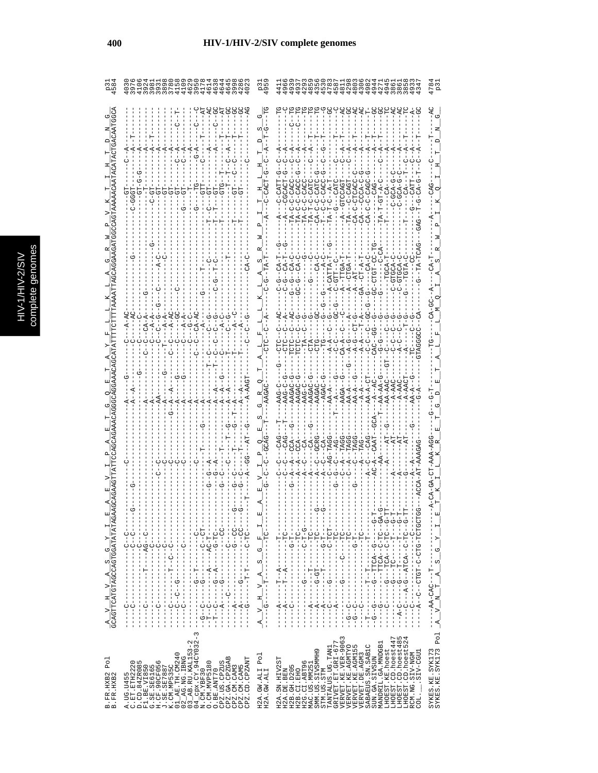| C<br>s |
|--------|
| Б      |
|        |
|        |
|        |
|        |
|        |
| ŋ<br>¢ |
| ١      |
|        |
|        |
|        |
|        |
| i      |
|        |

 $\epsilon$ 

| COMMO SUONDE HA44<br>COMMO SERICO HO COM<br>COMMO SERICO HO COMMO                                                                                                                                                                                                                                                                                                                                             |                                                                                                                                                                                                                                                                                                                                                                                                                             |                                                              |
|---------------------------------------------------------------------------------------------------------------------------------------------------------------------------------------------------------------------------------------------------------------------------------------------------------------------------------------------------------------------------------------------------------------|-----------------------------------------------------------------------------------------------------------------------------------------------------------------------------------------------------------------------------------------------------------------------------------------------------------------------------------------------------------------------------------------------------------------------------|--------------------------------------------------------------|
|                                                                                                                                                                                                                                                                                                                                                                                                               |                                                                                                                                                                                                                                                                                                                                                                                                                             |                                                              |
|                                                                                                                                                                                                                                                                                                                                                                                                               |                                                                                                                                                                                                                                                                                                                                                                                                                             |                                                              |
|                                                                                                                                                                                                                                                                                                                                                                                                               |                                                                                                                                                                                                                                                                                                                                                                                                                             |                                                              |
|                                                                                                                                                                                                                                                                                                                                                                                                               | TA-C-C-CAC                                                                                                                                                                                                                                                                                                                                                                                                                  |                                                              |
|                                                                                                                                                                                                                                                                                                                                                                                                               |                                                                                                                                                                                                                                                                                                                                                                                                                             |                                                              |
|                                                                                                                                                                                                                                                                                                                                                                                                               |                                                                                                                                                                                                                                                                                                                                                                                                                             |                                                              |
|                                                                                                                                                                                                                                                                                                                                                                                                               |                                                                                                                                                                                                                                                                                                                                                                                                                             |                                                              |
|                                                                                                                                                                                                                                                                                                                                                                                                               | $2A - B -$<br>$A - G -$<br>$A - A -$<br>$A-C$<br>$\sigma$                                                                                                                                                                                                                                                                                                                                                                   |                                                              |
|                                                                                                                                                                                                                                                                                                                                                                                                               |                                                                                                                                                                                                                                                                                                                                                                                                                             |                                                              |
|                                                                                                                                                                                                                                                                                                                                                                                                               |                                                                                                                                                                                                                                                                                                                                                                                                                             |                                                              |
|                                                                                                                                                                                                                                                                                                                                                                                                               |                                                                                                                                                                                                                                                                                                                                                                                                                             |                                                              |
|                                                                                                                                                                                                                                                                                                                                                                                                               | 0.404404                                                                                                                                                                                                                                                                                                                                                                                                                    |                                                              |
|                                                                                                                                                                                                                                                                                                                                                                                                               |                                                                                                                                                                                                                                                                                                                                                                                                                             |                                                              |
| Ť<br>$\frac{1}{1}$<br>ł                                                                                                                                                                                                                                                                                                                                                                                       | I<br>ţ<br>$\mathbf{H}$                                                                                                                                                                                                                                                                                                                                                                                                      |                                                              |
| $-1 - 7 - 1 - 1 - 1$<br>$-1$ $-1$ $-1$ $-1$ $-1$ $-1$ $-1$<br>$- - - - - - - - - - - -$<br>$-1 - 1 - 1$<br>$\frac{1}{1}$<br>$-1$ $-1$ $-1$ $-1$ $-1$<br>$\frac{1}{1}$<br>$\frac{1}{1}$<br>$\frac{1}{1}$                                                                                                                                                                                                       | $-1$ DH $-1$ $-1$<br>$-1$<br>Ŀ,<br>$\circ$ ්                                                                                                                                                                                                                                                                                                                                                                                | しし                                                           |
| - - - - - LI - OKI - - - - KI - - - - -<br>- - リー・ツス- - - - - - - - - - - - -<br>エーリピー ワーエーエー トローピーエーエーエー<br><u>ししローローーーーーーーーーーーー</u><br>- - - - - - - - - - - - - - - - - -<br>$-1$ $-1$ $-1$ $-1$ $-1$ $-1$<br>$-1 - 1 - 0 - 0 - 1 - 1$<br>$-1$ $-1$ $-1$ $-1$ $-1$<br>Ţ<br>$\frac{1}{1}$<br>I.<br>Ť<br>I                                                                                                   | -- 5 ------ 5 -- 4 JH. -- 5 ----<br>$-40 - 10 - 10 - 10$<br>-- ツーーひ ローひーー むひ ローーー ツーー<br>- ウーーー ビーー ーーー ひビーーー ウーー<br>- ウーーー ビーー ーーーー ビーーー ワーー<br>-- リーーリローリー ―― Kリロベーーリーベーーー<br>- - ツーH-シー------- ツー-<br>- - - ひH - - - - - ひ - - - - - - ウ - -<br>$\frac{1}{1}$<br>$A_S$<br>$\frac{1}{1}$<br>I<br>$\frac{1}{1 - \frac{1}{2} - \frac{1}{2} - \frac{1}{2}}$<br>I<br>Ţ<br>I                                                   |                                                              |
| <u> ひひーーーーーーーーーーーひーーーーーズーーーー</u><br>$\begin{array}{c} 1 \\ 1 \\ 1 \end{array}$<br>т<br>$\frac{1}{1}$<br>$\frac{1}{1}$<br>$\frac{1}{1}$<br>$\frac{1}{1}$<br>ن<br>۱<br>$\frac{1}{1}$<br>$\frac{1}{1}$<br>$\frac{1}{1}$<br>$- - - - - - - - - - -$<br>U-------<br>$- - - - - - - - -$<br>İ<br>ł<br>J.<br>$\frac{1}{1}$<br>п<br>U<br>I.<br>$\frac{1}{2}$<br>ن<br>ا<br>ن<br>۱<br>Ī<br>I<br>Í<br>$\frac{1}{2}$<br>ļ | $\triangleright$<br>T<br>$\frac{1}{1}$<br>I<br>$\frac{1}{1}$<br>$\frac{1}{1}$<br>$\frac{1}{1}$<br>$\frac{1}{1}$<br>$\frac{1}{1}$<br>$\frac{1}{1}$<br>I<br>$\frac{1}{1}$<br>$\frac{1}{1}$<br>ļ<br>$\frac{1}{1}$<br>$\frac{1}{1}$<br>$\frac{1}{1}$<br>$\frac{1}{1}$<br>H,<br>$\frac{1}{1}$<br>I<br>I.<br>J.<br>л<br>$\frac{1}{2}$<br>Ţ<br>$- - A$<br>$-4$<br>o<br>!<br>г<br>U<br>$\triangleright$<br>Ţ<br>I<br>ţ<br>Ī<br>ţ    | HUひHUH‐ひHU‐U‐HひHU‐‐U‐‐4‐‐‐<br>$\frac{1}{1}$<br>$\frac{1}{1}$ |
| $-1$<br>$O - 1$<br>$-1 - 1$<br>$-1$<br>$-1 - 1$<br>$\begin{bmatrix} 1 \\ 1 \\ 1 \end{bmatrix}$<br>ငှ်<br>۲<br>ا<br>턱<br>Í<br>ı<br>Í<br>ł<br>$\infty$<br>$\mathsf I$                                                                                                                                                                                                                                           | $- - - -$<br>$- - - - A$<br>$-1 - 1$<br>ウーウーー<br>$-1 - 1$<br>U<br> -<br> -<br>U – −<br>U – −<br>$-4 - -$<br>$\begin{array}{c} \n 1 \\  1 \\  1\n \end{array}$<br>$\begin{array}{c} 1 \\ 1 \\ 1 \end{array}$<br>т<br>I<br>$\ddot{\tau}$<br>$\frac{1}{2}$<br>$\frac{1}{1}$<br>I<br>$\frac{1}{1}$<br>I.<br>I<br>I<br>$\frac{1}{1}$<br>ł<br>Î<br>$\mathbb{E}_{\left[ \begin{smallmatrix} 1\\ 1\end{smallmatrix} \right]}$<br>54 | U<br>-----                                                   |
| CPX.CY.94CY032<br>AB.RU.KAL153-2<br>w                                                                                                                                                                                                                                                                                                                                                                         | $\begin{array}{c} \texttt{GRIVET. ET. GLI-677}\\ \texttt{VERVET. KE. VER-9063} \end{array}$<br>LHOEST.CD.hoest447<br>LHOEST.CD.hoest48<br>LHOEST.CD.hoest52<br>MANDRIL.GA.MNDGB1<br>VERVET.KE.AGMTYO<br>VERVET.KE.AGMI55<br>SABAEUS.SN.SABIC<br>$_{\rm Po1}$                                                                                                                                                                | SIV-CGU1                                                     |
| $-$ AE.TH.CM240<br>$-$ AG.NG.IBNG<br>CPZ.GA.CPZGAB<br>CPZ.CD.CPZANT<br>D.CD.84ZR085<br>0. CM. MVP5180<br>CPZ.US.CPZUS<br>A.UG.U455<br>C.ET.ETH2220<br>K.CM.MP535C<br>F1.BE.VI850<br>G.SE.SE6165<br>H.CF.90CF056<br>J.SE.SE7887<br>CPZ.CM.CAM5<br>CPZ.CM.CAM3<br>01_AE.TH.CM<br>02_AG.NG.IB<br>03_AB.RU.KA<br>04_cpx.CY.9<br>N.CM.YBF30<br>O.BE.ANT70                                                          | TANTALUS.UG.TAN1<br>LHOEST.KE.hoest<br>SMM.US.SIVSMMH9<br>VERVET.DE.AGM3<br>SUN.GA.SIVSUN<br>H2A.SN.HIV2ST<br>H2G.CI.ABT96<br>MAC.US.MM251<br>H2B. GH. D205<br>H2A.GW.ALI<br>H2A.GW.ALI<br>H2B.CI.EHO<br>H2A.DE.BEN<br>STM.US.STM                                                                                                                                                                                           | RCM.NG.SIV-NGM<br>- TOD                                      |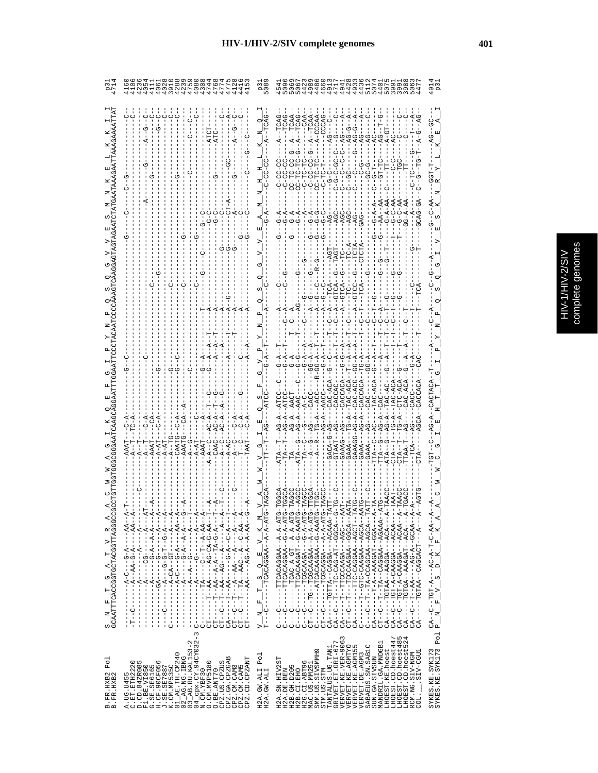|   | ပ္မ<br>J.        |
|---|------------------|
| Ç |                  |
|   | S<br>E<br>Ş<br>ŋ |
|   |                  |
|   |                  |
|   | ĵ                |
|   |                  |

|                                                                                                                         |                                                                                                                                                                                                                                                                                                                                                                                                                                                                                                                                                                                                                                                                                       | 508<br>509                                                                                                                                                                                                                                                                     | CON CON CHITTAN COLLINO CON CONDITA<br>O CTAN TON CONTO THIOTO CAN CONTO<br>CON CON CHITTAN CONTO CON CONTO CON                                                                                                                                                                                                                                                                                                                                                                                                                                                                                                                                                    | 91<br>P.J                                                                                                            |
|-------------------------------------------------------------------------------------------------------------------------|---------------------------------------------------------------------------------------------------------------------------------------------------------------------------------------------------------------------------------------------------------------------------------------------------------------------------------------------------------------------------------------------------------------------------------------------------------------------------------------------------------------------------------------------------------------------------------------------------------------------------------------------------------------------------------------|--------------------------------------------------------------------------------------------------------------------------------------------------------------------------------------------------------------------------------------------------------------------------------|--------------------------------------------------------------------------------------------------------------------------------------------------------------------------------------------------------------------------------------------------------------------------------------------------------------------------------------------------------------------------------------------------------------------------------------------------------------------------------------------------------------------------------------------------------------------------------------------------------------------------------------------------------------------|----------------------------------------------------------------------------------------------------------------------|
|                                                                                                                         |                                                                                                                                                                                                                                                                                                                                                                                                                                                                                                                                                                                                                                                                                       |                                                                                                                                                                                                                                                                                | $A-CC$<br>$AG-I$<br>$AG-I$<br>$AG-$<br>U-TU-JE-0<br>CC-TC-T<br><b>GRG-</b><br>$G - A$<br>$G - A$<br>ひし<br>ひ<br>ن<br>ٿ<br>$G - A$<br>し<br>し<br>$G - C$<br>CACCACA<br>$TAC - A$<br>$AG - A -$<br>$G - A -$<br>$AG - A -$<br>$A - A -$<br>GAAAGG-<br>GAAA<br>GAAA<br>GAAA<br>GAAA                                                                                                                                                                                                                                                                                                                                                                                     |                                                                                                                      |
| $\frac{\texttt{S}}{\texttt{GCAATTDACGGGCTBCGGTTRGGGC}} \texttt{A} \frac{\texttt{T}}{\texttt{GCTBCGGTTRGGC}} \texttt{A}$ | $\begin{split} & \texttt{--}{--}\texttt{--}{--}\texttt{--}{--}\texttt{--}{\mathbf{A}} - \texttt{--}{\mathbf{C}} - \texttt{--}{--}{\mathbf{A}} - \texttt{--}{--}{\mathbf{A}} - \texttt{--}{--}{\mathbf{A}} - \texttt{--}{--}{\mathbf{A}} - \texttt{--}{--}{\mathbf{A}} - \texttt{--}{--}{\mathbf{A}} - \texttt{--}{--}{\mathbf{A}} - \texttt{--}{--}{\mathbf{A}} - \texttt{--}{--}{\mathbf{A}} - \texttt{--}{--}{\mathbf{A}} - \texttt{--}{--}{\mathbf{A}} - \text$<br>$X - 1 - 4 - 1 - 1 - 0$<br><b> イー・イー・ー - コロリー イワーベー - - - - - - - - -</b><br>$\begin{array}{c} 1 \\ 1 \\ 1 \end{array}$<br>$\begin{array}{c} 1 \\ 1 \\ 1 \\ 1 \end{array}$<br>탁<br>J.<br>$\mathbf{I}$<br>U<br>3 | <b>ARANA ARANGA ARANG ARANG ARANG ARANG ARANG ARANG ARANG ARANG ARANG ARANG ARANG ARANG ARANG ARANG ARANG ARANG ARANG ARANG ARANG ARANG ARANG ARANG ARANG ARANG ARANG ARANG ARANG ARANG ARANG ARANG ARANG ARANG ARANG ARANG ARAN</b><br>E<br>몍<br>q<br>ω,<br>니<br>Ŀ,<br>z<br>⊳ | UHA-A-A-AHUUNUNUNUH----<br>UHA-A-U--AAGUAUAUAUANTU<br>ひロダーダー イーロウーダー ひりつけー ニュー<br>ひHAIAIひIIIAひAAひひひHIIIIII<br>CT--C--TG--TCAAGAA--A-A-A-ATG<br>UHAAA-U--AAGAAUAUHUH-------<br>H-AAAOA---ADOAO--AHDDH-----AO<br>0-14000-1-141-040-01-1-1-1-0-1<br>4 - - 4 - 1004 - 1004 ASAN (AAG) - 1007 - 1007 - 1007<br>CT--C--T--TA--CAGGAA--AGAAAA--<br>CA-----TGTAA--AAGGA---ACA----A<br>A--ARUA---AUUARU-R-HUH--U--RU<br>$CA - -C - -T - -A - - -A - A - A - C - A - -A$<br>-- AACA---AGOACO-A-HOF--O--AGOA<br>$CT - -C$<br>U<br> <br>$C - C$<br>i<br> -<br> -<br>$\begin{array}{c}\nC \\ 1\n\end{array}$<br>$\frac{1}{1}$<br>$CA -$<br>U<br>↻<br>↻<br>U<br>↻<br>↻<br>S<br>4 | $\begin{array}{l} \text{CA--C--TGT-A--AC--A--C--AA--A} \\ \text{P\_N\_F\_V\_S\_D\_K\_F\_F\_K\_A} \end{array}$<br>Pol |
| Po1<br>B.FR.HXB2<br>B.FR.HXB2                                                                                           | $03$ AB.RU.KAL153-2<br>$04$ cpx.CY.94CY032-<br>01_AE.TH.CM240<br>$02$ $R$ G. NG. IBNG<br>CPZ.GA.CPZGAB<br>CPZ.CD.CPZANT<br>A.UG.U455<br>C.ET.ETH2220<br>C.ET.eTH2220<br>CPZ.US.CPZUS<br>G<br>O. CM. MVP5180<br>D.CD.84ZR085<br>F1.BE.VI850<br>G.SE.SE6165<br>H.CF.90CF056<br>J.SE.SE7887<br>K.CM.MP535C<br>CPZ.CM.CAM5<br>CPZ.CM.CAM3<br>N.CM.YBF30<br>O.BE.ANT70                                                                                                                                                                                                                                                                                                                     | Po <sub>1</sub><br>H2A.GW.ALI<br>H2A.GW.ALI                                                                                                                                                                                                                                    | VERVET.KE.VER-9063<br>LHOEST.CD.hoest447<br>LHOEST.CD.hoest48<br>LHOEST.CD.hoest52<br>TANTALUS.UG.TAN1<br>GRIVET.ET.GRI-677<br>MANDRIL.GA.MNDGB1<br>SABAEUS.SN.SABIC<br>VERVET.KE.AGMTYO<br>VERVET.KE.AGMI55<br>LHOEST.KE.hoest<br>SMM.US.SIVSMMH9<br>SIV-CGU1<br>VERVET.DE. AGM3<br>RCM.NG.SIV-NGM<br>SUN.GA.SIVSUN<br>H2A.SN.HIV2ST<br>H2G.CI.ABT96<br>H2B. GH. D205<br>MAC.US.MM25<br>H2A.DE.BEN<br>H2B.CI.EHO<br>STM.US.STM<br>$\overline{COL}$ .                                                                                                                                                                                                              | SYKES.KE.SYK173<br>SYKES.KE.SYK173                                                                                   |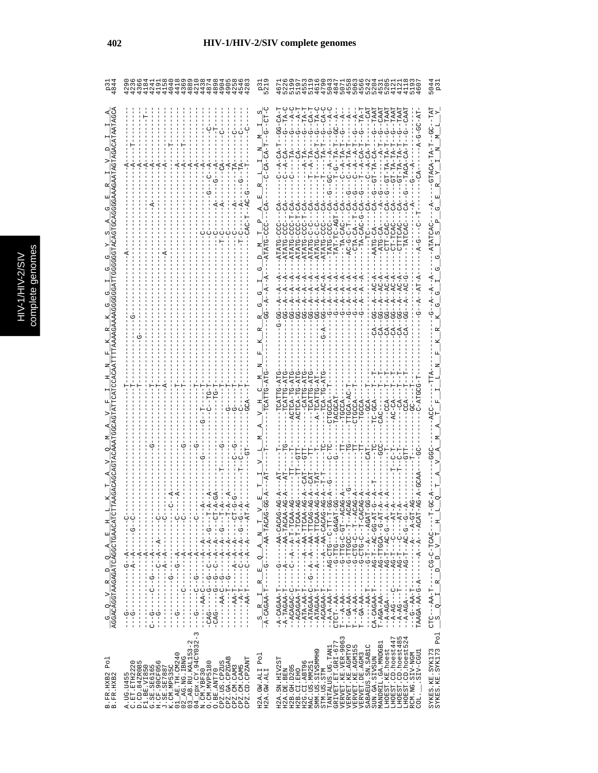| C<br>s |
|--------|
| Б      |
|        |
|        |
|        |
|        |
|        |
| ŋ<br>¢ |
| ١      |
|        |
|        |
|        |
|        |
| i      |
|        |

| 444444444<br>4044680<br>8040544680<br>$\frac{3}{4}$                                                                                                                                                                                                                                                                                                                                                                                                                                                                                                                                                                                                                                                                                                                                                                                                                                                                                                                                                                                                                                                              |                                                                                                                                                                                                                                                                                                                                                                                                                                                                                                                                                                                                                                         |
|------------------------------------------------------------------------------------------------------------------------------------------------------------------------------------------------------------------------------------------------------------------------------------------------------------------------------------------------------------------------------------------------------------------------------------------------------------------------------------------------------------------------------------------------------------------------------------------------------------------------------------------------------------------------------------------------------------------------------------------------------------------------------------------------------------------------------------------------------------------------------------------------------------------------------------------------------------------------------------------------------------------------------------------------------------------------------------------------------------------|-----------------------------------------------------------------------------------------------------------------------------------------------------------------------------------------------------------------------------------------------------------------------------------------------------------------------------------------------------------------------------------------------------------------------------------------------------------------------------------------------------------------------------------------------------------------------------------------------------------------------------------------|
|                                                                                                                                                                                                                                                                                                                                                                                                                                                                                                                                                                                                                                                                                                                                                                                                                                                                                                                                                                                                                                                                                                                  | $TA-T$<br>CAAT<br>LAA.<br>TAA'<br>ÄÄ.<br>$A^+$ $A^ A^ A^ A^ A^-$<br>$T\overset{-}{\Delta} -$<br>$PA^{\text{T}}$<br>$\overline{\text{d}}$<br>$-4$<br>$-4$<br>$T - T - G - T - T - T - T$<br>$-CA$ - $-1$<br>$-CT - T A - CA -$<br>$-GC - A - -A$                                                                                                                                                                                                                                                                                                                                                                                         |
|                                                                                                                                                                                                                                                                                                                                                                                                                                                                                                                                                                                                                                                                                                                                                                                                                                                                                                                                                                                                                                                                                                                  | $-TA-CAC-G-CA-$<br>ローリ<br>۲<br>ن                                                                                                                                                                                                                                                                                                                                                                                                                                                                                                                                                                                                        |
|                                                                                                                                                                                                                                                                                                                                                                                                                                                                                                                                                                                                                                                                                                                                                                                                                                                                                                                                                                                                                                                                                                                  | TAT-TC-AGT-CA-<br>$- - 1 - - - - - - - -$<br>T-DDD-PTATP<br><b>DD-DIATE</b><br>ATATG                                                                                                                                                                                                                                                                                                                                                                                                                                                                                                                                                    |
|                                                                                                                                                                                                                                                                                                                                                                                                                                                                                                                                                                                                                                                                                                                                                                                                                                                                                                                                                                                                                                                                                                                  | $-4$<br>$-4$<br>$-4$<br>$1 - 1 - 1$<br>$0 + 4 - 1$                                                                                                                                                                                                                                                                                                                                                                                                                                                                                                                                                                                      |
|                                                                                                                                                                                                                                                                                                                                                                                                                                                                                                                                                                                                                                                                                                                                                                                                                                                                                                                                                                                                                                                                                                                  | ACTCA-TG-AT<br>$FA-T$<br>$TCA-T$<br>$- A - T C A T T$<br>$PC-GCA$ -                                                                                                                                                                                                                                                                                                                                                                                                                                                                                                                                                                     |
|                                                                                                                                                                                                                                                                                                                                                                                                                                                                                                                                                                                                                                                                                                                                                                                                                                                                                                                                                                                                                                                                                                                  |                                                                                                                                                                                                                                                                                                                                                                                                                                                                                                                                                                                                                                         |
| °<br>¦<br>$\frac{1}{1}$<br>ひーーーーーーーー ばーーーーーーーー<br>トーー<br>--A-------C<br>U – – – – – K – – K – – K – –<br><b>ひ‐‐ひ‐‐ぱ‐‐ぱ‐‐ひ‐‐‐‐</b><br>$\begin{bmatrix} 1 \\ 1 \\ 1 \end{bmatrix}$<br>$\frac{1}{1}$<br>I<br>$- - - - - - - - - - - - - -$<br>$- -A - -$<br>ţ<br>$-4$                                                                                                                                                                                                                                                                                                                                                                                                                                                                                                                                                                                                                                                                                                                                                                                                                                               | $--A---AA---A-A--TACA$<br>AUH-H-A--A--U----<br>$------A-T-TCA$<br>$----A--AA-TTCA$<br>$-6 - -A - -A - -A - TTCA$<br>$-1$ - $-1$ - $-1$ - $-1$ - $-1$ - $-1$<br>KUKU---UHH-U---<br>ADA - - - A - - H - D - - - - -<br><b>4-55-04-1-54-1-1</b><br>4-9-1400HH-04----<br>--AG--F--H-54-<br>4 - - - - - - - - - - - - - - -<br><b>ひーーひーひむーーローひむーー</b><br>$-1$ - $-1$ - $-1$ - $-1$                                                                                                                                                                                                                                                           |
| $\frac{G-Q}{AGGACACCTAAGACATCAGGCTGAACAT}$<br><u> ひ‐‐‐‐‐‐ぱ‐‐ぱ‐‐い‐‐‐‐‐‐‐‐‐‐‐‐‐ひ‐‐</u><br>- KT - - ひ - - - - - - - - - - -<br>$\frac{1}{1}$<br>$-5 - 5 - 1$<br>$-1 - 5 - 1$<br>$\frac{1}{1}$<br>$\frac{1}{1}$<br>$\begin{bmatrix} 1 & 1 & 1 \\ 1 & 1 & 1 \\ 1 & 1 & 1 \\ 1 & 1 & 1 \\ 1 & 1 & 1 \\ 1 & 1 & 1 \\ 1 & 1 & 1 \\ 1 & 1 & 1 \\ 1 & 1 & 1 \\ 1 & 1 & 1 \\ 1 & 1 & 1 \\ 1 & 1 & 1 \\ 1 & 1 & 1 \\ 1 & 1 & 1 \\ 1 & 1 & 1 & 1 \\ 1 & 1 & 1 & 1 \\ 1 & 1 & 1 & 1 \\ 1 & 1 & 1 & 1 \\ 1 & 1 & 1 & 1 \\ 1 & 1 & 1 & 1 \\ 1 & 1 & 1 & 1 \\ 1 & $<br>$\frac{1}{1}$<br>ワー・ロー ーーーーーーーー<br>$\frac{1}{1}$<br>-------<br>AA-T---<br>$- - - - - - - - - -$<br>$-CAG$ ------G<br>$-CAG$ ---------<br>$-1$ - $-1$ - $-1$ - $-1$<br>$-1 - 1 - 1$<br>$-44-1-1$<br>$\begin{array}{c} 1 \\ 1 \\ 1 \\ 1 \end{array}$<br>$\begin{array}{c} 1 \\ 1 \\ 1 \end{array}$<br>$-1 - 0 - 1 - 1 - 1$<br>$\begin{array}{c} 1 \\ 1 \\ 1 \end{array}$<br>$\begin{array}{c} 1 \\ 1 \\ 1 \\ 1 \end{array}$<br>$\begin{array}{c} 1 \\ 1 \\ 1 \\ 1 \end{array}$<br>$\begin{array}{c} 1 \\ 1 \\ 1 \\ 1 \end{array}$<br>$\frac{1}{1}$<br>ن<br>۱ | --ATAGAA-T---------AA-TTCA<br>- - 155 - 10 - 10 14 14 - 10 - - - - - - - - - - 47 - 47 - - - - 15<br><u> ひーローーひーひロひーひーーーーーーーーイズ「よびーーロ</u><br>$TAAGAA-AA-G--A---A--A--ACA$<br>ł<br>$\frac{1}{1}$<br>$\frac{1}{1}$<br>- - - T - ATA - AA - - -<br>$-1 - 1 - 1 - 1 - 1$<br>$CTCT--AA-------$<br>Í<br>$\frac{1}{1}$<br>$- -A - AGA - - - - - -$<br>$---T - A - A - T - - -$<br>$T = -A A - A B - - -$<br>$- A - TAGAA - T$<br>--ACAGAA-T<br>--ATAGAA-C<br>$------AA-T$<br>$T - AGA - A A - - -$<br>$- -A - AG - - -T$<br>$\frac{1}{-A-CACAA}$<br>$- -A - A - C$<br>--ACAGAC-C<br>CA-CAGAA-T<br>$- -A - A - A - - -$<br>нj<br><b>K</b><br>ທຸ |
| $\infty$<br>-cpx.CY.94CY032-<br>$\mathbf{\Omega}$<br>3_AB.RU.KAL153-<br>01_AE.TH.CM240<br>2_AG.NG.IBNG<br>CPZ.GA.CPZGAB<br>CPZ.CD.CPZANT<br>C.ET.ETH2220<br>D.CD.84ZR085<br>O<br>O. CM. MVP5180<br>CPZ.US.CPZUS<br>A.UG.U455<br>C.ET.ETH2220<br>F1.BE.VI850<br>G.SE.SE6165<br>H.CF.90CF056<br>J.SE.SE7887<br>K.CM.MP535C<br>CPZ.CM.CAM5<br>CPZ.CM.CAM3<br>O.BE.ANT70<br>N.CM.YBF30<br>B.FR.HXB2<br>B.FR.HXB2<br>04<br>$\circ$<br>$\circ$                                                                                                                                                                                                                                                                                                                                                                                                                                                                                                                                                                                                                                                                         | LHOEST.CD.hoest485<br>LHOEST.CD.hoest524<br>$\begin{array}{l} \texttt{GRIVET. ET. GLI-677}\\ \texttt{VERVET. KE. VER-9063} \end{array}$<br>LHOEST.CD.hoest447<br>MANDRIL.GA.MNDGB1<br>VERVET.KE.AGMTYO<br>SABAEUS.SN.SABIC<br>VERVET.KE.AGM155<br>TANTALUS.UG.TAN1<br>LHOEST.KE.hoest<br>SMM.US.SIVSMMH9<br>LIED-VIIS.<br>VERVET.DE.AGM3<br>RCM.NG.SIV-NGM<br>Po <sub>1</sub><br>SUN.GA.SIVSUN<br>H2A.SN.HIV2ST<br>H2G.CI.ABT96<br>MAC.US.MM25.<br>H2B. GH. D205<br>H2A.GW.ALI<br>H2A.GW.ALI<br>H2A.DE.BEN<br>H2B.CI.EHO<br>STM.US.STM<br>$COL$ .                                                                                       |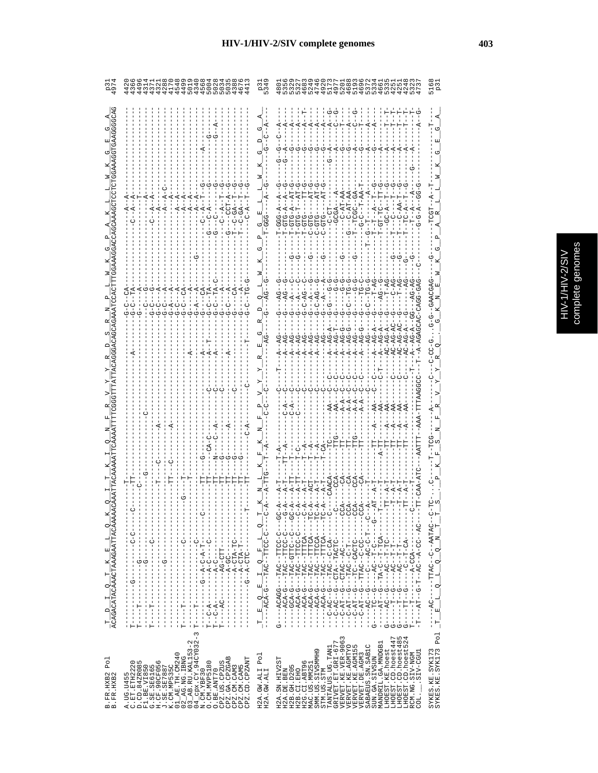| ミクショニ<br>٠ | aenomes |
|------------|---------|

| ターフ2874914602391つ28154015000<br>433321540150000                                                                                                                                                                                                                                                                                                                                                                                                                                                                                                                                                                                                                                                             | 284427708997363553223027919201033022222222010330154544                                                                                                                                                                                                                                                                                                                                                                                                                                                                                                                                                                                                                                                                                                                                                                                                                                                                                                                                                                                                                                                                                                                                                                                                                                                                                                                                                                                                                                                                |
|-------------------------------------------------------------------------------------------------------------------------------------------------------------------------------------------------------------------------------------------------------------------------------------------------------------------------------------------------------------------------------------------------------------------------------------------------------------------------------------------------------------------------------------------------------------------------------------------------------------------------------------------------------------------------------------------------------------|-----------------------------------------------------------------------------------------------------------------------------------------------------------------------------------------------------------------------------------------------------------------------------------------------------------------------------------------------------------------------------------------------------------------------------------------------------------------------------------------------------------------------------------------------------------------------------------------------------------------------------------------------------------------------------------------------------------------------------------------------------------------------------------------------------------------------------------------------------------------------------------------------------------------------------------------------------------------------------------------------------------------------------------------------------------------------------------------------------------------------------------------------------------------------------------------------------------------------------------------------------------------------------------------------------------------------------------------------------------------------------------------------------------------------------------------------------------------------------------------------------------------------|
|                                                                                                                                                                                                                                                                                                                                                                                                                                                                                                                                                                                                                                                                                                             | ٣<br>ಲ್ಲ<br>К                                                                                                                                                                                                                                                                                                                                                                                                                                                                                                                                                                                                                                                                                                                                                                                                                                                                                                                                                                                                                                                                                                                                                                                                                                                                                                                                                                                                                                                                                                         |
| A<br>Ü                                                                                                                                                                                                                                                                                                                                                                                                                                                                                                                                                                                                                                                                                                      | $AT-G$<br>$- -T - P_A -$<br>$C - AT - A$<br>$T = T - T - A$<br>$A - 5C - A$<br>$T - GTG - A - T - T - T - T - T - T - G - T - T - G - T - T - G - T - T - G - T - T - G - T - G - T - G - T - G - T - G - T - G - T - G - T - G - T - G - T - G - T - G - T - G - T - G - T - G - T - G - T - G - T - G - T - G - T - G - T - G - T - G - T - G - T - G - T - G - T - G - T - G - T - G - T - G - T - G - T - G - T - G - T - G - T - G - T - G - T - G - T - G - T - G - T - G - T - G - T - G - T - G - T - G - T - G - T - G - T - G$<br>GTG.<br>ローロー<br>び<br>てても                                                                                                                                                                                                                                                                                                                                                                                                                                                                                                                                                                                                                                                                                                                                                                                                                                                                                                                                                  |
| UUUUKUU IKII UU<br><u>ዋዋዋዋዋዋዋዋዋዋዋ</u><br>ن ن                                                                                                                                                                                                                                                                                                                                                                                                                                                                                                                                                                                                                                                                | もももあもみ<br>ġ<br>$- A -$<br>Ā,<br>めめめめめめめめ<br>てり                                                                                                                                                                                                                                                                                                                                                                                                                                                                                                                                                                                                                                                                                                                                                                                                                                                                                                                                                                                                                                                                                                                                                                                                                                                                                                                                                                                                                                                                        |
|                                                                                                                                                                                                                                                                                                                                                                                                                                                                                                                                                                                                                                                                                                             | Ó<br>$\frac{1}{2}$ ဗုံ<br>$AG - A$<br>$AG-G$<br>$AG - A$<br>τŋ<br>$AG -$<br>AG-<br>$\sim$ $\sim$<br>$\sim$ $\sim$<br>₫₫<br>$\triangle$ $\triangle$                                                                                                                                                                                                                                                                                                                                                                                                                                                                                                                                                                                                                                                                                                                                                                                                                                                                                                                                                                                                                                                                                                                                                                                                                                                                                                                                                                    |
| ひ<br>ひ                                                                                                                                                                                                                                                                                                                                                                                                                                                                                                                                                                                                                                                                                                      |                                                                                                                                                                                                                                                                                                                                                                                                                                                                                                                                                                                                                                                                                                                                                                                                                                                                                                                                                                                                                                                                                                                                                                                                                                                                                                                                                                                                                                                                                                                       |
| Ĭ<br>ł<br>$\frac{1}{1}$                                                                                                                                                                                                                                                                                                                                                                                                                                                                                                                                                                                                                                                                                     | Н<br>ြ<br>$-1 - 5$<br>oį<br>ł                                                                                                                                                                                                                                                                                                                                                                                                                                                                                                                                                                                                                                                                                                                                                                                                                                                                                                                                                                                                                                                                                                                                                                                                                                                                                                                                                                                                                                                                                         |
| · ) - - - - - - - - H - ನ - ) - ನ - - " - - - - - - - - - - - -<br>- - - - - - - - - - HHU - UX - - - - - - - - UX - - - - HH<br>$-1$ $-1$ $-1$ $-1$ $-1$ $-1$ $-1$<br>$-1 - C - C$<br>- - - - DHD - 4 - - 5 - - -<br>$\frac{1}{1}$<br>$-1$<br>$-1$ - $-1$ - $-1$ - $-1$ - $-1$<br>$\frac{1}{1}$<br>-1<br>$\begin{array}{c} 1 \\ 1 \\ 1 \end{array}$<br>$\frac{1}{2}$<br>$\begin{bmatrix} 1 \\ 1 \\ 1 \\ 1 \end{bmatrix}$<br>$-1$<br>$\frac{1}{1}$<br>ţ                                                                                                                                                                                                                                                     | $\begin{array}{l} \texttt{0.13}\begin{smallmatrix} \texttt{0.13}\begin{smallmatrix}\begin{smallmatrix}\begin{smallmatrix} \texttt{0.13}\end{smallmatrix} & \texttt{0.13}\begin{smallmatrix}\begin{smallmatrix}\begin{smallmatrix} \texttt{0.13}\end{smallmatrix} & \texttt{0.13}\begin{smallmatrix}\begin{smallmatrix}\begin{smallmatrix} \texttt{0.13}\end{smallmatrix} & \texttt{0.13}\begin{smallmatrix}\begin{smallmatrix}\end{smallmatrix} \\ \texttt{0.13}\begin{smallmatrix}\end{smallmatrix} \\ \texttt{0.13}\begin{smallmatrix}\begin{smallmatrix}\begin{smallmatrix} \texttt{0.13}\end{smallmatrix$<br>- ウーーーー U – U U II II – – U K II – – –<br><b>リーーーリーひりけローーひりローーー</b><br>$---TAC---TTTCA---TC$<br>$\begin{array}{r} -- -AC-----TTAC--C--AATAC--C-\\ \underline{E} & \underline{L} & \underline{Q} & \underline{Q} & \underline{N} & \underline{T} & \underline{T} \\ \end{array}$<br>- - - - - - - - - - dVDD - d7 - - - - -<br>---ひぱ--ひひ-ぱ--ひぱ--叶-ぴ---けぱ------<br>- - - - - - dJ - L- - - - - - - -<br>- - - - - - H - H - - O ペ- - - -<br>$\frac{1}{1 - 1} = \frac{1}{1} \frac{1}{1} \frac{1}{1} \frac{1}{1} \frac{1}{1} \frac{1}{1} \frac{1}{1} \frac{1}{1} \frac{1}{1} \frac{1}{1} \frac{1}{1} \frac{1}{1} \frac{1}{1} \frac{1}{1} \frac{1}{1} \frac{1}{1} \frac{1}{1} \frac{1}{1} \frac{1}{1} \frac{1}{1} \frac{1}{1} \frac{1}{1} \frac{1}{1} \frac{1}{1} \frac{1}{1} \frac{1}{1} \frac{1}{1} \frac{1}{1} \frac{1}{1} \frac{1}{1$<br>$-TTAC$<br>$-TTTC$<br>$I_2 = 2 - F_1$<br>피<br>$-\frac{1}{2}$ |
| $-1$ $-1$ $-1$ $-1$ $-1$ $-1$ $-1$<br>$-1$ $-1$ $-1$ $-1$ $-1$ $-1$ $-1$ $-1$<br>$-1$ $-1$ $-1$ $-1$ $-1$ $-1$ $-1$<br>$-1$ $-1$ $-1$ $-1$ $-1$ $-1$ $-1$<br>$\mathbf{T}--\mathbf{T}--\mathbf{T}--\mathbf{T}--$<br>$\mathbb{T}--\mathbb{T}---\mathbb{T}--\mathbb{T}$<br>$-1$ $-1$ $-1$ $-1$ $-1$ $-1$ $-1$<br>$\begin{bmatrix} 1 & 1 & 1 \\ 1 & 1 & 1 \\ 1 & 1 & 1 \\ 1 & 1 & 1 \\ 1 & 1 & 1 \\ 1 & 1 & 1 \\ 1 & 1 & 1 \\ 1 & 1 & 1 \\ 1 & 1 & 1 \\ 1 & 1 & 1 \\ 1 & 1 & 1 \\ 1 & 1 & 1 \\ 1 & 1 & 1 \\ 1 & 1 & 1 \\ 1 & 1 & 1 \\ 1 & 1 & 1 \\ 1 & 1 & 1 & 1 \\ 1 & 1 & 1 & 1 \\ 1 & 1 & 1 & 1 \\ 1 & 1 & 1 & 1 \\ 1 & 1 & 1 & 1 \\ 1 & 1 & 1 & $<br>$\frac{1}{1}$<br>$\mathbb{H}$<br>Н<br>п<br>$\tilde{3}$ | $-$ -ACAGG<br>$-1$ - $-1$ - $-1$<br>$G$ - $A$ $C$ $A$ - $-$<br>$G---T---G$<br><b>0--------</b><br>$G---TT1--G$<br>U-400----<br>$-1 - 1 - 1$<br>U-404----<br>$\mathbf{T}--\mathbf{T}----\mathbf{T}--\mathbf{T}$<br>囸<br>턱부<br>Ġ<br>ひ<br>3                                                                                                                                                                                                                                                                                                                                                                                                                                                                                                                                                                                                                                                                                                                                                                                                                                                                                                                                                                                                                                                                                                                                                                                                                                                                              |
| $\begin{array}{l} \text{A. \text{ } 105. \text{ } 1455} \\ \text{C. \text{ } 11}, \text{ } \text{ } \frac{5}{2} \text{ } 220 \\ \text{C. \text{ } 11}, \text{ } \text{ } \frac{5}{2} \text{ } 1250 \\ \text{R1. \text{ } 125. \text{ } 135. \text{ } 1550} \\ \text{R2. \text{ } 135. \text{ } 1350} \\ \text{L3. \text{ } 135. \text{ } 1350} \\ \text{L4. \text{ } 135. \text{ } 1350} \\$<br>CPZ.GA.CPZGAB<br>CPZ.CD.CPZANT<br>CPZ.US.CPZUS<br>CPZ.CM.CAM3<br>CPZ.CM.CAM5<br>O.BE.ANT70                                                                                                                                                                                                                  | SYKES.KE.SYK173<br>SYKES.KE.SYK173 Pol<br>LHOEST.CD.hoest485<br>LHOEST.CD.hoest524<br>LHOEST.CD.hoest447<br>$\begin{array}{lll} \texttt{TANTALUS} & \texttt{UC} & \texttt{TAMI} \\ \texttt{GRIVBT} & \texttt{ET} & \texttt{GRI} - 677 \\ \texttt{VERVBT} & \texttt{KE} & \texttt{VER} - 9063 \\ \texttt{VERVBT} & \texttt{KE} & \texttt{VER} - 9063 \\ \texttt{VERVBT} & \texttt{KE} & \texttt{AGMLS} \\ \end{array}$<br>LHOEST.CD.hoest52<br>MANDRIL.GA.MNDGB1<br>SABAEUS. SN. SABIC<br>LHOEST.KE.hoest<br>SMM.US.SIVSMMH9<br>STM.US.STM<br>LIED-VIIS.<br>RCM.NG.SIV-NGM<br>Po <sub>1</sub><br>VERVET.DE.AGM3<br>SUN.GA.SIVSUN<br>H2A.SN.HIV2ST<br>H2G.CI.ABT96<br>MAC.US.MM251<br>H2B. GH. D205<br>H2A.GW.ALI<br>H2A.GW.ALI<br>H2A.DE.BEN<br>H2B.CI.EHO<br>COL.                                                                                                                                                                                                                                                                                                                                                                                                                                                                                                                                                                                                                                                                                                                                                     |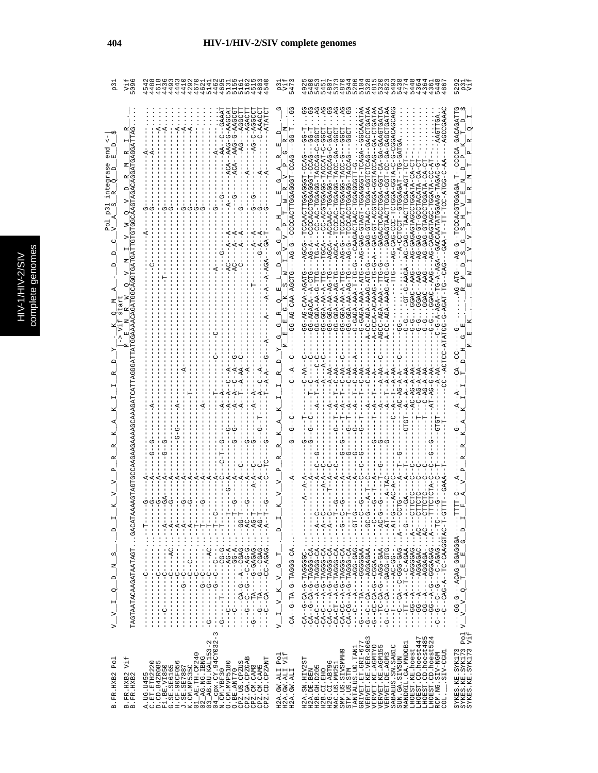|   | C<br>a |
|---|--------|
|   | г      |
|   |        |
|   |        |
|   |        |
|   |        |
|   |        |
|   | న      |
| c |        |
|   |        |
|   |        |
|   |        |
|   |        |
|   |        |
|   |        |
|   |        |
|   |        |
|   | ì      |

| ςά<br>509                                                                                                                                                                                             | 462<br>$\circ$ $\circ$<br>49<br>$^{44}$<br>29<br>14<br>L<br>$\frac{1}{4}$<br>4<br>$\circ$<br>40                                                                                                                                                                                                                                                                                                                                                                                                                                                                                                                                                                                                                                                                                                                                                                                                                                                                                                                                                                                                                                                                                                                                                                                                                                                                                                                                                                                                                                                                                                                                                                                                                                                                                                                                                                                                                                                                        | 529<br>547<br>$^\infty$<br>$\circ$<br>21223<br>223<br>4<br>4<br>4<br>$^{\circ}$                                                                                                                                                                                                                                                                                                                                                                                                                                                                                                                                                                                                                                                                                                                                                                                                                                                                                                                                                                                                                                                                                                                                                                                                                                                                                                                                                                               | p3<br>Vi                             |
|-------------------------------------------------------------------------------------------------------------------------------------------------------------------------------------------------------|------------------------------------------------------------------------------------------------------------------------------------------------------------------------------------------------------------------------------------------------------------------------------------------------------------------------------------------------------------------------------------------------------------------------------------------------------------------------------------------------------------------------------------------------------------------------------------------------------------------------------------------------------------------------------------------------------------------------------------------------------------------------------------------------------------------------------------------------------------------------------------------------------------------------------------------------------------------------------------------------------------------------------------------------------------------------------------------------------------------------------------------------------------------------------------------------------------------------------------------------------------------------------------------------------------------------------------------------------------------------------------------------------------------------------------------------------------------------------------------------------------------------------------------------------------------------------------------------------------------------------------------------------------------------------------------------------------------------------------------------------------------------------------------------------------------------------------------------------------------------------------------------------------------------------------------------------------------------|---------------------------------------------------------------------------------------------------------------------------------------------------------------------------------------------------------------------------------------------------------------------------------------------------------------------------------------------------------------------------------------------------------------------------------------------------------------------------------------------------------------------------------------------------------------------------------------------------------------------------------------------------------------------------------------------------------------------------------------------------------------------------------------------------------------------------------------------------------------------------------------------------------------------------------------------------------------------------------------------------------------------------------------------------------------------------------------------------------------------------------------------------------------------------------------------------------------------------------------------------------------------------------------------------------------------------------------------------------------------------------------------------------------------------------------------------------------|--------------------------------------|
| CAGGAGGAGHTE<br>$\alpha$<br>Σ<br>ω<br>ਸ਼<br>ਯ<br>.<br>Д<br>CD LCD.<br>t.<br>GGTGA<br>Σ<br>TAGTAATACAAGATAATAGTGACATA<br>$\vdash$<br>$\Box$<br>S<br>Z<br>$\bigcap$<br>$\circ$<br>$\triangleright$<br>⊳ | ATATC<br>UUDAA-D-<br>$-AGAGC1$<br>$-400$<br><b>C-AGG</b><br>$C-AAA$<br>ፋ<br>C<br>U<br>!<br>$-1$<br>$- -2AC -$<br>$-4 - -4 - -1$<br>$\frac{1}{2}$<br>$-59 - - - - -$<br>$\frac{1}{2} - \frac{1}{2} - \frac{1}{2} - \frac{1}{2} - \frac{1}{2} - \frac{1}{2} - \frac{1}{2} - \frac{1}{2} - \frac{1}{2} - \frac{1}{2} - \frac{1}{2} - \frac{1}{2} - \frac{1}{2} - \frac{1}{2} - \frac{1}{2} - \frac{1}{2} - \frac{1}{2} - \frac{1}{2} - \frac{1}{2} - \frac{1}{2} - \frac{1}{2} - \frac{1}{2} - \frac{1}{2} - \frac{1}{2} - \frac{1}{2} - \frac{1}{2} - \frac{1}{2} - \frac{1$<br>J<br>$\frac{1}{1}$<br>$\dot{A}$<br>$-4$<br>턱<br>$-4$<br>$-4$<br>$\frac{1}{2}$<br>$\frac{1}{2}$<br>н<br>$\Box$<br>$\frac{1}{2}$<br>$\vdots$<br>$\vdots$<br>$\vdots$<br>ļ<br>$\vdots$<br>$\vdots$<br>$-99 - -$<br>$----AC$<br><b>0-50-6-6</b><br>URUU--R--U-RU------<br>ひーひべーひーーーひーーひーーひーーーー<br>UAU4-UU----AU--U---<br>$-1$ $-1$ $-1$ $-1$ $-1$ $-1$<br>Í<br>$\begin{array}{c} \n 1 \\  1 \\  1 \\  1\n \end{array}$<br>Ţ<br>$\begin{bmatrix} 1 \\ 1 \\ 1 \end{bmatrix}$<br>$-1 - 1 - 1 - 1$<br>$\begin{array}{c} \n 1 \\  1 \\  1\n \end{array}$<br>$-1 - 1 -$<br>۲<br>$\begin{bmatrix} 1 \\ 1 \\ 1 \end{bmatrix}$<br>T<br>$\mathbf{I}$<br>$K_V = G$<br>J.<br>j<br>$\mathsf I$<br>Ì<br>$\frac{1}{2}$<br>$\frac{1}{1}$<br>ט<br>!<br>ひーーひーーーーーーーー<br>ט<br>!<br>I<br>ט<br>ו<br>ט<br>ו<br>U--U--------<br>ט<br>ו<br>י<br>י<br>ł<br>ı<br>$\begin{bmatrix} 1 \\ 1 \\ 1 \\ 1 \end{bmatrix}$<br>$\frac{1}{1}$<br>$\begin{array}{c} 1 \\ 1 \\ 1 \\ 1 \end{array}$<br>$\begin{bmatrix} 1 \\ 1 \\ 1 \\ 1 \end{bmatrix}$<br>$-1$ - $-1$<br><b>ウ</b> --------<br>$-1$ $-1$ $-1$ $-1$ $-1$ $-1$<br>$\frac{1}{2}$<br>$\mathbf{I}$<br>$-$ - $-$ - $-$ - $-$<br>J<br>J.<br>$\overline{v}$<br>ł<br>I<br>J<br>$\frac{1}{1}$<br>$\frac{1}{1}$<br>$\frac{1}{1}$<br>ن<br>۱<br>$\frac{1}{1}$<br>$\frac{1}{1}$<br>$\frac{1}{1}$<br>ט<br>ו<br>Î<br>$\frac{1}{9}$<br>$\mathbf{I}$<br>ပု<br>$\mathbf{I}$<br>J.<br>⊳่ | g<br>ARHADHOORD--DAOHOHOD-RDDH-ORRHD-DRD<br>UAUUAUAUUU―U―<br>AGAGA<br>59<br>ひりより - より -<br>ひ‐ひ‐わえひひえだ‐ひひえびひげひしょ‐ひ<br>ひえひひえ L-55455 LOURODD H<br>$-TAC$<br>-TAC<br>UAH-UUAUUHHUAUUU<br>AT59-<br>U-TOOAGAGUTT<br>HUUURUUHHURUUUU<br>Ţ<br>UAHUAU-UA-<br>$-4$<br>$AG-G$<br>UHOUT-<br>UHH-4-44-450-55<br>-- 04 - 44 - 400 - 00<br>GG-GGA-AA-A-TI<br>$-1 - 2 - 4 - 4 - 4 - 4 - 4 - 4$<br>$-AGA-AAAG-AA$<br>--5-44-455-55<br>GG-GGA-AA-AG<br>GG-GGA-AA-AG<br>G-GAGA-AAA-T<br>GCC-AGA-AAA<br>G-1<br>⋝<br>$C - AC - BC - A$<br>$AC-AG-AB$<br>てり<br>U--ペ-- ..YU-UUUYI-U-ペ---U-ペU-<br>U--U-- ' ' YU-UUUYH-U-Y--UU-YU-<br>ひーIIひーー・・・1 DistDーひひぱーーーーぱーーーひーーーー<br><b>0</b> -00------<br>$-1$ - $-1$ - $-1$ - $-1$ - $-1$<br>D-U4--・・・・YAD-DD4--D-VD-DL---<br>$O-PQ-1$<br>U----< 1 : 1 : 2009-000-U--< 201--<br>ひーー!ひぱ・・・ひばみばのは「ーーーぱー!ののーー!<br>U---U4''''-4554554----4--55---<br>H----4: 19898999--9-4--99-<br>--ひH--・・1 BYBY-ひ---ひ--ひ--ひ--ひ-<br>ひ‐H‐ひぺけのひぺぺり‐ひH‐‐ぺ‐ひぺり‐‐し‐‐<br>--GG-G---ACAG-GGAGGGA------T<br>-v v o t e e g o d<br>U--4--・・・・ 4U-5554L-5-4---U-4U-<br>U--ペ--・・・YU-555KL-5-ペ---<br>Ĭ<br>$-1 - 1$<br>- 1 . 1 . 40-5554 - 5-4--50-40-<br>п<br>- 1 . 1 . 40-0004H-0-4--H0-40-<br>$\vdots$<br>$-CA - C - T - C - T + C - C - C - C$<br>- しひひひひりドローひードひーひーードひー<br>Add00000-----AH------<br>ACAGAGAGAGAGAGA<br>---4555-45-45-55--<br>- - 55 - 54 - - - - - - - - -<br>$\circ$<br>$\frac{1}{2}$<br>ن<br>ا<br>ن<br>ا<br>$-CA-C$<br>J<br>J<br>п<br>$\triangleright$ | $Port$ <sup><math>V</math></sup> i f |
| Vif<br>Po <sub>1</sub><br>B. FR. HXB2<br>B. FR. HXB2<br>B.FR.HXB2                                                                                                                                     | $\begin{bmatrix} 0.105 & 1455 & 0 & 0.0455 & 0 & 0.015 & 0.015 & 0.015 & 0.015 & 0.015 & 0.015 & 0.015 & 0.015 & 0.015 & 0.015 & 0.015 & 0.015 & 0.015 & 0.015 & 0.015 & 0.015 & 0.015 & 0.015 & 0.015 & 0.015 & 0.015 & 0.015 & 0.015 & 0.015 & 0.015 & 0.015 & 0.01$<br>CPZ.GA.CPZGAB<br>CPZ.CD.CPZANT<br>O. CM. MVP5180<br>$\begin{array}{c} \texttt{O}.\texttt{BE}.\texttt{ANT70} \\ \texttt{CPZ}.\texttt{US}.\texttt{CPZUS} \end{array}$<br>CPZ.CM.CAM5<br>CPZ.CM.CAM3                                                                                                                                                                                                                                                                                                                                                                                                                                                                                                                                                                                                                                                                                                                                                                                                                                                                                                                                                                                                                                                                                                                                                                                                                                                                                                                                                                                                                                                                                            | VERVET.KE.VER-9063<br>VERVET.KE.AGMTYO<br>VERVET.KE.AGMTYO<br>LHOEST.CD.hoest447<br>LHOEST.CD.hoest485<br>LHOEST.CD.hoest524<br>STM.US.STM<br>TANTALUS.UG.TAN1<br>GRIVET.ET.GRI-677<br>MANDRIL.GA.MNDGB1<br>VERVET.DE.AGM3<br>SABAEUS.SM.SAB1C<br>$\begin{array}{ll} \texttt{SYKES}\texttt{.\textbf{KE}}\texttt{.\textbf{SYK173}}\\ \texttt{SYKES}\texttt{.\textbf{KE}}\texttt{.\textbf{SYK173}}\\ \texttt{SYKISTS}\texttt{.\textbf{KE}}\texttt{.\textbf{SYK173}} \end{array}$<br>SMM.US.SIVSMMH9<br>LHOEST.KE.hoest<br>LUDD-VIS.<br>RCM.NG.SIV-NGM<br>Pol<br>Vif<br>SUN.GA.SIVSUN<br>H2A.SN.HIV2ST<br>H2G.CI.ABT96<br>MAC.US.MM251<br>H2B. GH. D205<br>H2A.GW.ALI<br>H2A.GW.ALI<br>H2B.CI.EHO<br>H2A.DE.BEN<br>H2A.GW.ALI<br>$COL$ .                                                                                                                                                                                                                                                                                                                                                                                                                                                                                                                                                                                                                                                                                                                         |                                      |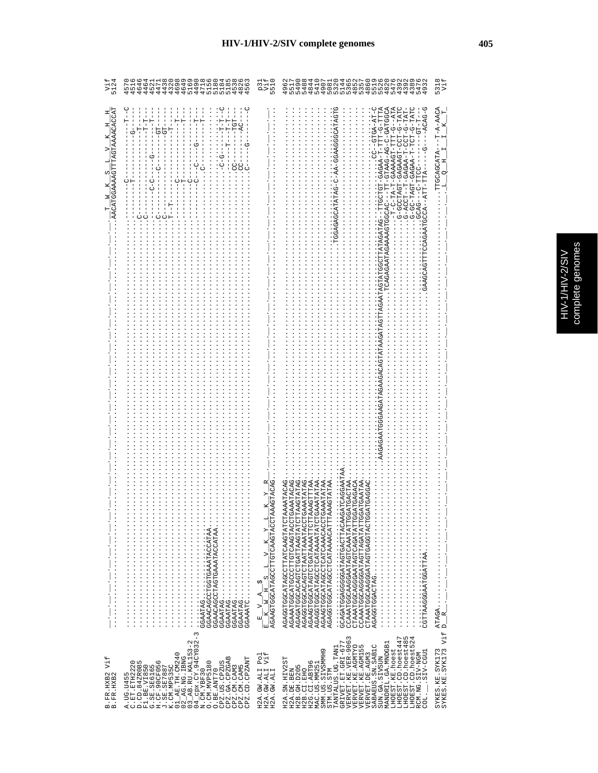| ١       |
|---------|
|         |
| S       |
| r,<br>ì |
| ì       |
|         |
|         |
|         |
|         |
|         |
| r       |
|         |

| Vif<br>5124                                     | 464<br>446<br>57<br>51                                                                                                                                                                                                                                                                                                                            |                                                                  |                                                                                                                                                                                                                                                                                                                                                                                                                                                                                                                                                                                                                                                                                                                                                                                                                                                                                                                                                                                                                              | 531<br>Vi                              |
|-------------------------------------------------|---------------------------------------------------------------------------------------------------------------------------------------------------------------------------------------------------------------------------------------------------------------------------------------------------------------------------------------------------|------------------------------------------------------------------|------------------------------------------------------------------------------------------------------------------------------------------------------------------------------------------------------------------------------------------------------------------------------------------------------------------------------------------------------------------------------------------------------------------------------------------------------------------------------------------------------------------------------------------------------------------------------------------------------------------------------------------------------------------------------------------------------------------------------------------------------------------------------------------------------------------------------------------------------------------------------------------------------------------------------------------------------------------------------------------------------------------------------|----------------------------------------|
| $\frac{T}{\Delta CATGGAAAAGTTTAGTAAAACCACCTAT}$ | 텃<br>н<br>י<br>י<br>r – T<br>5<br>O<br>Е<br>U<br>U<br>U                                                                                                                                                                                                                                                                                           |                                                                  | RUDDHUP-D-DA-DARHD-HH---URUDDHDARARARDRHDAI<br>-T-C-TA-T-GAAAACT-TTT-G--ATA<br>AHH-5-HH-4AGA-HDHODH--<br>CT-G-TATC<br>$-ACAG-C$<br>$- - G T G A - A T - C$<br>H A H - U - H J U - H - A A U A U - H - - H J U A - U<br>CATAGT<br>$-1 - 1 - 15$<br>ñ<br>먼<br>G-GC-TAGH-GAGAA-T<br>$\begin{array}{c}\nC \\ 1\n\end{array}$<br>$-ATI$<br>GCAG-<br>CCA                                                                                                                                                                                                                                                                                                                                                                                                                                                                                                                                                                                                                                                                           | TTGCAGCATA                             |
|                                                 |                                                                                                                                                                                                                                                                                                                                                   |                                                                  |                                                                                                                                                                                                                                                                                                                                                                                                                                                                                                                                                                                                                                                                                                                                                                                                                                                                                                                                                                                                                              |                                        |
|                                                 | GGAATAG<br>GGAACAGCCTGGTGAAATACCATAA<br>GGAACAGCCTAGTGAAATACCATAA<br>$\ldots \ldots \ldots \ldots \ldots$                                                                                                                                                                                                                                         | AGTACAG<br>$\frac{E-V-A-S}{E-K-W-H-S}$ i v $\frac{K-V-L}{2}$     | AGAGGTGCATAGCTTATCAAGTATCTAAAATACAG<br>AGAGATOCACACHOTAATTAAGTATOTTAAGTATAG<br><b>AGAAARTGCARGCAAGTROOOORTGERAAAARTAG</b><br>AGAGGTGCACAGTCTAATTAAATACCTGAAATATAG<br>CCAAATGGCAAGGAATAGTCAAATATTGGATGACTAA<br>CTAAATGGCAGGGAATAGTCAATATTGATGAGACA<br>AGAAGTGGATAGTCTGATAAATTCTTAAAGTTTAA<br>AGAGGTGCATAGCCTCATAAAATATCTGAAATATAA<br>TCAGGAA<br>ATGAATAA<br>AGAAGTGCATAGCCTCATAAACACCTGAAATATAAA<br>TGAGGAC<br>AGAGGTGCATAGCTCATAAACATTTAAAGTATAA<br>CAAATGGCAGGGATAGTTAGATAGGA<br>GCAGATGGGGGGATAGTGACTTACAAG<br>CTAAATGGCAAGGATAGTGAGGTACTGG<br>$\begin{minipage}{0.25\textwidth} \begin{tabular}{@{}c@{}} \hline \multicolumn{3}{c}{\textbf{1}} & \multicolumn{3}{c}{\textbf{2}} & \multicolumn{3}{c}{\textbf{3}} & \multicolumn{3}{c}{\textbf{4}} & \multicolumn{3}{c}{\textbf{5}} \\ \multicolumn{3}{c}{\textbf{2}} & \multicolumn{3}{c}{\textbf{3}} & \multicolumn{3}{c}{\textbf{4}} & \multicolumn{3}{c}{\textbf{5}} & \multicolumn{3}{c}{\textbf{6}} & \multicolumn{3}{c}{\textbf{7}} & \multicolumn{3}{c}{\textbf{8$ |                                        |
| Vif<br>B.FR.HXB2<br>B.FR.HXB2                   | J. SE, SE7887<br>K. CM, ME535C<br>02_AG, INC. IBNG<br>02_AG, INC. IBNG<br>03_AB, RU, KAL153-2<br>M4_CPX. CM, 94CY032-3<br>0. CM, MVE5180<br>CPZ.GA.CPZGAB<br>CPZ.CD.CPZANT<br>$\circ$ m<br>G<br>CPZ.US.CPZUS<br>F1.BE.VI850<br>G.SE.SE6165<br>H.CF.90CF056<br>CPZ.CM.CAM5<br>A.UG.U455<br>C.ET.ETH222<br>D.CD.84ZR08<br>CPZ.CM.CAM3<br>O.BE.ANT70 | Vif<br>Po <sub>1</sub><br>H2A.GW.ALI<br>H2A.GW.ALI<br>H2A.GW.ALI | TANTALUS UG TANI<br>GRIVET ET GRI-677<br>VERVET KE VER-9063<br>LHOEST.CD.hoest447<br>LHOEST.CD.hoest485<br>LHOEST.CD.hoest485<br>LHOEST.CD.hoest52<br>MANDRIL.GA.MNDGB1<br>VERVET.KE.AGMTYO<br>VERVET.KE.AGM155<br>SABAEUS.SN.SABIC<br>LHOEST.KE.hoest<br>MAC.US.MM251<br>SMM.US.SIVSMMH9<br>STM.US.STM<br>LUDD-VIE.<br>RCM.NG.SIV-NGM<br>VERVET.DE.AGM3<br>SUN.GA.SIVSUN<br>55<br>H2G.CI.ABT96<br>H2A.SN.HIV2<br>H2B. GH. D205<br>H2B.CI.EHO<br>H2A.DE.BEN<br>coi.                                                                                                                                                                                                                                                                                                                                                                                                                                                                                                                                                          | SYKES.KE.SYK173<br>SYKES.KE.SYK173 Vif |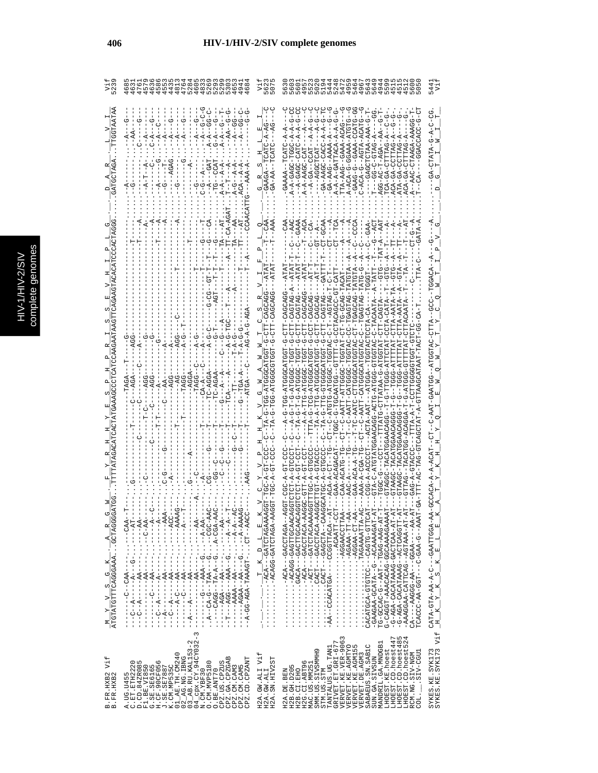|                                                             | י<br>ד<br>$A - A - -A - P$                                                                                                                                                                                                                                                                                                                                                                                                       |                                                                                                                                                                                                                                                                                                                                                                                                                                                                                                            | -U-AAA-AAHULUUUU----<br>-UHUHA-AAAAUU-U-KUA-A<br>HEUU-ERRU--U-UERU-<br>IAUA-AUA--U-AUA-U<br>AGG-AC-T-AGA--AA<br>4-5415-0-55----<br>URHHHU-RU-RUH<br>ATA-GA-CUTRE<br>$-GA - PAG - PARA$<br>TA-AAG--GAA<br>ACA-GA-CHIA                                                                                                                                                                                                                                                                                                                        | ひしーひー KIKHU                                                                             |
|-------------------------------------------------------------|----------------------------------------------------------------------------------------------------------------------------------------------------------------------------------------------------------------------------------------------------------------------------------------------------------------------------------------------------------------------------------------------------------------------------------|------------------------------------------------------------------------------------------------------------------------------------------------------------------------------------------------------------------------------------------------------------------------------------------------------------------------------------------------------------------------------------------------------------------------------------------------------------------------------------------------------------|---------------------------------------------------------------------------------------------------------------------------------------------------------------------------------------------------------------------------------------------------------------------------------------------------------------------------------------------------------------------------------------------------------------------------------------------------------------------------------------------------------------------------------------------|-----------------------------------------------------------------------------------------|
|                                                             |                                                                                                                                                                                                                                                                                                                                                                                                                                  |                                                                                                                                                                                                                                                                                                                                                                                                                                                                                                            | AHOHAH-DAHOKOH-UU-<br>AHOHAH-OAUOAOH-HU-UAHOOHAUOOS<br>LAU-UUUQQQUAUUU-U-HIIIHU--U<br>IAH-DAHUADH--U-<br>F-CT-TG-GCAG-TA<br>UACOU-OUACO-HIAN-U---<br>--UUUUH4-UHUH4-U--<br>TG-ATGGGCA<br>--TTTATO-OTATAAA<br>C-AATC-CTT<br>HARODH-D-000H-<br>CH--AAT-U--LAI<br>-- 1-9-1--<br>----AT<br>TTTA-G-TCG-AT<br>$TA-T$<br>$- - - - - -$<br>UUAUAAUDHAUAH-UUUAH<br><b>GTAAGC-TACZ</b><br>AAA-A-CGA-'                                                                                                                                                 | $-$ GCCACA-A-A-ACAT<br>벡<br>$E = L$                                                     |
| $\frac{M}{ATGTATCTTCATGCAGGANAL} \cdot \frac{A}{-ACCTAGGG}$ | - イー・・・・・・・ - - - - イー・・・ イー・・ - イー・<br>$AC = -1 - -1 - 2 - 4 - 1 - 0 - 4 - 1 - 1 - 1$<br>- KR - - - - - - - - - KR - - - - - - - - - - - - -<br>4-000--- 1 : 0---<<<- 0-40--- 1<br>$A - A = C - C - C - C - C - C - C - C - C - C$<br>UAR---HU -HUGAARH-KUR-UU-K--                                                                                                                                                              | $\frac{1}{\cdots} \cdot \frac{1}{\cdots} \cdot \frac{1}{\cdots} \cdot \frac{1}{\cdots} \cdot \frac{1}{\cdots} \cdot \frac{1}{\cdots} \cdot \frac{1}{\cdots} \cdot \frac{1}{\cdots} \cdot \frac{1}{\cdots} \cdot \frac{1}{\cdots} \cdot \frac{1}{\cdots} \cdot \frac{1}{\cdots} \cdot \frac{1}{\cdots} \cdot \frac{1}{\cdots} \cdot \frac{1}{\cdots} \cdot \frac{1}{\cdots} \cdot \frac{1}{\cdots} \cdot \frac{1}{\cdots} \cdot \frac{1}{\cdots} \cdot \frac{1}{\cdots} \cdot$<br>A-ADATUTAC-GACAC-CATURINA | $\cdots$ $\cdots$ $\cdots$ $\cdots$<br>$\cdots \cdots \cdots \cdots \cdots \cdots \cdots$<br>AAAAAATOTACH-----------<br>$A$ U-- $A$ LUUC $A$ U---LUU $C$ ) $\cdots$<br>-AA--COACATGHTMOCO------<br>RITUDORROMACH<br>A-TT-AAAAA---------------<br>UHL5-9H940---UUH9H9-4U9H4U4U<br>-GAAGAA-GCATA---ACAAAAGAT-<br>TG-0AC-0-0AC-1-TAAT---HAC-AAG-AT<br>G-CAGGT-AAACACAGCAAAAAGAAAA<br>-G-AGA-CACATAAAG-GACTCAA-AT-<br>-HHUUKUHUK--UKKHKUKU-KUK-U-<br>-AAAGGAA-CATTCAG--AGTAAA-AT-<br>CA----AAGG-AA----AA---AA-<br>FCACU-AA-GEU-U-U-U-AA-UUUCAUH | CATA-GTA-AA-A----GAATTGGA-A<br>$\mathbf{x}$<br>$\omega$<br>$K_Y Y_K$<br>$E_{\parallel}$ |
| Vif<br>B.FR.HXB2<br>B.FR.HXB2                               | $\infty$<br>$04$ <sup>-CDx</sup> .CY.94CY032-<br>3_AB.RU.KAL153-2<br>$01$ <sub>-AE</sub> . TH. CM240<br>$2$ <sub>-</sub> AG.NG.IBNG<br>CPZ.GA.CPZGAB<br>CPZ.CD.CPZANT<br>C.ET.ETH2220<br>D.CD.84ZR085<br>$\circ$<br>O. CM. MVP5180<br>CPZ.US.CPZUS<br>K.CM.MP535C<br>F1.BE.VI850<br>G.SE.SE6165<br>H.CF.90CF056<br>PZ.CM.CAM3<br>CPZ.CM.CAM5<br>.SE.SE7887<br>O.BE.ANT70<br>N.CM.YBF30<br>A. UG. U455<br>Ь<br>$\circ$<br>$\circ$ | H2A.GW.ALI Vif<br>H2A.SN.HIV2ST<br>H2A.GW.ALI                                                                                                                                                                                                                                                                                                                                                                                                                                                              | LHOEST.CD.hoest485<br>LHOEST.CD.hoest524<br>VERVET.KE.VER-9063<br>VERVET.KE.AGMTYO<br>LHOEST.CD.hoest447<br>MANDRIL.GA.MNDGB1<br>GRIVET.ET.GRI-67<br>SABAEUS.SN.SABIC<br>VERVET.KE.AGM155<br>TANTALUS.UG.TAN1<br>LHOEST.KE.hoest<br>SMM. US. SIVSMMH9<br>LIED-VIIS.<br>RCM.NG.SIV-NGM<br>VERVET. DE. AGM3<br>SUN.GA.SIVSUN<br>H2G.CI.ABT96<br>MAC.US.MM251<br>H2B. GH. D205<br>H2B.CI.EHO<br>STM.US.STM<br>H2A.DE.BEN<br>$\overline{COL}$ .                                                                                                 | SYKES.KE.SYK173<br>SYKES.KE.SYK173 Vif                                                  |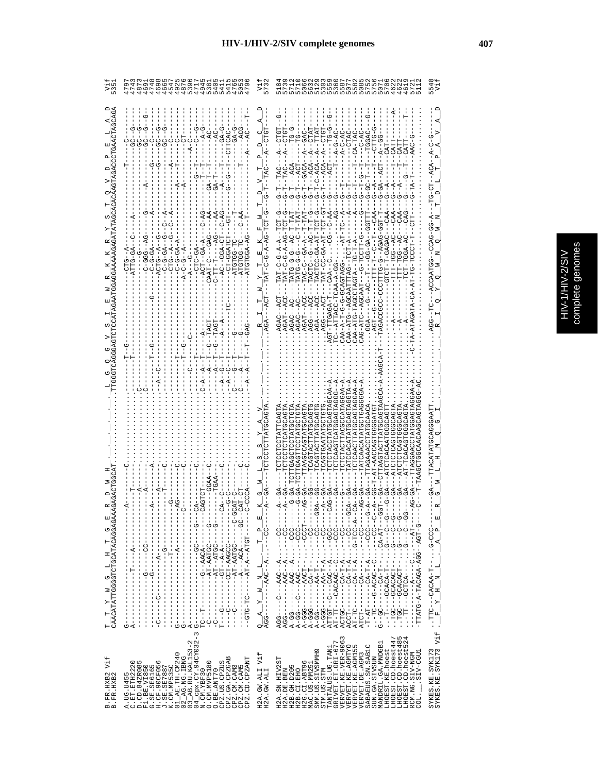| LO                                                                                                           | 469<br>474<br>.74<br>$\frac{6}{9}$<br>もちらりのことのことのときるというか。 しょうちょうしょう<br>9<br>9<br>9<br>9<br>9<br>9<br>9<br>487                                                                                                                                                                                                                                                                                                                                                                                                                                                                  | 573                                                                              | ္မ                                                                                                                                                                                                                                                                                                                                                                                                                                                  | $\frac{4}{7}$                          |
|--------------------------------------------------------------------------------------------------------------|--------------------------------------------------------------------------------------------------------------------------------------------------------------------------------------------------------------------------------------------------------------------------------------------------------------------------------------------------------------------------------------------------------------------------------------------------------------------------------------------------------------------------------------------------------------------------------|----------------------------------------------------------------------------------|-----------------------------------------------------------------------------------------------------------------------------------------------------------------------------------------------------------------------------------------------------------------------------------------------------------------------------------------------------------------------------------------------------------------------------------------------------|----------------------------------------|
|                                                                                                              | U<br>U<br>U4--UU-U<br>-AG--041<br><b>AD-D-D-D</b><br>$A-C-C-I$<br>AAT-C                                                                                                                                                                                                                                                                                                                                                                                                                                                                                                        | U<br>≏<br>ā<br>Ē                                                                 | $-A-C-AC$<br>ひーロンローロスースひーンひーロスロ<br>--U---U-U-UHAH<br>ţ<br>$A - A - D - D - I$<br>$A-BD$<br>$A - B - D -$<br>49-99-1-1-1-1<br>ن<br>ا<br>۲<br>تا<br><b>TATG-G-G</b><br>CAA-ATG--AGCAATTAG---<br>じ‐5日11100<br>É,<br><b>--------</b><br>1-11.<br>LAC-C<br>UURIURUU-U-U-H-K-KRU<br>CAA-ATG-TACTAGTA<br>$-ATAGATA-CA-RA$<br>CAG-ATC--AGCAAT<br>$-4$ $-1$<br>-- TASA<br><b>DREDE</b><br>$-1$                                                               | ひーひむひー<br>ACCAATGG                     |
| $\frac{\texttt{T}\_\texttt{T}\_\texttt{T}}{\texttt{CAA}\texttt{CATATGGGG}\texttt{CTCG}\texttt{CATACAGAGAA}}$ | $\frac{1}{2}$<br>- - - - - - - - DODRR - LOU - - - - - - - - - - -<br>U-U-----<br>- - - - - LDDLR - - R - LR - - - - - - DL- DLD - -<br>$\begin{bmatrix} 1 \\ 1 \\ 1 \end{bmatrix}$<br>$- - - - - - - - - - - - - - -$<br>$-1$ $-1$ $-1$ $-1$ $-1$ $-1$ $-1$ $-1$<br>$\frac{1}{1}$<br>į<br>$\begin{array}{c} \begin{array}{c} \begin{array}{c} \begin{array}{c} \begin{array}{c} \end{array}\\ \begin{array}{c} \end{array} \end{array} \end{array} \end{array} \end{array}$<br>$\frac{1}{1}$<br>-----------<br>$C----C$<br>$-1$ $-1$ $-1$ $-1$ $-1$ $-1$<br>$A - -$<br>ļ<br>Ġ | 国<br>$\mathbf{\Omega}$<br>$Q = A = Y = W = N = L$<br>AGG--------AAC--A---------- | TCTCTACTTACCATACATAG<br>CTCACCACCACT<br><b>LTAAGTACTTATGCAGTAA</b><br>UHAUUUUHUAUUAH-H<br>TCAGTGAATATGCTG<br>1-1-000-1-1-1-1-000-1<br>A-000-1-1-1-1-000-1-1-1-1-000-1-1-000-1-1-1-000-1-1-1-1-1-1-1-1-1-1-1-1-1-1-1-1-<br>ACCT--------A-T-A---CC----G<br>AT-TC--------AG-TCC-A--<br>- U - - UU - - - ・ ・ ・ U - - U YU Y - U - - - U H - ・ ・<br>5---HR-KD::---H-KD------DD--D<br>-TTATG-A-TACAGA-AGG-<br>$---AAC--A$<br>$AGG - - -C$<br>$\mathbf{I}$ | ACATATGOAGAAAT                         |
| Vif<br>3. FR. HXB2<br>3. FR. HXB2<br>$m$ $m$                                                                 | CPZ.GA.CPZGAB<br>CPZ.CD.CPZANT<br>A.UG.U455<br>C.ET.ETH2220<br>D.CD.84ZR085<br>O<br>O. CM. MVP5180<br>CPZ.US.CPZUS<br>F1.BE.VI850<br>G.SE.SE6165<br>H.CF.90CF056<br>J.SE.SE7887<br>K.CM.MP535C<br>CPZ.CM.CAM5<br>CPZ.CM.CAM3<br>O.BE.ANT70                                                                                                                                                                                                                                                                                                                                     | H2A.GW.ALI Vif<br>H2A.GW.ALI                                                     | TANTALUS JG TANI<br>GRIVET ET GRI-677<br>VERVET KE VER-9063<br>VERVET KE VER-9063<br>VERVET KE AGMI55<br>LHOEST.CD.hoest447<br>LHOEST.CD.hoest485<br>LHOEST.CD.hoest524<br>MANDRIL.GA.MNDGB1<br>SABAEUS.SN.SABIC<br>LHOEST.KE.hoest<br>SMM.US.SIVSMMH9<br>SIV-CGU1<br>VERVET. DE. AGM3<br>RCM.NG.SIV-NGM<br>SUN.GA.SIVSUN<br>H2A.SN.HIV2ST<br>H2G.CI.ABT96<br>MAC.US.MM251<br>H2B.GH.D205<br>STM.US.STM<br>H2B.CI.EHO<br>H2A.DE.BEN<br>COL.         | SYKES.KE.SYK173<br>SYKES.KE.SYK173 Vif |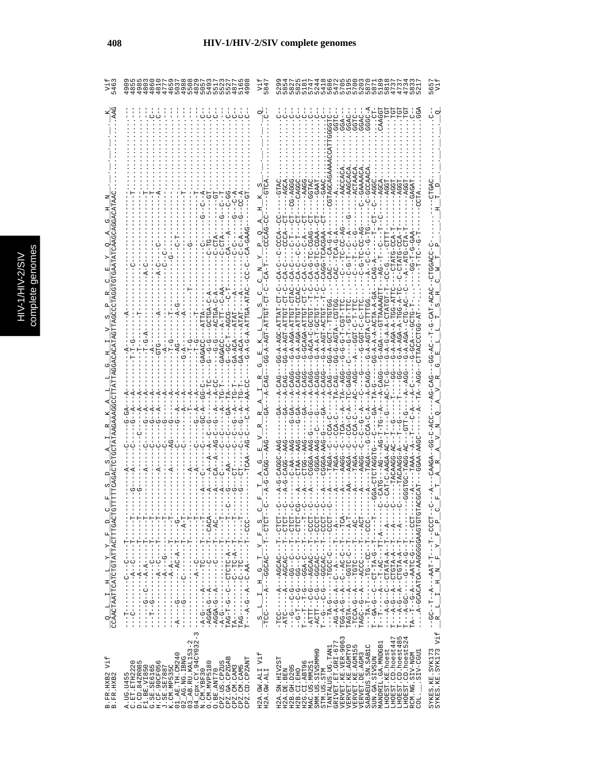|                                                            |                                                                                                                                                                                                                                                                                                                                                                                                                                                                                                                                                                                                                                        |                                                                                                                                                                                                                                                                                                                               | $- -5R-$<br>$Q = -2$                                                                                                                                                                                                                                                                                                                                                                                                                               |                                                                                                                                                                                                                                                                                |
|------------------------------------------------------------|----------------------------------------------------------------------------------------------------------------------------------------------------------------------------------------------------------------------------------------------------------------------------------------------------------------------------------------------------------------------------------------------------------------------------------------------------------------------------------------------------------------------------------------------------------------------------------------------------------------------------------------|-------------------------------------------------------------------------------------------------------------------------------------------------------------------------------------------------------------------------------------------------------------------------------------------------------------------------------|----------------------------------------------------------------------------------------------------------------------------------------------------------------------------------------------------------------------------------------------------------------------------------------------------------------------------------------------------------------------------------------------------------------------------------------------------|--------------------------------------------------------------------------------------------------------------------------------------------------------------------------------------------------------------------------------------------------------------------------------|
|                                                            |                                                                                                                                                                                                                                                                                                                                                                                                                                                                                                                                                                                                                                        |                                                                                                                                                                                                                                                                                                                               | $\begin{array}{c} \text{G-A-A-T-GCT} \\ \text{G-A-A-GT-ACT} \end{array}$<br>3G-A-GCT--TT<br>3G-G-AGTA--C                                                                                                                                                                                                                                                                                                                                           |                                                                                                                                                                                                                                                                                |
|                                                            |                                                                                                                                                                                                                                                                                                                                                                                                                                                                                                                                                                                                                                        |                                                                                                                                                                                                                                                                                                                               |                                                                                                                                                                                                                                                                                                                                                                                                                                                    |                                                                                                                                                                                                                                                                                |
|                                                            |                                                                                                                                                                                                                                                                                                                                                                                                                                                                                                                                                                                                                                        |                                                                                                                                                                                                                                                                                                                               |                                                                                                                                                                                                                                                                                                                                                                                                                                                    |                                                                                                                                                                                                                                                                                |
|                                                            | - ロー・・・・・ロー・・・ロー・・・・・・・・<br>- ローーーーーローーーー ひローーーーー ペーーーーー ローベー<br>--ひひひ‐‐H‐‐‐‐‐‐(「ローーローローローローコー<br>Ţ<br>J.<br>Ť.                                                                                                                                                                                                                                                                                                                                                                                                                                                                                                                        | $\frac{S}{-TCC111111}-\frac{S}{S1111}-\frac{S}{S1111}-\frac{S}{S1111}-\frac{S}{S1111}-\frac{S}{S11111}-\frac{S}{S11111}-\frac{S}{S11111}-\frac{S}{S11111}-\frac{S}{S11111}-\frac{S}{S11111}-\frac{S}{S11111}-\frac{S}{S11111}-\frac{S}{S11111}-\frac{S}{S11111}-\frac{S}{S11111}-\frac{S}{S11111}-\frac{S}{S11111}-\frac{S}{$ | - 1010 - - 1- - - - 04004 - - - 4 - - - - - - 001 -<br>- IULU - - I- - - - URUDR - - - ペーー - - - ULR -<br>--------------                                                                                                                                                                                                                                                                                                                           |                                                                                                                                                                                                                                                                                |
| $\frac{Q-L}{CCAACTAATTCATCCTGTATTTACTTTGACT}$<br>$\vec{H}$ | - AGGA-G--A------C-----------AC--<br>- AGGA-G--A-------C---------AC--<br>$\infty$                                                                                                                                                                                                                                                                                                                                                                                                                                                                                                                                                      |                                                                                                                                                                                                                                                                                                                               | -HUUU - - H - - - U TUB T - - - U - U - - H HH T T<br>-<br>PGU-4-0-4-0-4-0-4-0-4-0-4-0-4-0-4-0-2-<br>- ローーーーーローー ウースローロリーー リーーウースワーーロ<br>.<br>リー! ひ リー -- ひ - U - - L - U - -<br>0-400-----------<br>$\vdash$                                                                                                                                                                                                                                      | $\begin{array}{cccccccccc} --{\rm GC}{\rm -}-{\rm T}{\rm -}-{\rm A}{\rm -}-{\rm A}{\rm RT}{\rm -}\,{\rm T}{\rm -}{\rm T}{\rm -}-{\rm T}{\rm T}{\rm -}-{\rm CC}{\rm CT}{\rm -}\\ & {\rm R}& {\rm L}& {\rm I}& {\rm H}& {\rm N}& {\rm F}& {\rm Y}& {\rm F}& {\rm P} \end{array}$ |
| Vif<br>B. FR. HXB2<br>B. FR. HXB2                          | $\begin{array}{l} \text{A. U1 B} \setminus \text{L} \setminus \text{L} \setminus \text{L} \setminus \text{L} \setminus \text{L} \setminus \text{L} \setminus \text{L} \setminus \text{L} \setminus \text{L} \setminus \text{L} \setminus \text{L} \setminus \text{L} \setminus \text{L} \setminus \text{L} \setminus \text{L} \setminus \text{L} \setminus \text{L} \setminus \text{L} \setminus \text{L} \setminus \text{L} \setminus \text{L} \setminus \text{L} \setminus \text{L} \setminus \text{L} \setminus \text{L} \setminus \$<br>CPZ.GA.CPZGAB<br>CPZ.CD.CPZANT<br>CPZ.US.CPZUS<br>CPZ.CM.CAM5<br>CPZ.CM.CAM3<br>O.BE.ANT70 | Vif<br>H2A.GW.ALI<br>H2A.GW.ALI                                                                                                                                                                                                                                                                                               | Σ<br>LHOEST.CD.hoest447<br>LHOEST.CD.hoest485<br>LHOEST.CD.hoest524<br>VERVET.KE.VER-906<br>L<br>MANDRIL.GA.MNDGB1<br>TANTALUS.UG.TANI<br>GRIVET.ET.GRI-67<br>VERVET.KE.AGM155<br>SABAEUS.SN.SABIC<br>SUN.GA.SIVSUN<br>VERVET.KE.AGMTYO<br>LHOEST.KE.hoest<br>SMM.US.SIVSMMH9<br>RCM.NG.SIV-NGM<br>COL._____SIV-CGU1<br>VERVET. DE. AGM3<br>H2A.SN.HIV2ST<br>H2G.CI.ABT96<br>MAC.US.MM251<br>H2B.GH.D205<br>H2A.DE.BEN<br>H2B.CI.EHO<br>STM.US.STM | SYKES.KE.SYK173<br>SYKES.KE.SYK173 Vif                                                                                                                                                                                                                                         |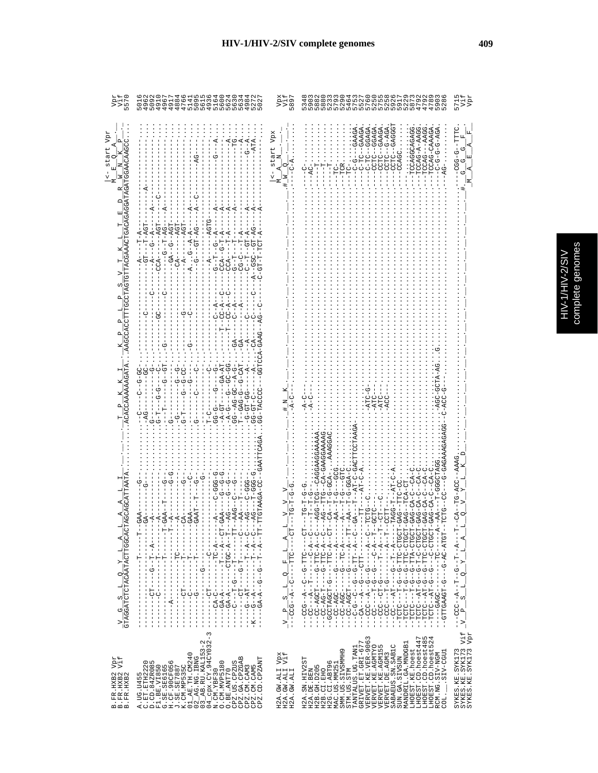|  | ĝ<br>ij<br>ļ<br>j |
|--|-------------------|
|  |                   |

 $\omega$ 

| הקק<br>הכל                                                                                                   | 501<br>496<br>O                                                                                                                                                                                                                                                                                                                                                                                                                                                                                                                                                                                                                                                                                                                                                                                                                                                                                                                                                                                                                                                                                                                                | 589                                                                                                                                                                       | MOOGDAQSAD<br>NPN4P50PNP<br>KA HALADA 2022<br>Manaka Litan                                                                                                                                                                                                                                                                                                                                                                                                                                                                                                                                                                                                                                                                                                                                                                                                                                                                                                                                                                                                                                                                                                                                                                                                                                                                                                                                                                                   | Vpr<br>571<br>Ë                                                                                                                                                                                                                                              |
|--------------------------------------------------------------------------------------------------------------|------------------------------------------------------------------------------------------------------------------------------------------------------------------------------------------------------------------------------------------------------------------------------------------------------------------------------------------------------------------------------------------------------------------------------------------------------------------------------------------------------------------------------------------------------------------------------------------------------------------------------------------------------------------------------------------------------------------------------------------------------------------------------------------------------------------------------------------------------------------------------------------------------------------------------------------------------------------------------------------------------------------------------------------------------------------------------------------------------------------------------------------------|---------------------------------------------------------------------------------------------------------------------------------------------------------------------------|----------------------------------------------------------------------------------------------------------------------------------------------------------------------------------------------------------------------------------------------------------------------------------------------------------------------------------------------------------------------------------------------------------------------------------------------------------------------------------------------------------------------------------------------------------------------------------------------------------------------------------------------------------------------------------------------------------------------------------------------------------------------------------------------------------------------------------------------------------------------------------------------------------------------------------------------------------------------------------------------------------------------------------------------------------------------------------------------------------------------------------------------------------------------------------------------------------------------------------------------------------------------------------------------------------------------------------------------------------------------------------------------------------------------------------------------|--------------------------------------------------------------------------------------------------------------------------------------------------------------------------------------------------------------------------------------------------------------|
| Vpr<br>GGATAGATGGAACAAG<br>start<br>М<br>R<br>TACGAAACTGACAGA<br>e<br>UU<br>ACACCAAAAAAGATA                  | $-5 - -5$<br>$-ATTA$<br>$- A - - - - - - A G T$<br>$- -GA - -G - - AGT$<br>$-4G$<br>$-GT$ --T-AGT<br>$- - - AGT$<br>$-5R - 1D - - - - -$<br>$-1 - 5 - 1 - 5 - 4$<br>$-4$<br>$- -CA - - - - - A$<br>$- A \cdot G - - A - A$<br>$- - A$<br>$-CCA - C - T - A$<br>$\tilde{A}$<br>$-1$ - $T$ - $A$<br>$-CT-2$<br>$-CT-7$<br>$-4-10$<br>ローワー<br>てーひ<br>HAU-U--U-UAU---<br>$-5 - 5 - 7$<br>ひひーひひーーひーーーひーダー<br>$-9 - -9 -$<br>UU-U-U-U-<br>UU-U--U--<br><b>GG--AG-GC-AG</b><br>-99-19-9-<br>$G-GT-C$<br>$-15D - A - C$<br>$-5 - 5 - 5$<br>$G-T$<br>$G-T$ –<br>ົ¦່<br>່∍່<br>$T-C$                                                                                                                                                                                                                                                                                                                                                                                                                                                                                                                                                                     | start Vpx<br>z<br>$\circ$                                                                                                                                                 | $-GCAGA$<br>$  AAGG$<br>GGAGA<br>-CCTC--GAAGA<br>CTC-CAGGG<br>GAAGA<br>--GAAGA<br>-TCCAG-A-AAGG<br><b>ADA-0--ULUU-</b><br>--TCCAGGCAGAGG<br>むみーリーリーリーリー<br>TCCAG-CAAAGA<br>$-$ CCAGC<br><br>이번<br>그그<br>.<br>- TC<br>UUU-<br>$-TCCAG$                                                                                                                                                                                                                                                                                                                                                                                                                                                                                                                                                                                                                                                                                                                                                                                                                                                                                                                                                                                                                                                                                                                                                                                                        | --------<br> L,<br>国<br>K.<br>び<br>ウーウウワー<br> 더<br>び<br>てり<br>⋝                                                                                                                                                                                              |
| AGCAGCATTAAT<br>$\frac{V}{GTRAGARTCTRCARTCTTGGCACC}$                                                         | შ<br>ა<br><b>9-555-0-</b><br>ーリー<br>ს<br>!<br>$-0 - 0$<br><b>000-0-</b><br>$-4A$<br>-GAA - -<br>$-A -$<br><b>GAAT</b><br>$GA-$<br>GAA<br>GAA<br>$-4$<br>$T^{\mathbf{A}}_{\mathbf{C}}$<br>$-4$<br>------------<br>$-1$ $T$<br>$-1$<br>$\begin{bmatrix} 1 \\ 1 \\ 1 \end{bmatrix}$<br>$-1$<br>$-1 - 1 - 1 - 1$<br>$\begin{array}{c c} \hline \phantom{\Big }{\phantom{\Big }} & \phantom{\Big }{\phantom{\Big }} \\ \hline \phantom{\Big }{\phantom{\Big }} & \phantom{\Big }{\phantom{\Big }} \\ \hline \phantom{\Big }{\phantom{\Big }} & \phantom{\Big }{\phantom{\Big }} \end{array}$<br>j.<br>I<br>$-1$ – $T$ – –<br>$-1$<br>Î<br>$\begin{bmatrix} 1 \\ 1 \\ 1 \\ 1 \end{bmatrix}$<br>$O - 1 - 1 - 1 - 1 - 1$<br>$\begin{bmatrix} 1 \\ 1 \\ 1 \end{bmatrix}$<br>т<br>ï.<br>$-1 - 1 - 6$<br>$-1$<br>I.<br>$\frac{1}{1}$<br>$\frac{1}{1}$<br>$- - - - - - - - -$<br>$\mathbf{I}$<br>$\frac{1}{1}$<br>U<br> <br>$\frac{1}{1}$<br>$\begin{array}{c} 1 \\ 1 \\ 1 \end{array}$<br>りー<br>$\frac{1}{1}$<br>ţ<br>I<br>$\frac{1}{1}$<br>$-K-$<br>$\mathbf{I}$<br>I.<br>$\mathbf{I}$<br>$\blacksquare$<br>$\mathbf{I}$<br>$\mathbf{I}$<br>п<br>п<br>-1 | ロー<br>$-10$<br>A<br>$2 - F - L -$<br>ö<br>$\mathbf{I}$<br>$\blacksquare$<br>Ů<br>нj<br>$-6C-G - 2 - 1$<br>co.<br>$\mathbf{p}$<br>$\overline{\gamma}_{\parallel\parallel}$ | -GCA- AAAGGA<br>$\begin{array}{lll} -\,A G -\,TTTG -\,C A - G A \, \bar G G A \, \bar G A A \, \bar A \\ -\,C A -\,T - G - G C A -\,\,\ldots\,\, A A \, \bar A G G A \\ -\,A A -\,T - G -\,G C A -\,\,\ldots\,\, \ldots\,\, \ldots \\ -\,A -\,A -\,T - G -\,G -\,T C \, \ldots\,\, \ldots \, \end{array}$<br><b>AAGAGAGAA</b><br>--CAGGAAG<br>T-GGGCTAG<br>$-GGA$<br>ローワー<br>ن<br>ا<br>$-AGG-TCG$<br>무<br>GAG--TTC<br>AGG-T<br>GAG-CA<br>$-100 - 100 - 100$<br>$-1$<br>$-6 - -1 - 5 - 12$<br>HUHK-UK-U---U-HUKKUHHU--<br>$- - - - - - - - - - - - - - -$<br>Ĵ<br>$---L.L. \begin{array}{l} \multicolumn{3}{c}{}-{}\\ \multicolumn{3}{c}{}-{}+{} \multicolumn{3}{c}{}-{}\\ \multicolumn{3}{c}{}-{}+{} \multicolumn{3}{c}{}-{}\\ \multicolumn{3}{c}{}-{}+{} \multicolumn{3}{c}{}-{}\\ \multicolumn{3}{c}{}-{}+{} \multicolumn{3}{c}{}-{}\\ \multicolumn{3}{c}{}-{}+{} \multicolumn{3}{c}{}-{}\\ \multicolumn{3}{c}{}-{}+{} \multicolumn{3}{c}{}-{}\\ \multicolumn{3}{c}{}-{}+{} \multicolumn{3}{c}{}-{}\\ \multicolumn{3}{$<br>Ť<br>I.<br>т<br>$-1 - C A - A - A - C$<br>$\begin{array}{r} -5 - 1 - -0.0001 - 0.0001 - 0.0001 - 0.0001 - 0.0001 - 0.0001 - 0.0001 - 0.0001 - 0.0001 - 0.0001 - 0.0001 - 0.0001 - 0.0001 - 0.0001 - 0.0001 - 0.0001 - 0.0001 - 0.0001 - 0.0001 - 0.0001 - 0.0001 - 0.0001 - 0.0001 - 0.0001 - 0.0001 - 0.0001$<br>--TCTC----T-G<br>TCTC--AT-G<br><b>0-H4--UHUH--</b><br><b>0-H4--DHDH--</b><br>$\mathsf I$<br>ŀ | -TG-ACC--AAAAG<br>$-C$<br>O<br>- ローー トロー ロー - ロー - ロー - ロー - コロリー<br>A,<br>Υ<br>o,<br>리<br>ωj<br>$\mathbf{a}$<br>$\overline{v}$<br>J<br>$\mathbf{I}$<br>п                                                                                                    |
| Vpr<br>Vif<br>$\begin{array}{ll} \text{B. FR. HXB2} \\ \text{B. FR. HXB2} \\ \text{B. FR. HXB2} \end{array}$ | ξ                                                                                                                                                                                                                                                                                                                                                                                                                                                                                                                                                                                                                                                                                                                                                                                                                                                                                                                                                                                                                                                                                                                                              | Vpx<br>Vif<br>H2A.GW.ALI<br>H2A.GW.ALI<br>H2A.GW.ALI                                                                                                                      | LHOEST.KE.hoest<br>LHOEST.CD.hoest447<br>LHOEST.CD.hoest447<br>LHOEST.CD.hoest524<br>VERVET.KE.VER-9063<br>$\begin{array}{ll} \texttt{TANTALUS} \cdot \texttt{UG} \cdot \texttt{TAMI} \\ \texttt{GRIVET} \cdot \texttt{ET} \cdot \texttt{GET} \cdot \texttt{GRI} - \texttt{677} \end{array}$<br>MANDRIL.GA.MNDGB1<br>VERVET.KE.AGMTYO<br>VERVET.KE.AGMI55<br>VERVET.DE.AGMI55<br>SABAEUS.SN.SABIC<br>SMM.US.SIVSMMH9<br>RCM.NG.SIV-NGM<br>COL.____SIV-CGU1<br>H2A.SN.HIV2ST<br>H2A.DE.BEN<br>SUN.GA.SIVSUN<br>H2G.CI.ABT96<br>MAC.US.MM251<br>H2B.GH.D205<br>H2B.CI.EHO<br>STM.US.STM                                                                                                                                                                                                                                                                                                                                                                                                                                                                                                                                                                                                                                                                                                                                                                                                                                                        | Vif<br>Vpr<br>$\begin{array}{ll} \texttt{SYKES} \texttt{.}\ \texttt{KE} \texttt{.}\ \texttt{SYK173} \\ \texttt{SYKES} \texttt{.}\ \texttt{KE} \texttt{.}\ \texttt{SYK173} \\ \texttt{SYKIS} \texttt{.}\ \texttt{KE} \texttt{.}\ \texttt{SYK173} \end{array}$ |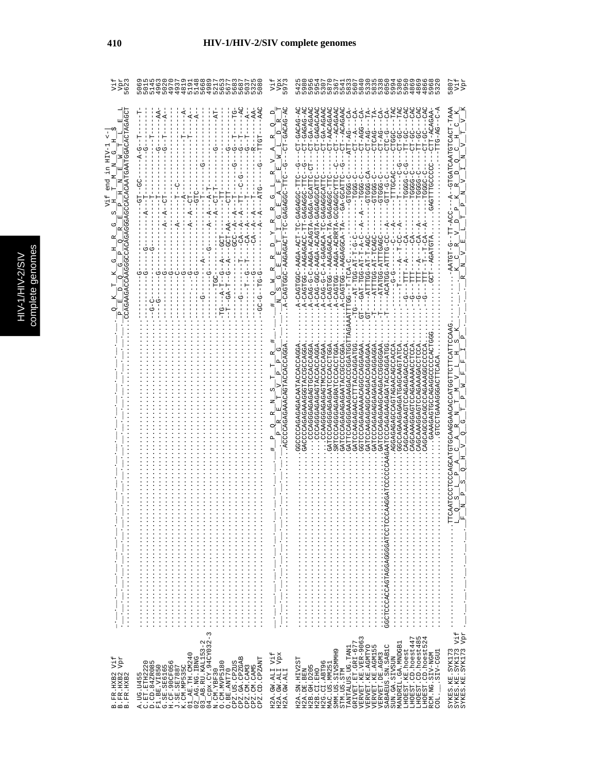|   | C<br>a |
|---|--------|
|   | Б      |
|   |        |
|   |        |
|   |        |
|   |        |
|   |        |
|   | ÷<br>ń |
| с |        |
|   | ¢      |
|   |        |
|   |        |
|   |        |
|   |        |
|   |        |
|   |        |
|   | ì      |
|   |        |

| Vpr<br>5623<br>ż,                                                                                            | 85<br>$\frac{28}{20}$<br>4<br>Б<br>4<br>4<br>4555455555<br>ഗ                                                                                                                                                                                      | Vpx<br>$\overline{97}$<br>5                                                                                                                                                                                                                                                                                         | ิ<br>ติดทั้งติด เพื่อ จัดติดที่ติดที่ติดติดติดติด<br>ติดที่ติดติดติดติดติดติดติดติดติดติด<br>ติดติดติดติดติดติดติดติดติดติดติดติด                                                                                                                                                                                                                                                                                                                                                                                                                                                                                                                                                 | 580                                                                                                                                                                                 |
|--------------------------------------------------------------------------------------------------------------|---------------------------------------------------------------------------------------------------------------------------------------------------------------------------------------------------------------------------------------------------|---------------------------------------------------------------------------------------------------------------------------------------------------------------------------------------------------------------------------------------------------------------------------------------------------------------------|-----------------------------------------------------------------------------------------------------------------------------------------------------------------------------------------------------------------------------------------------------------------------------------------------------------------------------------------------------------------------------------------------------------------------------------------------------------------------------------------------------------------------------------------------------------------------------------------------------------------------------------------------------------------------------------|-------------------------------------------------------------------------------------------------------------------------------------------------------------------------------------|
| $\mathbb{H}$<br>end                                                                                          | $-AAC$<br>$-A-$<br>$-4$<br>부<br>TTGT<br>턱<br>$\ddot{A}$<br>τŋ<br>ひ<br>ט<br>פי<br>95<br>--<br>$A-T$                                                                                                                                                | -GACAG-AC<br>$\Box$<br>Ιĸ<br>଼<br>$\Box$<br>з                                                                                                                                                                                                                                                                       | CT-GA-AGAAC<br>CT--ACAGAAC<br>TAC<br>TAC<br>U<br>CA<br>CT-GACAG-HO<br>CT-GA-AGAAC<br>$CT-AGG---CA-$<br>CT-GAGAG-A<br>CT-AACAGAA<br>$CT - ACAGAA$<br>Ś<br>FA<br>Ĥ<br>CT-GAGACAA<br>ATT-AG---CA<br>ි<br>g<br>F<br>CTT-ACAGAA<br>rtG-AG-<br>--DD-LD<br>$CT--A-$<br>CT-AG-<br>$CT - AG -$<br>CTCAG-<br>-9-DLD<br><b>UP-TL</b><br><b>CD-120</b><br><b>CO-LI</b><br>CLGGC<br>どー<br>$-1$<br>Φ<br>FD-<br>-TTTTGCAC<br><b>CHOOLD</b><br><b>U-55555</b><br><b>U-55555</b><br>CHI-C-C<br>-- 1999-1<br>U-000H---<br><b>COCOCO</b><br><b>TGGGG</b>                                                                                                                                             | GEGET-TOACHOHANH-TAAA<br>$\overline{v}$<br>U<br>ΙF<br>ᄇ<br>z<br>$\circ$                                                                                                             |
| COAGAAGACOAAGGOCACAGAGGGGACOACACAATGAATGGACACTAGAGG<br>д<br>S<br>囯<br>C<br>r٦<br>囯                           | GTC.<br>5<br>-<br>-<br>$A -$<br>$-4$<br>$-99 - 79$<br>$-CA$ -A<br>$C-A$<br>ひひゃー<br>UUU---4--<br>Ů<br>Ů<br><b>GC-5-7-75</b><br>í<br>$-49 - -1 -$<br>$-4 - 4 - 7$<br>ပု                                                                             | A-CAGTGGC-AAGAGAGA-ODDDDAGAGAG<br>囯<br>び<br>$\mathsf{F}$<br>国<br>l rai<br>q<br>ひ<br>Z<br>ω<br>oį<br>z<br>⋕                                                                                                                                                                                                          | A-CAGTGGC-AAGA-TC-CAGAGAGGC-TTC<br>-AAGAGACC-TT-GAGAGGC-TTC<br>ULAUD-ADAO-ALDACA-AJAA-U-U-U-UAU-A<br><br>A-CAC-CACACACACH-K-D-C-C-CACACH-<br>A-CAGTGG--AAGA-ACRRTA-GOGAGGCYTTC<br>ULLAUD-AD-<br>-00010-<br><br>- A-CAGAGAGAGAGAGH--DOLOAGAGAG<br>A-CAG-AGA-AGA-AGA-AGA-CHA-CAGA<br>$-1$<br>A-CAGTG--AAGAGGCA-TA<br>$F - C - F$<br>-ATTT4-5-AT-TCAG-<br>-ATATGG-ATTTGAGC<br>UU-DITTA-DURIO<br>0-4-5-54-505-124-5<br>-ATTTG-AT-T-AGC<br>--AGATGTA<br>H-H4-00H-H4---0H-<br>ATTTG--T-T-TCA-C<br>しゅ<br>E<br>A-CAGTGG<br>$-1$<br>Ĵ<br>Ψ<br>ひ<br>ひ                                                                                                                                       | $\mathsf{D}$<br>$\Delta$<br>$-ACC$<br>じー<br>-AATGT                                                                                                                                  |
|                                                                                                              |                                                                                                                                                                                                                                                   | ACCCAGAGAAACAGTACCACCAGGA<br>ひ<br>$\mathbf{\Omega}$<br><b>Ed</b><br>O<br>$\mathbf{a}$<br>д                                                                                                                                                                                                                          | $GF -$<br>GATTCCCAGGAAGGAAGCOGGATCH<br>UHURUUUUUUURURUUUUHURURRAGU<br>GATCCAAGAAGAACCAGGATGG<br>UULAPUCOUCHCAGAGEUNDULLAPUCH<br>GGCCCCAGAGACATACCACCAGGA<br>GACCCAGAAAGGTACCCCAGGA<br>COROOROOPROROROOPROD<br>COACOACAGAGAGAGOGAC<br>CCAAGGGAGAGAGTMCCACCAGAA<br>GATCCCAGAGAGAGACCAGGAG<br>AUUAUUUAUAAUAHUAUUUUGUAUA<br>GGCCAGAAGAGAGGAGCAAGTATCA<br>AUUAUUAUAUAUGAGAAUUHUAAUAAUUAU<br>GATCCCAGGAGAATCCCACCOTGGA<br><b>SRTCUAUUULAGGAGGAGUUULES</b><br>AUUUUUUUNHAAUAUAUAUAUUUUHAU<br>GGTCCCAGAAACAGCCAGGAGAA<br>GATCCAAGAGGCAAGAGCAGGAGAA<br>CAGCAAAGGAGAAAAAAACCTCCC<br>GATCCAGAGAGAGOODDEA<br>CACORORAROCOCHOROGRAMO<br>AUAUFFUACGAAAGFUUFUU<br>UURRACUUUUUUUUUUUU<br>$\vdots$ | GAATCOCCOORGOARGAAGGAACOTOFOTOCOOCOOCAT<br>ω<br>Ŀ<br>ΙĿ<br>Z<br>$\overline{a}$<br>H<br>U<br>$\circ$                                                                                 |
|                                                                                                              |                                                                                                                                                                                                                                                   | $\frac{1}{2}$ $\frac{1}{2}$ $\frac{1}{2}$ $\frac{1}{2}$ $\frac{1}{2}$ $\frac{1}{2}$ $\frac{1}{2}$ $\frac{1}{2}$ $\frac{1}{2}$ $\frac{1}{2}$ $\frac{1}{2}$ $\frac{1}{2}$ $\frac{1}{2}$ $\frac{1}{2}$ $\frac{1}{2}$ $\frac{1}{2}$ $\frac{1}{2}$ $\frac{1}{2}$ $\frac{1}{2}$ $\frac{1}{2}$ $\frac{1}{2}$ $\frac{1}{2}$ |                                                                                                                                                                                                                                                                                                                                                                                                                                                                                                                                                                                                                                                                                   | $\Delta$<br>S<br>CO.<br>O<br>$\frac{1}{2} \mathbb{E} \mathbb{E}$<br>$\frac{1}{2}$ $\frac{1}{2}$ $\frac{1}{2}$ $\frac{1}{2}$ $\frac{1}{2}$ $\frac{1}{2}$ $\frac{1}{2}$ $\frac{1}{2}$ |
| Vpr<br>Vif<br>$\begin{array}{ll} \text{B. FR. HXB2} \\ \text{B. FR. HXB2} \\ \text{B. FR. HXB2} \end{array}$ | 3<br>$\mathbf{m}$<br>CPZ.CM.CAM3<br>CPZ.CM.CAM5<br>CPZ.CD.CPZANT<br>$\begin{array}{c} \texttt{O}.\texttt{BE}.\texttt{ANT70} \\ \texttt{CPZ}.\texttt{US}.\texttt{CPZUS} \\ \texttt{CPZ}.\texttt{GA}.\texttt{CPZGAB} \end{array}$<br>0. CM. MVP5180 | H2A.GW.ALI Vif<br>H2A.GW.ALI Vpx<br>H2A.GW.ALI Vpx                                                                                                                                                                                                                                                                  | LHOEST.CD.hoest447<br>LHOEST.CD.hoest485<br>LHOEST.CD.hoest524<br>VERVET.KE.VER-9063<br>GRIVET.ET.GRI-677<br>MANDRIL.GA.MNDGB1<br>VERVET.KE.AGMTYO<br>VERVET.KE.AGM155<br>VERVET.DE.AGM3<br>SABAEUS.SN.SABIC<br>TANTALUS.UG.TAN1<br>LHOEST.KE.hoest<br>SMM.US.SIVSMMH9<br>LUDD-CIIS.<br>RCM.NG.SIV-NGM<br>SUN.GA.SIVSUN<br>H2A.SN.HIV2ST<br>H2G.CI.ABT96<br>MAC.US.MM251<br>H2B.GH.D205<br>H2A.DE.BEN<br>H2B.CI.EHO<br>STM.US.STM<br>coi.                                                                                                                                                                                                                                         | Vif<br>$_{\rm Vpx}$<br>SYKES.KE.SYK173<br>SYKES.KE.SYK173<br>SYKES.KE.SYK173                                                                                                        |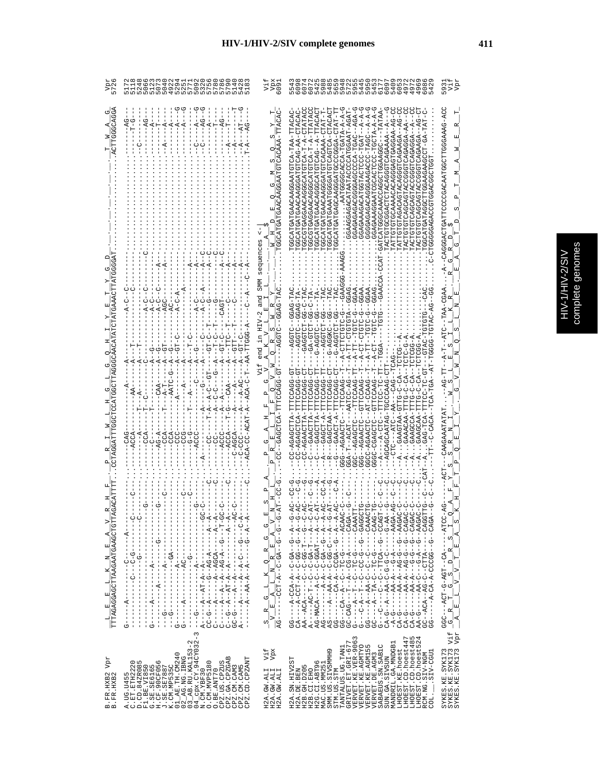| <b>CALC</b><br>١<br>2<br>í |
|----------------------------|
|                            |
|                            |
|                            |
|                            |
|                            |

|                                                                                 | DQWUNL<br>DQWUNL<br>925<br>$\circ$                                                                                                                                                                                                                                                                                                                                                                                                                                                                                                                                         | 609                                                                                                                                                                                                                                                                                                                                                             | 5454<br>5454<br>$^{17}_{00}$<br>40<br>せんのレ<br>$\circ$                                                                                                                                                                                                                                                                                                                                                                                                   | 593                                                                                                                                                                                                                                                                              |
|---------------------------------------------------------------------------------|----------------------------------------------------------------------------------------------------------------------------------------------------------------------------------------------------------------------------------------------------------------------------------------------------------------------------------------------------------------------------------------------------------------------------------------------------------------------------------------------------------------------------------------------------------------------------|-----------------------------------------------------------------------------------------------------------------------------------------------------------------------------------------------------------------------------------------------------------------------------------------------------------------------------------------------------------------|---------------------------------------------------------------------------------------------------------------------------------------------------------------------------------------------------------------------------------------------------------------------------------------------------------------------------------------------------------------------------------------------------------------------------------------------------------|----------------------------------------------------------------------------------------------------------------------------------------------------------------------------------------------------------------------------------------------------------------------------------|
|                                                                                 | Ů                                                                                                                                                                                                                                                                                                                                                                                                                                                                                                                                                                          | sequences                                                                                                                                                                                                                                                                                                                                                       | TCA-T-A-CTATAC<br>-DR-RRDDRDHORDDDRORDRRRDDHDHDHDHLRH<br>CAGTCA-C<br>ARCACACHOUCCORCHOHOUCCOUR<br>GCATGAACAAGGAA                                                                                                                                                                                                                                                                                                                                        | UDE-DEERDUDELIUUU EERDEDUUU ULLETULU EUDU EU                                                                                                                                                                                                                                     |
|                                                                                 |                                                                                                                                                                                                                                                                                                                                                                                                                                                                                                                                                                            |                                                                                                                                                                                                                                                                                                                                                                 |                                                                                                                                                                                                                                                                                                                                                                                                                                                         |                                                                                                                                                                                                                                                                                  |
|                                                                                 |                                                                                                                                                                                                                                                                                                                                                                                                                                                                                                                                                                            |                                                                                                                                                                                                                                                                                                                                                                 | GAA<br>$G-C-TAC$<br><b>SAGS</b><br>GGAG-TAC<br><b>GAA</b>                                                                                                                                                                                                                                                                                                                                                                                               | $-CC$                                                                                                                                                                                                                                                                            |
|                                                                                 |                                                                                                                                                                                                                                                                                                                                                                                                                                                                                                                                                                            | end<br>5                                                                                                                                                                                                                                                                                                                                                        | U-UU-LUHU-KU<br>ひ‐いひけのよび<br><b>U-LULUUR--</b><br>U-IUIUU4-U-<br>A-CTTCTGTC<br>A-CT-CT2<br>-G-AGGTC<br>G-AGGKC<br>AGGTC<br>$A-TT-C$<br>$A-TT--$                                                                                                                                                                                                                                                                                                          |                                                                                                                                                                                                                                                                                  |
|                                                                                 |                                                                                                                                                                                                                                                                                                                                                                                                                                                                                                                                                                            |                                                                                                                                                                                                                                                                                                                                                                 |                                                                                                                                                                                                                                                                                                                                                                                                                                                         |                                                                                                                                                                                                                                                                                  |
|                                                                                 |                                                                                                                                                                                                                                                                                                                                                                                                                                                                                                                                                                            |                                                                                                                                                                                                                                                                                                                                                                 | -TTCCAAG--<br>--AATCC-AG-                                                                                                                                                                                                                                                                                                                                                                                                                               |                                                                                                                                                                                                                                                                                  |
|                                                                                 | ECA<br>U<br>U<br>P<br>O<br>U                                                                                                                                                                                                                                                                                                                                                                                                                                                                                                                                               |                                                                                                                                                                                                                                                                                                                                                                 | CAACT-A-TTTCAGG-CA<br>GAACTTA-TTHOAGG-<br>CC-AGAACTRA-TTECCAG<br>$-AGAGGCTTA-T$<br>GAAACAA-<br>AGCAGCAATAG<br>GAGCT-A<br>GAAGCCA<br>ひけひひえのキーしひ<br>ひけひひえのひーひの<br>GCC-AGAACTC<br>G--AGAACT<br>UCCC--AGAAC                                                                                                                                                                                                                                                 |                                                                                                                                                                                                                                                                                  |
| $\frac{\text{L}}{\text{TTTAGAGGAGGTTRAGAATGAAGCTGTAA}} \text{N} \label{eqn:R1}$ | $\begin{aligned} C &\,--\,--\,A\,--\,--\,A\,--\,A\,--\,A\,--\,A\,--\,A\,--\,A\,--\,A\,--\,A\,--\,A\,--\,A\,--\,A\,--\,A\,--\,A\,--\,A\,--\,A\,--\,A\,--\,A\,--\,A\,--\,A\,--\,A\,--\,A\,--\,A\,--\,A\,--\,A\,--\,A\,--\,A\,--\,A\,--\,A\,--\,A\,--\,A\,--\,A\,--\,A\,--\,A\,--$<br>$--AC$<br>$-1$ - $-1$ - $-1$<br>-------------<br>$\begin{bmatrix} 1 \\ 1 \\ 1 \end{bmatrix}$<br>$-1$<br>$-1$<br>$-1$<br>$-1$<br>$-1$ $-1$ $-1$ $-1$ $-1$ $-1$<br>J<br>ţ<br>I<br>$\frac{1}{1}$<br>$\frac{1}{1}$<br>$\frac{1}{1}$                                                         | 闰<br>$\frac{1}{1 - \alpha} \frac{1}{\alpha} \frac{1}{\alpha} \frac{1}{\alpha} \frac{1}{\alpha} \frac{1}{\alpha} \frac{1}{\alpha} \frac{1}{\alpha} \frac{1}{\alpha} \frac{1}{\alpha} \frac{1}{\alpha} \frac{1}{\alpha} \frac{1}{\alpha} \frac{1}{\alpha} \frac{1}{\alpha} \frac{1}{\alpha}$<br>ပ<br>ෆ්<br> <br>$\mathbb{R}^2$<br>$\alpha$<br>$\frac{G-L-K}{A-L}$ | $- -4A - - - - - - -$<br>$-$ AAGA-<br>Ud5d1--5--5-5d--4-4d-------5-40                                                                                                                                                                                                                                                                                                                                                                                   | 7-ひひH⊄-----セひ--Hひ⊄-ひ-Hひ⊄---ひひひ<br>$\frac{D-R-S-I}{T-E-R-S}$<br>$\frac{\textit{G} \quad R \quad \textit{T} \quad \textit{G} \quad \textit{S} \quad \textit{D}}{\textit{A} \quad \textit{E} \quad \textit{E} \quad \textit{L} \quad \textit{V} \quad \textit{V} \quad \textit{V}}$ |
|                                                                                 | $-$ – – $ \overline{A}$<br>I<br>Ļ<br>$\frac{1}{1}$<br>$\frac{1}{1}$<br>$\frac{1}{1}$<br>$\overline{A}$<br>ひ<br>К<br>Ü<br>J.<br>T<br>J,<br>I.<br>$\overline{\phantom{a}}$                                                                                                                                                                                                                                                                                                                                                                                                   | ⊾ <br> <br>$\,$ I<br>$\approx$<br>Ţ<br>$\frac{1}{2}$<br>  i<br> <br> 04<br>$\alpha_{\parallel}$                                                                                                                                                                                                                                                                 | $CA-G-$                                                                                                                                                                                                                                                                                                                                                                                                                                                 |                                                                                                                                                                                                                                                                                  |
| Vpr<br>B.FR.HXB2<br>B.FR.HXB2                                                   | 3<br>$\begin{array}{l} \text{D. CD. 842R085} \\ \text{F1. B2. V1685} \\ \text{F1. B3. V1685} \\ \text{H. CE. 90CF056} \\ \text{H. CE. 90CF056} \\ \text{D. 1.3E. 3E7887} \\ \text{D1. 2A. 1F1. 1C0240} \\ \text{D2. 2A3. F1F1. 1C0240} \\ \text{D2. 2A3. F1F1. 1C0240} \\ \text{D3. 2A3. F1F1. 1C024} \\ \text{D4. 2A3. F1F$<br>CPZ.GA.CPZGAB<br>CPZ.CM.CAM3<br>CPZ.CM.CAM5<br>CPZ.CD.CPZANT<br>$\circ$ m<br>O. CM. MVP5180<br>$\begin{array}{c} \texttt{O}.\texttt{BE}.\texttt{ANT70} \\ \texttt{CPZ}.\texttt{US}.\texttt{CPZUS} \end{array}$<br>A.UG.U455<br>C.ET.ETH222 | Vpx<br>Vif<br>$\begin{array}{l} \tt H2A\cdot GW\cdot ALI\\ \tt H2A\cdot GW\cdot ALI\\ \tt H2A\cdot GW\cdot ALI \end{array}$                                                                                                                                                                                                                                     | VERVET.KE.VER-9063<br>LHOEST.CD.hoest447<br>LHOEST.CD.hoest485<br>LHOEST.CD.hoest524<br>GRIVET. ET. GRI-677<br>MANDRIL.GA.MNDGB1<br>VERVET.KE.AGMTYO<br>VERVET.KE.AGMI55<br>SABAEUS.SN.SAB1C<br>TANTALUS.UG.TAN1<br>LHOEST.KE.hoest<br>C<br>.SIV-CGU1<br>SMM.US.SIVSMMH<br>RCM.NG.SIV-NGM<br>VERVET.DE.AGM3<br>SUN.GA.SIVSUN<br>55<br>G<br>H2A.SN.HIV2<br>H2B. GH. D205<br>H2G.CI.ABT9<br>MAC.US.MM25<br>H2B.CI.EHO<br>STM.US.STM<br>H2A.DE.BEN<br>COL. | Vif<br>Vpr<br>SYKES.KE.SYK173<br>SYKES.KE.SYK173<br>SYKES.KE.SYK173                                                                                                                                                                                                              |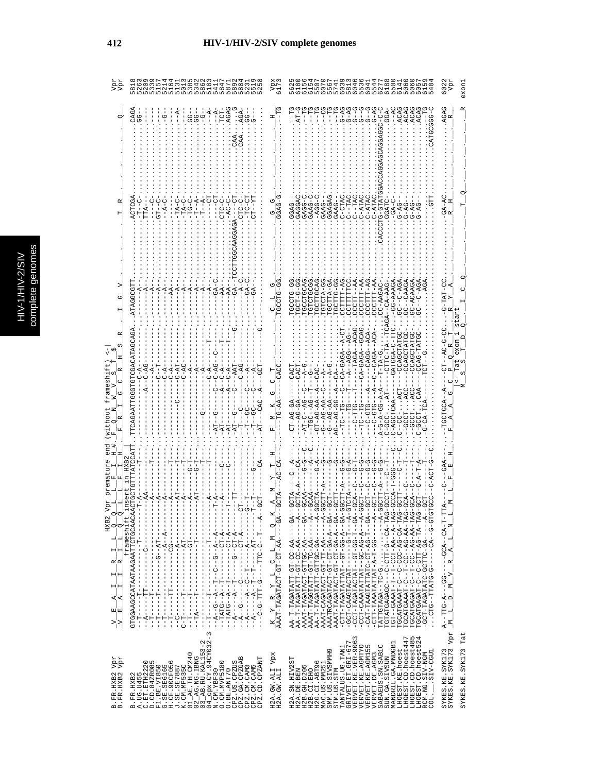|   | C<br>s |
|---|--------|
|   |        |
|   |        |
|   |        |
|   |        |
|   |        |
|   | ఠ      |
| с |        |
|   | 5<br>ſ |
|   |        |
|   |        |
|   |        |
|   |        |
|   |        |
| ٦ |        |
|   | ì      |

őς

|                                                                                                                                 |                                                                                                                                                                                                                                                                                                                                                                                                                                                                                                                                                                                                                                                                                                                                                                                                                                                                                                                                                                                                                                                                                                                                                                                                                                                                                                                                                                                                                                                            |                                                                                                                                                                                                                                                               | 004                                                                                                                                                                                                                                                                                                                                                                                                                                                                                                                                                                                                                                                                                                                                                                                                                                                                                                                                                                                                                                                                                                                                                                                                                                        | Vpr<br>exon.<br>6022                                                                                                                      |
|---------------------------------------------------------------------------------------------------------------------------------|------------------------------------------------------------------------------------------------------------------------------------------------------------------------------------------------------------------------------------------------------------------------------------------------------------------------------------------------------------------------------------------------------------------------------------------------------------------------------------------------------------------------------------------------------------------------------------------------------------------------------------------------------------------------------------------------------------------------------------------------------------------------------------------------------------------------------------------------------------------------------------------------------------------------------------------------------------------------------------------------------------------------------------------------------------------------------------------------------------------------------------------------------------------------------------------------------------------------------------------------------------------------------------------------------------------------------------------------------------------------------------------------------------------------------------------------------------|---------------------------------------------------------------------------------------------------------------------------------------------------------------------------------------------------------------------------------------------------------------|--------------------------------------------------------------------------------------------------------------------------------------------------------------------------------------------------------------------------------------------------------------------------------------------------------------------------------------------------------------------------------------------------------------------------------------------------------------------------------------------------------------------------------------------------------------------------------------------------------------------------------------------------------------------------------------------------------------------------------------------------------------------------------------------------------------------------------------------------------------------------------------------------------------------------------------------------------------------------------------------------------------------------------------------------------------------------------------------------------------------------------------------------------------------------------------------------------------------------------------------|-------------------------------------------------------------------------------------------------------------------------------------------|
|                                                                                                                                 | AGAG<br>CAGZ<br>$-4$<br>FCE.<br>ပှံ<br>$-1 - 1$<br>CTC-C                                                                                                                                                                                                                                                                                                                                                                                                                                                                                                                                                                                                                                                                                                                                                                                                                                                                                                                                                                                                                                                                                                                                                                                                                                                                                                                                                                                                   |                                                                                                                                                                                                                                                               | ACAG<br>ACA<br>$-4$<br>ーーーズ<br>しししし<br>ひひひひ<br>$-4$<br>$\tilde{A}$ -5<br>$\bar{c}_1$<br>GGA<br><b>GAGAG</b><br>-CTAC<br><b>GAAG-C</b><br>$-400-$<br>$-TTAC$<br>$C--TACCC--ATRCC$<br>$C-ATAC$<br><b>GGGAC</b><br>G-GTA<br>$C-ATA$<br>CGATC<br>-PAGE                                                                                                                                                                                                                                                                                                                                                                                                                                                                                                                                                                                                                                                                                                                                                                                                                                                                                                                                                                                         | <b>AGAG</b><br>$GA - AC$                                                                                                                  |
|                                                                                                                                 | ATAGGCGT<br>$\ddot{A}$<br>$-$ A<br>AUAUUAHAUAUUHUHUUUHHAAUAU<br>$C - AG$                                                                                                                                                                                                                                                                                                                                                                                                                                                                                                                                                                                                                                                                                                                                                                                                                                                                                                                                                                                                                                                                                                                                                                                                                                                                                                                                                                                   | じけいじ<br>i u<br>Ida<br>ひ                                                                                                                                                                                                                                       | CCCTTT-A<br>COLORE<br><b>GCTTGCA</b><br>CCTTA-G<br>CCCTT--A<br><b>D-DILDD.</b><br>CCTTTT-A<br><b>DA-D-10:</b><br>$BC - CAAG$<br><b>LGLCLV-C</b><br>CCCTTT-A<br>CCCTTT-A<br>CC-AAGAC<br>$-CA-AA$<br>$-GG - PAA$<br>C-ACAA<br>CTTTT<br>$CA-GAGA - -$<br>CA-GAG<br>$-A$ -A $-$ A $C$                                                                                                                                                                                                                                                                                                                                                                                                                                                                                                                                                                                                                                                                                                                                                                                                                                                                                                                                                          | G-TAT-CC                                                                                                                                  |
| q<br>HXB <sub>2</sub><br>q<br>q                                                                                                 | frameshift<br>$- - - - - - - - - - -$<br>ţ<br>J<br>$\frac{1}{1}$<br>$\begin{bmatrix} 1 \\ 1 \\ 1 \\ 1 \end{bmatrix}$                                                                                                                                                                                                                                                                                                                                                                                                                                                                                                                                                                                                                                                                                                                                                                                                                                                                                                                                                                                                                                                                                                                                                                                                                                                                                                                                       |                                                                                                                                                                                                                                                               | $A - B - C - C - A - D - A$<br>GT-AG-AA<br>$-TC$ -- $TC$ --<br>$G - P G - P F$<br>$-AGCTCAJ$<br>$-TC$ --TG<br><b>PHP-0-1</b><br>UHD-U--<br>$-55 - -$<br>U<br>UUC-<br>$-4 - 7$<br><b>CA--G-SC--</b>                                                                                                                                                                                                                                                                                                                                                                                                                                                                                                                                                                                                                                                                                                                                                                                                                                                                                                                                                                                                                                         | TGCTGCA                                                                                                                                   |
| $\frac{-V - E - A - I - I - R - I - I}{-V - E - A - I - I - I - R - I - I - I - I}$<br>nda<br>Ada<br>B. FR. HXB2<br>B. FR. HXB2 | GTGGAAGCCATAATAAGAATTCTGCAACA<br>- - ペーロン - - - - - - - - - - - - - - ウ - - ペー<br>-------------<br>$-1 - 1 - 1 - 1 - 1 - 1$<br>$\begin{array}{c}\n\cdots & \cdots \\ \vdots & \ddots & \vdots \\ \vdots & \ddots & \vdots \\ \vdots & \ddots & \vdots \\ \vdots & \ddots & \vdots \\ \vdots & \ddots & \vdots \\ \vdots & \ddots & \vdots \\ \vdots & \ddots & \vdots \\ \vdots & \ddots & \vdots \\ \vdots & \ddots & \vdots \\ \vdots & \ddots & \vdots \\ \vdots & \ddots & \vdots \\ \vdots & \ddots & \vdots \\ \vdots & \ddots & \vdots \\ \vdots & \ddots & \vdots \\ \vdots & \ddots & \vdots \\ \vdots & \ddots & \vdots \\ \vdots & \ddots & \vdots \\ $<br>$---T - - - - - - - - - -$<br>ţ<br>ł<br>$\frac{1}{1}$<br>$\frac{1}{1}$<br>$\frac{1}{1}$<br>$\frac{1}{1}$<br>$\frac{1}{1}$<br>$\frac{1}{1}$<br>$-4$<br>÷<br>ا<br>۲<br>ا<br>턱<br>부<br>ں<br>!<br>J<br>무-T<br>부<br>F<br>J<br>턱<br>J<br>$\begin{array}{ll} \texttt{B} & \texttt{IFR} & \texttt{HXB2} \\ \texttt{C} & \texttt{C} & \texttt{B} \texttt{C} & \texttt{HXB2} \\ \texttt{C} & \texttt{D} & \texttt{G} & \texttt{HXB2} \\ \texttt{D} & \texttt{D} & \texttt{G} & \texttt{HXB3} \\ \texttt{D} & \texttt{D} & \texttt{G} & \texttt{HXB3} \\ \texttt{C} & \texttt{S} & \texttt{B} & \texttt{S} & \texttt{B} \\ \texttt{D} & \texttt{S} & \texttt{S} & \texttt{B} &$<br>CPZ.GA.CPZGAB<br>CPZ.CD.CPZANT<br>0. CM. MVP5180<br>CPZ.US.CPZUS<br>CPZ.CM.CAM3<br>CPZ.CM.CAM5<br>O.BE.ANT70 | $\frac{K}{A\lambda\lambda\Gamma}\frac{Y}{T\lambda G\lambda T\lambda} \frac{Y}{C T\lambda} \frac{L}{C T\lambda} \frac{L}{C T\lambda G T\lambda} \frac{L}{C T\lambda} \frac{M}{A\lambda} \frac{Q}{T\lambda} \frac{K}{T\lambda}$<br>H2A.GW.ALI VPX<br>H2A.GW.ALI | AA-T-TAGATATT-CU-AA----GA-<br>AA-T-TAGATATT-CT-CC-AA----A-<br>AAAT-TAGATACT-GTTGC-AA----GA-<br>AAAT-TAGCTATT-GT-TC-AA----A-<br>AA-T-TAGATATT-GTTGC-GA----A-<br>AAATRCAGATACT-CT-GA-A--GA--GA-<br>AAAT-TAGATACT-GT-CA-A--GA-<br>$- CTT-TAGATATTATTAT-TG-T-G-A-CA-$<br>-GCT-CAAGTACTAT------G-T---B-<br>-CCT-TAGATACTAT------G-T---B-<br>-CCT-TAGATACTAT--GT-GG-T---GA-<br>-CCT-CAAATATTAT--GC-AG-A---A-<br>-CAT-TAAGTATTATC-CT-AG-T-GA<br>-CTT-TAAATATTAT-A-T-G----A-<br>TGCATGAAAT-C--C-CCC-AG-CA-TAG<br>TGCATGAAAT-C--T-CC--AG-AA-TAG<br>TGCATGAGAT-C--T-C--AG-AA-TAG<br>0KH-KH-0K-LHU-U--U-HKUKUHKUUH<br>- 4 - - - - - - 4 5 - 2 FATADO - 2 FAURORE - FOU<br>- - AAT-CAGATACT-TT-AA<br>$-0$ -0-0-41-1-1-0-0-0- $\cdots$<br>LHOEST.CD.hoest447<br>LHOEST.CD.hoest485<br>LHOEST.CD.hoest524<br>VERVET.KE.VER-9063<br>VERVET.KE.AGMTYO<br>$\begin{array}{ll} {\rm TANTALUS\cdot UG\cdot TAM1}\\ {\rm GRLVET\cdot ET\cdot GRL-677} \end{array}$<br>MANDRIL.GA.MNDGB1<br>Б<br>SABAEUS.SN.SABIC<br>VERVET.KE.AGM15<br>LHOEST.KE.hoest<br>SMM.US.SIVSMMH9<br>.SIV-CGU1<br>RCM.NG.SIV-NGM<br>VERVET.DE.AGM3<br>SUN.GA.SIVSUN<br>H2A.SN.HIV2ST<br>H2A.DE.BEN<br>H2G.CI.ABT96<br>MAC.US.MM251<br>H2B. GH. D205<br>H2B.CI.EHO<br>STM.US.STM<br>COL. | A--TTG-A---GG------GCA--CA-T-T<br>IM L D M V R A L N L<br>$M_{\odot}$<br>SYKES.KE.SYK173<br>SYKES.KE.SYK173 Vpr<br>Tat<br>SYKES.KE.SYK173 |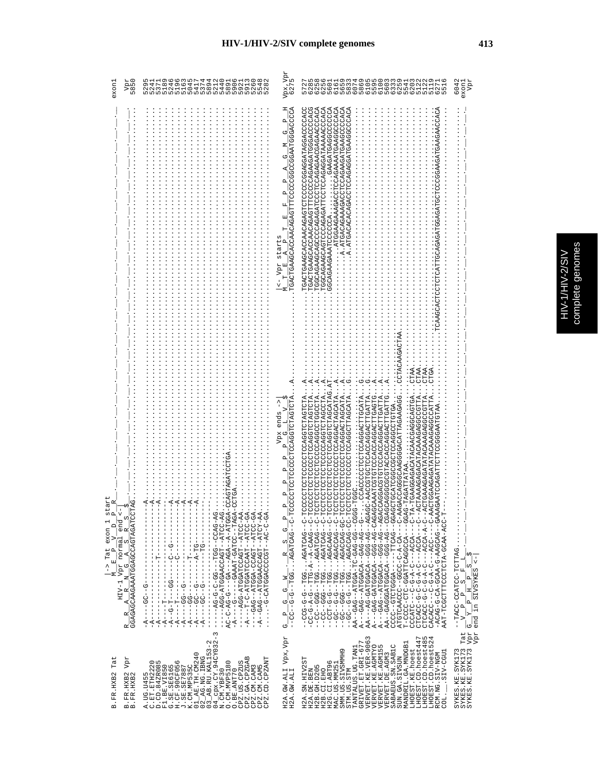|  | 2<br>è<br>5<br>ì |
|--|------------------|
|  |                  |

 $\omega$ 

| osgs<br>3850<br>exon.                                                                                                                                                                                                                                                                                                               | 5119663574420161308251849641001100010000000000000000000                                                                                                                                                                                                                                                                                                                                                                                                                                                                                                                                                                                                                                                                                                       | Vpx, Vpr<br>6275                                                                                                                                                                                             | ちらるところできることできることできることでいうとうこうとうとうとりついいとしていいことによりこと ころろうさん こうじょうしょう こうこうしょう こうしょうしょう こうしょう こうしょう こうしょう こうしょう                                                                                                                                                                                                                                                                                                                                                                                                                                                                                                                                                                                                                                                                                                                                                                                                                                                                                                                                                                                                                                                                                                                                                                                                                                                                                                                                                                                                                                                                                                                                                                                    | 6042<br>Vpr<br>exon                                                                                                                                                                                                                                                                                                                       |
|-------------------------------------------------------------------------------------------------------------------------------------------------------------------------------------------------------------------------------------------------------------------------------------------------------------------------------------|---------------------------------------------------------------------------------------------------------------------------------------------------------------------------------------------------------------------------------------------------------------------------------------------------------------------------------------------------------------------------------------------------------------------------------------------------------------------------------------------------------------------------------------------------------------------------------------------------------------------------------------------------------------------------------------------------------------------------------------------------------------|--------------------------------------------------------------------------------------------------------------------------------------------------------------------------------------------------------------|-----------------------------------------------------------------------------------------------------------------------------------------------------------------------------------------------------------------------------------------------------------------------------------------------------------------------------------------------------------------------------------------------------------------------------------------------------------------------------------------------------------------------------------------------------------------------------------------------------------------------------------------------------------------------------------------------------------------------------------------------------------------------------------------------------------------------------------------------------------------------------------------------------------------------------------------------------------------------------------------------------------------------------------------------------------------------------------------------------------------------------------------------------------------------------------------------------------------------------------------------------------------------------------------------------------------------------------------------------------------------------------------------------------------------------------------------------------------------------------------------------------------------------------------------------------------------------------------------------------------------------------------------------------------------------------------------|-------------------------------------------------------------------------------------------------------------------------------------------------------------------------------------------------------------------------------------------------------------------------------------------------------------------------------------------|
|                                                                                                                                                                                                                                                                                                                                     |                                                                                                                                                                                                                                                                                                                                                                                                                                                                                                                                                                                                                                                                                                                                                               | $\mathbf{\Omega}$<br>Φ<br>Ü<br>д<br>д<br>Ŀ,<br>囯<br>$\vdash$<br>starts<br>$\mathbf{\Omega}$<br>$\overline{A}$<br>$\leq -$ Vpr E<br>Σ                                                                         | <b>CORCOORGOREROORGOCOOCDOECEORGRORGOORGOECEORG</b><br>TGACTGAAGCACCAACAGATTTCCCCCAGAAGATGGGACCCCAC<br>TGGCAGAAGCAGTCCCAGAGATTCCTCCAGAGATAAAAACCCACA<br>TGGCAGAAGCAGCCCAGAGATCCCTCCAGAGAACGAGAACCCACACA<br>A.ATGACAGAAAGACTCCAGAAAGATGAAGCCCCACA<br>A.ATGACACACAGACCTCCAGAGGATGAAGGCCCACA                                                                                                                                                                                                                                                                                                                                                                                                                                                                                                                                                                                                                                                                                                                                                                                                                                                                                                                                                                                                                                                                                                                                                                                                                                                                                                                                                                                                     |                                                                                                                                                                                                                                                                                                                                           |
| art<br><b>AG</b><br>$\alpha$<br>$\frac{1}{2}$ $\frac{1}{2}$<br>GGAGAGCAAGAAATGGAGCCAGTAGATCCT<br>$\omega$<br>exon 1<br>$\begin{array}{cccccc}\nM & E & P & V & D \\ \hline\nH & V & V & \text{normal end} \\ R & R & G & A & S & R\n\end{array}$<br>co.<br>$\mathbf{a}_{\parallel}^{\parallel}$<br>$\rightarrow$ Tat<br>К<br>R<br>R | CAGTAGAT<br>Ch<br>$A + A$<br>144444<br>Ū<br>---AGG-ATGGAACCAGT--ATCC-AG-<br>AC-C-AG-G-A--AGA--A-ATGGA-<br>- - - - - - AGG-ATGATCCAGT-- ATCC-AA<br>-A----A---AT-ATGARDOHROUN-D-H------<br>-GAG--ATGA-CCAGU-ATCC-GA.<br>-A--CAG--ATGGAACCAGT--ATCY-AA.<br>ひぱ-ひばひひ--ひひH---ひひ-ひ-ひ-みぱ--<br>$\frac{1}{1}$<br>$- - - - - - - - - - - -$<br>$\frac{1}{1}$<br>$-1$ $-1$ $-1$ $-1$ $-1$ $-1$<br>$-1 - 1 - 1 - 1 - 1$<br>$\frac{1}{1}$<br>$-1$ $-1$ $-1$ $-1$ $-1$ $-1$<br>$\frac{1}{1}$<br>j.<br>I<br>$\frac{1}{1}$<br>ט<br>ו<br>$\frac{1}{1}$<br>I<br>$-1 - 5 - -1$<br>Ţ<br>$\frac{1}{1}$<br>-- 5-- 55-----<br>$\frac{1}{1}$<br>$\frac{1}{1}$<br>ţ<br>$-1 - - - - -$<br>$\frac{1}{1}$<br>$-1 - - - - - -$<br>п<br>į<br>ï<br>$-4$<br>$\overline{A}$<br>I<br>I<br>Ţ<br>п | Ч<br>CCCCLCCLCCCCCCCCCCLCLAGICLA<br>Vpx ends<br>$\mathbf{a}$<br>$\mathbf{p}$<br>$\mathbf{a}$<br>$\mathbf{a}$<br>Δ<br>ひH‐ひ‐‐のぱひHぱのぱ・・・のひH‐‐の‐の‐‐ひひ‐‐<br>д<br>U<br>w.<br>R<br>Z<br>U<br>U<br>$\mathbf{a}$<br>ゼ | CCTACAAGAC<br>$CTAA$ .<br>CTAA.<br>CTAA<br>$\ddot{O}$ $\ddot{A}$ $\ddot{A}$<br>ひ<br>CTCCTCCTCCTCCTCCTCCTCCAGCATAG<br>CTCCTCCCCCCCAGGACTAGCATA.<br>CONDINENTATION CONDIDINATION<br>CTCCTCCTCCCCCCCCDDDDDDDDDDDL<br>CCCCTCCTCCCCCTCCAGGTCTAGTCTA<br>CTCCTCCTCCCCCCAGGACTAGCATA<br>CAGGGGGGACCACOROUDOUGCATTGATTG<br>CTCCTCCCCCCCCAGGCTTAGCATA<br>C-AACCGTGCACCAGGACTTGATTA<br>CAAATCGTGCCACCAGGACTTGAGTG<br>CAGGACGTGCCCACCAGGACTTGATTA<br>GACCAGGCAAGGGACATTAGAAGAGG<br>TAGATTATAA<br>TGAAGGAGACATACAACGAGGCAGTGA<br>CTAAAAGAGACATACAAAGGCCCGTTA<br>CTGAAAGAAGATATATAGGGCCCC<br>CTGGAAGGAGATATANGAGGCCCATTA<br>-TAGATTATAA<br>Ū.<br>ひH-ひ--ひばひHぱひぱ・・・のひH--ひ-ひ-ひひひ--<br>ひローひーーひざみひーぱーーぱーひロローーひーぱーひーひひー<br>UH-U--URUHRUR UUH--UUD---<br>$\begin{array}{l} \texttt{-}-500-1.0001-0.00014-0.00014-0.00014-0.00014-0.00014-0.00014-0.00014-0.00014-0.00014-0.00014-0.00014-0.00014-0.00014-0.00014-0.00014-0.00014-0.00014-0.00014-0.00014-0.00014-0.00014-0.00014-0.00014-0.00014-0.000$<br>DACA--DA-GACACACO--AG--AG-<br>$\begin{array}{l} \mathbf{A}^{--}-\mathbf{c}\mathbf{A}\mathbf{G}-\mathbf{c}\mathbf{A}\mathbf{G}\mathbf{G}\mathbf{A}\mathbf{G}\mathbf{G}\mathbf{A}\mathbf{G}\mathbf{G}\mathbf{A}\mathbf{G}\mathbf{G}\mathbf{A}\mathbf{G}\mathbf{G}\mathbf{A}\mathbf{G}\mathbf{G}\mathbf{A}\mathbf{G}\mathbf{G}\mathbf{A}\mathbf{G}\mathbf{G}\mathbf{A}\mathbf{G}\mathbf{G}\mathbf{G}\mathbf{A}\mathbf{G}\mathbf{G}\mathbf{G}\mathbf{A}\mathbf{G}\mathbf{G}\mathbf{G}\mathbf$<br>$CCCATC--C-C-2-C--C--ACCA---C-TA$<br>CTCACC-G-C-A-C---ACCA---C---A<br>CTCACC-G-A-C----ACCA-A-C---A<br>AT-U----ひひ��---ひ-��-ひ-V----ひひばひばひ<br>ARRO--DRUDRR-D-ARUD-RU-D-DRUR-<br>-H-UOR-RRUU-RHUHUUUHHUUUH-HRR | $\vdots$<br>$\begin{bmatrix} F & I \end{bmatrix}$<br>$\frac{1}{\sqrt{2}}$<br> თ<br>.<br>$\frac{Vpr}{Vpr}$ $\frac{G-V}{r}$ $\frac{F}{P}$ $\frac{H-V}{H}$ $\frac{F}{S}$<br>$\frac{Vpr}{Vpr}$ end in SIVSYKES<br>$-\frac{p}{H}$ $\frac{S-1}{P}$<br>$\begin{array}{c} \mathbf{p} \\ \mathbf{p} \\ \mathbf{p} \end{array}$<br>$\triangleright$ |
| Tat<br>$_{\rm Vpt}$<br>B.FR.HXB2<br>B.FR.HXB2<br>B. FR. HXB2                                                                                                                                                                                                                                                                        | $04$ $_{\rm CPX}$ . CY. 94CY032-3<br>N. CM. YBF30<br>$\begin{array}{l} \text{A. UG. U455} \\ \text{C. ET. err122020} \\ \text{F1. B: V1580}\\ \text{G. SE. SE055}\\ \text{G. SE. SE165}\\ \text{G. SE. SE165}\\ \text{G. SE. SE165}\\ \text{G. SE. SE165}\\ \text{G. SE. SE165}\\ \text{K. C} \text{M. MPS55C}\\ \text{M. PES35C}\\ \text{M. PES35C}\\ \text{M. MPS35C}\\ \text{M. R. L153-2}\\ \text{M. R. M. L153-2}\\ \text{M. R. M. L153-2}\\$<br>CPZ.GA.CPZGAB<br>CPZ.CD.CPZANT<br>CPZ.US.CPZUS<br>O. CM. MVP5180<br>CPZ.CM.CAM3<br>CPZ.CM.CAM5<br>O.BE.ANT70                                                                                                                                                                                            | H2A.GW.ALI Vpx,Vpr<br>H2A.GW.ALI                                                                                                                                                                             | VERVET.KE.VER-9063<br>LHOEST.CD.hoest447<br>LHOEST.CD.hoest485<br>LHOEST.CD.hoest524<br>GRIVET.ET.GRI-677<br>MANDRIL.GA.MNDGB1<br>VERVET.KE.AGMTYO<br>VERVET.KE.AGM155<br>VERVET.DE.AGM3<br>SABAEUS. SN. SAB1C<br>TANTALUS.UG.TAN1<br>LHOEST.KE.hoest<br>SMM.US.SIVSMMH9<br>SIV-CGU1<br>RCM.NG.SIV-NGM<br>H2A.SN.HIV2ST<br>SUN.GA.SIVSUN<br>H2G.CI.ABT96<br>MAC.US.MM251<br>H2B.GH.D205<br>H2A.DE.BEN<br>H2B.CI.EHO<br>STM.US.STM<br>COL.                                                                                                                                                                                                                                                                                                                                                                                                                                                                                                                                                                                                                                                                                                                                                                                                                                                                                                                                                                                                                                                                                                                                                                                                                                                     | Tat<br>$_{\rm Vpr}$<br>$\begin{array}{ll} \texttt{SYKES}\texttt{.\,KE}\texttt{.\,SYK173} \\ \texttt{SYKES}\texttt{.\,KE}\texttt{.\,SYK173} \\ \texttt{SYK173}\texttt{.\,SYK173} \end{array}$                                                                                                                                              |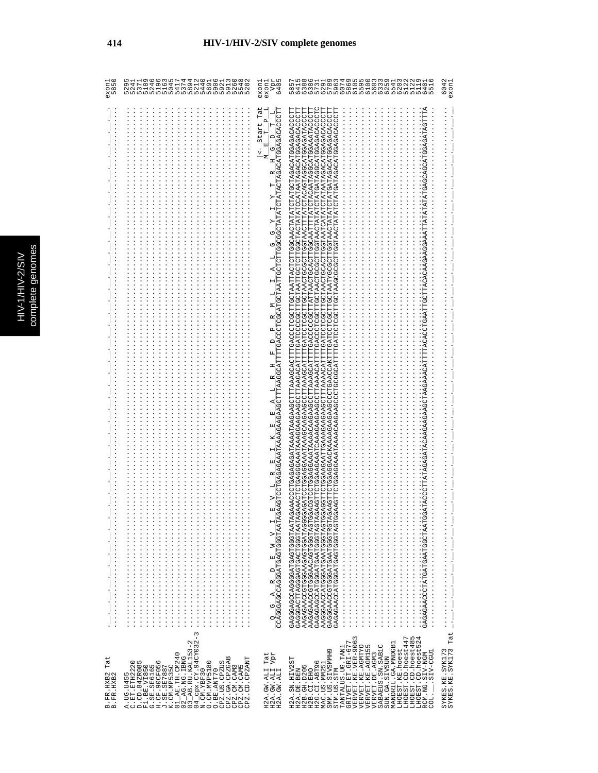| exon.<br>85<br>Б              | MHUHHO4W80489990000<br>し849644594490045648<br>Ч966wF44004649048<br>9.4<br>$\sim$ $\sim$<br>ហហហហហហហហហហហហហហហហហហហហ                                                                                                                                                                                                                                                                                                                                                                                                                                        | 6405<br>30405<br>exon1<br>exon1                                                                                                                                                                                                                                                                                                                                                                                                                                                                                                                                         | 00 PHO PHO PHO PHO DO PHO PHO PHO<br>00 PHO DO DO DO DO DO DO DO DO DO DO DO PHO<br>00 PHO DO DO DO DO DO DO DO DO DO PHO PHO PHO<br>00 PHO PHO PHO DO DO PHO PHO NO PHO<br>00 PHO PHO PHO DO PHO PHO NO PHO<br>00 PHO PHO PHO DO PHO PHO NO<br>$\frac{5}{41}$<br>$\circ$                                                                                                                                                                                                                                                                                                                                                                                                                                                                                                                                                                                      | 6042<br>exoni                      |
|-------------------------------|--------------------------------------------------------------------------------------------------------------------------------------------------------------------------------------------------------------------------------------------------------------------------------------------------------------------------------------------------------------------------------------------------------------------------------------------------------------------------------------------------------------------------------------------------------|-------------------------------------------------------------------------------------------------------------------------------------------------------------------------------------------------------------------------------------------------------------------------------------------------------------------------------------------------------------------------------------------------------------------------------------------------------------------------------------------------------------------------------------------------------------------------|----------------------------------------------------------------------------------------------------------------------------------------------------------------------------------------------------------------------------------------------------------------------------------------------------------------------------------------------------------------------------------------------------------------------------------------------------------------------------------------------------------------------------------------------------------------------------------------------------------------------------------------------------------------------------------------------------------------------------------------------------------------------------------------------------------------------------------------------------------------|------------------------------------|
|                               |                                                                                                                                                                                                                                                                                                                                                                                                                                                                                                                                                        | $_{\rm{Lat}}$<br>$\frac{\mathbf{E}-\mathbf{V}-\mathbf{L}-\mathbf{R}-\mathbf{L}-\mathbf{R}-\mathbf{E}-\mathbf{R}-\mathbf{R}-\mathbf{R}-\mathbf{R}-\mathbf{R}-\mathbf{R}-\mathbf{R}-\mathbf{R}-\mathbf{R}-\mathbf{R}-\mathbf{L}-\mathbf{L}-\mathbf{R}-\mathbf{L}-\mathbf{R}-\mathbf{R}-\mathbf{R}-\mathbf{L}-\mathbf{L}-\mathbf{R}-\mathbf{R}-\mathbf{R}-\mathbf{R}-\mathbf{R}-\mathbf{R}-\mathbf{R}-\mathbf{R}-\mathbf{R}-\mathbf{R}-\math$<br>$\mathbf{a}$<br>Start<br>I T<br>I<br>띄<br>$\frac{1}{\sqrt{2}}$<br>Σ<br>$\frac{Q-G-A-R-D-E-M-V I}{CCAGGACGGATGAGGGTAATRG}$ | GTTTA<br>AAGUNGAAGGAAGKAAAAAGAAGAAGAAGAAGAAGAAGCUCUGAACUAATURGULAATUGUCUCUGUTAACUAATUATATATUTATUGAAGAGAGAGAGAGAGACCUTU<br>AAACTCTGGGAAATAAAGGAAGGAAGGAAGCTTAAGACACHTTTGATCGCCTAATTGGTAATCTTACTACTATATATATAGACATGGAAGACACCCTT<br>ACGTCCTGGAGAARTAAAACAAGAAGCCTTAAAGCATTTTGACCCCCCCTTATTATCACTGCACTTGGAATTTTATCTAGAATAGGCATGGAAAATACCCTT<br>CTGGAAGAATTGAAAGAAGAAGCTTTAAAACATTTTGATCCTCGCTTGGTAACTGCACTTGGTAATCATATCTATAAATAGACATGGAGACACCCTT<br>CATG<br>Ō<br>ĞCA<br>GAAGGAA<br>CTTACACAA<br>GAAA<br>GAAGCTAA<br><b>GAA</b><br><b>AGGTT</b><br><b>AAGTT</b><br><b>ORTARIDOOLOROOCAOOOROOCAOOORO</b><br>GAGGGAGGAGEOGOOGOOGAGE<br>AAGAGAACCOTOGAAGAGTGATAGGGG<br>AAGAGAAACCEOGAACAGTGGTAGT<br><b>DEHORHOODHENOHEOODHEOOOROEO</b><br><b>AAGGAACCATGGATGAATGGTAGTGG</b><br>GAGGGAACGGTGAATGAATGGTEGT<br>GAGAGAACCATGGATGAGTAGTAGT<br>cadada coorardarada regorarios | Tat                                |
| Tat<br>B.FR.HXB2<br>B.FR.HXB2 | $04$ cpx. $CY.94$ CY 032-3<br>N. CM. YBF30<br>$\begin{array}{c} 01\_AB \text{ .} \text{TH.} \text{ C} \text{M} 240 \\ 02\_AG \text{ .} \text{NG.} \text{ IBNG} \\ 03\_AB \text{ .} \text{RU.} \text{K} \text{AL} 153 - 2 \end{array}$<br>CPZ.GA.CPZGAB<br>CPZ.CD.CPZANT<br>A. UG. U455<br>C. ET. ETH2026<br>F1. BE. VI850<br>G. SE. SEG165<br>G. SE. SEC165<br>J. C. C. NE535C.<br>K. C. NE535C.<br>O. CM. MVP5180<br>$\begin{array}{ll} \text{O. BE.} \text{ANT} \text{70} \\ \text{CPZ. US.} \text{CPZUS} \end{array}$<br>CPZ.CM.CAM3<br>CPZ.CM.CAM5 | H2A.GW.ALI Tat<br>H2A.GW.ALI Vpr<br>H2A.GW.ALI                                                                                                                                                                                                                                                                                                                                                                                                                                                                                                                          | VERVET.KE.VER-9063<br>VERVET.KE.AGMTYO<br>LHOEST.CD.hoest447<br>LHOEST.CD.hoest485<br>LHOEST.CD.hoest524<br>GRIVET.ET.GRI-677<br>MANDRIL.GA.MNDGB1<br>S<br>SABAEUS.SN.SAB1C<br>TANTALUS.UG.TAN1<br>LHOEST.KE.hoest<br>VERVET.KE.AGM15<br>Ō<br>LIED-VIES.<br>RCM.NG.SIV-NGM<br>SMM. US. SIVSMMH<br>VERVET.DE.AGM3<br>SUN.GA.SIVSUN<br>H2A.SN.HIV2ST<br>H2G.CI.ABT96<br>MAC.US.MM251<br>H2B.GH.D205<br>H2B.CI.EHO<br>STM.US.STM<br>H2A.DE.BEN<br>- TOD                                                                                                                                                                                                                                                                                                                                                                                                           | SYKES.KE.SYK173<br>SYKES.KE.SYK173 |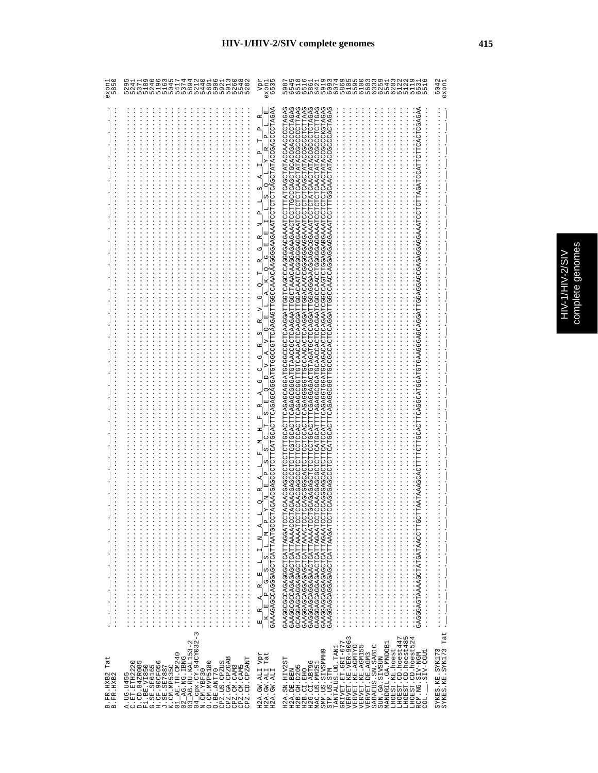| ï  |   |
|----|---|
|    |   |
|    | E |
|    |   |
|    | j |
| ì  |   |
|    |   |
|    |   |
|    |   |
|    |   |
|    |   |
| r. |   |
|    |   |
|    |   |
|    |   |
|    | r |
|    |   |
|    |   |

| Tat<br>B. FR. HXB2<br>B. FR. HXB2                                                                                                                                                                                                                                                                                                                                                                                                                                                 |                                                                                                                                                                                                                                                                                                                                                                                                                                                                                                                                                                                                                                     | exoni<br>585                                                                                                                       |
|-----------------------------------------------------------------------------------------------------------------------------------------------------------------------------------------------------------------------------------------------------------------------------------------------------------------------------------------------------------------------------------------------------------------------------------------------------------------------------------|-------------------------------------------------------------------------------------------------------------------------------------------------------------------------------------------------------------------------------------------------------------------------------------------------------------------------------------------------------------------------------------------------------------------------------------------------------------------------------------------------------------------------------------------------------------------------------------------------------------------------------------|------------------------------------------------------------------------------------------------------------------------------------|
| CPZ.GA.CPZGAB<br>CPZ.CM.CAM5<br>CPZ.CD.CPZANT<br>CPZ.US.CPZUS<br>CPZ.CM.CAM3<br>O.BE.ANT70                                                                                                                                                                                                                                                                                                                                                                                        |                                                                                                                                                                                                                                                                                                                                                                                                                                                                                                                                                                                                                                     | 5 משמשמשמשמשמשמשמשמש<br>2 משמש של הרס הראש מס מס משמש<br>2 משמש הרס הראש מס משמש<br>2 מט מט מט הר ש מס הם הרמס ממ<br>52241<br>5241 |
| Vpr<br>Tat<br>H2A.GW.ALI<br>H2A.GW.ALI<br>H2A.GW.ALI                                                                                                                                                                                                                                                                                                                                                                                                                              | ACAA CGA GCCCTCTTCATGCA CTTCA GA GGA GGA TGTGGCCCGTTCA AGA GTTGGCCA A A CAAGGGGA AGA AA TCCTCTCTCA GCTATA CCCCCTAGA A<br>ひ<br>$\circ$<br>σ.<br>叱<br>ωj<br>CO.<br>$\Delta$<br>$\frac{E}{\text{R}}\frac{R}{N}\frac{A}{T}\frac{1}{P}\frac{E}{G}\frac{E}{S}\frac{L}{S}\frac{L}{S}\frac{I}{F}\frac{N}{M}\frac{A}{P}\frac{L}{P}$                                                                                                                                                                                                                                                                                                          | exon1<br>6535<br>ypr                                                                                                               |
| VERVET.KE.VER-9063<br>LHOEST.CD.hoest447<br>LHOEST.CD.hoest485<br>LHOEST.CD.hoest524<br>TANTALUS.UG.TAN1<br>GRIVET.ET.GRI-677<br>LHOEST.CD.hoest48<br>LHOEST.CD.hoest52<br>MANDRIL.GA.MNDGB1<br>VERVET.KE.AGMTYO<br>VERVET.KE.AGMI55<br>SABAEUS.SN.SAB1C<br>LHOEST.KE.hoest<br>SMM.US.SIVSMMH9<br>LIED-VIS<br>RCM.NG.SIV-NGM<br>VERVET. DE. AGM3<br>SUN.GA.SIVSUN<br>H2A.SN.HIV2S<br>MAC.US.MM251<br>H2G.CI.ABT9<br>H2B.GH.D205<br>H2B.CI.EHO<br>STM.US.STM<br>H2A.DE.BEN<br>coi. | PAPAGPIONODACOURCOUPLOURUMAARAGAGAGANA AGALOODLLAADAADACUDOURGADE AGOOOOGAGAULDAUDEDADADADOADOURDOOOADOURU<br>PAPPERTONANG PARA PAPPERTANG PAPPERTANG PAPPERTANG PAPPERTANG PAPPERTANG PAPPERTANG PAPPERTONG PAPPERTANG PAPPE<br>COAGGGAGCACTOCATTOATTOATTOGGGGGAGAGAGAGAGAGAGGGCCAGGCCGGGGAGGARGAAGTOTOTOTOAGTATACOCCCCCKGTAGAG<br>GAGAA<br>GCAGAGAGCTCT<br>CGAGCCCT<br>CAG<br>GCAGGAGGAGAGACTCATTAAAATCCT<br>GAGGGAGGAGAACTCATTAAAATCCT<br>GAAGGAGCAGGAGCTCATTAGAATCCT<br>GAAGGAGCAGGAGAGCTCATTAAGATCCT<br>GAAGGCGCCAGAGGCTCATTAGGATCCT<br>GAAGGAGCAGGAGAGTTAAACTO<br>GAGGGAGGAGAACTCATTAGAATCCT<br>GAAGGCGCCAGAGAGCTCATTAAAACCCT |                                                                                                                                    |
| SYKES.KE.SYK173<br>SYKES.KE.SYK173 Tat                                                                                                                                                                                                                                                                                                                                                                                                                                            |                                                                                                                                                                                                                                                                                                                                                                                                                                                                                                                                                                                                                                     | 6042<br>exon                                                                                                                       |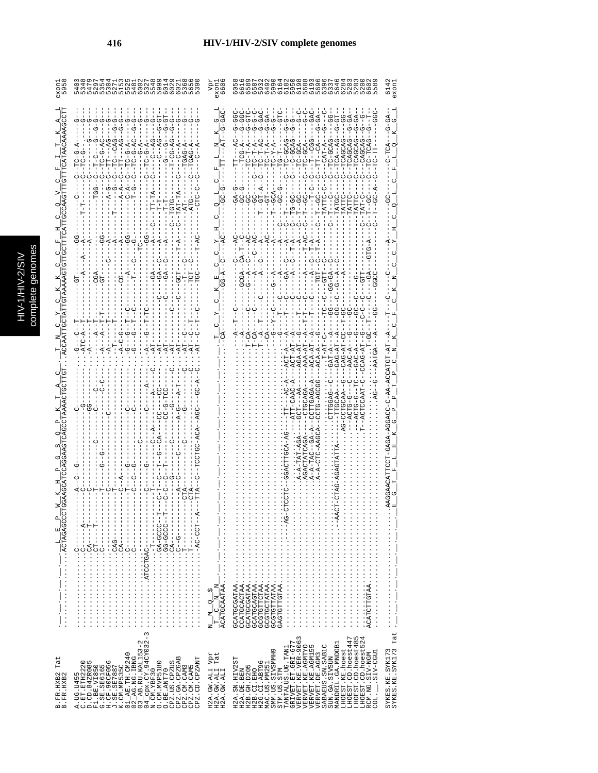| C<br>n |
|--------|
|        |
|        |
| ă<br>ï |
|        |
|        |
|        |
|        |
| ŷ      |

|                               | nnnnnnonnno<br>nnnnnnonnno                                                                                                                                                                                                                                                                                                                                                                                                                                                                                                                                                                                                                                          |                                                                | $\overline{6}$                                                                                                                                                                                                                                                                                                                                                                                                                                                                                                                                                                                 |
|-------------------------------|---------------------------------------------------------------------------------------------------------------------------------------------------------------------------------------------------------------------------------------------------------------------------------------------------------------------------------------------------------------------------------------------------------------------------------------------------------------------------------------------------------------------------------------------------------------------------------------------------------------------------------------------------------------------|----------------------------------------------------------------|------------------------------------------------------------------------------------------------------------------------------------------------------------------------------------------------------------------------------------------------------------------------------------------------------------------------------------------------------------------------------------------------------------------------------------------------------------------------------------------------------------------------------------------------------------------------------------------------|
|                               | <b>5-9-5</b><br>Ġ<br>$-10-3-2-7$                                                                                                                                                                                                                                                                                                                                                                                                                                                                                                                                                                                                                                    |                                                                | ן וְטָטָטָ<br>סְּטְטָּטָ <sup>ָ</sup><br>אֶטְ יְ יִ יְ טְ<br>$-9 - 6 - 6$<br>G-GA-<br>G-GA-<br>-- 00-<br><b>G-9-5</b><br>$T = T - G C A$<br>$-CTA$<br>$X-\supseteq \mathbb{T}$                                                                                                                                                                                                                                                                                                                                                                                                                 |
|                               |                                                                                                                                                                                                                                                                                                                                                                                                                                                                                                                                                                                                                                                                     |                                                                | $-90 - 1 - 1$<br>$TC - GC -$<br>TATTC                                                                                                                                                                                                                                                                                                                                                                                                                                                                                                                                                          |
|                               |                                                                                                                                                                                                                                                                                                                                                                                                                                                                                                                                                                                                                                                                     |                                                                |                                                                                                                                                                                                                                                                                                                                                                                                                                                                                                                                                                                                |
|                               |                                                                                                                                                                                                                                                                                                                                                                                                                                                                                                                                                                                                                                                                     |                                                                |                                                                                                                                                                                                                                                                                                                                                                                                                                                                                                                                                                                                |
|                               |                                                                                                                                                                                                                                                                                                                                                                                                                                                                                                                                                                                                                                                                     |                                                                |                                                                                                                                                                                                                                                                                                                                                                                                                                                                                                                                                                                                |
|                               |                                                                                                                                                                                                                                                                                                                                                                                                                                                                                                                                                                                                                                                                     |                                                                |                                                                                                                                                                                                                                                                                                                                                                                                                                                                                                                                                                                                |
|                               |                                                                                                                                                                                                                                                                                                                                                                                                                                                                                                                                                                                                                                                                     |                                                                | $\begin{minipage}{0.9\textwidth} \begin{minipage}{0.9\textwidth} \begin{itemize} \color{blue}{\textbf{0.9\textwidth} \begin{itemize} \color{blue}{\textbf{0.9\textwidth} \begin{itemize} \color{blue}{\textbf{0.9\textwidth} \begin{itemize} \color{blue}{\textbf{0.9\textwidth} \begin{itemize} \color{blue}{\textbf{0.9\textwidth} \begin{itemize} \color{blue}{\textbf{0.9\textwidth} \begin{itemize} \color{blue}{\textbf{0.9\textwidth} \begin{itemize} \color{blue}{\textbf{0.9\textwidth} \begin{itemize} \color{blue}{\textbf{0$                                                       |
|                               |                                                                                                                                                                                                                                                                                                                                                                                                                                                                                                                                                                                                                                                                     |                                                                |                                                                                                                                                                                                                                                                                                                                                                                                                                                                                                                                                                                                |
| Tat<br>B.FR.HXB2<br>B.FR.HXB2 | $\sim$<br>$\begin{array}{l} 01\_AB\_TH1.0W240 \\ 02\_AG.103\_TH1.0W3 \\ 03\_AB\_RU1531-2 \\ 04\_AB\_RU1531-2 \\ N\_CN12F23 \\ N\_CN1NF23 \\ 0.7W1NV25180 \\ \end{array}$<br>CPZ.US.CPZUS<br>CPZ.GA.CPZGAB<br>CPZ.CM.CAM3<br>CPZ.CM.CAM5<br>CPZ.CD.CPZANT<br>$\begin{array}{l} \text{A. UG. U4455} \\ \text{C. EIT. ETH2225} \\ \text{D. EIT. ETH2225} \\ \text{F1. B1} \\ \text{F2. B1} \\ \text{G. SE. SE55615} \\ \text{G. SE. SE6165} \\ \text{G. SE. SE6165} \\ \text{G. SE. SE6165} \\ \text{G. SE. SE6165} \\ \text{A. SE. SE6165} \\ \text{A. SE. SE6165} \\ \text{A. SE. SE6165} \\ \text{A. SE. SE6165} \\ \text{A. SE. SE6165} \\ \text{A.$<br>O.BE.ANT70 | $_{\rm{Lat}}$<br>Vpr<br>H2A.GW.ALI<br>H2A.GW.ALI<br>H2A.GW.ALI | SYKES.KE.SYK173<br>SYKES.KE.SYK173<br><br>ru 4<br>LHOEST.CD.hoest447<br>$\begin{array}{ll} \texttt{TANTALUS UG. TAMI} \\ \texttt{GRLVET. ET. GRL-677} \\ \texttt{VERVET. KE. VER-9063} \\ \texttt{VERVET. KE. ZAL-9063} \\ \texttt{VERVET. KE. AGNLS} \\ \texttt{VERVET. DE. AGNIS} \end{array}$<br>LHOEST.CD.hoest48<br>LHOEST.CD.hoest52<br>MANDRIL.GA.MNDGB1<br>SABAEUS.SN.SAB1C<br>LHOEST.KE.hoest<br>SMM.US.SIVSMMH9<br>LIED-VIES.<br>RCM.NG.SIV-NGM<br>SUN.GA.SIVSUN<br>H2A.SN.HIV2ST<br>H2G.CI.ABT96<br>MAC.US.MM251<br>H2B. GH. D205<br>STM.US.STM<br>H2B.CI.EHO<br>H2A.DE.BEN<br>COL. |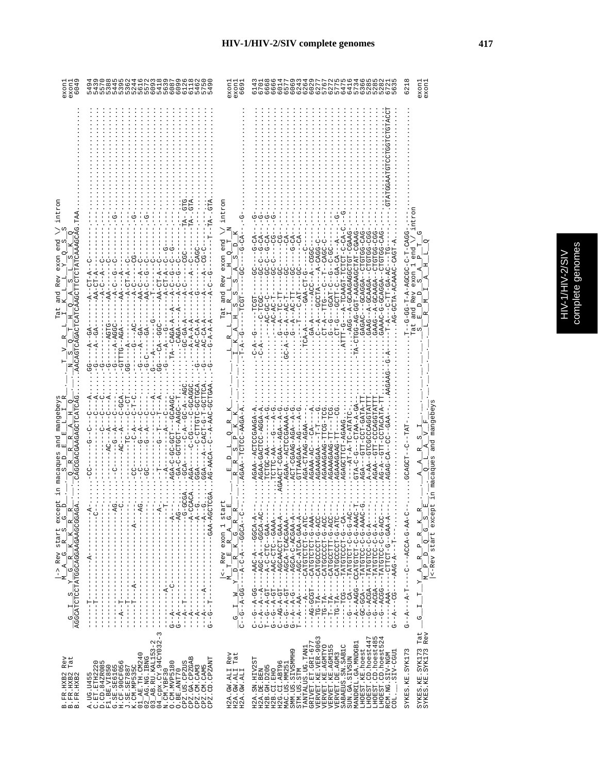|  | HIV-1/HIV-2/SIV | complete genomes |
|--|-----------------|------------------|
|  |                 |                  |

| exon<br>604<br>exon                                                                                                                                                                                                        | $\sigma$ $\rightarrow$ $\sim$ $\sigma$ $\sigma$<br>৩<br>e m<br>O<br>ഥ സ                                                                                                                                                                                                                                                                                                                                                                                                                                                                                                                                                                                                                                                                                                                                                                                                                                                                                                                                                                           | exon.<br>exon<br>669                                                                                                                                                                                                                                                                                                                                                                                                                                                                                                                                                                                                                                                                       |                                                                                                                                                                                                                                                                                                                                                                                                                                                                                                                                                                                                                                                                                                                                                                                                                                                                                                                                                                                                                                                                                            | exon.<br>exon<br>621                                                                                                                                           |
|----------------------------------------------------------------------------------------------------------------------------------------------------------------------------------------------------------------------------|---------------------------------------------------------------------------------------------------------------------------------------------------------------------------------------------------------------------------------------------------------------------------------------------------------------------------------------------------------------------------------------------------------------------------------------------------------------------------------------------------------------------------------------------------------------------------------------------------------------------------------------------------------------------------------------------------------------------------------------------------------------------------------------------------------------------------------------------------------------------------------------------------------------------------------------------------------------------------------------------------------------------------------------------------|--------------------------------------------------------------------------------------------------------------------------------------------------------------------------------------------------------------------------------------------------------------------------------------------------------------------------------------------------------------------------------------------------------------------------------------------------------------------------------------------------------------------------------------------------------------------------------------------------------------------------------------------------------------------------------------------|--------------------------------------------------------------------------------------------------------------------------------------------------------------------------------------------------------------------------------------------------------------------------------------------------------------------------------------------------------------------------------------------------------------------------------------------------------------------------------------------------------------------------------------------------------------------------------------------------------------------------------------------------------------------------------------------------------------------------------------------------------------------------------------------------------------------------------------------------------------------------------------------------------------------------------------------------------------------------------------------------------------------------------------------------------------------------------------------|----------------------------------------------------------------------------------------------------------------------------------------------------------------|
| intror<br>AACAGURGAGAGUETUCAGUETUUTATURGAGUETAA<br>end<br>0<br>exon<br>C)<br>Rev<br>ທ່<br>and<br>Tat                                                                                                                       | りー<br>ウーー<br>U<br>J<br>J<br>$A - CT - A$<br>$-1$<br>$-AA-CT-P$<br>$-4$<br>$-4-$<br>$-4-$<br>ں<br>ا<br>Y,<br>$AA-C$<br>Ÿ<br>$P-A-CAGA-A$<br>$AC-CA-A$<br>$-AC-CA-A$<br>$- A - A - A - P$<br>$A - B - C - C - C$<br>$\cdots$ $\cdots$<br>$-4-1-5-1$<br><b>CC---20--00</b><br>$-4 - -$<br>$- - A G T G$<br>$-54$<br>$--A - A- G$<br>$-4 - -$<br>-GTTTG--AGA<br>$- -A - -$<br>$\begin{array}{c}\n- \\ \downarrow \\ 0\n\end{array}$<br>$G - - -$<br>ှု<br>ーウワ<br>$\frac{1}{1}$<br>$\frac{1}{9}$<br>ا<br>ا<br>しじ                                                                                                                                                                                                                                                                                                                                                                                                                                                                                                                                       | intror<br>ל<br>י<br>$G-CA$<br>$rac{d}{dt}$<br>$\Box$<br>$\circ$<br>exon<br>ທ່<br>Rev<br>CO<br>and<br>w<br>w<br>Tat                                                                                                                                                                                                                                                                                                                                                                                                                                                                                                                                                                         | ひ<br>ひ<br>ひ<br>URU-UULULU--RUURUU----URURU<br>$-5$<br>ARCO-HAHOOARCART-HOO-OA-OOHO-<br>$G-CA$<br>မ<br>$A-CAGG$<br>C-CACH<br>$ CAG$<br>IUHUUUKUKKUU-K--UUK-<br>りし<br>$\frac{0}{1}$<br>$C - C - C$<br>ひ<br>し<br>り<br>し<br>AG-GCTA-ACAAA<br>U-LO-<br>$-4 - 2 - T C A A G$<br>CT-G---GCTT-C<br>$C--A---GCCTA-$<br>$-12TT - 2A - TTG - 1$<br>EXUD---D--D<br>$-GBA$<br>ドリーワー<br>$G--A--AC-T$<br>Ŗ<br>۲J<br>با<br>7<br>$-4-2$<br>A<br>ပု<br>-ATTT-G-<br>$G-A-$                                                                                                                                                                                                                                                                                                                                                                                                                                                                                                                                                                                                                                    | UURU-H-U-UUUUR-R-H-UU-U---H<br>end<br>exon<br>Rev<br>and<br>Jat<br>C)                                                                                          |
| CAGCGAGAAGAACUTCATCAC<br>mangebeys<br>O<br>œ<br>and<br>macaques<br>O                                                                                                                                                       | -GCTGA<br>$-A$ - $AC$<br>GCAG-<br>$-GCA$<br>UURRUP--<br>H--ひのstd--HDのHDの-ひ-ぱの<br>59<br>1<br>UU--4-U-<br>りーウー<br>$AC---A$<br>$-5 - 7$<br>ローロー<br>U<br>CAC<br>I<br>ひし<br><b>LOD-00-</b><br>Ú<br>AG-AACA--C<br>U<br>AGA –<br>$-4$<br>$\overline{AB}$<br>투<br>ပု<br>8                                                                                                                                                                                                                                                                                                                                                                                                                                                                                                                                                                                                                                                                                                                                                                                 | CTCC-AAGA-A<br>$\mathbf{a}$<br>S                                                                                                                                                                                                                                                                                                                                                                                                                                                                                                                                                                                                                                                           | ヴー Ч T T H H H H U - T U - H H H H<br>AGAA--ACTOCAAGA-A<br>AGAA-GACTCC-AGGA-A<br>AGA---GTT-CCT-GATA<br>AGAAAGAAG-TTC-TC<br>---AT-A-TC-ATATC<br>ACT-CGAG-AGA-A<br>AGAA - -ACTCCGAAAA<br>י<br>ו<br>AGAGCTTCT-AGAAG<br>AGAAAGAAG-TT-<br>AGA-CTAAG-AGAA<br>$\frac{1}{2}$<br>$  AGA$<br>AGAAAGAAG-TT<br>-AA--AA-<br>CTTC-AA-<br>AGAAA-AC-<br>AGAAAGAA-<br>CT-CGAA<br><b>GTTTAAGAA</b><br>CTGC-AA<br>AGAA-                                                                                                                                                                                                                                                                                                                                                                                                                                                                                                                                                                                                                                                                                       | mangebeys<br>GCAGCT--C-TRT<br>and<br>macaques                                                                                                                  |
| exce<br>AGGCATCTCCTATGGCAGGAAGAAGCGGA<br>U<br>$ \mathbf{r} $<br>start<br>LR_S_<br>$\mathbb{K}$<br>ල $\overline{\mathcal{C}}$<br>$->$ Rev<br>$\mathbf{p}$<br>$\overline{A}$<br>U,<br>⊻<br>∑<br>Σ<br>ωj<br>$\mathbf{H}$<br>ゎ | ਯੂ<br>$N - 1 - 1 - 1 - 1 - 1 - 1$<br>j<br>$-1$<br>) – 4 – – – – – – – – –<br>$-1$ - $-1$<br>$-4$<br>$---GAA-AGC$<br>$\begin{bmatrix} 1 \\ 1 \\ 1 \end{bmatrix}$<br>$\begin{array}{c} 1 \\ 1 \\ 1 \end{array}$<br>$\mathbf{I}$<br>$\frac{1}{1}$<br>T<br>$\frac{1}{1}$<br>$-1$ $-1$ $-1$ $-1$ $-1$ $-1$ $-1$<br>$\begin{array}{c} 1 \\ 1 \\ 1 \end{array}$<br>$-$ - $-$ - $ R$ - - - - - - -<br>$-1$ $-1$ $-1$ $-1$ $-1$ $-1$<br>$-1$ $-1$ $-1$ $-1$ $-1$ $-1$ $-1$<br>-1<br>$\frac{1}{1}$<br>$\frac{1}{1}$<br>$\,$ I<br>$- -A - - - - - - - - -$<br>$\begin{array}{c} 1 \\ 1 \\ 1 \end{array}$<br>$-1$ - $-1$ - $-1$ - $-1$<br>$-1$ $-1$ $-1$ $-1$ $-1$<br>$\frac{1}{1}$<br>$\frac{1}{1}$<br>$\overline{\phantom{a}}$<br>$\frac{1}{1}$<br>$\begin{array}{c} 1 \\ 1 \\ 1 \end{array}$<br>Ţ<br>$\frac{1}{1}$<br>$\begin{array}{c} 1 \\ 1 \\ 1 \\ 1 \end{array}$<br>۲<br>ا<br>ţ<br>$\frac{1}{1}$<br>J.<br>ï<br>ı<br>Ġ<br> <br>$\begin{array}{c} 1 \\ 1 \\ 1 \end{array}$<br>$-4$<br>$-4$<br>I<br>J<br>J.<br>Т<br>÷<br>J.<br>J.<br>т<br>л<br>J.<br>じ じ | $\frac{5}{1-x}$ Rev exon 1 sta<br>$\begin{array}{c}\n\begin{array}{c}\n\end{array} \\ \begin{array}{c}\n\end{array} \\ \begin{array}{c}\n\end{array} \\ \begin{array}{c}\n\end{array} \\ \begin{array}{c}\n\end{array} \\ \begin{array}{c}\n\end{array} \\ \begin{array}{c}\n\end{array} \\ \begin{array}{c}\n\end{array} \\ \begin{array}{c}\n\end{array} \\ \begin{array}{c}\n\end{array} \\ \begin{array}{c}\n\end{array} \\ \begin{array}{c}\n\end{array} \\ \begin{array}{c}\n\end{array} \\ \begin{array}{c}\n\end{array} \\ \begin{array}{c}\n\end{array} \\ \begin$<br>  <sub>א</sub> י<br>$\mathbb{H}$<br>≥∣<br>$\mapsto$<br>I<br>$-55 - 7 - 7 - 7$<br>Z,<br>$\blacksquare$<br>Ō, | --AGCA-C-ACGAA-A-<br>$-10P1$<br>$\begin{array}{l} \texttt{---} \texttt{AG-GGCT--CATGTCTCT--G-AA-} \\ \texttt{---} \texttt{TC--TG-TA---CATGCCTCT--G-AC-} \\ \texttt{---} \texttt{--TG-TA---CATGCCTCT--G-AC-} \\ \texttt{---} \texttt{--TG-TA---CATGCCTCT--G-AC-} \\ \texttt{---} \texttt{--TG-TA---CATGCCTCT--G-AC-} \\ \texttt{---} \end{array}$<br>- ) 444-9-0-000045-1-1-409-00-1<br>j.<br>U4-4000---4-004--<br>UARA-U-U-HUHUHUU--UURA---<br>$-G - A - - -$<br>-AGC-ACCA-GAA-A-<br>$-4 - 440 - - 0 - 10$<br>$\begin{array}{l} C--(-6 - A - G C---AAC - A---G C A-A---1)\\ C--C--A-CT---A-C-T(C--GAA---1)\\ T--G--A-CT---A-C-T(C--GAA---1)\\ C--C--A-CT---A-C-T(C--GAA-----1)\\ C--A-CT---A-C-T(C--GAA----1)\\ C--A-CT---A-CT---A-CT\_A-CT\_A\\ C--C--A-CT\_A-CT\_A-CT\_A\\ C--C--A-CT\_A-CT\_A-CT\_A\\ C--C--A-CT\_A-CT\_A-CT\_A\\ C--C--A-CT\_A-CT\_A-CT\_A\\ C--C--A-CT\_A-CT\_A-CT\_A$<br>:UU4-U-U-UUHUHaH---UUUK--<br>$-6 - A - -$<br>$-1 - AAG - A - -T -$<br>--G--ACGA---TATGTCC-C<br>U-UUHUHAH---AGUA--U-<br>$G - -A - -A - G - - -$<br>$---AAA--$<br>Ť,<br>$T - -A --A A$<br>ウーー | P.<br><-Rev start excep<br>$\omega$<br>ار<br>ا<br>$\circ$<br>q<br>$\frac{p}{p-2}$<br>$\mathbb{P}[\,]$<br>$\mathbf{a}_1$<br>τ,<br>Σ<br>Σ<br>$\vdash$<br>H<br>U, |
| Rev<br>Tat<br>B.FR.HXB2<br>B.FR.HXB2<br>B.FR.HXB2                                                                                                                                                                          | CPZ. US. CPZUS<br>CPZ. GA. CPZGAB<br>CPZ. CM. CAM3<br>CPZ. CM. CAM5<br>CPZ. CD. CPZANT<br>A.UG.U455<br>C.ET.ETH22                                                                                                                                                                                                                                                                                                                                                                                                                                                                                                                                                                                                                                                                                                                                                                                                                                                                                                                                 | Rev<br>Tat<br>H2A.GW.ALI F<br>H2A.GW.ALI T<br>H2A.GW.ALI                                                                                                                                                                                                                                                                                                                                                                                                                                                                                                                                                                                                                                   | TANTALUS.UG.TANI<br>GRIVET.ET.GRI-677<br>VERVET.KE.VER-9063<br>LHOEST.CD.hoest447<br>LHOEST.CD.hoest485<br>LHOEST.CD.hoest524<br>LHOEST.CD.hoest48<br>LHOEST.CD.hoest52<br>MANDRIL.GA.MNDGB1<br>VERVET .KE .AGMTYO<br>VERVET .KE .AGM155<br>SABAEUS.SN.SAB1C<br>SUN.GA.SIVSUN<br>LHOEST.KE.hoest<br>H2G.CI.ABT96<br>MAC.US.MM251<br>SMM.US.SIVSMMH9<br>STM.US.STM<br>RCM.NG.SIV-NGM<br>COL.____SIV-CGU1<br>VERVET. DE. AGM3<br>H2A.SN.HIV2ST<br>H2B.GH.D205<br>H2B.CI.EHO<br>H2A.DE.BEN                                                                                                                                                                                                                                                                                                                                                                                                                                                                                                                                                                                                    | Tat<br>Rev<br>SYKES.KE.SYK173<br>SYKES.KE.SYK173<br>SYKES. KE. SYK173                                                                                          |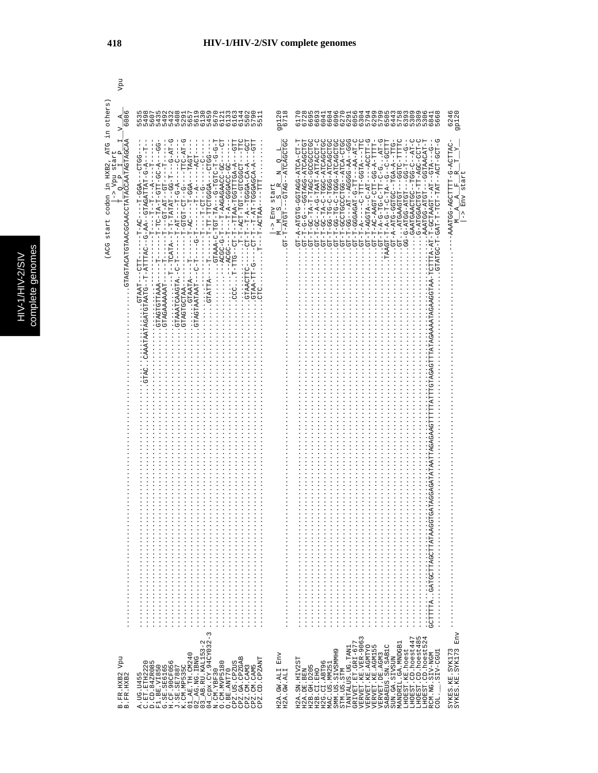| others<br>$\frac{4}{608}$                                                                                           | LO SU DA CONDITION DA CONDITADO HA CONDITADO HA CONDITADO HA CONDITADO HA CONDITADO HA CONDEMENTO HA CONDEMENT<br>LO SU DA CONDITADO HA CONDITADO HA CONDITADO HA CONDEMENTO HA CONDEMENTO HA CONDITADO HA CONDITADO HA CONDEMEN<br>nnnnnnnnnnnn onno ooonnn                                                                                                                                                                                                                                                                                                                                                                                                                                                                                                                                                                                         | 9p120<br>6718                                                                                                                                                                                                                                                                                                   |                                                                                                                                                                                                                                                                                                                                                                                                                                                                                                                                                                                                                                                                                                                                                                                                                                                                                                                                                                                                                                                                                                                                                                                                                                                                                                                                                                                                                                                                                                                                      | 6246<br>9P120                                                                                                                                                               |
|---------------------------------------------------------------------------------------------------------------------|------------------------------------------------------------------------------------------------------------------------------------------------------------------------------------------------------------------------------------------------------------------------------------------------------------------------------------------------------------------------------------------------------------------------------------------------------------------------------------------------------------------------------------------------------------------------------------------------------------------------------------------------------------------------------------------------------------------------------------------------------------------------------------------------------------------------------------------------------|-----------------------------------------------------------------------------------------------------------------------------------------------------------------------------------------------------------------------------------------------------------------------------------------------------------------|--------------------------------------------------------------------------------------------------------------------------------------------------------------------------------------------------------------------------------------------------------------------------------------------------------------------------------------------------------------------------------------------------------------------------------------------------------------------------------------------------------------------------------------------------------------------------------------------------------------------------------------------------------------------------------------------------------------------------------------------------------------------------------------------------------------------------------------------------------------------------------------------------------------------------------------------------------------------------------------------------------------------------------------------------------------------------------------------------------------------------------------------------------------------------------------------------------------------------------------------------------------------------------------------------------------------------------------------------------------------------------------------------------------------------------------------------------------------------------------------------------------------------------------|-----------------------------------------------------------------------------------------------------------------------------------------------------------------------------|
| цĹ.<br>GTACTROTRACGCAACCTATACCAATAGTAGCAA<br>, ATG<br>А,<br>tart<br>in HXB2<br>Vpu s<br>o<br>codon<br>start<br>(ACG | ひ‐エトマーひエエー‐‐‐‐‐‐エひ‐エのエの‐エー<br>$- - GCT$<br>$-9 - -$<br>ELE)<br>$\frac{1}{1}$<br>$-GGA - -TAGT - -$<br>- - HUA - - - - - - - - - - -<br>$-1$ $-1$ $-1$ $-1$ $-1$<br>İ<br>-- 11-1-1-1-1-1-1-1-1-1-1-1-1-1-1-1-<br>U<br>÷<br> <br>--TH-AT-TGGGAGCA-A<br><b>L-L-WCL-LGL-LGL-H-H</b><br>U-UUACAGAGAAC-T<br>- - ペーー - ロー - ロー - - - - - -<br>$-9 - -12 - -1 - - - -$<br>$- - - - - - - - - - - - -$<br>$-T-PCITAA$<br>$\frac{1}{1}$<br>$-1 - 9 - - - -$<br>$-1 - 0 - 0$<br>$-1 - \mathbf{C} \mathbf{T} - \mathbf{T}$<br>$T-T$<br>$-100 - 1$<br>ŀ<br>$-T - T - A T T T A C$<br>ł<br>$-CTTT$ -<br>$-1 - T - -$<br>J<br>$\cdots$ $T-T$<br>ł<br>Ė<br>$\cdots$<br>$\cdots 27 A G T G T T A A A -$<br>- GTAGAAAAAAT-<br>$\vdots$<br>GTAA-T<br>. GTAACT<br>GTAGTGCTAA--<br><b>CTAAT</b><br>CAAATAATAGATGTAATG<br>$\frac{1}{2}$<br>$\vdots$ $\vdots$ $\vdots$<br>3 | $\begin{array}{rcl} &\text{M} & \text{M} & \text{S} & \text{R} & \text{N} & \text{Q} & \text{L} \\ & \text{M} & \text{M} & \text{S} & -\text{S} & \text{R} & \text{M} \\ \text{G} & -\text{T} & -\text{A} & \text{T} & \text{G} & \text{T} & -\text{L} & -\text{T} \\ \end{array}$<br>start<br>Env<br>$\hat{a}$ | $\begin{minipage}{0.99\textwidth} \begin{tabular}{l} \multicolumn{2}{l}{{\color{red}\textbf{0.99\textwidth}}}\begin{tabular}{l} \multicolumn{2}{l}{{\color{red}\textbf{0.99\textwidth}}}\begin{tabular}{l} \multicolumn{2}{l}{{\color{red}\textbf{0.99\textwidth}}}\begin{tabular}{l} \multicolumn{2}{l}{{\color{red}\textbf{0.99\textwidth}}}\begin{tabular}{l} \multicolumn{2}{l}{{\color{red}\textbf{0.99\textwidth}}}\begin{tabular}{l} \multicolumn{2}{l}{{\color{red}\textbf{0.99\textwidth}}}\$<br>- 1000 - 1000 - 1000 - 1000 - 1000 - 1000 - 1000 - 1000 - 1000 - 1000 - 1000 - 1000 - 1000 - 1000 -<br>CT.<br>--9-5-1-1-0-60-1-1-0-1-0-1-1-0-1-1<br>--9-5-2-2-2-0-2-2-2-2-2-2-2-2-2-2-2-2-2-<br>$-TQ - C - TQ - C - D$<br>U-LUU-UUA-LLI-U<br>U-HUU-HUA---HAH-<br>00000000-004F-F-YH-00-F-F-<br>$\begin{array}{l} \mathfrak{S}^{\mathbf{r}_{1}-1} \text{-} \mathfrak{S}^{\mathbf{r}_{-1}-1} \text{-} \mathfrak{S}^{\mathbf{r}_{-1}-1} \text{-} \mathfrak{S}^{\mathbf{r}_{1}-1} \text{M}^{\mathbf{r}_{1}-1} \text{M}^{\mathbf{r}_{1}} \text{M}^{\mathbf{r}_{2}} \text{M}^{\mathbf{r}_{2}} \text{-} \mathfrak{S}^{\mathbf{r}_{2}} \text{-} \mathfrak{S}^{\mathbf{r}_{1}} \text{-} \mathfrak{S}^{\mathbf{r}_{2}} \text{-} \mathfrak{$<br>--GGTAACAT-T<br>UT-A-ATGTG-GGTAG-ATCA-CT-<br>IDHUURUHR-DURHUU----D-<br>U-1-ALU-1-AL-1-UAACLOU-H-H<br>GAATGAACTGC<br>FOH-H-HAO-H-UOHAHO<br>$G-T$ -<br>TTGTAGAGTTATAGAAAATAGAAGGTAA<br>AGGAGATATAATTA<br>$\ldots \ldots \ldots \ldots \ldots \ldots \ldots \ldots \ldots \ldots \ldots$ | $\begin{array}{lll} \texttt{AAATGG-AGCTTTT-G-ACTTAC-} \\ \texttt{M} & \texttt{A} & \texttt{F} & \texttt{F} & \texttt{Y} \\ \end{array}$<br>start<br>Env<br>$\hat{a}$<br>Env |
| Vpu<br>B.FR.HXB2<br>B.FR.HXB2                                                                                       | $\begin{array}{l} 0. \text{ BE} \cdot \text{MMT70} \\ \text{CEZ} \cdot \text{US} \cdot \text{CEZUS} \\ \text{CEZ} \cdot \text{GL} \cdot \text{CEZGBB} \\ \text{CEZ} \cdot \text{CM} \cdot \text{CAM5} \\ \text{CEZ} \cdot \text{CM} \cdot \text{CAM5} \\ \text{CEZ} \cdot \text{CM} \cdot \text{CAMT} \\ \text{CEZ} \cdot \text{CL} \cdot \text{CEZAMT} \end{array}$                                                                                                                                                                                                                                                                                                                                                                                                                                                                                 | Env<br>H2A.GW.ALI<br>H2A.GW.ALI                                                                                                                                                                                                                                                                                 | $\begin{array}{l} \texttt{TANTALUS . UG . TAMI} \\ \texttt{GRIVET . ET . GL I-677} \\ \texttt{VERVET . KE . VER-9063} \end{array}$<br>LHOEST.KE.hoest<br>LHOEST.CD.hoest447<br>LHOEST.CD.hoest447<br>LHOEST.CD.hoest524<br>MANDRIL.GA.MNDGB1<br>VERVET.KE.AGMTYO<br>VERVET.KE.AGMI55<br>VERVET.DE.AGMI55<br>SABAEUS.SN.SABIC<br>SMM.US.SIVSMMH9<br>RCM.NG.SIV-NGM<br>COL.____SIV-CGU1<br>SUN.GA.SIVSUN<br>H2A.SN.HIV2ST<br>H2B.CI.EHO<br>H2G.CI.ABT96<br>MAC.US.MM251<br>H2B. GH. D205<br>STM.US.STM<br>H2A.DE.BEN                                                                                                                                                                                                                                                                                                                                                                                                                                                                                                                                                                                                                                                                                                                                                                                                                                                                                                                                                                                                                   | SYKES.KE.SYK173<br>SYKES.KE.SYK173                                                                                                                                          |

Vpu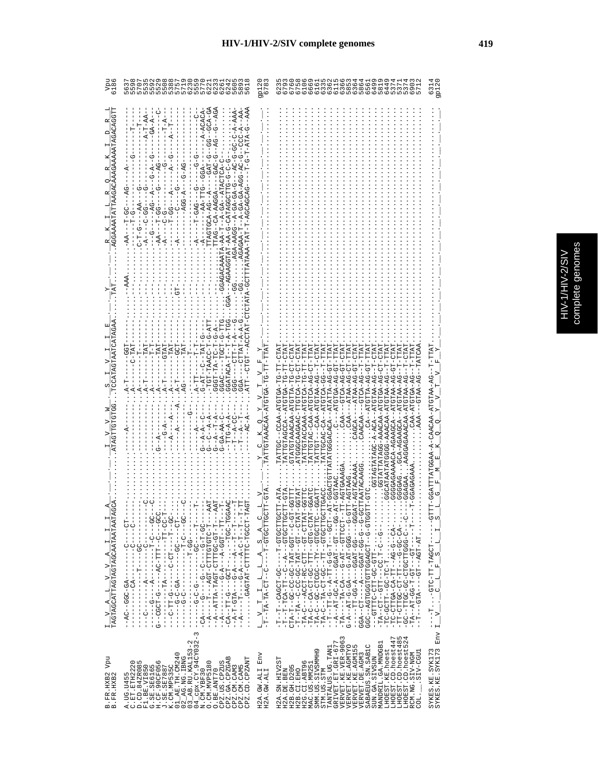| g<br>ß |
|--------|
| ŕ<br>מ |
|        |
| r      |

| 5                                                          | n www.www.comput.<br>www.ww.r<br>www.comput.ww<br>62<br>69                                                                                                                                                                                                                                                                                                                                | $\frac{1}{6}$                                                                                                                  | 69<br>685<br>696<br>りょうしょうに<br>0 LN 0                                                                                                                                                                                                                                                                                                                                                                                                                                                                                                                                                                                                         | 31q<br>3                                                                                                                                                       |
|------------------------------------------------------------|-------------------------------------------------------------------------------------------------------------------------------------------------------------------------------------------------------------------------------------------------------------------------------------------------------------------------------------------------------------------------------------------|--------------------------------------------------------------------------------------------------------------------------------|-----------------------------------------------------------------------------------------------------------------------------------------------------------------------------------------------------------------------------------------------------------------------------------------------------------------------------------------------------------------------------------------------------------------------------------------------------------------------------------------------------------------------------------------------------------------------------------------------------------------------------------------------|----------------------------------------------------------------------------------------------------------------------------------------------------------------|
|                                                            | U-AUA-U-<br>$-AA-T$<br>$-4-4-$<br><u> ひーひ⊄ーひひ⊄ー⊄ひー⊄ひーヸーー</u><br>AUHUAHA--AU--<br>U-ULLUUUQALAU-U-W-KALLUU<br>-U-RU-RU-R-UURR-RUR<br>--4--54-400H54HL<br>-- AUUAA-AU-- UAH<br>UU - H - I<br>AGAGAA-T<br>AAATA-AA-1                                                                                                                                                                         |                                                                                                                                |                                                                                                                                                                                                                                                                                                                                                                                                                                                                                                                                                                                                                                               |                                                                                                                                                                |
|                                                            |                                                                                                                                                                                                                                                                                                                                                                                           |                                                                                                                                |                                                                                                                                                                                                                                                                                                                                                                                                                                                                                                                                                                                                                                               |                                                                                                                                                                |
|                                                            | 00H-A-H--H-AOKHA00<br>-T4-9-F-DOKKH-F5F-<br>4-5-1-05-45-1505<br>- 5 - 5 - 7<br>ひ‐エヒエー‐い‐‐エヒイ‐モ<br>-CCL-<br>TAT<br>- 1111<br>T-T<br>$A-TT$<br>$-4 - 2 - 5 - 5$<br>$-4 - A - A$<br>$-1 - A - T - P$<br>$T--A-CC$<br>$G-GA-AA-C$<br>$TTG - A - I$<br>ن<br>۱                                                                                                                                  | Y C K Q<br>ATTGTAACAA                                                                                                          | CTAT<br>CA--ATGTTA-AG-GTTTAI<br>CTA.<br>CTA<br>GAAGCA--ATGTAA-AG--TTA<br>--ATAA-ACH-<br>- ACA-AATOTAA--T-<br>- HU-U4-AUHUH4-AAUART-<br>- H- - OR - ARHOHR- ARURAR-OOOO<br>GTATGTAAACAA-ATTA-TC-CT-<br>- LU - SL - YSLSLE - SYYSTYSTYSSLY<br>- H - - O 4 - 4 4 H D H 4 + 4 4 U - - - - H D H H 4 H<br>- 15-04-401514---<br>CAA---GTCA-AG-GT-<br>-TP-DA-AC-GT-<br>GACACA--ATATTA-AG-GT-<br>$-9A-40H-5$<br>FATTGTAAA-ATGTCA-1<br>$CAA-$<br>ATTGC                                                                                                                                                                                                 | CAACAA-ATCTAA-AG<br>TATT                                                                                                                                       |
| $\frac{1}{T}\frac{V}{\Delta GTRAGCATTAGTRGGRACZATRATRATR}$ | PAT<br>- 20 - - 1- - - - - 12 - 2 - - - - - - - - 0 - 11 - 2 - -<br>- - 1111 - - 1100 - 41 - - - 41 - 0 - - - - - - - - - - 4 -<br>00H-00H-- ' ' ---HO0----D-HH---KV-<br>ロー・ロー・ロー ひー スーー・スー ひー ーーーロー ーーーズーー<br>$-1 - 1 - 1$<br>$-1$ - $-1$ - $-1$<br>$\frac{1}{2}$<br>ひーーーーーーーー ばひーひひひーーひばーー<br>.<br>リーーーーーーーー KIリーーーーーーーーーー<br><b>ひひーーーーローーーーーーーーーーーーーー</b><br>$-1$ $-1$ $-1$ $-1$ $-1$  | $\frac{L}{1-T-1}$ V $\frac{T}{2L}$ $\frac{1}{2\pi}$ , $\frac{L}{2T-1}$ , $\frac{R}{T-1}$ , $\frac{S}{2L-1}$ , $\frac{R}{2L-1}$ | <b>COLD</b> :<br>-GGTA<br>29112915-1----25-12942--1--1-<br>) ひけいひりけの - - - ダー - ひ - - III- Yひけ - II - - II -<br>15-0--1505-1541-05-00-00--1-1-4HU<br>- TA-U-HO-- HIU-UA-HUUU-UA--<br>HAHU-DHU---HHH-UU-HU-KU--U-KH-<br>- 255955-125-12505-125-12-125-1<br>00HHUUHU - - HH - - UU - HU - KH - - U - KH<br>- - 1505 - - - 15 - 10 - 10 - 11 - 14 - - 10 - 11 - 1 - 1 - 1<br>U-U---UUU-LK-U---KU-U-LK--K-U<br>595----59-15495---4-95-111-----<br>U-U--U-UU-LIKUU---K----LIU--KUU<br>5015-0--1500400115015001504--050<br>$-T-CI-U-CA-CA-TT-XU-CAU-CA$<br>U---U-UBDIHUUHU-UU-UBHH--UU-<br>- - 1- - - - - - 150 - - - 150 - 11 - 50 - 154 - - 155 - | EAT<br>5<br>- - -<br>$\infty$<br>--HUUKH-HH-UHU- H---<br>н,<br>$\infty$<br>$\mathbf{r}$<br>니<br>$\circ$<br>$\underline{\phantom{a}}$ $\underline{\phantom{a}}$ |
| Vpu<br>B.FR.HXB2<br>B.FR.HXB2                              | $\infty$<br>$03$ AB.RU.KAL153-2<br>$04$ cpx.CY.94CY032-<br>01_AE. TH. CM240<br>$02$ $R$ G. NG. IBNG<br>CPZ.GA.CPZGAB<br>CPZ.CD.CPZANT<br>C.ET.ETH2220<br>D.CD.84ZR085<br>O. CM. MVP5180<br>CPZ.US.CPZUS<br>w<br>F1.BE.VI850<br>G.SE.SE6165<br>H.CF.90CF056<br>J.SE.SE7887<br>V.CM.MP535C<br>CPZ.CM.CAM3<br>CPZ.CM.CAM5<br>$04$ cpx. $CY$ .<br>N. CM. $YBF30$<br>O.BE.ANT70<br>A. UG. U455 | Env<br>H2A.GW.ALI<br>H2A.GW.ALI                                                                                                | VERVET.KE.VER-9063<br>LHOEST.CD.hoest447<br>ru 4<br>LHOEST.CD.hoest52<br>TANTALUS.UG.TAN1<br>GRIVET.ET.GRI-677<br>LHOEST.CD.hoest48<br>MANDRIL.GA.MNDGB1<br>SABAEUS.SN.SABIC<br>VERVET.KE.AGMTYO<br>VERVET.KE.AGM155<br>LHOEST.KE.hoest<br>SMM.US.SIVSMMH9<br>LIBD--CITS.<br>RCM.NG.SIV-NGM<br>VERVET.DE.AGM3<br>SUN.GA.SIVSUN<br>H2A.SN.HIV2ST<br>H2G.CI.ABT96<br>MAC.US.MM25<br>H2B. GH. D205<br>H2A.DE.BEN<br>STM.US.STM<br>H2B.CI.EHO<br>$\overline{\text{col}}$ .                                                                                                                                                                        | Env<br>SYKES.KE.SYK173<br>SYKES.KE.SYK173                                                                                                                      |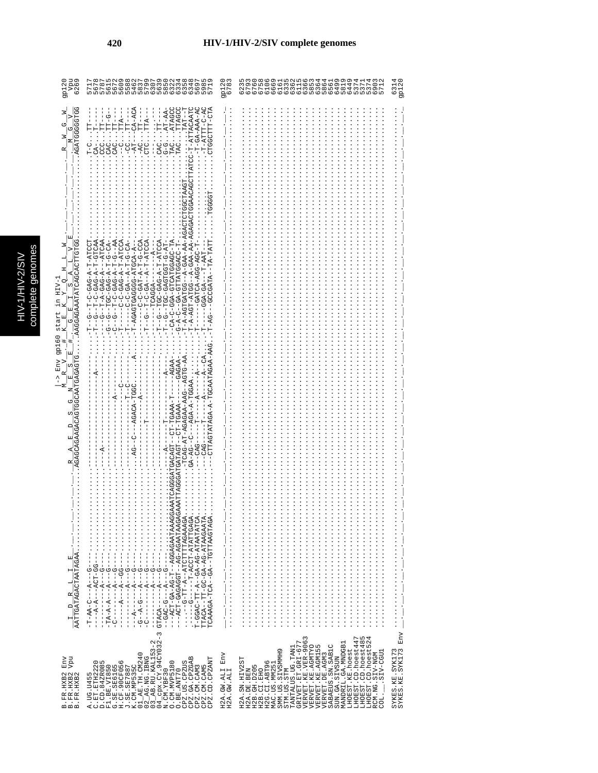| - Vpu<br>6269<br>gp120                                                                                                                                                                                                                                        | בואמם האמשר המשמש המשמש המשמש האמשר<br>השמש המשמש המשמש המשמש המשמש<br>המשמש המשמש המשמש המשמש                                                                                                                                                                                                                                                                                                                                                                                                                                                                                                                                                                                                                                                                                                                                                                                                                                                                                                                                                                                                                                                                                                                                                                                                                                                                                                                                                                                                                                                                                                                                                                                                                                                                                      | 9p120                             |                                                                                                                                                                                                                                                                                                                                                                                                                                                | 6314<br>9p120                             |
|---------------------------------------------------------------------------------------------------------------------------------------------------------------------------------------------------------------------------------------------------------------|-------------------------------------------------------------------------------------------------------------------------------------------------------------------------------------------------------------------------------------------------------------------------------------------------------------------------------------------------------------------------------------------------------------------------------------------------------------------------------------------------------------------------------------------------------------------------------------------------------------------------------------------------------------------------------------------------------------------------------------------------------------------------------------------------------------------------------------------------------------------------------------------------------------------------------------------------------------------------------------------------------------------------------------------------------------------------------------------------------------------------------------------------------------------------------------------------------------------------------------------------------------------------------------------------------------------------------------------------------------------------------------------------------------------------------------------------------------------------------------------------------------------------------------------------------------------------------------------------------------------------------------------------------------------------------------------------------------------------------------------------------------------------------------|-----------------------------------|------------------------------------------------------------------------------------------------------------------------------------------------------------------------------------------------------------------------------------------------------------------------------------------------------------------------------------------------------------------------------------------------------------------------------------------------|-------------------------------------------|
| AGATGGGGTGG<br>z<br>$\triangleright$<br>U<br>U<br>z<br>Σ<br>AAGGAGAAATATCAGCACTTGTGG<br>$HIV-$<br>C)<br>start<br>ひ<br><b>92160</b><br>TGCAATGAGAGTG<br>Env<br>C)<br>R<br>回<br>τŋ<br>AGAGCAGAAGACACT<br>AATTGATAGACTAATAGAA<br>囯<br>Н<br>크<br>q<br>$\Box$<br>Н | .ATAGCC<br>CTGGCTTT-CTA<br>$CA-AC$<br>TTACAAT<br>$-T-TTTT-T-2$<br>AT-AA<br>.TTAGC<br>$T-GA-AAA-A$<br>TAT-<br>-9<br>TT-G-<br>TTA--<br>$-1 - 11$<br>---<br>日<br>$\Gamma$<br>$TTA--$<br>$-1 - 2$<br>$\vdots$<br>$-AC$<br>CAG<br>Co<br>TAC<br>TAC<br>$T - C$<br><b>COO</b><br>CASO<br>$\frac{C}{1}$<br>$C_1$<br>CTC<br>$C\overline{A}$<br>$-AT$<br>$\frac{1}{1}$<br>GCTAAG<br>TGGAACAG<br>T-A-AGT-AGT-A-GAA-AA-AGA<br>T-A-AGTGATGG--A-GAA-AA-AG<br>FL-C-GAG-T-A-DED-T<br>C-C-GAG-A-T-ATCCA<br>AU-CA-CGAUDEACHO-N-CA-<br>$- A - GAG - A - - ATCAA$<br>AR--5-H-4-545-U-H--<br>-AGAGTGAGGGG-ATGCA-A-<br>400-0-1-4-140-0-0-1<br>--T-C-GA--A-T-ATCA<br>AUULA-H-A-UAU-UUH--U-H<br>T-C-GAG-A-T-ATC<br>- 40-0-1-4-040-00H-1<br>- KU-U-H-K-- KU-U-U<br>$ -$ TA $-$ TATT<br>$- -A - - -$<br>H4-5-H55H545-U5H--5--H-<br>-GATCA-AGG-AGC-T<br>$-T-2AT$<br>-GCCGATA<br>$-$ TCAGGA $-$<br>$GGA-GA-$<br>턱<br>Ţ<br>ひ<br>やーー<br>$-AG$<br>ローー<br>т<br>п<br>I<br>Н<br>CTTAGTATAGA-A-TGCAATAGAA-AA<br>$-1$<br>$-49T5T$<br>-AGAA<br>GAGAA<br>$-AGA - A - TGGAA$<br>-AGACA-TGGC<br>-TCAG-AT-AGAGAA-AAG<br>$\overline{A}$<br>$-CT-TGAAA$<br>-CT-TGAAA<br><b>GATAGT-</b><br>$- - 2A - A$<br>$-CAG-$<br>$CAG-$<br><b>GACAGI</b><br>AG.<br><br>UGUARIANGA-UGI--HUUGUAU-HUA--<br>$T - G G A C - T T - A - - G A - A G - A T A A T A T C A.$<br>TTACA--TT-GC-AG-ATAAGAATA.<br>TCAAAGA-TCA--GA--TGTTAAGTAGA.<br>$\frac{1}{2}$ $\frac{1}{2}$ $\frac{1}{2}$ $\frac{1}{2}$ $\frac{1}{2}$ $\frac{1}{2}$ $\frac{1}{2}$ $\frac{1}{2}$ $\frac{1}{2}$<br>$-9 - -4 - -10 - 4 - 5$<br>Ĩ<br>Ţ<br>$-1$ $-1$ $-1$ $-1$ $-1$ $-1$ $-1$<br>$- - - - - - - - -$<br>I<br>$\frac{1}{1}$<br>$\begin{bmatrix} 1 \\ 1 \\ 1 \\ 1 \end{bmatrix}$<br>$\begin{array}{c} 1 \\ 1 \\ 1 \\ 1 \end{array}$<br>$\frac{1}{1}$<br>ပုံ<br>U<br>$\infty$ | i<br>$\frac{1}{1}$<br>i<br>i<br>÷ | <br>                                                                                                                                                                                                                                                                                                                                                                                                                                           |                                           |
| Vpu<br>Env<br>B. FR. HXB2<br>B. FR. HXB2<br>B.FR.HXB2                                                                                                                                                                                                         | $04$ $_{\rm CPX}$ . CY. 94CY032-<br>N.CM.YBF30<br>$\mathbf{\sim}$<br>$\frac{02}{03}$ $\frac{2}{03}$ $\frac{1}{03}$ $\frac{1}{03}$<br>01_AE.TH.CM240<br>CPZ.GA.CPZGAB<br>CPZ.CD.CPZANT<br>A.UG.U455<br>C.ET.ETH2220<br>D.CD.84ZR085<br>w<br>O. CM. MVP5180<br>CPZ.US.CPZUS<br>F1.BE.VI850<br>G.SE.SE6165<br>H.CF.90CF056<br>J.SE.SE7887<br>K.CM.MP535C<br>CPZ.CM.CAM3<br>CPZ.CM.CAM5<br>O.BE.ANT70<br>$\overline{a}$                                                                                                                                                                                                                                                                                                                                                                                                                                                                                                                                                                                                                                                                                                                                                                                                                                                                                                                                                                                                                                                                                                                                                                                                                                                                                                                                                                 | Env<br>H2A.GW.ALI<br>H2A.GW.ALI   | LHOEST.CD.hoest447<br>ru 4<br>LHOEST.CD.hoest48<br>VERVET.KE.VER-906<br>LHOEST.CD.hoest52<br>GRIVET.ET.GRI-677<br>MANDRIL.GA.MNDGB1<br>SABAEUS.SN.SAB1C<br>VERVET.KE.AGMTYO<br>VERVET.KE.AGM155<br>TANTALUS.UG.TAN1<br>SMM.US.SIVSMMH9<br>LHOEST.KE.hoest<br>LIED-VIS.<br>RCM.NG.SIV-NGM<br>VERVET.DE.AGM3<br>SUN.GA.SIVSUN<br>H2A.SN.HIV2ST<br>H2G.CI.ABT96<br>MAC.US.MM25<br>H2B. GH. D205<br>STM.US.STM<br>H2A.DE.BEN<br>H2B.CI.EHO<br>coi. | Env<br>SYKES.KE.SYK173<br>SYKES.KE.SYK173 |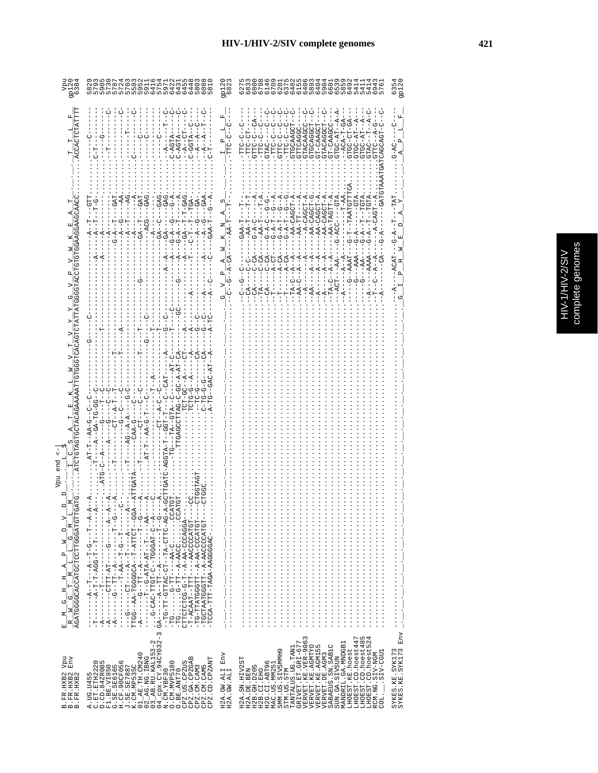|                                                        |                                                                                                                                                                                                                                                                                              | 2 ನ<br>ರಂತ<br>ನಿ                                                                                                                              |                                                                                                                                                                                                                                                                                                                                                                                                                                                           | 9p12<br>S                              |
|--------------------------------------------------------|----------------------------------------------------------------------------------------------------------------------------------------------------------------------------------------------------------------------------------------------------------------------------------------------|-----------------------------------------------------------------------------------------------------------------------------------------------|-----------------------------------------------------------------------------------------------------------------------------------------------------------------------------------------------------------------------------------------------------------------------------------------------------------------------------------------------------------------------------------------------------------------------------------------------------------|----------------------------------------|
|                                                        | C-AGTA--<br>C-AGTA<br>$-4 - 2 - 4$                                                                                                                                                                                                                                                           | $\mathbf{a}$                                                                                                                                  | $-4 - A$<br>$-4-$<br>$-ACA-T-GA-$<br>GTGC-CT-GA<br>GTGCAGGCT<br>.GTACAAGCC<br>.GTACAGGCT<br>GT-CAAGCC<br>p<br>GTGCAAGCT<br>GT-CAAGCT<br>GTTCAGG<br>GTGC-AT<br>TA-DDTD.<br>CHOOLD.<br><b>GATCAGCAGT</b><br>--PLF-<br>-LLC-C<br>C-DEEC                                                                                                                                                                                                                      | U<br>$C_4 - D$ .                       |
|                                                        | $-AC$<br>GAG<br>UGAG-<br>GAG<br>-T-GAG<br>$G - A$<br><b>GAT</b><br>$-1$<br>$-45DT -$<br>$-94$<br>Ī,<br>$-6A$<br>$\vec{A}$<br>$-1$<br>$A - D - -$                                                                                                                                             | з<br>$A-CA$                                                                                                                                   | $-$ TAATGTT<br>$\frac{1}{2}$<br>$-1 - T - A$<br>$  TGTA$<br>GAT<br>$- - A A - C A G C T - A$<br>$---CTA$<br>$- - A A - C A G C T - A$<br>$-100CACT - A$<br>$- - A A - T A G T T - A$<br>$-1-2-CAGCT-$<br>$-AA-CAGCT-C$<br>--AA-TT----<br>ウーー<br>ウーー<br>ن<br>۱<br>U-A-U<br>$G - A - C$<br>$-6 - A - T$<br>$-6 - A - T$<br>$-AA-1$<br>$-6 - A - T$<br>$-C - C - C$<br>$G-\Delta$<br>$C-CA$<br>$-10-7-1$<br>$-4-7-CA$<br>d-CA-<br>$-40-7-7$<br>$-45 - 5 - -$ | <b>TAT</b><br>へ<br>ウーワー<br>$-ACAT$     |
|                                                        |                                                                                                                                                                                                                                                                                              | $\mathbf{a}$<br>$-\frac{1}{9}$                                                                                                                | $---ACT---AA---$<br>$-4AAA - -9 - -$<br>--AA---A-<br>$-T_A - C - -A - -A$<br>$-4 - -A$<br>$-TA-C--A--A$<br>$-6 - 4AAT$<br>$-4 - -P$<br>$-AA-C$<br>$-AA$ -<br>$-1 - 2 - 1$                                                                                                                                                                                                                                                                                 |                                        |
| ATCTGTAGTOCTACAGAA                                     | A-A-C-C-C-C-A-A<br>TCTG-G--A<br>9-91-91-<br>$-5-7-7$<br>ں<br>ا<br>$-1$<br>じゅー<br>י<br>ו<br>י<br>ו<br>- - - - - - - - -<br>י<br>י<br>$-4 - 21 - 4 - 1$<br>$-5 -$<br>$-4 - A - A -$<br>$-5 -$<br>$-7A-9$<br>$-5-44$                                                                            |                                                                                                                                               |                                                                                                                                                                                                                                                                                                                                                                                                                                                           |                                        |
| end                                                    | $-1 - A$                                                                                                                                                                                                                                                                                     |                                                                                                                                               |                                                                                                                                                                                                                                                                                                                                                                                                                                                           |                                        |
| $\overrightarrow{\mathsf{D}_{j}}$                      | THA--AAA-TGGGGGGGGDD-AT--T-AT<br>LUU – ベーリベー ) LLU – ベロー – LU – . Uベロロリー LLコーリロー –<br><b>ベー・・・・ベー・・・トロ・・ベー・・・トロ コー・・・・ ひー・・・</b><br>A-A-1-1-1-1-1-1-1-1-1-1-1<br>-TP-ACAAT--TTT---AACOCCCATGT-<br>-TPANCOO-RR-R-H-HHDDDHRHH-DH-<br>-TOLACOOOQAA-A--HIDOODAAHOOP-<br>-TCCA-TTT-TAGA-AAGGGGAC- | $\frac{1}{2}$ , $\frac{1}{2}$ , $\frac{1}{2}$ , $\frac{1}{2}$ , $\frac{1}{2}$ , $\frac{1}{2}$ , $\frac{1}{2}$ , $\frac{1}{2}$ , $\frac{1}{2}$ |                                                                                                                                                                                                                                                                                                                                                                                                                                                           |                                        |
| vpu<br>т<br>Env<br>B.FR.HXB2<br>B.FR.HXB2<br>B.FR.HXB2 | $04 \frac{C}{C}$ CPX.CY.94CY032-3<br>N.CM.YBF30<br>$\mathbf{\Omega}$<br>3_AB.RU.KAL153-<br>CPZ.US.CPZUS<br>CPZ.GA.CPZGAB<br>CPZ.CD.CPZANT<br>A.UG.U455<br>C.ET.ETH2220<br>D.CD.84ZR085<br>O. CM. MVP5180<br>CPZ.CM.CAM3<br>CPZ.CM.CAM5<br>O.BE.ANT70                                         | H2A. GW.ALI Env<br>H2A.GW.ALI                                                                                                                 | VERVET.KE.VER-9063<br>VERVET.KE.AGMTYO<br>VERVET.KE.AGMTYO<br>LHOEST.CD.hoest447<br>LHOEST.CD.hoest485<br>LHOEST.CD.hoest524<br>GRIVET.ET.GRI-677<br>MANDRIL.GA.MNDGB1<br>SABAEUS.SN.SAB1C<br>TANTALUS.UG.TAN1<br>LHOEST.KE.hoest<br>SMM.US.SIVSMMH9<br>LIED-VIIS.<br>RCM.NG.SIV-NGM<br>VERVET.DE.AGM3<br>SUN.GA.SIVSUN<br>H2A.SN.HIV2ST<br>H2G.CI.ABT96<br>MAC.US.MM251<br>H2B. GH. D205<br>STM.US.STM<br>H2A.DE.BEN<br>H2B.CI.EHO<br>COL.               | SYKES.KE.SYK173<br>SYKES.KE.SYK173 Env |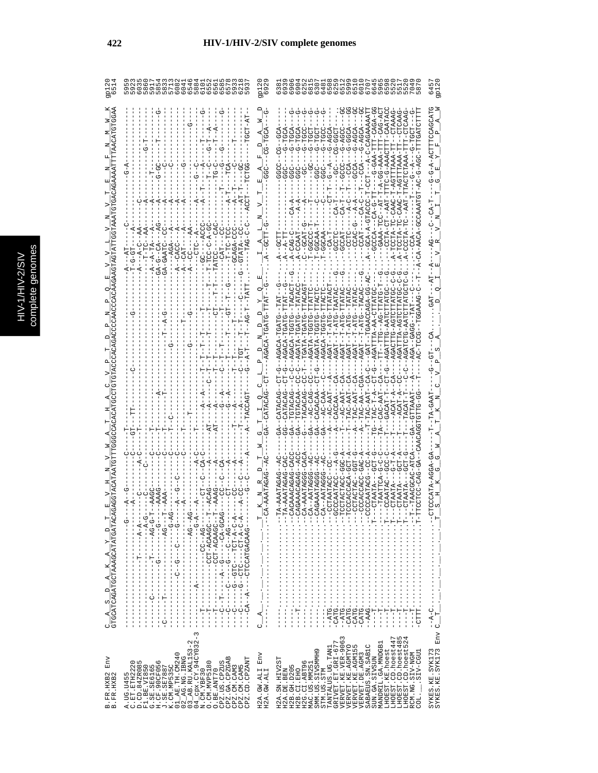| O<br>O                                                                                                                                                                                                                                                                                                                                                                                                                                                                                                                                                                                                                                                                                                                                                                                                                                                                                                                                                                                                                                                                                        | இம                                                                                                                                                                                                                                                                                                                                                                                                                                                                                                                                                 |                                                                                                                                                                                                                                                                                                                                                                                                                                                                         |                                                                                                                                                                                                                                                                                                                                  |
|-----------------------------------------------------------------------------------------------------------------------------------------------------------------------------------------------------------------------------------------------------------------------------------------------------------------------------------------------------------------------------------------------------------------------------------------------------------------------------------------------------------------------------------------------------------------------------------------------------------------------------------------------------------------------------------------------------------------------------------------------------------------------------------------------------------------------------------------------------------------------------------------------------------------------------------------------------------------------------------------------------------------------------------------------------------------------------------------------|----------------------------------------------------------------------------------------------------------------------------------------------------------------------------------------------------------------------------------------------------------------------------------------------------------------------------------------------------------------------------------------------------------------------------------------------------------------------------------------------------------------------------------------------------|-------------------------------------------------------------------------------------------------------------------------------------------------------------------------------------------------------------------------------------------------------------------------------------------------------------------------------------------------------------------------------------------------------------------------------------------------------------------------|----------------------------------------------------------------------------------------------------------------------------------------------------------------------------------------------------------------------------------------------------------------------------------------------------------------------------------|
|                                                                                                                                                                                                                                                                                                                                                                                                                                                                                                                                                                                                                                                                                                                                                                                                                                                                                                                                                                                                                                                                                               |                                                                                                                                                                                                                                                                                                                                                                                                                                                                                                                                                    | -A-ACTTTCAGCAT                                                                                                                                                                                                                                                                                                                                                                                                                                                          |                                                                                                                                                                                                                                                                                                                                  |
|                                                                                                                                                                                                                                                                                                                                                                                                                                                                                                                                                                                                                                                                                                                                                                                                                                                                                                                                                                                                                                                                                               |                                                                                                                                                                                                                                                                                                                                                                                                                                                                                                                                                    | UUAHU-A-TAU                                                                                                                                                                                                                                                                                                                                                                                                                                                             |                                                                                                                                                                                                                                                                                                                                  |
|                                                                                                                                                                                                                                                                                                                                                                                                                                                                                                                                                                                                                                                                                                                                                                                                                                                                                                                                                                                                                                                                                               |                                                                                                                                                                                                                                                                                                                                                                                                                                                                                                                                                    | G-TTA<br>--T-ATG<br>--T-AT<br>$-1 - T - T - T$<br>--T-AT<br>$-1 - T - T - T$                                                                                                                                                                                                                                                                                                                                                                                            |                                                                                                                                                                                                                                                                                                                                  |
|                                                                                                                                                                                                                                                                                                                                                                                                                                                                                                                                                                                                                                                                                                                                                                                                                                                                                                                                                                                                                                                                                               |                                                                                                                                                                                                                                                                                                                                                                                                                                                                                                                                                    |                                                                                                                                                                                                                                                                                                                                                                                                                                                                         |                                                                                                                                                                                                                                                                                                                                  |
| )ベーーひベーー ーーーーーーーーーーーーーーーーー<br>$-1$ $-1$ $-1$ $-1$ $-1$                                                                                                                                                                                                                                                                                                                                                                                                                                                                                                                                                                                                                                                                                                                                                                                                                                                                                                                                                                                                                                        |                                                                                                                                                                                                                                                                                                                                                                                                                                                                                                                                                    | CCATA-AGGA<br>CAATZ                                                                                                                                                                                                                                                                                                                                                                                                                                                     |                                                                                                                                                                                                                                                                                                                                  |
| ニーーーの∇ーーーーーーーーーーーーーーーーーート L-ーーーー L-ーーーー<br>L--QORROR-HOU----------H---<br>ニーーひの ピピひビーエいい‐‐‐‐‐‐‐‐‐‐‐‐‐‐‐‐‐‐‐‐‐<br>$\begin{split} &\texttt{--} - 5 \texttt{0} \texttt{0} \texttt{0} \texttt{0} \texttt{0} \texttt{0} \texttt{0} \texttt{0} \texttt{0} \texttt{0} \texttt{0} \texttt{0} \texttt{0} \texttt{0} \texttt{0} \texttt{0} \texttt{0} \texttt{0} \texttt{0} \texttt{0} \texttt{0} \texttt{0} \texttt{0} \texttt{0} \texttt{0} \texttt{0} \texttt{0} \texttt{0} \texttt{0} \texttt{0} \texttt{0} \texttt{0} \texttt{0} \texttt{0} \$<br>$\texttt{C\_A\_S\_D\_A\_K\_A\_Y\_D\_T}_{\texttt{GTC}\texttt{AC} \texttt{AT} \texttt{AC} \texttt{AC} \texttt{AT} \texttt{AC} \texttt{AC} \texttt{AC} \texttt{AC} \texttt{AC} \texttt{AC} \texttt{AC} \texttt{AC} \texttt{AC} \texttt{AC} \texttt{AC} \texttt{AC} \texttt{AC} \texttt{AC} \texttt{AC} \texttt{AC} \texttt{AC} \texttt{AC} \texttt{AC} \texttt{AC} \texttt{AC} \texttt{AC} \texttt{AC} \texttt{AC} \texttt{AC} \texttt{AC} \texttt{$<br>$\begin{array}{c} 1 \\ 1 \\ 1 \\ 1 \end{array}$<br>$\frac{1}{1}$<br>$\frac{1}{1}$<br>$\sim$ | $\mathbb{E} \left[ \begin{array}{cccccccc} \mathbb{E} \left[ \begin{array}{cccccccc} \mathbb{E} \left[ \begin{array}{cccccccc} \mathbb{E} \left[ \begin{array}{cccc} \mathbb{E} \left[ \begin{array}{cccc} \mathbb{E} \left[ \begin{array}{cccc} \mathbb{E} \left[ \begin{array}{cccc} \mathbb{E} \left[ \begin{array}{cccc} \mathbb{E} \left[ \begin{array}{cccc} \mathbb{E} \left[ \begin{array}{cccc} \mathbb{E} \left[ \begin{array}{cccc} \mathbb{E} \left[ \begin{array}{cccc} \mathbb{E} \left[ \begin{array}{cccc} \mathbb{E} \left[$<br>U | ロート・・・・・・・・・・・・・・・・・・・・・                                                                                                                                                                                                                                                                                                                                                                                                                                                |                                                                                                                                                                                                                                                                                                                                  |
| $_{\rm{Env}}$<br>凹<br>$\begin{array}{l} {\tt CPZ} \cdot {\tt CM} \cdot {\tt CAM3} \\ {\tt CPZ} \cdot {\tt CM} \cdot {\tt CAM5} \\ {\tt CPZ} \cdot {\tt CD} \cdot {\tt CPZANT} \end{array}$<br>C.ET.ETH2220<br>O. CM. MVP5180<br>CPZ.US.CPZUS<br>CPZ.GA.CPZGA<br>O.BE.ANT70<br>B.FR.HXB2<br>B.FR.HXB2<br>A. UG. U455                                                                                                                                                                                                                                                                                                                                                                                                                                                                                                                                                                                                                                                                                                                                                                           | H2A.GW.ALI Env<br>H2A.GW.ALI                                                                                                                                                                                                                                                                                                                                                                                                                                                                                                                       | $\infty$<br>ru 4<br>LHOEST.CD.hoest447<br>VERVET.KE.VER-906<br>LHOEST.CD.hoest48<br>$\alpha$<br>TANTALUS.UG.TAN1<br>GRIVET.ET.GRI-677<br>MANDRIL.GA.MNDGB1<br>LHOEST.CD.hoest5.<br>VERVET.KE.AGMTYO<br>VERVET.KE.AGMI55<br>SABAEUS.SN.SAB1C<br>LHOEST.KE.hoest<br>SMM.US.SIVSMMH9<br>.SIV-CGU1<br>VERVET.DE.AGM3<br>RCM.NG.SIV-NGM<br>SUN.GA.SIVSUN<br>H2A.SN.HIV2ST<br>H2G.CI.ABT96<br>MAC.US.MM251<br>H2B. GH. D205<br>H2A.DE.BEN<br>H2B.CI.EHO<br>STM.US.STM<br>COL. | SYKES. KE. SYK173 $C_1$ $\cdots$ $\cdots$ $\cdots$ $\cdots$ $\cdots$ $\cdots$ $\cdots$ $\cdots$ $\cdots$ $\cdots$ $\cdots$ $\cdots$ $\cdots$ $\cdots$ $\cdots$ $\cdots$ $\cdots$ $\cdots$ $\cdots$ $\cdots$ $\cdots$ $\cdots$ $\cdots$ $\cdots$ $\cdots$ $\cdots$ $\cdots$ $\cdots$ $\cdots$ $\cdots$ $\cdots$ $\cdots$ $\cdots$ |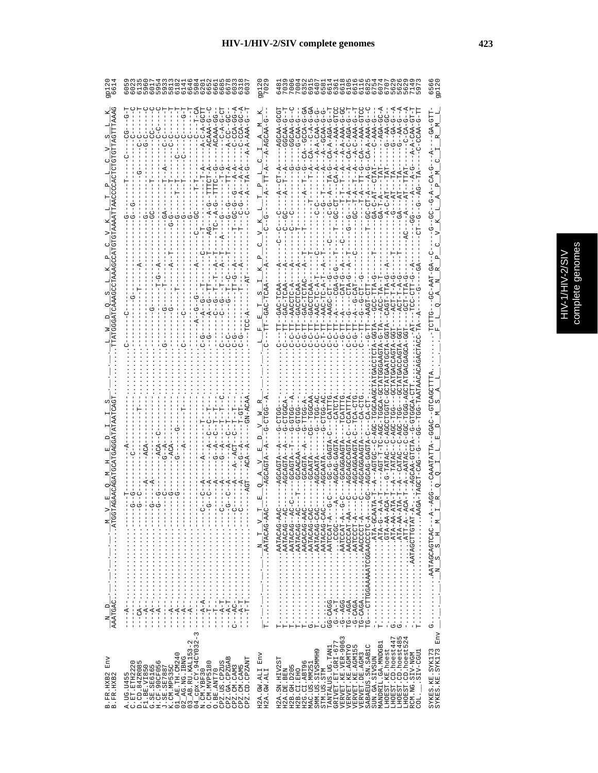| ς<br>٥                |
|-----------------------|
| <b>CIP</b><br>b,<br>ກ |
| 5                     |
| ٦<br>ï                |
|                       |

|                        |                                                                                                                                                                                                                                                                                                                                                                                                                 | $\frac{1}{2}$                                                         | 6 0 0 0 0 0 0 0 0 0 0 0 0 0<br>0 4 10 0 4 0 4 0 4 0 4 0 6 0 6<br>0 4 0 0 4 0 4 0 4 0 4 0 7 0 7<br>60M                                                                                                                                                                                                                                                                                                                                     |                                                                    |
|------------------------|-----------------------------------------------------------------------------------------------------------------------------------------------------------------------------------------------------------------------------------------------------------------------------------------------------------------------------------------------------------------------------------------------------------------|-----------------------------------------------------------------------|-------------------------------------------------------------------------------------------------------------------------------------------------------------------------------------------------------------------------------------------------------------------------------------------------------------------------------------------------------------------------------------------------------------------------------------------|--------------------------------------------------------------------|
|                        | $2A-GG-A$<br>$2A-GC-A$<br>$50 - 5$<br>$A-C-A-GCTT$<br>Ġ<br>ġ                                                                                                                                                                                                                                                                                                                                                    |                                                                       | $A - D$<br>$-5 - -7$<br><b>GTCC</b><br>$-100-404-0-4$<br>შ-9<br>ዓ<br>しゅう<br>οι<br>Θυ<br>ひしゅう<br>$\frac{1}{5}$<br>$\frac{1}{\phi}$<br>$\frac{1}{\mathbf{C}}$<br>$\frac{1}{\mathbf{C}}$<br>9.<br>ά<br>$\overset{1}{\circ}$<br>ó<br>$-AA - A - A - C$<br>--A-A-AAA-C<br>$- A - A - C A A -$<br>$-AA - A - AGA -$<br>$CA-C-AGA-$<br>$-AA-C-AA-$<br>$\begin{array}{c} \nCA-A-AA-C\\ \n--\n--\n--\n--\n 0-AAA\\ \n--\n 0-AAA \n-0\n\end{array}$ | GA-GT                                                              |
|                        |                                                                                                                                                                                                                                                                                                                                                                                                                 |                                                                       | $G-A-T-A$<br>$-A-C-A$                                                                                                                                                                                                                                                                                                                                                                                                                     |                                                                    |
|                        |                                                                                                                                                                                                                                                                                                                                                                                                                 |                                                                       |                                                                                                                                                                                                                                                                                                                                                                                                                                           |                                                                    |
|                        |                                                                                                                                                                                                                                                                                                                                                                                                                 |                                                                       | <b>GACCTCP</b><br>$- \text{GCC}-\text{T}\text{T}$ $- \text{ACC}-\text{T}\text{A}$<br>CAGT-TI<br>ひしししし スピート<br>F-DAC<br>T<br>U<br>הרווחית<br><b>הפופט</b><br>הוא הרווחים<br>$G-TT$                                                                                                                                                                                                                                                         |                                                                    |
|                        |                                                                                                                                                                                                                                                                                                                                                                                                                 |                                                                       |                                                                                                                                                                                                                                                                                                                                                                                                                                           |                                                                    |
|                        |                                                                                                                                                                                                                                                                                                                                                                                                                 |                                                                       | <b>ひーひけひひけひひみイーシー!</b><br>$G-T-T-T-T-T-T-TC-T$                                                                                                                                                                                                                                                                                                                                                                                            |                                                                    |
|                        | ℧                                                                                                                                                                                                                                                                                                                                                                                                               |                                                                       |                                                                                                                                                                                                                                                                                                                                                                                                                                           |                                                                    |
| Σ                      | .                                                                                                                                                                                                                                                                                                                                                                                                               |                                                                       |                                                                                                                                                                                                                                                                                                                                                                                                                                           | ×<br>$\mathbf{F}_{\parallel}$<br>$N_S_S$                           |
| $\Box$<br>z            | −−−−・・・・・・・・・・・・・・・・・・−D\\{----<br>レ・・・・・・・・・・・・・・・・・・・<br>$---A-T$<br>$\mathbf{I}$<br>$\frac{1}{1}$<br>$A - -$<br>$---T---$<br>ï<br>$\begin{array}{c} 1 \\ 1 \\ 1 \end{array}$<br>$-10A$<br>$\frac{1}{1}$<br>$\frac{1}{1}$<br>Ĭ<br>$\frac{1}{1}$<br>$\frac{1}{1}$                                                                                                                                              | $\frac{N}{T} - \frac{N}{N} - \frac{N}{N} - \frac{N}{N} - \frac{N}{N}$ | E<br>U<br>P<br>D<br>A<br>R<br>A<br>P<br>P<br><br><br><br><br><br><br><br><br><br><br><br><br><br><br><br><br><br><br><br><br>-A-BOOTAG:<br>--D-dHd:・・・・・・・・・・・・・・・・・<br>- KY - KLD ・・・・・・・・・・・・・・・・・・・<br>R-DRORDRER:<br>R-DACACACACACACACH<br>$T - \cdots$                                                                                                                                                                               | $\begin{array}{c} \n\cdot \\ \cdot \\ \cdot \\ \cdot\n\end{array}$ |
| Env                    | $\infty$<br>$\mathsf I$<br>$\mathbf{\sim}$<br>$04$ cpx. CY. 94CY032<br>N. CM. YBF30<br>03_AB.RU.KAL153-<br>$AR$ . TH. CM240<br>$02$ $\overline{\phantom{0}}$ AG. NG. IBNG<br>CPZ.GA.CPZGAB<br>CPZ.CD.CPZANT<br>A.UG.U455<br>C.ET.ETH2220<br>D.CD.84ZR085<br>G<br>O. CM. MVP5180<br>CPZ.US.CPZUS<br>3. SE, SE6165<br>H.CF. 90CF056<br>J. SE, SE7887<br>K.CM. MP535C<br>CPZ.CM.CAM5<br>F1.BE.VI850<br>CPZ.CM.CAM3 | Env<br>H2A.GW.ALI                                                     | TANTALUS.UG.TAN1<br>GRIVET.ET.GRI-677<br>VERVET.KE.VER-9063<br>Б<br>LHOEST.CD.hoest524<br>LHOEST.CD.hoest447<br>LHOEST.CD.hoest48<br>MANDRIL.GA.MNDGB1<br>SABAEUS.SN.SAB1C<br>VERVET.KE.AGMTYO<br>VERVET.KE.AGM155<br>LHOEST.KE.hoest<br>SMM.US.SIVSMMH9<br>LIED-VIIS.<br>RCM.NG.SIV-NGM<br>VERVET.DE.AGM3<br>SUN.GA.SIVSUN<br>H2A.SN.HIV2ST<br>H2G.CI.ABT96<br>H2B. GH. D205<br>MAC.US.MM25                                              | Env<br>SYKES.KE.SYK173<br>SYKES.KE.SYK173                          |
| B.FR.HXB2<br>B.FR.HXB2 | O.BE.ANT70<br>$\overline{0}$                                                                                                                                                                                                                                                                                                                                                                                    | H2A.GW.ALI                                                            | H2A.DE.BEN<br>STM.US.STM<br>H2B.CI.EHO<br>$\overline{CD}$ .                                                                                                                                                                                                                                                                                                                                                                               |                                                                    |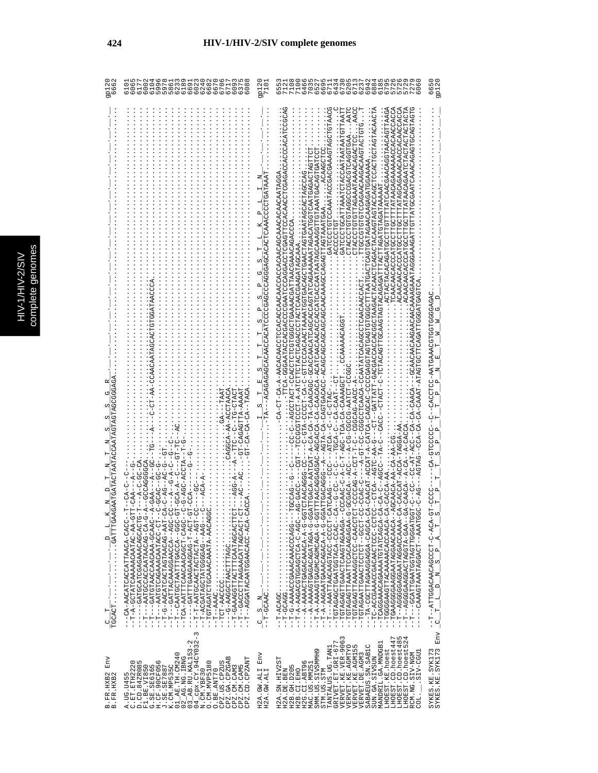|                                                                                                                | 600                                                                                                                                                                                                                                                                                                                                                                                                                                                                                                                                                                                                                                                                                                                                  | $\frac{1}{71}$                  | 6 6 6 6 6 6 6 6 6 6 6<br>N 6 7 4 7 6 7 6 9 9 8<br>U 6 7 4 7 6 7 6 9 8 9<br>618<br>9<br>777<br>657<br>64<br>70                                                                                                                                                                                                                                                                                                                                                                                                                                                                                                                                                                                                                                                                                                                                                                                                                                                                                                                                                                                                                                                                                                                                                                                                                                                                                                                                                                                                                                                                                                                                                                                                                                                               | $^{\circ}$<br>n<br>Par                                               |
|----------------------------------------------------------------------------------------------------------------|--------------------------------------------------------------------------------------------------------------------------------------------------------------------------------------------------------------------------------------------------------------------------------------------------------------------------------------------------------------------------------------------------------------------------------------------------------------------------------------------------------------------------------------------------------------------------------------------------------------------------------------------------------------------------------------------------------------------------------------|---------------------------------|-----------------------------------------------------------------------------------------------------------------------------------------------------------------------------------------------------------------------------------------------------------------------------------------------------------------------------------------------------------------------------------------------------------------------------------------------------------------------------------------------------------------------------------------------------------------------------------------------------------------------------------------------------------------------------------------------------------------------------------------------------------------------------------------------------------------------------------------------------------------------------------------------------------------------------------------------------------------------------------------------------------------------------------------------------------------------------------------------------------------------------------------------------------------------------------------------------------------------------------------------------------------------------------------------------------------------------------------------------------------------------------------------------------------------------------------------------------------------------------------------------------------------------------------------------------------------------------------------------------------------------------------------------------------------------------------------------------------------------------------------------------------------------|----------------------------------------------------------------------|
| <b>GAATGATACTAA</b><br>$\Box$<br>$\begin{bmatrix} 1 \\ 1 \\ 1 \end{bmatrix}$<br>$\overline{\texttt{TGCACT}}$ . | URRHCOUDHOHORCORHARDARDO-KR-H<br>TAAAA-ATTAGAGATTA-AAAAT<br>AURE--AU-AU-AU-HU-<br>U-BIDDA-DO-10-<br>--UU--4--44U-4<br>ひーーひーひむーーひむーひーむ<br>- 5-555-575-<br>A--GCACOOP--A<br>$T - G - A - A - C$<br>--T-A-GCTAAAAAACAATAC-AA-GI<br>- じけしべしひべしべんかいべじしけべしじけんじー – – – – –<br>--T---AATGCACOACOOOCACOOO<br>U-UUU - - KUUKULLERALUULKKU - - L - -<br>-- DOACO-HOORCAACAACHEHHAR--<br>U – LU 4 – L – U 400 440 440 440 L L L 40 – – – – – –<br>--T-T-AATGCAACTACTA--AGT-C<br>--TGTAGATCTGCAAACAAATA-AACAG<br>UCAAAAAATTUOCHUUOOAAGUTUO<br>--T-G-AACATCACTAGTAACAG-AAT-C<br>-UUA--AUUAAUUARIUAHHAU-----<br>- CA-AACATCAUCAUNACA-<br>-- DRR-- DRDDDDHRHUDRHRDUR- H-<br>--T---AGGATACAATGGAACC-ACA-<br>$\cdots \cdots \cdots \cdots$<br>$\infty$ | Ί                               | AATC<br>. ACTACACACAGATGCCTTGTTTATCAACGAACAGCTAACAGTTAAGA<br>TCAACAACCCCATGCCTTGCTTATAACAGAAAAACCACAACCACACC<br>TTGCCCTGTGTGAAGAAGAAGAAGTGTGTG<br>GATCCCTGCATTAAATCTACCAATAATAATGTTAAT<br>GATCCCCTGTCAAATACCGACGAAAAGTAGCT<br>UULUGUQUARARERAGAHLULULUUUGLU<br>CTACCCCCCCCCCCCCCCCCCCCCCCCCCCCCCCC<br>A-CAACADERT-ACCAT-A-CAT-A-CATCA-CAGCAGURAGUNGAGUNTITAATGERTAATGAARAANA AAGAARAANGAAT-ACAACAANGAATAAAAAAAAAAAAA<br>FOKAOGOENCAOEOENOGOKEAQKAAAAAAGGOGOENOGOOGOENOGOOGOOFOOGOO-OOGOO-GO-GO-GO-GO-GOENA-GOGOENA-GOGOEN<br>しなりなりいけいりょうひょうしたけいないこともしないのはしいことはないことになることはないことはないのは!よいけい!<br>ATTCACACOOACAGGG---AGTA-CA-CAGCAGCAGCAGCAGCAGCAACAACAAACAAACCAGCCAGTAAATGAAA<br>YOOOYOYYYYYYYYHIYOOYYYYYYOHOOODHOOHOUHOOYOO−IDYHOOOY--<br>AG-GACC----CGT--TCCGCCCCT-A-ATCTTCTACTCAGACCCTACTCAACGAAGATAGCAAA<br>ULD4DL4DDDLL4D4ULLDDLD4L4-L44dD-4D-4D1-4DD--D4LD4--<br>ひべひひべべひくべひらひひのべひべひらべになるひひ‐べひべべひらひひひのひ)‐ひひ‐らひ‐べ‐‐‐‐‐ひ‐ひ‐つくひひ‐ひ<br>ひひひひ‐HひHぱぱ‐ひひひひひ‐ひひ‐ぱ‐‐‐しひぱ‐‐ぱりぱひひゃ‐<br>- 4-0044-040000--0-1-1-00-4-04000-1<br>U-KU--UUK-HK-UU--<br>A-CACCAT-ACCA-TAGGA-AA<br>-AGCAACA-AA-CA-AA-C<br>$-4-7-7$<br>$A-CACCA-AA$ .<br>リリーリー<br>--ひりペーシーベンLJUのベリウロLJUベリペペース-L--<br>UC-A-AAAAAGTGAGAGATAGA-G-<br>--T-A-AAAAAGMCAGMCAGECA-G-<br>--T-A-AAGAATGAAACACA-A-G-G<br>U-HUUUU-UUKHUKKUKKHHKKH---H--<br>U--UGUU-GUGHUUHGGUHUUGUGHUH--<br>-- TORAGANCTORACTERACTER<br>UUUUACU-UUUUUUUAAAAAAHUUQUQUUU--<br>リー ー ¤(¤) ー ¤(エい)ウă エい) ¤いひゃ(¤い)いいのみ ー ー ニー ー<br>UURUUUFFURATUPFAADHAUU----<br>--TCAAGGGAAGAATAGAAACAACAACA-<br>--TGTAGAGTTAAATTCCACAAGAGAA-<br>) - HOOO - - HOHOOHO AROHHARDAHDH - -<br>-- TC-ACCAAACOUUCOUC-1-<br>- - TCAGGAAACAGAAATGTATCAGCA-<br>- TA-CGGAGAAGAAGAA-CAGCA-<br>- - TGGGGAAGTTACAAAACACCAACA-<br>- THARROORGOGROGROUM<br>--T-G-AAAACCGAAACAAACCCAGG--<br>rv 4 | URDROODDEOORRAGERR-DOFOORD--D--<br>UUUUUHU-KU--<br>T-CCCC<br>$\circ$ |
| Env<br>B.FR.HXB2<br>B.FR.HXB2                                                                                  | $04$ $ 22$ $ 22$ $ 22$ $ 24$ $ 25$ $0$ $32$ $-$<br>03_AB.RU.KAL153-2<br>01_AE.TH.CM240<br>$2$ <sub>-AG</sub> . NG. IBNG<br>CPZ.GA.CPZGAB<br>CPZ.CD.CPZANT<br>C.ET.ETH2220<br>D.CD.84ZR085<br>O<br>0. CM. MVP5180<br>CPZ.US.CPZUS<br>K.CM.MP535C<br>F1.BE.VI850<br>G.SE.SE6165<br>H.CF.90CF056<br>J.SE.SE7887<br>CPZ.CM.CAM5<br>CPZ.CM.CAM3<br>O.BE.ANT70<br>N.CM.YBF30<br>A. UG. U455<br>$\circ$                                                                                                                                                                                                                                                                                                                                     | Env<br>H2A.GW.ALI<br>H2A.GW.ALI | LHOEST.CD.hoest447<br>VERVET.KE.VER-906<br>VERVET.KE.AGMTYO<br>LHOEST.CD.hoest48<br>LHOEST.CD.hoest52<br>GRIVET.ET.GRI-677<br>MANDRIL.GA.MNDGB1<br>SABAEUS.SN.SAB1C<br>VERVET.KE.AGM155<br>TANTALUS.UG.TAN1<br>LHOEST.KE.hoest<br>SMM.US.SIVSMMH9<br>LUDD-VIE.<br>RCM.NG.SIV-NGM<br>VERVET.DE.AGM3<br>SUN.GA.SIVSUN<br>H2A.SN.HIV2ST<br>H2G.CI.ABT96<br>MAC.US.MM251<br>H2B. GH. D205<br>STM.US.STM<br>H2A.DE.BEN<br>H2B.CI.EHO<br>COL.                                                                                                                                                                                                                                                                                                                                                                                                                                                                                                                                                                                                                                                                                                                                                                                                                                                                                                                                                                                                                                                                                                                                                                                                                                                                                                                                     | SYKES.KE.SYK173<br>SYKES.KE.SYK173 Env                               |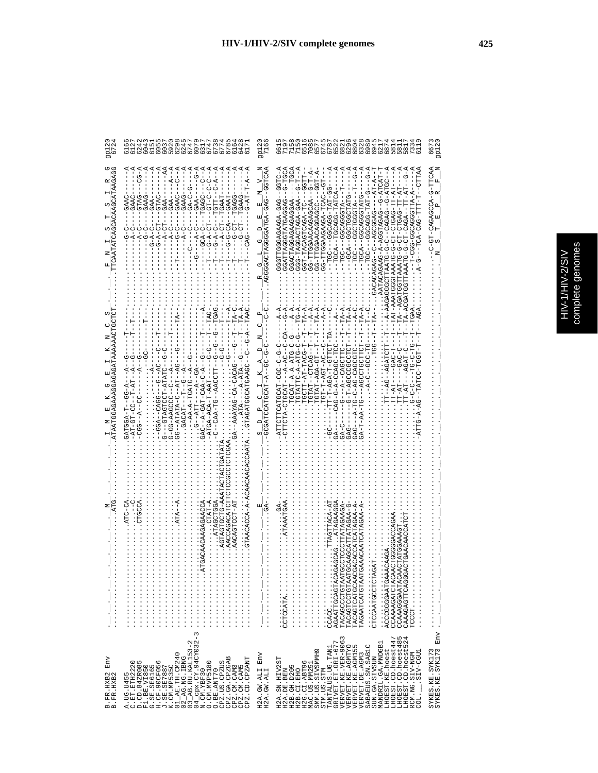|  | D<br>ι |
|--|--------|
|  | ż<br>ï |
|  |        |

| Env<br>B.FR.HXB2<br>B.FR.HXB2                                                                                                                                                                                                                                                                                                                                                                                                                                                     | .                                                                                                                                                                                                                                                                                                                                                                                                                                                                                                                                                                                                                                                                                                                                                                                                 | GATAAAAA<br>TAATGGAAAAGAGA                                                                                                                                                                                                                                                                                                                                                                                                                                                |                                                                                                                                                                                                                                                                                                                                                                                                                                                                                                                                                                                                                 | 222<br>872<br>27                                                                             |
|-----------------------------------------------------------------------------------------------------------------------------------------------------------------------------------------------------------------------------------------------------------------------------------------------------------------------------------------------------------------------------------------------------------------------------------------------------------------------------------|---------------------------------------------------------------------------------------------------------------------------------------------------------------------------------------------------------------------------------------------------------------------------------------------------------------------------------------------------------------------------------------------------------------------------------------------------------------------------------------------------------------------------------------------------------------------------------------------------------------------------------------------------------------------------------------------------------------------------------------------------------------------------------------------------|---------------------------------------------------------------------------------------------------------------------------------------------------------------------------------------------------------------------------------------------------------------------------------------------------------------------------------------------------------------------------------------------------------------------------------------------------------------------------|-----------------------------------------------------------------------------------------------------------------------------------------------------------------------------------------------------------------------------------------------------------------------------------------------------------------------------------------------------------------------------------------------------------------------------------------------------------------------------------------------------------------------------------------------------------------------------------------------------------------|----------------------------------------------------------------------------------------------|
| $\begin{array}{ll} \texttt{A. \texttt{UC.} 1455} \\ \texttt{C. \texttt{CD.} 4458220} \\ \texttt{F1. \texttt{B2.} 220} \\ \texttt{F2. \texttt{1458085}} \\ \texttt{G. \texttt{3E.} 156545} \\ \texttt{C. \texttt{3E.} 156545} \\ \texttt{C. \texttt{15E.} 257887} \\ \texttt{C. \texttt{15E.} 257887} \\ \texttt{C. \texttt{15E.} 257887} \\ \texttt{C1. \texttt{$<br>CPZ.GA.CPZGAB<br>CPZ.CM.CAM3<br>CPZ.CM.CAM5<br>CPZ.CD.CPZANT<br>O. CM. MVP5180<br>CPZ.US.CPZUS<br>O.BE.ANT70 | AACCAGACATCTT<br>GTAACACCA-A-A<br>GTAGTOUT<br>ATC-CA<br>. ATAGCTGGA<br>AACAGTCCT-AT<br>.<br>.<br>.<br>.<br>.<br>.<br>.<br>.<br>.<br>.<br>.<br>4.<br>.<br>.<br>.<br>                                                                                                                                                                                                                                                                                                                                                                                                                                                                                                                                                                                                                               | $-1$<br>$-T - T - T - A$<br>$-1$<br>.<br>ას<br>U<br>U<br>U<br>U<br>U<br>U<br>0----ATATA-C--AT--AG-<br>$-1 - A - A - A - T G A T G - A - A - G -$<br>- 4-10-1-10040-1400-1<br><b>CLAGALGOOLGOVICH</b><br>CLAGALGOOLGOVICH<br>C---GTAGTCUP-ATATC<br>GA--AAAYAG-CA-CACA<br>GAC--A-GAT-CAA-C-A<br>$- - CAA - TG - AAC$<br>-ATGA-ACA-T-AAT<br>- A - DU - - H - AUDURU<br>AT-GI                                                                                                 | $C_A - C - G - - - A$<br>CAA ------C-A<br>$-1$ – $-1$<br>$- - A$<br>$-4 - -A$<br>$-1 - 1 - 1 - 1$<br>$TC = -C - C - A - -$<br>りし<br>$-GAA$ -<br>$GAA$ -<br>GAAC-<br>-GL-50-<br>GAAG<br>TGAGC<br><b>GTAG</b><br>GAAG<br><b>GAAC</b><br>GAA<br>GAA.<br>$G - A - CT - -$<br>$-4-4$<br>$- -A - CT - -$<br>$\begin{array}{c} 1 & 1 & 1 \\ - & 1 & 1 \\ 0 & 0 & 0 \\ - & 0 & 0 \\ 4 & 0 & 1 \\ - & 0 & 4 \\ 1 & 0 & 1 \end{array}$<br>$G - A - CT$<br>$A-C$<br>$G - A - C$<br>U<br>U<br>$-4-2$<br>$-1$<br>$G - A - C$<br>ن<br>ا<br>$\frac{1}{1}$<br>$\frac{1}{1}$<br>$\frac{1}{1}$<br>$\frac{1}{1}$                   | GOOGODOOGODOOGODO<br>GOOGOOGOOGODOOGOOGO<br>GOOGOOGOOGOOGOOGO                                |
| Env<br>H2A.GW.ALI<br>H2A.GW.ALI                                                                                                                                                                                                                                                                                                                                                                                                                                                   | $\frac{1}{1}$                                                                                                                                                                                                                                                                                                                                                                                                                                                                                                                                                                                                                                                                                                                                                                                     |                                                                                                                                                                                                                                                                                                                                                                                                                                                                           | -GGTCAZ                                                                                                                                                                                                                                                                                                                                                                                                                                                                                                                                                                                                         |                                                                                              |
| TANTALUS.UG.TAN1<br>GRIVET.ET.GRI-677<br>VERVET.KE.VER-9063<br>LHOEST.CD.hoest485<br>LHOEST.CD.hoest524<br>LHOEST.CD.hoest447<br>MANDRIL.GA.MNDGB1<br>VERVET.KE.AGMTYO<br>VERVET.KE.AGM155<br>SABAEUS.SN. SAB1C<br>LHOEST.KE.hoest<br>SMM.US.SIVSMMH9<br>SIV-CGU1<br>RCM.NG.SIV-NGM<br>VERVET.DE.AGM3<br>SUN.GA.SIVSUN<br>H2A.SN.HIV2ST<br>H2G.CI.ABT96<br>MAC.US.MM251<br>H2B.GH.D205<br>H2A.DE.BEN<br>H2B.CI.EHO<br>STM.US.STM<br>COL.                                          | AAGCATTATAGAA-G<br>CCCTTATAGAAGA<br>$\ldots$ $AT$<br>$\begin{minipage}{0.2\textwidth} \begin{tabular}{@{}c@{}} \hline \multicolumn{3}{c}{\textbf{C}} & \multicolumn{3}{c}{\textbf{C}} & \multicolumn{3}{c}{\textbf{C}} \\ \multicolumn{3}{c}{\textbf{C}} & \multicolumn{3}{c}{\textbf{C}} & \multicolumn{3}{c}{\textbf{C}} \\ \multicolumn{3}{c}{\textbf{C}} & \multicolumn{3}{c}{\textbf{C}} & \multicolumn{3}{c}{\textbf{C}} \\ \multicolumn{3}{c}{\textbf{C}} & \multicolumn{3}{c}{\textbf{C}} & \multicolumn{3}{c}{\textbf{C}}$<br>.<br>.<br>.<br>.<br>.<br>.<br>CCACC<br>AGAATTGCAGTACAG<br>TACAGCCCTGTAATG<br>TACAGTCCTGTAATG<br>TACAGTCATGCAACG<br>TAGAATCATGTAATG<br>CTCCAATGCCTCTAG<br>ACCCGGGGAATGAAA<br>CCAAAAGATCTACAA<br>CCAAAGGGAATACAA<br>CAAAGAGTTCAGGGA<br>$\Gamma$ CCC $\Gamma$ | $- - -A - A$<br>$-1T$ A $-1$ A<br>$--TAT-Z$<br>$TG - A$ .<br>$TA - A$<br>$TA - A$ .<br>$TA - A$ .<br>$TA - A$ .<br>TGTATTC-A-ATC-C-G<br>U-U-U-U-A-A-H-HAUU-U<br>U<br>!<br>TOT-T-ACT-ACT-<br>T-UORH-HR-HHUUH<br>TGTAT-AGA-GT-T<br>$-TTT-T+TB-2T-1$<br>GTAT--CTCAG--T<br>--G-T-AGCCCGCCTC<br>--AGATCTT<br>ひけけひひけひひめ丸---ひげ-<br>UH-UURUU-4-U-URU--<br>ひけひひのべひーひベーひーひけー ベーーー ひべり<br>U4-4---H4U5HU-<br>$-7T - -RG$<br>$TT - AT$<br>TA-TT.<br>$GA-T-AA$<br>$-1 - 45$<br>$G-A-C-$ | $-9 - 7$<br>AUDU-D-<br>$-$ -TGCA<br>4 - - 1 - 0 - - 440 - 4041 U40041 - 000<br>- 5 - - - 5 - IRI - 5 JRU - - - - JPI<br>$T - A T - - - -$<br>A-T-0--AACAACAACAACAACH-D<br>$\frac{1}{1}$<br>$- - A T - A - -$<br>-TASCAAG-A-AGCTAGACHO-ATCAT-<br>4-HUU---UUUKUUKUKRUUHH-UU<br><b>--GGFT</b><br>:UUH4-U--UKUKU--U-U-UHKKH<br>--พพ-ндн-พพมพพ---พพ<br>TT-AT<br>AURT-UDAUDH--AUD<br>UHAHUUUAUUUU--KUUH<br>CAUH-AUAACAAUSACU<br>UHAHUUUHUUU - - 400 - - - -<br>GGACTAGAAGAGGAA<br>- 4HDDDHUDD---- DDH<br>UAUUAUHAHUUUAHHAUU<br>-TGC---GGAOGGT-<br>UH-KUKUHUKUKH-HUU<br>--GAGHO-HO-G-GHARA<br>AATG-G-CT-CTGA<br>ن<br>ا | ההההה לימוד המטרסט מסמס משממשה<br>ההההה הראש מטרסט מסמס מסמס<br>ההההה לימוד המטרסט מסמס מסמס |
| Env<br>SYKES.KE.SYK173<br>SYKES.KE.SYK173                                                                                                                                                                                                                                                                                                                                                                                                                                         | .<br>$\frac{1}{2}$ $\frac{1}{2}$ $\frac{1}{2}$ $\frac{1}{2}$ $\frac{1}{2}$ $\frac{1}{2}$                                                                                                                                                                                                                                                                                                                                                                                                                                                                                                                                                                                                                                                                                                          |                                                                                                                                                                                                                                                                                                                                                                                                                                                                           | ATADITI-D-40004040-ID-                                                                                                                                                                                                                                                                                                                                                                                                                                                                                                                                                                                          | 667<br>gp12.                                                                                 |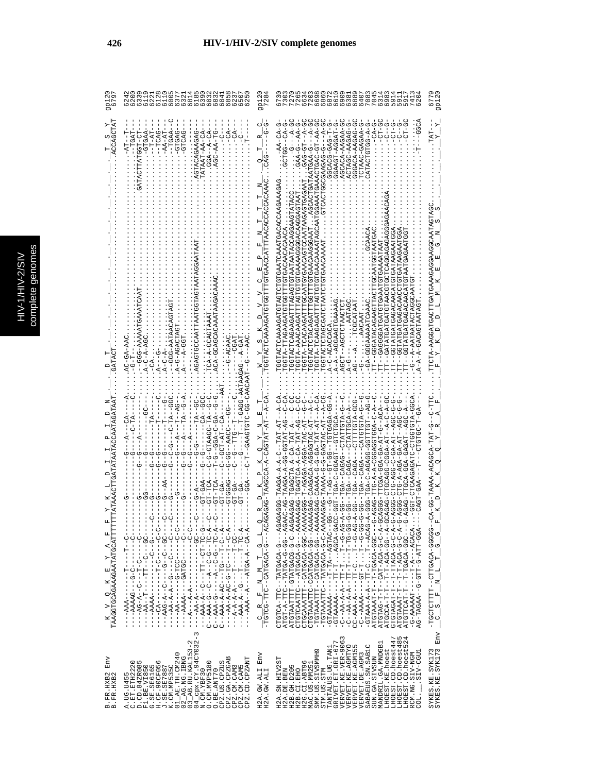| C<br>s |
|--------|
| Б      |
|        |
|        |
|        |
|        |
|        |
| ŋ<br>¢ |
| ١      |
|        |
|        |
|        |
|        |
| i      |
|        |

es

| 67                                                           | 622<br>0 下 N H 8 9 6 6 6 6 6 6<br>  O M M 8 H M 8 8 8 8 8<br>  G G G G G G G G G G G                                                                                                                                                                                                                                                                                                                                                                                                                             | 9P18.<br>728.                   | 7041<br>7041<br>Ō<br>G<br>Ō                                                                                                                                                                                                                                                                                                                                                                                                                                                                                                                                                                                                                                                                                                                                                                                                                                                                                                                                                                                                                                                                                                                                                                                                                                                                                                                                                                                                                                                                                                                                                                                                                                |                                                                                                                                                          |
|--------------------------------------------------------------|------------------------------------------------------------------------------------------------------------------------------------------------------------------------------------------------------------------------------------------------------------------------------------------------------------------------------------------------------------------------------------------------------------------------------------------------------------------------------------------------------------------|---------------------------------|------------------------------------------------------------------------------------------------------------------------------------------------------------------------------------------------------------------------------------------------------------------------------------------------------------------------------------------------------------------------------------------------------------------------------------------------------------------------------------------------------------------------------------------------------------------------------------------------------------------------------------------------------------------------------------------------------------------------------------------------------------------------------------------------------------------------------------------------------------------------------------------------------------------------------------------------------------------------------------------------------------------------------------------------------------------------------------------------------------------------------------------------------------------------------------------------------------------------------------------------------------------------------------------------------------------------------------------------------------------------------------------------------------------------------------------------------------------------------------------------------------------------------------------------------------------------------------------------------------------------------------------------------------|----------------------------------------------------------------------------------------------------------------------------------------------------------|
| $\frac{K-V}{\texttt{TAAGGTGCAAAGAATATGCATTTT}} \label{eq:1}$ | $-T-AT$<br>$-TCAC$<br>GTGAG<br>$-TCGAT$<br>-AA-AT<br>TAAT-AA-CA<br>AGAGTGCCAATTAATGGTAGTAATAGGAA<br>ACA-GCAGCACAAATAA<br>CA-A-GCAGTAAA<br>A-G-AGACTAG<br>-GGG-AATA<br>$-GG - DQ -$<br>AC-GA-AAC<br>$A-C-A-AG$<br>$A-C-A-$<br>--GAAGTGTU5US---<br>$A-BI-I$<br>U-U--KII-UUKKIIU-U-<br>GT-TCA<br>GT-TCA<br><b>BAD-TE</b><br>GTGGAG<br>- - - - ひひ - - ひ - - - ウ - - - - - マ - ダ - ウ v - イ<br>---AAA-A--C---TT--CT-TC-G--<br>--AAA-G--C--A--C-0-A-<br>C--AAA-G------A--C-G--TC-A-<br>U-AAAA-A-AU-I-U------            | CHACHARAACHUU<br>$\mathbb{R}^l$ | U-AA-LU-UACHUAACHARAU<br>$-4-7$<br>GAA--D-AA<br>D-4--L5-545<br>U-A---U-AAUHAHAHAUHUKUUA<br>ひー4ーー-D-DEDEEDDDDIDEDED<br>ACACA-AAGAA-G<br>GGAAGT-AGGAT<br>ATACTGTG-A<br>ACTAG-AAGAG<br>GGCACG-GAG-T<br>UACACA-AACAC<br>UGAGTA – AAAQAAGAGTE HETAAAAAGGGAGAAGGAGTAAT<br>CGTACACACACHOHOHOHOHOHOACACACACACACACACAC<br>UHRUARUAUHRUHAUHAHUU---<br>LARROHOHROHROOOORD--H<br><b>UCTRATTTTAGES-ARGACHT</b><br>URACAGAGATGATGAGACAGA<br><b>LAATOFACTOREDEDENT</b><br>DEURREDEUNG---HUUR<br>TT---GCACACACACACA<br>-C-ACACCAC<br>U--ベーひ-ベのひけの5のVDD-ベーベ-ひH<br>- ひひーむひむみにしけーーひひーけひーーひばー!<br>UUU-KHUHHHHU---KUKU--KUL<br>U-4-U-4--L4-455U-554U5L1<br>- KUR - - 5 - HR - KUP - KUU - KUU -<br>ひー ALDI-LALD - - DADAD - - AD.<br>ひーひひ⊄ーーH⊄ー⊄ひーひーひひ⊄ーひHひ<br>GA-AGA---CHATTECH-A<br>U-4HUHUH4U---<br>--DA-HAH-AU-A-UHUAUH-UAGAA<br>AUUHUHU--HUAUU-U-AUH<br>HひHHHひひーひひむり トリーダひ<br>UAT-LALUU-UU-A-AUAAL-UAT-UAA<br>AAAGGAGAGACA-AOGAG-URT<br>AAAGAG-G-AAAAG-U-D-AAAGAA-TAT<br>AAAGEDAC-D-0-0-0-0-0-0AAAAF-0AAGERAT<br>4-HAH-AJ-A-AHUUAUH-UAUA<br>-AGAGA-AGGA-TAC-A<br>TGA--CAGA<br>04---0-4040H4H--0HH-40H0H0<br>04--05-40HAH--0HH-4-HDHA<br>ATGTAATTTT4GTAGG-G-C-AA<br>AR---D-RORDHA---DHHARDHDHU<br>CTGCAAATTT--CATGACA-GGC-AA<br>CTGTAAATTCATGACATGACA--AA<br>-TGTAAATTT--CATGACA-GG--AA<br>-TGTAAATTC--TATGACA-G-C-AA<br>-GRAAAAA----TT-T-T-AGCA-GA<br>CC-AAA-A-----TT-CT----AG-<br>CC-AAA-A-----CT-TT-C-CG<br>-GTAAA-A-A-A-T-U-I-I-I-ACACAG<br>ATGTAG-T-T-T-ACAT-ACA-G-A-<br>- 4 - - 55 - 404 - H - H - - H - H - 4005H<br>-A-U-U-U-AUACH-F-H-H-H-H-H-<br>ATGTAAAT-T-T-ACA-G-C-A-<br>ATGTTCAT-T-T-T-T-TACHOLA<br>-G-AAAAAAT------A---ACACA.<br>- 455-154-5-155-5-144545-54 | OKHOKHKROOOGKOOKAROHKOHHOKOHKOOKK-KHO<br>CA-CA-TAAA-AAAA-HOO-C<br>$-$ TGCTCTTTT--CTTGACA-GGGG-<br>$-$ C $-$ S $-$ F $-$ M $-$ L $-$ T $-$ G $-$ G $-$ G- |
| Env<br>B.FR.HXB2<br>B.FR.HXB2                                | CPX.CY.94CY032-3<br>$\begin{array}{c} 02 \overline{\phantom{x}}\text{AG}.\text{NG}.\text{IRNG}\\ 03 \overline{\phantom{x}}\text{AB}.\text{RU}.\text{KAL153-2} \end{array}$<br>$AR$ . TH. CM240<br>CPZ.GA.CPZGAB<br>CPZ.CD.CPZANT<br>A.UG.U455<br>C.ET.ETH2220<br>D.CD.84ZR085<br>F1.BE.VI850<br>G.SE.SE6165<br>H.CF.90CF056<br>J.SE.SE7887<br>K.CM.MP535C<br>O. CM. MVP5180<br>CPZ.US.CPZUS<br>CPZ.CM.CAM3<br>CPZ.CM.CAM5<br>O.BE.ANT70<br>$04 \frac{\text{Cpx. CY. 9}}{\text{N. CM. YBF 30}}$<br>$\overline{c}$ | Env<br>H2A.GW.ALI<br>H2A.GW.ALI | LHOEST.CD.hoest485<br>LHOEST.CD.hoest524<br>VERVET.KE.VER-9063<br>VERVET.KE.AGMTYO<br>LHOEST.CD.hoest447<br>GRIVET.ET.GRI-677<br>MANDRIL.GA.MNDGB1<br>S<br>SABAEUS.SN.SAB1C<br>TANTALUS.UG.TAN1<br>VERVET.KE.AGM15<br>LHOEST.KE.hoest<br>SMM.US.SIVSMMB9<br>LLED-AIS<br>VERVET.DE.AGM3<br>RCM.NG.SIV-NGM<br>SUN.GA.SIVSUN<br>H2A.SN.HIV2ST<br>H2G.CI.ABT96<br>MAC.US.MM251<br>H2B.GH.D205<br>H2B.CI.EHO<br>H2A.DE.BEN<br>STM.US.STM<br>COL.                                                                                                                                                                                                                                                                                                                                                                                                                                                                                                                                                                                                                                                                                                                                                                                                                                                                                                                                                                                                                                                                                                                                                                                                                | SYKES.KE.SYK173<br>SYKES.KE.SYK173 Env                                                                                                                   |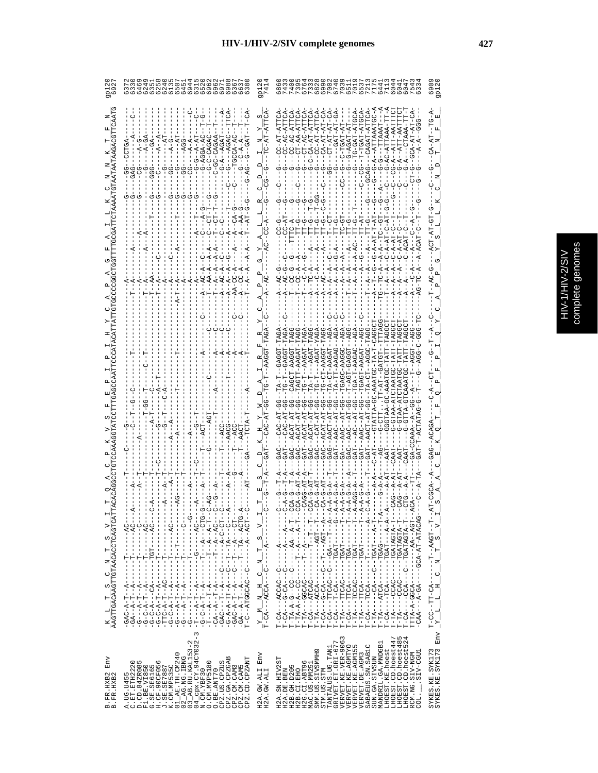| Б<br>í |
|--------|

|                                                                                                 | $\sigma$                                                                                                                                                                                                                                                                                                                                                                                                                                                     |                                                                                              | NOONONONONHT                                                                                                                                                                                                                                                                                                                                                                                                                                                                                                                                                                                                                                                                                                                                                                                                                                                                                                                                                                                                                                                                                                                                                                                                                                                                                                                                                           |                                                                                                                                                                                                                               |
|-------------------------------------------------------------------------------------------------|--------------------------------------------------------------------------------------------------------------------------------------------------------------------------------------------------------------------------------------------------------------------------------------------------------------------------------------------------------------------------------------------------------------------------------------------------------------|----------------------------------------------------------------------------------------------|------------------------------------------------------------------------------------------------------------------------------------------------------------------------------------------------------------------------------------------------------------------------------------------------------------------------------------------------------------------------------------------------------------------------------------------------------------------------------------------------------------------------------------------------------------------------------------------------------------------------------------------------------------------------------------------------------------------------------------------------------------------------------------------------------------------------------------------------------------------------------------------------------------------------------------------------------------------------------------------------------------------------------------------------------------------------------------------------------------------------------------------------------------------------------------------------------------------------------------------------------------------------------------------------------------------------------------------------------------------------|-------------------------------------------------------------------------------------------------------------------------------------------------------------------------------------------------------------------------------|
|                                                                                                 | ပု<br>$-5 - 0$<br><b>AGGA</b>                                                                                                                                                                                                                                                                                                                                                                                                                                |                                                                                              | CH-LC<br>CT-AA<br>CA-AT<br>ť                                                                                                                                                                                                                                                                                                                                                                                                                                                                                                                                                                                                                                                                                                                                                                                                                                                                                                                                                                                                                                                                                                                                                                                                                                                                                                                                           | $-TCT - A$                                                                                                                                                                                                                    |
|                                                                                                 |                                                                                                                                                                                                                                                                                                                                                                                                                                                              |                                                                                              |                                                                                                                                                                                                                                                                                                                                                                                                                                                                                                                                                                                                                                                                                                                                                                                                                                                                                                                                                                                                                                                                                                                                                                                                                                                                                                                                                                        |                                                                                                                                                                                                                               |
|                                                                                                 |                                                                                                                                                                                                                                                                                                                                                                                                                                                              |                                                                                              |                                                                                                                                                                                                                                                                                                                                                                                                                                                                                                                                                                                                                                                                                                                                                                                                                                                                                                                                                                                                                                                                                                                                                                                                                                                                                                                                                                        |                                                                                                                                                                                                                               |
|                                                                                                 |                                                                                                                                                                                                                                                                                                                                                                                                                                                              |                                                                                              |                                                                                                                                                                                                                                                                                                                                                                                                                                                                                                                                                                                                                                                                                                                                                                                                                                                                                                                                                                                                                                                                                                                                                                                                                                                                                                                                                                        |                                                                                                                                                                                                                               |
|                                                                                                 |                                                                                                                                                                                                                                                                                                                                                                                                                                                              |                                                                                              |                                                                                                                                                                                                                                                                                                                                                                                                                                                                                                                                                                                                                                                                                                                                                                                                                                                                                                                                                                                                                                                                                                                                                                                                                                                                                                                                                                        |                                                                                                                                                                                                                               |
|                                                                                                 |                                                                                                                                                                                                                                                                                                                                                                                                                                                              |                                                                                              |                                                                                                                                                                                                                                                                                                                                                                                                                                                                                                                                                                                                                                                                                                                                                                                                                                                                                                                                                                                                                                                                                                                                                                                                                                                                                                                                                                        |                                                                                                                                                                                                                               |
| $\frac{K}{A A G T T G A C A A G T T G T A A C A C C C C A G T C A T} = \frac{K}{A A G T C A T}$ | $\begin{array}{cccccccccccc} -c & -c & -\mathbf{A} - \mathbf{T} - -\mathbf{A} & - & -\mathbf{T} - \mathbf{T} - & -\mathbf{T} - & -\mathbf{A} & - & -\mathbf{A} & - & -\mathbf{A} & - & -\mathbf{A} & - & -\mathbf{A} & - & -\mathbf{A} & - & -\mathbf{A} & - & -\mathbf{A} & - & -\mathbf{A} & - & -\mathbf{A} & - & -\mathbf{A} & - & -\mathbf{A} & - & -\mathbf{A} & - & -\mathbf{A} & - & -\mathbf{A} & - & -\mathbf{A} & -$<br>HU4--4-------U4UBBH4--U-H | $\frac{1}{2}$<br>ω.<br>Л<br>$\frac{1}{1} - \frac{1}{1}$<br>н<br>$\frac{1}{\mathbf{z}}$       | $\begin{array}{l} \mathbf{\tilde{T}}^{\perp} \mathbf{\tilde{T}}^{\perp} \mathbf{\tilde{T}}^{\perp} + \mathbf{\tilde{T}}^{\perp} \mathbf{\tilde{r}}^{\perp} - \mathbf{\tilde{T}}^{\perp} \mathbf{\tilde{r}}^{\perp} \mathbf{\tilde{r}}^{\perp} - \mathbf{\tilde{r}}^{\perp} - \mathbf{\tilde{r}}^{\perp} - \mathbf{\tilde{r}}^{\perp} \\ \mathbf{\tilde{T}}^{\perp} \mathbf{\tilde{T}}^{\perp} \mathbf{\tilde{r}}^{\perp} + \mathbf{\tilde{r}}^{\perp} \mathbf$<br>CAA---A-GA---GCA-AT-ATACAG<br>$\begin{aligned} &\text{T}-\text{CA}----\text{C}-\text{CA}----\text{C}---\text{A}----\text{A}--\text{A}--\text{A}---\text{-.} \\ &\text{T}-\text{T}\text{A}-\text{A}-\text{G}--\text{CC}---\text{C}----\text{A}\text{A}--\text{A}-\text{A}-\text{T}.\end{aligned}$<br>$\begin{array}{l} \textbf{T}-\textbf{T}\textbf{A}+\textbf{A}-\textbf{C}\textbf{C}=\textbf{I}-\textbf{I}-\textbf{A}-\textbf{I}-\textbf{A}-\textbf{I}-\textbf{I}-\textbf{I}-\textbf{I}-\textbf{I}-\textbf{I}-\textbf{I}-\textbf{I}-\textbf{I}-\textbf{I}-\textbf{I}-\textbf{I}-\textbf{I}-\textbf{I}-\textbf{I}-\textbf{I}-\textbf{I}-\textbf{I}-\textbf{I}-\textbf{I}-\textbf{I}-\textbf{I}-\textbf{I}-\textbf{I}-\textbf{I}-\$<br>T-TA-T-A------------------<br>TTTA-A-GCA-------AA--AGT<br>$\begin{array}{c} 1 \\ 1 \\ 1 \end{array}$<br>T-TA---------TGATAGTA-T<br>H-RHORHROH--U---RUU----RU-H | $\begin{array}{llll} \text{T-CC--TT--CA-------AAGT--T--1--}\\ \text{--} & \text{--} & \text{--} & \text{--} \\ \text{--} & \text{--} & \text{--} & \text{--} \\ \text{--} & \text{--} & \text{--} & \text{--} \\ \end{array}$ |
|                                                                                                 | $-GA - T - T - P - P - -$<br>$-G---A-T---A---$<br>$GAC - A - T - A$<br>$\infty$                                                                                                                                                                                                                                                                                                                                                                              | $\frac{Y}{T-CA---ACCA---C---N}$<br>$\begin{array}{c}\n\downarrow \\ \downarrow\n\end{array}$ | ru 4                                                                                                                                                                                                                                                                                                                                                                                                                                                                                                                                                                                                                                                                                                                                                                                                                                                                                                                                                                                                                                                                                                                                                                                                                                                                                                                                                                   | Env                                                                                                                                                                                                                           |
| Env<br>B.FR.HXB2<br>B.FR.HXB2                                                                   | $03$ AB.RU.KAL153-2<br>$04$ cpx.CY.94CY032-<br>01_AE. TH. CM240<br>02_AG.NG.IBNG<br>CPZ.GA.CPZGAB<br>CPZ.CD.CPZANT<br>C.ET.ETH2220<br>D.CD.84ZR085<br>O. CM. MVP5180<br>CPZ.US.CPZUS<br>O<br>F1.BE.VI850<br>G.SE.SE6165<br>H.CF.90CF056<br>J.SE.SE7887<br>K.CM.MP535C<br>CPZ.CM.CAM3<br>CPZ.CM.CAM5<br>O.BE.ANT70<br>A.UG.U455<br>C.ET.ETH22<br>$04$ $Cpx.CY.9$<br>N.CM.YBF30                                                                                | Env<br>H2A.GW.ALI<br>H2A.GW.ALI                                                              | VERVET.KE.VER-9063<br>LHOEST.CD.hoest447<br>LHOEST.CD.hoest48<br>LHOEST.CD.hoest52<br>GRIVET.ET.GRI-677<br>MANDRIL.GA.MNDGB1<br>VERVET.KE.AGMTYO<br>VERVET.KE.AGMI55<br>SABAEUS.SN.SAB1C<br>TANTALUS.UG.TAN1<br>LHOEST.KE.hoest<br>SMM.US.SIVSMMH9<br>SIV-CGU1<br><b>VERVET.DE.AGM3</b><br>RCM.NG.SIV-NGM<br>SUN.GA.SIVSUN<br>H2A.SN.HIV2ST<br>H2G.CI.ABT96<br>MAC.US.MM25<br>H2B. GH. D205<br>H2B.CI.EHO<br>H2A.DE.BEN<br>STM.US.STM<br>.<br>دا                                                                                                                                                                                                                                                                                                                                                                                                                                                                                                                                                                                                                                                                                                                                                                                                                                                                                                                       | SYKES.KE.SYK173<br>SYKES.KE.SYK173                                                                                                                                                                                            |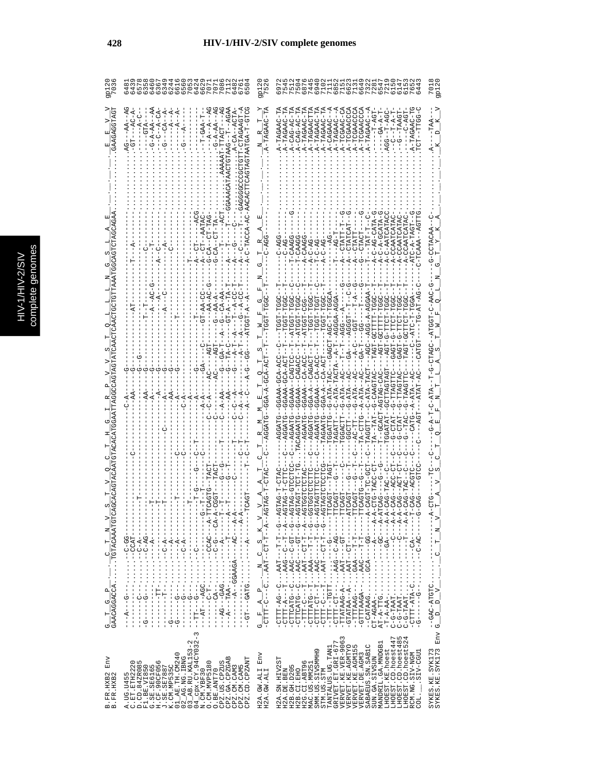| <b>PO40001</b><br>PO40001<br>$\circ \circ \circ$<br>64<br>$\omega$                                                                                                                                                                                                                                                                                                                                                                                                                                                                                                                                          | 9P1<br>75:                                 | 614<br>615<br>4<br>69                                                                                                                                                                                                                                                                                                                                                                                                                            | gp $12$                                                                                      |
|-------------------------------------------------------------------------------------------------------------------------------------------------------------------------------------------------------------------------------------------------------------------------------------------------------------------------------------------------------------------------------------------------------------------------------------------------------------------------------------------------------------------------------------------------------------------------------------------------------------|--------------------------------------------|--------------------------------------------------------------------------------------------------------------------------------------------------------------------------------------------------------------------------------------------------------------------------------------------------------------------------------------------------------------------------------------------------------------------------------------------------|----------------------------------------------------------------------------------------------|
| ATAACTGTAAG---T--AGAA<br>$-4$<br>$G - A - A + - A$<br>-CTAGAAGT-<br>$-A$ -CA- $-A$<br>$-A$ – $A$ – $AA$ – $A$<br>$P-TTACT--A$<br>$.A-CA--ACTA$<br>$-4-CA$<br>$A - DAC - P$<br>$--GTA--$<br>$-44A-1$<br>- AA<br>ט<br>ו                                                                                                                                                                                                                                                                                                                                                                                       | A-TAGAAC-TA                                | A-TCGAACCCA<br>A-TAGAAC-TA<br>. A-TAGAACTTA<br>A-TAGAAC-TA<br>A-TAGAAC-TA<br>$-4$<br>A-TCGAAC-CA<br>A-TCGAACCCA<br>A-TAGAAC--A<br>A-TAGAAC-TA<br>$A-CAG-AC-TP$<br>$A-CAG-AC-TP$<br>A-TCGAACCCA<br>1-TAGAAC-T<br>AGG--T-AGC<br>TDAAT--5-<br>$- - - - - - - - - -$<br>$-4-4-4-7$<br>--C--F-A-T<br>こりょう<br>A-TAGAAC<br>A-CAGAAC<br>.A-TAGAAC                                                                                                        |                                                                                              |
| $T--C$                                                                                                                                                                                                                                                                                                                                                                                                                                                                                                                                                                                                      |                                            |                                                                                                                                                                                                                                                                                                                                                                                                                                                  |                                                                                              |
| -C-TACCA-AC-AAC<br>- DAH-HU---CD-D<br>A--CT-AATAC<br>$A---T$                                                                                                                                                                                                                                                                                                                                                                                                                                                                                                                                                | Н                                          | $-$ A-CCAATCATA<br>A-C-A-GCATA<br>A-CCAATCATA<br>A--CTATCAT<br>$A-C-AG-CA$<br>$A-C-AATCA$<br>$T---TAT-T$<br>A--CTATT<br>G--CTACT<br>A--CTATI<br>$T - C - AG$<br>$T$ -CAAG<br>A-CAAG                                                                                                                                                                                                                                                              | CTACAA                                                                                       |
| - 41-4-124<br>$-4A-AC$<br>$-49 - 59 - -59$<br>$-1$<br>GT-AA-C<br>$A - A$                                                                                                                                                                                                                                                                                                                                                                                                                                                                                                                                    | z                                          | $\overline{A}$ – $\overline{L}$ –<br>$  AGG-AGGA-AGGA$<br><b>L-LOOL---</b><br>U-HODHA--<br>--ATGGT<br>י"די-                                                                                                                                                                                                                                                                                                                                      |                                                                                              |
| $\tilde{A}$                                                                                                                                                                                                                                                                                                                                                                                                                                                                                                                                                                                                 | $A - A - A - A - A$                        | - 44504-4-054--U54---HU3H-4H4-U<br>$-AGT-GCTTTTT-T$<br>Hひひひぺーーーー stDーーーひぺーーぺHぺーひーーー HHひひひー<br>$-100 - -1 - 0 - 4$<br><b>CAGT-G-TDAG</b><br><b>1111100-1045---</b><br>$- -G - T - T - G - G -$<br>GAGT-G<br>$-ATA-TACTA-AA-T$<br>UUA-AU--AAAUU--<br>UUHUAU--AARUU--<br>GGAAA-GCA-AC<br>U4-40--4-50---<br>-GGAAA--CAGA<br>UR-RU--RARDU--<br>UCACH--A--A-CACAC<br>$A - A T A - - A C$<br>$G-ATA-AC$<br>-G-CAAGTAC<br>-AGTAG-CAC<br>-TTAG            | ひ‐ひぺぺ‐ひ‐エュのい〔ぺ‐‐ひのぺ‐ひ‐ひ‐し‐‐‐‐                                                                |
| $- -A - \lambda I$                                                                                                                                                                                                                                                                                                                                                                                                                                                                                                                                                                                          |                                            | -- DR-- RHR-D-- HHURDDH<br>$T - -GCACT$<br>.TACAGAATG<br>TAGAATG<br>TGGATTG<br>TA-CTTG<br>AGGATG<br>---AGGATG<br>$TA$ --TAT<br>TAGGTT-<br>-CTAT<br>--G-CHAI<br>$-74C-$                                                                                                                                                                                                                                                                           | $- A - T - C - A T A$                                                                        |
| $\begin{array}{c} 1 \\ 1 \\ 1 \end{array}$<br>$\frac{1}{1}$                                                                                                                                                                                                                                                                                                                                                                                                                                                                                                                                                 | $\bowtie$                                  | ひーひひれーけ<br>CAG-TAC<br>ローロ                                                                                                                                                                                                                                                                                                                                                                                                                        | $\geq$                                                                                       |
| $\begin{array}{l} \mathbf{G\_T\_G\_P\_} \cdot \ldots \cdot \mathbf{G\_T\_N\_V} \\ \mathbf{GAACAGGACCA} \cdot \ldots \cdot \mathbf{TGTACAAATGTC} \end{array}$<br>$1 - A - -1$<br>4-4---ひ4----⊄の∀∀♡♡--4-------<br>$-1$ - $-1$ - $-1$ - $-1$<br>「KU---U-U--・・・・・・-KU-------<br>エーエーエー ペーーエー・・・・・・ エーエーエーエー<br>- - - - - - V - O - - ・・・・・・ - - - - - - -<br>- LRUU - - ・・・・・・ - - - - - - - - - -<br>- - d'- い-- ・・・・・ - - - - - - - -<br>- 54 - 2 - - ・・・・・・・ - - - 5 - - - - - - - -<br>-- ペーシー- ・・・・・・ - --- ウーーーーー<br>$\begin{bmatrix} 1 \\ 1 \\ 1 \\ 1 \end{bmatrix}$<br><b>ひひーひーー・・・・・・・・ーー のーーー ダーー</b> | $\omega$<br>$\circ$<br>¤,<br>$\frac{1}{1}$ | A--0--T-T-T-T-0--A<br>4--0---ED-0---DER: --DERULLU-<br>-- H-H-H-H-H-H-H-H-H-H-H-H-H-H-A<br>- TTATATAAG - A - 1 - A - 1 - 1 - 1 - 1 - 1 - 1<br>4 - 4 - - - - - - - - - - - - -<br>$- - - - - - - - - - - - - - -$<br>-- 5-1-H-H-H-AAA: H-- 5HAHHD-<br>7-ペーー - ローーーーー・・・・・・<br>$C-AC-$<br>$\vdots$                                                                                                                                                 | $\Gamma$ $\overline{\phantom{0}}$<br>$\circ$                                                 |
| $-4A-1TAA-$<br>$\frac{1}{1}$<br>$\begin{array}{c} 1 \\ 1 \\ 1 \end{array}$<br>$\frac{1}{1}$<br>$-1$ $-1$ $-1$ $-1$ $-1$<br>$\frac{1}{1}$<br>$\frac{1}{1}$                                                                                                                                                                                                                                                                                                                                                                                                                                                   | $\alpha_1^{\dagger}$<br>4<br>l<br>L<br>U   | $-CTTTT-TT-TTT-$<br>$C-G-TAAT$<br>$-CTTT - ATPA-C$<br>$C-G-TAAT$<br>CTTT-AG--C<br>$-CTTTT-TT-TTT-$<br>$-1$<br>$-5 - -1$                                                                                                                                                                                                                                                                                                                          | $\overline{P}$ $\overline{V}$ $\overline{V}$ $\overline{C}$ $\overline{C}$<br>$\mathsf{p}_i$ |
| $\sim$<br>cpx.CY.94CY032-<br>$03$ $AB$ . RU. KAL153-2<br>$\frac{01}{204}$ . TH. CM240<br>Env<br>CPZ.GA.CPZGAB<br>CPZ.CM.CAM3<br>CPZ.CD.CPZANT<br>CPZ.US.CPZUS<br>A.UG.U455<br>C.ET.ETH2220<br>D.CD.84ZR085<br>O<br>0. CM. MVP5180<br>G.SE.SE6165<br>H.CF.90CF056<br>J.SE.SE7887<br>K.CM.MP535C<br>CPZ.CM.CAM5<br>F1.BE.VI850<br>$04$ cpx. $CY$ .<br>N. CM. $YBF30$<br>O.BE.ANT70<br>B.FR.HXB2<br>B.FR.HXB2                                                                                                                                                                                                  | Env<br>H2A.GW.ALI<br>H2A.GW.ALI            | TANTALUS.UG.TANI<br>GRIVET.ET.GRI-677<br>VERVET.KE.VER-9063<br>ru 4<br>LHOEST.CD.hoest447<br>LHOEST.CD.hoest48<br>LHOEST.CD.hoest52<br>MANDRIL.GA.MNDGB1<br>VERVET.KE.AGMTYO<br>VERVET.KE.AGM155<br>SABAEUS.SN.SAB1C<br>SMM.US.SIVSMMH9<br>LHOEST.KE.hoest<br>LIED-VIS.<br>RCM.NG.SIV-NGM<br>VERVET. DE. AGM3<br>SUN.GA.SIVSUN<br>H2A.SN.HIV2ST<br>H2G.CI.ABT96<br>MAC.US.MM251<br>H2B.GH.D205<br>STM.US.STM<br>H2A.DE.BEN<br>H2B.CI.EHO<br>COL. | SYKES.KE.SYK173<br>SYKES.KE.SYK173<br>Thy G_                                                 |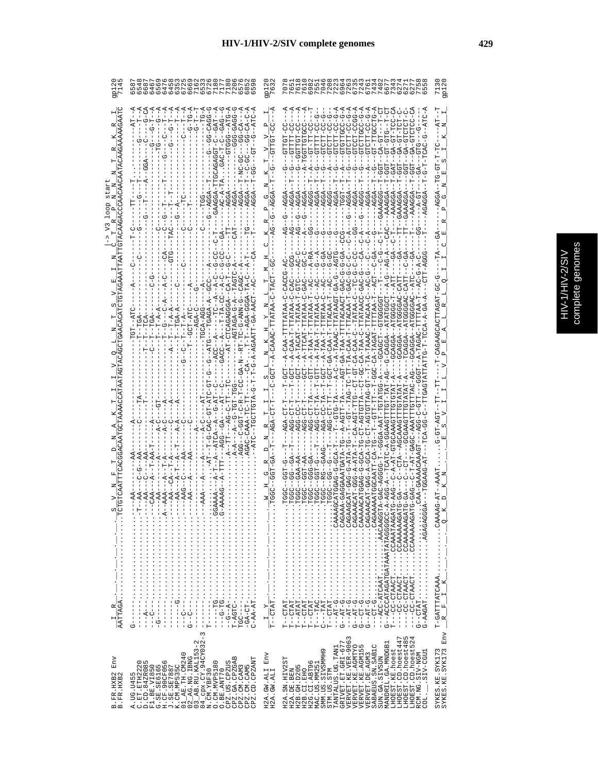| C       |
|---------|
|         |
| e)<br>ŋ |
|         |
|         |
|         |
|         |

| 9p12<br>714!                          | ru ru<br>0 ن                                                                                                                                                                                                                                                                                                                                                                                                                                                                                                                                                                                                                                                                                                                                                                                                                                                                                                                            | 9p122                                                                                                                                                                                                                                                                                                                                            | てるマケでですのでもできない。 かんていきろう しゅうりょう しゅうしょうりょう しゅうしょうしょう しゅうしょう しゅうしょう しょうてい しょうしょう しょうてい しょうしょしょう<br><b>gp120</b><br>$\overline{0}$<br>$\overline{ }$                                                                                                                                                                                                                                                                                                                                                                                                                                          |
|---------------------------------------|-----------------------------------------------------------------------------------------------------------------------------------------------------------------------------------------------------------------------------------------------------------------------------------------------------------------------------------------------------------------------------------------------------------------------------------------------------------------------------------------------------------------------------------------------------------------------------------------------------------------------------------------------------------------------------------------------------------------------------------------------------------------------------------------------------------------------------------------------------------------------------------------------------------------------------------------|--------------------------------------------------------------------------------------------------------------------------------------------------------------------------------------------------------------------------------------------------------------------------------------------------------------------------------------------------|-------------------------------------------------------------------------------------------------------------------------------------------------------------------------------------------------------------------------------------------------------------------------------------------------------------------------------------------------------------------------------------------------------------------------------------------------------------------------------------------------------------------------------------------------------------------------------------------|
| R,                                    | $\begin{array}{ll} C-1 & -1 & -1 \\ C-1 & -1 & -1 \\ C-1 & -1 & -1 \\ C-1 & -1 & -1 \\ C-1 & -1 & -1 \\ C-1 & -1 & -1 \\ C-1 & -1 & -1 \\ C-1 & -1 & -1 \\ C-1 & -1 & -1 \\ C-1 & -1 & -1 \\ C-1 & -1 & -1 \\ C-1 & -1 & -1 \\ C-1 & -1 & -1 \\ C-1 & -1 & -1 \\ C-1 & -1 & -1 \\ C-1 & -1 & -1 \\ C-1 & -1 & -1 \\ C-1 & -1 & -1 \\ C-1 & -1 & -1 \\ C-1 & -1 & -1 \\ C-1 & -1 & -1 \\ C-1$<br>$-9 - 0 - 0$<br>4-9H4--999H9---<br>U-UU4U-UUU---<br>4---40-55----05-0A-H--4554--<br>$-CT-1$                                                                                                                                                                                                                                                                                                                                                                                                                                             | $\frac{1}{2}$<br>ï<br>$\overline{1}$<br>$\frac{V-V-P}{-CTTGT-CC}$<br>E,<br> <br> פור<br> די<br>×<br>z,                                                                                                                                                                                                                                           | A-UHA--U-UAUH-H-U-H--<br>- 1<br>1<br>1<br>1<br>1<br>1<br>1<br>1<br>1<br>1<br>1<br>1<br><br>$-4T$<br>-AAAGGA--T-GU--GA-GTCTC<br>Z<br>×<br>ĭ<br>AGGA--TO-0TH<br>S<br>囸                                                                                                                                                                                                                                                                                                                                                                                                                      |
| $N$ $N$<br>д                          | $-1$ - $-490A$<br>$--T--$<br>$-$ -AGGA<br>$-AGGAA$<br>$-100A$<br>$\frac{6}{1}$<br><b>POL------</b><br>$\frac{G - -T - -}{3 - -A - - -}$<br>ငှံ<br>$\frac{1}{\sqrt{2}}$<br>ن<br>ا<br>ن<br>H<br>$\frac{1}{2}$<br>$-1$<br>$\frac{1}{1}$                                                                                                                                                                                                                                                                                                                                                                                                                                                                                                                                                                                                                                                                                                    | $R$ $R$ $P$ $G$<br>AG--G--AGGA                                                                                                                                                                                                                                                                                                                   | $- - AG - -G - - AGGA$<br>ひ<br>$\mathbf{\Omega}$<br>R<br>- 0<br>- 10<br>- 1                                                                                                                                                                                                                                                                                                                                                                                                                                                                                                               |
| 囯                                     | $-1$<br>$\frac{0}{1}$<br>$---TAC$<br>$\frac{1}{1}$<br>U<br> <br>$-45D$<br>$-1$ - $C$ - $T$<br>$\frac{1}{1}$<br>$- - GTC$<br>$- -CA$<br>$  C$ A<br>$\frac{1}{2}$<br>$---TAGTC - A - -$<br>$-1 - C - C$<br>$-$ -CAGC<br>$-4-7$<br>$---A---$<br>$\frac{1}{1}$                                                                                                                                                                                                                                                                                                                                                                                                                                                                                                                                                                                                                                                                              | U<br>Ħ,<br>$\frac{1}{2}$<br>Σ                                                                                                                                                                                                                                                                                                                    | 闰<br>U<br>$-42 - 5 - 1$<br>$TA-$<br>$-6A$<br>$-C-A-C$<br>$-ATC$<br>$-$ - $AC$                                                                                                                                                                                                                                                                                                                                                                                                                                                                                                             |
| m<br>z                                | $\begin{split} &\frac{1}{1-\gamma-1}+\frac{1}{1-\gamma-1}+\frac{1}{1-\gamma-1}+\frac{1}{1-\gamma-1}-\frac{1}{1-\gamma-1}-\frac{1}{1-\gamma-1}-\frac{1}{1-\gamma-1}-\frac{1}{1-\gamma-1}-\frac{1}{1-\gamma-1}-\frac{1}{1-\gamma-1}-\frac{1}{1-\gamma-1}-\frac{1}{1-\gamma-1}-\frac{1}{1-\gamma-1}-\frac{1}{1-\gamma-1}-\frac{1}{1-\gamma-1}-\frac{1}{1-\gamma-1}-\frac{1}{1-\gamma-1}-\frac{1}{1-\gamma-1}-\frac{1}{1-\gamma-1}-\frac{1}{$<br>$\frac{1}{6}$<br>$-\overline{A}$<br>$- -AGTAGA-G - A$<br>TGT--ATC<br>$- -$ GCT-ATC<br>$-TT$ -TGA-<br>$---TCA$<br>$---TGA$<br>۴.                                                                                                                                                                                                                                                                                                                                                            | $\begin{array}{cccccc} \textbf{L} & \textbf{N} & \textbf{K} & \textbf{H} & \textbf{Y} & \textbf{D} & \textbf{L} & \textbf{T} \\ -\textbf{A} - \textbf{C} \textbf{A} \textbf{A} \textbf{A} \textbf{C} + \textbf{T} \textbf{T} \textbf{A} \textbf{T} \textbf{A} \textbf{A} - \textbf{C} + \textbf{T} \textbf{A} \textbf{C} \textbf{T} \end{array}$ | - A-CAA-TTTTARA-C-CACCO-AC<br>-D-UD-HAURHHURUDARD-<br>闰                                                                                                                                                                                                                                                                                                                                                                                                                                                                                                                                   |
| O                                     | U-NNV-D-UL-LHY--N-Y-D-U-L-Y-D-LD-LD-LD-D-D--D--DDV:<br>י<br>ד<br>U-HU-UHA-HU-<br>$\frac{1}{2}$<br>$-TCG$<br>$-\mathbf{T}^{\mathbf{A}}_{\mathbf{T}}-$<br>$\frac{1}{1}$<br>$-4T$<br>$-1 - 5 - 4$<br>$-4$                                                                                                                                                                                                                                                                                                                                                                                                                                                                                                                                                                                                                                                                                                                                  | нj<br>$\frac{1}{100}$<br>HĪ<br>- 1                                                                                                                                                                                                                                                                                                               | $\mathbf{\Omega}$<br>$T - GCT$<br>력--<br>부                                                                                                                                                                                                                                                                                                                                                                                                                                                                                                                                                |
| <b>△</b>                              | $\cdots$ . AGAC-CAAA-TC-TT-<br>'--A--ATCA--A--G-AT<br>TT---AGG--GA---AT<br>$\ldots$ $A - A - - - - - - - -$<br>ł<br>$\frac{1}{4}$<br>Ť<br>$\ldots -AT = -T - G - CAC$<br>$-4$<br>U<br>$- - -A - A$<br>$-1 - 1$<br>$-4 - C$<br>$- - A$<br>$-1 - 2 - 1$<br>$\frac{1}{2}$<br>J.<br>$-4$<br>J.<br>$- -A - -$                                                                                                                                                                                                                                                                                                                                                                                                                                                                                                                                                                                                                                | $\frac{1}{1-\text{AGA}-\text{CT}-\text{T}}$<br>z,<br>י<br>י<br>$\Box$                                                                                                                                                                                                                                                                            | AGA-CT<br>$-CT-AGT$                                                                                                                                                                                                                                                                                                                                                                                                                                                                                                                                                                       |
|                                       | $\begin{split} \vdots \quad \begin{aligned} \mathbf{1} & \mathbf{1} & \mathbf{1} & \mathbf{1} & \mathbf{1} & \mathbf{1} & \mathbf{1} & \mathbf{1} & \mathbf{1} & \mathbf{1} & \mathbf{1} & \mathbf{1} & \mathbf{1} & \mathbf{1} & \mathbf{1} & \mathbf{1} & \mathbf{1} & \mathbf{1} & \mathbf{1} & \mathbf{1} & \mathbf{1} & \mathbf{1} & \mathbf{1} & \mathbf{1} & \mathbf{1} & \mathbf{1} & \mathbf{1} & \mathbf{1} & \mathbf{1} & \math$<br>$- A - T$<br>3-AAAAG--A-T<br>$\dot{A}$<br>$---AAA-$                                                                                                                                                                                                                                                                                                                                                                                                                                      | $\frac{1}{1 - \text{GGT}-\text{GA}}$<br>$\frac{M}{10000}$                                                                                                                                                                                                                                                                                        | $\begin{array}{l} \mathcal{I}_{\mathcal{I}_{\mathcal{I}_{\mathcal{I}_{\mathcal{I}_{\mathcal{I}_{\mathcal{I}_{\mathcal{I}_{\mathcal{I}_{\mathcal{I}_{\mathcal{I}_{\mathcal{I}_{\mathcal{I}_{\mathcal{I}_{\mathcal{I}_{\mathcal{I}_{\mathcal{I}_{\mathcal{I}_{\mathcal{I}_{\mathcal{I}_{\mathcal{I}_{\mathcal{I}_{\mathcal{I}_{\mathcal{I}_{\mathcal{I}_{\mathcal{I}_{\mathcal{I}_{\mathcal{I}_{\mathcal{I}_{\mathcal{I}_{\mathcal{I}_{\mathcal{I}_{\mathcal{I}_{\mathcal{I}_{\mathcal{I}_{\mathcal$<br>$-9 - 199 - -$<br>$-AAAT$<br>Z<br>CCAAAAAACATG-GA-<br>LAAD.<br>CCAAAAAAG<br>$\circ$ |
| $\overline{A\overline{A}}$ TTAGA<br>œ | $\frac{1}{2}$ : $\frac{1}{2}$ : $\frac{1}{2}$ : $\frac{1}{2}$ : $\frac{1}{2}$ :<br>$\ddots$ : $\ddots$ : $\ddots$ :<br>$\vdots$<br>$\frac{1}{2}$ $\frac{1}{2}$ $\frac{1}{2}$ $\frac{1}{2}$ $\frac{1}{2}$ $\frac{1}{2}$ $\frac{1}{2}$ $\frac{1}{2}$ $\frac{1}{2}$ $\frac{1}{2}$ $\frac{1}{2}$ $\frac{1}{2}$<br>$\vdots$<br>$\vdots$<br>$-1 - 5 - 1 - 1$<br>$- -G - T G - $<br>$-G - A - $<br>$\frac{1}{1}$<br>$\frac{1}{1}$<br>$\vdots$<br>$---TG$<br>$-GH-CT-$<br>$\bar{\rm I}$<br>$C-AA-AT$<br>$- -A - - -$<br>$TC - - - - -$<br>$-1$ $-1$ $-1$ $-1$<br>$\frac{1}{1}$<br>$-1$<br>$-1$<br>$-1$<br>$-1$<br>$-1$ $-1$ $-1$ $-1$ $-1$ $-1$<br>j<br>$T-AGTC$<br>J<br>I<br>りー<br>$\frac{1}{1}$<br>$\frac{1}{1}$<br>í<br>ひ<br>н<br>J                                                                                                                                                                                                          | $\overline{T}$ - $\overline{C}$ $\overline{T}$ $\overline{T}$<br>$\triangleright$<br>н                                                                                                                                                                                                                                                           | T-GATTTATCAAA<br>$---CCTAACT$ .<br>$G-AAGAT$<br>$G$ --CTAT<br>×<br>$T$ --CTAT<br>Ĺ.<br>$\approx$                                                                                                                                                                                                                                                                                                                                                                                                                                                                                          |
| Env<br>B.FR.HXB2<br>B.FR.HXB2         | $\begin{array}{ll} 01\_AB \texttt{.} \texttt{TH1} \texttt{.} \texttt{0012} \\ 02\_AB \texttt{.} \texttt{RIC} \texttt{.} \texttt{IRNG} \\ 03\_AB \texttt{.} \texttt{RU} \texttt{.} \texttt{KRLIS3-2} \\ 04\_BA \texttt{.} \texttt{KRLIS3-2} \\ \texttt{N} \texttt{.} \texttt{CIV} \texttt{.} \texttt{VBF30} \texttt{.} \end{array} \begin{array}{ll} \texttt{0} \\ \texttt{0} \\ \texttt{.} \texttt{VRF30} \\ \texttt{.} \$<br>CPZ.GA.CPZGAB<br>CPZ.CD.CPZANT<br>$\begin{array}{ll} \text{C. ET} & \text{ETH2220} \\ \text{D. CD} & \text{942R085} \\ \text{F1. BE} & \text{Y185,0} \\ \text{G. SE} & \text{195,0} \\ \text{G. SE} & \text{195,0} \\ \text{F1. SE} & \text{195,0} \\ \text{F2. SE} & \text{195,0} \\ \text{F1. SE} & \text{195,0} \\ \text{F2. SE} & \text{195,0} \\ \text{F1. CD} & \text{195,0} \\ \text{F2. CD} & \text{195,0} \\ \text{F$<br>CPZ.US.CPZUS<br>CPZ.CM.CAM3<br>CPZ.CM.CAM5<br>O.BE.ANT70<br>A. UG. U455 | H2A.GW.ALI Env<br>H2A.GW.ALI                                                                                                                                                                                                                                                                                                                     | Env<br>$\begin{array}{c} \texttt{GRIVET. ET. GLI-677}\\ \texttt{VERVET. KE. VER-9063} \end{array}$<br>ru 4<br>LHOEST.CD.hoest447<br>LHOEST.CD.hoest48<br>LHOEST.CD.hoest52<br>MANDRIL.GA.MNDGB1<br>VERVET.KE.AGMTYO<br>SABAEUS.SN.SAB1C<br>VERVET.KE.AGM155<br>TANTALUS.UG.TAN1<br>SYKES.KE.SYK173<br>SYKES.KE.SYK173<br>LHOEST.KE.hoest<br>SMM.US.SIVSMMH9<br>.SIV-CGU1<br>RCM.NG.SIV-NGM<br>VERVET. DE. AGM3<br>SUN.GA.SIVSUN<br>H2A.SN.HIV2ST<br>H2G.CI.ABT96<br>MAC.US.MM251<br>H2B. GH. D205<br>STM.US.STM<br>H2A.DE.BEN<br>H2B.CI.EHO<br>COL.                                       |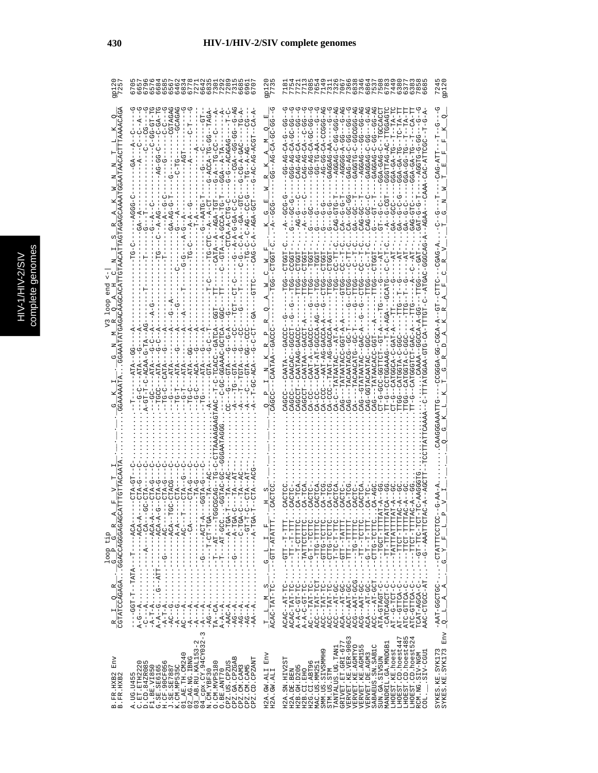|   | C<br>۹ |
|---|--------|
|   | Ś      |
|   |        |
|   |        |
|   |        |
|   |        |
|   |        |
|   | ÷<br>ń |
| с |        |
|   | ¢      |
|   |        |
|   |        |
|   |        |
|   |        |
|   |        |
|   |        |
|   | ì      |
|   |        |

|                                                                | 666<br>648<br>$\circ$ $\sim$                                                                                                                                                                                                                                    | 걂                                               |                                                                                                                                                                                                                                                                                                                                                                                                                                                                                                                                                                                                                                                                                                                                                                       |                                                                                                     |
|----------------------------------------------------------------|-----------------------------------------------------------------------------------------------------------------------------------------------------------------------------------------------------------------------------------------------------------------|-------------------------------------------------|-----------------------------------------------------------------------------------------------------------------------------------------------------------------------------------------------------------------------------------------------------------------------------------------------------------------------------------------------------------------------------------------------------------------------------------------------------------------------------------------------------------------------------------------------------------------------------------------------------------------------------------------------------------------------------------------------------------------------------------------------------------------------|-----------------------------------------------------------------------------------------------------|
|                                                                | 59-99-                                                                                                                                                                                                                                                          |                                                 | そーひりひ<br>$\overline{A}-D$<br>4-55505-0-5-55545<br>$A - B -$<br>$A - 000 -$<br>ひひーstひーひのーひばー<br>ひひーひーみ H DistD<br>-- AU-DA-DAJ<br>$-95 - 59 - 59$                                                                                                                                                                                                                                                                                                                                                                                                                                                                                                                                                                                                                      |                                                                                                     |
|                                                                | $- A - P$<br>- - A - GCC                                                                                                                                                                                                                                        |                                                 |                                                                                                                                                                                                                                                                                                                                                                                                                                                                                                                                                                                                                                                                                                                                                                       |                                                                                                     |
|                                                                |                                                                                                                                                                                                                                                                 |                                                 |                                                                                                                                                                                                                                                                                                                                                                                                                                                                                                                                                                                                                                                                                                                                                                       |                                                                                                     |
|                                                                |                                                                                                                                                                                                                                                                 |                                                 | CA-CCC--AAT-AG-GAC<br>CDU-UUALAHAHAH---UAD<br>--G--CAT<br>$A-CC$                                                                                                                                                                                                                                                                                                                                                                                                                                                                                                                                                                                                                                                                                                      | 4-4050-55-45550                                                                                     |
|                                                                |                                                                                                                                                                                                                                                                 |                                                 |                                                                                                                                                                                                                                                                                                                                                                                                                                                                                                                                                                                                                                                                                                                                                                       |                                                                                                     |
| loop tip<br>G P G                                              | - KPL- K- - - - - - - - - - - - - - - -<br>- KUH - K - - - - - - - - - - - - -<br>- - 404 - - - - - - - - 404 1 - - 100 - - - -                                                                                                                                 | $--CTT - ATTATT$ .<br>Ŀ,<br>$\vdash$<br>$G - L$ | --ד'אדדבאדדי<br>AHHHH - HOHH - - - -<br>$-1TTCT-TTTTP$<br>--TTCT-TTTTA<br>-- 151-211-15-<br>--G--AAATTCTA<br>11111-1001-1-----<br>$---CTTC-TCTTC$ .<br>$\begin{array}{c} \cdot & \cdot \\ \cdot & \cdot \\ \end{array} \begin{array}{c} \cdot & \cdot \\ \cdot & \cdot \\ \end{array} \begin{array}{c} \cdot & \cdot \\ \cdot & \cdot \\ \end{array} \begin{array}{c} \cdot & \cdot \\ \cdot & \cdot \\ \end{array}$<br>$---TTT---TCTTC.$<br>$1 - 1 - 1 - 1$<br>$\begin{array}{l} - -CTT - TATTT \end{array}$<br>$\ldots$ --TATTCTCTTC<br>$- - - 1T1T - 2T1T1 - 2T1T1$<br>$. -G-T-T-TCTTC$<br>$---1121-01110-1$<br>$\begin{array}{l} \textbf{L} = \textbf{L} \textbf{L} \textbf{L} - \textbf{L} \textbf{L} \textbf{L} - \textbf{L} \textbf{L} \textbf{L} \end{array}$ | щ<br>$\mathbf{r}_{\mathrm{p}}$<br>$\mathbf{r}_i$<br>$\times$<br>U                                   |
| $\frac{R}{CCTATCCAGAGA} \cdot \frac{G}{CGCACACAGGGAGAGAGACAG}$ | $A - B - C - C - C - C$<br>L--dOd--------------------Dd-<br>TA--CA-----AT-------<br>$-AG - -A \ldots$<br>$-AG = -A \cdot$<br>$-AC - A$ .<br>$-AA--A$ .                                                                                                          | $\frac{T}{ACAC-TAT-TC-}$                        | ACAC--AT-TC------DAD-EAT--DAOA<br>$A - A - C - GT - TC - 1$<br>$\begin{array}{lll} \texttt{ACC--TAT-TC--}\\ \texttt{ACC---ATT-GC--} \end{array}$<br>ACG--AAT-GCG.<br>$ACA---AT-GC-$<br>ACC---AT-GCT.<br>$A - A - C - GT - TC - 1$<br>$ACC--TAT-TC-.$<br>$ACA---AT-GC-$<br>ACC--AAT-GC-.<br>ACG--AAT-GC-.<br>ATC-GTTCA-C-<br>$AT = -G - TCT = C -$<br>ATC-GTTC-ULA<br>$AC---TAT-TC-$<br>ACC--TAT-TCT<br>TCAT-AGCA-C-<br>AAC-CTGCC-AT<br>-CATCAGCT-C<br>AT-GITCA-C<br>ATA-GTAGT-C                                                                                                                                                                                                                                                                                       | - 2020 DU FLAT HALD - - - - DU FU PU - HAR -<br>$\mathbf{A}$<br>$\overline{A}$<br>$\mathbf{r}$<br>q |
| Env<br>B.FR.HXB2<br>B.FR.HXB2                                  | 3<br>$04 \overline{\underline{\smash{\big)}}} \text{cpx. CY. } 94 \text{CY} 032 - 1$ N.CM. YBF30<br>CPZ.GA.CPZGAB<br>CPZ.CD.CPZANT<br>O. CM. MVP5180<br>C.ET.ETH2220<br>D.CD.84ZR085<br>CPZ.US.CPZUS<br>CPZ.CM.CAM3<br>CPZ.CM.CAM5<br>O.BE.ANT70<br>A. UG. U455 | Env<br>H2A.GW.ALI<br>H2A.GW.ALI                 | ru 4<br>VERVET.KE.VER-9063<br>LHOEST.CD.hoest447<br>LHOEST.CD.hoest52<br>LHOEST.CD.hoest48<br>GRIVET.ET.GRI-677<br>MANDRIL.GA.MNDGB1<br>SABAEUS.SN.SAB1C<br>VERVET.KE.AGMTYO<br>VERVET.KE.AGMI55<br>TANTALUS.UG.TAN1<br>LHOEST.KE.hoest<br>SMM.US.SIVSMMH9<br>.SIV-CGU1<br>VERVET.DE.AGM3<br>RCM.NG.SIV-NGM<br>SUN.GA.SIVSUN<br>H2A.SN.HIV2ST<br>H2G.CI.ABT96<br>MAC.US.MM251<br>H2B. GH. D205<br>H2A.DE.BEN<br>H2B.CI.EHO<br>STM.US.STM<br>coi.                                                                                                                                                                                                                                                                                                                      | SYKES.KE.SYK173<br>SYKES.KE.SYK173 Env                                                              |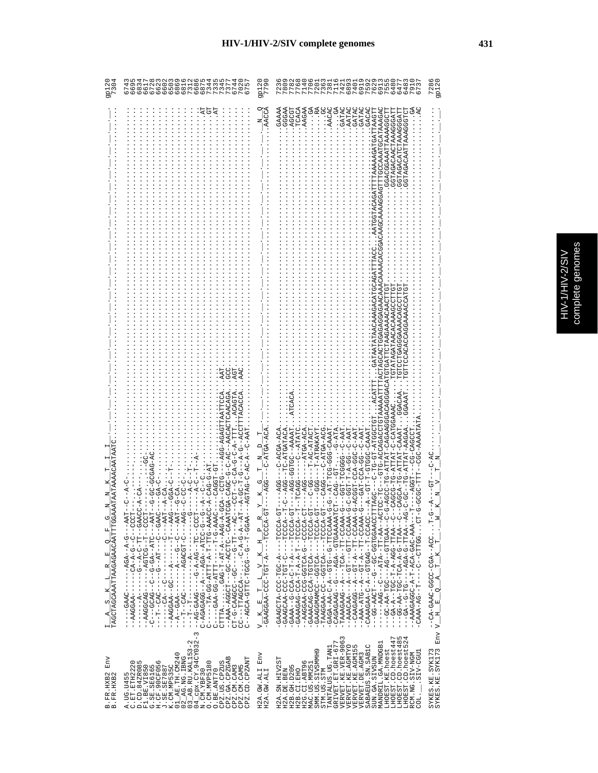|   | ပ္မ<br>J.        |
|---|------------------|
| ţ |                  |
|   | S<br>E<br>Ş<br>ŋ |
|   |                  |
|   |                  |
|   | ĵ                |
|   |                  |

| Env<br>B. FR. HXB2<br>B. FR. HXB2                                                                                                                                                                                                                                                                                                                                                                                                          | $\frac{1}{TAGCTAGCRAATTAAGAGAACAATTTGGAA}$                                                                                                                                                                                                                                                                                                                                                                                                                                                                                                                                                                                                                                                                                                                                                                                                                                                                                                                                                                                                                                                                                                                                                                                                                                                                                                                                                                                                                        |                               |
|--------------------------------------------------------------------------------------------------------------------------------------------------------------------------------------------------------------------------------------------------------------------------------------------------------------------------------------------------------------------------------------------------------------------------------------------|-------------------------------------------------------------------------------------------------------------------------------------------------------------------------------------------------------------------------------------------------------------------------------------------------------------------------------------------------------------------------------------------------------------------------------------------------------------------------------------------------------------------------------------------------------------------------------------------------------------------------------------------------------------------------------------------------------------------------------------------------------------------------------------------------------------------------------------------------------------------------------------------------------------------------------------------------------------------------------------------------------------------------------------------------------------------------------------------------------------------------------------------------------------------------------------------------------------------------------------------------------------------------------------------------------------------------------------------------------------------------------------------------------------------------------------------------------------------|-------------------------------|
| 04_cpx.CY.94CY032-3<br>$03$ $AB$ . RU. KAL153-2<br>01_AE.TH.CM240<br>$02$ $\overline{\phantom{0}}$ AG. NG. IBNG<br>CPZ.GA.CPZGAB<br>CPZ.CD.CPZANT<br>A.UG.U455<br>C.ET.ETH2220<br>D.CD.84ZR085<br>F1.BE.VI850<br>G.SE.SE6165<br>H.CF.90CF056<br>CPZ.US.CPZUS<br>O<br>J.SE.SE7887<br>K.CM.MP535C<br>CPZ.CM.CAM3<br>CPZ.CM.CAM5<br>O. CM. MVP518<br>N.CM.YBF30<br>O.BE.ANT70                                                                 | TCAACAGA<br>-G-C-AC-AACAC<br>ロひひむーーひーむーーーひー<br>֘֒֩֕֓׆<br>ׇׇ֛֚<br>$CAG-G-A$<br>--ccrc<br>$A-GC-T$<br>$GGA-C$<br>- HUUU - - U - - U - - U - < < 4 U - - - - - - - < 4 A<br>ひひぺぺの!! [11-12-ペーーの!!!!!イー!!!!!<br>- IDUU - - II - - UULUY - - - - - - - UYUUUYY - -<br>- LAR - - - J LA F - AG - D - - U - - D - J J - D - - U -<br>- DAY----V-LDUXDA-------VAV--L---<br>- I-DUD---DI---DR--R-D-----DRED-DR--<br>- 5 - - 5 - 2015 4 - - 494 - - - 4 - - 5949 494 - 0<br>UU 4747-UHH - H - 4 - HHH 4 - UU - 4H - - - - - - - U<br>- ) ARA - 5 - 1 - - - - - - - 1 - 1 - 5 - 50 - 47 - 7 - - - - - - - - - - - - - -<br>CTTTAGAG-T-AT-A-AAG-A-G<br>UHRRAU--UHUUR-UU----HUUUR-RRA--<br>- - - )ペ- - - - 1.1. - ツ- - - - - - ) ツ- - - ) いけん しょう - けい<br>- LT - - ビーピーピーピー・・・- - HUDDENILL - - - JU                                                                                                                                                                                                                                                                                                                                                                                                                                                                                                                                                                                                                                                                           | 075<br>$\frac{6}{9}$          |
| Env<br>H2A.GW.ALI<br>H2A.GW.ALI                                                                                                                                                                                                                                                                                                                                                                                                            | AACCA<br>V K E'L I'L L V K H P<br>CAAGGAA-CCC-TGT-A----TCCCA-GT<br>R<br>$\mathbf{a}$<br>Ħ,<br>$\mathbb{R}$<br>$\geq$<br>$\overrightarrow{a}$<br>$\mathbb{H}$<br>$\mathbb{F}$<br>×<br>$\triangleright$                                                                                                                                                                                                                                                                                                                                                                                                                                                                                                                                                                                                                                                                                                                                                                                                                                                                                                                                                                                                                                                                                                                                                                                                                                                             | 9P12<br>7791<br>7791          |
| VERVET.KE.VER-9063<br>LHOEST.CD.hoest485<br>LHOEST.CD.hoest447<br>LHOEST.CD.hoest524<br>GRIVET.ET.GRI-677<br>MANDRIL.GA.MNDGB1<br>SABAEUS.SN.SABIC<br>VERVET.KE.AGMTYO<br>VERVET.KE.AGM155<br>TANTALUS.UG.TAN1<br>LHOEST.KE.hoest<br>SMM.US.SIVSMMH9<br>SIV-CGU1<br>RCM.NG.SIV-NGM<br>VERVET. DE. AGM3<br>SUN.GA.SIVSUN<br>H2A.SN.HIV2ST<br>H2G.CI.ABT96<br>H2B. GH. D205<br>MAC.US.MM25<br>H2A.DE.BEN<br>STM.US.STM<br>H2B.CI.EHO<br>COL. | AACAC<br>GATAC<br>GAAAA<br>AATAC<br><b>GGGAA</b><br>AGCGI<br>TCACZ<br>AAGAA<br>GATAC<br>3<br>.<br>.<br>GATA<br>TAAGT<br>AUARCARCONTENTEDATAROUTANERS<br>GACA<br>GGACGAAATTAAAAGGCT<br>GGTAGACAACTAAAGGGAT<br><b>LAUGACALLONAUGAN</b><br>TACTAGCACHOGAGAGAGAACAAACAAAAAACAC<br>CDHLOKROKRROKRLDLLRDLDDLRDRDDDRDDDRRDDDFRD-LRHLLR-DL-DDDR-<br>LUU 40 40 U4 - 0 L5 - - - - U L - U<br>-GGTGC--DAAAAT<br>--ATGA-ACA<br>HAR-U-UDD-RUU-HUUU<br>AURENTA-UH-<br>$C--ATATCC$<br>HAAAU-UUU-UUH-HA<br>-C-AAT<br>HA4-0--00-4-H-H50-<br>ひひひH Y - Hひ - ひH - ひ - - - - ひひ<br>$T - AC - ATPAC$<br>T-ATRAKAYI<br>$-C-ATGA-ACC$<br>$C-AA$<br>AGCA-TG-ATTAT-CAAAT<br>ARAU-UUUHU-H-HU--<br>-TG-ATTAT-AAGA<br>--55-400-H45-<br>G-ATTAI<br><b>CCL-LCCCCC</b><br>CAG--GT<br>F-48000F----0-F0F-000-AG0840-<br>HD-ROODH----R-H-D-ROO-D--RRRD-<br>F--KOOOH--H-K-K-H-KOO-DKOKKKO-<br>HD-RUUUH----RUHUH-RUU-DRURRRU-<br>HU-KUUUH----KUHUU--UUMKMUUKKU-<br>HD-RUUUH----RUHUD--UU-RRUURRH-<br>U-AAA-AAA-U-DHU--A-U-AA-U-AAA-U<br>-TAAAGAAG---A---TT-TH-CAAA-G<br>-AAAACAAA---GT---GTT-CCAAA-G<br>UAAGAGAG-1-A--A-1-U--A---DOAAA-G<br>--UUCUU-L--UCUU--K-U-KKUKKU-<br>HHUU KKUUHUU-UU--U---HUKK-UU---<br>ひ‐ひ‐‐≮KDLLの‐‐ひべ‐‐‐ひひ L‐≮K‐ひひ‐‐<br>-- 10-14 A - 10-100 A - 10-100 A - 10-100 - 1<br>- 54 - 144 I I I - 5 - 45 4 - - - - - 5 I - 5 - - 45 - - -<br>--AAAGAGAGA-C-A-T-A-CAC-AAA-<br>ひーIIひ・・・のひIIIひーーひーーーーII--のKI-KRKU-<br>LU-KUUUU--U-KULUU-UUU-KKUUKK--<br>LP-4000H----4-00H-000-4H00445- | 48<br>230<br>28<br>791<br>673 |
| SYKES.KE.SYK173<br>SYKES.KE.SYK173                                                                                                                                                                                                                                                                                                                                                                                                         | $Q_1 - Q_2 - Q_1$<br>5<br>- M - L ・・・ JUA - - 45J - JUMP - JARE - 4J - -<br>$T$ . $W$<br>$T$ $K$<br>$\mathbb{A}$<br>$\sim$<br>$H$ $E$<br>Env V_                                                                                                                                                                                                                                                                                                                                                                                                                                                                                                                                                                                                                                                                                                                                                                                                                                                                                                                                                                                                                                                                                                                                                                                                                                                                                                                   | 728<br>9p121                  |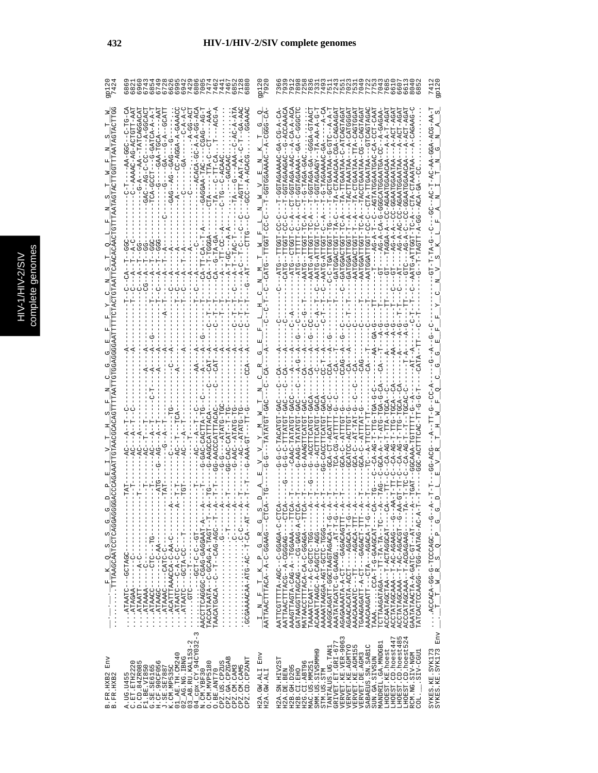|                                                                                                                                                                                                                                                                                                                                                                                                                                                                        | -AGGA-A-GAAAC<br>GAG--AG                                                                                                                                                                                                                                                                                                                                                                                                                                                                                                                                                                                                 |                                                                                                                                                                                                                                                                                                                                                                                                                                              | $- -A - GAGAA$<br>TACTTAAA                                                                                                                                                                                                                                                                                                                                                                                                                                                                                                                                                                                                                                   | - 444-004-400-<br>$\alpha$             |
|------------------------------------------------------------------------------------------------------------------------------------------------------------------------------------------------------------------------------------------------------------------------------------------------------------------------------------------------------------------------------------------------------------------------------------------------------------------------|--------------------------------------------------------------------------------------------------------------------------------------------------------------------------------------------------------------------------------------------------------------------------------------------------------------------------------------------------------------------------------------------------------------------------------------------------------------------------------------------------------------------------------------------------------------------------------------------------------------------------|----------------------------------------------------------------------------------------------------------------------------------------------------------------------------------------------------------------------------------------------------------------------------------------------------------------------------------------------------------------------------------------------------------------------------------------------|--------------------------------------------------------------------------------------------------------------------------------------------------------------------------------------------------------------------------------------------------------------------------------------------------------------------------------------------------------------------------------------------------------------------------------------------------------------------------------------------------------------------------------------------------------------------------------------------------------------------------------------------------------------|----------------------------------------|
|                                                                                                                                                                                                                                                                                                                                                                                                                                                                        |                                                                                                                                                                                                                                                                                                                                                                                                                                                                                                                                                                                                                          |                                                                                                                                                                                                                                                                                                                                                                                                                                              |                                                                                                                                                                                                                                                                                                                                                                                                                                                                                                                                                                                                                                                              |                                        |
|                                                                                                                                                                                                                                                                                                                                                                                                                                                                        |                                                                                                                                                                                                                                                                                                                                                                                                                                                                                                                                                                                                                          |                                                                                                                                                                                                                                                                                                                                                                                                                                              | G-CACCTTCATGT-G                                                                                                                                                                                                                                                                                                                                                                                                                                                                                                                                                                                                                                              |                                        |
|                                                                                                                                                                                                                                                                                                                                                                                                                                                                        |                                                                                                                                                                                                                                                                                                                                                                                                                                                                                                                                                                                                                          | $R_{\perp}$                                                                                                                                                                                                                                                                                                                                                                                                                                  |                                                                                                                                                                                                                                                                                                                                                                                                                                                                                                                                                                                                                                                              |                                        |
| $\frac{1}{\cdots}\cdot\frac{1}{\cdots}\cdot\frac{1}{\cdots}\frac{1}{\cdots}\frac{1}{\cdots}\frac{1}{\cdots}\frac{1}{\cdots}\frac{1}{\cdots}\frac{1}{\cdots}\frac{1}{\cdots}\frac{1}{\cdots}\frac{1}{\cdots}\frac{1}{\cdots}\frac{1}{\cdots}\frac{1}{\cdots}\cdots\frac{1}{\cdots}\frac{1}{\cdots}\frac{1}{\cdots}\frac{1}{\cdots}\frac{1}{\cdots}\frac{1}{\cdots}\frac{1}{\cdots}\frac{1}{\cdots}\frac{1}{\cdots}\frac{1}{\cdots}\frac{1}{\cdots}\frac{1}{$<br>$\circ$ | -------DH---DHD------DOKHHK<br>$\cdots$ ACATTTAAACCATHERUP<br>TACCATAATA --C-GCAG-A-TAGT--T-<br>TAACATGACA--T--T--CAG-AGC-                                                                                                                                                                                                                                                                                                                                                                                                                                                                                               | $\frac{\mathbb{I}}{\mathsf{A}\mathsf{A}\mathsf{t}^{\text{T}}\mathsf{A}\mathsf{A}\mathsf{c}\mathsf{t}^{\text{T}}\mathsf{t}^{\text{T}}\mathsf{A}}\frac{\mathsf{T}}{\mathsf{A}\mathsf{A}\mathsf{C}\mathsf{A}}-\mathsf{A}\mathsf{A}\mathsf{C}\mathsf{A}\mathsf{A}}\frac{\mathsf{B}}{\mathsf{B}\mathsf{A}\mathsf{A}\mathsf{B}}\frac{\mathsf{B}}{\mathsf{A}\mathsf{A}\mathsf{C}}-\mathsf{C}\mathsf{t}^{\text{T}}}{\mathsf{A}\mathsf{A}\mathsf{B}}$ | RACACO-0-0-AGAGAGENTINEN<br>AATTAACTTTACOOOOA--A--ACGAGAG----CT<br>AAAGTTAGTA-CAG-A-TGGAAA--TT<br>MATAACCTTTACA-C-GGAGA---TT<br>ACAAATTAAGC-A-CAGCTC-AGG----<br>-----DOOP-CCCP-GCA-AORARAMA<br>-D-H-KUKUKHUKKHUUD-HHKUKUUUKK<br>AAATATACATC-G-GAAGGAT-T-G-<br>AGAGAAAATA-A-CT---GAGACAGTTT-<br>AGAACACATA-ACCT---AGACA-T-G-<br>AAACAAAATT----TT---AGACACA-TTT-<br>TGAAGAGATT-A-CT---GAGACT-TTT-<br>TAAACCA-G-GAAGCAT----<br>TCTTAAGATAGA ---TT-TA-TA-TC--<br>-----PRUDDRHUR-H--RRHUDRHRRUDR<br>-0-<br>PORROMAL-NO-ACHARENC-<br>ACCTATAGCAAA--T-AC-AGACGT--G-<br>ACCATAGCAAA--T-ACGAGAAAG-----<br>GAATATAACTA-A-GATC-GT--AT---<br>TATCACTCCAAGG-AATAG-AG-AC-A |                                        |
| Env<br>B.FR.HXB2<br>B.FR.HXB2                                                                                                                                                                                                                                                                                                                                                                                                                                          | $04$ <sup><math>-</math></sup> cpx. $CY.94CY032$ -3<br>$\begin{array}{c} 02 \overline{\phantom{x}}\text{AG} \cdot \text{NG} \cdot \text{IBNG} \\ 03 \overline{\phantom{x}}\text{AB} \cdot \text{RU} \cdot \text{KAL153-2} \end{array}$<br>01_АЕ. ТН. СМ240<br>CPZ.GA.CPZGAB<br>CPZ.CD.CPZANT<br>$\begin{array}{ll} \text{C. ET. ETTH22220} \\ \text{D. CD. 842R085} \\ \text{F1. BE. V1850} \\ \text{G. SE. SBE6165} \\ \text{H. CF. SBE0165} \\ \text{H. CF. 90CF056} \end{array}$<br>N.CM.YBF30<br>O.CM.MVP5180<br>CPZ.US.CPZUS<br>K.CM.MP535C<br>CPZ.CM.CAM5<br>A.UG.U455<br>C.ET.ETH222<br>CPZ.CM.CAM3<br>O.BE.ANT70 | Env<br>H2A.GW.ALI<br>H2A.GW.ALI                                                                                                                                                                                                                                                                                                                                                                                                              | VERVET.KE.VER-9063<br>LHOEST.CD.hoest447<br>LHOEST.CD.hoest485<br>LHOEST.CD.hoest524<br>GRIVET.ET.GRI-677<br>MANDRIL.GA.MNDGB1<br>VERVET.KE.AGMTYO<br>L<br>SABAEUS.SN.SAB1C<br>TANTALUS.UG.TAN1<br>LHOEST.KE.hoest<br>VERVET.KE.AGM15<br>Ō<br>LCCO-VIS.<br>RCM.NG.SIV-NGM<br>SMM.US.SIVSMMH<br>VERVET.DE.AGM3<br>SUN.GA.SIVSUN<br>H2A.SN.HIV2ST<br>H2G.CI.ABT96<br>MAC.US.MM251<br>H2B.GH.D205<br>H2A.DE.BEN<br>H2B.CI.EHO<br>STM.US.STM<br>COL.                                                                                                                                                                                                             | SYKES.KE.SYK173<br>SYKES.KE.SYK173 Env |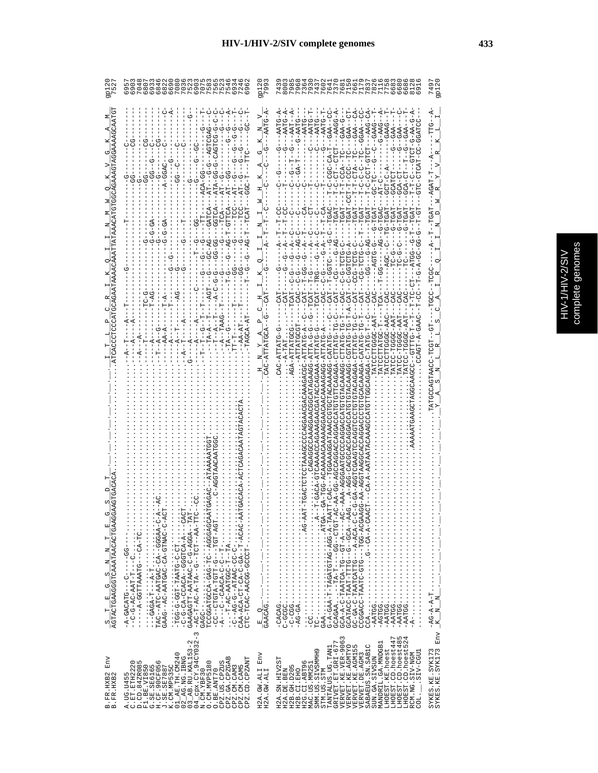| ٠ | ۶<br>ą<br>Ï<br>J |
|---|------------------|
|   | r                |

|                                             | O O O LUMORO DO<br>0 O O O O O O O O O O O<br>0 O O O U O O O O O O O O O O                                                                                                                                                                                                                                                                                                                                                                                              | 92<br>92                        |                                                                                                                                                                                                                                                                                                                                                                                                                                                    |                                        |
|---------------------------------------------|--------------------------------------------------------------------------------------------------------------------------------------------------------------------------------------------------------------------------------------------------------------------------------------------------------------------------------------------------------------------------------------------------------------------------------------------------------------------------|---------------------------------|----------------------------------------------------------------------------------------------------------------------------------------------------------------------------------------------------------------------------------------------------------------------------------------------------------------------------------------------------------------------------------------------------------------------------------------------------|----------------------------------------|
|                                             |                                                                                                                                                                                                                                                                                                                                                                                                                                                                          |                                 | $A - DAG - A$<br>$-$ -AAG-CA<br>$C--A$<br>$-9TAT - 9 - -$<br>$T-TC-CTT-TC=-GAA-G$<br>$T - T - C T A - - T C - - - - C A A - -T - C - C - - - - C - - C - C A A - -$<br>$G-AAG$                                                                                                                                                                                                                                                                     |                                        |
|                                             |                                                                                                                                                                                                                                                                                                                                                                                                                                                                          |                                 | CAT---TRG----G--A--C<br>CAC---C-G-----G-A--T-<br>CAT----C-G-------C-C-<br>54-5-1-50<br>$-1 - 0 - 0 - 0 - 0$<br>U-5151-5-1-                                                                                                                                                                                                                                                                                                                         |                                        |
| $\frac{S}{AGTACTCAAAGGCTCAAATRACACTCAAGGG}$ | - : idd-id-idd-inxing-id-id:<br>- c-6-ca-CCACA--GGGTCA-A---CAC<br>GAAGAGTT-AATAAC-C-G-AGGA--TAT<br>- AC - T-AC - A - TA - T-O - - T-O - - AA - TT<br>CAA-ACA-CT-CA-C-GA--T-ACAC-AA<br>CTC-TCAC-AACGG-GCCCT-                                                                                                                                                                                                                                                              |                                 | GAA<br>- CAA - CAA - T-TAGATGTAG-AG-A - TAIGA<br>- AG - A - CAA - T-TAGATGTAG-AG-A - TAI<br>GCA-A-C-TAATCA-TGT-A---AC<br>GCATAC--GAT-TTH--UAAT-CORTACA--A<br>J-U-AU4-A---DHEAUHAN-U-AU-UD<br>CCGACC-TAATC-G-GTG-ACGA<br>CCA - K-CCA - C-- C-- C-- CCA - K-CA<br>.<br>4-DE::::::::::::::::<br>$-AATGG$                                                                                                                                              | $\frac{1}{2}$<br>$K$ $N$               |
| Env<br>B.FR.HXB2<br>B.FR.HXB2               | $\begin{array}{l} \text{K.~CM.~MPS35C} \\ \text{01\_AR.~TH.~CM240} \\ \text{02\_A2.~AG.~NG.~LRL1G} \\ \text{03\_A3.~AG.~UCL1G} \\ \text{04\_cpx.~CV.~94CV032-3} \\ \text{04\_cpx.~CV.~94CV032-3} \\ \end{array} \label{eq:K.CH}$<br>CPZ.GA.CPZGAB<br>CPZ.CD.CPZANT<br>CPZ.US.CPZUS<br>A.UG.U455<br>C.ET.ETH2220<br>D.CD.84ZR085<br>F1.BE.VI850<br>G.SE.SE6165<br>H.CF.90CF056<br>J.SE.SE7887<br>O. CM. MVP5180<br>CPZ.CM.CAM3<br>CPZ.CM.CAM5<br>O.BE.ANT70<br>N.CM.YBF30 | Env<br>H2A.GW.ALI<br>H2A.GW.ALI | GRIVET ET GRI-677<br>VERVET KE VER-9063<br>VERVET KE VER-9063<br>VERVET KE AGMTYO<br>ru 4<br>LHOEST.CD.hoest447<br>LHOEST.CD.hoest48<br>LHOEST.CD.hoest52<br>MANDRIL.GA.MNDGB1<br>SABAEUS.SN.SAB1C<br>TANTALUS.UG.TAN1<br>LHOEST.KE.hoest<br>SMM.US.SIVSMMH9<br>LUDD-AIS.<br>RCM.NG.SIV-NGM<br>VERVET.DE.AGM3<br>SUN.GA.SIVSUN<br>H2A.SN.HIV2ST<br>H2G.CI.ABT96<br>MAC.US.MM251<br>H2B. GH. D205<br>H2B.CI.EHO<br>H2A.DE.BEN<br>STM.US.STM<br>COL. | SYKES.KE.SYK173<br>SYKES.KE.SYK173 Env |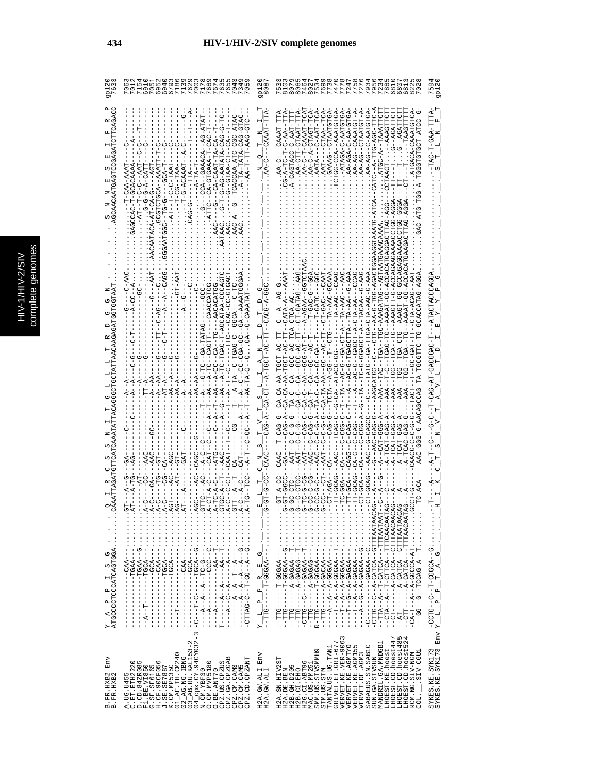| Env<br>B.FR.HXB2<br>B.FR.HXB2                                                                                                                                                                                                                                                                                                                                                                                                                                                                                                                                                                      | ArdococrocoAroAdroda<br>U<br>တုံ<br>H<br>$\mathbf{a}$<br>$\mathbf{p}_i$<br>4                                                                                                                                                                                                                                                                                                                                                                                                                                                                                                                                                                                                                                                                                                                                                                                                                                                                                                                                                        |                                                                                                                                                                                               |                                                                   |  |
|----------------------------------------------------------------------------------------------------------------------------------------------------------------------------------------------------------------------------------------------------------------------------------------------------------------------------------------------------------------------------------------------------------------------------------------------------------------------------------------------------------------------------------------------------------------------------------------------------|-------------------------------------------------------------------------------------------------------------------------------------------------------------------------------------------------------------------------------------------------------------------------------------------------------------------------------------------------------------------------------------------------------------------------------------------------------------------------------------------------------------------------------------------------------------------------------------------------------------------------------------------------------------------------------------------------------------------------------------------------------------------------------------------------------------------------------------------------------------------------------------------------------------------------------------------------------------------------------------------------------------------------------------|-----------------------------------------------------------------------------------------------------------------------------------------------------------------------------------------------|-------------------------------------------------------------------|--|
| $03$ AB.RU.KAL153-2<br>$04$ cpx.CY.94CY032-3<br>01_AE.TH.CM240<br>$02$ $R$ G. NG. IBNG<br>CPZ.GA.CPZGAB<br>CPZ.CD.CPZANT<br>$[0.51] \begin{array}{ll} \text{C.} & \text{EITH} & 2222 \\ \text{D.} & \text{EITH} & 322222 \\ \text{D.} & \text{EITH} & 2222222 \\ \text{E.} & \text{EITH} & 2222222 \\ \text{E.} & \text{EITH} & 2222222 \\ \text{E.} & \text{EITH} & 22222222 \\ \text{E.} & \text{EITH} & 22222222 \\ \text{E.} & \text{EITH} & 2222222222 \\ \text{E.} & \text{EITH}$<br>0. CM. MVP5180<br>CPZ.US.CPZUS<br>CPZ.CM.CAM3<br>CPZ.CM.CAM5<br>O.BE.ANT70<br>N.CM.YBF30<br>A. UG. U455 | $-4 - 76$<br>$-4 - 76$<br>.<br>$T^{n} = -\frac{1}{2} - \frac{A}{2} - \frac{A}{2} - \frac{A}{2} - \frac{A}{2} - \frac{B}{2} - \frac{B}{2} - \cdots$<br>$- \frac{1}{2} - \frac{A}{2} - \frac{B}{2} - \frac{B}{2} - \frac{B}{2} - \frac{B}{2} - \cdots$<br>$- \frac{1}{2} - \frac{1}{2} - \frac{A}{2} - \frac{B}{2} - \frac{B}{2} - \frac{B}{2} - \frac{B}{2} - \cdots$<br>$- \frac{1}{2} - \frac{B}{2} - \frac{B}{2} - \frac{B}{2$<br>$\cdots$ $\cdots$ $\cdots$ $\cdots$ $\cdots$ $\cdots$ $\cdots$ $\cdots$ $\cdots$ $\cdots$ $\cdots$ $\cdots$ $\cdots$ $\cdots$ $\cdots$ $\cdots$ $\cdots$ $\cdots$ $\cdots$ $\cdots$ $\cdots$ $\cdots$ $\cdots$ $\cdots$ $\cdots$ $\cdots$ $\cdots$ $\cdots$ $\cdots$ $\cdots$ $\cdots$ $\cdots$ $\cdots$ $\cdots$ $\cdots$ $\cdots$ $\cdots$<br>$\cdots$ $\cdots$ $-1$ $\vdots$ $-1$ $\vdots$ $-1$ $\vdots$ $-1$<br>$\frac{1}{1}$<br>I<br>$\frac{1}{1}$<br>$\begin{array}{c} 1 \\ 1 \\ 1 \end{array}$<br>$\begin{bmatrix} 1 \\ 1 \\ 1 \\ 1 \end{bmatrix}$<br>$\mathbf{I}$<br>ı<br>J.<br>ı<br>J. | $A - GC - - GA - - AAAATGGG$<br>--A---AA--A-TC-TGAC-T-AGCATAA-COACAC<br>) - 4 - - 4 - - H - - H - - U - - -                                                                                   | $G-G-G-A-CATT$<br>ロススローリーリーロー コスト<br>$-ATTC---CA-GTC$             |  |
| $\mathop{\rm Env}\nolimits$<br>H2A.GW.ALI<br>H2A.GW.ALI                                                                                                                                                                                                                                                                                                                                                                                                                                                                                                                                            | $\begin{array}{c}\nL_P = P = R = E_G - \frac{G}{\sqrt{2}} \cdot \frac{1}{\sqrt{2}} \cdot \frac{1}{\sqrt{2}} \cdot \frac{1}{\sqrt{2}} \cdot \frac{1}{\sqrt{2}} \cdot \frac{1}{\sqrt{2}} \cdot \frac{1}{\sqrt{2}} \cdot \frac{1}{\sqrt{2}} \cdot \frac{1}{\sqrt{2}} \cdot \frac{1}{\sqrt{2}} \cdot \frac{1}{\sqrt{2}} \cdot \frac{1}{\sqrt{2}} \cdot \frac{1}{\sqrt{2}} \cdot \frac{1}{\sqrt{2}} \cdot \frac{1}{\sqrt{2}} \cdot \frac{1}{\sqrt{2}} \cdot \frac{1}{\sqrt{2}}$<br>$\mathbf{r}_{\mathbf{q}}$<br>J.                                                                                                                                                                                                                                                                                                                                                                                                                                                                                                                       |                                                                                                                                                                                               |                                                                   |  |
| LHOEST.CD.hoest447<br>LHOEST.CD.hoest485<br>LHOEST.CD.hoest524<br>VERVET.KE.VER-9063<br>$\begin{array}{c} \mathtt{TANTALUS\cdot UG\cdot TAN1} \\ \mathtt{GRIVET\cdot ET\cdot GL-677} \end{array}$<br>MANDRIL.GA.MNDGB1<br>VERVET.KE.AGMTYO<br>VERVET.KE.AGMI55<br>SABAEUS.SN.SAB1C<br>LHOEST.KE.hoest<br>SMM. US. SIVSMMH9<br>LIBD--CITS.<br>VERVET.DE.AGM3<br>RCM.NG.SIV-NGM<br>SUN.GA.SIVSUN<br>H2A.SN.HIV2ST<br>H2G.CI.ABT96<br>MAC.US.MM251<br>H2B. GH. D205<br>H2B.CI.EHO<br>STM.US.STM<br>H2A.DE.BEN<br>COL.                                                                                 | -CTTG---A-CATCA--GTTTAATAI<br>--TTA--A--T-CATCA---TTTAATA <i>I</i><br>--CTA--A--T-CTTCA--TTTCAACA <i>I</i><br>--CT-----A-CATCA-CTTTAACA<br>- - AT - - - - - - A - CATCA - - CTTTAATAI<br>$-1 - 2 - 4 - 66622 - 7$<br>$-1 - 1 - 1 - 2 - 0 = 0$<br>$-1TTG - -1 - 2GAGAG - 2GTG - 2GT$<br>$-2 - 4 - 0 - 4 - 0 - 0 - 0 - 0 - 0 - 0 - 0$<br>$-CA-T--A--A-CB-CB-AT$<br>$\vdots$<br>- - - 445000 - H - - - - - DHH - -<br>$-1 - 1 - 1 - 1$                                                                                                                                                                                                                                                                                                                                                                                                                                                                                                                                                                                                 | AAAA - - TAC - - TGA - - TGC - AAAGATAG - - AGT<br>$- - - CAA$<br>)<-<br>50H-5-< 44--5H2---0--50H40B42-<br>ひょーひひひーー よひーー ひー よけーー ひーひーひーンーー<br>--CAG-A--CA-AA-AA-TGCT-AC<br>$-A$ -DOU-DAT-GO-A | LAA-AG--CTAAT<br>-ATAGA-C-AAT<br>$C-AA$<br>$-T-C-AA$<br>$AA-AG--$ |  |
|                                                                                                                                                                                                                                                                                                                                                                                                                                                                                                                                                                                                    | SYKES.KE.SYK173<br>SYKES.KE.SYK173 Env Y_L_P_P_T_A_G_C______________________________                                                                                                                                                                                                                                                                                                                                                                                                                                                                                                                                                                                                                                                                                                                                                                                                                                                                                                                                                |                                                                                                                                                                                               |                                                                   |  |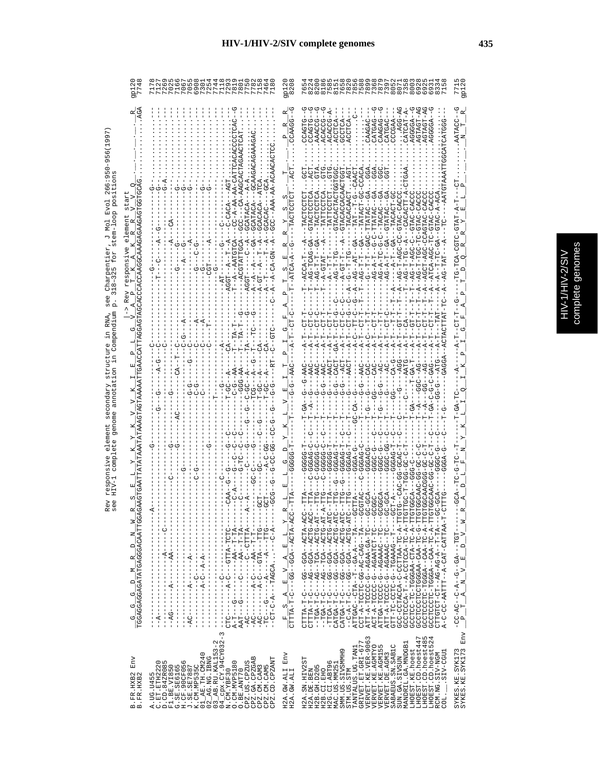|                                                                                                | 0.04<br>$\infty$<br>⊣ ∾                                                                                                                                                                                                                                                                                                                                                                                                                                                                                                                                                                                                                                                                            |                                                                                                        | 82505<br>0000000<br>$\circ$                                                                                                                                                                                                                                                                                                                                                                                                                                                                                                                                                                                                                                                                                                                                                                                                                                                                                                                                                                                                                                                                                                                                                                                                                                                                                                                                                                                                                                                                                                                 |                                                                                                                                                                         |
|------------------------------------------------------------------------------------------------|----------------------------------------------------------------------------------------------------------------------------------------------------------------------------------------------------------------------------------------------------------------------------------------------------------------------------------------------------------------------------------------------------------------------------------------------------------------------------------------------------------------------------------------------------------------------------------------------------------------------------------------------------------------------------------------------------|--------------------------------------------------------------------------------------------------------|---------------------------------------------------------------------------------------------------------------------------------------------------------------------------------------------------------------------------------------------------------------------------------------------------------------------------------------------------------------------------------------------------------------------------------------------------------------------------------------------------------------------------------------------------------------------------------------------------------------------------------------------------------------------------------------------------------------------------------------------------------------------------------------------------------------------------------------------------------------------------------------------------------------------------------------------------------------------------------------------------------------------------------------------------------------------------------------------------------------------------------------------------------------------------------------------------------------------------------------------------------------------------------------------------------------------------------------------------------------------------------------------------------------------------------------------------------------------------------------------------------------------------------------------|-------------------------------------------------------------------------------------------------------------------------------------------------------------------------|
| <b>UDAGAGAGAGAAGGAACOORTOOKUDAGAGAGAG</b><br>$\frac{G-G-G-D-M-R}{TGGAGAGAGATTAGGGAGGACTTGGAGZ$ | --AAA-AA-ACAA<br>$C - A - A$<br>GCATACA<br>$-4 - 2 - 44$<br>AGG.<br>$\frac{1}{1}$<br>$-1$ + $-1$ + $-1$ + $-1$ + $-1$<br>) - - - - - - D.H. - - - - K.H. D - - - - U - K - - - - - - - - - D.K -<br>ツ-----ひ[LI---ベ----ベ-----ひ---ひ--<br>$\frac{1}{1}$<br>- - - ペ-ひ- - - ・・・ YUUYI- - - Y-ひ- LU- -<br>AAT--------------------------------<br>$\frac{1}{1}$<br>- - ペローロー - ペペーー - - - - - - - - - - - ローズ<br>$-1$ $-1$ $-1$ $-1$ $-1$ $-1$<br><b>ひ‐‐‐‐‐ぱ‐‐‐‐‐‐‐‐‐‐‐‐‐‐‐‐‐‐‐‐</b><br>Î<br>$\frac{1}{1}$<br>$\frac{1}{1}$<br>$1 - 1 - 1$ $1 - 1 - 1 - 1 - 1 - 1 - 1$<br>$\frac{1}{1}$<br>$\frac{1}{1}$<br>I.<br>$\begin{array}{c} 1 \\ 1 \\ 1 \end{array}$<br>ł<br>I<br>Ţ<br>I                          | œ<br>囸<br>CΟ<br>囸<br>Ü<br>--UU4-KHU4--KU5--50----U-H-KHHHU<br>Œ,<br>$S = A = E - V = A - E = -V$<br>ı. | $A - 564$<br>CATCAT-A<br>AGTAGT-A<br>ACACCO- $I$<br>AGGGGA-<br>CCCGAA-<br>AAACCG<br>ACACCG<br>COACHO<br>ACCTCA<br>CAAGAG<br>CATGAC<br>COACHO<br>CTACACACACAC<br>U-UU-LUKHAH<br><b>U--UffUffH--</b><br>ひひえひーひえけひーひひーひみベードーひえ<br>AG-A-TC-G-C<br>U-UU4-H-U4--<br>RTGTAT<br>$A-CT-T$<br>$A - A - T$<br>$P - T - D A$<br>$-4$<br>$-5 - -5 -$<br>$-6 - 6$<br>$\frac{1}{2}$<br>ပုံ<br>--VVA-KHVA--KUD---V-H-KHHHV<br>--ひひぱ-ひIIひぱ--ぱひの--ひぱ---ひ-II-ぱIIIIひ<br>--VH4-9HV4--KV9--99---V-H-KVHH-<br>$\begin{array}{l} \mathtt{CALTGL-1} \\ \mathtt{CALTGL-1} \\ \mathtt{CALGAL-1} \\ \mathtt{CALGAL-1} \\ \mathtt{CALGAL-1} \\ \mathtt{CALGAL-1} \\ \mathtt{CALGAL-1} \\ \mathtt{CALGAL-1} \\ \mathtt{CALGAL-1} \\ \mathtt{CALGAL-1} \\ \mathtt{CALGAL-1} \\ \mathtt{CALGAL-1} \\ \mathtt{CALGAL-1} \\ \mathtt{CALGAL-1} \\ \mathtt{CALGAL-1} \\ \mathtt{CALGAL-1} \\ \mathtt{CALGAL-1} \\ \mathtt{CALGAL-$<br>)ひの---ぱエー-のぱひ-ひぱ-ひの-ひエエひひエ-ぱ-エレひ<br>$\begin{array}{l} {\rm A\,TT^-} - {\rm A\,--CCCC-C} - {\rm A\,GAA} - {\rm A\,--CC-C} - {\rm A\,C\,--CC} \\ {\rm A\,CT^-} - {\rm A\,--CCCC-C} - {\rm A\,GAA} {\rm A\,TCC} - {\rm TC} - {\rm C-CCC} \\ {\rm A\,TT^-} {\rm A\,--CCCC-C} - {\rm A\,GAA} {\rm A\,C} - {\rm TC} - {\rm C-CCC} \\ {\rm A\,TT^-} {\rm A\,--CCCC-C} - {\rm A\,GAA} {\rm A\,C} - {\rm TC} - {\rm C-CCC} \\ {\rm C\,TT^-} - {\rm TC-CCC-C$<br>GCC-CCTACCA-C-PATTAA-TC-A-CCT<br>A-C-CC-AATTT--A-CAT-CATTAA-T-CI<br>110HH - ל-סנד ל-לסנד ספר ל-ל-א-ד - ה-לסמסנד<br>GCCTCC-TC-TA-CTA-CTA-TC-A-TTC<br>FOLL-0-CH-SEC-SECODULOULOULOUD | AATACC<br>-GTAT-A<br>ロウリームりローウ<br>$\mathbbmss{E}$<br>- - - - - LDDL- - - - KD - - D - - K - D - - U K - U D -<br>$\geq$<br>$\frac{5}{10}$<br>$A$ $N$ $V$ $E$<br>$P_{T}$ |
| ${\rm Env}$<br>B.FR.HXB2<br>B.FR.HXB2                                                          | 04_cpx.CY.94CY032-3<br>$03$ $AB$ . RU. KAL153-2<br>$\begin{array}{c} 01\_AE \cdot TH \cdot CM240 \\ 02\_AG \cdot NG \cdot IBNG \end{array}$<br>CPZ.GA.CPZGAB<br>CPZ.CD.CPZANT<br>$\begin{array}{ll} \texttt{A. UG. U455} \\ \texttt{C. ET. ETH2223} \\ \texttt{C. ET. ETH2223} \\ \texttt{F1. BE. VTB50} \\ \texttt{G. SE. SE6165} \\ \texttt{G. SE. SE6165} \\ \texttt{J. GFL} \\ \texttt{G. SCE} \\ \texttt{G.F. QCD} \\ \texttt{G. SCE} \\ \texttt{G. SCE} \\ \texttt{G. SCE} \\ \texttt{G. SCE} \\ \texttt{G. SCE} \\ \texttt{G. SCE} \\ \texttt{G. SCE} \\ \texttt{G. SCE} \\ \texttt{G. SCE} \\$<br>O. CM. MVP5180<br>CPZ.US.CPZUS<br>CPZ.CM.CAM3<br>CPZ.CM.CAM5<br>N.CM.YBF30<br>O.BE.ANT70 | H2A.GW.ALI Env<br>H2A.GW.ALI                                                                           | VERVET.KE.VER-9063<br>LHOEST.CD.hoest447<br>LHOEST.CD.hoest485<br>LHOEST.CD.hoest524<br>GRIVET.ET.GRI-677<br>MANDRIL.GA.MNDGB1<br>VERVET.KE.AGMTYO<br>VERVET.KE.AGMI55<br>SABAEUS.SN.SAB1C<br>TANTALUS.UG.TAN1<br>LHOEST.KE.hoest<br>SMM.US.SIVSMMH9<br>LUDD-VIS.<br>VERVET. DE. AGM3<br>RCM.NG.SIV-NGM<br>SUN.GA.SIVSUN<br>H2A.SN.HIV2ST<br>H2G.CI.ABT96<br>MAC.US.MM25<br>H2B. GH. D205<br>H2B.CI.EHO<br>H2A.DE.BEN<br>STM.US.STM<br>COL.                                                                                                                                                                                                                                                                                                                                                                                                                                                                                                                                                                                                                                                                                                                                                                                                                                                                                                                                                                                                                                                                                                 | SYKES.KE.SYK173<br>SYKES.KE.SYK173 Env                                                                                                                                  |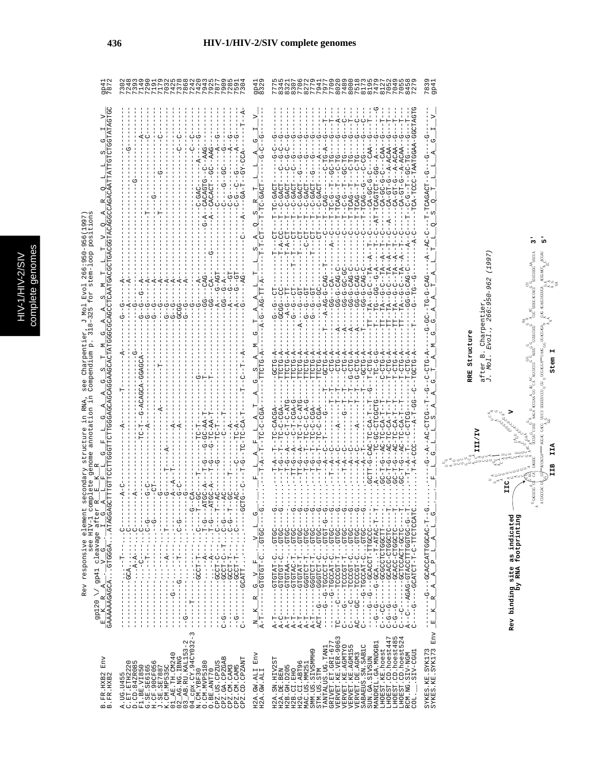complete genomes complete genomes HIV-1/HIV-2/SIV HIV-1/HIV-2/SIV

7839<br>9P41 gp41<br>7872 gp41<br>8329 B.FR.HXB2 Env \_E\_K\_R\_A\_\_\_<u>V\_G\_\_I\_G\_A\_I\_F\_IG\_F\_IG\_A\_A\_G\_S\_T\_M\_G\_A\_A\_S\_M\_T\_I\_V\_Q\_A\_K\_Q\_I\_I\_S\_G\_I\_V\_\_ gp41</u> B.FR.HXB2 GAAAAAAGAGCA...GTGGGA...ATAGGAGCTTTGTTCCTTGGGTTCTTGGGAGCAGCAGGAAGCACTATGGGCGCAGCCTCAATGACGCTGACGGTACAGGCCAGACAATTATTGTCTGGTATAGTGC 7872 A.UG.U455 ------------...--T---...C--------A-C--------------A--------T--------A--------G--G-----A------------------------------------------- 7302 C.ET.ETH2220 ------------GCA.........C-------------------------------------------------------A-----A--------------------------------G---------- 7248 D.CD.84ZR085 ------------...A-A---...C--------A----------------------------------G-----------G------------------------------G------------------ 7393 F1.BE.VI850 ------------...-C----...C----------------------TC-T--G-ACAGCA-GGAGCA---------G--G--G--A-----------------------------------A------- 7149 G.SE.SE6165 ------------...--T---...C-G------G-C--------------A--------------------------G--G-----A----------------T------------------C------- 7290 H.CF.90CF056 ------------...------...--G-------CT-----------------------------------------G--G-----A--------------------G---------------------- 7191 J.SE.SE7887 ------------...------...---------G--------------------A----------T--------------G-----A----------------T---------G--------C------- 7179 K.CM.MP535C ------------...--A---...T--------G-----T----A--------------------------------G--G-----A------------------------------------------- 7032 01\_AE.TH.CM240 --------G---...------...---------A--A--T----------A--------------------------G--G-----A------------------------------------------- 7425 02\_AG.NG.IBNG -----------G...--T---...C-G------G-C--------------A--------------------------GCGG-----A--------------------------------C--C------- 7378 03\_AB.RU.KAL153-2 --G---------...------...---------G-------------------------------------------G--G-----A------------------------------------------- 7868 04\_cpx.CY.94CY032-3 ------T-----...------...-----G--CA----------------------------------------------G--------------------------------------C--C------- 7242 N.CM.YBF30 ------------GCCT-T---...C----T--GC----T--------TC-T-----------G-----------------G-----A------------------C-GAC------A-----G------- 7420 O.CM.MVP5180 ------------...--A---...T-G---ATGC-A---T-G---G-GC-AA-T--------T-----------------GG---CAG------------G-A--CACAGTG--C--AAG---------- 7943 O.BE.ANT70 ------------...--A---...T-G---ATGC-A---T-G---G-TC-AA-T--------T-----------------GG---CA------G--------A--CACACT--GC--AAG---------- 7925 CPZ.US.CPZUS ------------GCCT-C---...C----T--AC-------G-----TC-T-----------------------------A---G-AGT----------------C-------------A--G------- 7877 CPZ.GA.CPZGAB C-G---------GCCT-C--T...C-G-----AC--------------C----T--------------------------GG--G-A------------------C----G--GC----G---------- 7909 CPZ.CM.CAM3 ------------GCCT-T---...C-G--T--GC----T-----------A-----------------------------A---G--GT----------------C-G-----------A--G------- 7285 CPZ.CM.CAM5 --G---------GCCT-T---...C-------AC-------C-----TC-A-----------------------------A---G--GT----------------C-G--C--G-----A--G------- 7591 CPZ.CD.CPZANT C---------GCATT...---...-----GCTG--C---T-G--TC-TC-CA-T-----T--C--T--A-----------G-----AG---------C----A----GA-T--GY-CCA------T--A- 7304 H2A.GW.ALI ENV K\_R\_G\_V\_F\_.\_V\_L\_G\_.\_\_L\_A\_F\_L\_A\_T\_A\_G\_S\_A\_M\_G\_T\_A\_A\_L\_T\_L\_S\_A\_Q\_S\_R\_T\_L\_L\_A\_G\_I\_V\_\_\_G\_G1 H2A.GW.ALI A-T-------GTGTGT-C...GTGC----G......---T-A--T--TC-C-CGA-------TTCTG-A------A-G--AG-TT-A------T-T-CT---T-TC-GACT------G-C--G------- 8329 H2A.SN.HIV2ST A-T-------GTGTAT-C...GTGC----G......---T-A--T--TC-CACGA--------GCTG-A--------G--G--CT--------T---CT---T-TC-GACT------G-C--G------- 7775 H2A.DE.BEN A-C-------GTGTGT-C...GTGC----G......---T-G--T--TC-C-CGA-------TTCTG-A--------GCGG--CC--------T-A-CC---T--C-GACT---C--G-C--G------- 8345 H2B.GH.D205 A-T-------GTGTAA--...GTGC-----......---T-G--A---C-T-C-ATG-----TTCTG-A---------A-G--TT--------T-A-CT---T--C-GACT---C--G-C--G------- 8321 H2B.CI.EHO A-T-------GTGTAC-T...GTGC----G......--TT-G--A---C-T-CGA-G-----TTCTG-A--------G--G--CT-----T--T---CT---T--C-GACT---C--G----G------- 8307 H2G.CI.ABT96 A-T-------GTGTAT-T...GTGC----G......--TT-G--A--TC-T-C-ATG-----TTCTG-A------A----G--GT--------T---CT---T--C-GACT--G---G----G------- 7706 MAC.US.MM251 A-T-------GGGTCT-T...GTGC----G......---T-G--T--TC-C-C-A-G-----TTCTG-A--------G--G--GT----------C-CT---T--C-GACT------G----G------- 8272 SMM.US.SIVSMMH9 A-T-------GGGTCT-T...GTGC----G......---T-G--T--TC-C-CGA-------TTCTG-A--------G--G--GT--------T---CT---T--C-GACT--G---G----G------- 7779 STM.US.STM ACT--G----GGGTCT-C...GTGC----G......---T-G--T--TC-C-CGA-------TTCTG-A-----------G--GC------------CT---T--C-GACT------A----G------- 7941 TANTALUS.UG.TAN1 -----G--G-TGCCCT-C...GTGT-G--G......-----A--C--T-----G-----T---GCTG-A-----T---A-AG-G-CAG--T-------C---T--CAG------C-TG-A--G---T--- 7977 GRIVET.ET.GRI-677 --------G-TGCCAT-C...GTGC----G......--T--A--C-----------T--T----CTG-A-----------GG---CA--------A--C---T-TC-G--T--GC-TG----G---T--- 7709 VERVET.KE.VER-9063 TC----C---TCCCGT-T...GTGC----G......-----A--C-----A-----T--T----CTG-A-----A-----GG-G-CAG-C--------C---T-TCAG--T---C-TG----G---A--- 8020 VERVET.KE.AGMTYO C----G----TCCCGT-T...GTGC----G......---T-A--C--------G--T--T----CTG-A-----A-----GG-G-GC-GC--------C---T--C-G--T--GC-TG----G---C--- 7489 VERVET.KE.AGM155 C-----C---TCCCGT-C...GTGC----G......-----A--C-----------T--T--G-CTG-A-----A-----GG-G-CAG-C--------C---T-TCAG--T---C-TG----G---T--- 8000 VERVET.DE.AGM3 AC---GC---TCCCGT-C...GTGC----G......-----A--C-----A-----T--T--G-CTG-A-----A-----GG-G-CAG-C--------C---T-TCAG--T---C-TG----G---C--- 7518 SABAEUS.SN.SAB1C C-------G-TGCCAT-C...GTGC----G......-----A--T--------------T---GCTG-A-----T-----GG-G-CAG-C--------C---T-TCAG--G---C-CG----G---C--- 8173 SUN.GA.SIVSUN -----G--G---GCACCT-TTGCCC-----......GCTT-G-CAC-TC-CA-T--T--G--T-CTG-A------TT--TA--G-C--TA--A--T--C------CA-GC-G-C---CAA--G---T--- 8195 MANDRIL.GA.MNDGB1 --G--G----G-GCA...-T-ATAC-T--T......A-------TC-GC-CTCGCTG------TC-G-G------T---TG--GG--G-A-----T--C--AT-TCAGTCT--GG--A----G------G 7479 LHOEST.KE.hoest C---CC------GCGCCTCTGGCTT-----......GC-T-G--AC-TC-CA-T--T-----C-CTG-A------TT--TA--G-C--TA--A--T--C------CA-GC-G-C---CAA--G---T--- 8127 LHOEST.CD.hoest447 C-G--G------GCACC-CTGGCTC----T......GC-T-G--AC-TC-CA-T--T-----T-CTG-A------TT--TA--G-C--TA--A--T--C--A---CA-GT-G--A-ACAA--G---T--- 7052 LHOEST.CD.hoest485 C-G--G------GCACC-CTGGCTC----T......GC-T-G--AC-TC-CA-T--T-----T-CTG-A------TT--TA--G-C--TA--A--T--C------CA-GT-G--A-ACAA--G---T--- 7049 LHOEST.CD.hoest524 C---C-------GCTCCACT-GCTC----T......GC-T-G--AC-TC-CA-T--T-----T-CTG-A------TT--TA--G-C--TA--A--T--C------CA-GT-G--A-ACAA--G---T--- 7055 RCM.NG.SIV-NGM A--C---AGAG-GTACCTTTGGTGC-G--T......--T--A--T---C-CTCG--------T-CTG-A-----------GG-G-CAG-C-----A--C---T--C-G--T--GC-TG----G---T--- 8458 COL.\_\_.SIV-CGU1 C----G----GCATCT-T-C-TTCTCCATC.........T-A-CCC-----A-T-GG--C--TGCTG-A------T----G--TG--G--------A-C-----TCA-TCCC-TAATGGAA-GGCTAGTG 7279 SYKES.KE.SYK173 --------G---GCACCATTGGCAC-T--G......-----G--A--AC-CTCG--T--G--C-CTG-A-----G-GC--TG-G-CAG----A--AC-C---T-TCAGACT--G---G----G------- 7839 Rev responsive element secondary structure in RNA, see Charpentier, J Mol Evol 266:950-956(1997)<br>
gp120 \/ gp41 clavage after R\_L F K\_R = denome annotation in Compendium p. 318-325 for stem-loop positions<br>
E\_K\_R A\_R = V\_c  $\frac{1}{2}$ 내  $\frac{1}{9}$  $\frac{1}{2}$  $2 S R T T - 1 - 1 - 1 - 2R$ ပ္ပံ  $\frac{1}{2}$ --T-TCAGACT-<br>O S O T Rev responsive element secondary structure in RNA, see Charpentier, J Mol Evol 266:950-956(1997) see HIV-1 complete genome annotation in Compendium p. 318–325 for stem-loop positions  $B = -1 - A - A + C - C - 1$  $T_{\underbrace{-1 \cdots -1}_{-T-T-T-CT-\cdots}} \underbrace{A}_{\underbrace{A \cdots}}$  $-$  - C-CTG-A -  $-$  - - G-GC--TG-G-CAG-<br> $-$  T \_ A \_ M \_ G \_ G \_ A \_ A \_ T \_ \_  $G = T - A - A - L$ <br>--A-G--AG-TT-A- $\sigma$  $-AC-CTCG--T--G--  
L-L_S-A.A$  $-6 - A - I$ gp120  $\setminus$ / gp41 cleavage after R\_\_<u>B\_\_K\_\_</u>R J.  $\begin{array}{c} R \;\; \;\; G \;\; \quad V \;\; \quad F \;\; \quad \ \ \cdot \;\; \quad \ \ \cdot \;\; \quad \ \ \cdot \;\; \quad \ \ \cdot \;\; \quad \ \ \cdot \;\; \quad \ \ \cdot \;\; \quad \ \ \cdot \;\; \quad \ \ \cdot \;\; \quad \ \ \cdot \;\; \quad \ \cdot \;\; \quad \ \cdot \;\; \quad \ \cdot \;\; \quad \ \cdot \;\; \quad \ \cdot \;\; \quad \ \cdot \;\; \quad \ \cdot \;\; \quad \ \cdot \;\; \quad \ \cdot \;\; \quad \ \cdot \;\; \$  $\begin{array}{r} - - - - - - - - - - \text{CACCATTGGCAC} - T - - G \\ - E & R - A - P - L - A - L - G - G \end{array}.$  $\frac{1}{2}$  $-1$ <br> $-1$ <br> $-1$ <br> $-1$ <br> $-1$ <br> $-1$ <br> $-1$  $\frac{N}{A-T-T}$  $\begin{array}{ll} \texttt{A. UG. U455} \\ \texttt{D. CD. 4428036} \\ \texttt{D. CD. 4428036} \\ \texttt{D. CD. 4428036} \\ \texttt{E1. BE. V1850} \\ \texttt{E2. 15} \\ \texttt{E3. 26} \\ \texttt{E1. 26} \\ \texttt{E1. 26} \\ \texttt{E2. 15} \\ \texttt{E3. 26} \\ \texttt{E4. 26} \\ \texttt{E5. 26} \\ \texttt{E1. 27} \\ \texttt{E1. 28} \\ \texttt{E2.$  $\begin{small} 12A.180, 1817251 \\ 12A.191, 18130 \\ 12B.1920 \\ 12B.11200 \\ 12B.11200 \\ 12B.1200 \\ 12B.1200 \\ 12B.1200 \\ 12B.1200 \\ 12B.1200 \\ 12B.1200 \\ 12B.1200 \\ 12B.1200 \\ 12B.1200 \\ 12B.1200 \\ 12B.1200 \\ 12B.1200 \\ 12B.1200 \\ 12B.1200 \\ 12B.1200$ : SYK173<br>: SYK173<br>: SYK173 I  $_{\rm{Env}}$  $_{\rm{Env}}$ GW.ALI<br>ITTY WO  $.$ HXB2 KE<br>KE SYKES. F.R. H2A.  $\sin$ 

 $\mathrm{SSKES}$  . Kerval alpuble - Alpuble - Plus - Alpuble - Plus - Plus - Alpuble - Alpuble - Alpuble - Alpuble - Alpuble - Alpuble - Alpuble - Alpuble - Alpuble - Alpuble - Alpuble - Alpuble - Alpuble - Alpuble - Alpuble - A  $-\frac{v}{1}$  $L$   $A$  $\frac{1}{2}$  $S_Q$ RRE Structure **RRE Structure**  $\circ$ ల≺ంల౪<br>లం C $\begin{bmatrix} 1 \\ -1 \\ 1 \end{bmatrix}$  $_{\rm Env}$ 

**III/IV**

t. C

AA

Ct. ų, C

⊨ສັງເ<br>ພັ

after B. Charpentier,

J. Mol. Evol., 266:950-962 (1997)

after B. Charpentier,<br>J. Mol. Evol., 266:950-962 (1997)

**IIC** A A A A A A A

<sup>⋍⋍⋍⋍</sup>∽°°°°

G G G G G G G G G G

CONGRESS

**Rev binding site as indicated**

Rev

binding site as indicated<br>by RNA footprinting

**by RNA footprinting**

**V**

GG<br>GG<sub>U</sub>

A<br>G<br>G<br>G AA A A A AAGA ACCUA A<br>A<br>GG<sup>A</sup>

ر<br>د سم ں<br>مہم<br>C

t.

**IIB IIA Stem I**

IIA

Ξ

A CLIGOGAC GOL GIUTTALOA

C  $C$  C  $C$  C  $C$  C  $C$  C  $C$   $C$   $C$   $C$ 

GGAC GACG ್ವಿ GGG

C GACG LICE DIGGLICCI GLI GLI LIC

C

UU U U U G G G G GG G G U U U U U U U

AA A A A

ືື້<br>ອອ້າ<br>ອອ

 $\int_{u}^{u}$  c  $C_{\text{MAC}}^{0}$ 

A ACGCUG COL CAL UASUO

G U GG G GG  $G = N \cdot G$ 

R  $U = U \cup U$  of  $U$ 

 $\tilde{\mathcal{A}}$ A A A

U<sub>A</sub>GAA<br>UCCUG<sup>O</sup>C

G G U U

ಿ ಕ್ಷಿ<sup>ರ</sup><br>ಇಲ್ಲಿ ಕ

್ರ<sup>ತ್ನ ಅ</sup><br>ಸಿದ್ದು<br>ನಿರ್

UCCUG CUGU AAGA ACCUAA GG C

 $\equiv$ 

್ತಾ

U U

AGCUCCU A  $\leq$ 

GG G

U U UUU

C<br>AGCUCC

 $X_0(A) = |A|$ 

**AG** UGACGAGA

GAG AGACHIGGIGA

UG ACGAGA. GAG AG ACGILGGILG

GG

కలో ౕ<\*°క UGA *MUGAWA*C ACGAII

AA A A A

ಀೢೢ GG G

∡≺ಿ<br>್ನ್ನೆ ೆ

ತ್ವ⊲ಂ<br>≺<sup>೦ನನ</sup> G ACGILGA ACGANAC

A

G GG<br>G<br>G G G G G G G

GG

C

A

UUU U ಣ<br><sup>ದಲ</sup>್ಲ UGCCHUGG UGCU

G G G G GG

 $\approx$  $C$  can control

R

C CGAGA. GAG AGAO

 $\Xi$ 

B

 $_{\rm sc}$ 

AA

a<sup>ak</sup>a <sup>aa</sup>a

**3' 5'**



## **436 HIV-1/HIV-2/SIV complete genomes**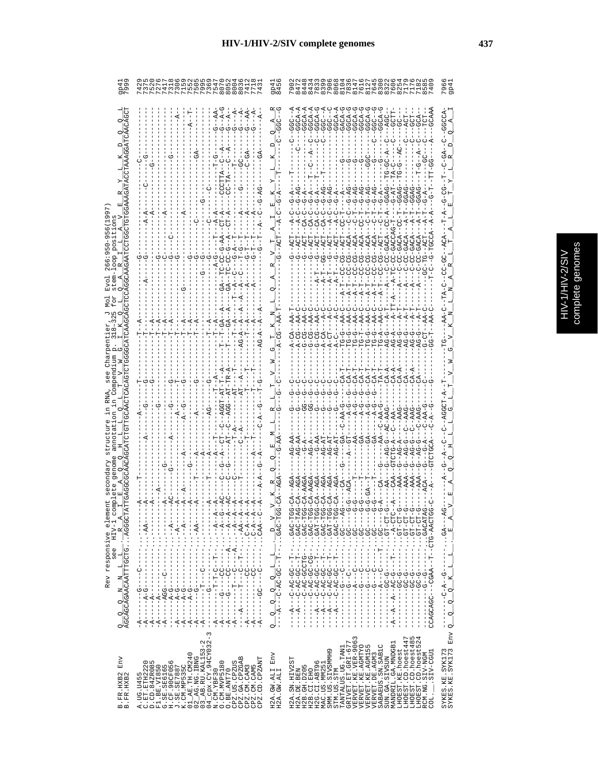|                                                                                                            | <b>NAWWHUNQWHOO</b>                                                                                                                                                                                                                                                                                                                                                                                                                   | 96°،<br>م                                                                                                                                                                                                                                                                                                                                                                                                                                                                                                                                                                    |
|------------------------------------------------------------------------------------------------------------|---------------------------------------------------------------------------------------------------------------------------------------------------------------------------------------------------------------------------------------------------------------------------------------------------------------------------------------------------------------------------------------------------------------------------------------|------------------------------------------------------------------------------------------------------------------------------------------------------------------------------------------------------------------------------------------------------------------------------------------------------------------------------------------------------------------------------------------------------------------------------------------------------------------------------------------------------------------------------------------------------------------------------|
|                                                                                                            | てり                                                                                                                                                                                                                                                                                                                                                                                                                                    | d<br>CA-<br>22-GAC<br>22-GAC<br>22-GAC                                                                                                                                                                                                                                                                                                                                                                                                                                                                                                                                       |
| Rev responsive elem<br>see HIV-1 c<br>$\frac{Q-Q-Q-M-M-L-L}{AGCAGCAGAACAATTTGGTG} \cdot \frac{R}{AGGGGCT}$ | $\frac{1}{1}$<br>$\mathbf{r}$<br>$Q \rightarrow Q$<br>oi                                                                                                                                                                                                                                                                                                                                                                              | $\frac{D-V}{C}$<br>$\frac{Q}{-1 - C - AC - BC - C - T - T - T}$<br>CCAGCAGC<br>$   A$<br>q<br>$\sim$                                                                                                                                                                                                                                                                                                                                                                                                                                                                         |
| $_{\rm{Env}}$<br>B.FR.HXB2<br>B.FR.HXB2                                                                    | $\tilde{3}$<br>$\begin{array}{l} \text{A. UG. U455} \\ \text{D. CD. 842R085} \\ \text{D. CD. 842R085} \\ \text{F1. BE. V1850} \\ \text{H. DE. V185785} \\ \text{H. CE. 30CP1056} \\ \text{J1. DE. TE. 20244} \\ \text{J2. DE. TE. 20249} \\ \text{J3. DE. TE. 20249} \\ \text{J4. DE. TE. 20249} \\ \text{J5. DE. 1, 2, 2, 2, 2, 2, 2, 2, 2, 2, 2, 2, $<br>$\mathop{\rm Env}\nolimits$<br>CPZ.CM.CAM3<br>CPZ.CM.CAM5<br>CPZ.CD.CPZANT | Env<br>LHOEST.CD.hoest447<br>LHOEST.CD.hoest485<br>LHOEST.CD.hoest524<br>$\infty$<br>VERVET.KE.VER-906<br>VERVET.KE.AGMTYO<br>VERVET.KE.AGMI55<br>LHOEST.CD.hoest48!<br>LHOEST.CD.hoest52<br>L<br>MANDRIL.GA.MNDGB1<br>TANTALUS.UG.TANI<br>GRIVET.ET.GRI-67<br>VERVET.DE.AGM3<br>SABAEUS.SN.SAB1C<br>SUN.GA.SIVSUN<br>SYKES.KE.SYK173<br>SYKES.KE.SYK173<br>LHOEST.KE.hoest<br>H2G.CI.ABT96<br>MAC.US.MM251<br>SMM.US.SIVSMMH9<br>SIV-CGU1<br>RCM.NG.SIV-NGM<br>H2A.SN.HIV2ST<br>H2B. GH. D205<br>H2A.GW.ALI<br>H2A.GW.ALI<br>H2A.DE.BEN<br>H2B.CI.EHO<br>STM.US.STM<br>COL. |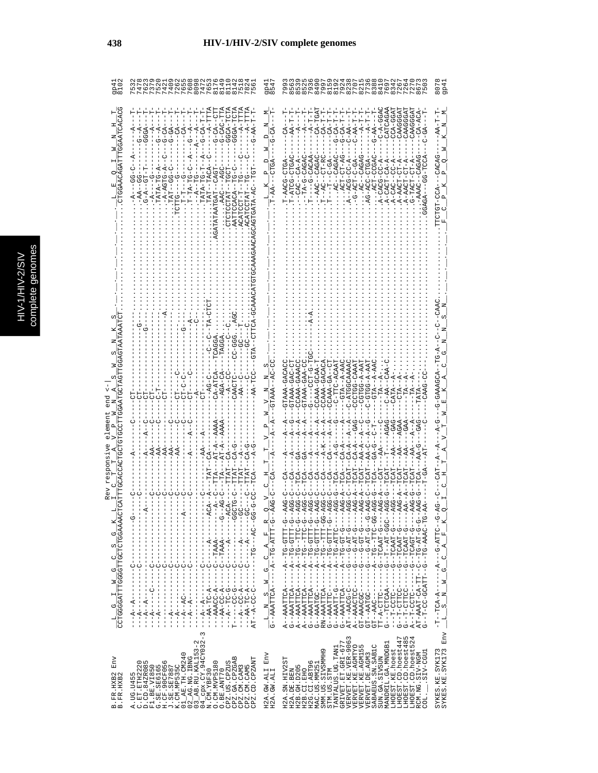|   | ă<br>Б |
|---|--------|
|   |        |
|   |        |
|   | ì      |
| Ó | ĺ      |
|   |        |
| r | ۹      |
| Ē |        |
| f | d<br>Þ |
| ٥ |        |
|   |        |
|   |        |
|   |        |
|   |        |
|   |        |
|   | J      |
|   | ì      |
|   |        |

|                                            | $\begin{array}{c} 4 \\ 1 \end{array}$<br>$^{14}$<br>n oo m                                                                                                                                                                                                                                                                                                                                                                                                                                                                                                                                                                                                                                                                                                                    | $\overline{a}$<br>ը<br>գ 4<br>$\overline{\text{m}}$ oc |                                                                                                                                                                                                                                                                                                                                                                                                                                                                                                                                                                                                                           | 807<br>9P <sub>4</sub>                                                                                                      |
|--------------------------------------------|-------------------------------------------------------------------------------------------------------------------------------------------------------------------------------------------------------------------------------------------------------------------------------------------------------------------------------------------------------------------------------------------------------------------------------------------------------------------------------------------------------------------------------------------------------------------------------------------------------------------------------------------------------------------------------------------------------------------------------------------------------------------------------|--------------------------------------------------------|---------------------------------------------------------------------------------------------------------------------------------------------------------------------------------------------------------------------------------------------------------------------------------------------------------------------------------------------------------------------------------------------------------------------------------------------------------------------------------------------------------------------------------------------------------------------------------------------------------------------------|-----------------------------------------------------------------------------------------------------------------------------|
|                                            | -GGCA-TCTA<br>$-CAC$<br>GGA-T<br>$-64$<br>$-85$<br>$-4$<br>$-4-$<br>$\vec{A}$                                                                                                                                                                                                                                                                                                                                                                                                                                                                                                                                                                                                                                                                                                 | Σ<br>ć<br><b>△</b>                                     | CA-TGA<br>$C - A - GGA$<br>CATCAGA<br>CCA-GGA<br>CAAGGGA<br>CAAGG<br>$CA-T$<br>$CA-T$<br>$-CA-$<br>$-AA-1$<br>$-4-7$<br>$G - AA -$<br>$A-T$<br>$-4 - 7$<br>$-5$<br>$-AA-$<br>$\overline{A}$<br>$\overline{A}$ –                                                                                                                                                                                                                                                                                                                                                                                                           | $T-T-A$                                                                                                                     |
|                                            | $-A-ACTC-A-$<br>$T-TA-TG-C$<br>TATA-TG-T<br>$TATA-TG-P$                                                                                                                                                                                                                                                                                                                                                                                                                                                                                                                                                                                                                                                                                                                       |                                                        | $T = -AC = -CT - RC$<br>$\ldots$ AC--CAGAC<br>$P - T - T - T - R$<br>$\ldots$ ACT-CCCAC<br>CAGAC<br>- 45-5-154-5-<br>$C-GA$<br>$A - DC - CC - A$<br>AG-ACC-CTGA<br>$A - A$<br>.A-CACC-C<br>$A - AACT - C$<br>$A - AACT - C$<br>$-5-4T$<br>$T = -T - -T$                                                                                                                                                                                                                                                                                                                                                                   | CACAG                                                                                                                       |
|                                            | $-4 - 4 - 1$<br>$TAT - 7$<br>$-4 - 4 - 5$<br>AATGAT--<br>$T-T-$<br>AATT                                                                                                                                                                                                                                                                                                                                                                                                                                                                                                                                                                                                                                                                                                       |                                                        | $A-CACT-CC 12C1-C1$                                                                                                                                                                                                                                                                                                                                                                                                                                                                                                                                                                                                       | CTGT-CCA                                                                                                                    |
|                                            |                                                                                                                                                                                                                                                                                                                                                                                                                                                                                                                                                                                                                                                                                                                                                                               |                                                        |                                                                                                                                                                                                                                                                                                                                                                                                                                                                                                                                                                                                                           |                                                                                                                             |
|                                            |                                                                                                                                                                                                                                                                                                                                                                                                                                                                                                                                                                                                                                                                                                                                                                               |                                                        |                                                                                                                                                                                                                                                                                                                                                                                                                                                                                                                                                                                                                           |                                                                                                                             |
|                                            |                                                                                                                                                                                                                                                                                                                                                                                                                                                                                                                                                                                                                                                                                                                                                                               |                                                        |                                                                                                                                                                                                                                                                                                                                                                                                                                                                                                                                                                                                                           |                                                                                                                             |
|                                            | A-ATCA                                                                                                                                                                                                                                                                                                                                                                                                                                                                                                                                                                                                                                                                                                                                                                        | z                                                      | $-GTA - A - AAC$<br>GTAAA-GACACC<br>CCAAA-GAAAC<br>CCAAA-GACACA<br>C-ATGGCAAAAC<br>CCCLGG-CAAAT<br>C-GTGG-A-AAT<br>CCAAA-GA--CI<br>$-GTA - A - AAC$<br>C-TTC-ACAA<br>CHAA-GAA-C<br>CAAA-GCAA-<br>CGTGG-A-AA<br>$2 - AA - CAA$<br>$-T$ A $-$ -A $-$                                                                                                                                                                                                                                                                                                                                                                        | -CAAACCA--TG-A                                                                                                              |
|                                            |                                                                                                                                                                                                                                                                                                                                                                                                                                                                                                                                                                                                                                                                                                                                                                               |                                                        | $-AGA^2$                                                                                                                                                                                                                                                                                                                                                                                                                                                                                                                                                                                                                  |                                                                                                                             |
|                                            | ች<br>-<br>$AT - A$<br>TAT<br><b>TAT</b>                                                                                                                                                                                                                                                                                                                                                                                                                                                                                                                                                                                                                                                                                                                                       |                                                        | C<br>⊳A<br>ი<br>მა<br>CA-A<br>$CA-A$<br>$-A-K$<br>$-4$<br>AA-A<br>CA-A<br><b>TAD</b> .<br><b>TAJ</b><br>EAT.                                                                                                                                                                                                                                                                                                                                                                                                                                                                                                              | $-4$<br>5AF                                                                                                                 |
|                                            |                                                                                                                                                                                                                                                                                                                                                                                                                                                                                                                                                                                                                                                                                                                                                                               | J                                                      | I<br>ł<br>ŧ<br>ŧ                                                                                                                                                                                                                                                                                                                                                                                                                                                                                                                                                                                                          |                                                                                                                             |
| $\frac{L}{CTCGGGATTTTGGGTTTGCTTCTGAAAAAC}$ | $-1$<br>$-1$ $-1$ $-1$ $-1$ $-1$ $-1$ $-1$<br>$A$ - - - - - - -<br>-------------<br>$- - - - - - - - - - - - -$<br>$--TAA----G-$<br><b>ひひ‐‐‐‐‐‐‐‐‐‐‐</b><br>0------------<br><b>ワーーーーーー ペーーーーー</b><br>ひひーーひばーーーひピーー<br>$-1$<br>$-1$<br>$-1$<br>$-1$<br>$\begin{bmatrix} 1 \\ 1 \\ 1 \\ 1 \\ 1 \end{bmatrix}$<br>$-1$ $-1$ $-1$ $-1$ $-1$<br>$\begin{bmatrix} 1 \\ 1 \\ 1 \\ 1 \end{bmatrix}$<br>$\begin{array}{c c} \hline \phantom{\Big }{\phantom{\Big }} & \phantom{\Big }{\phantom{\Big }} \\ \hline \phantom{\Big }{\phantom{\Big }} & \phantom{\Big }{\phantom{\Big }} \\ \hline \phantom{\Big }{\phantom{\Big }} & \phantom{\Big }{\phantom{\Big }} \end{array}$<br>$-1$ $-1$ $-1$ $-1$ $-1$ $-1$<br>$\begin{bmatrix} 1 \\ 1 \\ 1 \\ 1 \end{bmatrix}$<br>$\frac{1}{1}$ | $\overline{1}$<br>œ,<br>la,<br>$\mathbb{A}$            | RN-AAATTCA-----A--FG--FTFF-GG--<br>--DG-AAATTC-------A--FG-GTTF-G---<br>G--AAATTC-0-----A--FG-ATTC-----<br>- 5 - - 5 - It 4 - 5 - - - - 5 - - - - - - - - DDI It 4 - - It 5<br>- - JUU-L 4 - - L - - U - - - - - - 4 4 J L J L J L - - - D<br>--0-0-HR-0H--0--HH-KO-HRRR-HR<br>- SH - OKYY- SH - - S - - HHYO - JO - H - - S<br>$A - A A A T T C A - - - - A - T G - T T C - G$ $G - A A A T T C A - - - - A - T G - G T T T - G - G T T T G - G T T G$<br><b>U-AAAATUU-----------UU</b><br>--ツ-HひぱりH--ツ------ひHひひ-H--ぱ<br>$A - A A A T T C A - - - - A - T G - G T T T - G$<br>$-11110 - 011 - 01 - -$<br>ひ‐ひHH‐‐ひH‐‐ズ‐‐ | - 5 - - 2 LH 4 - 5 - - - 4 - - - - - - - 4 - 4 2 LH - - LH -<br>$\mathbf{r}$<br>$\mathbf{r}_j$<br>$\overline{A}$<br>$\circ$ |
|                                            | ·<br>-<br>-<br>-<br>-<br>-<br>-<br><br><br><br><br><br><br><br><br><br><br><br><br><br>$\mathbf i$<br>$-1$ - $-1$<br>ひーーーーー ダーひひーーダーーー<br><u> ロー・ーーー スーロローススーーー</u><br>$-1 - 1$<br>ن<br>۱<br>U - - - - - - - - - - イー - - - -<br>ひーーーーーーーーーーーー ピーー<br><b>ローーーーーーーーーーーー ローー</b><br>U<br>↻<br><u> ローーーーー ひーひひーーーーーー</u><br>$\frac{1}{1}$<br>$\begin{bmatrix} 1 \\ 1 \\ 1 \end{bmatrix}$<br>$\frac{1}{1}$<br>$\begin{bmatrix} 1 \\ 1 \\ 1 \\ 1 \end{bmatrix}$<br>$\frac{1}{1}$                                                                                                                                                                                                                                                                                                   | $\circ$<br>ግ<br>መ<br>$\mathbb{F}$                      |                                                                                                                                                                                                                                                                                                                                                                                                                                                                                                                                                                                                                           | $\circ$<br>$\geq$                                                                                                           |
|                                            | $-1$ - $-1$ - $-1$ - $-1$<br>$\mathbf{A}\mathbf{T}--\mathbf{A}-\mathbf{C}\mathbf{C}-\mathbf{C}-$<br>$- -A - -AC$<br>$- -A - -$<br>$\frac{1}{1}$<br>$\frac{1}{1}$<br>Ĥ<br>$\mathbf{I}$<br>3                                                                                                                                                                                                                                                                                                                                                                                                                                                                                                                                                                                    | $L$ $N$ $S$                                            | --AAATTCA---<br>A--AAATTCA---<br>Ġ                                                                                                                                                                                                                                                                                                                                                                                                                                                                                                                                                                                        | $S$ <sup><math>N</math></sup><br>$\mathbf{H}$<br>J                                                                          |
| Env                                        | 03_AB.RU.KAL153-2<br>04_cpx.CY.94CY032-<br>N.CM.YBF30                                                                                                                                                                                                                                                                                                                                                                                                                                                                                                                                                                                                                                                                                                                         | Env                                                    | LHOEST.CD.hoest485<br>LHOEST.CD.hoest524<br>VERVET.KE.VER-9063<br>VERVET.KE.AGMTYO<br>VERVET.KE.AGMTYO<br>LHOEST.CD.hoest447<br>TANTALUS.UG.TAN1<br>GRIVET.ET.GRI-677<br>MANDRIL.GA.MNDGB1<br>SABAEUS.SN.SAB1C<br>VERVET.KE.AGM15<br>SMM.US.SIVSMMH9<br>LHOEST.KE.hoest<br>SIV-CGU1                                                                                                                                                                                                                                                                                                                                       | SYKES.KE.SYK173<br>SYKES.KE.SYK173 Env                                                                                      |
| 3. FR. HXB2<br>3. FR. HXB2<br>$m$ $m$      | $\begin{array}{ll} \text{C. in:} & \text{ETHZ222} \\ \text{C. in:} & \text{EHTZ222} \\ \text{F1. in:} & \text{GHTZ2265} \\ \text{F2. in:} & \text{GHTZ265} \\ \text{G. in:} & \text{GHTZ265} \\ \text{G. in:} & \text{GHTZ65} \\ \text{H1. in:} & \text{GHTZ65} \\ \text{H2. in:} & \text{GHTZ65} \\ \text{H3. in:} & \text{GHTZ65} \\ \text{H4. in:} & \text{GHTZ65} \\ \text{H5. in:} & \$<br>CPZ.GA.CPZGAB<br>CPZ.CD.CPZANT<br>O. CM. MVP5180<br>CPZ.US.CPZUS<br>CPZ.CM.CAM5<br>CPZ.CM.CAM3<br>O.BE.ANT70<br>A. UG. U455                                                                                                                                                                                                                                                   | H2A.GW.ALI<br>H2A.GW.ALI                               | VERVET. DE. AGM3<br>RCM.NG.SIV-NGM<br>SUN.GA.SIVSUN<br>H2A.SN.HIV2ST<br>H2G.CI.ABT96<br>MAC.US.MM251<br>H2B. GH. D205<br>H2A.DE.BEN<br>H2B.CI.EHO<br>STM.US.STM<br>COL.                                                                                                                                                                                                                                                                                                                                                                                                                                                   |                                                                                                                             |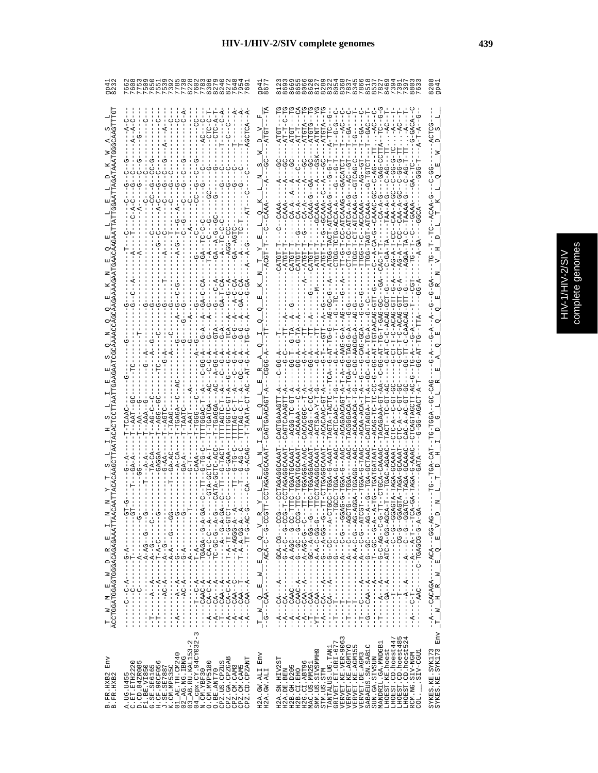|                                             | $\begin{bmatrix} 1 \\ 1 \\ 1 \\ 1 \end{bmatrix}$                                                                                                                                                                                                                                                                                                                                                                                                                                                                                                                                                                         | TT-G-T-CC-ATCAAAG---GACAT<br>CT-G-T-CC-ATCA-A-G---AC--<br>TTGG-T-CT-ATCAAA-G--GTCAG<br>TAA-A<br>$CAA - P$<br><b>BG-TCTG-AC</b><br>$-2 - A - CA - G -$<br>סי<br>יפן<br>יי<br>$- - - - 4$<br>$\triangleright$<br>$\triangleright$                                                                                                                                                                                                                                                                                                                                                                                                                                                                                                                                      |                   |
|---------------------------------------------|--------------------------------------------------------------------------------------------------------------------------------------------------------------------------------------------------------------------------------------------------------------------------------------------------------------------------------------------------------------------------------------------------------------------------------------------------------------------------------------------------------------------------------------------------------------------------------------------------------------------------|----------------------------------------------------------------------------------------------------------------------------------------------------------------------------------------------------------------------------------------------------------------------------------------------------------------------------------------------------------------------------------------------------------------------------------------------------------------------------------------------------------------------------------------------------------------------------------------------------------------------------------------------------------------------------------------------------------------------------------------------------------------------|-------------------|
| $\overline{a}^{\dagger}_{\parallel}$        | $-1 - 4 - 4 - 4 - 4 - 4 - 4$<br>$-1 - 2 - 6 - 6 - 6 - 6$<br>- - - - - - - ひ - ぱ - L- - - - - - - - - - - -<br>$0 - - - - - - - - - - - - - -$<br>- 4-0004-4-----<br><b>ひぺーひー ロロー ーーーーーー</b><br>------<br>$-4 - 5 - 4$                                                                                                                                                                                                                                                                                                                                                                                                    | ひひーーーのひーぱひぴーー<br>ひひーひーーひー ダーサーー<br>ひひーひーーひひーーひーー<br>$-1$<br><b>0-00-4-00-1</b><br>$- -A - A - C - G - G - G -$<br>$-1 - 5 - 4 - 5 - 6 - 6$<br>ひ スー・リー ロー スーポー ー ー ー ー ー<br>ひ‐‐ひ‐‐ひ‐‐‐‐‐‐<br>ひ‐‐ひ‐ひし‐‐‐‐‐‐‐‐‐‐‐‐‐‐‐‐‐<br>- - - - - - - - - - - - - -<br>$Q$ <sup>-2</sup><br>囯<br>$-$ -ACA $-$ C<br>띄<br>囸                                                                                                                                                                                                                                                                                                                                                                                                                                                            | o                 |
| $\frac{1}{\text{ACCTCGATGGACTCGACACAATTA}}$ | - 4-5- 4545H-----4-0440---<br>- 「ユー・コーロー スロー - - - - - エー・エー コースロー - -<br>- 「トローローロローロー フィー・エー・エー・エー<br>ロワーワーロロー スーロー ーーーーイー ワーダワー<br>- 4-00-4-4-H-----H--440---4-<br>$-1$ $-1$ $-1$ $-1$ $-1$ $-1$ $-1$ $-1$<br>I<br>$--- - - - - - - - - - -$<br>$- -AC - A - - -$<br>l<br>$--- - - - - - - - - - -$<br>$- - -C - C - P + - -$<br>I<br>$\frac{1}{1}$<br>I.<br>$-42A$<br>Í<br>$\frac{1}{1}$<br>$\frac{1}{1}$<br>$\frac{1}{1}$<br>$\frac{1}{1}$<br>$-4$<br>Î<br>٢<br>Î<br>$\frac{1}{1}$<br>$\ddot{A}$<br>$\overline{\phantom{a}}$<br>Í<br>$\ddot{A}$<br>$-4$<br>$-4$<br>$-1$<br>$\vec{A}$<br>י<br>י<br>I<br>J<br>I<br>J. | .ひひ‐め‐‐ひのぱ‐ぱ‐‐‐‐‐‐‐‐ひぱぱひ‐‐‐<br>LT<br>NT - - D - D - - - NT - - - - NT - - - - D - - -<br><u> ひえーーーーひひーーひーーーーーズーーズ</u> ひーーー<br>- 4-5-10-10-1-1-1-1-1-1-1-1-1-<br>ひーひーーひ⊄ーひーひーーーーーヸーーーヸーーーー<br>ひダーひひーダーひIIダーーーーーダーーマジーーーー<br>ひ‐‐ひ‐‐ひ‐‐‐ぱ‐‐‐‐ぱ‐‐‐ぱ‐‐‐‐‐<br>- 4-5-50545H-0------O44----<br>:UR-UU---KUK-----KUKUKU---K--<br><b>ひ‐‐‐ぱ‐‐‐‐‐‐‐‐‐‐‐‐‐‐‐‐‐</b><br>$---CAA---A---$<br>$\frac{1}{1}$<br>I<br>I<br>$\mathbf{z}$<br>$\geq$<br>$---CABC$<br>$\frac{1}{2}$<br>$-CAA$ ---<br>$\alpha$<br>$-\frac{T}{-G-1}$ $\frac{W}{-V}$ $\frac{V}{-V}$ $\frac{V}{-V}$ $\frac{V}{-V}$<br>$\geq$<br>$- - A$<br>$-4$<br>$-4$<br>$-4$<br>$-4$<br>۲<br>ا<br>じー<br>투<br>$\frac{1}{1}$<br>$\frac{1}{1}$<br>$\vec{A}$<br>۲<br>ا<br>LX-<br>İ<br>ד<br>ד<br>$\frac{1}{1}$<br>I<br>투<br>I<br>Ţ | Ħ<br>$\mathbb{H}$ |
| Env<br>B.FR.HXB2<br>B.FR.HXB2               | $04$ <sup><math>-</math></sup> cpx. $CY.94$ CY032-3<br>K.CM.NP535C<br>01_AE.TH.CM240<br>02_AG.NG.IBNG<br>03_AB.RU.KAL153-2<br>CPZ.GA.CPZGAB<br>CPZ.CM.CAM5<br>CPZ.CD.CPZANT<br>.UG.U455<br>.ET.ETH2220<br>D.CD.84ZR085<br>F1.BE.VI850<br>G.SE.SB6165<br>H.CF.90CF056<br>J.SE.SE7887<br>K.CM.MP535C<br>.CM.MVP5180<br>CPZ.US.CPZUS<br>CPZ.CM.CAM3<br>O.BE.ANT70<br>.CM.YBF30<br>A.UG.U455<br>C.ET.ETH2<br>$\overline{z}$<br>$\circ$                                                                                                                                                                                       | Env<br>VERVET.KE.VER-9063<br>VERVET.KE.AGMTYO<br>LHOEST.CD.hoest485<br>LHOEST.CD.hoest524<br>LHOEST.CD.hoest447<br>GRIVET. ET. GRI-677<br>MANDRIL.GA.MNDGB1<br>SABAEUS.SN.SAB1C<br>L<br>TANTALUS.UG.TAN1<br>SYKES.KE.SYK173<br>SYKES.KE.SYK173<br>VERVET.KE.AGM15<br>SMM.US.SIVSMMH9<br>LHOEST.KE.hoest<br>.SIV-CGU1<br>Env<br>RCM.NG.SIV-NGM<br>VERVET.DE.AGM3<br>SUN.GA.SIVSUN<br>H2A.SN.HIV2ST<br>H2G.CI.ABT96<br>MAC.US.MM251<br>H2B. GH. D205<br>H2A.GW.ALI<br>H2A.GW.ALI<br>H2A.DE.BEN<br>H2B.CI.EHO<br>STM.US.STM<br>COL.                                                                                                                                                                                                                                     |                   |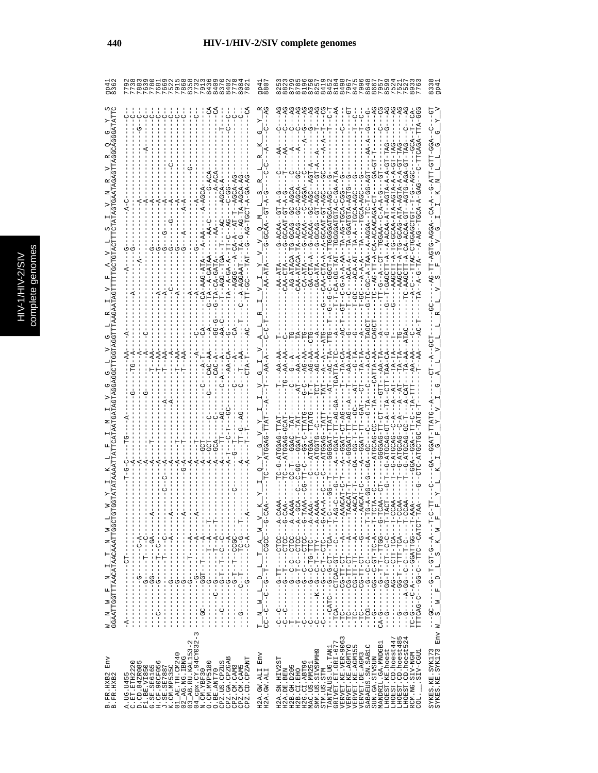|   | C<br>۹ |
|---|--------|
|   | Ś      |
|   |        |
|   |        |
|   |        |
|   |        |
|   |        |
|   | ÷<br>ń |
| с |        |
|   | ¢      |
|   |        |
|   |        |
|   |        |
|   |        |
|   |        |
|   |        |
|   | ì      |
|   |        |

|                                                           |                                                          |                                                                                                                                                                                                                                                                                  |                          |                                                                       |                                                         |  |                                                                       |              |                                             |                                                          |                                             |                                     |                                                  |                    |                                                                  | 908<br>880                                                                                                            |               |            |             |            |                              | 0.5777441 |                                 |                  |                                    |                                                            |           |                  |                   |                  |                   |                 |                                                    |                                                               |                                 |                                | 833<br>qp4                         |
|-----------------------------------------------------------|----------------------------------------------------------|----------------------------------------------------------------------------------------------------------------------------------------------------------------------------------------------------------------------------------------------------------------------------------|--------------------------|-----------------------------------------------------------------------|---------------------------------------------------------|--|-----------------------------------------------------------------------|--------------|---------------------------------------------|----------------------------------------------------------|---------------------------------------------|-------------------------------------|--------------------------------------------------|--------------------|------------------------------------------------------------------|-----------------------------------------------------------------------------------------------------------------------|---------------|------------|-------------|------------|------------------------------|-----------|---------------------------------|------------------|------------------------------------|------------------------------------------------------------|-----------|------------------|-------------------|------------------|-------------------|-----------------|----------------------------------------------------|---------------------------------------------------------------|---------------------------------|--------------------------------|------------------------------------|
|                                                           |                                                          |                                                                                                                                                                                                                                                                                  |                          |                                                                       |                                                         |  |                                                                       |              |                                             |                                                          |                                             |                                     |                                                  |                    |                                                                  |                                                                                                                       |               |            |             |            |                              |           |                                 |                  |                                    |                                                            |           |                  |                   |                  |                   |                 |                                                    |                                                               |                                 |                                |                                    |
|                                                           |                                                          |                                                                                                                                                                                                                                                                                  |                          |                                                                       |                                                         |  |                                                                       |              |                                             |                                                          |                                             |                                     | $-TT$ -TA                                        |                    |                                                                  |                                                                                                                       |               |            |             |            |                              |           |                                 |                  |                                    |                                                            |           | $-40$            |                   | CAACAGA-         |                   |                 |                                                    |                                                               |                                 |                                | $-6-2$                             |
|                                                           |                                                          |                                                                                                                                                                                                                                                                                  |                          |                                                                       |                                                         |  |                                                                       |              |                                             |                                                          |                                             |                                     | $A - A$                                          |                    |                                                                  |                                                                                                                       |               |            |             |            | $\check{A}$ - $\check{B}$    | どし        | $\overline{A}$ – $\overline{G}$ | 5-0-1-0-5        | AHA-40-0-4HDH4000DH--HHH-00-40-H-H | $- -C - A - A - A - A - T - A - AC -$                      |           |                  | 4004-4-124-00-00- | $C = -A G - T T$ |                   |                 |                                                    |                                                               |                                 |                                | -AGTG-AGG4                         |
|                                                           |                                                          |                                                                                                                                                                                                                                                                                  |                          |                                                                       |                                                         |  |                                                                       |              |                                             |                                                          |                                             |                                     |                                                  |                    |                                                                  |                                                                                                                       |               |            |             |            |                              |           |                                 |                  |                                    |                                                            |           |                  |                   |                  |                   |                 |                                                    |                                                               |                                 |                                |                                    |
|                                                           |                                                          |                                                                                                                                                                                                                                                                                  |                          |                                                                       |                                                         |  |                                                                       |              |                                             |                                                          |                                             |                                     |                                                  |                    |                                                                  |                                                                                                                       |               |            |             |            |                              | AG-AA     |                                 |                  |                                    |                                                            |           |                  |                   |                  |                   |                 |                                                    |                                                               |                                 |                                |                                    |
|                                                           |                                                          |                                                                                                                                                                                                                                                                                  |                          |                                                                       |                                                         |  |                                                                       |              |                                             |                                                          |                                             |                                     |                                                  |                    |                                                                  |                                                                                                                       |               |            |             |            |                              |           |                                 |                  |                                    |                                                            | $PT - AC$ |                  |                   |                  |                   | G-ATGC          |                                                    |                                                               |                                 |                                |                                    |
|                                                           |                                                          | $\frac{1}{1}$                                                                                                                                                                                                                                                                    | $\frac{1}{1}$            | $-1$<br>$\begin{bmatrix} 1 \\ 1 \\ 1 \end{bmatrix}$                   | $\frac{1}{1}$                                           |  | ļ                                                                     |              | $\begin{bmatrix} 1 \\ 1 \\ 1 \end{bmatrix}$ |                                                          | $\frac{1}{1}$                               | $\frac{1}{1}$                       |                                                  |                    |                                                                  | $V = V - V - V$                                                                                                       |               |            |             |            |                              |           |                                 |                  |                                    |                                                            |           |                  |                   |                  |                   |                 |                                                    |                                                               |                                 |                                | $\mathbb{H}$                       |
| W__N_W_F_N_I_I_T_N_N_W_L_<br>GGAATTGGTTTAACATAACAATTGGCTG | Ĵ<br>т<br>I<br>$-10-$<br>L<br>Ť<br>Ĵ                     | $-1$ - $-1$<br>ţ<br>$-1 - 5 - -1$<br>$\frac{1}{1}$<br>$\sf I$                                                                                                                                                                                                                    |                          | - - 45 - - - - - - - - 55 - - - - -                                   |                                                         |  |                                                                       |              | $- -A - -$                                  | $- -1 - - - - - - - -$<br><u> ロー・エー・エー ひー エーエーエーエーエー</u> | - - - リー - リー - ロー - ロー - リー - - - - - - リー | - - ペーー - - - - - - - - - - - - - - |                                                  | $-1$ - $-1$ - $-1$ | $-1$ - $-1$ - $-1$ - $-1$ - $-1$<br>$-1$<br>$-1$<br>$-1$<br>$-1$ | $\begin{array}{cccccc}\nT & N & N & L & D & L & T & A \\ C & -C & -C & -C & -T & -T & -T & -G & -G & -G\n\end{array}$ |               |            |             |            |                              |           |                                 |                  |                                    |                                                            |           |                  |                   |                  |                   |                 | U - H - - - KUH - HHH - - H - UU - - - - - - U - - | U - H - - - - - U - H - - U - U - - U D - ば - - - - U - - - - | A-H---OOHHAOO-----A-D------O-DH | F-FORGO--OFF--O-QQ----O-QQDFFF |                                    |
|                                                           | H.<br>$A - - -$<br>J.                                    | T<br>$\frac{1}{4}$<br>J.<br>$\frac{1}{1}$<br>$\frac{1}{1}$                                                                                                                                                                                                                       | $-1$ $-1$ $-1$ $-1$ $-1$ | $\begin{array}{c} 1 \\ 1 \\ 1 \\ 1 \end{array}$<br>ł<br>$\frac{1}{2}$ | $\begin{array}{c} \n 1 \\  1 \\  1 \\  1\n \end{array}$ |  | $\begin{bmatrix} 1 \\ 1 \\ 1 \\ 1 \end{bmatrix}$<br>$\mathbf{I}$<br>T | $\mathbf{I}$ |                                             |                                                          | $\mathbf{I}$                                |                                     | $\begin{bmatrix} 1 \\ 1 \\ 1 \\ 1 \end{bmatrix}$ | $-9 - -$           | $\begin{array}{c} 1 \\ 1 \\ 1 \\ 1 \\ 1 \end{array}$             |                                                                                                                       |               |            |             |            |                              |           |                                 |                  |                                    |                                                            |           |                  |                   |                  |                   |                 | J.                                                 | ru 4                                                          |                                 |                                | $\mathbf{z}$<br>J.<br>Env          |
| Env<br>B.FR.HXB2<br>B.FR.HXB2                             | A.UG.U455<br>C.ET.ETE222<br>$A. UG. U45$<br>$C. ET. ETF$ | $C.$ $\overline{11}$ , $\overline{12712220}$<br>$D. CD. 842R085$<br>$D. CD. 842R085$<br>$E. SE. 156165$<br>$E. SE. 156165$<br>$E. CD. 90CP056$<br>$E. CD. 101. NE535C$<br>$D. 12E. 17E. 170340$<br>$D. 12E. 17E. 170340$<br>$D. 12E. 17E. 17032-2$<br>$D. 12E. 17E. 17032-2$<br> |                          |                                                                       |                                                         |  |                                                                       |              |                                             | O.BE.ANT70                                               |                                             | CPZ.US.CPZUS<br>CPZ.GA.CPZGAB       |                                                  |                    | CPZ.CM.CAM3<br>CPZ.CM.CAM5<br>CPZ.CD.CPZANT                      | $_{\rm{Env}}$<br>H2A.GW.ALI<br>H2A.GW.ALI                                                                             | H2A.SN.HIV2ST | H2A.DE.BEN | H2B.GH.D205 | H2B.CI.EHO | H2G.CI.ABT96<br>MAC.US.MM251 |           | SMM.US.SIVSMMH9<br>STM.US.STM   | TANTALUS.UG.TAN1 | GRIVET.ET.GRI-677                  | VERVET.KE.VER-9063<br>VERVET.KE.AGMTYO<br>VERVET.KE.AGMTYO |           | VERVET. DE. AGM3 | SABAEUS.SN.SABIC  | SUN.GA.SIVSUN    | MANDRIL.GA.MNDGB1 | LHOEST.KE.hoest | LHOEST.CD.hoest447                                 | LHOEST.CD.hoest48<br>LHOEST.CD.hoest52                        | RCM.NG.SIV-NGM                  | SIV-CGU1<br>$COL$ .            | SYKES.KE.SYK173<br>SYKES.KE.SYK173 |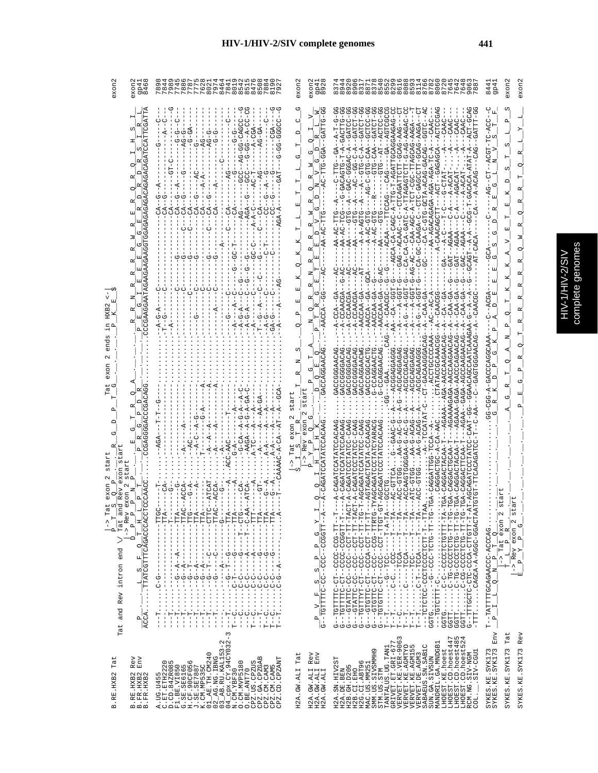| es<br>Ŀ<br>ē |
|--------------|
| D            |
|              |
|              |
| ŕ            |
|              |

| exon                                                                                                                                                                                                                                       | gp4<br>846<br>exon                                                                                                                                                                                                                                                                                                                                                                                                                                                                                                                                                                                                                                                       | 787<br>7227644444767767888888<br>00000<br>$\infty$<br>$\infty$ $\infty$ $\infty$<br>$\infty$ $\sim$                                                                                                                                                                                                                                                                                                                                                                                                                                                                                                                                                                                                                                                                                                                                                                                                                                                                                                                                                                                                                                                                                                                                                                                                                                                                                                                                                                                                                                                                                                                                                                                                                                                                                                                                                                                                                                                                                                                                                                                                                                                                                                                                                                                                                                                                                                                                                                                                                                                                                                                                                                                                                                                                                                                                                                                                                                                                                                                                                                                                                                               | exon<br>exon<br>992<br>992                                                                                                                                                                                                                                                                                                                                                                                                                                                                                                                                                                                                                                                                                            | OHLLANOH80H686<br>088<br>exon<br>exon<br>64<br>64<br>844<br>994<br>ო თ<br>$\infty$                                                                                                                                                                                                                                                                                                                                                                                                                                                                                                                                                                                                                                                                                                                                                                                                                                                                                                                                                                                                                                                                                                                                                                                                                                                                                                                                                                                                                                                                                                                                                                                                                                                                                                                                                                                                                                                                                                                                                                                                                                                                                                                                                                                                                                                                                                                                                                                                                                                                                                                                                                                                                                                                                                                                                                                                                                                                                                                                                                                                                                                                                                                                                                                                                                                                                             |
|--------------------------------------------------------------------------------------------------------------------------------------------------------------------------------------------------------------------------------------------|--------------------------------------------------------------------------------------------------------------------------------------------------------------------------------------------------------------------------------------------------------------------------------------------------------------------------------------------------------------------------------------------------------------------------------------------------------------------------------------------------------------------------------------------------------------------------------------------------------------------------------------------------------------------------|---------------------------------------------------------------------------------------------------------------------------------------------------------------------------------------------------------------------------------------------------------------------------------------------------------------------------------------------------------------------------------------------------------------------------------------------------------------------------------------------------------------------------------------------------------------------------------------------------------------------------------------------------------------------------------------------------------------------------------------------------------------------------------------------------------------------------------------------------------------------------------------------------------------------------------------------------------------------------------------------------------------------------------------------------------------------------------------------------------------------------------------------------------------------------------------------------------------------------------------------------------------------------------------------------------------------------------------------------------------------------------------------------------------------------------------------------------------------------------------------------------------------------------------------------------------------------------------------------------------------------------------------------------------------------------------------------------------------------------------------------------------------------------------------------------------------------------------------------------------------------------------------------------------------------------------------------------------------------------------------------------------------------------------------------------------------------------------------------------------------------------------------------------------------------------------------------------------------------------------------------------------------------------------------------------------------------------------------------------------------------------------------------------------------------------------------------------------------------------------------------------------------------------------------------------------------------------------------------------------------------------------------------------------------------------------------------------------------------------------------------------------------------------------------------------------------------------------------------------------------------------------------------------------------------------------------------------------------------------------------------------------------------------------------------------------------------------------------------------------------------------------------------|-----------------------------------------------------------------------------------------------------------------------------------------------------------------------------------------------------------------------------------------------------------------------------------------------------------------------------------------------------------------------------------------------------------------------------------------------------------------------------------------------------------------------------------------------------------------------------------------------------------------------------------------------------------------------------------------------------------------------|--------------------------------------------------------------------------------------------------------------------------------------------------------------------------------------------------------------------------------------------------------------------------------------------------------------------------------------------------------------------------------------------------------------------------------------------------------------------------------------------------------------------------------------------------------------------------------------------------------------------------------------------------------------------------------------------------------------------------------------------------------------------------------------------------------------------------------------------------------------------------------------------------------------------------------------------------------------------------------------------------------------------------------------------------------------------------------------------------------------------------------------------------------------------------------------------------------------------------------------------------------------------------------------------------------------------------------------------------------------------------------------------------------------------------------------------------------------------------------------------------------------------------------------------------------------------------------------------------------------------------------------------------------------------------------------------------------------------------------------------------------------------------------------------------------------------------------------------------------------------------------------------------------------------------------------------------------------------------------------------------------------------------------------------------------------------------------------------------------------------------------------------------------------------------------------------------------------------------------------------------------------------------------------------------------------------------------------------------------------------------------------------------------------------------------------------------------------------------------------------------------------------------------------------------------------------------------------------------------------------------------------------------------------------------------------------------------------------------------------------------------------------------------------------------------------------------------------------------------------------------------------------------------------------------------------------------------------------------------------------------------------------------------------------------------------------------------------------------------------------------------------------------------------------------------------------------------------------------------------------------------------------------------------------------------------------------------------------------------------------------------|
| 囯<br>HXB.<br>end<br>exon<br>Ë<br>≏<br>び<br>œ<br>stari<br>UΊ<br>xon<br>$\begin{array}{c} p \\ \text{Tot} \\ \text{any} \\ \text{Re} \\ \text{y} \end{array}$<br>$\stackrel{\wedge}{\scriptstyle\cdot}$<br>╱<br>end<br>and Rev intron<br>Tat | TCGATT<br>AGAGAGACACAGACACAGA<br>CGAAGGAATAGAA<br>ひ<br>囯<br>$\Omega$<br>O<br>CCGACA<br>œ<br>Δ<br>н<br>c<br>υ<br>œ<br>CCGAG<br>囯<br>tar<br>Ö۵<br>CCCAACC<br>exon<br>$\frac{1}{\cdots} \cdot \frac{1}{\cdots} \cdot \frac{S-F}{S-F} \cdot \frac{1}{\cdots} \cdot \frac{P}{P} \cdot \frac{P}{P} \cdot \frac{P}{P} \cdot \frac{P}{P} \cdot \frac{P}{P} \cdot \frac{P}{P} \cdot \frac{P}{P} \cdot \frac{P}{P} \cdot \frac{P}{P} \cdot \frac{P}{P} \cdot \frac{P}{P} \cdot \frac{P}{P} \cdot \frac{P}{P} \cdot \frac{P}{P} \cdot \frac{P}{P} \cdot \frac{P}{P} \cdot \frac{P}{P} \cdot \frac{P}{P} \cdot \frac{P}{P} \cdot \frac{P}{$<br>$\ddot{\cdot}$<br>$\frac{P}{A C C A}$ | ပု<br>ပုံ<br>U<br>UUUU-UU-<br>U<br>Y<br>-CAGCC<br>$\overline{A}$<br>$G-GA$<br>$AG-GA$<br>$-5 - 5$<br>ပု<br>$-1$<br>ပု<br>ひーひ<br>ひーの<br>ひ<br>Ŕ<br>υ<br>ن<br>ا<br>$-46-04$<br>$\begin{array}{c} \end{array}$<br>I.<br>۲I<br>ပု<br>÷Gi<br>$-AG$<br><b>SSS-</b><br>$-A$<br>ত্<br>$\dot{A}$<br>$\vec{A}$<br>$-4$<br>ပှံ<br>ပုံ<br>Ů<br>Ü<br>ひ<br>ပု<br>ں<br>ا<br>F<br>F<br>F<br>F<br>ි<br>F<br>S<br>$-CA$<br>$-AGA$<br>g<br>$-AG$<br>$A - A -$<br>ن<br>U<br>◡<br>U<br>O<br>투<br>8<br>ত<br>ひ<br>ひ<br>ひ<br>てり<br>ひ<br>てり<br>ט<br>りー<br>Ò<br>O<br>ပု<br>U<br>$\circ$<br>$\circ$<br>Ó<br>U<br>$\vec{A}$<br>$A-G-A$<br>K,<br>$\tilde{A}$<br>$-A-G-A$<br>ں<br>-<br>ひ<br>$-A-C$<br>$C_1$<br>$A - G$<br>$--GCA$<br>$-GA$<br>$-6A$<br>U<br>F<br>ç<br>텃<br>ひ<br>먹<br>$-7A$<br>⋖<br>A<br>AGA<br>$-4$<br>$-4$<br>$-CA$<br>$- A - C A$<br><b>AAGA</b><br>C-AAC<br>÷<br>$-4$<br>$\dot{A}$<br>$\vec{A}$<br>$-ATCA-$<br>-ATCAT<br>GT-<br>$-ACCA$<br>ပု<br>$-ACCA$<br>F<br>$-CA$<br>Ġ<br>๓<br>$-1$ $\text{TT}$<br>-- TTI<br>.<br>ا<br>$  TTI$<br>---TTA<br>ATT-----<br>---TTA<br>ATT-----<br>ED-1<br>$ -TTA$<br>$-1$<br>-- TTI<br>$-1$ $TTI$<br>$-10$<br>-- TTI<br>$-1$ $T$<br>-- TTP<br>$\cdot \cdot \cdot \cdot \cdot$<br>-TTI<br>$-1$<br>$\mathbf{I}$<br>$\frac{1}{1}$<br>J.<br>$\frac{1}{1}$<br>$\overline{1}$<br>$\frac{1}{1}$<br>$\mathbf{I}$<br>J<br>$\overline{\phantom{a}}$<br>Ť<br>י<br>י<br>$\frac{1}{1}$<br>Ť.<br>$\frac{1}{1}$<br>$\frac{1}{1}$<br>1<br>п<br>п<br>п<br>J.<br>Ť<br>L.<br>$\frac{1}{1}$<br>Ť.<br>ï<br>J.<br>$\mathbf{I}$<br>$\overline{\phantom{a}}$<br>$\overline{1}$<br>$\mathsf I$<br>$- -A - -$<br>$\frac{1}{4}$<br>ł<br>$\begin{array}{cccc} - & - & - & - \\ - & - & - \\ - & - & - \\ - & - & - \\ - & - & - \\ - & - & - \\ - & - & - \\ - & - & - \end{array}$<br>$\frac{1}{4}$<br>J.<br>Т<br>Ţ<br>U<br>ပှံ<br>ပုံ<br>לף<br> -<br> <br>$-10$<br>ひ<br>ł<br>$\frac{1}{4}$<br>$\mathbf{I}$<br>$3 - -A - - -$<br>$\frac{1}{1}$<br>$\mathbf{I}$<br>$\mathbf{I}$<br>$\blacksquare$<br>$\blacksquare$<br>$-4 -$<br>$\dot{A}$<br>÷<br>!<br>$- - A$<br>$-4$<br>$-4$<br>$\frac{1}{4}$<br>- 1<br>$\mathbf{I}$<br>-1<br>부<br>부<br>L.<br>п<br>$\mathbf{I}$<br>Ť<br>J.<br>Ť<br>$\,$ I<br>$\overline{1}$<br>$\mathbf{I}$<br>$\overline{\phantom{a}}$<br>Ι.<br>$\overline{\phantom{a}}$<br>ליטולי<br>ליון ל<br>ن<br>ن<br>$-\frac{c}{1}$<br>ပုပ္ပံ့ပုံ<br>부인인인인<br>л<br>$\begin{array}{cccc} \vdots & \vdots & \vdots & \vdots & \vdots \\ \vdots & \vdots & \vdots & \vdots & \vdots \\ \vdots & \vdots & \vdots & \vdots & \vdots \\ \vdots & \vdots & \vdots & \vdots & \vdots \\ \vdots & \vdots & \vdots & \vdots & \vdots \\ \vdots & \vdots & \vdots & \vdots & \vdots \\ \vdots & \vdots & \vdots & \vdots & \vdots \\ \vdots & \vdots & \vdots & \vdots & \vdots \\ \vdots & \vdots & \vdots & \vdots & \vdots \\ \vdots & \vdots & \vdots & \vdots & \vdots \\ \vdots & \vdots & \vdots & \$<br>п<br><b>UUUU</b><br>Ü<br>Ü<br>Τ.<br>t<br>$\ddot{\cdot}$<br>li<br>I<br>$\vdots$<br>$\cdot$<br>$\bullet$<br>$\vdots$<br>$\bullet$<br>$\cdot$<br>$\bullet$<br>$\ddot{\cdot}$<br>$\cdot$<br>$\cdot$<br>$\cdot$<br>부<br>$\frac{1}{2}$<br>$\sim$ | ひ<br><b>GATTG-GG</b><br>l≊<br>U<br>$\Box$<br>$\alpha$<br>$\infty$<br>Н<br>⊆<br>GGA<br>U.<br>ひ<br>也<br>z<br>ц<br>н<br>z<br>O<br>н<br>∣≏<br>≃<br>囸<br>ひ<br>з<br>ĸ<br>н<br>C.<br>$\Box$<br>œ<br>×<br>1 هـ)<br>œ<br>E<br>α<br>O<br>z<br>囯<br>$\alpha$<br><b>Ed</b><br>ひ<br>囸<br>$\alpha$<br>AACCA<br>Q<br>д<br>z<br>O<br>∣≏<br>GACCAGGAACAG<br>C)<br>C<br>Ŀ<br>び<br>C<br>$\mathbf{p}$<br>$\sqrt{a}$<br>tart<br>start<br>m.<br>2<br>ぴ<br>exon<br>œ<br>CAGATCCATATCCACAAG<br>exon<br>$\circ$<br>Rev<br>д<br>$T = 5$<br>$\hat{\mathcal{L}}$<br>Λ<br>I≖<br>д<br>$\circ$<br>$Q \times$<br>$\frac{P}{X} = \frac{P}{PQ} = \frac{P}{G} = \frac{P}{S} = \frac{P}{P} = \frac{P}{G} = \frac{P}{X} = \frac{P}{X} = \frac{P}{X}$<br>ان | ↻<br>S<br>--ACTCCGA<br>UUUUUHUT-KU-<br>-A-TTG-AGATGCAGAAGAG-C<br>-AG-AAGAC-C<br>-0-GACACTG-T-A-DESACTTG-<br>-CCLCC-<br>- ししばーし ローロリンズー<br>己<br>$- A - - C A A C$<br>ن<br>!<br>$\Omega_{\rm I}$<br>--GATCC<br>$-02TCT$<br>$----1$<br>CAAC<br><b>GATCT</b><br>CAG-AAGA<br>ADAA-DAUD-HHUUDAU-UHU--<br>Е<br>-GATC<br>$-7A$ $T - A$ $C$ $T$ $C$<br><b>UHDD--</b><br>-<br>UCTCAGATHUPHOAG-<br>1<br>中<br>m<br>ωj<br>$-4G-C-CTG-CATC$<br>F<br>ARD-DID-<br>≃<br>URDDD-URD--<br><b>FAG</b><br>UH-AGA-AGA-AGAOKOKHA-AA-<br>U-ULU--4---<br>U-IIUIUKUKIII-K-UIKU-KU-KU-KU-<br>$\frac{1}{1}$<br>GH.<br>$-124T - 2 - 2 - 12$<br>Ö<br>で –<br>- -<br>ω<br>$C - A - TCT - CGC - T$<br>$ CAG$<br>$A-ACAG$<br>5<br>-AGACA<br>н<br>$-4C$<br>≏<br>ひ<br>$AC -$<br>œ<br>-TTCCAG<br>囯<br>$- - R$<br>≃<br>囯<br>ں<br>ا<br>Ŗ.<br>R<br>$-AC-GTG$<br>$- -A - AC - GTC$<br>입<br>g<br><b>UHD--</b><br>ę<br>$- A - A - AGTC$<br>O<br>U-JARUA--DAY-<br>ь<br>URU-RU-RUUR--<br>シー<br>$-$ -CAA-AG<br>--A-CAACAG<br>$\Box$<br>$PA-AC-T$<br>œ<br>$-ACAA-$<br><b>Ed</b><br>AT--AGAA<br>ひ<br>z<br>AA.<br>$-4A$<br>w<br>O<br>AGT-<br>GCA<br>$-AG-AC-$<br>ひ<br>Ċ.<br>GAT<br>α<br>$-AC$<br>--AACCAA-CAD-AC<br>じー<br>囯<br>$G - AC$<br>$-AT$<br>GCA<br>œ<br>$\overline{A}$<br>ţ<br>÷<br>ひ<br>ひ<br>GT-G<br>U<br>Ť<br>œ<br>$-AACCAA-GA-$<br>$-4 - 4 - CAA - GAA$<br>囯<br>-ACGA<br>A-CCAACGA<br>ACCTGCCCCAAA---AC--AC-A<br>CTATACCGCAAACGG--A--CAACGG<br>A-CCAACG<br>$- A - CCAACC$<br>-AACCAA-G<br>-AU--AA---AA---AA---<br>$-4-0$<br>$-4-4-7-4-$<br>$-4-0$<br>$-4 - -1 - -1 - -1$<br>U--KU--K--UKUKKUKKUUKK-KUK-<br>U-AAU--A--UAUARURAU<br>CAACG<br>$-4 - 4 - CAPCC$<br>œ<br>$-ACCA-$<br>$\Box$<br>œ<br>O.<br>ပု<br>U<br>$-4$<br>œ<br>д<br>$\Omega$<br>н<br>- 444000400040-4-000-0<br>CCAGAACAG<br>z<br>AUGUUUGAUGU - HU - -<br>O<br>-G--ACGCAGGAGAG<br>CGGGAACAG<br>GACCGGGGACAG<br><b>UAUAUUUUUU</b><br>GACCGGGGACAG<br>GACCAGGAACWG<br>GACCCGCACTG<br>G-CCAGGAACTG<br>O-CCAGGAACAG<br>UAUUAUUUUUF--<br>--ACGCAGGAGAG<br>--ACGCAGAAGGG<br>К,<br>ひ<br>œ<br>o<br>д<br>$-GBA$<br>AGA-AAC<br>GAAA-GAGA-AAC<br>н<br>≏<br>び<br>$GAGA - P$<br>α<br>囯<br>ひ<br>--AGAAAAG<br>R<br>д<br>--AGAAAA<br>τŋ<br>$-1$ TCCATAT<br>C-CAAG<br>C-CAAG<br>$- A - C A - A A$<br>-CAGATCCATATCCACAA<br>-AGCAGATCCTATCCACAAA<br>スムラーワー<br>CAACA<br>$-1$<br>$-40AAC$<br>$.A-A-C-AC$<br>4-9-44gbHb-0<br>$-TCCA$<br>a<br>A<br>부<br>$-ACC-GTG$<br>T-AGCAGAT<br>TYAGCAGAT<br>りっロ<br>59-<br>ACCAA<br>star<br>tart<br>$\begin{array}{l} \mathbf{r}_{1} = \mathbf{r}_{1} = \mathbf{r}_{2} = \mathbf{r}_{1} = \mathbf{r}_{2} = \mathbf{r}_{1} = \mathbf{r}_{2} = \mathbf{r}_{1} = \mathbf{r}_{2} = \mathbf{r}_{2} = \mathbf{r}_{1} = \mathbf{r}_{2} = \mathbf{r}_{2} = \mathbf{r}_{2} = \mathbf{r}_{2} = \mathbf{r}_{2} = \mathbf{r}_{2} = \mathbf{r}_{2} = \mathbf{r}_{2} = \mathbf{r}_{2} = \mathbf{r}_{2} = \mathbf{r}_{2} = \mathbf{r}_{2} = \mathbf{r}_{$<br>N<br>$\cdot$<br>-TTTCAGCA-A-AGGC-GGACT<br>F-HHDHHU-KUUU-UHU-<br>exon<br>$\sum_{i=1}^{n}$<br>$T$ --TATTTTGCAGAACCC-ACCCAG<br>$\frac{P}{P}$ I L Q N P T Q<br>ひ<br>$\overline{\text{Rev}}$ exon<br>$\frac{y - p}{-}$ G<br>O.<br>$\mathbf{a}$<br>$\frac{p}{12}$ Tat<br>니<br>$\mathbf{a}$<br>$\frac{1}{\sqrt{2}}$<br>$\vdash$<br>囸<br>oį<br>--TTTGCTC<br>ч,<br>학<br>$\mathbf{p}$<br>ひ<br>ひ ひ ひ ひ ひ ひ ひ ひ ひ ト ト ト ト<br>Env<br>$\downarrow$<br>Rev<br>フ54<br>$F^{\alpha}$<br>$\frac{3}{2}$<br>$\sim$ |
| Tat<br>RE.HXB2<br>$\ddot{a}$                                                                                                                                                                                                               | Rev<br>Env<br>3.RE.HXB2<br>3.FR.HXB2<br>3.FR.HXB2<br>$m \nightharpoonup m$                                                                                                                                                                                                                                                                                                                                                                                                                                                                                                                                                                                               |                                                                                                                                                                                                                                                                                                                                                                                                                                                                                                                                                                                                                                                                                                                                                                                                                                                                                                                                                                                                                                                                                                                                                                                                                                                                                                                                                                                                                                                                                                                                                                                                                                                                                                                                                                                                                                                                                                                                                                                                                                                                                                                                                                                                                                                                                                                                                                                                                                                                                                                                                                                                                                                                                                                                                                                                                                                                                                                                                                                                                                                                                                                                                   | $_{\rm{Env}}^{\rm{Rev}}$<br>$_{\rm{Tat}}$<br>$\begin{array}{c} \tt H2A\cdot GW\cdot ALI \\ \tt H2A\cdot GW\cdot ALI \\ \tt H2A\cdot GW\cdot ALI \end{array}$<br>H2A.GW.ALI                                                                                                                                                                                                                                                                                                                                                                                                                                                                                                                                            | $\begin{array}{l} \texttt{MAC} & \texttt{105} \texttt{.1002} \\ \texttt{NNC} & \texttt{105} \texttt{.1002} \\ \texttt{SMN} & \texttt{105} \texttt{.151} \\ \texttt{1003} \\ \texttt{101} \\ \texttt{102} \\ \texttt{103} \\ \texttt{104} \\ \texttt{105} \\ \texttt{107} \\ \texttt{108} \\ \texttt{109} \\ \texttt{101} \\ \texttt{101} \\ \texttt{101} \\ \texttt{102} \\ \texttt{103} \\ \texttt{104$<br>LHOEST.CD.hoest447<br>LHOEST.CD.hoest485<br>RHOEST.CD.hoest585<br>RHOEST.CD.hoest524<br>COL.LC.3IV-CGU1<br>MANDRIL.GA.MNDGB1<br>SYKES.KE.SYK173<br>SYKES.KE.SYK17<br>LHOEST.KE.hoes<br>SYKES.KE.SYK17<br>SYKES.KE.SYK17<br>55<br>H2B.CI.EHO<br>H2G.CI.ABT96<br>H2A.SM.HIV2S<br>H2A.DE.BEN<br>H2B.GH.D205                                                                                                                                                                                                                                                                                                                                                                                                                                                                                                                                                                                                                                                                                                                                                                                                                                                                                                                                                                                                                                                                                                                                                                                                                                                                                                                                                                                                                                                                                                                                                                                                                                                                                                                                                                                                                                                                                                                                                                                                                                                                                                                                                                                                                                                                                                                                                                                                                                                                                                                                                                                                                                                           |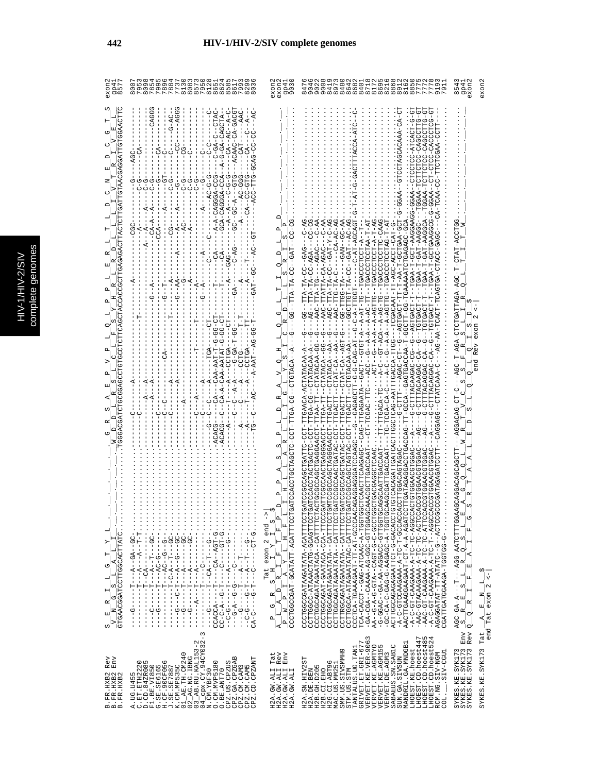|   | C<br>۹ |
|---|--------|
|   | Ś      |
|   |        |
|   |        |
|   |        |
|   |        |
|   |        |
|   | ÷<br>ń |
| с |        |
|   | ¢      |
|   |        |
|   |        |
|   |        |
|   |        |
|   |        |
|   |        |
|   | ì      |
|   |        |

| exoni<br>gp41                                                                                                                                                                                                                                                                                                            | o n<br>$rac{0}{20}$                                                                                                                                                                                                                                                                                                                                                                                                                                                                                                                                                                                                                                                                                                                                                                                                                                                                                                                                                                                                                                                                                                                                                                                                                                                                                                                                                                                                                                                                                                                                                                                                                                                                                                                                                                                                                                                                                                                                                                                                                                  | exon2<br>gp41<br>9030<br>exon2                                                                                                                                                                                                                                                                                                                                                                                                                                                                  | $\frac{19}{21}$<br>47<br>34                                                                                                                                                                                                                                                                                                                                                                                                                                                                                                                                                                                                                                                                                                                                                                                                                                                                                                                                                                                                                                                                                                                                                                                                                                                                                                                                                                                                                                                                                                                                                                                                                                                                                                                                                                                                                                                                                                                                                                                                                                                                                                                                                                                                                                                                                                                                                                                                                                                                                                                                                                                                                               | exon2<br>9P4<br>exon<br>854                                                                                                                                                                                                                                                                                                                                                                                                                                                                                                                                                |                      |
|--------------------------------------------------------------------------------------------------------------------------------------------------------------------------------------------------------------------------------------------------------------------------------------------------------------------------|------------------------------------------------------------------------------------------------------------------------------------------------------------------------------------------------------------------------------------------------------------------------------------------------------------------------------------------------------------------------------------------------------------------------------------------------------------------------------------------------------------------------------------------------------------------------------------------------------------------------------------------------------------------------------------------------------------------------------------------------------------------------------------------------------------------------------------------------------------------------------------------------------------------------------------------------------------------------------------------------------------------------------------------------------------------------------------------------------------------------------------------------------------------------------------------------------------------------------------------------------------------------------------------------------------------------------------------------------------------------------------------------------------------------------------------------------------------------------------------------------------------------------------------------------------------------------------------------------------------------------------------------------------------------------------------------------------------------------------------------------------------------------------------------------------------------------------------------------------------------------------------------------------------------------------------------------------------------------------------------------------------------------------------------------|-------------------------------------------------------------------------------------------------------------------------------------------------------------------------------------------------------------------------------------------------------------------------------------------------------------------------------------------------------------------------------------------------------------------------------------------------------------------------------------------------|-----------------------------------------------------------------------------------------------------------------------------------------------------------------------------------------------------------------------------------------------------------------------------------------------------------------------------------------------------------------------------------------------------------------------------------------------------------------------------------------------------------------------------------------------------------------------------------------------------------------------------------------------------------------------------------------------------------------------------------------------------------------------------------------------------------------------------------------------------------------------------------------------------------------------------------------------------------------------------------------------------------------------------------------------------------------------------------------------------------------------------------------------------------------------------------------------------------------------------------------------------------------------------------------------------------------------------------------------------------------------------------------------------------------------------------------------------------------------------------------------------------------------------------------------------------------------------------------------------------------------------------------------------------------------------------------------------------------------------------------------------------------------------------------------------------------------------------------------------------------------------------------------------------------------------------------------------------------------------------------------------------------------------------------------------------------------------------------------------------------------------------------------------------------------------------------------------------------------------------------------------------------------------------------------------------------------------------------------------------------------------------------------------------------------------------------------------------------------------------------------------------------------------------------------------------------------------------------------------------------------------------------------------------|----------------------------------------------------------------------------------------------------------------------------------------------------------------------------------------------------------------------------------------------------------------------------------------------------------------------------------------------------------------------------------------------------------------------------------------------------------------------------------------------------------------------------------------------------------------------------|----------------------|
| GGAACTTC<br>G <sub>1</sub><br>τŋ<br>COMPRESSIONS AND PROPERTY ARRENT CASHING<br>z<br>t.<br>≏<br>GTGCCTCTTCAGCTA<br>TGGGGGCGGATCHADORGGGG<br>w<br>w<br>œ<br>ᅱ<br>GTGAACGGATCCTTGGCACTTATC<br>$\vdash$<br>ಲ¦<br>$\frac{1}{1-\frac{1}{2}}$<br>$\mathbf{a}_\parallel$<br>$\mathbb{E}^{ \mathbf{X} ^2}$<br>$\frac{1}{\alpha}$ | $-AGGG$<br>CAGGG<br>$-ACAAC-CA-CAACCT$<br>$G - AC -$<br>$-CTAC$<br>U-4--U4--4U--<br>$---AAC$<br>$-AC$<br>ု<br>- 4HUU4U-4U-U-<br>$-4$<br>$\frac{1}{1}$<br>-GCAG-CC-CC<br>U-40-U-<br>g<br>ပု<br>$-A$ <sup>-</sup><br>Ġ<br>$\mathbf{I}$<br>Ş<br>-1<br>Ÿ<br>O<br>Ÿ<br>ACC-TTG<br>U-U-U4-1<br>g<br>먹<br>ę<br>AUU-AUUUAU-AUU-<br>5<br>はし<br>ひ<br>ن<br>!<br>ပု<br>만<br>-<br>もしー<br>もしー<br>もし<br>ひーリーー<br>ひ<br>ပု<br>ပု<br>U-40004U-4-4-<br>ひーワーー ー スーースーー<br><b>ひーーーダーひひーーひひー</b><br>ひし<br>U<br>↻<br>$-1$<br>$CA--C$<br>$-4$<br>$\vec{A}$<br>$\overline{A}$<br>F<br>1<br>$-CA-A$<br>÷,<br>$-AC$<br>U<br>U<br>U<br>п<br>$-4$<br>$---CCA$<br>1<br>نې<br>۲<br>$-4$<br>5<br>$\mathbf{I}$<br>ŧ<br>$\dot{A}$<br>$-AC$<br>$\sigma$<br>$-CD$<br>F<br>$-GAG-$<br>$\overline{1}$<br>ن<br>ا<br>--AA<br>ט<br>$- - A$<br>$-4$<br>턱<br>$-4$<br><b>GAT</b><br>$\overline{A}$<br>부<br>$-4$<br>부<br>ひ<br>ひ<br>ט<br>-99-99-<br>10-00-0-<br>당<br>-<br>-A-AAT--AG-GG-T<br>$-99 - 1 - 49 - 9 -$<br>ד<br>ד<br>CCTGA<br>$-CAA-AAT-T$<br>--CA-A-CAA-AATAT<br>CCLCR<br>К<br>$\ddot{A}$<br>$-4$<br>$-4$<br>$-4-7$<br>Q<br>Ś<br>ပု<br>U<br>י<br>י<br>-ACACG<br>$-ACACG$<br>입<br>$\frac{1}{1}$<br>$-C - A - T - -GC - .$<br>ŧ<br>$-55 -$<br>$-1$ - $-1$ - $-1$ - $-1$ - $-1$<br>$\dot{.}$<br>- - - 5 - - 5 - - 04 - - -<br>$-1 - 4 - 1 - 1 - 1$<br>$-1 - 2 - 4 - 4 - 4 - 1 - 1$<br>$-10-1$<br>U-LU4--40----<br><b>ひ‐エェ♡‐‐‐‐い‐‐</b><br>$\mathbf{I}$<br><b>CD-1</b><br>$- - - - - - - - - - - - -$<br>$0 - 1 - 1 - 1 - 1$<br>$-1 - 1 - 1 - 1 - 1 - 1 - 1 - 1$<br>$\overline{\phantom{a}}$<br>$- - - - - - - - - - - - - - - - - -$<br>$-1$ - $A$ - $-1$<br>$-1 - 1 - 1 - 1$<br>$-1$<br>$-4-$<br>J<br>н<br>ひ‐ひ‐‐ヸ‐ひ‐‐‐<br>ローウーーーウーリーー<br>$-5-5-$<br>יך<br>י<br>۲<br>ا<br>$-1$<br>부<br>ד<br>י<br>۲<br>-<br>י<br>י<br>$- - - - - - - - -$<br>יך<br>י<br><b>L-0-4-0-50</b><br>-0-------<br>----------<br>$-1 - 5 - 1$<br>$-1 - 5 - 7$<br>CCACCA--<br>$\frac{1}{1}$<br>ţ<br>$-9 - -$<br>$\overset{-}{\circ}$<br>$C-A-C-$<br>Ġ٢<br>$\frac{1}{2}$<br>ł<br>п<br>$\frac{1}{1}$<br>ï<br>J<br>J<br>3 | $CC-CG$<br>$\mathbf{p}$<br>Δ<br>ω<br>CO.<br>U<br>$-\mathbf{TA}$<br>C٦<br><b>99-</b><br>œ<br>びひ<br>Æ<br>C)<br>-CTGTACA<br>ひ<br>ひひーstひけけーけひひー<br>≏<br>$\mathbf{p}$<br>Ω<br>GATCCACCTGCTAGCT<br>$\hat{1}$<br>UF WARD A HARRY AND A HARRY COLOR TO DELL'<br>ام¦<br>ا<br>ທຸ່<br>$\vert_{_{\mathrm{fa}}}$<br>exon 2 end<br>Ιщ<br>H,<br>∣⊢<br>×<br>Ŀ,<br>$\rightarrow$<br>Tat<br>피<br>Ą<br>Ιĸ<br>ω,<br>$\Box$<br>¤,<br>$\overline{a}$<br>4<br>U<br>Z<br>l -<br>$\mathbf{a}$<br>$\mathbf{\Omega}$<br> ⊄ | 5<br>하<br>$-9$<br>5<br>5<br>- 50500040-0050-50<br>ひけけひひょり しりけりけけし<br>U-LONDUNC-DOLDUP-<br>- GTCCTAGCACAAAA<br>ğ<br>にこつ<br>--TGAA-T-GCT-AAGGAAGG-GGAA<br>50-<br>-CAAG<br>C-AG<br>$-AC - C - -C - A$<br>$GAT-Y-C-AG$<br>C-AG<br>A4-00--A40---<br>04-04--H40--00-4H-H5H505-<br>H4-H-44HUUHUUU40H--HH-U4-H<br>UUUURIUHUU-H-KRUH--<br>$A - A$<br>CAAAAAATUDTOAGAGAAG<br>AUUUAA - HAU - H - AAUH - -<br>$T - T - T - T$<br>$-C-AT-AGCAG'$<br>ひひょひーひり スロリースひけのスひけー けしえし<br>$-40-7$<br>ט<br>ו<br>UHOOLOOKUH-<br>--TGACCTOCTT<br>UGU--UU-KH-KHH--<br>$A-AGAC$<br>$C-AGA-$<br>IUCA-DOR-TET-<br>ても<br>$\frac{1}{1}$<br>HUUUKUH - - UH - H K - K - - K - HUHU - - HUKU - - -<br>TATTA-C<br>--45-5555-55-<br>AG--TTA-TA-C<br>-AGC-TTA-TA-C<br>$-FA$ <sup>-C</sup><br>AAC-TTA-TG<br>$-AAC-TTCG$<br>0H-0A-4-ACA--D-4-<br>$-TCGACAA$<br>AAC-T<br><b>00-PHDDD-</b><br>$-5-7-7-7$<br>$-4 - A - A - A - AG$<br>--AGTGAC<br>--TGTGAC<br>99-<br>$-0$ -CTAT $-0$ AU $-1$ AU $-1$<br>Ġ<br>ひ<br>ひ<br>$\frac{5}{1}$<br>$\frac{6}{1}$<br>$C - C$<br>CAAACGCTTGAACCAAT--CT-TCAAT---CACCAAC--A-A-A-A-A<br>f,<br>GTGTCACAGATTGATCACTTGGCTCAG-AATTTGACCA-TTGG<br><b>ひ‐‐エひ‐ひざみ‐‐‐‐エエエエひ‐ひ‐</b><br>F-AGOOKCHOACO--AOOC-H--CAOOKCHOOKCHOOKCHIO<br>CTATACAA-GG<br>CTATACA--AA<br>CTAT-CA--AA<br>--CTGTACAA-AA<br>ひーー<br>GATCCGCCAGCTGATTC-TTGAACA-ACTATACAA-A<br>--CTATACAA-A<br>$-CAG$<br>$-1 - 4 - 1$<br>-CTTTACACCAC-CA<br>U-UGUGGUGHLLU-U----<br>ပု<br>무<br>CTATACA<br>ローローロ<br>-CTTTACAAGA<br>-CTTTTACAGGA<br>- ARAUHAHU - - UUAUUAU - -<br>$-7C-$<br>-G--GAGAG---<br>--CAG-TTGAGAATA<br>ACTGCCCAGGAGGAACCT-TTAA-TT-<br>J<br>$\frac{1}{1}$<br>$-TCB - TCB - CA - C$<br>GATCCCCACCTGATAC-TTGACTT<br>CGCCAGCTAGTAC-TTGACTT<br>$-TT-TTGACA$<br>U-KUHI-HUU-UHUKUHUKHUUKUUHKU<br><b>TGACT</b><br><b>TGACT</b><br>F-FOO-ORERGEORROODDUE<br>GCCAACTGAGGACCT-T<br>L-HOOKKOOOKHOOKOOOOODEKO<br>$\vdots$<br>CAGAGGAGGATCCAAGC-<br>UUAUAAUHUUAUHUU<br>CAGGCAATTGACCAAT<br>CTGTGGAGGHOLD<br>UGUUHUUGGUUHUUU<br>CCTTGACACTAGA<br><b>GATC</b><br>CCCTGGCAGAT-GAATACA-CCA-TTCCC<br>CCTTGGCA-ATAGAATATAC-CATTCCT<br>CCCTCA-TGAAAGAAT-TT-AT-GCCCAA<br>TCA-CACCT-GAG-ATCAAC-A-TGGTG<br>UHUUHU-UUKUUK-KA-KA-KU--UKUU-U-<br>05005-4-054044-0-040-0-40-00-<br>ACTTGGCAGAGAATTCT-G-GACACCT<br>-A-COOD-H-UH-A-AAAOAAUUUHU-U-A-<br>AACTTGAAGGAAGAAT-CT-A-A-AGATC<br>-A-C-GT-CAAGAAA-TC-TC-AGGCC<br>-AAC-GTACAAGAAA-A-TC-ACTCC<br>-AAC-GT-CAAGAAA-A-TC-ATTCO<br>COCCO-C-C-C-A-A-AAAAAAAAA-TO-C-C-<br>AGAGGATAT-TT-ATATC--G--ACTCCG<br>CCTTRGCAGATAGAATATA - - CATTTCCT<br>CCCTGGCAGATAGAATACA--CATTTTCT<br>CCTTGGCAGATARTA--CATTTCCT<br>CCTTGGCAGATAGATATA--CATTTCCT<br>CGATTGATGGAAGA-TGGTGG-G-<br>$\mathbf -$ | z<br>$-AC$<br>TAT<br>رځ<br>ا<br>ᡛ<br>UUR-RURHHRUHUHU-RUR-H-UUR--<br>$\circ$<br>$\alpha$<br>κΩ<br>≏<br>C)<br>exon<br>C)<br>Rev<br>$\mathbf{r}$<br>⌒<br>Ŀ.<br>end<br>S<br>O<br>S<br>ひーHひーひむびばひの<br>$\circ$<br>CO.<br>Z<br>$\begin{array}{r} \texttt{AGC-GA-A--T---1-AGG-AATCTTTGGAGCGAGGAGCAGCAT} \\ \texttt{-S\_R\_E\_S\_L\_R\_Q\_S\_L} \end{array}$<br>œ<br>$\begin{bmatrix} 1 \\ 1 \end{bmatrix}$<br>$\mathbf{p}_i$<br>$\mathbf{H}$<br>A<br>国<br>$\mathbf{r}_{\mathrm{p}}$<br>Ĺ.<br>甲<br>н<br>z,<br>$\approx$<br>国<br> <br> <br>К<br>™ioi<br>Rev<br>Env<br>$\mathtt{Lat}$ | end Tat exon $2 < -$ |
| $\mathop{\mathrm{Env}}$<br>Rev<br>3. FR. HXB2<br>3. FR. HXB2<br>3. FR. HXB2<br>$m \nightharpoonup m$                                                                                                                                                                                                                     | $\begin{array}{l} \text{A. UG. U455} \\ \text{D. Ch. 842R2085} \\ \text{D. Ch. 842R2085} \\ \text{E. L. 12E. V1850} \\ \text{E. J. 12E. V1850} \\ \text{H. 12E. V1850} \\ \text{H. 12E. V1850} \\ \text{H. 12E. V1850} \\ \text{H. 12E. V1850} \\ \text{H. 12E. T1E. CMA40} \\ \text{O. 12E. T1E. CMA40} \\ \text{O. 12E. T1E. CMA4$                                                                                                                                                                                                                                                                                                                                                                                                                                                                                                                                                                                                                                                                                                                                                                                                                                                                                                                                                                                                                                                                                                                                                                                                                                                                                                                                                                                                                                                                                                                                                                                                                                                                                                                 | Tat<br>Rev<br>Env<br>H2A.GW.ALI'<br>H2A.GW.ALI<br>H2A.GW.ALI<br>H2A.GW.ALI                                                                                                                                                                                                                                                                                                                                                                                                                      | LHOEST.CD.hoest447<br>LHOEST.CD.hoest485<br>LHOEST.CD.hoest524<br>VERVET.KE.VER-9063<br>VERVET.KE.AGMTYO<br>VERVET.KE.AGMTYO<br>STM.US.STM<br>TANTALUS.UG.TAN1<br>GRIVET.ET.GRI-677<br>MANDRIL.GA.MNDGB<br>SABAEUS.SN.SABIC<br>LHOEST.KE.hoest<br>SMM.US.SIVSMMH9<br>SIV-CGUI<br>RCM.NG.SIV-NGM<br>VERVET. DE. AGM3<br>SUN.GA.SIVSUN<br>H2A.SN.HIV2ST<br>H2G.CI.ABT96<br>MAC.US.MM251<br>H2B.GH.D205<br>H2B.CI.EHO<br>H2A.DE.BEN<br>COL.                                                                                                                                                                                                                                                                                                                                                                                                                                                                                                                                                                                                                                                                                                                                                                                                                                                                                                                                                                                                                                                                                                                                                                                                                                                                                                                                                                                                                                                                                                                                                                                                                                                                                                                                                                                                                                                                                                                                                                                                                                                                                                                                                                                                                  | SYKES.KE.SYK173<br>SYKES.KE.SYK173<br>SYKES.KE.SYK173<br>SYKES.KE.SYK173                                                                                                                                                                                                                                                                                                                                                                                                                                                                                                   |                      |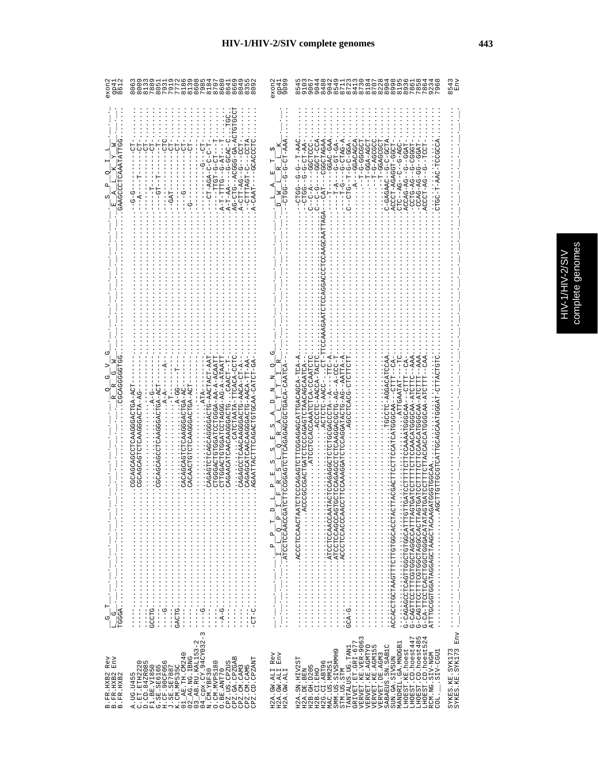| gp41<br>8612<br>exon2                                                                      |                                                                                                                                                                                                                                                                                                                                                                                                                                                                                                                                                                                                                                                                                                                                                                                                                                                       | exon2<br>gp4:<br>909                                                                                                                                                                                                                                                                                                                                                                                                                                                          | m <sub>10</sub><br>O4ONUUAUHUNG0040000<br>400444UHU8OUO09WAR06<br>40004UWO4L0400004004<br>$rac{0}{0}$<br>س<br>2<br>თ თ<br>$^\infty$                                                                                                                                                                                                                                                                                                                                                                                                                                                                                                                                                                                                                                                                                                                                                                                               | 1543<br>Env<br>$\infty$                                                                                                                                                                  |
|--------------------------------------------------------------------------------------------|-------------------------------------------------------------------------------------------------------------------------------------------------------------------------------------------------------------------------------------------------------------------------------------------------------------------------------------------------------------------------------------------------------------------------------------------------------------------------------------------------------------------------------------------------------------------------------------------------------------------------------------------------------------------------------------------------------------------------------------------------------------------------------------------------------------------------------------------------------|-------------------------------------------------------------------------------------------------------------------------------------------------------------------------------------------------------------------------------------------------------------------------------------------------------------------------------------------------------------------------------------------------------------------------------------------------------------------------------|-----------------------------------------------------------------------------------------------------------------------------------------------------------------------------------------------------------------------------------------------------------------------------------------------------------------------------------------------------------------------------------------------------------------------------------------------------------------------------------------------------------------------------------------------------------------------------------------------------------------------------------------------------------------------------------------------------------------------------------------------------------------------------------------------------------------------------------------------------------------------------------------------------------------------------------|------------------------------------------------------------------------------------------------------------------------------------------------------------------------------------------|
| UULEKIRAAUDOOUUS.<br>з<br>UUHUUUUUKUUU<br>ひ<br>œ<br>$\mathbf{p}$<br>н<br>ს $\sigma$<br>۔ ا | ひHU4-40-000U4--0HU-04.<br>AUUU---U-HUAHHHU--<br>U-UAUU-U-<br>A-T-TH-B-6-AT---<br>UHUUUKUU--<br>텃<br>FD-<br>$--$ CT- $--$<br>HUU----U--UR-LIHU-R<br>-- D-- D-<br><b>C-HOLL---</b><br>$U - 4GA - 1U - -$<br>$-7 - 7 - 7 - 7 -$<br>$-RAAT-$<br>55 - - - -<br>$-5 - 5$<br>$-4$<br>$-9A$<br>언<br>CAGAGCATCAACAAGGACTG-AACA-TT-AA-<br>CTPGACCPGCCCACODCDDDDDD-A-A-ATAATT<br>.CATCTAATA-TTCACA-CCTC<br>-- A-TDA-ACAACAACHODACA-AACA-CT-A-<br>CAGAGTCHGGGGGACTG-AACTACT-AAT<br>CAGAGTCTCAGCAGGGCTG-AACTACT-AAT<br>CTGGACTGTGGA-AA-AA-A-ACAATT<br>CAGAACATCAACAAGGACTGCAACT-T<br>AU-HUHAU-AAUUHUHUAUAUHHHUAHHAAUA<br>$-4 - A - A -$<br>$.4-00-4.$<br>UCCACACCACCHOUDUCAUDUCCU<br>UCACACCACCACULOUOKOUCOU<br>CACAACTOROGAACTOTORA-ACT<br>CARCAGARAGAGACHONAC<br>CARCAGARAGAGACHONAC<br>$A-G-$<br>$\frac{1}{2}$<br>$.ATA-$<br>UA-AHUAUUUAAUHUHUAUUUU<br>$\infty$ | w.<br>Ιĸ<br>囸<br>Z<br>$\Box$<br>R<br>$\mathsf I$<br>$\frac{1}{\sqrt{1-\frac{1}{1-\cdots-1}}}\cdot\frac{1}{\sqrt{1-\frac{1}{1-\frac{1}{1-\frac{1}{1-\frac{1}{1-\frac{1}{1-\frac{1}{1-\frac{1}{1-\frac{1}{1-\frac{1}{1-\frac{1}{1-\frac{1}{1-\frac{1}{1-\frac{1}{1-\frac{1}{1-\frac{1}{1-\frac{1}{1-\frac{1}{1-\frac{1}{1-\frac{1}{1-\frac{1}{1-\frac{1}{1-\frac{1}{1-\frac{1}{1-\frac{1}{1-\frac{1}{1-\frac{1}{1-\frac{1}{1-\frac{1}{1-\frac{1}{1-\frac{1}{1-\frac{1}{1-\frac$ | $-1000 - 1000 - 1$<br>ACACACHOO------<br>--GGAC-GAA<br>$-40-10-0-1$<br>4-54HU-5---5-H---<br>$\ldots$ $\ldots$ $\ldots$ $\ldots$ $\ldots$ $\ldots$<br>AHUU-U-U--UARURU-<br><b>TOCCCCL</b><br>T-1-1-1-1-1-1-1-1<br>$-1 - 5 - 4 - 5 - 1$<br>$- -$ GGCTCCC<br>--T-GGAGCGC<br>UU4-U--U--<br>AT - HU - U - U - U - U UHU - -<br>455-5-5-5-5-5-5<br>.ACCCT-AGAGGT-GGCT<br>RGG--0--04-04004.<br>H400--04-040-1<br>じひり ―― ウーーの トーロひひひん<br>ひひひひーひーーひぱーひ目ひひー<br>$-1 - 2 - 4 - 5 - 1$<br>$-1 - T - A$<br>CTC--AG<br>CTGC-T<br>UH-HU · · · - JUNA-DHUHUA ·<br>$-1$<br>AAA<br>$-PAA$<br>UHUHUKHHU-HKUUUHKKUUKUUHHKUHUUUHHUHHUUK<br>--HFFU---KRUUUUURKARARKUUHFUFFFFUUURKUFF<br>ATTGAATAT-<br>UPITTOCAACAACAACAACOUTCUTTUUTTEUDUQOOOGDOGUOOGUOOGUOOFTTUU<br>CTGATCCTTTTTCAACAACDTEDOFFC<br>ILIUUR – KKUUUULKUUKUUKILIULILUULKULU<br>ATTTGCGGTGGATAGGAGCTAAGCTACAAGATGGGTGGCAA<br>G-CAGTTCCTTTCGTGCTAGCCATTTA<br>G-CA-TTCCTCACTGGCTGGACATATA<br>3 | $\frac{1}{1}$<br>$\frac{1}{2}$ $\frac{1}{2}$ $\frac{1}{2}$ $\frac{1}{2}$ $\frac{1}{2}$ $\frac{1}{2}$ $\frac{1}{2}$ $\frac{1}{2}$ $\frac{1}{2}$ $\frac{1}{2}$ $\frac{1}{2}$ $\frac{1}{2}$ |
| Rev<br>Env<br>B. FR. HXB2<br>B. FR. HXB2<br>B. FR. HXB2                                    | CPZ.GA.CPZGAB<br>CPZ.CM.CAM3<br>CPZ.CM.CAM5<br>CPZ.CD.CPZAMT<br>CPZ.US.CPZUS<br>O.BE.ANT70<br>A. UG. U455                                                                                                                                                                                                                                                                                                                                                                                                                                                                                                                                                                                                                                                                                                                                             | Rev<br>${\rm Env}$<br>H2A.GW.ALI F<br>H2A.GW.ALI F<br>H2A.GW.ALI                                                                                                                                                                                                                                                                                                                                                                                                              | LHOEST.CD.hoest485<br>LHOEST.CD.hoest524<br>LHOEST.CD.hoest447<br>$\begin{array}{lll} \texttt{TANTALUS} & \texttt{UG} & \texttt{TAN1} \\ \texttt{GRIVET} & \texttt{ET} & \texttt{GRI}-677 \\ \texttt{VERVET} & \texttt{KE} & \texttt{VER}-906 \end{array}$<br>MANDRIL.GA.MNDGB1<br>SABAEUS.SN.SAB1C<br>LHOEST.CD.hoest5.<br>VERVET.KE.AGMTYO<br>VERVET.KE.AGMI55<br>LHOEST.KE.hoest<br>SMM.US.SIVSMMH9<br>RCM.NG.SIV-NGM<br>COL._____SIV-CGU1<br>VERVET. DE. AGM3<br>SUN.GA.SIVSUN<br>H2A.SN.HIV2ST<br>H2B.CI.EHO<br>H2G.CI.ABT96<br>MAC.US.MM251<br>H2B. GH. D205<br>STM.US.STM<br>H2A.DE.BEN<br>COL.                                                                                                                                                                                                                                                                                                                            | SYKES.KE.SYK173<br>SYKES.KE.SYK173 Env.                                                                                                                                                  |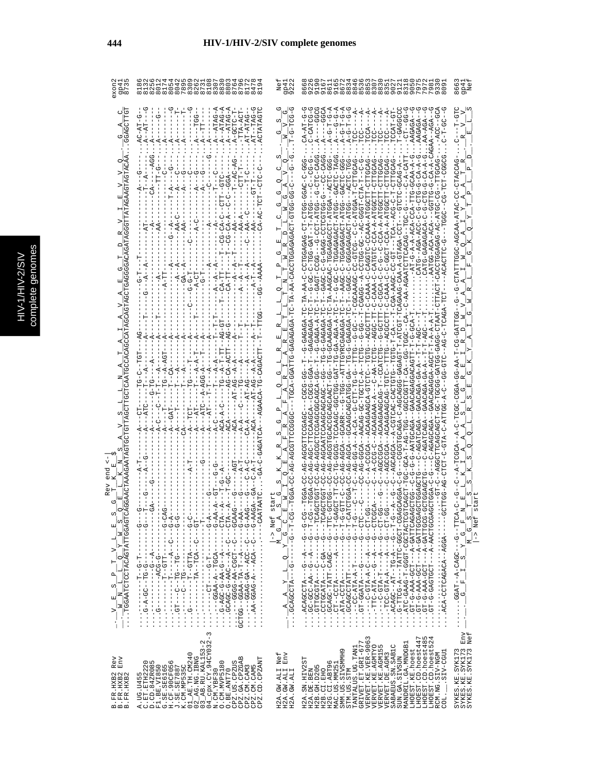|   | C<br>۹ |
|---|--------|
|   | Ś      |
|   |        |
|   |        |
|   |        |
|   |        |
|   |        |
|   | ÷<br>ń |
| с |        |
|   | ¢      |
|   |        |
|   |        |
|   |        |
|   |        |
|   |        |
|   |        |
|   | ì      |
|   |        |

| 954<br>953                                                                                                                          |                                                                                                                                                                                                                                                                                                                                                                                                                                                                                                                                                                                                                                                                                                                                                | 9P4<br>922                                                                                                                                                                               | ო დ<br>თ                                                                                                                                                                                                                                                                                                                                                                                                                                                                                                                                                                                                                                                                                                                    | 866<br>994                                                                                   |
|-------------------------------------------------------------------------------------------------------------------------------------|------------------------------------------------------------------------------------------------------------------------------------------------------------------------------------------------------------------------------------------------------------------------------------------------------------------------------------------------------------------------------------------------------------------------------------------------------------------------------------------------------------------------------------------------------------------------------------------------------------------------------------------------------------------------------------------------------------------------------------------------|------------------------------------------------------------------------------------------------------------------------------------------------------------------------------------------|-----------------------------------------------------------------------------------------------------------------------------------------------------------------------------------------------------------------------------------------------------------------------------------------------------------------------------------------------------------------------------------------------------------------------------------------------------------------------------------------------------------------------------------------------------------------------------------------------------------------------------------------------------------------------------------------------------------------------------|----------------------------------------------------------------------------------------------|
|                                                                                                                                     | $A - TATAG - A$<br>$A - ATRG -$<br>$A - ATAG -$<br>-TTA-ACT<br>-TGG<br>AT-ATAG<br>FT---<br>$A - GCT$                                                                                                                                                                                                                                                                                                                                                                                                                                                                                                                                                                                                                                           | $-95-5$<br>Ω                                                                                                                                                                             | UUUU--<br>U-DURKU-<br>$-1000 -$<br>ひしゆ<br>-99-1-1-0-<br>TCCAT-GT<br>-GAGGCC<br>ーローロー<br>AGAGA<br>AGAGZ<br>É<br>$A-G-T$                                                                                                                                                                                                                                                                                                                                                                                                                                                                                                                                                                                                      | UU-O                                                                                         |
|                                                                                                                                     | $- - GGA$<br>$- -$ GTC                                                                                                                                                                                                                                                                                                                                                                                                                                                                                                                                                                                                                                                                                                                         |                                                                                                                                                                                          | <b>UHU-5--5</b><br><b>ローーローウーウ</b>                                                                                                                                                                                                                                                                                                                                                                                                                                                                                                                                                                                                                                                                                          |                                                                                              |
|                                                                                                                                     | $A - A - E$<br>AA-A                                                                                                                                                                                                                                                                                                                                                                                                                                                                                                                                                                                                                                                                                                                            |                                                                                                                                                                                          | 2011.01 - 11.000.04 - 12.000 - 2.000 000 -<br>H-4LU-LUUU-U4--U5-U5LU<br>$C-CCA - A - ATGGC$<br>ひH4-Hひひーひ---ひひひ<br>$CA - A - ATC$<br>$T - ATC$<br>UHAGAGAGAGAGAGAGHI-<br>3月ひひ月ひひ-ひひばひ-ひ-ひ-ひひばひ--<br>HA-HUUUKUKUUH-N<br>$-4C-A-AC$<br>$-5 - 7$<br>4-HUAUAUAUUH-U-UU-<br>$-AT - G - A - A - AC$                                                                                                                                                                                                                                                                                                                                                                                                                                | ひべひしべけしーししーしべけべーべんじひべーしひひけい                                                                  |
|                                                                                                                                     | --0-0-0<br>$A-T$ .<br>$-5$<br>$CA-$                                                                                                                                                                                                                                                                                                                                                                                                                                                                                                                                                                                                                                                                                                            |                                                                                                                                                                                          | GYRCGAGAGA-TC-T-AAGC-C-TGGAGAGACT-ATG                                                                                                                                                                                                                                                                                                                                                                                                                                                                                                                                                                                                                                                                                       |                                                                                              |
|                                                                                                                                     | もり<br>ひーウ<br>ŗ<br>$A - AG$                                                                                                                                                                                                                                                                                                                                                                                                                                                                                                                                                                                                                                                                                                                     | TGCA-GGATTG-GAGAGAGA-TC                                                                                                                                                                  | -GAGAGA-'<br>--ACGCTT<br>ローー<br>じし                                                                                                                                                                                                                                                                                                                                                                                                                                                                                                                                                                                                                                                                                          | UG-CATTAD-                                                                                   |
|                                                                                                                                     | $G - CA - ACT$<br>$A - AGG - A$<br>$ACA - A -$<br>$-ACA-$<br>ပုံ<br>К<br>K,                                                                                                                                                                                                                                                                                                                                                                                                                                                                                                                                                                                                                                                                    | C)                                                                                                                                                                                       | UUCAAUCAUCATE-<br>GTCAC<br>U<br>d<br>$-4-7$                                                                                                                                                                                                                                                                                                                                                                                                                                                                                                                                                                                                                                                                                 | AR-55-4550-050H-                                                                             |
| end                                                                                                                                 |                                                                                                                                                                                                                                                                                                                                                                                                                                                                                                                                                                                                                                                                                                                                                | C-AG-AGCG<br>O<br>start                                                                                                                                                                  | G-AGCA--GCARR<br><b>C-AG-DE-CA</b><br>$\vec{c}$ – $\vec{c}$<br>$-5 - 5$<br>$A - D$<br>ローけ<br>$\mathcal{L}$<br>さーご<br>م<br>J<br>ì<br>텃                                                                                                                                                                                                                                                                                                                                                                                                                                                                                                                                                                                       |                                                                                              |
| $\frac{V-K}{\cdot} \frac{E-S}{M-M} \frac{P-T-V-L-E-S}{L-L} \frac{S}{N-N} \frac{1}{N} \frac{1}{N} \frac{1}{N} \frac{1}{N}$<br>$\Box$ | - ペーリー - - - リー - ペー - - - - - - - - - - - - - - -<br>- ウ- ウ - - - - - - - - ウ II - - ウ II - - シ - - - - II ウ<br>- - LF ワー - - ワー - KT D I - - KT ロー - T - - - - - - - - - - - - - - - -<br>.<br>יו<br>– ペーサー – – – – – – – 12 – サー – – – 12 – – – – – – – – – – –<br>$-9 - 5 - 4$<br>$---CTA$<br>- KHU---U--K---UKK-U-UUKUU<br>44UU---U--HUUU-44-UUUU-------<br>AR-1-1-1-1-4-1-4000-10000-<br>AA - - - - - - - - ACA - - - A - DADD - AA<br>$- - C A$<br>$\begin{bmatrix} 1 \\ 1 \\ 1 \end{bmatrix}$<br>I<br>$\frac{1}{1}$<br>$- - - -$<br>$\frac{1}{1}$                                                                                                                                                                                      | $\mathbf{r}_i$<br>00-1-1-0-1-1<br>$-$ > Nef<br>$C_0$<br>$\sigma$<br>$\mathbf{z}$<br>$\mathbf{x}_i$<br>Ť<br>$\circ$<br>$-9 - -4$ CACOOCAC $-9 - -$<br>$\overline{a}$<br>Y<br>$\mathbf{A}$ | UU-U--U---K---U--<br>UD-L--D----HT--D---KHDUDLLLD:<br>- ・・・・<br>$-9 - T - -9 - -$<br>$-1 - 5 - 1 - 5 - 1$<br>-0-1-0-1<br>450-1050-01145---4-5011-0<br>UURCIOUO-IUUUO-I-UKKU-ULK<br>CT-G-AAA-CUP-A-CH-TO-A-GATTCAGA<br>AAAA-G-AAA-U-H-D-AAA-U-HD<br>$-322TTC2-4-1-1-1-0-4A-0+0-0-0$<br>.<br>ACA-CCTCAGACA--AGGA--<br>$\frac{1}{1}$<br>$\frac{1}{1}$<br>$\ldots$ $\ldots$ $\texttt{ATA-CCTA}$ ----<br>CACCCTATT-<br>$\frac{1}{2}$ : $\frac{1}{2}$ : $\frac{1}{2}$ : $\frac{1}{2}$ : $\frac{1}{2}$ : $\frac{1}{2}$ : $\frac{1}{2}$ : $\frac{1}{2}$ : $\frac{1}{2}$ : $\frac{1}{2}$ : $\frac{1}{2}$ : $\frac{1}{2}$ : $\frac{1}{2}$ : $\frac{1}{2}$ : $\frac{1}{2}$ : $\frac{1}{2}$ : $\frac{1}{2}$ : $\frac{1}{2}$ : $\frac{1$ | 40HH--9---0540-4--H455<br>$\frac{G-F}{\frac{G-S}{Nef}}$<br>Σ<br>Y<br>$\omega$<br>$G - F - I$ |
|                                                                                                                                     | U<br> <br> <br>ţ<br>$\frac{1}{2}$<br>$\frac{1}{2}$<br>$\frac{1}{2}$<br>$\frac{1}{2}$<br>3<br>$\mathbf I$                                                                                                                                                                                                                                                                                                                                                                                                                                                                                                                                                                                                                                       | К                                                                                                                                                                                        | ACAGCCTA-<br>$\vdots$                                                                                                                                                                                                                                                                                                                                                                                                                                                                                                                                                                                                                                                                                                       | $\begin{array}{c} \n\cdot \\ \cdot \\ \cdot\n\end{array}$<br>Env<br>Nef                      |
| Rev<br>Env<br>$\begin{array}{ll} \text{B. FR. HXB2} \\ \text{B. FR. HXB2} \\ \text{B. FR. HXB2} \end{array}$                        | cpx.CY.94CY032<br>$03$ <sup>Z</sup> AB.RU.KAL153-2<br>$\begin{array}{l} \texttt{u} \cdot \texttt{u} \cdot \texttt{S} \texttt{B} \texttt{G} \texttt{I} \texttt{G} \texttt{S} \\ \texttt{H} \cdot \texttt{C} \texttt{F} \cdot \texttt{9} \texttt{O} \texttt{C} \texttt{F} \texttt{0} \texttt{S} \texttt{G} \\ \texttt{V} \cdot \texttt{S} \texttt{E} \cdot \texttt{S} \texttt{B} \texttt{7} \texttt{8} \texttt{7} \\ \texttt{0} \texttt{I} \cdot \texttt{A} \texttt{B} \cdot \texttt{TH} \cdot \texttt{C}$<br>CPZ.US.CPZUS<br>CPZ.GA.CPZGAB<br>CPZ.CD.CPZANT<br>A.UG.U455<br>C.ET.ETH2220<br>D.CD.84ZR085<br>0. CM. MVP5180<br>F1.BE.VI850<br>G.SE.SE6165<br>CPZ.CM.CAM3<br>CPZ.CM.CAM5<br>O.BE.ANT70<br>N.CM.YBF30<br>$\mathbf{a}_1$<br>$\circ$ | Nef<br>Env<br>H2A.GW.ALI<br>H2A.GW.ALI<br>H2A.GW.ALI                                                                                                                                     | LHOEST.CD.hoest447<br>LHOEST.CD.hoest485<br>LHOEST.CD.hoest524<br>VERVET.KE.VER-906<br>TANTALUS.UG.TAN1<br>GRIVET.ET.GRI-677<br>MANDRIL.GA.MNDGB1<br>VERVET.KE.AGMTYO<br>VERVET.KE.AGMI55<br>SABAEUS.SN.SAB1C<br>SMM.US.SIVSMMH9<br>LHOEST.KE.hoest<br>SIV-CGU1<br>RCM.NG.SIV-NGM<br>VERVET. DE. AGM3<br>SUN.GA.SIVSUN<br>H2A.SN.HIV2ST<br>H2G.CI.ABT96<br>MAC.US.MM251<br>H2B. GH. D205<br>H2A.DE.BEN<br>H2B.CI.EHO<br>STM.US.STM<br>COL.                                                                                                                                                                                                                                                                                  | SYKES.KE.SYK173<br>SYKES.KE.SYK173<br>SYKES.KE.SYK173                                        |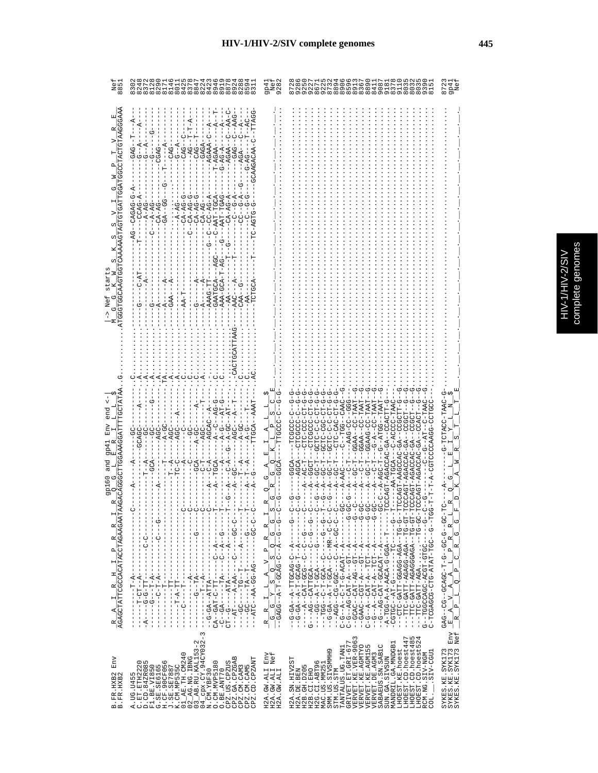|                                                  | 211043244<br>္က<br>$\sigma$<br>G<br>${}^{\circ}$                                                                                                                                                                                                                                                                                                                                                                                                                                                                                             | Νe<br>qp4<br>928                                                                                                                                                                                                                                                                                                                                                                                                                                                                                                                                                                                                                            | 9<br>9<br>9<br>9<br>$\frac{1000}{400}$<br>5<br>2<br>$P$ $\infty$ $\infty$ m<br>თ. თ                                                                                                                                                                                                                                                                                                                                                                              | $\frac{4}{10}$<br>57<br>87                                                                                                                                                                                                                                                                                                                                                                                                                                                                                                                              |
|--------------------------------------------------|----------------------------------------------------------------------------------------------------------------------------------------------------------------------------------------------------------------------------------------------------------------------------------------------------------------------------------------------------------------------------------------------------------------------------------------------------------------------------------------------------------------------------------------------|---------------------------------------------------------------------------------------------------------------------------------------------------------------------------------------------------------------------------------------------------------------------------------------------------------------------------------------------------------------------------------------------------------------------------------------------------------------------------------------------------------------------------------------------------------------------------------------------------------------------------------------------|------------------------------------------------------------------------------------------------------------------------------------------------------------------------------------------------------------------------------------------------------------------------------------------------------------------------------------------------------------------------------------------------------------------------------------------------------------------|---------------------------------------------------------------------------------------------------------------------------------------------------------------------------------------------------------------------------------------------------------------------------------------------------------------------------------------------------------------------------------------------------------------------------------------------------------------------------------------------------------------------------------------------------------|
| CAACTCC                                          | ዳ<br>- - 5<br>AGAAA<br>CAG.<br>$-AGAA$<br>GAG<br><b>GAA</b><br>ΰ<br>$-CC-AG-AG$<br>$-AAT-TGCA$<br>$CA-AG$<br>CAGAG<br>$CA-AC$<br>$-4 - 5$<br>GAATGCA<br>AAAG-1                                                                                                                                                                                                                                                                                                                                                                               |                                                                                                                                                                                                                                                                                                                                                                                                                                                                                                                                                                                                                                             |                                                                                                                                                                                                                                                                                                                                                                                                                                                                  |                                                                                                                                                                                                                                                                                                                                                                                                                                                                                                                                                         |
|                                                  |                                                                                                                                                                                                                                                                                                                                                                                                                                                                                                                                              | 凹<br>С<br>ζŋ<br>ひ                                                                                                                                                                                                                                                                                                                                                                                                                                                                                                                                                                                                                           | ひむむリー ひひピーーひ<br>GGAA--CC-FAAT<br>G-A--CC-TAAT<br>GGAAG-CC-TAAT<br>$TAAT-CC-TAA$<br>$C - T A$<br>G--ATG<br>GGAA<br>م<br>ت<br>۳<br>ن                                                                                                                                                                                                                                                                                                                               | -TAAC<br>CTACC                                                                                                                                                                                                                                                                                                                                                                                                                                                                                                                                          |
| 3126<br>$\frac{R}{AGAGCTATTCGCACATACCTAGAAGAAT}$ | Ħ<br>$-1$ $-1$ $-1$ $-1$ $-1$ $-1$<br>--ATC--AA-GG-AG------GC-C<br>エーエーエーエーエーエーエー ポートピーエーエー<br>$\begin{array}{c} 1 \\ 1 \\ 1 \\ 1 \end{array}$<br>$-1$ - $-1$ - $-1$ - $-1$ - $-1$<br>$- -P - P - P - - - -$<br>$\frac{1}{1}$<br>$\overline{\phantom{a}}$<br>$\overline{1}$<br>$\sim$                                                                                                                                                                                                                                                        | O<br>$\begin{array}{r} \text{R} \begin{array}{r} \text{R} \end{array} \\ \begin{array}{r} \begin{array}{r} \text{R} \end{array} \\ \hline \begin{array}{r} \text{C} \end{array} \\ \begin{array}{r} \text{C} \end{array} \\ \begin{array}{r} \text{C} \end{array} \\ \begin{array}{r} \text{C} \end{array} \\ \begin{array}{r} \text{C} \end{array} \\ \begin{array}{r} \text{C} \end{array} \\ \begin{array}{r} \text{C} \end{array} \\ \begin{array}{r} \text{C} \end{array} \\ \begin{array}{r} \text{C} \end{array} \\$<br>$\begin{bmatrix} \mathbf{r}^{\mathrm{c}}_{\mathrm{c}} \\ \mathbf{r}^{\mathrm{c}}_{\mathrm{c}} \end{bmatrix}$ | -- HD-0H--- AGA-DOROK-LHEND---<br>- HU-UH--KUKUUUKUK-HIKU-UHH---<br>-0H--0--0DH-HAHA-0H0-000000H-0<br>- ツーーーーーダー - リーツベリツロローダーーベリーツーー                                                                                                                                                                                                                                                                                                                            | - 25- - 5- 25- - 5- 1- 25425- - 20- - 272<br>$\begin{array}{r} -\mathbb{E}\begin{array}{r} \mathbb{A}\begin{array}{r} \mathbb{V}\end{array} & \mathbb{A}\begin{array}{r} \mathbb{A}\begin{array}{r} \mathbb{V}\end{array} & \mathbb{E}\begin{array}{r} \mathbb{V}\end{array} & \mathbb{R}\begin{array}{r} \mathbb{E}\end{array} & \mathbb{E}\begin{array}{r} \mathbb{E}\end{array} & \mathbb{E}\begin{array}{r} \mathbb{E}\end{array} & \mathbb{E}\begin{array}{r} \mathbb{E}\end{array} & \mathbb{E}\begin{array}{r} \mathbb{E}\end{array} & \mathbb{$ |
| Env<br>B.FR.HXB2<br>B.FR.HXB2                    | $03$ AB.RU.KAL153-2<br>04 cpx.CY.94CY032-<br>N.CM.YBF30<br>K.CM.MP535C<br>01_AE.TH.CM240<br>02_AG.NG.IBNG<br>CPZ.GA.CPZGAB<br>CPZ.CD.CPZANT<br>CPZ.US.CPZUS<br>$\begin{array}{ll} \texttt{C. ET.} & \texttt{ETH2220} \\ \texttt{D. CD.} & \texttt{842R085} \\ \texttt{F1. BE.} & \texttt{V1850} \\ \texttt{G. SE.} & \texttt{SE0165} \\ \texttt{H. CF.} & \texttt{90CF056} \\ \texttt{H.} & \texttt{CE.} \\ \texttt{J. SE.} & \texttt{SE287887} \\ \end{array}$<br>O. CM. MVP5180<br>CPZ.CM.CAM3<br>CPZ.CM.CAM5<br>O.BE.ANT70<br>A. UG. U455 | $\rm Env$<br>Nef<br>H2A.GW.ALI<br>H2A.GW.ALI<br>H2A.GW.ALI                                                                                                                                                                                                                                                                                                                                                                                                                                                                                                                                                                                  | LHOEST.CD.hoest485<br>LHOEST.CD.hoest524<br>VERVET.KE.VER-9063<br>LHOEST.CD.hoest447<br>GRIVET.ET.GRI-677<br>MANDRIL.GA.MNDGB1<br>VERVET.KE.AGMTYO<br>VERVET.KE.AGMI55<br>SABAEUS. SN. SAB1C<br>LHOEST.CD.hoest5<br>TANTALUS.UG.TAN1<br>LHOEST.KE.hoest<br>SMM.US.SIVSMMH9<br>STM.US.STM<br>.SIV-CGU1<br>VERVET.DE.AGM3<br>RCM.NG.SIV-NGM<br>SUN.GA.SIVSUN<br>H2A.SN.HIV2ST<br>H2G.CI.ABT96<br>MAC.US.MM251<br>H2B. GH. D205<br>H2B.CI.EHO<br>H2A.DE.BEN<br>COL. | SYKES.KE.SYK173<br>SYKES.KE.SYK173 Env<br>SYKES.KE.SYK173 Env                                                                                                                                                                                                                                                                                                                                                                                                                                                                                           |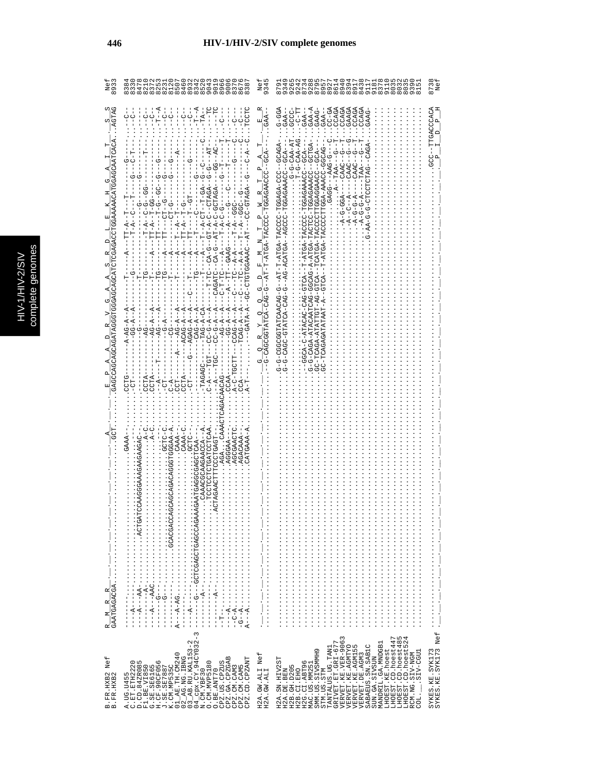| <b>NID/C /NH/L</b> | nenom  |
|--------------------|--------|
|                    |        |
|                    |        |
|                    |        |
|                    | ete    |
| ֠                  |        |
|                    |        |
| $\frac{1}{2}$      |        |
|                    |        |
|                    | cludo: |
|                    |        |

Sć

| Nei<br>893                      | O<br>co co co co co co co co co co co<br>co co co co co co co co co co co                                                                                                                                                                                                                                                                                                                                                                                                                                                                                                                                                                                                                                                                                                                                                                                                                                                                                                                                                                                                                                                                                                                                                                                 | Ne<br>934                                                                                                                                                                                                                                   | G                                                                                                                                                                                                                                                                                                                                                                                                                                                                                                                                                                                                                                                                                                                                       | 873                                    |
|---------------------------------|-----------------------------------------------------------------------------------------------------------------------------------------------------------------------------------------------------------------------------------------------------------------------------------------------------------------------------------------------------------------------------------------------------------------------------------------------------------------------------------------------------------------------------------------------------------------------------------------------------------------------------------------------------------------------------------------------------------------------------------------------------------------------------------------------------------------------------------------------------------------------------------------------------------------------------------------------------------------------------------------------------------------------------------------------------------------------------------------------------------------------------------------------------------------------------------------------------------------------------------------------------------|---------------------------------------------------------------------------------------------------------------------------------------------------------------------------------------------------------------------------------------------|-----------------------------------------------------------------------------------------------------------------------------------------------------------------------------------------------------------------------------------------------------------------------------------------------------------------------------------------------------------------------------------------------------------------------------------------------------------------------------------------------------------------------------------------------------------------------------------------------------------------------------------------------------------------------------------------------------------------------------------------|----------------------------------------|
| GTA<br>GAATGAGACGA<br>$\approx$ | F<br>T<br>I<br><b>PCCTC</b><br>$\mathcal{J} = -L$<br>$-1$ - $-1$<br>$\bigcup_{i=1}^{n}$<br>$\frac{1}{2}$<br>$\frac{1}{2}$<br>$-TA-$<br>۲<br>ا<br>J<br>i<br>$\frac{1}{\sqrt{2}}$<br>$\frac{1}{\mathcal{O}}$<br>-G---AT<br>$-1$ -D $-1$<br>ひ‐‐≮ひ∀エい‐ひし‐‐‐‐エ∀‐‐ひ∀マヒびひいひ⊥ひ‐ひひ‐<br>UU--U-U--ヸーH-<br>$-T$ - $R$ - $-T$ - $T$ - $-T$<br>-GT-A-C--CTAGA<br>99-1-9-1-1<br>ひーーひひひーーダーートー<br>ローーーローー ダーロー<br>$-10 - 7 - 1$<br>ウーーロワーー ロロ<br>$TT - A - T - GG$<br>$-T-PP$ ––GGC–<br>-<br>-<br>-<br>-<br>-<br>$TT - A - T - G -$<br>$T--A--T----$<br>$-TTT - A$<br>$-9 - C$ A $-6$<br>- - A - -<br>$-4-$<br>ローエーコ<br>$A - AC - A - - A$<br>$-CA-G-AA-BA$<br>$-TAG - A - CA$<br>$-4 - 24 - 4 -$<br>$-4 - 5 - 4$<br>$G-G-A$<br>$-$ -AGAG-A<br>$AG - A$<br>$-CC-9-7$<br>$-9G - A$<br>$-$ ACAG-A<br>$C-G-A$<br>CCAG-A<br>$C - A - -TGT -$<br>-TAGAGC-<br>$A-C-TGCT$<br>CCTA-<br>ACAG-<br>じけひひ<br>-<br>UUC<br>$- - A -$<br>CCTA<br>CCTA-<br>$- A -$<br>님<br>다<br>CCAA.<br>$C - A$<br>AGACAN<br><b>A-AADDDTDE</b><br>C-DLDD.<br>CAAA-C<br>TGATCCTCAA<br>CAAA--<br>CAAGAACCA--A<br>CATGAAA-P<br>AGCGAACT<br>-- AAOTOAA<br>CHOO.<br>AGACAAA<br>COCLORATI<br>AGGGAA<br>$A$ <sup>-</sup> $A$ - $A$ - $A$ - $\cdots$ $\cdots$ $\cdots$<br>$-1$ $-1$ $-1$ $-1$ $-1$ $-1$ $-1$ $-1$ | GAA<br>$\begin{array}{c} \square \end{array}$<br>ರೆ<br>$\begin{array}{c}\n M & N_T P & N_T \\ \hline\n-MGA-TACCCC-TGGAGAACCC\n\end{array}$<br>叫<br>--AT-T<br>A,<br>ゼ<br>-OAGCGGTATCA-CAG-G<br>oį<br>oį<br>œ<br>oį<br>じ<br>・リ・リ・リ・リ・リ・リ・リ・リ・ | G-00-D<br>GAA-A<br>$CC - GA$<br>CCAGA<br>GAAGA<br>CCAGA<br>CCAGA<br>ドリー<br>GAAG-<br>CCAGI<br>GCCC.<br>$GAA-$<br>GAA-<br>GAA-<br>$\therefore T - G - C A A - A G$<br>$-14-04-0-0$<br>ပု<br>H<br>APAD - - 2001 - APAP APA - 2002 AH - APA - H - HA - -<br>A-A-ATGAACAGAGAGH-UULLA-A-A-A-A<br>-TOO--OUAAAOAOA-<br>UACUP-NORA-ASCHIODOUN-AARA--T-<br>ACCCCTTGGAGGAACC--GCA-<br>C-TGGAGAAACC--GCA<br><b>0-044--0040</b><br>$TAA--$<br>$CAAC--$<br>CAAC-<br>CAAC<br>$-A$ --C--A<br>$ -A -C - GGA$<br>$A - B - C - C - A$<br>$A - B - G - G - A$<br>UUUA--AUHAUA-U-<br>T-ATGA-TACC<br>AULU-UAU-UAUALA-U-AUUU--<br>AUHU-UA-HUHHAHA-KUKUH-UU<br>GC-TCAGATATAT-A--GTCA<br>ひーひざりからしけなけのひりのひしーひーひ<br>UAU-AUHAHU-UUAU-U-U<br>G-G-CAGA-ATACAATCAG<br> | <b>GACCACA</b>                         |
| Σ                               | $\frac{1}{1}$<br>$\begin{array}{c} 1 \\ 1 \\ 1 \end{array}$<br>۲<br>ا<br>I<br>$\infty$                                                                                                                                                                                                                                                                                                                                                                                                                                                                                                                                                                                                                                                                                                                                                                                                                                                                                                                                                                                                                                                                                                                                                                    |                                                                                                                                                                                                                                             | $\vdots$                                                                                                                                                                                                                                                                                                                                                                                                                                                                                                                                                                                                                                                                                                                                |                                        |
| Nef<br>B.FR.HXB2<br>B.FR.HXB2   | CPZ.US.CPZUS<br>CPZ.GA.CPZGAB<br>CPZ.CD.CPZANT<br>A.UG.U455<br>C.ET.ETH2220<br>D.CD.84ZR085<br>CPZ.CM.CAM3<br>CPZ.CM.CAM5<br>O.BE.ANT70                                                                                                                                                                                                                                                                                                                                                                                                                                                                                                                                                                                                                                                                                                                                                                                                                                                                                                                                                                                                                                                                                                                   | Nef<br>H2A.GW.ALI<br>H2A.GW.ALI                                                                                                                                                                                                             | TANTALUS.UG.TAN1<br>GRIVET.ET.GRI-677<br>VERVET.KE.VER-9063<br>LHOEST.CD.hoest447<br>LHOEST.CD.hoest485<br>LHOEST.CD.hoest524<br>MANDRIL.GA.MNDGB1<br>SABAEUS.SN.SAB1C<br>VERVET.KE.AGMTYO<br>VERVET.KE.AGM155<br>LHOEST.KE.hoest<br>SMM. US. SIVSMMH9<br>RCM.NG.SIV-NGM<br>COL.___.SIV-CGU1<br>VERVET.DE.AGM3<br>SUN.GA.SIVSUN<br>H2A.SN.HIV2ST<br>H2G.CI.ABT96<br>MAC.US.MM25<br>H2B.GH.D205<br>STM.US.STM<br>H2A.DE.BEN<br>H2B.CI.EHO                                                                                                                                                                                                                                                                                                | SYKES.KE.SYK173<br>SYKES.KE.SYK173 Nef |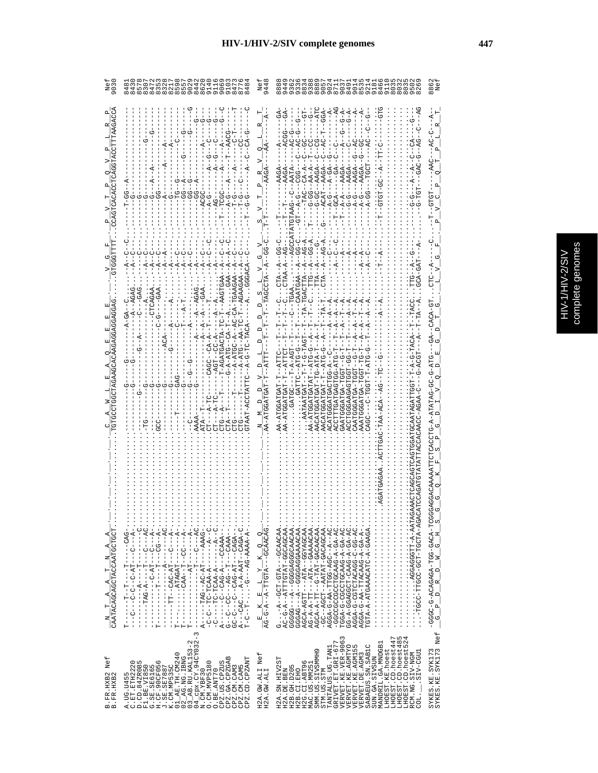|                                                                                          | 2195242416<br>                                                                                                                                                                                                                                                                                                                                                                                                    |                                                                                                                                                                                                                                                                                              | 8850HM9HW88<br>$\sigma$<br>$\infty$ on $\infty$ on $\infty$                                                                                                                                                                                                                                                                                                                                                                                                                                         | 886                                                                                           |
|------------------------------------------------------------------------------------------|-------------------------------------------------------------------------------------------------------------------------------------------------------------------------------------------------------------------------------------------------------------------------------------------------------------------------------------------------------------------------------------------------------------------|----------------------------------------------------------------------------------------------------------------------------------------------------------------------------------------------------------------------------------------------------------------------------------------------|-----------------------------------------------------------------------------------------------------------------------------------------------------------------------------------------------------------------------------------------------------------------------------------------------------------------------------------------------------------------------------------------------------------------------------------------------------------------------------------------------------|-----------------------------------------------------------------------------------------------|
|                                                                                          | Ů<br>Ġ<br>$-9 - 4 - 6 -$                                                                                                                                                                                                                                                                                                                                                                                          |                                                                                                                                                                                                                                                                                              | GGA<br>$AC-G-$<br>$\frac{1}{2}$ $\frac{1}{2}$<br>έ<br>$-$ -ACAT $-$ -AAGA $-$<br>$-55 - 5 - 5$<br>$G-GC --$<br>$-T$ -GCA-<br>$-5 - A - C -$<br>$-4 - A - A - - -$<br>$-5 - 5 - 7$                                                                                                                                                                                                                                                                                                                   |                                                                                               |
|                                                                                          | $B - A - 2I$                                                                                                                                                                                                                                                                                                                                                                                                      |                                                                                                                                                                                                                                                                                              | $AC - A$ .<br>$GG - A$ .<br><b>GG-C</b><br>$-AG - A$<br>U                                                                                                                                                                                                                                                                                                                                                                                                                                           |                                                                                               |
| CAATACAGCAGCTACCAATGCTGCT<br>4<br>К,<br>$\square$<br>$\vdash$<br>4<br>4<br>$\vdash$<br>z | $T-- ATAGAT---$ ------------<br>A------AG--AC-AT------------<br>$A---CAC$ $A-A-AAT---CAGA-C$ .<br>-- KUKU----- HK-UKU--U---U-UU                                                                                                                                                                                                                                                                                   | $\frac{\mathbf{E}-\mathbf{K}-\mathbf{E}-\mathbf{L}-\mathbf{Y}-\mathbf{K}-\mathbf{Q}}{\mathbf{A}\mathbf{G}-\mathbf{G}-\mathbf{A}-\mathbf{A}-\mathbf{T}\mathbf{T}\mathbf{G}\mathbf{T}\mathbf{A}-\mathbf{I}-\mathbf{G}\mathbf{C}\mathbf{A}\mathbf{A}\mathbf{C}\mathbf{A}\mathbf{G}-\mathbf{I}}$ | ATAL-A-TTEERCAGETT-A-AATAL<br>) KUK-KHUUH-HUU-UUUHH-UUUH--<br>AC-G-A--ATTGTAT-GGCAGCAA.<br>-CA-40-4-04400HOODDDDDDD-<br>GG-A-GGAGCT-CAAG-A-GA-AC.<br>AGGA-G-C-CACACACHO-D-AC-C-<br>AGGA-G-AA-TTACAAG-A-GA-A-.<br>TGTA-A-ATGAAACATC-A-GAAGA.<br>AGCA-AGTT---ATA--GGYAGCAA.<br>- 104--4--004-0011-44-0-4004<br>TGGA-G-CCCCAAG-A-GA-AC.<br>GGGCACCGGGGCGC-----<br>GGGAG---A--GGGAGGAAAACAA<br>AG-A-A-TT---ATA-CAAAACAA<br>AGCA-A-TT-G-TAT-GACAACAA<br>-GC--AGCT--AATAT-GACAGCAA<br>G-A---GUP-LOO------ | $-$ GGCC-G-ACAGAGA-TGG-GACA-TCGC<br>$-$ G $-$ P $-$ D $-$ R $-$ D $-$ M $-$ G $-$ H $-$ S $-$ |
| Nef<br>B.FR.HXB2<br>B.FR.HXB2                                                            | 3<br>$04$ <sup>-Cpx.CY.94CY032-</sup><br>$-B$ . RU. KAL153-2<br>$AR$ . TH. CM240<br>$02$ $R$ G. NG. IBNG<br>$\mathbf{m}$<br>CPZ.CD.CPZANT<br>A.UG.U455<br>C.ET.ETH2220<br>D.CD.84ZR085<br>F1.BE.VI850<br>G.SE.SE6165<br>G.SE.SE6165<br>CPZ.US.CPZUS<br>CPZ.GA.CPZGA<br>O. CM. MVP5180<br>J.SE.SE7887<br>K.CM.MP535C<br>CPZ.CM.CAM3<br>CPZ.CM.CAM5<br>N.CM.YBF30<br>O.BE.ANT70<br>$\overline{3}$<br>$\overline{c}$ | H2A.GW.ALI Nef<br>H2A.GW.ALI                                                                                                                                                                                                                                                                 | LHOEST.CD.hoest447<br>LHOEST.CD.hoest485<br>LHOEST.CD.hoest524<br>VERVET.KE.VER-9063<br>GRIVET.ET.GRI-677<br>MANDRIL.GA.MNDGB1<br>SABAEUS.SN.SABIC<br>VERVET.KE.AGMTYO<br>VERVET.KE.AGM155<br>TANTALUS.UG.TAN1<br>LHOEST.KE.hoest<br>SMM.US.SIVSMMH9<br>LUDD-VIS.<br>RCM.NG.SIV-NGM<br>VERVET.DE.AGM3<br>SUN.GA.SIVSUN<br>H2A.SN.HIV2ST<br>H2G.CI.ABT96<br>MAC.US.MM251<br>H2B. GH. D205<br>STM.US.STM<br>H2A.DE.BEN<br>H2B.CI.EHO<br>COL.                                                          | SYKES.KE.SYK173<br>SYKES.KE.SYK173<br>                                                        |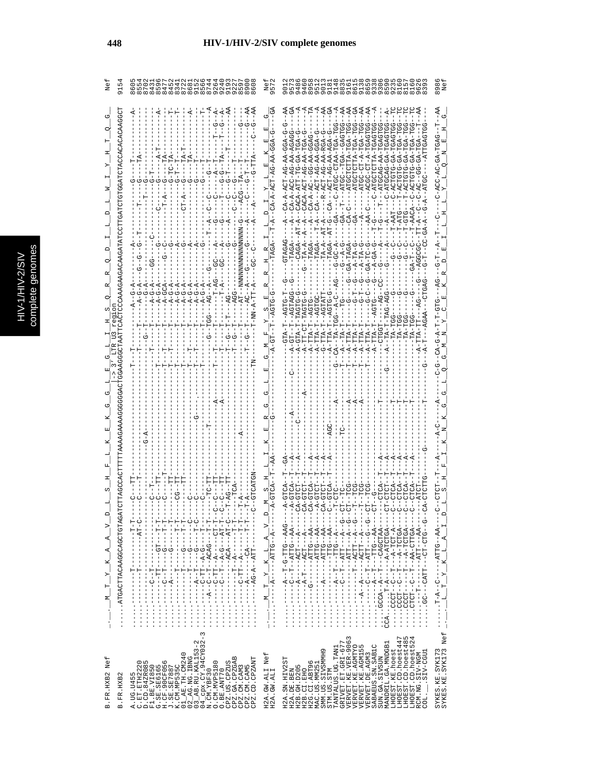| C<br>s |
|--------|
| Б      |
|        |
|        |
|        |
|        |
|        |
| ŋ<br>¢ |
| ١      |
|        |
|        |
|        |
|        |
| i      |
|        |

| ن<br>ا<br>915<br>O                                                                                                                                                               | ちょう8564645130151515<br>$\circ$<br>19<br>4<br>S<br>4<br>$\infty$ $\infty$ $\infty$ $\infty$ $\infty$ $\infty$ $\infty$ $\infty$ $\infty$ $\infty$ $\infty$<br>$\sigma$                                                                                                                                                                                                                                                                                                                                                                                                                     | 87<br>$\sigma$                                                                                                             | Ne:<br>46<br>ഗ<br>011816161625<br>1116<br>111<br>898<br>Ō<br>$\mathbf{\Omega}$<br>0.0.0.00.000.000<br>$\sigma$<br>Ō<br>$\infty$                                                                                                                                                                                                                                                                                                                                                                                                                                                                                                                                                                                                                                                                                                                                                                                                                                                                                                                                                                                                                                                                                                                                                                                                                                                                                                                                                                                                                                                                                                               |
|----------------------------------------------------------------------------------------------------------------------------------------------------------------------------------|-------------------------------------------------------------------------------------------------------------------------------------------------------------------------------------------------------------------------------------------------------------------------------------------------------------------------------------------------------------------------------------------------------------------------------------------------------------------------------------------------------------------------------------------------------------------------------------------|----------------------------------------------------------------------------------------------------------------------------|-----------------------------------------------------------------------------------------------------------------------------------------------------------------------------------------------------------------------------------------------------------------------------------------------------------------------------------------------------------------------------------------------------------------------------------------------------------------------------------------------------------------------------------------------------------------------------------------------------------------------------------------------------------------------------------------------------------------------------------------------------------------------------------------------------------------------------------------------------------------------------------------------------------------------------------------------------------------------------------------------------------------------------------------------------------------------------------------------------------------------------------------------------------------------------------------------------------------------------------------------------------------------------------------------------------------------------------------------------------------------------------------------------------------------------------------------------------------------------------------------------------------------------------------------------------------------------------------------------------------------------------------------|
| CJOOKKOKOKOUKHOHKODHOHDHDDHKDKHKOKOKOKYKKOKKOK<br>也<br>$-5 - 5$<br>ωj<br>O<br>:COOOKKOOLOKOOOOOOKKKKOKKKKHLLLLLUKOOOKHLO<br>⊢                                                    | $-4$<br>Ŕ<br>К<br>$-TC$<br>؋<br>т<br>텃<br>부<br>ひ<br>ひ<br>$\triangle$ $\triangle$<br>99 -<br><b>95-1</b><br><b>99-</b><br>$-A-G-A$<br>$G - A$<br>$G - A$<br>$- A - GCA$<br>$G - A$<br>$-A-G-A$<br>$-A-G-A$<br>$-AG$ --A<br>$-4$<br>H<br>부<br>부<br>⊢                                                                                                                                                                                                                                                                                                                                        | $-AA$<br>EÃ<br>Ŗ<br>ひ<br>ひ<br>囯<br>S<br>$-2T - NNNNNNNNNNNNNNNN$<br>ن<br>م<br>$-4-$<br>てり<br>てり                            | AA<br>$\mathfrak{F}$<br>AA<br>AA<br>ĜÃ<br>Ą<br>AA<br>Ą<br>$-44$<br>C<br>U-ATGU-AAHU-UDHA-U<br>ひひけひょり - -より - - - - - - - - - - -<br>UUL-ATHA-TAHTUHUU-<br>--ATGC-CT-A-TGA-TGG<br>H--DADH-AD-DA-UUA-U<br>C-ATGCTCTTA-TGAGTG<br>UHURUH-RU-UHUHUR-U<br>--R-ACT-AG-AA-RGA-G<br>U-ACT-AA-AA-AGA-U<br>TGA-T<br>URUH-AA-DAUUH-<br>$- -CA - - - ACT - AG - AA - GGA$<br>$- A - 1$<br>TA-<br>$-54$<br>$-44-55--$<br>CACA-ACT-AG-AA-<br>$-$ -ATGCTC<br>CACA-ATT-TG<br>$-100C$<br>C-ATGCAG<br>$CA - A - AC$<br>$\Gamma$ – $\Delta$<br>Ţ<br>$CA-C--$<br>ţ<br>$GA - T$<br>$-6A -$<br>$-AA-C$<br>$TA-TT$<br>$T - A T C$<br>$-5 - T$<br>$AT-G$<br>τ-G<br>$AT - A$<br>$-4$<br>$-1$<br>$- -AT - A$<br>$- - A$<br>$-1 - T - A$<br>л.<br>GTAGAG<br>$-TTA - A$<br>$- = -\text{TRA} -$<br>$-9 - -9 - -1$<br>$G - A - G$<br>$- A - T A - G$<br>$-3A-TC-G--A-GA-G--G-G--G-G--G-G--G-G--G-G--G-G--G-G--G-G--G-G--G-G--G-G--G-G--G-G--G-G--G-G--G-G--G-G--G-G--G-G--G-G--G-G--G-G--G-G--G-G--G-G--G-G--G-G--G-G--G-G--G-G--G-G--G-G--G-G--G-G-<$<br>$-A-TA-G$<br>GA-TAGA<br>۲<br>ب<br>ľ<br>$\stackrel{1}{\circ}$<br>්<br>Ġ٢<br>$-4G$<br>$-4G$<br>ひ<br>ပု<br>--AGTATT<br>$-6-5$<br>A--TA-T-AG-AGG<br>$-9 - -$<br>$-5 - 7$<br>CA--TA-TG--A-C<br>$- - A G T G C$<br>$-$ -AGTG<br>$-4GTC$<br>A-TT-CT-TAGTG<br>ロロワー<br>A-GTA-T-TAGTG<br>$-4GTC$<br>$A - T A - T - -$<br>$T-T-T-S$<br>$-TA-TGE$<br>$-TA-TG$<br>$\begin{array}{c} \texttt{A}-\texttt{TTA}-\texttt{T} \\ \texttt{G}-\texttt{TTA}-\texttt{T} \end{array}$<br>A-TTA-T<br>$A-TTA-T$<br>$A-TTA-T$<br>-CLOSE-<br>$A-TTA-T$<br>$A-TT A-T$<br>$A-TTTA-T$<br>$\overline{A}$<br>탁<br>탁<br>부<br>부<br>k,<br>È<br>Ā,<br>Ŕ, |
| . ATGACTRACAAGCAGCTGTAGA<br>$-1$<br>$-1$<br>$-1$<br>$-1$<br>$-1 - 1 - 1 -$<br>$\geq$<br>$\cdots$ M $T$ $\cdots$ K $A$ $A$<br>$\frac{1}{1}$<br>J<br>$-1 - T - -$<br>$\frac{1}{1}$ | j<br>- - ローローーーーートペーーローーー<br>$-1 - 1 - 1 - 1 - 1 -$<br>п<br>$-1 - 1 - 1 -$<br>$-1 - 1 - 1 - 1$<br>- ローロワー – – – – – ベー – ロロー ワー – – – – – ・・・・・・・<br>ن<br>ا<br>יך<br>י<br>$\frac{1}{1}$<br>Ť<br>$-1 - - - - - - - -$<br>$\frac{1}{1}$<br>I<br>$-1 - 6$<br>$- - - -$<br>$-1 - 0$<br>$-1 - 1$<br>$\frac{1}{1}$<br>$\frac{1}{1}$<br>$\frac{1}{1}$<br>$\frac{1}{1}$<br>$\ddot{r}$<br>サート<br>$-1 - 1 - 1 - 1 - 1 - 1 - 1$<br>$-1$<br>ロー・ロー ーーーー・・・・・・・・・<br>E<br>F<br>I<br>$\begin{array}{c} 1 \\ 1 \\ 1 \end{array}$<br>$\frac{1}{2}$<br>$\frac{1}{2}$<br>$\frac{1}{2}$<br>$\frac{1}{2}$<br>3 | w<br>$\cup$<br>К<br>- - KU- - - - - - - - - -<br>- - 1.1.4 - - 4 - 54 - - - - - - -<br>×<br>بر<br>ا<br>Σ,<br>$\frac{1}{2}$ | CA-GTCT<br>5<br>$T - CT$<br>$\bigcap$<br>- - - セマモ - - モンエニュモ - - ニュ - ー い - - - - - -<br>- - - KR - - ひ LLK - - - - - - - - - - -<br>--- 45HHU-44-- H-- U-- HUHU<br>- ウー- ウロワーロワー - - Turgワー - - ソワ・・・・・・<br>$---A - -1TT - -A - -$<br>- - - ベー- ひ ロ ロ - - - ロ - - ベー - - - - - - - - - - -<br>$A \_I$<br>넥<br>$\mathbf{k}$<br>$-1$ $-1$ $-1$ $-1$<br>$\frac{1}{1}$<br>$\frac{1}{1}$<br>$\frac{1}{2}$<br>$\frac{1}{2}$<br>$\frac{1}{2}$<br>$\frac{1}{2}$<br>$\frac{1}{2}$                                                                                                                                                                                                                                                                                                                                                                                                                                                                                                                                                                                                                                                                                                                                                                                                                                                                                                                                                                                                                                                                                                                                                                    |
| B.FR.HXB2 Nef<br>A.UG.U455<br>C.ET.ETH2220<br>D.CD.84ZR085<br>B.FR.HXB2                                                                                                          | $04$ cpx. $CY.94$ $CY032$ -<br>N. CM. YBF30<br>$02$ AG. NG. IBNG<br>$03$ AB. RU. KAL153-2<br>F1.BE.VI850<br>G.SE.SE6165<br>H.SE.SE6165<br>H.SE.SE8856<br>K.CM.NE535C<br>O.CAE.TAE.TH.CM240<br>0. CM. MVP5180<br>CPZ.US.CPZUS<br>O.BE.ANT70                                                                                                                                                                                                                                                                                                                                                | H2A.GW.ALI Nef<br>H2A.GW.ALI<br>CPZ.GA.CPZGAB<br>CPZ.CM.CAM3<br>CPZ.CM.CAM5<br>CPZ.CD.CPZANT                               | SYKES.KE.SYK173<br>SYKES.KE.SYK173 Nef<br>VERVET.KE.VER-9063<br>VERVET.KE.AGMTYO<br>LHOEST.CD.hoest447<br>LHOEST.CD.hoest485<br>LHOEST.CD.hoest524<br>GRIVET.ET.GRI-677<br>MANDRIL.GA.MNDGB1<br>VERVET.KE.AGM155<br>SABAEUS.SN.SABIC<br>TANTALUS.UG.TAN1<br>LHOEST.KE.hoest<br>SMM. US. SIVSMMH9<br>.SIV-CGU1<br>RCM.NG.SIV-NGM<br>VERVET.DE.AGM3<br>SUN.GA.SIVSUN<br>H2A.SN.HIV2ST<br>H2G.CI.ABT96<br>MAC.US.MM251<br>H2B. GH. D205<br>H2A.DE.BEN<br>H2B.CI.EHO<br>STM.US.STM<br>$COL$ .                                                                                                                                                                                                                                                                                                                                                                                                                                                                                                                                                                                                                                                                                                                                                                                                                                                                                                                                                                                                                                                                                                                                                     |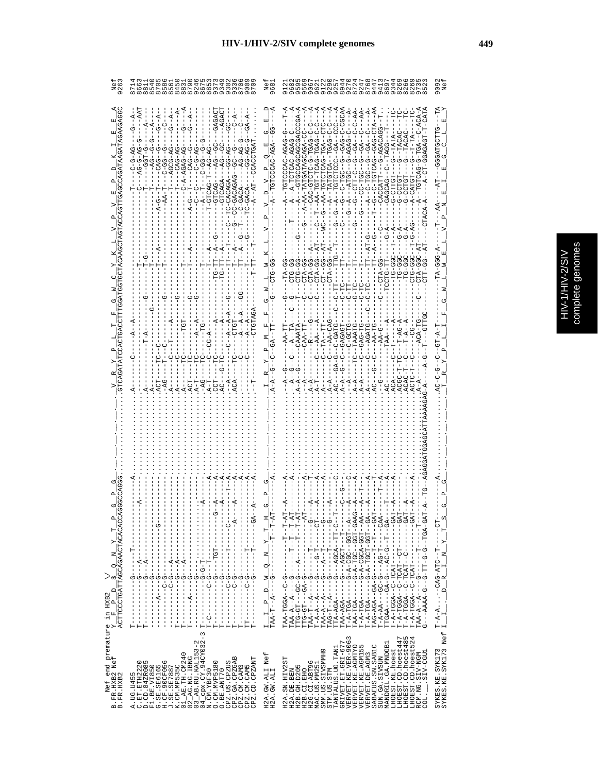| 92                                                                                                                                                                                 | 8888888888888888888888888888888<br>ON<br>৩                                                                                                                                                                                                                                                                                                                                                                                                                                                          | Νe:<br>68                                                                                                                                                                                                                                                  |                                                                                                                                                                                                                                                                                                                                                                                                                                                                                                         | 909                                                                                                                                                    |
|------------------------------------------------------------------------------------------------------------------------------------------------------------------------------------|-----------------------------------------------------------------------------------------------------------------------------------------------------------------------------------------------------------------------------------------------------------------------------------------------------------------------------------------------------------------------------------------------------------------------------------------------------------------------------------------------------|------------------------------------------------------------------------------------------------------------------------------------------------------------------------------------------------------------------------------------------------------------|---------------------------------------------------------------------------------------------------------------------------------------------------------------------------------------------------------------------------------------------------------------------------------------------------------------------------------------------------------------------------------------------------------------------------------------------------------------------------------------------------------|--------------------------------------------------------------------------------------------------------------------------------------------------------|
|                                                                                                                                                                                    | $-4$<br>$- - A$<br>$C - \overline{A}$<br>$-56-20$<br>A-54-1-040H0-1-<br>$C - A - AGAG - A$<br>$A - DGG - - -$<br>ţ                                                                                                                                                                                                                                                                                                                                                                                  | <b>F</b><br>び<br>C<br>CAC-AGA<br>O<br>ρ.,<br>ğ<br>≏                                                                                                                                                                                                        | GAG-C-CGCAA<br>$B = -CT - CTA$<br>$CCGA - P$<br>$-AA$ -<br>$-1$ – $-1$<br>Ţ<br>$---AA$<br>$   \overline{A}$ .<br>ーーーロー<br>- 252 - - 455 - 5425 2525 - 45<br>G-AGACAGG<br>G-AGAG<br>$G - GA$<br>$\frac{1}{6}$<br>$A - TATGTCA$<br>$-1$<br>$-1$<br>$-1$<br>$-1$<br>$-1$<br>$-1$<br>$A - C - TGC - -$<br>$- A - - A T G C$<br>$- -$ CC-TGC<br>U-LUI-0<br>G-CTTGT<br>CACCATT<br>GAGCAG<br>Ŭ<br>じ<br>ひし<br>Ġ<br>ひ<br>CTA-GG--A<br>ひしつけい<br><b>UHA-G</b>                                                      | ひHHひひHむひひリー                                                                                                                                            |
|                                                                                                                                                                                    | $-AG$<br>$A - T$                                                                                                                                                                                                                                                                                                                                                                                                                                                                                    |                                                                                                                                                                                                                                                            | ł<br>$T - AG - P$<br>C-GATG<br>-TA--TT<br>GAGAGT<br>$-$ -AGATG<br>CAA-TI<br>$-AA-TC$<br><b>C-GCT</b><br>TAAAT<br>$-0A0-1$<br>$\ddot{A}$<br>$A - A - - G$<br>$A - A$<br>부                                                                                                                                                                                                                                                                                                                                |                                                                                                                                                        |
| $\begin{array}{l} \begin{array}{l} \mathbf{Y} \\ \mathbf{Y} \end{array} \\ \begin{array}{l} \mathbf{Y} \\ \mathbf{A} \text{CTTCCCTGATTACCAGAACTACCACACCA} \end{array} \end{array}$ | - - ペーーーーーーーーーーーーー<br>$-1$ $-1$ $-1$ $-1$ $-1$ $-1$ $-1$ $-1$<br>-450------<br>$\begin{array}{c} \begin{array}{c} \begin{array}{c} \begin{array}{c} \end{array} \\ \begin{array}{c} \end{array} \end{array} \end{array}$<br>$\frac{1}{1}$<br><b>ローーーーーー ひーーーーーーーーーーー</b><br>ŧ<br>$\frac{6}{1}$<br>りー<br>ပု<br>$-1$<br>$\frac{1}{1}$<br>$-1$ $-1$ $-1$ $-1$ $-1$ $-1$ $-1$<br>$-1 - 4 - 1 - 1 - 1 - 1$<br>$\frac{1}{1}$<br>$\begin{array}{c} 1 \\ 1 \\ 1 \end{array}$<br>ن<br>!<br>нн<br>н<br>J<br>⊢ | $\frac{1}{1} - \frac{1}{1} - \frac{1}{1} - \frac{1}{1} - \frac{1}{1} - \frac{1}{1}$<br>H,<br>$\vdash$<br>$\sum_{i=1}^{n}$<br>$\frac{1}{1}$<br>z<br>$-1$<br>$-1$<br>$-1$<br>$-1$<br>$\frac{1}{\sqrt{2}}$<br>Z,<br>$\frac{1}{\sqrt{2}}$<br>$TAA-T--A--$<br>H | $T - A - T G A - -I - G - A - CGCA - GGT - AA -$<br>-450-1000-1000-14-0-1-1400-1<br>TAG-1-H-1-1-1-1-0-AG-104H<br>$\begin{aligned} &\mathbb{T}-\mathbb{A}-\mathbb{A}\mathbb{A}--G\mathbb{C}-G--\mathbb{A}\mathbb{G}-\mathbb{T}---C\mathbb{A}\mathbb{A}-\\ &\mathbb{T}\mathbb{T}\mathbb{G}\mathbb{A}\mathbb{A}----C\mathbb{A}-G--\mathbb{A}\mathbb{C}-G--\mathbb{T}--G\mathbb{A}--\\ \end{aligned}$<br>$TAA - A - -A - - -G - - - -T - - - -T - -$<br>$G - - -AAAA - G - G - TT - G - G - TGA - GA - GAT$ | J<br>$\overline{F}$ $S$<br>$-1 - 1$<br>$N - Y$<br>$T - A - A$ -CAG-ATC--T--<br>$I = I - L - D - R - I - M - Y$<br>$\mathbf{H}$<br>$\frac{1}{\sqrt{2}}$ |
| Nef end premature in $HXB2$<br>FR.HXB2 Nef $Y_F F P I$<br>FR.HXB2<br>$m$ $m$                                                                                                       | $\begin{array}{ll} \text{A. \, 10G. \, 1455} \\ \text{C. \, 12T. \, 12T123232} \\ \text{F1. \, 12E. \, \text{V14550}} \\ \text{F1. \, 12E. \, \text{V14550}} \\ \text{G. \, 12E. \, 12E. \, 15E. \, 15E. \, 15E. \, 15E. \, 15E. \, 15E. \, 15E. \, 15E. \, 15E. \, 15E. \, 15E. \, 15E. \, 15E. \, 1$<br>CPZ.GA.CPZGAB<br>CPZ.CD.CPZANT<br>CPZ.US.CPZUS<br>O. CM. MVP5180<br>CPZ.CM.CAM3<br>CPZ.CM.CAM5<br>O.BE.ANT70                                                                              | H2A.GW.ALI Nef<br>H2A.GW.ALI                                                                                                                                                                                                                               | VERVET.KE.VER-9063<br>ru 4<br>LHOEST.CD.hoest447<br>TANTALUS.UG.TAN1<br>GRIVET.ET.GRI-677<br>LHOEST.CD.hoest48<br>LHOEST.CD.hoest52<br>MANDRIL.GA.MNDGB1<br>VERVET.KE.AGMTYO<br>VERVET.KE.AGMI55<br>SABAEUS.SN.SAB1C<br>LHOEST.KE.hoest<br>SMM.US.SIVSMMH9<br>SIV-CGU1<br>RCM.NG.SIV-NGM<br>VERVET.DE.AGM3<br>SUN.GA.SIVSUN<br>H2A.SN.HIV2S<br>O<br>H2B. GH. D205<br>H2G.CI.ABT9<br>MAC.US.MM25<br>H2B.CI.EHO<br>H2A.DE.BEN<br>STM.US.STM<br>COL.                                                       | Nef<br>SYKES.KE.SYK173<br>SYKES.KE.SYK173                                                                                                              |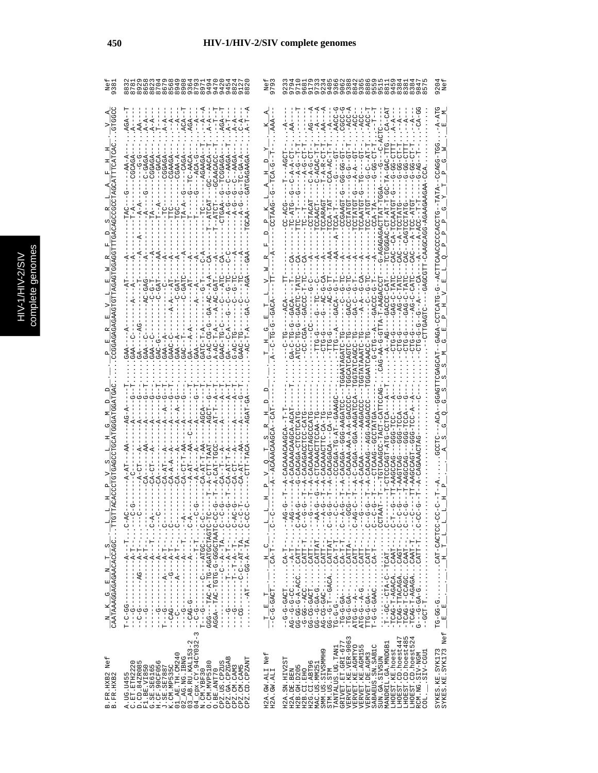|   | C<br>۹ |
|---|--------|
|   | Ś      |
|   |        |
|   |        |
|   |        |
|   |        |
|   |        |
|   | ÷<br>ń |
| с |        |
|   | ¢      |
|   |        |
|   |        |
|   |        |
|   |        |
|   |        |
|   |        |
|   | ì      |
|   |        |

|                                                                             | 0.000                                                                                                                                                                                                                                                                                                                                                                                                                                                                           | 97                              | 92<br>$\infty$ rv                                                                                                                                                                                                                                                                                                                                                                                                                                 | 920                                                                                                            |
|-----------------------------------------------------------------------------|---------------------------------------------------------------------------------------------------------------------------------------------------------------------------------------------------------------------------------------------------------------------------------------------------------------------------------------------------------------------------------------------------------------------------------------------------------------------------------|---------------------------------|---------------------------------------------------------------------------------------------------------------------------------------------------------------------------------------------------------------------------------------------------------------------------------------------------------------------------------------------------------------------------------------------------------------------------------------------------|----------------------------------------------------------------------------------------------------------------|
| CHOCC                                                                       | $- -A - -$<br>$ACA -$<br>$A - A -$<br>AGA--<br>$-4$<br>$A - A -$<br>$A - A -$<br>$-4$<br>$-4$<br>$A - A$                                                                                                                                                                                                                                                                                                                                                                        |                                 | AACC-G<br><b>P-22522</b><br>$-ACC-A$<br>$-ACC-1$<br>ACC-<br>$AA$ – – –<br>$-A$ -<br>$- A$<br>$A - A$<br>$-4$<br>$\overline{G}$                                                                                                                                                                                                                                                                                                                    | A-ATG                                                                                                          |
|                                                                             | $-9 - -TC - AACA$<br>C-GAGA<br>-CGAAGA<br>CGAA-A<br>CGGAGA<br>CGGAGA<br>$-9C - PAC$<br>$---ACA$                                                                                                                                                                                                                                                                                                                                                                                 |                                 | ローセ<br>- 170-90-9<br>$C-ACAC-T$<br>$- A - A - GT$<br>じーAー<br>$T - A - R$<br>ن<br>ج                                                                                                                                                                                                                                                                                                                                                                | UUH-UURUU - -                                                                                                  |
|                                                                             | $-1 - 5 - 4 - 6$<br>$-1$<br>÷<br>ا                                                                                                                                                                                                                                                                                                                                                                                                                                              |                                 | AACAACAACAACAACAACAA<br>LA-D.<br>LA-DD.                                                                                                                                                                                                                                                                                                                                                                                                           | -TATA                                                                                                          |
|                                                                             | $\dot{A}$                                                                                                                                                                                                                                                                                                                                                                                                                                                                       |                                 |                                                                                                                                                                                                                                                                                                                                                                                                                                                   |                                                                                                                |
|                                                                             | --C-GATC<br>$GA-AC--A-A$                                                                                                                                                                                                                                                                                                                                                                                                                                                        | GACA                            | <b>40-9-04-05</b><br>$T-AAGAC$<br>$- A - A - -$<br>-AG-0<br>しーウスび                                                                                                                                                                                                                                                                                                                                                                                 | ひ ロリス ひしししし ひょうし ロロリス ―― ひー ひ ロス し ロ し コ ス ひ ス ひ ー                                                             |
|                                                                             | U-50-04-5<br>$GA---A- A$<br>$GAA - - A$<br>GAAC-C<br>$GAA - A$<br>GATC-T<br>$A - AC - T$<br>GAAC-1<br>۲<br>با<br>--<br>-<br>-<br>-<br>-<br>-<br>-<br>-<br><br>-<br><br><br><br><br><br><br><br><br><br><br>$-44$<br>GAC-G<br>$C + -C$<br>$GAA -$<br>GAA                                                                                                                                                                                                                         | ひ                               | CTPGAGTC<br>$-AA-G-TTA-$<br>---450-00--<br>-5-51-5-<br>$-4$ $-4$<br><b>T-DTAA</b><br>류                                                                                                                                                                                                                                                                                                                                                            |                                                                                                                |
|                                                                             |                                                                                                                                                                                                                                                                                                                                                                                                                                                                                 |                                 | TG-CCTCA-<br>イーク                                                                                                                                                                                                                                                                                                                                                                                                                                  | HAUUAUUHHUAUU -<br>$-ACA$                                                                                      |
|                                                                             | $- -A - AT = -A$<br>A-CTT-TAA<br>$C A - C T - T$<br>$CA - AT - T$<br>$A-CAT-1$<br>$CA - A - A$<br>$- A - A - -$<br>CA-CT<br>$CA-AT$                                                                                                                                                                                                                                                                                                                                             |                                 | UCACAG-CACACURU-1<br>FRURCH-UUU--KURUKU-<br>CACAAA-AA-A-A-GAC<br>AUAR-AUD--AUAU-U-R<br>LAU – UU LUU U AU AU AU<br>CACAAACTEC<br>CACAGACA<br>A-CACAA                                                                                                                                                                                                                                                                                               | 5                                                                                                              |
|                                                                             | $\ddot{A}$                                                                                                                                                                                                                                                                                                                                                                                                                                                                      | ᆗ                               | $-40$                                                                                                                                                                                                                                                                                                                                                                                                                                             | $T = L = L$                                                                                                    |
|                                                                             | - KT- J ・ ・ ・ LT- - - - KT- - - - - - - - - - - - -<br>U---・・・ - - - - - - - - - - - - -<br>$\frac{1}{1}$                                                                                                                                                                                                                                                                                                                                                                       | U<br>H                          | <b>AHUU · · · · · · · · · · · ·</b><br>.                                                                                                                                                                                                                                                                                                                                                                                                          |                                                                                                                |
| $\frac{N}{C \text{AATAAGGAGAGAGACCACCACC}} \cdot \frac{1}{T} - \frac{1}{T}$ | - ペー・・・・ 1- - - ペー・ - - - - - - - - - - - - - - - - - -<br>- Y-U・・・ - - - - - Y- - - - - - - - - - - D- DYU - -<br>GGG---TAC-A-TG-AGATGCTAGTC-TC<br>2010-0000-0-0100-010H-04H-020A<br>$\frac{1}{1}$<br>j<br>$-1 - 0 - 1 - 1$<br>$\frac{1}{1}$<br>Ţ<br>$-9 - - -$<br>-99-0-1<br>$\begin{array}{c} \n 1 \\  1 \\  1\n \end{array}$<br>- 1<br>- 1<br>- 1                                                                                                                           | $\mathbb{H}$<br>T E             | GG-G-GA-GTRITAT<br>$ATC - C - A - -  -  -  - S - S$<br>-TCAG-T-AGACACAAT--<br>.<br>U-KHU--UU---H.<br>$-1$ $-1$                                                                                                                                                                                                                                                                                                                                    | UU-UULUKU-LKU ............<br>$\begin{array}{c} \begin{array}{c} \text{H} \\ \text{H} \end{array} \end{array}$ |
| $N \in \mathbb{f}$<br>3. FR. HXB2<br>3. FR. HXB2<br>$m \nightharpoonup$     | $\infty$<br>$\mathbb I$<br>$\begin{array}{l} \text{A. UG. U455} \\ \text{D. Ch. B42R0280} \\ \text{F1. B5. V1580} \\ \text{F1. B13. V1580} \\ \text{H1. B2. V1580} \\ \text{H2. G3F. 3902816} \\ \text{H3. G1: 251. 261. 272. 283. 2007. 2007. 212. 223. 233. 243. 253. 263. 273. 283. 283. 290. 290. 290. 200. 200. 2$<br>$\begin{array}{c} \text{O. BE. AMT 70} \\ \text{CPZ. US. CPZUS} \\ \text{CPZ. GA. CPZGB} \end{array}$<br>CPZ.CD.CPZANT<br>CPZ.CM.CAM5<br>CPZ.CM.CAM3 | Nef<br>H2A.GW.ALI<br>H2A.GW.ALI | 3<br>LHOEST.CD.hoest447<br>LHOEST.CD.hoest485<br>LHOEST.CD.hoest524<br>VERVET.KE.VER-906<br>VERVET.KE.AGMTYO<br>VERVET.KE.AGM155<br>GRIVET. ET. GRI-677<br>MANDRIL.GA.MNDGB1<br>SABAEUS.SN.SAB1C<br>TANTALUS.UG.TAN1<br>LHOEST.KE.hoest<br>SMM.US.SIVSMMH9<br>.SIV-CGU1<br>RCM.NG.SIV-NGM<br>VERVET.DE.AGM3<br>SUN.GA.SIVSUN<br>H2A.SN.HIV2ST<br>Ο<br>MAC.US.MM25<br>H2B.GH.D205<br>H2G.CI.ABT9<br>STM.US.STM<br>H2A.DE.BEN<br>H2B.CI.EHO<br>COL. | SYKES.KE.SYK173<br>SYKES.KE.SYK173 Nef                                                                         |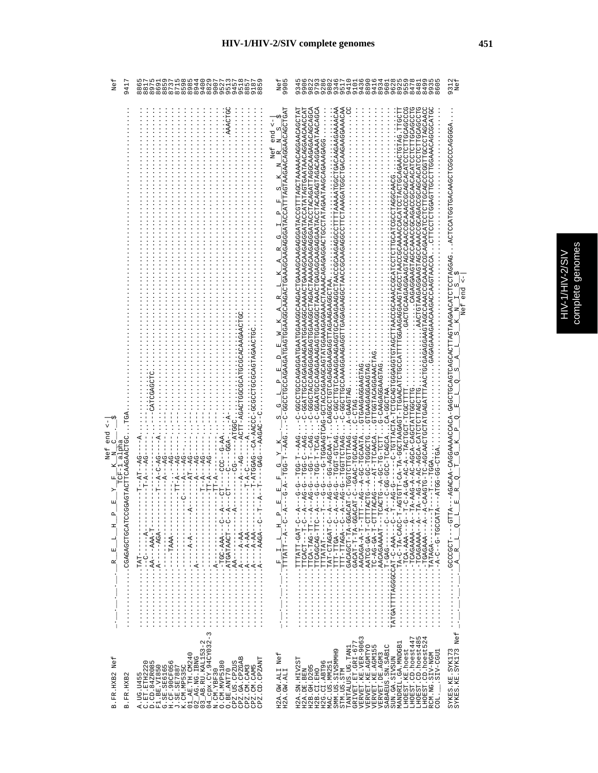|   | မ္ဘ<br>D    |
|---|-------------|
| í |             |
|   | ¢<br>Ğ<br>D |
|   |             |
|   |             |
|   | î           |
|   |             |

| Net<br>$\frac{1}{4}$                                                                                 | n 4 9 L N 8 N 4 O 9 L<br>m <sub>l</sub><br>$\infty$<br>$\sigma$                                                                                                                                                                                                                                                                                                                                                                                                                                                                                                                                                                                               | யம<br>Nei<br>990!                                                                                                                                                                                                                                                                                                                                                                                                                                                                                        | ® כל אשמים לא של של מספר השל של של ה<br>מספר לא הוא המספר המספר המספר המספר<br>ממטמער סחט סטל המטמט הממטמ<br>n v a w w a v r<br>300                                                                                                                                                                                                                                                                                                                                                                                                                                                                                                                                                                                                                                                                                                                                                                                                                                                                                                                                                                                                           | 931:<br>Nei                                                                                                                                                                                                                                                                                                                |
|------------------------------------------------------------------------------------------------------|---------------------------------------------------------------------------------------------------------------------------------------------------------------------------------------------------------------------------------------------------------------------------------------------------------------------------------------------------------------------------------------------------------------------------------------------------------------------------------------------------------------------------------------------------------------------------------------------------------------------------------------------------------------|----------------------------------------------------------------------------------------------------------------------------------------------------------------------------------------------------------------------------------------------------------------------------------------------------------------------------------------------------------------------------------------------------------------------------------------------------------------------------------------------------------|-----------------------------------------------------------------------------------------------------------------------------------------------------------------------------------------------------------------------------------------------------------------------------------------------------------------------------------------------------------------------------------------------------------------------------------------------------------------------------------------------------------------------------------------------------------------------------------------------------------------------------------------------------------------------------------------------------------------------------------------------------------------------------------------------------------------------------------------------------------------------------------------------------------------------------------------------------------------------------------------------------------------------------------------------------------------------------------------------------------------------------------------------|----------------------------------------------------------------------------------------------------------------------------------------------------------------------------------------------------------------------------------------------------------------------------------------------------------------------------|
| end<br>CAGTACTTCAAGAACTC<br>alpha<br>Nef<br>CGAGAGCTGCATCCG<br>$\mathbf{\Omega}$<br>Ξ<br>Н<br>囯<br>α | --ACTT-AGACT<br>$-1$<br>$\cdots$ - $A-$<br>$-200GCI.$<br>-- AAGAC<br>APD-----V-----HV--<br>$----P1T---P1G---$<br>$- -A - -A - -BG - -$<br>$- -AT - - AG -$<br>$---T - A --- AG$<br>$-T - -A - -AG -$<br>ಕ್ತ<br>$- -A - - AG -$<br>$-6A2$<br>$---T$ $T - A$ $--- AG$<br>$rac{1}{\sqrt{2}}$<br>Ī<br>$-TT - A$<br>$-17 - 17$<br>$\frac{1}{2}$<br>$-4$<br><b>ローロー KBKK-----K:・・・・・・・・・・・・</b><br>- - ペ- - - - - - O - - ・・・・・・・・・・・・・<br>--RDR------R · · · · · · · · · · · · · ·<br>$-4A-4A-4A-4A-4A$<br>$-4A$ <sup>-</sup> $-4$ <sup>-</sup> $-1$ <sup>-</sup> $-1$ <sup>-</sup> $-1$ <sup>-</sup> $-1$ <sup>-</sup> $-1$<br>$ TAT-$<br>$\frac{1}{1}$<br>.<br>. | $\frac{1}{1-\frac{1}{2}-\frac{1}{2}-\frac{1}{2}-\frac{1}{2}-\frac{1}{2}-\frac{1}{2}-\frac{1}{2}-\frac{1}{2}-\frac{1}{2}-\frac{1}{2}-\frac{1}{2}-\frac{1}{2}-\frac{1}{2}-\frac{1}{2}-\frac{1}{2}-\frac{1}{2}-\frac{1}{2}-\frac{1}{2}-\frac{1}{2}-\frac{1}{2}-\frac{1}{2}-\frac{1}{2}-\frac{1}{2}-\frac{1}{2}-\frac{1}{2}-\frac{1}{2}-\frac{1}{2}-\frac{1}{2}-\frac{1}{2}-\frac{1}{2}-\frac{1$<br>Nef end<br>$T-T-GG-TT-TAAG$<br>囯<br>囯<br>$\mathbf{p}$<br>Ξ<br>$\overline{a}$<br>$\overline{a}$<br>i<br>L | KAOKAAGOAAGAAGAAGAAAGDEKAAGDEEDOOGAGOOOOKADOGAGAGAGEEDOGGOKOKAOOOEEDOO-U---------<br>GCCCTAGCAA<br>FLPDOUDDYDFLDLDDLAU YYDYDDU YYYUDDU YYYUDDDYLLDYYDDYDYD<br>CHOUSALOUDURICURANCUUQUARANOUDURIELUS<br>CAGOCCCCCCCAGAGAGAGAGAGAGAAGAAGCTAA<br>.<br>CTTGGTACAGAAACTAG.<br>CAAGAGAAGTAG<br>GTGAAGAAGAAGTAG<br>C-AGCAACTGCTATGAGATTTAAC<br>- DHURUDHUH - RHURHHUH - U<br>A-GAAGTAG<br>A-AAG-A-AC-AGCA-CAGCTATTGGCTTG<br>ARTUUU-40.<br>IIUUUL-IUULUKI--K-UK-KU-K-U-<br>$\cdots$ . $C$ - $C$ $R$ <sup>G</sup><br>CACACHOLOGICACACH-HODACH-HODACHO-AT-HODACHOLOGICACH<br>$G - C - PAG$<br>040H-H-05H--0-0-<br>--AG-G--TGGT-GTCAG<br>--AG-G--TGGT-GTCAG<br>--GAAC-TGCAAAG<br>--AG--A-GC-TGCAATA<br><b>CHOOOD--OD-A--OHOAHHHU-H-AD-ODDAY:</b><br>AUDRUH-UUD-00-U---<br>-- AG-9-9-0-10-04-1<br>ACAG---AT-TTCAACA<br>$C-AGCA-C$<br>AULU-UU-UULA--<br>GGA<br>$-4-0-4-4$<br>$- -P - G - G - -$<br>$-4G - G$<br>A--UH-UAUUAUH<br>4--0-Hd2dH0-HdH<br>A--O--GOALT-HHL<br>TATGATTTTAGGCCAT-C-AAA----T<br>T-A-A-AAAAADAOCACAAAAA-A-T<br>$A - A - -1 - A + B$<br>AHAOOOH-0--0-4- · · · · · · · · · · · · ·<br>LHLU-H-KU-UK-UH::::::::::<br>$-4$ denote $\ldots$ | «BODDGOODDDUIDD«ED«DUIDDIICODID«、、、)のYDD«IDDIIDIICV«YOV«IID%IIID»DVYDID«ODID»DD%D-YOVOOV%AYXPD%D-YYO<br>end <-<br>ω,<br>Nef<br>$\square$<br>C)<br>К<br>CO.<br>o,<br>띄<br>o,<br>$\mathbf{\Omega}$<br>Ü<br>O<br>ц<br>囯<br>AHH5----HOBOODD:::::::::::<br>$\overline{a}$<br>$\alpha$<br>д<br>$\mathbbmss{E}$<br>$\overline{A}$ |
| Nef<br>B.FR.HXB2<br>B.FR.HXB2                                                                        | $\overline{3}$<br>$\begin{array}{l} \text{A. UG. U455} \\ \text{D. CD. 442R085} \\ \text{E. 1. BD. V1850} \\ \text{E. 1. BE. V1850} \\ \text{G. 2. B. V1850} \\ \text{G. 3. B. V1850} \\ \text{J. 4. B. V1850} \\ \text{J. 5. B. 267887} \\ \text{J. 5. B. 267887} \\ \text{J. 6. B. 1. B. 1.0240} \\ \text{J. 6. M3. 1.0240} \\ \text{J. 6. M3. 1.0$<br>CPZ.UB.CPZUS<br>CPZ.CA.CPZGAB<br>CPZ.CM.CAM3<br>CPZ.CM.CAM5<br>CPZ.CM.CPANT<br>O. CM. MVP5180<br>O.BE.ANT70<br>N.CM.YBF30                                                                                                                                                                            | H2A.GW.ALI Nef<br>H2A.GW.ALI                                                                                                                                                                                                                                                                                                                                                                                                                                                                             | $\begin{array}{l} {\small\texttt{TANTALUS . UG . TAMI}}\\ \small{\texttt{GRIVET . ET . GLI-677}}\\ \small{\texttt{VERVET . KE . VER-9063}} \end{array}$<br>LHOEST.CD.hoest485<br>LHOEST.CD.hoest524<br>LHOEST.CD.hoest447<br>MANDRIL.GA.MNDGB1<br>VERVET.KE.AGMTYO<br>VERVET.KE.AGM155<br>VERVET.DE.AGM3<br>SABAEUS.SN.SAB1C<br>LHOEST.KE.hoest<br>SMM.US.SIVSMMH9<br>.SIV-CGU1<br>RCM.NG.SIV-NGM<br>SUN.GA.SIVSUN<br>H2A.SN.HIV2ST<br>H2G.CI.ABT96<br>MAC.US.MM251<br>H2B. GH. D205<br>H2A.DE.BEN<br>H2B.CI.EHO<br>STM.US.STM<br>COL.                                                                                                                                                                                                                                                                                                                                                                                                                                                                                                                                                                                                        | SYKES.KE.SYK173<br>SYKES.KE.SYK173 Nef                                                                                                                                                                                                                                                                                     |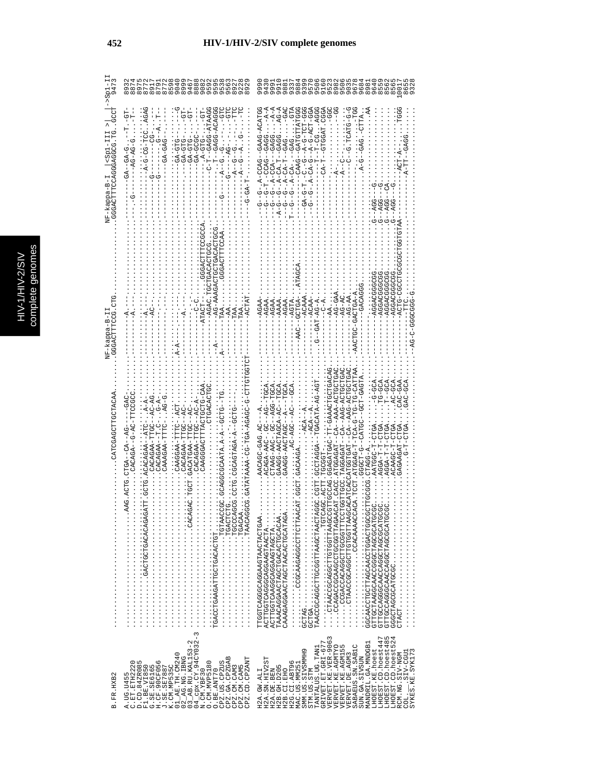|                               | 904<br>899<br>cococococo<br>400000000<br>60000000<br>877<br>859<br>891<br>879<br>თ<br>$\frac{5}{8}$<br>$\infty$                                                                                                                                                                                                                                | 888<br>08<br>cococo<br>Angun<br>Cococo<br>903<br>967<br>96.                                                                                                                                                                                                                                                                                                                                                                                                                                                                                                                                                                                                                                                                                                                                                                   |
|-------------------------------|------------------------------------------------------------------------------------------------------------------------------------------------------------------------------------------------------------------------------------------------------------------------------------------------------------------------------------------------|-------------------------------------------------------------------------------------------------------------------------------------------------------------------------------------------------------------------------------------------------------------------------------------------------------------------------------------------------------------------------------------------------------------------------------------------------------------------------------------------------------------------------------------------------------------------------------------------------------------------------------------------------------------------------------------------------------------------------------------------------------------------------------------------------------------------------------|
| GGGACTTECA<br>ကုံ<br>NF-kappa | URRHA-UURU--H-U--<br>500404-0040--<br>- 05<br>-<br>UUL-5<br>$-2 - 5 - 5 - 6 - 6 - 1$<br>-GA-GTG<br>UHD-AG-<br>- 45 - 1<br>$-AG-AC$                                                                                                                                                                                                             | GAAG-ACATGC<br>$-$ -GAG $-$<br>UUULKLLULKU--UKKU--<br>555-151-5-4--5- 15- 1<br>- 4-4-<br>-- 4-1-<br>-- 4-1-<br><b>CG-CG-</b><br>455-554-5-4-<br>$-4-$<br>ğ<br>P<br>$-.A-CCAG--$<br>$- A - CA -$                                                                                                                                                                                                                                                                                                                                                                                                                                                                                                                                                                                                                               |
| $-5 -$<br>WF-kappa-           | $-AG-PAR$<br>$-AGAC$ . T                                                                                                                                                                                                                                                                                                                       | <b>UUUUUUKUUK</b><br>UUUUUUUUU<br>-AGGACGGC<br>ACTG-C<br>C-GACTGA-1<br>$-4G-AC$<br>$-96-04$<br>$-AG-AA$<br>$- - GCTGAA$<br>ひひひひひひーひーみ<br>AGAA<br>-AGAA<br>$-AGAA$<br>AGTA<br>4-54-T49-1<br>AGAA<br>AAAA                                                                                                                                                                                                                                                                                                                                                                                                                                                                                                                                                                                                                       |
| AUAHUUHHUUHKU                 | CTGACACT<br>ひひひHHIひよーの--よびむひょう<br>えーひ<br>CATATAAAA-CO-AGC-AGCO-C<br>CACAGAA-TTGC--AC-I<br>CAGAGAA-TEGC-<br>CAGAA-TTGC--A<br>GACATGAA-TTGC--A<br>CAAGGAA-TTTC-<br>CAAAGAA-TTTC-<br>- ウドー - イリー - イリロン<br>.ACACAGAA--AT<br>CACAGAA<br>TGACCTGAAGATTGCTGACATTT                                                                                    | ADHOUHOR-URR--KO--HRURUURH : UUUHHUU.<br>ROHOOHOK-RRR--RO---HROROOHR : UURU .<br><b>LG-DG-CALL</b><br>AULUULUAAAU-HH-<br>TG-GCA<br>$AC-GCA$<br>--TGACATA-A-1<br>- 554-5-45-544-54450<br>ACAGA-AAC--GC-<br>AACAGC-GAG.AC--A<br>CAAGG-AACTAGCA-AC<br>UA--JOA-J<br>GAAGG-AACTOGC-A<br>ACAAGC-T-<br><b>GGGCT-G--</b><br>TRAACCGCAGCAGCTTGTGTAAGCCCTTGCCAG.GGAGATGAC<br>AGGA-T-T-<br>AATGGC-T<br>A-DDATD.<br>THOR COROLDER<br><b>CONNOUNCACANOUNCANOUNCEDUANOUR</b><br>CARGACCOCCARCODOUCOURCO<br>COCOCARCOCARCOCARCOCOCATO<br>ACTERATORCAGOSOUPODENTA<br>CAAAGAGGAACTAGCTAACACCATAGA<br>$\ldots$ and $\ldots$ and $\ldots$ and $\ldots$<br><b>COCACCACCACCACCACCOCCOCC</b><br>GTTGCCAGGCAACCAGCTAGCGATGC<br>COORCOORCOGORACOOORCOOP<br>ITCOTCAGCAGCOCOCOCOTCAA.<br>TAAACAGGAACTGACACACACACAAA.<br>ACTTOGAAGGAAGDAAGTAGTA<br><br>. |
| B.FR.HXB2                     | $\infty$<br>04_cpx.CY.94CY032-<br>N.CM.YBF30<br>O.CM.MVP5180<br>03_AB.RU.KAL153-2<br>01_AE. TH. CM240<br>02_AG.NG.IBNG<br>CPZ.GA.CPZGAB<br>CPZ.CD.CPZANT<br>C.ET.ETH2220<br>D.CD.84ZR085<br>F1.BE.VI850<br>G.SE.SE6165<br>H.CF.90CF056<br>CPZ.US.CPZUS<br>K.CM.MP535C<br>.SE.SE7887<br>CPZ.CM.CAM3<br>CPZ.CM.CAM5<br>O.BE.ANT70<br>A. UG. U455 | /ERVET.KE.VER-9063<br>Б<br>4<br>HOEST.CD.hoest447<br>LHOEST.CD.hoest48<br>LHOEST.CD.hoest52<br>MANDRIL.GA.MNDGB1<br>SABAEUS.SN.SABIC<br><b>/ERVET.KE.AGMTYO</b><br><b>/ERVET.KE.AGM155</b><br>GRIVET.ET.GRI-67<br>PANTALUS.UG.TAN1<br>SMM. US. SIVSMMB9<br>LHOEST.KE.hoest<br>SYKES.KE.SYK173<br>COL. SIV-CGUI<br><b>/ERVET.DE.AGM3</b><br>RCM.NG.SIV-NGM<br>SUN.GA.SIVSUN<br>H2A.SN.HIV2ST<br>H2G.CI.ABT96<br>MAC.US.MM251<br>H2B. GH. D205<br>H2A.DE.BEN<br>H2B.CI.EHO<br>STM.US.STM<br>H2A.GW.ALI                                                                                                                                                                                                                                                                                                                          |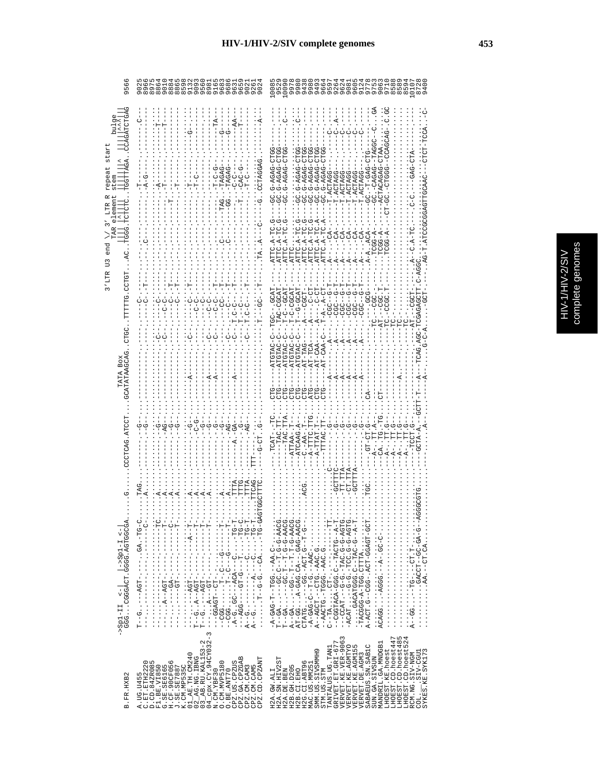| 956                                                                         | $\overline{90}$<br>96                                                                                                                                                                                                                                                                                                                                          | 009<br>872<br>997<br>95<br>nnon na                                                                                                                                                                                                                                                                                                                                                                                                                                                                                                                     |
|-----------------------------------------------------------------------------|----------------------------------------------------------------------------------------------------------------------------------------------------------------------------------------------------------------------------------------------------------------------------------------------------------------------------------------------------------------|--------------------------------------------------------------------------------------------------------------------------------------------------------------------------------------------------------------------------------------------------------------------------------------------------------------------------------------------------------------------------------------------------------------------------------------------------------------------------------------------------------------------------------------------------------|
| star<br>GGTTAGA<br>repeat<br>tem<br>ĸ<br>element<br>LTR<br>≺<br>end         | $-AA$<br>TAGAG<br>TAGAG<br>U<br>U<br>-CAC<br>ں<br>!<br>r<br>H                                                                                                                                                                                                                                                                                                  | 0010-0404-0.000-0010-0404-0.000-<br>G-AGAG-CTGG<br>UU-DAGA-D-DE<br>-GC.G-AGAG-CTG<br>C.G-AGAG-CTG<br>IU-040-I- 100-<br>G-AGAG<br>T.ACTAGG<br>T. ACTAGG<br>T.ACTAGG<br>T.ACTAG<br>T.ACTAG<br>T.ACTAG<br>ATTC.A-TC.A<br>ATTC.A-TC<br>턴<br>A-5501.<br>$TCGG - P$<br>ATTC.A<br>ATTC.A<br>$\frac{1}{2}$<br>ATTC.A<br>ATTC.<br>ATTC.<br>ATTC.<br>$A - A$<br>$A - -$                                                                                                                                                                                          |
| $3'$ LTR<br>TTTTTG.CTCT<br>UD<br>U<br>GCATATAAGCAG<br>BOX                   | U-D-<br>ں<br>1<br>ט<br>ט<br>り<br>し<br>$\frac{1}{1}$<br>$\frac{1}{1}$                                                                                                                                                                                                                                                                                           | TACO-C-CH<br>-9-1050<br>$T - C - C - C$<br>턴-U-1-1-<br>-9<br>-9<br>-9<br>-9<br>ပ္ပ်<br>$-9 - -0 - 1$<br>- . GCG<br>HUUU----<br><b>CGC--G</b><br>ひーーひひひ<br>$-4 - 2 - 5 - 7$<br>$-CGC - T$<br>9g<br>Ī<br>CGC<br>TAC-C<br>CAG.AGC-1<br>ATGTAC-C<br>ATGTAC-C<br>$-AT-CAA-$<br>AT-TCA-<br>$-$ -AT-CAA<br>AT-TAG<br>ATGTAC<br>ATGTA<br>$\overline{A}$<br>CTG-<br>ĊFĠ<br>ATG-<br>CTG.<br>CTG.<br>CTG.                                                                                                                                                         |
| COUPLE AUTOUP                                                               |                                                                                                                                                                                                                                                                                                                                                                | -ATCAAG.<br>-TAC.<br>ATTAA-.<br>$C - A A -$<br>A-TTTC<br>$-A-TTTAT$ .<br>TTTPC                                                                                                                                                                                                                                                                                                                                                                                                                                                                         |
| $-35p1-11$ $< \vert$ $-35p1-1$ $< \vert$<br>GGG CGGGACT . GGGG . AGTGGGGA . | <b>LCAG</b><br>TTTA<br>TTTG<br>TTTA<br>TAG<br>・1 - D - - - - - - - 1 - - - - - - - d'D - - - - - 1 - 1 - - - -<br>ユーロー エーエーエー・エーエー ユーロのペース ファイエー<br>A-5-1-1-1-1-1-1-1-1-1-1-1                                                                                                                                                                                  | IT.TTA<br>CT.TTA<br><b>GCTTTP</b><br>$- A - GAG - T - TGG - A + C - $<br>$T - - G +  - C - GC - T - T - G - A + G - A + G - $<br>$A - A G C T G - A A C - B C T$<br><br>$T - GA$ $T - T - GC$ $T - T - G - GAACG$ .<br>A--GA-GG-.T-T.T-G-AACG.<br>$-24G-GAP-C-PAP-C-PBCO-R$<br>- ひけのK-ひ-ひ 'ひ KII- 'ひ-ひ-- ' II KUひ---<br>AT-GGA-GAG.CA--.GAG-AACG.<br>--5-H--5: LOR- '55---' ' ' '5LRLO<br>$-TACGG - A-TTTA$<br>HUU-HURUU-HUR,-UUU--U,HUR-R<br>H-4--D-DEH--D : DDDIRUXD                                                                                 |
| B.FR.HXB2                                                                   | $04$ $_{\rm CPX}$ . CY. 94CY032-3<br>N.CM. YBF30<br>$02$ AG. NG. IBNG<br>$03$ AB. RU. KAL153-2<br>G.SE.SE.SE6165<br>H.CF.90CF056<br>J.SE.SE7887<br>K.CM.MP535C<br>Q1_AE.TH.CM240<br>CPZ.GA.CPZGAB<br>CPZ.CD.CPZANT<br>C.ET.ETH2220<br>D.CD.84ZR085<br>O. CM. MVP5180<br>CPZ.US.CPZUS<br>CPZ.CM.CAM5<br>F1.BE.VI850<br>CPZ.CM.CAM3<br>O.BE.ANT70<br>A. UG. U455 | $\begin{array}{lll} \texttt{GRIVET}.\texttt{ET}.\texttt{GRL-677} \\ \texttt{VERVET}.\texttt{KE}.\texttt{VER-9063} \end{array}$<br>LHOEST.CD.hoest447<br>LHOEST.CD.hoest485<br>LHOEST.CD.hoest524<br>MANDRIL.GA.MNDGB1<br>SABAEUS.SN. SABIC<br>VERVET.KE.AGMTYO<br>VERVET.KE.AGM155<br>TANTALUS.UG.TAN1<br>LHOEST.KE.hoest<br>SMM.US.SIVSMMH9<br>COL.<br>SYKES.KE.SYKI73<br>RCM.NG.SIV-NGM<br>VERVET.DE.AGM3<br>SUN.GA.SIVSUN<br>H2A.SN.HIV2ST<br>H2G.CI.ABT96<br>MAC.US.MM251<br>H2B. GH. D205<br>H2A.DE.BEN<br>STM.US.STM<br>H2B.CI.EHO<br>H2A.GW.ALI |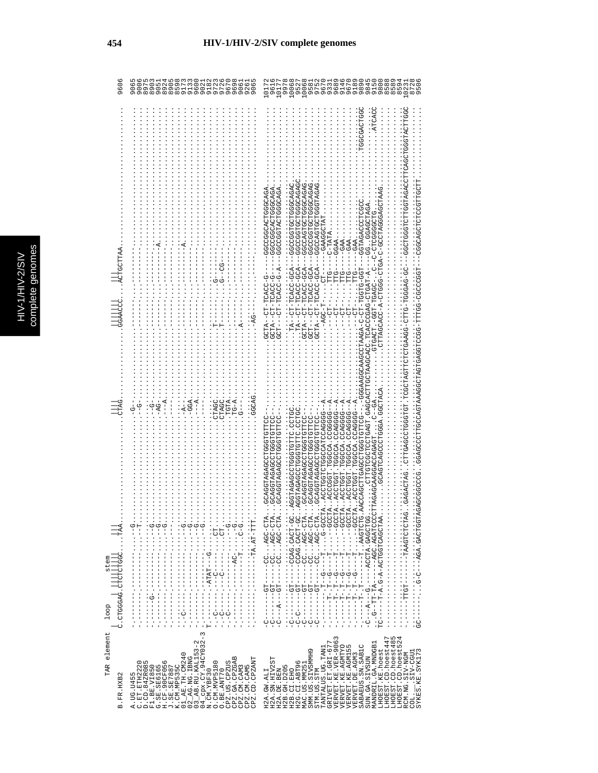| 9606                                                              | 926<br>900<br>900<br>$\begin{array}{c} \n 0.0170 \\  0.0000 \\  \end{array}$<br>906                                                                                                                                                                                                                                                                                                                                                                                                                                                                                                                                                                                                                                                                                                                                                                                                                                                                                                                                                                                                                                                                                                                                                                                                                                                                                                                                                                                                                                                                                                                                                                                                                                                 | 952<br>10068<br>1006<br>958<br>915<br>980<br>858<br>859<br>1017<br>961<br>872<br>1017<br>997<br>97<br>$\overline{0}$                                                                                                                                                                                                                                                                                                                     |
|-------------------------------------------------------------------|-------------------------------------------------------------------------------------------------------------------------------------------------------------------------------------------------------------------------------------------------------------------------------------------------------------------------------------------------------------------------------------------------------------------------------------------------------------------------------------------------------------------------------------------------------------------------------------------------------------------------------------------------------------------------------------------------------------------------------------------------------------------------------------------------------------------------------------------------------------------------------------------------------------------------------------------------------------------------------------------------------------------------------------------------------------------------------------------------------------------------------------------------------------------------------------------------------------------------------------------------------------------------------------------------------------------------------------------------------------------------------------------------------------------------------------------------------------------------------------------------------------------------------------------------------------------------------------------------------------------------------------------------------------------------------------------------------------------------------------|------------------------------------------------------------------------------------------------------------------------------------------------------------------------------------------------------------------------------------------------------------------------------------------------------------------------------------------------------------------------------------------------------------------------------------------|
|                                                                   |                                                                                                                                                                                                                                                                                                                                                                                                                                                                                                                                                                                                                                                                                                                                                                                                                                                                                                                                                                                                                                                                                                                                                                                                                                                                                                                                                                                                                                                                                                                                                                                                                                                                                                                                     | <b>LGGGGACLGGC</b><br><b>CONNOVEDUNO</b>                                                                                                                                                                                                                                                                                                                                                                                                 |
|                                                                   |                                                                                                                                                                                                                                                                                                                                                                                                                                                                                                                                                                                                                                                                                                                                                                                                                                                                                                                                                                                                                                                                                                                                                                                                                                                                                                                                                                                                                                                                                                                                                                                                                                                                                                                                     |                                                                                                                                                                                                                                                                                                                                                                                                                                          |
|                                                                   |                                                                                                                                                                                                                                                                                                                                                                                                                                                                                                                                                                                                                                                                                                                                                                                                                                                                                                                                                                                                                                                                                                                                                                                                                                                                                                                                                                                                                                                                                                                                                                                                                                                                                                                                     |                                                                                                                                                                                                                                                                                                                                                                                                                                          |
|                                                                   |                                                                                                                                                                                                                                                                                                                                                                                                                                                                                                                                                                                                                                                                                                                                                                                                                                                                                                                                                                                                                                                                                                                                                                                                                                                                                                                                                                                                                                                                                                                                                                                                                                                                                                                                     | <b>GGHUUTUURA</b>                                                                                                                                                                                                                                                                                                                                                                                                                        |
|                                                                   |                                                                                                                                                                                                                                                                                                                                                                                                                                                                                                                                                                                                                                                                                                                                                                                                                                                                                                                                                                                                                                                                                                                                                                                                                                                                                                                                                                                                                                                                                                                                                                                                                                                                                                                                     | URURHUUUHUUHURUUUU-<br>-CGCCGCACDODOUD-<br>AGACCCCCCCCCCCCCCCC<br>-GAAGGCTA<br>C-TATA                                                                                                                                                                                                                                                                                                                                                    |
|                                                                   |                                                                                                                                                                                                                                                                                                                                                                                                                                                                                                                                                                                                                                                                                                                                                                                                                                                                                                                                                                                                                                                                                                                                                                                                                                                                                                                                                                                                                                                                                                                                                                                                                                                                                                                                     | -GGAA<br>$-GAA$<br>$-GBA$<br>-GAA                                                                                                                                                                                                                                                                                                                                                                                                        |
|                                                                   | ピリーロ                                                                                                                                                                                                                                                                                                                                                                                                                                                                                                                                                                                                                                                                                                                                                                                                                                                                                                                                                                                                                                                                                                                                                                                                                                                                                                                                                                                                                                                                                                                                                                                                                                                                                                                                | 29494299952915952299---429-20421-120--41<br>URURUUUUHUUHUUUUUU---KUU-UUKUH-HU--KH<br>URURUUUUHUUHUUUUUU---KUU-UUKUH-HU---HUU<br>สัญนาวบันชั่วยังสามารถ - จันชั่ว - จันชั่ว - จันชั่ว - ฉี่ - จันชั่ว - ฉี่ - จันชั่ว - ฉี่ - วันชั่ว<br>ひHひひのひひひHひーひーーひ・1 - ひひぷひHーHひひー・HひぷひHひ<br>-- 400-0040H-H0-- 4H00<br>TTG-<br>-PLP<br>ひひーひ≮のののHーのHHひーのの≮Y\$のHひHひHHのY\$HひのひH・HのHのののHひひのY\$のHHひ                                                       |
|                                                                   |                                                                                                                                                                                                                                                                                                                                                                                                                                                                                                                                                                                                                                                                                                                                                                                                                                                                                                                                                                                                                                                                                                                                                                                                                                                                                                                                                                                                                                                                                                                                                                                                                                                                                                                                     | ひ‐ししむひH‐Hし‐‐よHしひ<br>ひーひひぱひHーHひーーぱHひひ・.<br>$\cdots$ $-204 - 1$                                                                                                                                                                                                                                                                                                                                                                            |
|                                                                   |                                                                                                                                                                                                                                                                                                                                                                                                                                                                                                                                                                                                                                                                                                                                                                                                                                                                                                                                                                                                                                                                                                                                                                                                                                                                                                                                                                                                                                                                                                                                                                                                                                                                                                                                     | $- - - - - - - - -$                                                                                                                                                                                                                                                                                                                                                                                                                      |
|                                                                   |                                                                                                                                                                                                                                                                                                                                                                                                                                                                                                                                                                                                                                                                                                                                                                                                                                                                                                                                                                                                                                                                                                                                                                                                                                                                                                                                                                                                                                                                                                                                                                                                                                                                                                                                     |                                                                                                                                                                                                                                                                                                                                                                                                                                          |
|                                                                   |                                                                                                                                                                                                                                                                                                                                                                                                                                                                                                                                                                                                                                                                                                                                                                                                                                                                                                                                                                                                                                                                                                                                                                                                                                                                                                                                                                                                                                                                                                                                                                                                                                                                                                                                     |                                                                                                                                                                                                                                                                                                                                                                                                                                          |
|                                                                   | $---A$ .<br>$TG-A.$<br><b>DACAC</b><br>TGTA<br>$\vdots$<br>CTAGC<br>CTAGC<br>$-66A$                                                                                                                                                                                                                                                                                                                                                                                                                                                                                                                                                                                                                                                                                                                                                                                                                                                                                                                                                                                                                                                                                                                                                                                                                                                                                                                                                                                                                                                                                                                                                                                                                                                 | $-1$                                                                                                                                                                                                                                                                                                                                                                                                                                     |
|                                                                   |                                                                                                                                                                                                                                                                                                                                                                                                                                                                                                                                                                                                                                                                                                                                                                                                                                                                                                                                                                                                                                                                                                                                                                                                                                                                                                                                                                                                                                                                                                                                                                                                                                                                                                                                     |                                                                                                                                                                                                                                                                                                                                                                                                                                          |
|                                                                   |                                                                                                                                                                                                                                                                                                                                                                                                                                                                                                                                                                                                                                                                                                                                                                                                                                                                                                                                                                                                                                                                                                                                                                                                                                                                                                                                                                                                                                                                                                                                                                                                                                                                                                                                     | URHUUU 'RUUUHUUUUURUHURUU ' '<br><b>UULLULUUULUUUKUKLUUKUU</b><br><b>UDILDIOUDIUDURURIDURUD</b><br>HHUHUUUHUUUKUKHUUKUU<br>HHOHOOOHUUOKOKHOOKUU                                                                                                                                                                                                                                                                                          |
|                                                                   |                                                                                                                                                                                                                                                                                                                                                                                                                                                                                                                                                                                                                                                                                                                                                                                                                                                                                                                                                                                                                                                                                                                                                                                                                                                                                                                                                                                                                                                                                                                                                                                                                                                                                                                                     | UULUUVEUKLUU- - - LUU - ULUU- LU - U - KUKKLUUUKKUUUKEUU - - - - UULLUUUULUUKULLUUKUUK<br>. 4--55555500 . 400555 . H555554 .<br>A--0000400 . TOUDE . LUDBEOU . A<br>4--0000400 . 40000H . H00H004 .<br>4--5555400-40055F-H555H004--<br><b>COORCOLACOODICHOOFOOR:</b><br>HUU 'UHHUHUUUHUUUKUKHUUK<br><b>UDIIDIOUDIUDURURIDURUD</b><br><b>COO . OFFORDOOFOORDATIONA</b><br><b>LIPROPROPROPREDITION</b><br>TTAGAGCAAGGACCAGAGT              |
|                                                                   | $\frac{1}{2}$                                                                                                                                                                                                                                                                                                                                                                                                                                                                                                                                                                                                                                                                                                                                                                                                                                                                                                                                                                                                                                                                                                                                                                                                                                                                                                                                                                                                                                                                                                                                                                                                                                                                                                                       | $\cdots$                                                                                                                                                                                                                                                                                                                                                                                                                                 |
|                                                                   | $\cdots$ CT $\cdots$<br>・・D-D・・・・H------<br>$\ddot{\theta}$ $\ddot{\theta}$ $\ddot{\theta}$ $\ddot{\theta}$ $\ddot{\theta}$ $\ddot{\theta}$ $\ddot{\theta}$ $\ddot{\theta}$ $\ddot{\theta}$ $\ddot{\theta}$ $\ddot{\theta}$ $\ddot{\theta}$ $\ddot{\theta}$ $\ddot{\theta}$ $\ddot{\theta}$ $\ddot{\theta}$ $\ddot{\theta}$ $\ddot{\theta}$ $\ddot{\theta}$ $\ddot{\theta}$ $\ddot{\theta}$ $\ddot{\theta}$ $\ddot{\theta}$ $\ddot{\theta}$ $\ddot{\$<br>$\ddot{\theta}$ $\ddot{\theta}$ $\ddot{\theta}$ $\ddot{\theta}$ $\ddot{\theta}$ $\ddot{\theta}$ $\ddot{\theta}$ $\ddot{\theta}$ $\ddot{\theta}$ $\ddot{\theta}$ $\ddot{\theta}$ $\ddot{\theta}$ $\ddot{\theta}$ $\ddot{\theta}$ $\ddot{\theta}$ $\ddot{\theta}$ $\ddot{\theta}$ $\ddot{\theta}$ $\ddot{\theta}$ $\ddot{\theta}$ $\ddot{\theta}$ $\ddot{\theta}$ $\ddot{\theta}$ $\ddot{\theta}$ $\ddot{\$<br>$\overline{0}$ $\overline{0}$ $\overline{0}$ $\overline{0}$ $\overline{0}$ $\overline{0}$ $\overline{0}$ $\overline{0}$ $\overline{0}$ $\overline{0}$ $\overline{0}$ $\overline{0}$ $\overline{0}$ $\overline{0}$ $\overline{0}$ $\overline{0}$ $\overline{0}$ $\overline{0}$ $\overline{0}$ $\overline{0}$ $\overline{0}$ $\overline{0}$ $\overline{0}$ $\overline{0}$ $\overline{$<br>$\frac{1}{2}$<br>$\ddot{\theta}$ $\ddot{\theta}$ $\ddot{\theta}$ $\ddot{\theta}$ $\ddot{\theta}$ $\ddot{\theta}$ $\ddot{\theta}$ $\ddot{\theta}$ $\ddot{\theta}$ $\ddot{\theta}$ $\ddot{\theta}$ $\ddot{\theta}$ $\ddot{\theta}$ $\ddot{\theta}$ $\ddot{\theta}$ $\ddot{\theta}$ $\ddot{\theta}$ $\ddot{\theta}$ $\ddot{\theta}$ $\ddot{\theta}$ $\ddot{\theta}$ $\ddot{\theta}$ $\ddot{\theta}$ $\ddot{\theta}$ $\ddot{\$<br><b>0</b> -<br>$\frac{1}{2}$<br>$\vdots$ | - KHU - UUK · · · · UU - - - - - - HU - - - - - - -<br>・ひひ‐エコンモコ ・ウヒココー‐‐‐‐エミリ‐‐‐‐‐‐‐<br>1.25-LD YO 1.9YOU-----LD------<br>・KID-05K::DD------IB-------<br>$-100 - 100 - 100$<br>$-$ -CC $AGC$ -CTA.<br>$UUUU-U$<br><b>LOOD------</b><br>$1200 - 1 - 1$<br>$1000 - 1.$<br>1 ひひHひひむび 1 stHひひむーーーー 1 ひーーーむーーー<br>- KHU-UUK:: UU-----HU-------<br>ALDHOHOARH-------HDHH----<br>ARCHOROHOUNCHA-A-U.A-H-----                                   |
| <sup>100p</sup>           <br>         <br>С. стоссас. стететсес. | $-1$<br>$-1$<br>$-1$<br>$-1$<br>$----$                                                                                                                                                                                                                                                                                                                                                                                                                                                                                                                                                                                                                                                                                                                                                                                                                                                                                                                                                                                                                                                                                                                                                                                                                                                                                                                                                                                                                                                                                                                                                                                                                                                                                              | $-1$<br>$-6 - - - -$<br>- ローーー - ウーーロ・ーローーーーー・ー<br>$T--G$                                                                                                                                                                                                                                                                                                                                                                                |
|                                                                   | $-1 - 1 - 1 - 1 - 1 - 1 - 1 - 1$<br>$\frac{1}{1}$                                                                                                                                                                                                                                                                                                                                                                                                                                                                                                                                                                                                                                                                                                                                                                                                                                                                                                                                                                                                                                                                                                                                                                                                                                                                                                                                                                                                                                                                                                                                                                                                                                                                                   | $-1 - 1 - 1 - 1 - 1$<br>エーロン エロエエエエエンド<br><b>11-1-1-1-1</b>                                                                                                                                                                                                                                                                                                                                                                              |
|                                                                   | $-1 - 0 - 1 - 1$<br>$-1$<br>$-1$<br>$-1$<br>$-1$<br>$-1$<br>$-1$<br>Í<br>$\frac{1}{1}$<br>$\frac{1}{1}$<br>$\frac{1}{1}$<br>$\frac{1}{1}$<br>¦.<br>;<br>i<br>$\frac{1}{1}$<br>$\sim$                                                                                                                                                                                                                                                                                                                                                                                                                                                                                                                                                                                                                                                                                                                                                                                                                                                                                                                                                                                                                                                                                                                                                                                                                                                                                                                                                                                                                                                                                                                                                | $\frac{1}{1}$<br>ပုံ<br>$\frac{1}{1}$<br>$\frac{1}{1}$<br>ပုံ<br>ပုံ<br>Ÿ<br>ပုံ<br>ပုံ<br>$\frac{0}{1}$                                                                                                                                                                                                                                                                                                                                 |
| TAR element                                                       | $\mathsf I$<br>2<br>G                                                                                                                                                                                                                                                                                                                                                                                                                                                                                                                                                                                                                                                                                                                                                                                                                                                                                                                                                                                                                                                                                                                                                                                                                                                                                                                                                                                                                                                                                                                                                                                                                                                                                                               | LHOEST.CD.hoest485<br>LHOEST.CD.hoest524<br>RCM.NG.STV                                                                                                                                                                                                                                                                                                                                                                                   |
| FR.HXB2                                                           | 04_cpx.CY.94CY032<br>N.CM.YBF30<br>$03$ $AB$ . RU. KAL153-<br>AK.TH. CM240<br>02_AG.NG.IBNG<br>CPZ.GA.CPZGAB<br>CD.CPZANT<br>O.CM.MVP5180<br>C.ET.ETH2220<br>D.CD.84ZR085<br>CPZ.US.CPZUS<br>F1.BE.VI850<br>G.SE.SE6165<br>H.CF.90CF056<br>J.SE.SE7887<br>.CM.MP535C<br>CPZ.CM.CAM5<br>CPZ.CM.CAM3<br>O.BE.ANT70                                                                                                                                                                                                                                                                                                                                                                                                                                                                                                                                                                                                                                                                                                                                                                                                                                                                                                                                                                                                                                                                                                                                                                                                                                                                                                                                                                                                                    | <b>VERVET.KE.VER-9063</b><br>LHOEST.CD.hoest447<br>GRIVET.ET.GRI-677<br>MANDRIL.GA.MNDGB1<br>VERVET.KE.AGMTYO<br>SABAEUS.SN.SAB1C<br><b>VERVET.KE.AGM155</b><br>TANTALUS.UG.TAN1<br>LHOEST.KE.hoest<br>SMM.US.SIVSMMH9<br>ELLAND<br>TRDO-AIST-T-ST-<br>SYKES.KE.SYK17<br><b>/ERVET.DE.AGM3</b><br>SUN.GA.SIVSUN<br>H2A.SN.HIV2ST<br>H2G.CI.ABT96<br>MAC.US.MM25<br>H2B. GH. D205<br>STM.US.STM<br>H2A.DE.BEN<br>H2B.CI.EHO<br>H2A.GW.ALI |
| 血                                                                 | A. UG. U455<br><b>CPZ</b>                                                                                                                                                                                                                                                                                                                                                                                                                                                                                                                                                                                                                                                                                                                                                                                                                                                                                                                                                                                                                                                                                                                                                                                                                                                                                                                                                                                                                                                                                                                                                                                                                                                                                                           | COL.                                                                                                                                                                                                                                                                                                                                                                                                                                     |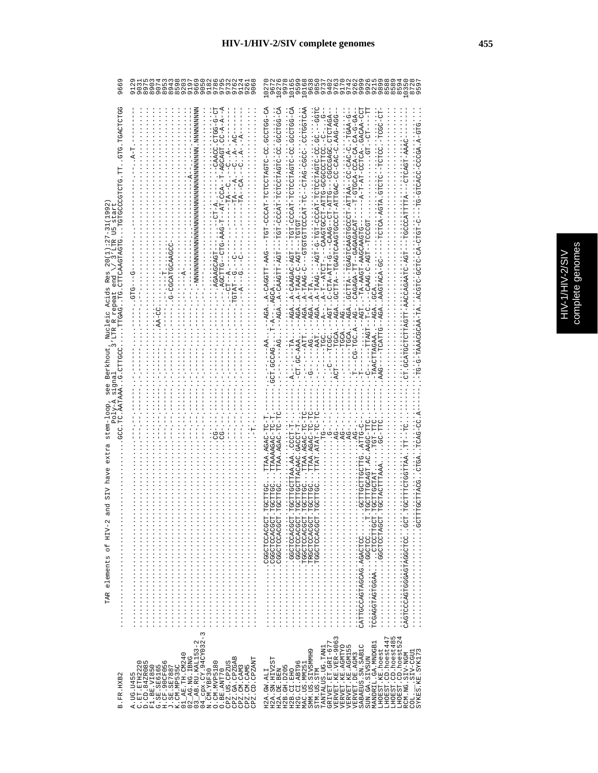|   | ñ<br>C |
|---|--------|
|   |        |
|   |        |
| Ç |        |
|   |        |
|   | ŕ      |
|   | j      |
|   |        |
|   |        |
|   |        |
|   | ٦      |
|   |        |
|   |        |
|   | ì      |
|   |        |

| 9669                                                                                 | 8899999<br>4009960<br>400996<br>918<br>978<br>ō۱<br>G                                                                                                                                                                                                                                                                                                                                                                                                                                                                                     | G<br>1016<br>992<br>989<br>997<br>ğ<br><b>1010 m</b><br>$\overline{9}$<br>$\sigma$                                                                                                                                                                                                                                                                                                                                                                                                                                                                                                                                                                                                    |
|--------------------------------------------------------------------------------------|-------------------------------------------------------------------------------------------------------------------------------------------------------------------------------------------------------------------------------------------------------------------------------------------------------------------------------------------------------------------------------------------------------------------------------------------------------------------------------------------------------------------------------------------|---------------------------------------------------------------------------------------------------------------------------------------------------------------------------------------------------------------------------------------------------------------------------------------------------------------------------------------------------------------------------------------------------------------------------------------------------------------------------------------------------------------------------------------------------------------------------------------------------------------------------------------------------------------------------------------|
| COLOS<br>UUACH UUS<br>1992<br>U<br>U<br>ہے۔<br>م<br>Res<br>Acids<br>Nuc]<br>Berkhout | $\frac{1}{1}$<br>$C - A - A$<br>-AGCAGT.<br>$TA---P$<br>$-AC - A$ <sup>-</sup> CCA<br>IU--UHHUU4.<br>じーー                                                                                                                                                                                                                                                                                                                                                                                                                                  | 40-00HUUD : UU-UHU4HUUHUH -H4UUU -HDH - -<br>- 4504.h2.h2 : 2045.h2050----0.h24-h2---0442----0-h24-44.h2-2 : .<br>C.GC.--GGI<br>-DDR-DRR : ט-טמט-טט-טמטנונומ-נוטטטטנטממטנוסמטנו--מנונטס מטמ<br>$-5-AGDT-$<br>$CA-G-A$<br>ヴヴHJUU 1 JU-UHDΚHJUHJH-HΚJUU-HヴH----HヷK-HHUKKU-Κ<br>C-0240-00--4AHTAAHUOOOODDACDEDADH--AHTDU<br>AU-AUU-AUU-H<br>CONSTRACT-A-TAAG---DAT-D-TON--O-AGT-AGT-A-TAAG-O<br>20102020-00104-0200004040-----<br>$-$ -TOTOT-<br>CAGAGA-TT--GAGAGACAT<br>LPUUUUH--LP4-U:DeYeU--<br>-TA-AAGT-AAGCAAGTG<br>A-CAGGTT-AAG-<br>AGAA-CAAGAC-AGT<br>-AGAA-TAAGC-AGT<br>R-T--ATCT<br>$\ddot{.}$<br>AAGTACA<br>AGAA-TA.<br>$- -$ CG $-$ TGC.A<br>TGCA<br>C-AAA<br><b>LLI-DDAY</b> |
| N<br>12<br>C<br>TAR elements of HIV-2                                                |                                                                                                                                                                                                                                                                                                                                                                                                                                                                                                                                           | TTAA.AGAC-TC<br>TTAA.AGAC-TC<br>TACAAC.GACCT-'<br>TAA.AA<br><b>UA : HUAUUHHHUU</b><br>GCTTGC<br>. HUUUKUUHUUUH<br>TORING SALES AND CONTROL CONTROL INTERNATIONAL CONTROL IN A SALE CONTROL IN A SALE CONTROL IN A SALE CONTROL I<br>THE SALE CONTROL IN A SALE CONTROL IN A SALE CONTROL IN A SALE CONTROL IN A SALE CONTROL IN A SALE CONTROL IN<br>.HUUUKUUHUUUU<br>HUDUKUUHUDDH · · · · · · · · · · · · · · ·<br>HUUU KUUHUUUU<br>---------------------------<br>.                                                                                                                                                                                                                 |
| B.FR.HXB2                                                                            | $\begin{array}{l} 01\_AB \text{ .} \text{ TH: } 01240 \\ 02\_AG \text{ .} \text{NG: } 1 \text{ BNG} \\ 03\_AB \text{ .} \text{ RU: } \text{KAL153--2} \\ 04\_MA \text{ .} \text{CMA153--2} \\ \text{N: } \text{CN: } \text{M3F30} \\ 0. \text{ CUM: } \text{KBF30} \\ 0. \text{ CUM: } \text{MVE5180} \end{array}$<br>CPZ.GA.CPZGAB<br>CPZ.CD.CPZANT<br>A.UG.U455<br>C.ET.ETH2220<br>D.CD.84ZR085<br>CPZ.US.CPZUS<br>G.SE.SE6165<br>H.CF.90CF056<br>J.SE.SE7887<br>K.CM.MP535C<br>F1.BE.VI850<br>CPZ.CM.CAM5<br>CPZ.CM.CAM3<br>O.BE.ANT70 | GRIVET.ET.GRI-677<br>VERVET.KE.VER-9063<br>VERVET.KE.AGMTYO<br>LHOEST.CD.hoest447<br>LHOEST.CD.hoest485<br>LHOEST.CD.hoest524<br>MANDRIL.GA.MNDGB1<br>SABAEUS.SN.SABIC<br>L<br>TANTALUS.UG.TAN1<br>SMM.US.SIVSMMH9<br>VERVET.KE.AGM15<br>LHOEST.KE.hoest<br>SYKES.KE.SYK173<br>LUDD-VIS.<br>VERVET. DE. AGM3<br>RCM.NG.SIV-NGM<br>SUN.GA.SIVSUN<br>H2A.SN.HIV2ST<br>H2G.CI.ABT96<br>MAC.US.MM251<br>H2B.GH.D205<br>H2B.CI.EHO<br>STM.US.STM<br>H2A.GW.ALI<br>H2A.DE.BEN<br>COL.                                                                                                                                                                                                       |